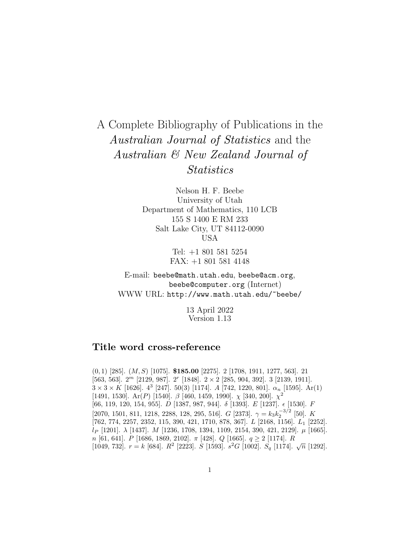## A Complete Bibliography of Publications in the Australian Journal of Statistics and the Australian & New Zealand Journal of **Statistics**

Nelson H. F. Beebe University of Utah Department of Mathematics, 110 LCB 155 S 1400 E RM 233 Salt Lake City, UT 84112-0090 USA

> Tel: +1 801 581 5254 FAX: +1 801 581 4148

E-mail: beebe@math.utah.edu, beebe@acm.org, beebe@computer.org (Internet) WWW URL: http://www.math.utah.edu/~beebe/

> 13 April 2022 Version 1.13

## **Title word cross-reference**

(0, 1) [285]. (M,S) [1075]. **\$185.00** [2275]. 2 [1708, 1911, 1277, 563]. 21 [563, 563].  $2^m$  [2129, 987].  $2^r$  [1848].  $2 \times 2$  [285, 904, 392]. 3 [2139, 1911].  $3 \times 3 \times K$  [1626].  $4^3$  [247]. 50(3) [1174]. A [742, 1220, 801].  $\alpha_n$  [1595]. Ar(1) [1491, 1530]. Ar(P) [1540].  $\beta$  [460, 1459, 1990].  $\chi$  [340, 200].  $\chi^2$  $[66,\,119,\,120,\,154,\,955].$ <br/> $D$   $[1387,\,987,\,944].$   $\,\delta$ <br/> $[1393].$   $E$   $[1237].$ <br/> $\epsilon$   $[1530].$   $F$ [2070, 1501, 811, 1218, 2288, 128, 295, 516]. G [2373].  $\gamma = k_3 k_2^{-3/2}$  [50]. K  $[762, 774, 2257, 2352, 115, 390, 421, 1710, 878, 367]$ . L  $[2168, 1156]$ . L<sub>1</sub> [2252].  $l_P$  [1201].  $\lambda$  [1437]. M [1236, 1708, 1394, 1109, 2154, 390, 421, 2129].  $\mu$  [1665].  $n$  [61, 641]. P [1686, 1869, 2102].  $\pi$  [428]. Q [1665].  $q \ge 2$  [1174]. R [1049, 732].  $r = k$  [684].  $R^2$  [2223].  $S$  [1593].  $s^2G$  [1002].  $S_q$  [1174].  $\sqrt{n}$  [1292].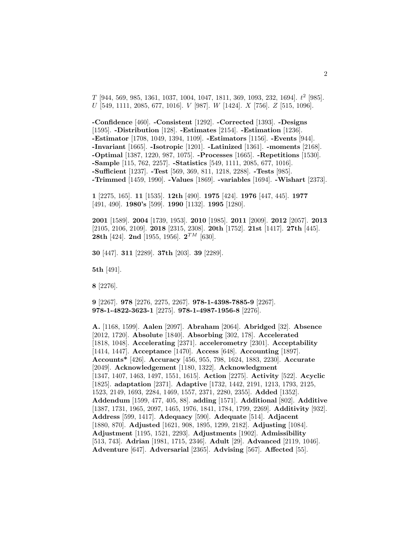$T$  [944, 569, 985, 1361, 1037, 1004, 1047, 1811, 369, 1093, 232, 1694].  $t^2$  [985].  $U$  [549, 1111, 2085, 677, 1016].  $V$  [987].  $W$  [1424].  $X$  [756].  $Z$  [515, 1096].

**-Confidence** [460]. **-Consistent** [1292]. **-Corrected** [1393]. **-Designs** [1595]. **-Distribution** [128]. **-Estimates** [2154]. **-Estimation** [1236]. **-Estimator** [1708, 1049, 1394, 1109]. **-Estimators** [1156]. **-Events** [944]. **-Invariant** [1665]. **-Isotropic** [1201]. **-Latinized** [1361]. **-moments** [2168]. **-Optimal** [1387, 1220, 987, 1075]. **-Processes** [1665]. **-Repetitions** [1530]. **-Sample** [115, 762, 2257]. **-Statistics** [549, 1111, 2085, 677, 1016]. **-Sufficient** [1237]. **-Test** [569, 369, 811, 1218, 2288]. **-Tests** [985]. **-Trimmed** [1459, 1990]. **-Values** [1869]. **-variables** [1694]. **-Wishart** [2373].

**1** [2275, 165]. **11** [1535]. **12th** [490]. **1975** [424]. **1976** [447, 445]. **1977** [491, 490]. **1980's** [599]. **1990** [1132]. **1995** [1280].

**2001** [1589]. **2004** [1739, 1953]. **2010** [1985]. **2011** [2009]. **2012** [2057]. **2013** [2105, 2106, 2109]. **2018** [2315, 2308]. **20th** [1752]. **21st** [1417]. **27th** [445]. **28th** [424]. **2nd** [1955, 1956]. **2**TM [630].

**30** [447]. **311** [2289]. **37th** [203]. **39** [2289].

**5th** [491].

**8** [2276].

**9** [2267]. **978** [2276, 2275, 2267]. **978-1-4398-7885-9** [2267]. **978-1-4822-3623-1** [2275]. **978-1-4987-1956-8** [2276].

**A.** [1168, 1599]. **Aalen** [2097]. **Abraham** [2064]. **Abridged** [32]. **Absence** [2012, 1720]. **Absolute** [1840]. **Absorbing** [302, 178]. **Accelerated** [1818, 1048]. **Accelerating** [2371]. **accelerometry** [2301]. **Acceptability** [1414, 1447]. **Acceptance** [1470]. **Access** [648]. **Accounting** [1897]. **Accounts\*** [426]. **Accuracy** [456, 955, 798, 1624, 1883, 2230]. **Accurate** [2049]. **Acknowledgement** [1180, 1322]. **Acknowledgment** [1347, 1407, 1463, 1497, 1551, 1615]. **Action** [2275]. **Activity** [522]. **Acyclic** [1825]. **adaptation** [2371]. **Adaptive** [1732, 1442, 2191, 1213, 1793, 2125, 1523, 2149, 1693, 2284, 1469, 1557, 2371, 2280, 2355]. **Added** [1352]. **Addendum** [1599, 477, 405, 88]. **adding** [1571]. **Additional** [802]. **Additive** [1387, 1731, 1965, 2097, 1465, 1976, 1841, 1784, 1799, 2269]. **Additivity** [932]. **Address** [599, 1417]. **Adequacy** [590]. **Adequate** [514]. **Adjacent** [1880, 870]. **Adjusted** [1621, 908, 1895, 1299, 2182]. **Adjusting** [1084]. **Adjustment** [1195, 1521, 2293]. **Adjustments** [1902]. **Admissibility** [513, 743]. **Adrian** [1981, 1715, 2346]. **Adult** [29]. **Advanced** [2119, 1046]. **Adventure** [647]. **Adversarial** [2365]. **Advising** [567]. **Affected** [55].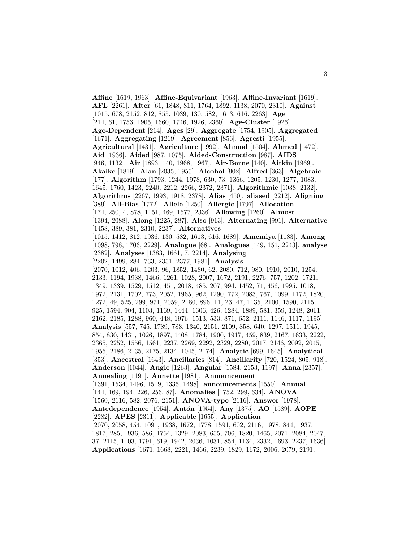**Affine** [1619, 1963]. **Affine-Equivariant** [1963]. **Affine-Invariant** [1619]. **AFL** [2261]. **After** [61, 1848, 811, 1764, 1892, 1138, 2070, 2310]. **Against** [1015, 678, 2152, 812, 855, 1039, 130, 582, 1613, 616, 2263]. **Age** [214, 61, 1753, 1905, 1660, 1746, 1926, 2360]. **Age-Cluster** [1926]. **Age-Dependent** [214]. **Ages** [29]. **Aggregate** [1754, 1905]. **Aggregated** [1671]. **Aggregating** [1269]. **Agreement** [856]. **Agresti** [1955]. **Agricultural** [1431]. **Agriculture** [1992]. **Ahmad** [1504]. **Ahmed** [1472]. **Aid** [1936]. **Aided** [987, 1075]. **Aided-Construction** [987]. **AIDS** [946, 1132]. **Air** [1893, 140, 1968, 1967]. **Air-Borne** [140]. **Aitkin** [1969]. **Akaike** [1819]. **Alan** [2035, 1955]. **Alcohol** [902]. **Alfred** [363]. **Algebraic** [177]. **Algorithm** [1793, 1244, 1978, 630, 73, 1366, 1205, 1230, 1277, 1083, 1645, 1760, 1423, 2240, 2212, 2266, 2372, 2371]. **Algorithmic** [1038, 2132]. **Algorithms** [2267, 1993, 1918, 2378]. **Alias** [450]. **aliased** [2212]. **Aligning** [389]. **All-Bias** [1772]. **Allele** [1250]. **Allergic** [1797]. **Allocation** [174, 250, 4, 878, 1151, 469, 1577, 2336]. **Allowing** [1260]. **Almost** [1394, 2088]. **Along** [1225, 287]. **Also** [913]. **Alternating** [991]. **Alternative** [1458, 389, 381, 2310, 2237]. **Alternatives** [1015, 1412, 812, 1936, 130, 582, 1613, 616, 1689]. **Amemiya** [1183]. **Among** [1098, 798, 1706, 2229]. **Analogue** [68]. **Analogues** [149, 151, 2243]. **analyse** [2382]. **Analyses** [1383, 1661, 7, 2214]. **Analysing** [2202, 1499, 284, 733, 2351, 2377, 1981]. **Analysis** [2070, 1012, 406, 1203, 96, 1852, 1480, 62, 2080, 712, 980, 1910, 2010, 1254, 2133, 1194, 1938, 1466, 1261, 1028, 2007, 1672, 2191, 2276, 757, 1202, 1721, 1349, 1339, 1529, 1512, 451, 2018, 485, 207, 994, 1452, 71, 456, 1995, 1018, 1972, 2131, 1702, 773, 2052, 1965, 962, 1290, 772, 2083, 767, 1099, 1172, 1820, 1272, 49, 525, 299, 971, 2059, 2180, 896, 11, 23, 47, 1135, 2100, 1590, 2115, 925, 1594, 904, 1103, 1169, 1444, 1606, 426, 1284, 1889, 581, 359, 1248, 2061, 2162, 2185, 1288, 960, 448, 1976, 1513, 533, 871, 652, 2111, 1146, 1117, 1195]. **Analysis** [557, 745, 1789, 783, 1340, 2151, 2109, 858, 640, 1297, 1511, 1945, 854, 830, 1431, 1026, 1897, 1408, 1784, 1900, 1917, 459, 839, 2167, 1633, 2222, 2365, 2252, 1556, 1561, 2237, 2269, 2292, 2329, 2280, 2017, 2146, 2092, 2045, 1955, 2186, 2135, 2175, 2134, 1045, 2174]. **Analytic** [699, 1645]. **Analytical** [353]. **Ancestral** [1643]. **Ancillaries** [814]. **Ancillarity** [720, 1524, 805, 918]. **Anderson** [1044]. **Angle** [1263]. **Angular** [1584, 2153, 1197]. **Anna** [2357]. **Annealing** [1191]. **Annette** [1981]. **Announcement** [1391, 1534, 1496, 1519, 1335, 1498]. **announcements** [1550]. **Annual** [144, 169, 194, 226, 256, 87]. **Anomalies** [1752, 299, 634]. **ANOVA** [1560, 2116, 582, 2076, 2151]. **ANOVA-type** [2116]. **Answer** [1978]. **Antedependence** [1954]. **Ant´on** [1954]. **Any** [1375]. **AO** [1589]. **AOPE** [2282]. **APES** [2311]. **Applicable** [1655]. **Application** [2070, 2058, 454, 1091, 1938, 1672, 1778, 1591, 602, 2116, 1978, 844, 1937, 1817, 285, 1936, 586, 1754, 1329, 2083, 655, 706, 1820, 1465, 2071, 2084, 2047, 37, 2115, 1103, 1791, 619, 1942, 2036, 1031, 854, 1134, 2332, 1693, 2237, 1636]. **Applications** [1671, 1668, 2221, 1466, 2239, 1829, 1672, 2006, 2079, 2191,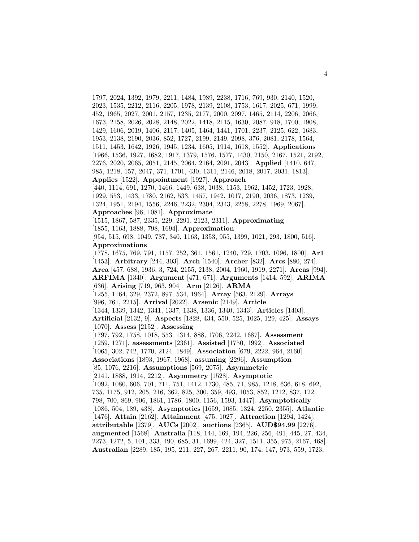1797, 2024, 1392, 1979, 2211, 1484, 1989, 2238, 1716, 769, 930, 2140, 1520, 2023, 1535, 2212, 2116, 2205, 1978, 2139, 2108, 1753, 1617, 2025, 671, 1999, 452, 1965, 2027, 2001, 2157, 1235, 2177, 2000, 2097, 1465, 2114, 2206, 2066, 1673, 2158, 2026, 2028, 2148, 2022, 1418, 2115, 1630, 2087, 918, 1700, 1908, 1429, 1606, 2019, 1406, 2117, 1405, 1464, 1441, 1701, 2237, 2125, 622, 1683, 1953, 2138, 2190, 2036, 852, 1727, 2199, 2149, 2098, 376, 2081, 2178, 1564, 1511, 1453, 1642, 1926, 1945, 1234, 1605, 1914, 1618, 1552]. **Applications** [1966, 1536, 1927, 1682, 1917, 1379, 1576, 1577, 1430, 2150, 2167, 1521, 2192, 2276, 2020, 2065, 2051, 2145, 2064, 2164, 2091, 2043]. **Applied** [1410, 647, 985, 1218, 157, 2047, 371, 1701, 430, 1311, 2146, 2018, 2017, 2031, 1813]. **Applies** [1522]. **Appointment** [1927]. **Approach** [440, 1114, 691, 1270, 1466, 1449, 638, 1038, 1153, 1962, 1452, 1723, 1928, 1929, 553, 1433, 1780, 2162, 533, 1457, 1942, 1017, 2190, 2036, 1873, 1239, 1324, 1951, 2194, 1556, 2246, 2232, 2304, 2343, 2258, 2278, 1969, 2067]. **Approaches** [96, 1081]. **Approximate** [1515, 1867, 587, 2335, 229, 2291, 2123, 2311]. **Approximating** [1855, 1163, 1888, 798, 1694]. **Approximation** [954, 515, 698, 1049, 787, 340, 1163, 1353, 955, 1399, 1021, 293, 1800, 516]. **Approximations** [1778, 1675, 769, 791, 1157, 252, 361, 1561, 1240, 729, 1703, 1096, 1800]. **Ar1** [1453]. **Arbitrary** [244, 303]. **Arch** [1540]. **Archer** [832]. **Arcs** [880, 274]. **Area** [457, 688, 1936, 3, 724, 2155, 2138, 2004, 1960, 1919, 2271]. **Areas** [994]. **ARFIMA** [1340]. **Argument** [471, 671]. **Arguments** [1414, 592]. **ARIMA** [636]. **Arising** [719, 963, 904]. **Arm** [2126]. **ARMA** [1255, 1164, 329, 2372, 897, 534, 1964]. **Array** [563, 2129]. **Arrays** [996, 761, 2215]. **Arrival** [2022]. **Arsenic** [2149]. **Article** [1344, 1339, 1342, 1341, 1337, 1338, 1336, 1340, 1343]. **Articles** [1403]. **Artificial** [2132, 9]. **Aspects** [1828, 434, 550, 525, 1025, 129, 425]. **Assays** [1070]. **Assess** [2152]. **Assessing** [1797, 792, 1758, 1018, 553, 1314, 888, 1706, 2242, 1687]. **Assessment** [1259, 1271]. **assessments** [2361]. **Assisted** [1750, 1992]. **Associated** [1065, 302, 742, 1770, 2124, 1849]. **Association** [679, 2222, 964, 2160]. **Associations** [1893, 1967, 1968]. **assuming** [2296]. **Assumption** [85, 1076, 2216]. **Assumptions** [569, 2075]. **Asymmetric** [2141, 1888, 1914, 2212]. **Asymmetry** [1528]. **Asymptotic** [1092, 1080, 606, 701, 711, 751, 1412, 1730, 485, 71, 985, 1218, 636, 618, 692, 735, 1175, 912, 205, 216, 362, 825, 300, 359, 493, 1053, 852, 1212, 837, 122, 798, 700, 869, 906, 1861, 1786, 1800, 1156, 1593, 1447]. **Asymptotically** [1086, 504, 189, 438]. **Asymptotics** [1659, 1085, 1324, 2250, 2355]. **Atlantic** [1476]. **Attain** [2162]. **Attainment** [475, 1027]. **Attraction** [1294, 1424]. **attributable** [2379]. **AUCs** [2002]. **auctions** [2365]. **AUD\$94.99** [2276]. **augmented** [1568]. **Australia** [118, 144, 169, 194, 226, 256, 491, 445, 27, 434, 2273, 1272, 5, 101, 333, 490, 685, 31, 1699, 424, 327, 1511, 355, 975, 2167, 468]. **Australian** [2289, 185, 195, 211, 227, 267, 2211, 90, 174, 147, 973, 559, 1723,

4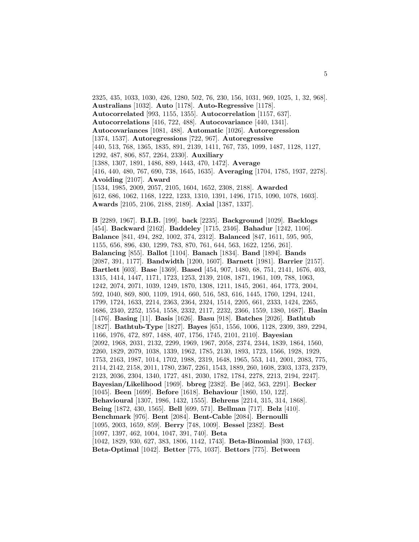2325, 435, 1033, 1030, 426, 1280, 502, 76, 230, 156, 1031, 969, 1025, 1, 32, 968]. **Australians** [1032]. **Auto** [1178]. **Auto-Regressive** [1178]. **Autocorrelated** [993, 1155, 1355]. **Autocorrelation** [1157, 637]. **Autocorrelations** [416, 722, 488]. **Autocovariance** [440, 1341]. **Autocovariances** [1081, 488]. **Automatic** [1026]. **Autoregression** [1374, 1537]. **Autoregressions** [722, 967]. **Autoregressive** [440, 513, 768, 1365, 1835, 891, 2139, 1411, 767, 735, 1099, 1487, 1128, 1127, 1292, 487, 806, 857, 2264, 2330]. **Auxiliary** [1388, 1307, 1891, 1486, 889, 1443, 470, 1472]. **Average** [416, 440, 480, 767, 690, 738, 1645, 1635]. **Averaging** [1704, 1785, 1937, 2278]. **Avoiding** [2107]. **Award** [1534, 1985, 2009, 2057, 2105, 1604, 1652, 2308, 2188]. **Awarded** [612, 686, 1062, 1168, 1222, 1233, 1310, 1391, 1496, 1715, 1090, 1078, 1603]. **Awards** [2105, 2106, 2188, 2189]. **Axial** [1387, 1337].

**B** [2289, 1967]. **B.I.B.** [199]. **back** [2235]. **Background** [1029]. **Backlogs** [454]. **Backward** [2162]. **Baddeley** [1715, 2346]. **Bahadur** [1242, 1106]. **Balance** [841, 494, 282, 1002, 374, 2312]. **Balanced** [847, 1611, 595, 905, 1155, 656, 896, 430, 1299, 783, 870, 761, 644, 563, 1622, 1256, 261]. **Balancing** [855]. **Ballot** [1104]. **Banach** [1834]. **Band** [1894]. **Bands** [2087, 391, 1177]. **Bandwidth** [1200, 1607]. **Barnett** [1981]. **Barrier** [2157]. **Bartlett** [603]. **Base** [1369]. **Based** [454, 907, 1480, 68, 751, 2141, 1676, 403, 1315, 1414, 1447, 1171, 1723, 1253, 2139, 2108, 1871, 1961, 109, 788, 1063, 1242, 2074, 2071, 1039, 1249, 1870, 1308, 1211, 1845, 2061, 464, 1773, 2004, 592, 1040, 869, 800, 1109, 1914, 660, 516, 583, 616, 1445, 1760, 1294, 1241, 1799, 1724, 1633, 2214, 2363, 2364, 2324, 1514, 2205, 661, 2333, 1424, 2265, 1686, 2340, 2252, 1554, 1558, 2332, 2117, 2232, 2366, 1559, 1380, 1687]. **Basin** [1476]. **Basing** [11]. **Basis** [1626]. **Basu** [918]. **Batches** [2026]. **Bathtub** [1827]. **Bathtub-Type** [1827]. **Bayes** [651, 1556, 1006, 1128, 2309, 389, 2294, 1166, 1976, 472, 897, 1488, 407, 1756, 1745, 2101, 2110]. **Bayesian** [2092, 1968, 2031, 2132, 2299, 1969, 1967, 2058, 2374, 2344, 1839, 1864, 1560, 2260, 1829, 2079, 1038, 1339, 1962, 1785, 2130, 1893, 1723, 1566, 1928, 1929, 1753, 2163, 1987, 1014, 1702, 1988, 2319, 1648, 1965, 553, 141, 2001, 2083, 775, 2114, 2142, 2158, 2011, 1780, 2367, 2261, 1543, 1889, 260, 1608, 2303, 1373, 2379, 2123, 2036, 2304, 1340, 1727, 481, 2030, 1782, 1784, 2278, 2213, 2194, 2247]. **Bayesian/Likelihood** [1969]. **bbreg** [2382]. **Be** [462, 563, 2291]. **Becker** [1045]. **Been** [1699]. **Before** [1618]. **Behaviour** [1860, 150, 122]. **Behavioural** [1307, 1986, 1432, 1555]. **Behrens** [2214, 315, 314, 1868]. **Being** [1872, 430, 1565]. **Bell** [699, 571]. **Bellman** [717]. **Belz** [410]. **Benchmark** [976]. **Bent** [2084]. **Bent-Cable** [2084]. **Bernoulli** [1095, 2003, 1659, 859]. **Berry** [748, 1009]. **Bessel** [2382]. **Best** [1097, 1397, 462, 1004, 1047, 391, 740]. **Beta** [1042, 1829, 930, 627, 383, 1806, 1142, 1743]. **Beta-Binomial** [930, 1743]. **Beta-Optimal** [1042]. **Better** [775, 1037]. **Bettors** [775]. **Between**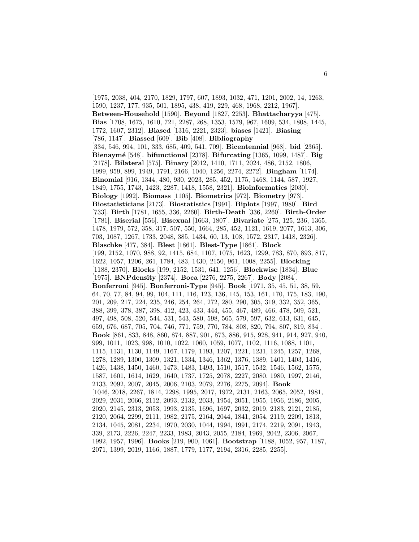[1975, 2038, 404, 2170, 1829, 1797, 607, 1893, 1032, 471, 1201, 2002, 14, 1263, 1590, 1237, 177, 935, 501, 1895, 438, 419, 229, 468, 1968, 2212, 1967]. **Between-Household** [1590]. **Beyond** [1827, 2253]. **Bhattacharyya** [475]. **Bias** [1708, 1675, 1610, 721, 2287, 268, 1353, 1579, 967, 1609, 534, 1808, 1445, 1772, 1607, 2312]. **Biased** [1316, 2221, 2323]. **biases** [1421]. **Biasing** [786, 1147]. **Biassed** [609]. **Bib** [408]. **Bibliography** [334, 546, 994, 101, 333, 685, 409, 541, 709]. **Bicentennial** [968]. **bid** [2365]. **Bienaym´e** [548]. **bifunctional** [2378]. **Bifurcating** [1365, 1099, 1487]. **Big** [2178]. **Bilateral** [575]. **Binary** [2012, 1410, 1711, 2024, 486, 2152, 1806, 1999, 959, 899, 1949, 1791, 2166, 1040, 1256, 2274, 2272]. **Bingham** [1174]. **Binomial** [916, 1344, 480, 930, 2023, 285, 452, 1175, 1468, 1144, 587, 1927, 1849, 1755, 1743, 1423, 2287, 1418, 1558, 2321]. **Bioinformatics** [2030]. **Biology** [1992]. **Biomass** [1105]. **Biometrics** [972]. **Biometry** [973]. **Biostatisticians** [2173]. **Biostatistics** [1991]. **Biplots** [1997, 1980]. **Bird** [733]. **Birth** [1781, 1655, 336, 2260]. **Birth-Death** [336, 2260]. **Birth-Order** [1781]. **Biserial** [556]. **Bisexual** [1663, 1807]. **Bivariate** [275, 125, 236, 1365, 1478, 1979, 572, 358, 317, 507, 550, 1664, 285, 452, 1121, 1619, 2077, 1613, 306, 703, 1087, 1267, 1733, 2048, 385, 1434, 60, 13, 108, 1572, 2317, 1418, 2326]. **Blaschke** [477, 384]. **Blest** [1861]. **Blest-Type** [1861]. **Block** [199, 2152, 1070, 988, 92, 1415, 684, 1107, 1075, 1623, 1299, 783, 870, 893, 817, 1622, 1057, 1206, 261, 1784, 483, 1430, 2150, 961, 1008, 2255]. **Blocking** [1188, 2370]. **Blocks** [199, 2152, 1531, 641, 1256]. **Blockwise** [1834]. **Blue** [1975]. **BNPdensity** [2374]. **Boca** [2276, 2275, 2267]. **Body** [2084]. **Bonferroni** [945]. **Bonferroni-Type** [945]. **Book** [1971, 35, 45, 51, 38, 59, 64, 70, 77, 84, 94, 99, 104, 111, 116, 123, 136, 145, 153, 161, 170, 175, 183, 190, 201, 209, 217, 224, 235, 246, 254, 264, 272, 280, 290, 305, 319, 332, 352, 365, 388, 399, 378, 387, 398, 412, 423, 433, 444, 455, 467, 489, 466, 478, 509, 521, 497, 498, 508, 520, 544, 531, 543, 580, 598, 565, 579, 597, 632, 613, 631, 645, 659, 676, 687, 705, 704, 746, 771, 759, 770, 784, 808, 820, 794, 807, 819, 834]. **Book** [861, 833, 848, 860, 874, 887, 901, 873, 886, 915, 928, 941, 914, 927, 940, 999, 1011, 1023, 998, 1010, 1022, 1060, 1059, 1077, 1102, 1116, 1088, 1101, 1115, 1131, 1130, 1149, 1167, 1179, 1193, 1207, 1221, 1231, 1245, 1257, 1268, 1278, 1289, 1300, 1309, 1321, 1334, 1346, 1362, 1376, 1389, 1401, 1403, 1416, 1426, 1438, 1450, 1460, 1473, 1483, 1493, 1510, 1517, 1532, 1546, 1562, 1575, 1587, 1601, 1614, 1629, 1640, 1737, 1725, 2078, 2227, 2080, 1980, 1997, 2146, 2133, 2092, 2007, 2045, 2006, 2103, 2079, 2276, 2275, 2094]. **Book** [1046, 2018, 2267, 1814, 2298, 1995, 2017, 1972, 2131, 2163, 2065, 2052, 1981, 2029, 2031, 2066, 2112, 2093, 2132, 2033, 1954, 2051, 1955, 1956, 2186, 2005, 2020, 2145, 2313, 2053, 1993, 2135, 1696, 1697, 2032, 2019, 2183, 2121, 2185, 2120, 2064, 2299, 2111, 1982, 2175, 2164, 2044, 1841, 2054, 2119, 2209, 1813, 2134, 1045, 2081, 2234, 1970, 2030, 1044, 1994, 1991, 2174, 2219, 2091, 1943, 339, 2173, 2226, 2247, 2233, 1983, 2043, 2055, 2184, 1969, 2042, 2306, 2067, 1992, 1957, 1996]. **Books** [219, 900, 1061]. **Bootstrap** [1188, 1052, 957, 1187, 2071, 1399, 2019, 1166, 1887, 1779, 1177, 2194, 2316, 2285, 2255].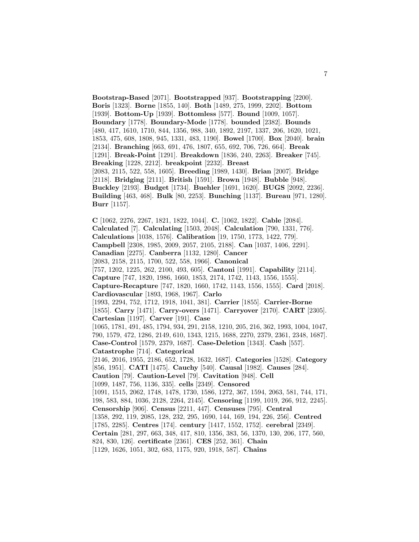**Bootstrap-Based** [2071]. **Bootstrapped** [937]. **Bootstrapping** [2200]. **Boris** [1323]. **Borne** [1855, 140]. **Both** [1489, 275, 1999, 2202]. **Bottom** [1939]. **Bottom-Up** [1939]. **Bottomless** [577]. **Bound** [1009, 1057]. **Boundary** [1778]. **Boundary-Mode** [1778]. **bounded** [2382]. **Bounds** [480, 417, 1610, 1710, 844, 1356, 988, 340, 1892, 2197, 1337, 206, 1620, 1021, 1853, 475, 608, 1808, 945, 1331, 483, 1190]. **Bowel** [1700]. **Box** [2040]. **brain** [2134]. **Branching** [663, 691, 476, 1807, 655, 692, 706, 726, 664]. **Break** [1291]. **Break-Point** [1291]. **Breakdown** [1836, 240, 2263]. **Breaker** [745]. **Breaking** [1228, 2212]. **breakpoint** [2232]. **Breast** [2083, 2115, 522, 558, 1605]. **Breeding** [1989, 1430]. **Brian** [2007]. **Bridge** [2118]. **Bridging** [2111]. **British** [1591]. **Brown** [1948]. **Bubble** [948]. **Buckley** [2193]. **Budget** [1734]. **Buehler** [1691, 1620]. **BUGS** [2092, 2236]. **Building** [463, 468]. **Bulk** [80, 2253]. **Bunching** [1137]. **Bureau** [971, 1280]. **Burr** [1157]. **C** [1062, 2276, 2267, 1821, 1822, 1044]. **C.** [1062, 1822]. **Cable** [2084]. **Calculated** [7]. **Calculating** [1503, 2048]. **Calculation** [790, 1331, 776]. **Calculations** [1038, 1576]. **Calibration** [19, 1750, 1773, 1422, 779]. **Campbell** [2308, 1985, 2009, 2057, 2105, 2188]. **Can** [1037, 1406, 2291]. **Canadian** [2275]. **Canberra** [1132, 1280]. **Cancer** [2083, 2158, 2115, 1700, 522, 558, 1966]. **Canonical** [757, 1202, 1225, 262, 2100, 493, 605]. **Cantoni** [1991]. **Capability** [2114]. **Capture** [747, 1820, 1986, 1660, 1853, 2174, 1742, 1143, 1556, 1555]. **Capture-Recapture** [747, 1820, 1660, 1742, 1143, 1556, 1555]. **Card** [2018]. **Cardiovascular** [1893, 1968, 1967]. **Carlo** [1993, 2294, 752, 1712, 1918, 1041, 381]. **Carrier** [1855]. **Carrier-Borne** [1855]. **Carry** [1471]. **Carry-overs** [1471]. **Carryover** [2170]. **CART** [2305]. **Cartesian** [1197]. **Carver** [191]. **Case**

[1065, 1781, 491, 485, 1794, 934, 291, 2158, 1210, 205, 216, 362, 1993, 1004, 1047, 790, 1579, 472, 1286, 2149, 610, 1343, 1215, 1688, 2270, 2379, 2361, 2348, 1687]. **Case-Control** [1579, 2379, 1687]. **Case-Deletion** [1343]. **Cash** [557]. **Catastrophe** [714]. **Categorical**

[2146, 2016, 1955, 2186, 652, 1728, 1632, 1687]. **Categories** [1528]. **Category** [856, 1951]. **CATI** [1475]. **Cauchy** [540]. **Causal** [1982]. **Causes** [284].

**Caution** [79]. **Caution-Level** [79]. **Cavitation** [948]. **Cell**

[1099, 1487, 756, 1136, 335]. **cells** [2349]. **Censored**

[1091, 1515, 2062, 1748, 1478, 1730, 1586, 1272, 367, 1594, 2063, 581, 744, 171, 198, 583, 884, 1036, 2128, 2264, 2145]. **Censoring** [1199, 1019, 266, 912, 2245]. **Censorship** [906]. **Census** [2211, 447]. **Censuses** [795]. **Central**

[1358, 292, 119, 2085, 128, 232, 295, 1690, 144, 169, 194, 226, 256]. **Centred**

[1785, 2285]. **Centres** [174]. **century** [1417, 1552, 1752]. **cerebral** [2349].

**Certain** [281, 297, 663, 348, 417, 810, 1356, 383, 56, 1370, 130, 206, 177, 560,

824, 830, 126]. **certificate** [2361]. **CES** [252, 361]. **Chain**

[1129, 1626, 1051, 302, 683, 1175, 920, 1918, 587]. **Chains**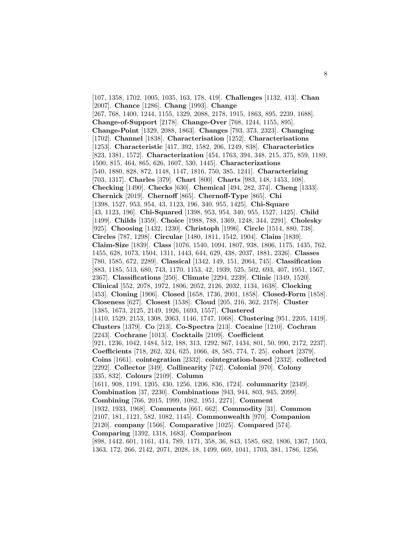[107, 1358, 1702, 1005, 1035, 163, 178, 419]. **Challenges** [1132, 413]. **Chan** [2007]. **Chance** [1286]. **Chang** [1993]. **Change** [267, 768, 1400, 1244, 1155, 1329, 2088, 2178, 1915, 1863, 895, 2239, 1688]. **Change-of-Support** [2178]. **Change-Over** [768, 1244, 1155, 895]. **Change-Point** [1329, 2088, 1863]. **Changes** [793, 373, 2323]. **Changing** [1702]. **Channel** [1838]. **Characterisation** [1252]. **Characterisations** [1253]. **Characteristic** [417, 392, 1582, 206, 1249, 838]. **Characteristics** [823, 1381, 1572]. **Characterization** [454, 1763, 394, 348, 215, 375, 859, 1189, 1500, 815, 464, 865, 626, 1607, 530, 1445]. **Characterizations** [540, 1880, 828, 872, 1148, 1147, 1816, 750, 385, 1241]. **Characterizing** [703, 1317]. **Charles** [379]. **Chart** [800]. **Charts** [983, 148, 1453, 108]. **Checking** [1490]. **Checks** [630]. **Chemical** [494, 282, 374]. **Cheng** [1333]. **Chernick** [2019]. **Chernoff** [865]. **Chernoff-Type** [865]. **Chi** [1398, 1527, 953, 954, 43, 1123, 196, 340, 955, 1425]. **Chi-Square** [43, 1123, 196]. **Chi-Squared** [1398, 953, 954, 340, 955, 1527, 1425]. **Child** [1499]. **Childs** [1359]. **Choice** [1988, 788, 1369, 1248, 344, 2291]. **Cholesky** [925]. **Choosing** [1432, 1230]. **Christoph** [1996]. **Circle** [1514, 880, 738]. **Circles** [787, 1298]. **Circular** [1480, 1811, 1542, 1904]. **Claim** [1839]. **Claim-Size** [1839]. **Class** [1076, 1540, 1094, 1807, 938, 1806, 1175, 1435, 762, 1455, 628, 1073, 1504, 1311, 1443, 644, 629, 438, 2037, 1881, 2326]. **Classes** [780, 1585, 672, 2289]. **Classical** [1342, 149, 151, 2064, 745]. **Classification** [883, 1185, 513, 680, 743, 1170, 1153, 42, 1939, 525, 502, 693, 407, 1951, 1567, 2367]. **Classifications** [250]. **Climate** [2294, 2239]. **Clinic** [1349, 1520]. **Clinical** [552, 2078, 1972, 1806, 2052, 2126, 2032, 1134, 1638]. **Clocking** [453]. **Cloning** [1906]. **Closed** [1658, 1736, 2001, 1858]. **Closed-Form** [1858]. **Closeness** [627]. **Closest** [1538]. **Cloud** [205, 216, 362, 2178]. **Cluster** [1385, 1673, 2125, 2149, 1926, 1693, 1557]. **Clustered** [1410, 1529, 2153, 1308, 2063, 1146, 1747, 1068]. **Clustering** [951, 2205, 1419]. **Clusters** [1379]. **Co** [213]. **Co-Spectra** [213]. **Cocaine** [1210]. **Cochran** [2243]. **Cochrane** [1013]. **Cocktails** [2109]. **Coefficient** [921, 1236, 1042, 1484, 512, 188, 313, 1292, 867, 1434, 801, 50, 990, 2172, 2237]. **Coefficients** [718, 262, 324, 625, 1066, 48, 585, 774, 7, 25]. **cohort** [2379]. **Coins** [1661]. **cointegration** [2332]. **cointegration-based** [2332]. **collected** [2292]. **Collector** [349]. **Collinearity** [742]. **Colonial** [970]. **Colony** [335, 832]. **Colours** [2109]. **Column** [1611, 908, 1191, 1205, 430, 1256, 1206, 836, 1724]. **columnarity** [2349]. **Combination** [37, 2230]. **Combinations** [943, 944, 803, 945, 2099]. **Combining** [766, 2015, 1999, 1082, 1951, 2271]. **Comment** [1932, 1933, 1968]. **Comments** [661, 662]. **Commodity** [31]. **Common** [2107, 181, 1121, 582, 1082, 1145]. **Commonwealth** [970]. **Companion** [2120]. **company** [1566]. **Comparative** [1025]. **Compared** [574]. **Comparing** [1392, 1318, 1683]. **Comparison** [898, 1442, 601, 1161, 414, 789, 1171, 358, 36, 843, 1585, 682, 1806, 1367, 1503, 1363, 172, 266, 2142, 2071, 2028, 18, 1499, 669, 1041, 1703, 381, 1786, 1256,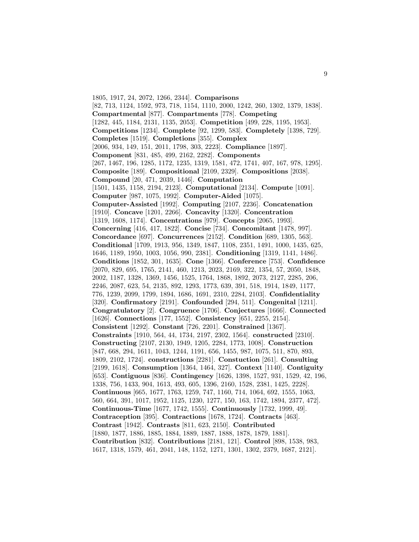1805, 1917, 24, 2072, 1266, 2344]. **Comparisons** [82, 713, 1124, 1592, 973, 718, 1154, 1110, 2000, 1242, 260, 1302, 1379, 1838]. **Compartmental** [877]. **Compartments** [778]. **Competing** [1282, 445, 1184, 2131, 1135, 2053]. **Competition** [499, 228, 1195, 1953]. **Competitions** [1234]. **Complete** [92, 1299, 583]. **Completely** [1398, 729]. **Completes** [1519]. **Completions** [355]. **Complex** [2006, 934, 149, 151, 2011, 1798, 303, 2223]. **Compliance** [1897]. **Component** [831, 485, 499, 2162, 2282]. **Components** [267, 1467, 196, 1285, 1172, 1235, 1319, 1581, 472, 1741, 407, 167, 978, 1295]. **Composite** [189]. **Compositional** [2109, 2329]. **Compositions** [2038]. **Compound** [20, 471, 2039, 1446]. **Computation** [1501, 1435, 1158, 2194, 2123]. **Computational** [2134]. **Compute** [1091]. **Computer** [987, 1075, 1992]. **Computer-Aided** [1075]. **Computer-Assisted** [1992]. **Computing** [2107, 2236]. **Concatenation** [1910]. **Concave** [1201, 2266]. **Concavity** [1320]. **Concentration** [1319, 1608, 1174]. **Concentrations** [979]. **Concepts** [2065, 1993]. **Concerning** [416, 417, 1822]. **Concise** [734]. **Concomitant** [1478, 997]. **Concordance** [697]. **Concurrences** [2152]. **Condition** [689, 1305, 563]. **Conditional** [1709, 1913, 956, 1349, 1847, 1108, 2351, 1491, 1000, 1435, 625, 1646, 1189, 1950, 1003, 1056, 990, 2381]. **Conditioning** [1319, 1141, 1486]. **Conditions** [1852, 301, 1635]. **Cone** [1366]. **Conference** [753]. **Confidence** [2070, 829, 695, 1765, 2141, 460, 1213, 2023, 2169, 322, 1354, 57, 2050, 1848, 2002, 1187, 1328, 1369, 1456, 1525, 1764, 1868, 1892, 2073, 2127, 2285, 206, 2246, 2087, 623, 54, 2135, 892, 1293, 1773, 639, 391, 518, 1914, 1849, 1177, 776, 1239, 2099, 1799, 1894, 1686, 1691, 2310, 2284, 2103]. **Confidentiality** [320]. **Confirmatory** [2191]. **Confounded** [294, 511]. **Congenital** [1211]. **Congratulatory** [2]. **Congruence** [1706]. **Conjectures** [1666]. **Connected** [1626]. **Connections** [177, 1552]. **Consistency** [651, 2255, 2154]. **Consistent** [1292]. **Constant** [726, 2201]. **Constrained** [1367]. **Constraints** [1910, 564, 44, 1734, 2197, 2302, 1564]. **constructed** [2310]. **Constructing** [2107, 2130, 1949, 1205, 2284, 1773, 1008]. **Construction** [847, 668, 294, 1611, 1043, 1244, 1191, 656, 1455, 987, 1075, 511, 870, 893, 1809, 2102, 1724]. **constructions** [2281]. **Constuction** [261]. **Consulting** [2199, 1618]. **Consumption** [1364, 1464, 327]. **Context** [1140]. **Contiguity** [653]. **Contiguous** [836]. **Contingency** [1626, 1398, 1527, 931, 1529, 42, 196, 1338, 756, 1433, 904, 1613, 493, 605, 1396, 2160, 1528, 2381, 1425, 2228]. **Continuous** [665, 1677, 1763, 1259, 747, 1160, 714, 1064, 692, 1555, 1063, 560, 664, 391, 1017, 1952, 1125, 1230, 1277, 150, 163, 1742, 1894, 2377, 472]. **Continuous-Time** [1677, 1742, 1555]. **Continuously** [1732, 1999, 49]. **Contraception** [395]. **Contractions** [1678, 1724]. **Contracts** [463]. **Contrast** [1942]. **Contrasts** [811, 623, 2150]. **Contributed** [1880, 1877, 1886, 1885, 1884, 1889, 1887, 1888, 1878, 1879, 1881]. **Contribution** [832]. **Contributions** [2181, 121]. **Control** [898, 1538, 983, 1617, 1318, 1579, 461, 2041, 148, 1152, 1271, 1301, 1302, 2379, 1687, 2121].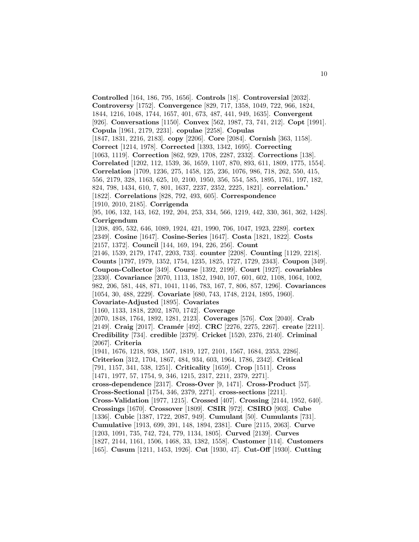**Controlled** [164, 186, 795, 1656]. **Controls** [18]. **Controversial** [2032]. **Controversy** [1752]. **Convergence** [829, 717, 1358, 1049, 722, 966, 1824, 1844, 1216, 1048, 1744, 1657, 401, 673, 487, 441, 949, 1635]. **Convergent** [926]. **Conversations** [1150]. **Convex** [562, 1987, 73, 741, 212]. **Copt** [1991]. **Copula** [1961, 2179, 2231]. **copulae** [2258]. **Copulas** [1847, 1831, 2216, 2183]. **copy** [2206]. **Core** [2084]. **Cornish** [363, 1158]. **Correct** [1214, 1978]. **Corrected** [1393, 1342, 1695]. **Correcting** [1063, 1119]. **Correction** [862, 929, 1708, 2287, 2332]. **Corrections** [138]. **Correlated** [1202, 112, 1539, 36, 1659, 1107, 870, 893, 611, 1809, 1775, 1554]. **Correlation** [1709, 1236, 275, 1458, 125, 236, 1076, 986, 718, 262, 550, 415, 556, 2179, 328, 1163, 625, 10, 2100, 1950, 356, 554, 585, 1895, 1761, 197, 182, 824, 798, 1434, 610, 7, 801, 1637, 2237, 2352, 2225, 1821]. **correlation.'** [1822]. **Correlations** [828, 792, 493, 605]. **Correspondence** [1910, 2010, 2185]. **Corrigenda** [95, 106, 132, 143, 162, 192, 204, 253, 334, 566, 1219, 442, 330, 361, 362, 1428]. **Corrigendum** [1208, 495, 532, 646, 1089, 1924, 421, 1990, 706, 1047, 1923, 2289]. **cortex** [2349]. **Cosine** [1647]. **Cosine-Series** [1647]. **Costa** [1821, 1822]. **Costs** [2157, 1372]. **Council** [144, 169, 194, 226, 256]. **Count** [2146, 1539, 2179, 1747, 2203, 733]. **counter** [2208]. **Counting** [1129, 2218]. **Counts** [1797, 1979, 1352, 1754, 1235, 1825, 1727, 1729, 2343]. **Coupon** [349]. **Coupon-Collector** [349]. **Course** [1392, 2199]. **Court** [1927]. **covariables** [2330]. **Covariance** [2070, 1113, 1852, 1940, 107, 601, 602, 1108, 1064, 1002, 982, 206, 581, 448, 871, 1041, 1146, 783, 167, 7, 806, 857, 1296]. **Covariances** [1054, 30, 488, 2229]. **Covariate** [680, 743, 1748, 2124, 1895, 1960]. **Covariate-Adjusted** [1895]. **Covariates** [1160, 1133, 1818, 2202, 1870, 1742]. **Coverage** [2070, 1848, 1764, 1892, 1281, 2123]. **Coverages** [576]. **Cox** [2040]. **Crab** [2149]. **Craig** [2017]. **Cram´er** [492]. **CRC** [2276, 2275, 2267]. **create** [2211]. **Credibility** [734]. **credible** [2379]. **Cricket** [1520, 2376, 2140]. **Criminal** [2067]. **Criteria** [1941, 1676, 1218, 938, 1507, 1819, 127, 2101, 1567, 1684, 2353, 2286]. **Criterion** [312, 1704, 1867, 484, 934, 603, 1964, 1786, 2342]. **Critical** [791, 1157, 341, 538, 1251]. **Criticality** [1659]. **Crop** [1511]. **Cross** [1471, 1977, 57, 1754, 9, 346, 1215, 2317, 2211, 2379, 2271]. **cross-dependence** [2317]. **Cross-Over** [9, 1471]. **Cross-Product** [57]. **Cross-Sectional** [1754, 346, 2379, 2271]. **cross-sections** [2211]. **Cross-Validation** [1977, 1215]. **Crossed** [407]. **Crossing** [2144, 1952, 640]. **Crossings** [1670]. **Crossover** [1809]. **CSIR** [972]. **CSIRO** [903]. **Cube** [1336]. **Cubic** [1387, 1722, 2087, 949]. **Cumulant** [50]. **Cumulants** [731]. **Cumulative** [1913, 699, 391, 148, 1894, 2381]. **Cure** [2115, 2063]. **Curve** [1203, 1091, 735, 742, 724, 779, 1134, 1805]. **Curved** [2139]. **Curves** [1827, 2144, 1161, 1506, 1468, 33, 1382, 1558]. **Customer** [114]. **Customers** [165]. **Cusum** [1211, 1453, 1926]. **Cut** [1930, 47]. **Cut-Off** [1930]. **Cutting**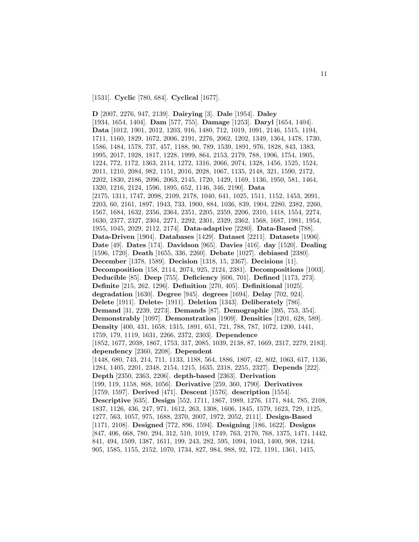[1531]. **Cyclic** [780, 684]. **Cyclical** [1677].

**D** [2007, 2276, 947, 2139]. **Dairying** [3]. **Dale** [1954]. **Daley** [1934, 1654, 1404]. **Dam** [577, 755]. **Damage** [1253]. **Daryl** [1654, 1404]. **Data** [1012, 1901, 2012, 1203, 916, 1480, 712, 1019, 1091, 2146, 1515, 1194, 1711, 1160, 1829, 1672, 2006, 2191, 2276, 2062, 1202, 1349, 1364, 1478, 1730, 1586, 1484, 1578, 737, 457, 1188, 90, 789, 1539, 1891, 976, 1828, 843, 1383, 1995, 2017, 1928, 1817, 1228, 1999, 864, 2153, 2179, 788, 1906, 1754, 1905, 1224, 772, 1172, 1363, 2114, 1272, 1316, 2066, 2074, 1328, 1456, 1525, 1524, 2011, 1210, 2084, 982, 1151, 2016, 2028, 1067, 1135, 2148, 321, 1590, 2172, 2202, 1830, 2186, 2096, 2063, 2145, 1720, 1429, 1169, 1136, 1950, 581, 1464, 1320, 1216, 2124, 1596, 1895, 652, 1146, 346, 2190]. **Data** [2175, 1311, 1747, 2098, 2109, 2178, 1040, 641, 1025, 1511, 1152, 1453, 2091, 2203, 60, 2161, 1897, 1943, 733, 1900, 884, 1036, 839, 1904, 2280, 2382, 2260, 1567, 1684, 1632, 2356, 2364, 2351, 2205, 2359, 2206, 2310, 1418, 1554, 2274, 1630, 2377, 2327, 2304, 2271, 2292, 2301, 2329, 2362, 1568, 1687, 1981, 1954, 1955, 1045, 2029, 2112, 2174]. **Data-adaptive** [2280]. **Data-Based** [788]. **Data-Driven** [1904]. **Databases** [1429]. **Dataset** [2211]. **Datasets** [1906]. **Date** [49]. **Dates** [174]. **Davidson** [965]. **Davies** [416]. **day** [1520]. **Dealing** [1596, 1720]. **Death** [1655, 336, 2260]. **Debate** [1027]. **debiased** [2380]. **December** [1378, 1589]. **Decision** [1318, 15, 2367]. **Decisions** [11]. **Decomposition** [158, 2114, 2074, 925, 2124, 2381]. **Decompositions** [1003]. **Deducible** [85]. **Deep** [755]. **Deficiency** [606, 701]. **Defined** [1173, 273]. **Definite** [215, 262, 1296]. **Definition** [270, 405]. **Definitional** [1025]. **degradation** [1630]. **Degree** [945]. **degrees** [1694]. **Delay** [702, 924]. **Delete** [1911]. **Delete-** [1911]. **Deletion** [1343]. **Deliberately** [786]. **Demand** [31, 2239, 2273]. **Demands** [87]. **Demographic** [395, 753, 354]. **Demonstrably** [1097]. **Demonstration** [1909]. **Densities** [1201, 628, 589]. **Density** [400, 431, 1658, 1315, 1891, 651, 721, 788, 787, 1072, 1200, 1441, 1759, 179, 1119, 1631, 2266, 2372, 2303]. **Dependence** [1852, 1677, 2038, 1867, 1753, 317, 2085, 1039, 2138, 87, 1669, 2317, 2279, 2183]. **dependency** [2360, 2208]. **Dependent** [1448, 680, 743, 214, 711, 1133, 1188, 564, 1886, 1807, 42, 802, 1063, 617, 1136, 1284, 1405, 2201, 2348, 2154, 1215, 1635, 2318, 2255, 2327]. **Depends** [222]. **Depth** [2350, 2363, 2206]. **depth-based** [2363]. **Derivation** [199, 119, 1158, 868, 1056]. **Derivative** [259, 360, 1790]. **Derivatives** [1759, 1597]. **Derived** [471]. **Descent** [1576]. **description** [1554]. **Descriptive** [635]. **Design** [552, 1711, 1867, 1989, 1276, 1171, 844, 785, 2108, 1837, 1126, 436, 247, 971, 1612, 263, 1308, 1606, 1845, 1579, 1623, 729, 1125, 1277, 563, 1057, 975, 1688, 2370, 2007, 1972, 2052, 2111]. **Design-Based** [1171, 2108]. **Designed** [772, 896, 1594]. **Designing** [186, 1622]. **Designs** [847, 406, 668, 780, 294, 312, 510, 1019, 1749, 763, 2170, 768, 1375, 1471, 1442, 841, 494, 1509, 1387, 1611, 199, 243, 282, 595, 1094, 1043, 1400, 908, 1244, 905, 1585, 1155, 2152, 1070, 1734, 827, 984, 988, 92, 172, 1191, 1361, 1415,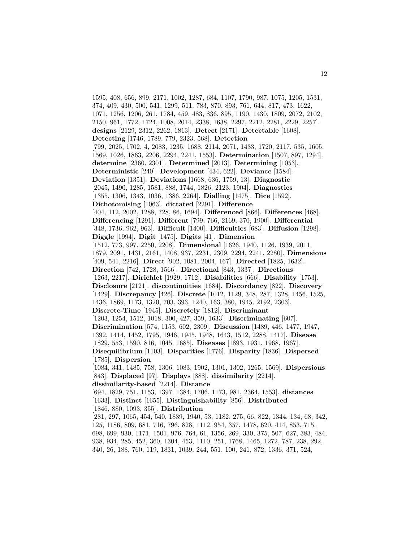1595, 408, 656, 899, 2171, 1002, 1287, 684, 1107, 1790, 987, 1075, 1205, 1531, 374, 409, 430, 500, 541, 1299, 511, 783, 870, 893, 761, 644, 817, 473, 1622, 1071, 1256, 1206, 261, 1784, 459, 483, 836, 895, 1190, 1430, 1809, 2072, 2102, 2150, 961, 1772, 1724, 1008, 2014, 2338, 1638, 2297, 2212, 2281, 2229, 2257]. **designs** [2129, 2312, 2262, 1813]. **Detect** [2171]. **Detectable** [1608]. **Detecting** [1746, 1789, 779, 2323, 568]. **Detection** [799, 2025, 1702, 4, 2083, 1235, 1688, 2114, 2071, 1433, 1720, 2117, 535, 1605, 1569, 1026, 1863, 2206, 2294, 2241, 1553]. **Determination** [1507, 897, 1294]. **determine** [2360, 2301]. **Determined** [2013]. **Determining** [1053]. **Deterministic** [240]. **Development** [434, 622]. **Deviance** [1584]. **Deviation** [1351]. **Deviations** [1668, 636, 1759, 13]. **Diagnostic** [2045, 1490, 1285, 1581, 888, 1744, 1826, 2123, 1904]. **Diagnostics** [1355, 1306, 1343, 1036, 1386, 2264]. **Dialling** [1475]. **Dice** [1592]. **Dichotomising** [1063]. **dictated** [2291]. **Difference** [404, 112, 2002, 1288, 728, 86, 1694]. **Differenced** [866]. **Differences** [468]. **Differencing** [1291]. **Different** [799, 766, 2169, 370, 1900]. **Differential** [348, 1736, 962, 963]. **Difficult** [1400]. **Difficulties** [683]. **Diffusion** [1298]. **Diggle** [1994]. **Digit** [1475]. **Digits** [41]. **Dimension** [1512, 773, 997, 2250, 2208]. **Dimensional** [1626, 1940, 1126, 1939, 2011, 1879, 2091, 1431, 2161, 1408, 937, 2231, 2309, 2294, 2241, 2280]. **Dimensions** [409, 541, 2216]. **Direct** [902, 1081, 2004, 167]. **Directed** [1825, 1632]. **Direction** [742, 1728, 1566]. **Directional** [843, 1337]. **Directions** [1263, 2217]. **Dirichlet** [1929, 1712]. **Disabilities** [666]. **Disability** [1753]. **Disclosure** [2121]. **discontinuities** [1684]. **Discordancy** [822]. **Discovery** [1429]. **Discrepancy** [426]. **Discrete** [1012, 1129, 348, 287, 1328, 1456, 1525, 1436, 1869, 1173, 1320, 703, 393, 1240, 163, 380, 1945, 2192, 2303]. **Discrete-Time** [1945]. **Discretely** [1812]. **Discriminant** [1203, 1254, 1512, 1018, 300, 427, 359, 1633]. **Discriminating** [607]. **Discrimination** [574, 1153, 602, 2309]. **Discussion** [1489, 446, 1477, 1947, 1392, 1414, 1452, 1795, 1946, 1945, 1948, 1643, 1512, 2288, 1417]. **Disease** [1829, 553, 1590, 816, 1045, 1685]. **Diseases** [1893, 1931, 1968, 1967]. **Disequilibrium** [1103]. **Disparities** [1776]. **Disparity** [1836]. **Dispersed** [1785]. **Dispersion** [1084, 341, 1485, 758, 1306, 1083, 1902, 1301, 1302, 1265, 1569]. **Dispersions** [843]. **Displaced** [97]. **Displays** [888]. **dissimilarity** [2214]. **dissimilarity-based** [2214]. **Distance** [694, 1829, 751, 1153, 1397, 1384, 1706, 1173, 981, 2364, 1553]. **distances** [1633]. **Distinct** [1655]. **Distinguishability** [856]. **Distributed** [1846, 880, 1093, 355]. **Distribution** [281, 297, 1065, 454, 540, 1839, 1940, 53, 1182, 275, 66, 822, 1344, 134, 68, 342, 125, 1186, 809, 681, 716, 796, 828, 1112, 954, 357, 1478, 620, 414, 853, 715, 698, 699, 930, 1171, 1501, 976, 764, 61, 1356, 269, 330, 375, 507, 627, 383, 484, 938, 934, 285, 452, 360, 1304, 453, 1110, 251, 1768, 1465, 1272, 787, 238, 292, 340, 26, 188, 760, 119, 1831, 1039, 244, 551, 100, 241, 872, 1336, 371, 524,

12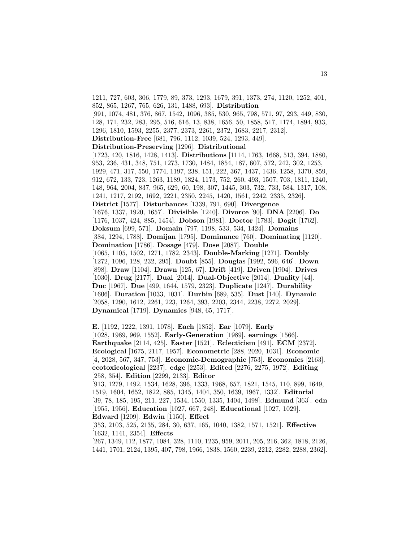1211, 727, 603, 306, 1779, 89, 373, 1293, 1679, 391, 1373, 274, 1120, 1252, 401, 852, 865, 1267, 765, 626, 131, 1488, 693]. **Distribution** [991, 1074, 481, 376, 867, 1542, 1096, 385, 530, 965, 798, 571, 97, 293, 449, 830, 128, 171, 232, 283, 295, 516, 616, 13, 838, 1656, 50, 1858, 517, 1174, 1894, 933, 1296, 1810, 1593, 2255, 2377, 2373, 2261, 2372, 1683, 2217, 2312]. **Distribution-Free** [681, 796, 1112, 1039, 524, 1293, 449]. **Distribution-Preserving** [1296]. **Distributional** [1723, 420, 1816, 1428, 1413]. **Distributions** [1114, 1763, 1668, 513, 394, 1880, 953, 236, 431, 348, 751, 1273, 1730, 1484, 1854, 187, 607, 572, 242, 302, 1253, 1929, 471, 317, 550, 1774, 1197, 238, 151, 222, 367, 1437, 1436, 1258, 1370, 859, 912, 672, 133, 723, 1263, 1189, 1824, 1173, 752, 260, 493, 1507, 703, 1811, 1240, 148, 964, 2004, 837, 965, 629, 60, 198, 307, 1445, 303, 732, 733, 584, 1317, 108, 1241, 1217, 2192, 1692, 2221, 2350, 2245, 1420, 1561, 2242, 2335, 2326]. **District** [1577]. **Disturbances** [1339, 791, 690]. **Divergence** [1676, 1337, 1920, 1657]. **Divisible** [1240]. **Divorce** [90]. **DNA** [2206]. **Do** [1176, 1037, 424, 885, 1454]. **Dobson** [1981]. **Doctor** [1783]. **Dogit** [1762]. **Doksum** [699, 571]. **Domain** [797, 1198, 533, 534, 1424]. **Domains** [384, 1294, 1788]. **Domijan** [1795]. **Dominance** [760]. **Dominating** [1120]. **Domination** [1786]. **Dosage** [479]. **Dose** [2087]. **Double** [1065, 1105, 1502, 1271, 1782, 2343]. **Double-Marking** [1271]. **Doubly** [1272, 1096, 128, 232, 295]. **Doubt** [855]. **Douglas** [1992, 596, 646]. **Down** [898]. **Draw** [1104]. **Drawn** [125, 67]. **Drift** [419]. **Driven** [1904]. **Drives** [1030]. **Drug** [2177]. **Dual** [2014]. **Dual-Objective** [2014]. **Duality** [44]. **Duc** [1967]. **Due** [499, 1644, 1579, 2323]. **Duplicate** [1247]. **Durability** [1606]. **Duration** [1033, 1031]. **Durbin** [689, 535]. **Dust** [140]. **Dynamic** [2058, 1290, 1612, 2261, 223, 1264, 393, 2203, 2344, 2238, 2272, 2029]. **Dynamical** [1719]. **Dynamics** [948, 65, 1717].

**E.** [1192, 1222, 1391, 1078]. **Each** [1852]. **Ear** [1079]. **Early** [1028, 1989, 969, 1552]. **Early-Generation** [1989]. **earnings** [1566]. **Earthquake** [2114, 425]. **Easter** [1521]. **Eclecticism** [491]. **ECM** [2372]. **Ecological** [1675, 2117, 1957]. **Econometric** [288, 2020, 1031]. **Economic** [4, 2028, 567, 347, 753]. **Economic-Demographic** [753]. **Economics** [2163]. **ecotoxicological** [2237]. **edge** [2253]. **Edited** [2276, 2275, 1972]. **Editing** [258, 354]. **Edition** [2299, 2133]. **Editor** [913, 1279, 1492, 1534, 1628, 396, 1333, 1968, 657, 1821, 1545, 110, 899, 1649, 1519, 1604, 1652, 1822, 885, 1345, 1404, 350, 1639, 1967, 1332]. **Editorial** [39, 78, 185, 195, 211, 227, 1534, 1550, 1335, 1404, 1498]. **Edmund** [363]. **edn** [1955, 1956]. **Education** [1027, 667, 248]. **Educational** [1027, 1029]. **Edward** [1209]. **Edwin** [1150]. **Effect** [353, 2103, 525, 2135, 284, 30, 637, 165, 1040, 1382, 1571, 1521]. **Effective** [1632, 1141, 2354]. **Effects** [267, 1349, 112, 1877, 1084, 328, 1110, 1235, 959, 2011, 205, 216, 362, 1818, 2126, 1441, 1701, 2124, 1395, 407, 798, 1966, 1838, 1560, 2239, 2212, 2282, 2288, 2362].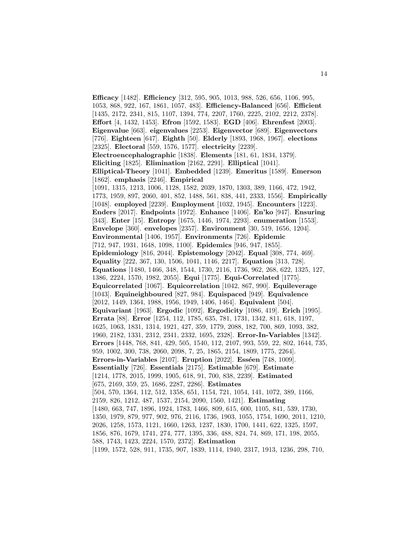**Efficacy** [1482]. **Efficiency** [312, 595, 905, 1013, 988, 526, 656, 1106, 995, 1053, 868, 922, 167, 1861, 1057, 483]. **Efficiency-Balanced** [656]. **Efficient** [1435, 2172, 2341, 815, 1107, 1394, 774, 2207, 1760, 2225, 2102, 2212, 2378]. **Effort** [4, 1432, 1453]. **Efron** [1592, 1583]. **EGD** [406]. **Ehrenfest** [2003]. **Eigenvalue** [663]. **eigenvalues** [2253]. **Eigenvector** [689]. **Eigenvectors** [776]. **Eighteen** [647]. **Eighth** [50]. **Elderly** [1893, 1968, 1967]. **elections** [2325]. **Electoral** [559, 1576, 1577]. **electricity** [2239]. **Electroencephalographic** [1838]. **Elements** [181, 61, 1834, 1379]. **Eliciting** [1825]. **Elimination** [2162, 2291]. **Elliptical** [1041]. **Elliptical-Theory** [1041]. **Embedded** [1239]. **Emeritus** [1589]. **Emerson** [1862]. **emphasis** [2246]. **Empirical** [1091, 1315, 1213, 1006, 1128, 1582, 2039, 1870, 1303, 389, 1166, 472, 1942, 1773, 1959, 897, 2060, 401, 852, 1488, 561, 838, 441, 2333, 1556]. **Empirically** [1048]. **employed** [2239]. **Employment** [1032, 1945]. **Encounters** [1223]. **Enders** [2017]. **Endpoints** [1972]. **Enhance** [1406]. **En'ko** [947]. **Ensuring** [343]. **Enter** [15]. **Entropy** [1675, 1446, 1974, 2293]. **enumeration** [1553]. **Envelope** [360]. **envelopes** [2357]. **Environment** [30, 519, 1656, 1204]. **Environmental** [1406, 1957]. **Environments** [726]. **Epidemic** [712, 947, 1931, 1648, 1098, 1100]. **Epidemics** [946, 947, 1855]. **Epidemiology** [816, 2044]. **Epistemology** [2042]. **Equal** [308, 774, 469]. **Equality** [222, 367, 130, 1506, 1041, 1146, 2217]. **Equation** [313, 728]. **Equations** [1480, 1466, 348, 1544, 1730, 2116, 1736, 962, 268, 622, 1325, 127, 1386, 2224, 1570, 1982, 2055]. **Equi** [1775]. **Equi-Correlated** [1775]. **Equicorrelated** [1067]. **Equicorrelation** [1042, 867, 990]. **Equileverage** [1043]. **Equineighboured** [827, 984]. **Equispaced** [949]. **Equivalence** [2012, 1449, 1364, 1988, 1956, 1949, 1406, 1464]. **Equivalent** [504]. **Equivariant** [1963]. **Ergodic** [1092]. **Ergodicity** [1086, 419]. **Erich** [1995]. **Errata** [88]. **Error** [1254, 112, 1785, 635, 781, 1731, 1342, 811, 618, 1197, 1625, 1063, 1831, 1314, 1921, 427, 359, 1779, 2088, 182, 700, 869, 1093, 382, 1960, 2182, 1331, 2312, 2341, 2332, 1695, 2328]. **Error-In-Variables** [1342]. **Errors** [1448, 768, 841, 429, 505, 1540, 112, 2107, 993, 559, 22, 802, 1644, 735, 959, 1002, 300, 738, 2060, 2098, 7, 25, 1865, 2154, 1809, 1775, 2264]. **Errors-in-Variables** [2107]. **Eruption** [2022]. **Esséen** [748, 1009]. **Essentially** [726]. **Essentials** [2175]. **Estimable** [679]. **Estimate** [1214, 1778, 2015, 1999, 1905, 618, 91, 700, 838, 2239]. **Estimated** [675, 2169, 359, 25, 1686, 2287, 2286]. **Estimates** [504, 570, 1364, 112, 512, 1358, 651, 1154, 721, 1054, 141, 1072, 389, 1166, 2159, 826, 1212, 487, 1537, 2154, 2090, 1560, 1421]. **Estimating** [1480, 663, 747, 1896, 1924, 1783, 1466, 809, 615, 600, 1105, 841, 539, 1730, 1350, 1979, 879, 977, 902, 976, 2116, 1736, 1903, 1055, 1754, 1690, 2011, 1210, 2026, 1258, 1573, 1121, 1660, 1263, 1237, 1830, 1700, 1441, 622, 1325, 1597, 1856, 876, 1679, 1741, 274, 777, 1395, 336, 488, 824, 74, 869, 171, 198, 2055, 588, 1743, 1423, 2224, 1570, 2372]. **Estimation** [1199, 1572, 528, 911, 1735, 907, 1839, 1114, 1940, 2317, 1913, 1236, 298, 710,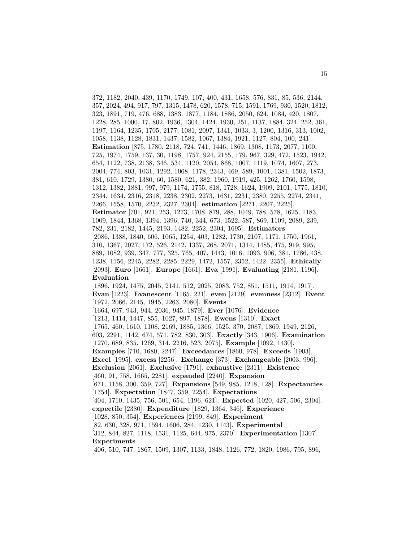372, 1182, 2040, 439, 1170, 1749, 107, 400, 431, 1658, 576, 831, 85, 536, 2144, 357, 2024, 494, 917, 797, 1315, 1478, 620, 1578, 715, 1591, 1769, 930, 1520, 1812, 323, 1891, 719, 476, 688, 1383, 1877, 1184, 1886, 2050, 624, 1084, 420, 1807, 1228, 285, 1000, 17, 802, 1936, 1304, 1424, 1930, 251, 1137, 1884, 324, 252, 361, 1197, 1164, 1235, 1705, 2177, 1081, 2097, 1341, 1033, 3, 1200, 1316, 313, 1002, 1058, 1138, 1128, 1831, 1437, 1582, 1067, 1384, 1921, 1127, 804, 100, 241]. **Estimation** [875, 1780, 2118, 724, 741, 1446, 1869, 1308, 1173, 2077, 1100, 725, 1974, 1759, 137, 30, 1198, 1757, 924, 2155, 179, 967, 329, 472, 1523, 1942, 654, 1122, 738, 2138, 346, 534, 1120, 2054, 868, 1007, 1119, 1074, 1607, 273, 2004, 774, 803, 1031, 1292, 1068, 1178, 2343, 469, 589, 1001, 1381, 1502, 1873, 381, 610, 1729, 1380, 60, 1580, 621, 382, 1960, 1919, 425, 1262, 1760, 1598, 1312, 1382, 1881, 997, 979, 1174, 1755, 818, 1728, 1624, 1909, 2101, 1775, 1810, 2344, 1634, 2316, 2318, 2238, 2302, 2273, 1631, 2231, 2380, 2255, 2274, 2341, 2266, 1558, 1570, 2232, 2327, 2304]. **estimation** [2271, 2207, 2225]. **Estimator** [701, 921, 253, 1273, 1708, 879, 288, 1049, 788, 578, 1625, 1183, 1009, 1844, 1368, 1394, 1396, 740, 344, 673, 1522, 587, 869, 1109, 2089, 239, 782, 231, 2182, 1445, 2193, 1482, 2252, 2304, 1695]. **Estimators** [2086, 1388, 1840, 606, 1065, 1254, 403, 1282, 1730, 2107, 1171, 1750, 1961, 310, 1367, 2027, 172, 526, 2142, 1337, 268, 2071, 1314, 1485, 475, 919, 995, 889, 1082, 939, 347, 777, 325, 765, 407, 1443, 1016, 1093, 906, 381, 1786, 438, 1238, 1156, 2245, 2282, 2285, 2229, 1472, 1557, 2352, 1422, 2355]. **Ethically** [2093]. **Euro** [1661]. **Europe** [1661]. **Eva** [1991]. **Evaluating** [2181, 1196]. **Evaluation** [1896, 1924, 1475, 2045, 2141, 512, 2025, 2083, 752, 851, 1511, 1914, 1917]. **Evan** [1223]. **Evanescent** [1165, 221]. **even** [2129]. **evenness** [2312]. **Event** [1972, 2066, 2145, 1945, 2263, 2080]. **Events** [1664, 697, 943, 944, 2036, 945, 1879]. **Ever** [1076]. **Evidence** [1213, 1414, 1447, 855, 1027, 897, 1878]. **Ewens** [1310]. **Exact** [1765, 460, 1610, 1108, 2169, 1885, 1366, 1525, 370, 2087, 1869, 1949, 2126, 603, 2291, 1142, 674, 571, 782, 830, 303]. **Exactly** [343, 1906]. **Examination** [1270, 689, 835, 1269, 314, 2216, 523, 2075]. **Example** [1092, 1430]. **Examples** [710, 1680, 2247]. **Exceedances** [1860, 978]. **Exceeds** [1903]. **Excel** [1995]. **excess** [2256]. **Exchange** [373]. **Exchangeable** [2003, 996]. **Exclusion** [2061]. **Exclusive** [1791]. **exhaustive** [2311]. **Existence** [460, 91, 758, 1665, 2281]. **expanded** [2240]. **Expansion** [671, 1158, 300, 359, 727]. **Expansions** [549, 985, 1218, 128]. **Expectancies** [1754]. **Expectation** [1847, 359, 2254]. **Expectations** [404, 1710, 1435, 756, 501, 654, 1196, 621]. **Expected** [1020, 427, 506, 2304]. **expectile** [2380]. **Expenditure** [1829, 1364, 346]. **Experience** [1028, 850, 354]. **Experiences** [2199, 849]. **Experiment** [82, 630, 328, 971, 1594, 1606, 284, 1230, 1143]. **Experimental** [312, 844, 827, 1118, 1531, 1125, 644, 975, 2370]. **Experimentation** [1307]. **Experiments** [406, 510, 747, 1867, 1509, 1307, 1133, 1848, 1126, 772, 1820, 1986, 795, 896,

15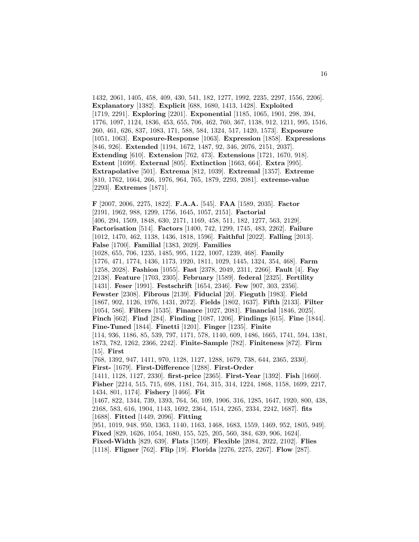1432, 2061, 1405, 458, 409, 430, 541, 182, 1277, 1992, 2235, 2297, 1556, 2206]. **Explanatory** [1382]. **Explicit** [688, 1680, 1413, 1428]. **Exploited** [1719, 2291]. **Exploring** [2201]. **Exponential** [1185, 1065, 1901, 298, 394, 1776, 1097, 1124, 1836, 453, 655, 706, 462, 760, 367, 1138, 912, 1211, 995, 1516, 260, 461, 626, 837, 1083, 171, 588, 584, 1324, 517, 1420, 1573]. **Exposure** [1051, 1063]. **Exposure-Response** [1063]. **Expression** [1858]. **Expressions** [846, 926]. **Extended** [1194, 1672, 1487, 92, 346, 2076, 2151, 2037]. **Extending** [610]. **Extension** [762, 473]. **Extensions** [1721, 1670, 918]. **Extent** [1699]. **External** [805]. **Extinction** [1663, 664]. **Extra** [995]. **Extrapolative** [501]. **Extrema** [812, 1039]. **Extremal** [1357]. **Extreme** [810, 1762, 1664, 266, 1976, 964, 765, 1879, 2293, 2081]. **extreme-value** [2293]. **Extremes** [1871].

16

**F** [2007, 2006, 2275, 1822]. **F.A.A.** [545]. **FAA** [1589, 2035]. **Factor** [2191, 1962, 988, 1299, 1756, 1645, 1057, 2151]. **Factorial** [406, 294, 1509, 1848, 630, 2171, 1169, 458, 511, 182, 1277, 563, 2129]. **Factorisation** [514]. **Factors** [1400, 742, 1299, 1745, 483, 2262]. **Failure** [1012, 1470, 462, 1138, 1436, 1818, 1596]. **Faithful** [2022]. **Falling** [2013]. **False** [1700]. **Familial** [1383, 2029]. **Families** [1028, 655, 706, 1235, 1485, 995, 1122, 1007, 1239, 468]. **Family** [1776, 471, 1774, 1436, 1173, 1920, 1811, 1029, 1445, 1324, 354, 468]. **Farm** [1258, 2028]. **Fashion** [1055]. **Fast** [2378, 2049, 2311, 2266]. **Fault** [4]. **Fay** [2138]. **Feature** [1703, 2305]. **February** [1589]. **federal** [2325]. **Fertility** [1431]. **Feser** [1991]. **Festschrift** [1654, 2346]. **Few** [907, 303, 2356]. **Fewster** [2308]. **Fibrous** [2139]. **Fiducial** [20]. **Fieguth** [1983]. **Field** [1867, 902, 1126, 1976, 1431, 2072]. **Fields** [1802, 1637]. **Fifth** [2133]. **Filter** [1054, 586]. **Filters** [1535]. **Finance** [1027, 2081]. **Financial** [1846, 2025]. **Finch** [662]. **Find** [284]. **Finding** [1087, 1206]. **Findings** [615]. **Fine** [1844]. **Fine-Tuned** [1844]. **Finetti** [1201]. **Finger** [1235]. **Finite** [114, 936, 1186, 85, 539, 797, 1171, 578, 1140, 609, 1486, 1665, 1741, 594, 1381, 1873, 782, 1262, 2366, 2242]. **Finite-Sample** [782]. **Finiteness** [872]. **Firm** [15]. **First** [768, 1392, 947, 1411, 970, 1128, 1127, 1288, 1679, 738, 644, 2365, 2330]. **First-** [1679]. **First-Difference** [1288]. **First-Order** [1411, 1128, 1127, 2330]. **first-price** [2365]. **First-Year** [1392]. **Fish** [1660]. **Fisher** [2214, 515, 715, 698, 1181, 764, 315, 314, 1224, 1868, 1158, 1699, 2217, 1434, 801, 1174]. **Fishery** [1466]. **Fit** [1467, 822, 1344, 739, 1393, 764, 56, 109, 1906, 316, 1285, 1647, 1920, 800, 438, 2168, 583, 616, 1904, 1143, 1692, 2364, 1514, 2265, 2334, 2242, 1687]. **fits** [1688]. **Fitted** [1449, 2096]. **Fitting** [951, 1019, 948, 950, 1363, 1140, 1163, 1468, 1683, 1559, 1469, 952, 1805, 949]. **Fixed** [829, 1626, 1054, 1680, 155, 525, 205, 560, 384, 639, 906, 1624]. **Fixed-Width** [829, 639]. **Flats** [1509]. **Flexible** [2084, 2022, 2102]. **Flies** [1118]. **Fligner** [762]. **Flip** [19]. **Florida** [2276, 2275, 2267]. **Flow** [287].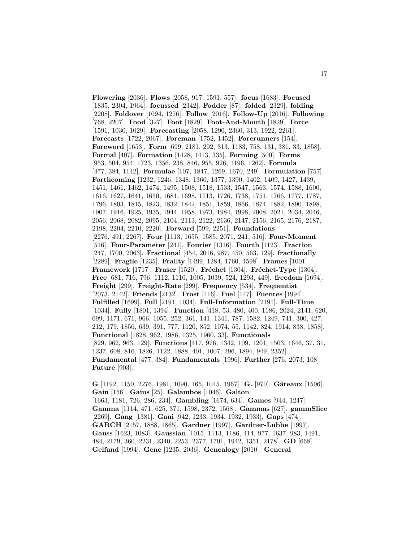**Flowering** [2036]. **Flows** [2058, 917, 1591, 557]. **focus** [1683]. **Focused** [1835, 2304, 1964]. **focussed** [2342]. **Fodder** [87]. **folded** [2329]. **folding** [2208]. **Foldover** [1094, 1276]. **Follow** [2016]. **Follow-Up** [2016]. **Following** [768, 2207]. **Food** [327]. **Foot** [1829]. **Foot-And-Mouth** [1829]. **Force** [1591, 1030, 1029]. **Forecasting** [2058, 1290, 2360, 313, 1922, 2261]. **Forecasts** [1722, 2067]. **Foreman** [1752, 1452]. **Forerunners** [154]. **Foreword** [1653]. **Form** [699, 2181, 292, 313, 1183, 758, 131, 381, 33, 1858]. **Formal** [407]. **Formation** [1428, 1413, 335]. **Forming** [500]. **Forms** [953, 504, 954, 1723, 1356, 238, 846, 955, 926, 1196, 1262]. **Formula** [477, 384, 1142]. **Formulae** [107, 1847, 1269, 1670, 249]. **Formulation** [757]. **Forthcoming** [1232, 1246, 1348, 1360, 1377, 1390, 1402, 1409, 1427, 1439, 1451, 1461, 1462, 1474, 1495, 1508, 1518, 1533, 1547, 1563, 1574, 1588, 1600, 1616, 1627, 1641, 1650, 1681, 1698, 1713, 1726, 1738, 1751, 1766, 1777, 1787, 1796, 1803, 1815, 1823, 1832, 1842, 1851, 1859, 1866, 1874, 1882, 1890, 1898, 1907, 1916, 1925, 1935, 1944, 1958, 1973, 1984, 1998, 2008, 2021, 2034, 2046, 2056, 2068, 2082, 2095, 2104, 2113, 2122, 2136, 2147, 2156, 2165, 2176, 2187, 2198, 2204, 2210, 2220]. **Forward** [599, 2251]. **Foundations** [2276, 491, 2267]. **Four** [1113, 1655, 1585, 2071, 241, 516]. **Four-Moment** [516]. **Four-Parameter** [241]. **Fourier** [1316]. **Fourth** [1123]. **Fraction** [247, 1700, 2063]. **Fractional** [454, 2016, 987, 450, 563, 129]. **fractionally** [2289]. **Fragile** [1235]. **Frailty** [1499, 1284, 1760, 1598]. **Frames** [1001]. **Framework** [1717]. **Fraser** [1520]. **Fréchet** [1304]. **Fréchet-Type** [1304]. **Free** [681, 716, 796, 1112, 1110, 1005, 1039, 524, 1293, 449]. **freedom** [1694]. **Freight** [299]. **Freight-Rate** [299]. **Frequency** [534]. **Frequentist** [2073, 2142]. **Friends** [2132]. **Frost** [416]. **Fuel** [147]. **Fuentes** [1994]. **Fulfilled** [1699]. **Full** [2191, 1034]. **Full-Information** [2191]. **Full-Time** [1034]. **Fully** [1801, 1394]. **Function** [418, 53, 480, 400, 1186, 2024, 2141, 620, 699, 1171, 671, 966, 1055, 252, 361, 141, 1341, 787, 1582, 1249, 741, 300, 427, 212, 179, 1856, 639, 391, 777, 1120, 852, 1074, 55, 1142, 824, 1914, 838, 1858]. **Functional** [1828, 962, 1986, 1325, 1960, 33]. **Functionals** [829, 962, 963, 129]. **Functions** [417, 976, 1342, 109, 1201, 1503, 1646, 37, 31, 1237, 608, 816, 1826, 1122, 1888, 401, 1007, 296, 1894, 949, 2352]. **Fundamental** [477, 384]. **Fundamentals** [1996]. **Further** [276, 2073, 108]. **Future** [903].

**G** [1192, 1150, 2276, 1981, 1090, 165, 1045, 1967]. **G.** [970]. **Gˆateaux** [1506]. **Gain** [156]. **Gains** [25]. **Galambos** [1046]. **Galton** [1663, 1181, 726, 286, 234]. **Gambling** [1674, 634]. **Games** [944, 1247]. **Gamma** [1114, 471, 625, 371, 1598, 2372, 1568]. **Gammas** [627]. **gammSlice** [2269]. **Gang** [1381]. **Gani** [942, 1233, 1934, 1932, 1933]. **Gaps** [474]. **GARCH** [2157, 1888, 1865]. **Gardner** [1997]. **Gardner-Lubbe** [1997]. **Gauss** [1623, 1083]. **Gaussian** [1015, 1113, 1186, 414, 977, 1637, 983, 1491, 484, 2179, 360, 2231, 2340, 2253, 2377, 1701, 1942, 1351, 2178]. **GD** [668]. **Gelfand** [1994]. **Gene** [1235, 2036]. **Genealogy** [2010]. **General**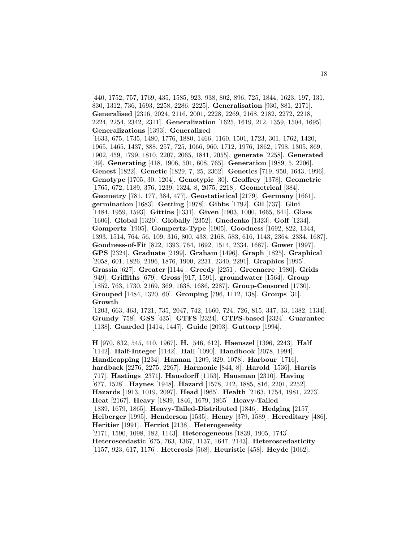[440, 1752, 757, 1769, 435, 1585, 923, 938, 802, 896, 725, 1844, 1623, 197, 131, 830, 1312, 736, 1693, 2258, 2286, 2225]. **Generalisation** [930, 881, 2171]. **Generalised** [2316, 2024, 2116, 2001, 2228, 2269, 2168, 2182, 2272, 2218, 2224, 2254, 2342, 2311]. **Generalization** [1625, 1619, 212, 1359, 1504, 1695]. **Generalizations** [1393]. **Generalized** [1633, 675, 1735, 1480, 1776, 1880, 1466, 1160, 1501, 1723, 301, 1762, 1420, 1965, 1465, 1437, 888, 257, 725, 1066, 960, 1712, 1976, 1862, 1798, 1305, 869, 1902, 459, 1799, 1810, 2207, 2065, 1841, 2055]. **generate** [2258]. **Generated** [49]. **Generating** [418, 1906, 501, 608, 765]. **Generation** [1989, 5, 2206]. **Genest** [1822]. **Genetic** [1829, 7, 25, 2362]. **Genetics** [719, 950, 1643, 1996]. **Genotype** [1705, 30, 1204]. **Genotypic** [30]. **Geoffrey** [1378]. **Geometric** [1765, 672, 1189, 376, 1239, 1324, 8, 2075, 2218]. **Geometrical** [384]. **Geometry** [781, 177, 384, 477]. **Geostatistical** [2179]. **Germany** [1661]. **germination** [1683]. **Getting** [1978]. **Gibbs** [1792]. **Gil** [737]. **Gini** [1484, 1959, 1593]. **Gittins** [1331]. **Given** [1903, 1000, 1665, 641]. **Glass** [1606]. **Global** [1320]. **Globally** [2352]. **Gnedenko** [1323]. **Golf** [1234]. **Gompertz** [1905]. **Gompertz-Type** [1905]. **Goodness** [1692, 822, 1344, 1393, 1514, 764, 56, 109, 316, 800, 438, 2168, 583, 616, 1143, 2364, 2334, 1687]. **Goodness-of-Fit** [822, 1393, 764, 1692, 1514, 2334, 1687]. **Gower** [1997]. **GPS** [2324]. **Graduate** [2199]. **Graham** [1496]. **Graph** [1825]. **Graphical** [2058, 601, 1826, 2196, 1876, 1900, 2231, 2340, 2291]. **Graphics** [1995]. **Grassia** [627]. **Greater** [1144]. **Greedy** [2251]. **Greenacre** [1980]. **Grids** [949]. **Griffiths** [679]. **Gross** [917, 1591]. **groundwater** [1564]. **Group** [1852, 763, 1730, 2169, 369, 1638, 1686, 2287]. **Group-Censored** [1730]. **Grouped** [1484, 1320, 60]. **Grouping** [796, 1112, 138]. **Groups** [31]. **Growth** [1203, 663, 463, 1721, 735, 2047, 742, 1660, 724, 726, 815, 347, 33, 1382, 1134].

**Grundy** [758]. **GSS** [435]. **GTFS** [2324]. **GTFS-based** [2324]. **Guarantee** [1138]. **Guarded** [1414, 1447]. **Guide** [2093]. **Guttorp** [1994].

**H** [970, 832, 545, 410, 1967]. **H.** [546, 612]. **Haenszel** [1396, 2243]. **Half** [1142]. **Half-Integer** [1142]. **Hall** [1090]. **Handbook** [2078, 1994]. **Handicapping** [1234]. **Hannan** [1209, 329, 1078]. **Harbour** [1716]. **hardback** [2276, 2275, 2267]. **Harmonic** [844, 8]. **Harold** [1536]. **Harris** [717]. **Hastings** [2371]. **Hausdorff** [1153]. **Hausman** [2310]. **Having** [677, 1528]. **Haynes** [1948]. **Hazard** [1578, 242, 1885, 816, 2201, 2252]. **Hazards** [1913, 1019, 2097]. **Head** [1965]. **Health** [2163, 1754, 1981, 2273]. **Heat** [2167]. **Heavy** [1839, 1846, 1679, 1865]. **Heavy-Tailed** [1839, 1679, 1865]. **Heavy-Tailed-Distributed** [1846]. **Hedging** [2157]. **Heiberger** [1995]. **Henderson** [1535]. **Henry** [379, 1589]. **Hereditary** [486]. **Heritier** [1991]. **Herriot** [2138]. **Heterogeneity** [2171, 1590, 1098, 182, 1143]. **Heterogeneous** [1839, 1905, 1743]. **Heteroscedastic** [675, 763, 1367, 1137, 1647, 2143]. **Heteroscedasticity** [1157, 923, 617, 1176]. **Heterosis** [568]. **Heuristic** [458]. **Heyde** [1062].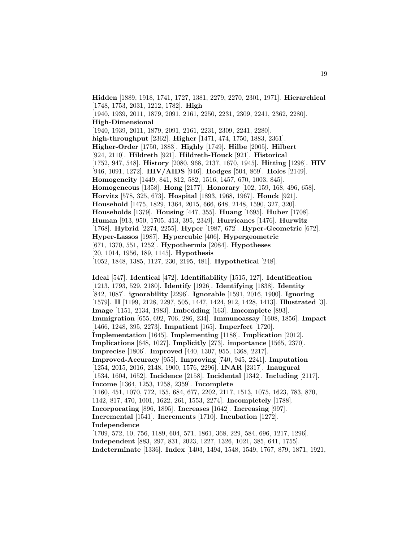**Hidden** [1889, 1918, 1741, 1727, 1381, 2279, 2270, 2301, 1971]. **Hierarchical** [1748, 1753, 2031, 1212, 1782]. **High** [1940, 1939, 2011, 1879, 2091, 2161, 2250, 2231, 2309, 2241, 2362, 2280]. **High-Dimensional** [1940, 1939, 2011, 1879, 2091, 2161, 2231, 2309, 2241, 2280]. **high-throughput** [2362]. **Higher** [1471, 474, 1750, 1883, 2361]. **Higher-Order** [1750, 1883]. **Highly** [1749]. **Hilbe** [2005]. **Hilbert** [924, 2110]. **Hildreth** [921]. **Hildreth-Houck** [921]. **Historical** [1752, 947, 548]. **History** [2080, 968, 2137, 1670, 1945]. **Hitting** [1298]. **HIV** [946, 1091, 1272]. **HIV/AIDS** [946]. **Hodges** [504, 869]. **Holes** [2149]. **Homogeneity** [1449, 841, 812, 582, 1516, 1457, 670, 1003, 845]. **Homogeneous** [1358]. **Hong** [2177]. **Honorary** [102, 159, 168, 496, 658]. **Horvitz** [578, 325, 673]. **Hospital** [1893, 1968, 1967]. **Houck** [921]. **Household** [1475, 1829, 1364, 2015, 666, 648, 2148, 1590, 327, 320]. **Households** [1379]. **Housing** [447, 355]. **Huang** [1695]. **Huber** [1708]. **Human** [913, 950, 1705, 413, 395, 2349]. **Hurricanes** [1476]. **Hurwitz** [1768]. **Hybrid** [2274, 2255]. **Hyper** [1987, 672]. **Hyper-Geometric** [672]. **Hyper-Lassos** [1987]. **Hypercubic** [406]. **Hypergeometric** [671, 1370, 551, 1252]. **Hypothermia** [2084]. **Hypotheses** [20, 1014, 1956, 189, 1145]. **Hypothesis** [1052, 1848, 1385, 1127, 230, 2195, 481]. **Hypothetical** [248].

**Ideal** [547]. **Identical** [472]. **Identifiability** [1515, 127]. **Identification** [1213, 1793, 529, 2180]. **Identify** [1926]. **Identifying** [1838]. **Identity** [842, 1087]. **ignorability** [2296]. **Ignorable** [1591, 2016, 1900]. **Ignoring** [1579]. **II** [1199, 2128, 2297, 505, 1447, 1424, 912, 1428, 1413]. **Illustrated** [3]. **Image** [1151, 2134, 1983]. **Imbedding** [163]. **Imcomplete** [893]. **Immigration** [655, 692, 706, 286, 234]. **Immunoassay** [1608, 1856]. **Impact** [1466, 1248, 395, 2273]. **Impatient** [165]. **Imperfect** [1720]. **Implementation** [1645]. **Implementing** [1188]. **Implication** [2012]. **Implications** [648, 1027]. **Implicitly** [273]. **importance** [1565, 2370]. **Imprecise** [1806]. **Improved** [440, 1307, 955, 1368, 2217]. **Improved-Accuracy** [955]. **Improving** [740, 945, 2241]. **Imputation** [1254, 2015, 2016, 2148, 1900, 1576, 2296]. **INAR** [2317]. **Inaugural** [1534, 1604, 1652]. **Incidence** [2158]. **Incidental** [1342]. **Including** [2117]. **Income** [1364, 1253, 1258, 2359]. **Incomplete** [1160, 451, 1070, 772, 155, 684, 677, 2202, 2117, 1513, 1075, 1623, 783, 870, 1142, 817, 470, 1001, 1622, 261, 1553, 2274]. **Incompletely** [1788]. **Incorporating** [896, 1895]. **Increases** [1642]. **Increasing** [997]. **Incremental** [1541]. **Increments** [1710]. **Incubation** [1272]. **Independence** [1709, 572, 10, 756, 1189, 604, 571, 1861, 368, 229, 584, 696, 1217, 1296]. **Independent** [883, 297, 831, 2023, 1227, 1326, 1021, 385, 641, 1755].

**Indeterminate** [1336]. **Index** [1403, 1494, 1548, 1549, 1767, 879, 1871, 1921,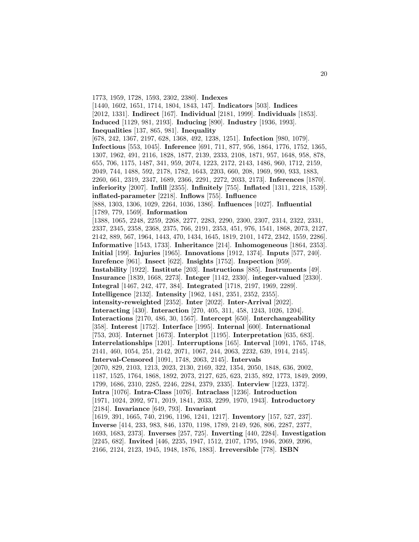1773, 1959, 1728, 1593, 2302, 2380]. **Indexes** [1440, 1602, 1651, 1714, 1804, 1843, 147]. **Indicators** [503]. **Indices** [2012, 1331]. **Indirect** [167]. **Individual** [2181, 1999]. **Individuals** [1853]. **Induced** [1129, 981, 2193]. **Inducing** [890]. **Industry** [1936, 1993]. **Inequalities** [137, 865, 981]. **Inequality** [678, 242, 1367, 2197, 628, 1368, 492, 1238, 1251]. **Infection** [980, 1079]. **Infectious** [553, 1045]. **Inference** [691, 711, 877, 956, 1864, 1776, 1752, 1365, 1307, 1962, 491, 2116, 1828, 1877, 2139, 2333, 2108, 1871, 957, 1648, 958, 878, 655, 706, 1175, 1487, 341, 959, 2074, 1223, 2172, 2143, 1486, 960, 1712, 2159, 2049, 744, 1488, 592, 2178, 1782, 1643, 2203, 660, 208, 1969, 990, 933, 1883, 2260, 661, 2319, 2347, 1689, 2366, 2291, 2272, 2033, 2173]. **Inferences** [1870]. **inferiority** [2007]. **Infill** [2355]. **Infinitely** [755]. **Inflated** [1311, 2218, 1539]. **inflated-parameter** [2218]. **Inflows** [755]. **Influence** [888, 1303, 1306, 1029, 2264, 1036, 1386]. **Influences** [1027]. **Influential** [1789, 779, 1569]. **Information** [1388, 1065, 2248, 2259, 2268, 2277, 2283, 2290, 2300, 2307, 2314, 2322, 2331, 2337, 2345, 2358, 2368, 2375, 766, 2191, 2353, 451, 976, 1541, 1868, 2073, 2127, 2142, 889, 567, 1964, 1443, 470, 1434, 1645, 1819, 2101, 1472, 2342, 1559, 2286]. **Informative** [1543, 1733]. **Inheritance** [214]. **Inhomogeneous** [1864, 2353]. **Initial** [199]. **Injuries** [1965]. **Innovations** [1912, 1374]. **Inputs** [577, 240]. **Inrefence** [961]. **Insect** [622]. **Insights** [1752]. **Inspection** [959]. **Instability** [1922]. **Institute** [203]. **Instructions** [885]. **Instruments** [49]. **Insurance** [1839, 1668, 2273]. **Integer** [1142, 2330]. **integer-valued** [2330]. **Integral** [1467, 242, 477, 384]. **Integrated** [1718, 2197, 1969, 2289]. **Intelligence** [2132]. **Intensity** [1962, 1481, 2351, 2352, 2355]. **intensity-reweighted** [2352]. **Inter** [2022]. **Inter-Arrival** [2022]. **Interacting** [430]. **Interaction** [270, 405, 311, 458, 1243, 1026, 1204]. **Interactions** [2170, 486, 30, 1567]. **Intercept** [650]. **Interchangeability** [358]. **Interest** [1752]. **Interface** [1995]. **Internal** [600]. **International** [753, 203]. **Internet** [1673]. **Interplot** [1195]. **Interpretation** [635, 683]. **Interrelationships** [1201]. **Interruptions** [165]. **Interval** [1091, 1765, 1748, 2141, 460, 1054, 251, 2142, 2071, 1067, 244, 2063, 2232, 639, 1914, 2145]. **Interval-Censored** [1091, 1748, 2063, 2145]. **Intervals** [2070, 829, 2103, 1213, 2023, 2130, 2169, 322, 1354, 2050, 1848, 636, 2002, 1187, 1525, 1764, 1868, 1892, 2073, 2127, 625, 623, 2135, 892, 1773, 1849, 2099, 1799, 1686, 2310, 2285, 2246, 2284, 2379, 2335]. **Interview** [1223, 1372]. **Intra** [1076]. **Intra-Class** [1076]. **Intraclass** [1236]. **Introduction** [1971, 1024, 2092, 971, 2019, 1841, 2033, 2299, 1970, 1943]. **Introductory** [2184]. **Invariance** [649, 793]. **Invariant** [1619, 391, 1665, 740, 2196, 1196, 1241, 1217]. **Inventory** [157, 527, 237]. **Inverse** [414, 233, 983, 846, 1370, 1198, 1789, 2149, 926, 806, 2287, 2377, 1693, 1683, 2373]. **Inverses** [257, 725]. **Inverting** [440, 2284]. **Investigation** [2245, 682]. **Invited** [446, 2235, 1947, 1512, 2107, 1795, 1946, 2069, 2096, 2166, 2124, 2123, 1945, 1948, 1876, 1883]. **Irreversible** [778]. **ISBN**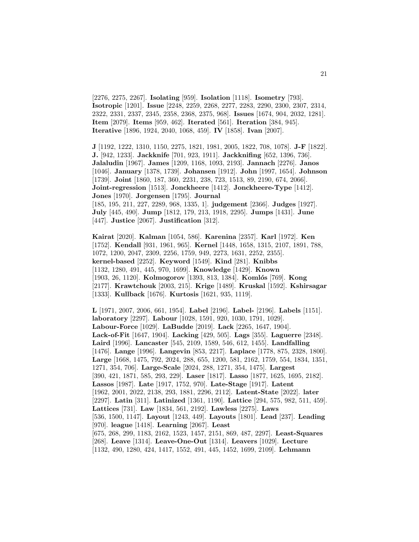[2276, 2275, 2267]. **Isolating** [959]. **Isolation** [1118]. **Isometry** [793]. **Isotropic** [1201]. **Issue** [2248, 2259, 2268, 2277, 2283, 2290, 2300, 2307, 2314, 2322, 2331, 2337, 2345, 2358, 2368, 2375, 968]. **Issues** [1674, 904, 2032, 1281]. **Item** [2079]. **Items** [959, 462]. **Iterated** [561]. **Iteration** [384, 945]. **Iterative** [1896, 1924, 2040, 1068, 459]. **IV** [1858]. **Ivan** [2007].

**J** [1192, 1222, 1310, 1150, 2275, 1821, 1981, 2005, 1822, 708, 1078]. **J-F** [1822]. **J.** [942, 1233]. **Jackknife** [701, 923, 1911]. **Jackknifing** [652, 1396, 736]. **Jalaludin** [1967]. **James** [1209, 1168, 1093, 2193]. **Jannach** [2276]. **Janos** [1046]. **January** [1378, 1739]. **Johansen** [1912]. **John** [1997, 1654]. **Johnson** [1739]. **Joint** [1860, 187, 360, 2231, 238, 723, 1513, 89, 2190, 674, 2066]. **Joint-regression** [1513]. **Jonckheere** [1412]. **Jonckheere-Type** [1412]. **Jones** [1970]. **Jorgensen** [1795]. **Journal** [185, 195, 211, 227, 2289, 968, 1335, 1]. **judgement** [2366]. **Judges** [1927]. **July** [445, 490]. **Jump** [1812, 179, 213, 1918, 2295]. **Jumps** [1431]. **June** [447]. **Justice** [2067]. **Justification** [312].

**Kairat** [2020]. **Kalman** [1054, 586]. **Karenina** [2357]. **Karl** [1972]. **Ken** [1752]. **Kendall** [931, 1961, 965]. **Kernel** [1448, 1658, 1315, 2107, 1891, 788, 1072, 1200, 2047, 2309, 2256, 1759, 949, 2273, 1631, 2252, 2355]. **kernel-based** [2252]. **Keyword** [1549]. **Kind** [281]. **Knibbs** [1132, 1280, 491, 445, 970, 1699]. **Knowledge** [1429]. **Known** [1903, 26, 1120]. **Kolmogorov** [1393, 813, 1384]. **Koml´os** [769]. **Kong** [2177]. **Krawtchouk** [2003, 215]. **Krige** [1489]. **Kruskal** [1592]. **Kshirsagar** [1333]. **Kullback** [1676]. **Kurtosis** [1621, 935, 1119].

**L** [1971, 2007, 2006, 661, 1954]. **Label** [2196]. **Label-** [2196]. **Labels** [1151]. **laboratory** [2297]. **Labour** [1028, 1591, 920, 1030, 1791, 1029]. **Labour-Force** [1029]. **LaBudde** [2019]. **Lack** [2265, 1647, 1904]. **Lack-of-Fit** [1647, 1904]. **Lacking** [429, 505]. **Lags** [355]. **Laguerre** [2348]. **Laird** [1996]. **Lancaster** [545, 2109, 1589, 546, 612, 1455]. **Landfalling** [1476]. **Lange** [1996]. **Langevin** [853, 2217]. **Laplace** [1778, 875, 2328, 1800]. **Large** [1668, 1475, 792, 2024, 288, 655, 1200, 581, 2162, 1759, 554, 1834, 1351, 1271, 354, 706]. **Large-Scale** [2024, 288, 1271, 354, 1475]. **Largest** [390, 421, 1871, 585, 293, 229]. **Laser** [1817]. **Lasso** [1877, 1625, 1695, 2182]. **Lassos** [1987]. **Late** [1917, 1752, 970]. **Late-Stage** [1917]. **Latent** [1962, 2001, 2022, 2138, 293, 1881, 2296, 2112]. **Latent-State** [2022]. **later** [2297]. **Latin** [311]. **Latinized** [1361, 1190]. **Lattice** [294, 575, 982, 511, 459]. **Lattices** [731]. **Law** [1834, 561, 2192]. **Lawless** [2275]. **Laws** [536, 1500, 1147]. **Layout** [1243, 449]. **Layouts** [1801]. **Lead** [237]. **Leading** [970]. **league** [1418]. **Learning** [2067]. **Least** [675, 268, 299, 1183, 2162, 1523, 1457, 2151, 869, 487, 2297]. **Least-Squares** [268]. **Leave** [1314]. **Leave-One-Out** [1314]. **Leavers** [1029]. **Lecture** [1132, 490, 1280, 424, 1417, 1552, 491, 445, 1452, 1699, 2109]. **Lehmann**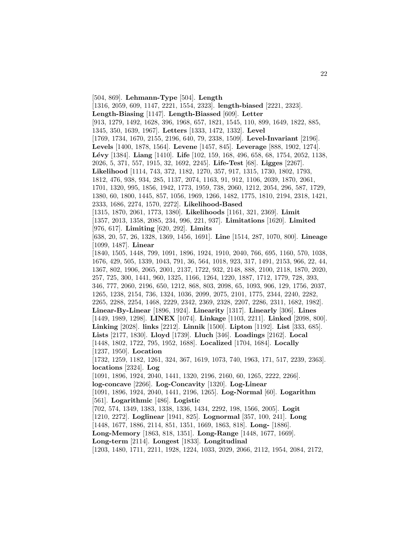[504, 869]. **Lehmann-Type** [504]. **Length** [1316, 2059, 609, 1147, 2221, 1554, 2323]. **length-biased** [2221, 2323]. **Length-Biasing** [1147]. **Length-Biassed** [609]. **Letter** [913, 1279, 1492, 1628, 396, 1968, 657, 1821, 1545, 110, 899, 1649, 1822, 885, 1345, 350, 1639, 1967]. **Letters** [1333, 1472, 1332]. **Level** [1769, 1734, 1670, 2155, 2196, 640, 79, 2338, 1509]. **Level-Invariant** [2196]. **Levels** [1400, 1878, 1564]. **Levene** [1457, 845]. **Leverage** [888, 1902, 1274]. **L´evy** [1384]. **Liang** [1410]. **Life** [102, 159, 168, 496, 658, 68, 1754, 2052, 1138, 2026, 5, 371, 557, 1915, 32, 1692, 2245]. **Life-Test** [68]. **Ligges** [2267]. **Likelihood** [1114, 743, 372, 1182, 1270, 357, 917, 1315, 1730, 1802, 1793, 1812, 476, 938, 934, 285, 1137, 2074, 1163, 91, 912, 1106, 2039, 1870, 2061, 1701, 1320, 995, 1856, 1942, 1773, 1959, 738, 2060, 1212, 2054, 296, 587, 1729, 1380, 60, 1800, 1445, 857, 1056, 1969, 1266, 1482, 1775, 1810, 2194, 2318, 1421, 2333, 1686, 2274, 1570, 2272]. **Likelihood-Based** [1315, 1870, 2061, 1773, 1380]. **Likelihoods** [1161, 321, 2369]. **Limit** [1357, 2013, 1358, 2085, 234, 996, 221, 937]. **Limitations** [1620]. **Limited** [976, 617]. **Limiting** [620, 292]. **Limits** [638, 20, 57, 26, 1328, 1369, 1456, 1691]. **Line** [1514, 287, 1070, 800]. **Lineage** [1099, 1487]. **Linear** [1840, 1505, 1448, 799, 1091, 1896, 1924, 1910, 2040, 766, 695, 1160, 570, 1038, 1676, 429, 505, 1339, 1043, 791, 36, 564, 1018, 923, 317, 1491, 2153, 966, 22, 44, 1367, 802, 1906, 2065, 2001, 2137, 1722, 932, 2148, 888, 2100, 2118, 1870, 2020, 257, 725, 300, 1441, 960, 1325, 1166, 1264, 1220, 1887, 1712, 1779, 728, 393, 346, 777, 2060, 2196, 650, 1212, 868, 803, 2098, 65, 1093, 906, 129, 1756, 2037, 1265, 1238, 2154, 736, 1324, 1036, 2099, 2075, 2101, 1775, 2344, 2240, 2282, 2265, 2288, 2254, 1468, 2229, 2342, 2369, 2328, 2207, 2286, 2311, 1682, 1982]. **Linear-By-Linear** [1896, 1924]. **Linearity** [1317]. **Linearly** [306]. **Lines** [1449, 1989, 1298]. **LINEX** [1074]. **Linkage** [1103, 2211]. **Linked** [2098, 800]. **Linking** [2028]. **links** [2212]. **Linnik** [1500]. **Lipton** [1192]. **List** [333, 685]. **Lists** [2177, 1830]. **Lloyd** [1739]. **Lluch** [346]. **Loadings** [2162]. **Local** [1448, 1802, 1722, 795, 1952, 1688]. **Localized** [1704, 1684]. **Locally** [1237, 1950]. **Location** [1732, 1259, 1182, 1261, 324, 367, 1619, 1073, 740, 1963, 171, 517, 2239, 2363]. **locations** [2324]. **Log** [1091, 1896, 1924, 2040, 1441, 1320, 2196, 2160, 60, 1265, 2222, 2266]. **log-concave** [2266]. **Log-Concavity** [1320]. **Log-Linear** [1091, 1896, 1924, 2040, 1441, 2196, 1265]. **Log-Normal** [60]. **Logarithm** [561]. **Logarithmic** [486]. **Logistic** [702, 574, 1349, 1383, 1338, 1336, 1434, 2292, 198, 1566, 2005]. **Logit** [1210, 2272]. **Loglinear** [1941, 825]. **Lognormal** [357, 100, 241]. **Long** [1448, 1677, 1886, 2114, 851, 1351, 1669, 1863, 818]. **Long-** [1886]. **Long-Memory** [1863, 818, 1351]. **Long-Range** [1448, 1677, 1669]. **Long-term** [2114]. **Longest** [1833]. **Longitudinal** [1203, 1480, 1711, 2211, 1928, 1224, 1033, 2029, 2066, 2112, 1954, 2084, 2172,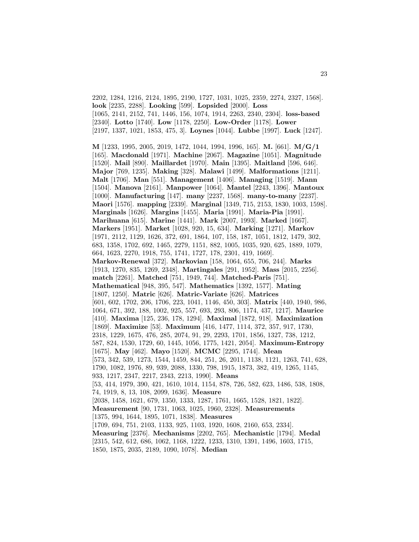2202, 1284, 1216, 2124, 1895, 2190, 1727, 1031, 1025, 2359, 2274, 2327, 1568]. **look** [2235, 2288]. **Looking** [599]. **Lopsided** [2000]. **Loss** [1065, 2141, 2152, 741, 1446, 156, 1074, 1914, 2263, 2340, 2304]. **loss-based** [2340]. **Lotto** [1740]. **Low** [1178, 2250]. **Low-Order** [1178]. **Lower** [2197, 1337, 1021, 1853, 475, 3]. **Loynes** [1044]. **Lubbe** [1997]. **Luck** [1247].

**M** [1233, 1995, 2005, 2019, 1472, 1044, 1994, 1996, 165]. **M.** [661]. **M/G/1** [165]. **Macdonald** [1971]. **Machine** [2067]. **Magazine** [1051]. **Magnitude** [1520]. **Mail** [890]. **Maillardet** [1970]. **Main** [1395]. **Maitland** [596, 646]. **Major** [769, 1235]. **Making** [328]. **Malawi** [1499]. **Malformations** [1211]. **Malt** [1706]. **Man** [551]. **Management** [1406]. **Managing** [1519]. **Mann** [1504]. **Manova** [2161]. **Manpower** [1064]. **Mantel** [2243, 1396]. **Mantoux** [1000]. **Manufacturing** [147]. **many** [2237, 1568]. **many-to-many** [2237]. **Maori** [1576]. **mapping** [2339]. **Marginal** [1349, 715, 2153, 1830, 1003, 1598]. **Marginals** [1626]. **Margins** [1455]. **Maria** [1991]. **Maria-Pia** [1991]. **Marihuana** [615]. **Marine** [1441]. **Mark** [2007, 1993]. **Marked** [1667]. **Markers** [1951]. **Market** [1028, 920, 15, 634]. **Marking** [1271]. **Markov** [1971, 2112, 1129, 1626, 372, 691, 1864, 107, 158, 187, 1051, 1812, 1479, 302, 683, 1358, 1702, 692, 1465, 2279, 1151, 882, 1005, 1035, 920, 625, 1889, 1079, 664, 1623, 2270, 1918, 755, 1741, 1727, 178, 2301, 419, 1669]. **Markov-Renewal** [372]. **Markovian** [158, 1064, 655, 706, 244]. **Marks** [1913, 1270, 835, 1269, 2348]. **Martingales** [291, 1952]. **Mass** [2015, 2256]. **match** [2261]. **Matched** [751, 1949, 744]. **Matched-Paris** [751]. **Mathematical** [948, 395, 547]. **Mathematics** [1392, 1577]. **Mating** [1807, 1250]. **Matric** [626]. **Matric-Variate** [626]. **Matrices** [601, 602, 1702, 206, 1706, 223, 1041, 1146, 450, 303]. **Matrix** [440, 1940, 986, 1064, 671, 392, 188, 1002, 925, 557, 693, 293, 806, 1174, 437, 1217]. **Maurice** [410]. **Maxima** [125, 236, 178, 1294]. **Maximal** [1872, 918]. **Maximization** [1869]. **Maximize** [53]. **Maximum** [416, 1477, 1114, 372, 357, 917, 1730, 2318, 1229, 1675, 476, 285, 2074, 91, 29, 2293, 1701, 1856, 1327, 738, 1212, 587, 824, 1530, 1729, 60, 1445, 1056, 1775, 1421, 2054]. **Maximum-Entropy** [1675]. **May** [462]. **Mayo** [1520]. **MCMC** [2295, 1744]. **Mean** [573, 342, 539, 1273, 1544, 1459, 844, 251, 26, 2011, 1138, 1121, 1263, 741, 628, 1790, 1082, 1976, 89, 939, 2088, 1330, 798, 1915, 1873, 382, 419, 1265, 1145, 933, 1217, 2347, 2217, 2343, 2213, 1990]. **Means** [53, 414, 1979, 390, 421, 1610, 1014, 1154, 878, 726, 582, 623, 1486, 538, 1808, 74, 1919, 8, 13, 108, 2099, 1636]. **Measure** [2038, 1458, 1621, 679, 1350, 1333, 1287, 1761, 1665, 1528, 1821, 1822]. **Measurement** [90, 1731, 1063, 1025, 1960, 2328]. **Measurements** [1375, 994, 1644, 1895, 1071, 1838]. **Measures** [1709, 694, 751, 2103, 1133, 925, 1103, 1920, 1608, 2160, 653, 2334]. **Measuring** [2376]. **Mechanisms** [2202, 765]. **Mechanistic** [1794]. **Medal** [2315, 542, 612, 686, 1062, 1168, 1222, 1233, 1310, 1391, 1496, 1603, 1715, 1850, 1875, 2035, 2189, 1090, 1078]. **Median**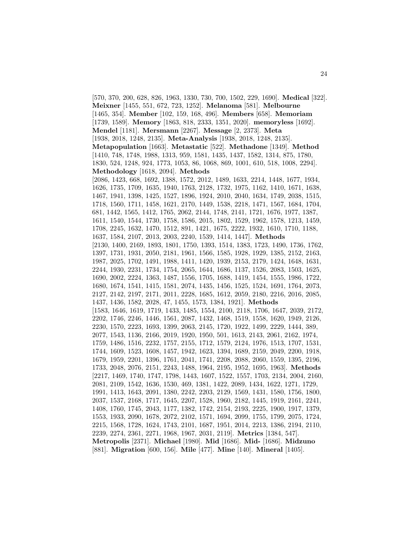[570, 370, 200, 628, 826, 1963, 1330, 730, 700, 1502, 229, 1690]. **Medical** [322]. **Meixner** [1455, 551, 672, 723, 1252]. **Melanoma** [581]. **Melbourne** [1465, 354]. **Member** [102, 159, 168, 496]. **Members** [658]. **Memoriam** [1739, 1589]. **Memory** [1863, 818, 2333, 1351, 2020]. **memoryless** [1692]. **Mendel** [1181]. **Mersmann** [2267]. **Message** [2, 2373]. **Meta** [1938, 2018, 1248, 2135]. **Meta-Analysis** [1938, 2018, 1248, 2135]. **Metapopulation** [1663]. **Metastatic** [522]. **Methadone** [1349]. **Method** [1410, 748, 1748, 1988, 1313, 959, 1581, 1435, 1437, 1582, 1314, 875, 1780, 1830, 524, 1248, 924, 1773, 1053, 86, 1068, 869, 1001, 610, 518, 1008, 2294]. **Methodology** [1618, 2094]. **Methods** [2086, 1423, 668, 1692, 1388, 1572, 2012, 1489, 1633, 2214, 1448, 1677, 1934, 1626, 1735, 1709, 1635, 1940, 1763, 2128, 1732, 1975, 1162, 1410, 1671, 1638, 1467, 1941, 1398, 1425, 1527, 1896, 1924, 2010, 2040, 1634, 1749, 2038, 1515, 1718, 1560, 1711, 1458, 1621, 2170, 1449, 1538, 2218, 1471, 1567, 1684, 1704, 681, 1442, 1565, 1412, 1765, 2062, 2144, 1748, 2141, 1721, 1676, 1977, 1387, 1611, 1540, 1544, 1730, 1758, 1586, 2015, 1802, 1529, 1962, 1578, 1213, 1459, 1708, 2245, 1632, 1470, 1512, 891, 1421, 1675, 2222, 1932, 1610, 1710, 1188, 1637, 1584, 2107, 2013, 2003, 2240, 1539, 1414, 1447]. **Methods** [2130, 1400, 2169, 1893, 1801, 1750, 1393, 1514, 1383, 1723, 1490, 1736, 1762, 1397, 1731, 1931, 2050, 2181, 1961, 1566, 1585, 1928, 1929, 1385, 2152, 2163, 1987, 2025, 1702, 1491, 1988, 1411, 1420, 1939, 2153, 2179, 1424, 1648, 1631, 2244, 1930, 2231, 1734, 1754, 2065, 1644, 1686, 1137, 1526, 2083, 1503, 1625, 1690, 2002, 2224, 1363, 1487, 1556, 1705, 1688, 1419, 1454, 1555, 1986, 1722, 1680, 1674, 1541, 1415, 1581, 2074, 1435, 1456, 1525, 1524, 1691, 1764, 2073, 2127, 2142, 2197, 2171, 2011, 2228, 1685, 1612, 2059, 2180, 2216, 2016, 2085, 1437, 1436, 1582, 2028, 47, 1455, 1573, 1384, 1921]. **Methods** [1583, 1646, 1619, 1719, 1433, 1485, 1554, 2100, 2118, 1706, 1647, 2039, 2172, 2202, 1746, 2246, 1446, 1561, 2087, 1432, 1468, 1519, 1558, 1620, 1949, 2126, 2230, 1570, 2223, 1693, 1399, 2063, 2145, 1720, 1922, 1499, 2229, 1444, 389, 2077, 1543, 1136, 2166, 2019, 1920, 1950, 501, 1613, 2143, 2061, 2162, 1974, 1759, 1486, 1516, 2232, 1757, 2155, 1712, 1579, 2124, 1976, 1513, 1707, 1531, 1744, 1609, 1523, 1608, 1457, 1942, 1623, 1394, 1689, 2159, 2049, 2200, 1918, 1679, 1959, 2201, 1396, 1761, 2041, 1741, 2208, 2088, 2060, 1559, 1395, 2196, 1733, 2048, 2076, 2151, 2243, 1488, 1964, 2195, 1952, 1695, 1963]. **Methods** [2217, 1469, 1740, 1747, 1798, 1443, 1607, 1522, 1557, 1703, 2134, 2004, 2160, 2081, 2109, 1542, 1636, 1530, 469, 1381, 1422, 2089, 1434, 1622, 1271, 1729, 1991, 1413, 1643, 2091, 1380, 2242, 2203, 2129, 1569, 1431, 1580, 1756, 1800, 2037, 1537, 2168, 1717, 1645, 2207, 1528, 1960, 2182, 1445, 1919, 2161, 2241, 1408, 1760, 1745, 2043, 1177, 1382, 1742, 2154, 2193, 2225, 1900, 1917, 1379, 1553, 1933, 2090, 1678, 2072, 2102, 1571, 1694, 2099, 1755, 1799, 2075, 1724, 2215, 1568, 1728, 1624, 1743, 2101, 1687, 1951, 2014, 2213, 1386, 2194, 2110, 2239, 2274, 2361, 2271, 1968, 1967, 2031, 2119]. **Metrics** [1384, 547]. **Metropolis** [2371]. **Michael** [1980]. **Mid** [1686]. **Mid-** [1686]. **Midzuno** [881]. **Migration** [600, 156]. **Mile** [477]. **Mine** [140]. **Mineral** [1405].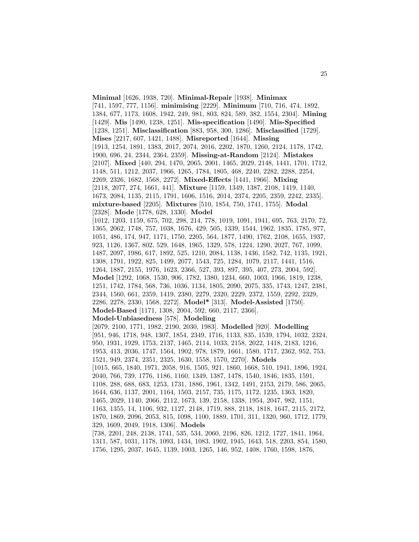**Minimal** [1626, 1938, 720]. **Minimal-Repair** [1938]. **Minimax** [741, 1597, 777, 1156]. **minimising** [2229]. **Minimum** [710, 716, 474, 1892, 1384, 677, 1173, 1608, 1942, 249, 981, 803, 824, 589, 382, 1554, 2304]. **Mining** [1429]. **Mis** [1490, 1238, 1251]. **Mis-specification** [1490]. **Mis-Specified** [1238, 1251]. **Misclassification** [883, 958, 300, 1286]. **Misclassified** [1729]. **Mises** [2217, 607, 1421, 1488]. **Misreported** [1644]. **Missing** [1913, 1254, 1891, 1383, 2017, 2074, 2016, 2202, 1870, 1260, 2124, 1178, 1742, 1900, 696, 24, 2344, 2364, 2359]. **Missing-at-Random** [2124]. **Mistakes** [2107]. **Mixed** [440, 294, 1470, 2065, 2001, 1465, 2029, 2148, 1441, 1701, 1712, 1148, 511, 1212, 2037, 1966, 1265, 1784, 1805, 468, 2240, 2282, 2288, 2254, 2269, 2326, 1682, 1568, 2272]. **Mixed-Effects** [1441, 1966]. **Mixing** [2118, 2077, 274, 1661, 441]. **Mixture** [1159, 1349, 1387, 2108, 1419, 1140, 1673, 2084, 1135, 2115, 1791, 1606, 1516, 2014, 2374, 2205, 2359, 2242, 2335]. **mixture-based** [2205]. **Mixtures** [510, 1854, 750, 1741, 1755]. **Modal** [2328]. **Mode** [1778, 628, 1330]. **Model** [1012, 1203, 1159, 675, 702, 298, 214, 778, 1019, 1091, 1941, 695, 763, 2170, 72, 1365, 2062, 1748, 757, 1038, 1676, 429, 505, 1339, 1544, 1962, 1835, 1785, 977, 1051, 486, 174, 947, 1171, 1750, 2205, 564, 1877, 1490, 1762, 2108, 1655, 1937, 923, 1126, 1367, 802, 529, 1648, 1965, 1329, 578, 1224, 1290, 2027, 767, 1099, 1487, 2097, 1986, 617, 1892, 525, 1210, 2084, 1138, 1436, 1582, 742, 1135, 1921, 1308, 1791, 1922, 825, 1499, 2077, 1543, 725, 1284, 1079, 2117, 1441, 1516, 1264, 1887, 2155, 1976, 1623, 2366, 527, 393, 897, 395, 407, 273, 2004, 592]. **Model** [1292, 1068, 1530, 906, 1782, 1380, 1234, 660, 1003, 1966, 1819, 1238, 1251, 1742, 1784, 568, 736, 1036, 1134, 1805, 2090, 2075, 335, 1743, 1247, 2381, 2344, 1560, 661, 2359, 1419, 2380, 2279, 2320, 2229, 2372, 1559, 2292, 2329, 2286, 2278, 2330, 1568, 2272]. **Model\*** [313]. **Model-Assisted** [1750]. **Model-Based** [1171, 1308, 2004, 592, 660, 2117, 2366]. **Model-Unbiasedness** [578]. **Modeling** [2079, 2100, 1771, 1982, 2190, 2030, 1983]. **Modelled** [920]. **Modelling** [951, 946, 1718, 948, 1307, 1854, 2349, 1716, 1133, 835, 1539, 1794, 1032, 2324, 950, 1931, 1929, 1753, 2137, 1465, 2114, 1033, 2158, 2022, 1418, 2183, 1216, 1953, 413, 2036, 1747, 1564, 1902, 978, 1879, 1661, 1580, 1717, 2362, 952, 753, 1521, 949, 2374, 2351, 2325, 1630, 1558, 1570, 2270]. **Models** [1015, 665, 1840, 1971, 2058, 916, 1505, 921, 1860, 1668, 510, 1941, 1896, 1924, 2040, 766, 739, 1776, 1186, 1160, 1349, 1387, 1478, 1540, 1846, 1835, 1591, 1108, 288, 688, 683, 1253, 1731, 1886, 1961, 1342, 1491, 2153, 2179, 586, 2065, 1644, 636, 1137, 2001, 1164, 1503, 2157, 735, 1175, 1172, 1235, 1363, 1820, 1465, 2029, 1140, 2066, 2112, 1673, 139, 2158, 1338, 1954, 2047, 982, 1151, 1163, 1355, 14, 1106, 932, 1127, 2148, 1719, 888, 2118, 1818, 1647, 2115, 2172, 1870, 1869, 2096, 2053, 815, 1098, 1100, 1889, 1701, 311, 1320, 960, 1712, 1779, 329, 1609, 2049, 1918, 1306]. **Models** [738, 2201, 248, 2138, 1741, 535, 534, 2060, 2196, 826, 1212, 1727, 1841, 1964, 1311, 587, 1031, 1178, 1093, 1434, 1083, 1902, 1945, 1643, 518, 2203, 854, 1580, 1756, 1295, 2037, 1645, 1139, 1003, 1265, 146, 952, 1408, 1760, 1598, 1876,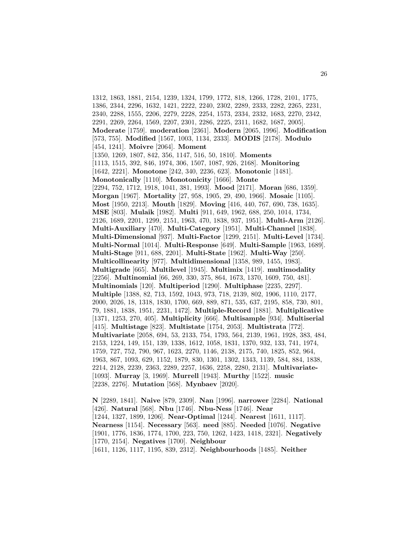1312, 1863, 1881, 2154, 1239, 1324, 1799, 1772, 818, 1266, 1728, 2101, 1775, 1386, 2344, 2296, 1632, 1421, 2222, 2240, 2302, 2289, 2333, 2282, 2265, 2231, 2340, 2288, 1555, 2206, 2279, 2228, 2254, 1573, 2334, 2332, 1683, 2270, 2342, 2291, 2269, 2264, 1569, 2207, 2301, 2286, 2225, 2311, 1682, 1687, 2005]. **Moderate** [1759]. **moderation** [2361]. **Modern** [2065, 1996]. **Modification** [573, 755]. **Modified** [1567, 1003, 1134, 2333]. **MODIS** [2178]. **Modulo** [454, 1241]. **Moivre** [2064]. **Moment** [1350, 1269, 1807, 842, 356, 1147, 516, 50, 1810]. **Moments** [1113, 1515, 392, 846, 1974, 306, 1507, 1087, 926, 2168]. **Monitoring** [1642, 2221]. **Monotone** [242, 340, 2236, 623]. **Monotonic** [1481]. **Monotonically** [1110]. **Monotonicity** [1666]. **Monte** [2294, 752, 1712, 1918, 1041, 381, 1993]. **Mood** [2171]. **Moran** [686, 1359]. **Morgan** [1967]. **Mortality** [27, 958, 1905, 29, 490, 1966]. **Mosaic** [1105]. **Most** [1950, 2213]. **Mouth** [1829]. **Moving** [416, 440, 767, 690, 738, 1635]. **MSE** [803]. **Mulaik** [1982]. **Multi** [911, 649, 1962, 688, 250, 1014, 1734, 2126, 1689, 2201, 1299, 2151, 1963, 470, 1838, 937, 1951]. **Multi-Arm** [2126]. **Multi-Auxiliary** [470]. **Multi-Category** [1951]. **Multi-Channel** [1838]. **Multi-Dimensional** [937]. **Multi-Factor** [1299, 2151]. **Multi-Level** [1734]. **Multi-Normal** [1014]. **Multi-Response** [649]. **Multi-Sample** [1963, 1689]. **Multi-Stage** [911, 688, 2201]. **Multi-State** [1962]. **Multi-Way** [250]. **Multicollinearity** [977]. **Multidimensional** [1358, 989, 1455, 1983]. **Multigrade** [665]. **Multilevel** [1945]. **Multimix** [1419]. **multimodality** [2256]. **Multinomial** [66, 269, 330, 375, 864, 1673, 1370, 1609, 750, 481]. **Multinomials** [120]. **Multiperiod** [1290]. **Multiphase** [2235, 2297]. **Multiple** [1388, 82, 713, 1592, 1043, 973, 718, 2139, 802, 1906, 1110, 2177, 2000, 2026, 18, 1318, 1830, 1700, 669, 889, 871, 535, 637, 2195, 858, 730, 801, 79, 1881, 1838, 1951, 2231, 1472]. **Multiple-Record** [1881]. **Multiplicative** [1371, 1253, 270, 405]. **Multiplicity** [666]. **Multisample** [934]. **Multiserial** [415]. **Multistage** [823]. **Multistate** [1754, 2053]. **Multistrata** [772]. **Multivariate** [2058, 694, 53, 2133, 754, 1793, 564, 2139, 1961, 1928, 383, 484, 2153, 1224, 149, 151, 139, 1338, 1612, 1058, 1831, 1370, 932, 133, 741, 1974, 1759, 727, 752, 790, 967, 1623, 2270, 1146, 2138, 2175, 740, 1825, 852, 964, 1963, 867, 1093, 629, 1152, 1879, 830, 1301, 1302, 1343, 1139, 584, 884, 1838, 2214, 2128, 2239, 2363, 2289, 2257, 1636, 2258, 2280, 2131]. **Multivariate-** [1093]. **Murray** [3, 1969]. **Murrell** [1943]. **Murthy** [1522]. **music** [2238, 2276]. **Mutation** [568]. **Mynbaev** [2020].

**N** [2289, 1841]. **Naive** [879, 2309]. **Nan** [1996]. **narrower** [2284]. **National** [426]. **Natural** [568]. **Nbu** [1746]. **Nbu-Ness** [1746]. **Near** [1244, 1327, 1899, 1206]. **Near-Optimal** [1244]. **Nearest** [1611, 1117]. **Nearness** [1154]. **Necessary** [563]. **need** [885]. **Needed** [1076]. **Negative** [1901, 1776, 1836, 1774, 1700, 223, 750, 1262, 1423, 1418, 2321]. **Negatively** [1770, 2154]. **Negatives** [1700]. **Neighbour** [1611, 1126, 1117, 1195, 839, 2312]. **Neighbourhoods** [1485]. **Neither**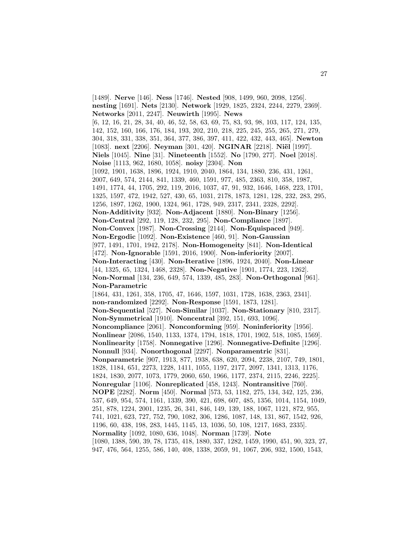[1489]. **Nerve** [146]. **Ness** [1746]. **Nested** [908, 1499, 960, 2098, 1256]. **nesting** [1691]. **Nets** [2130]. **Network** [1929, 1825, 2324, 2244, 2279, 2369]. **Networks** [2011, 2247]. **Neuwirth** [1995]. **News** [6, 12, 16, 21, 28, 34, 40, 46, 52, 58, 63, 69, 75, 83, 93, 98, 103, 117, 124, 135, 142, 152, 160, 166, 176, 184, 193, 202, 210, 218, 225, 245, 255, 265, 271, 279, 304, 318, 331, 338, 351, 364, 377, 386, 397, 411, 422, 432, 443, 465]. **Newton** [1083]. **next** [2206]. **Neyman** [301, 420]. **NGINAR** [2218]. **Niël** [1997]. **Niels** [1045]. **Nine** [31]. **Nineteenth** [1552]. **No** [1790, 277]. **Noel** [2018]. **Noise** [1113, 962, 1680, 1058]. **noisy** [2304]. **Non** [1092, 1901, 1638, 1896, 1924, 1910, 2040, 1864, 134, 1880, 236, 431, 1261, 2007, 649, 574, 2144, 841, 1339, 460, 1591, 977, 485, 2363, 810, 358, 1987, 1491, 1774, 44, 1705, 292, 119, 2016, 1037, 47, 91, 932, 1646, 1468, 223, 1701, 1325, 1597, 472, 1942, 527, 430, 65, 1031, 2178, 1873, 1281, 128, 232, 283, 295, 1256, 1897, 1262, 1900, 1324, 961, 1728, 949, 2317, 2341, 2328, 2292]. **Non-Additivity** [932]. **Non-Adjacent** [1880]. **Non-Binary** [1256]. **Non-Central** [292, 119, 128, 232, 295]. **Non-Compliance** [1897]. **Non-Convex** [1987]. **Non-Crossing** [2144]. **Non-Equispaced** [949]. **Non-Ergodic** [1092]. **Non-Existence** [460, 91]. **Non-Gaussian** [977, 1491, 1701, 1942, 2178]. **Non-Homogeneity** [841]. **Non-Identical** [472]. **Non-Ignorable** [1591, 2016, 1900]. **Non-inferiority** [2007]. **Non-Interacting** [430]. **Non-Iterative** [1896, 1924, 2040]. **Non-Linear** [44, 1325, 65, 1324, 1468, 2328]. **Non-Negative** [1901, 1774, 223, 1262]. **Non-Normal** [134, 236, 649, 574, 1339, 485, 283]. **Non-Orthogonal** [961]. **Non-Parametric** [1864, 431, 1261, 358, 1705, 47, 1646, 1597, 1031, 1728, 1638, 2363, 2341]. **non-randomized** [2292]. **Non-Response** [1591, 1873, 1281]. **Non-Sequential** [527]. **Non-Similar** [1037]. **Non-Stationary** [810, 2317]. **Non-Symmetrical** [1910]. **Noncentral** [392, 151, 693, 1096]. **Noncompliance** [2061]. **Nonconforming** [959]. **Noninferiority** [1956]. **Nonlinear** [2086, 1540, 1133, 1374, 1794, 1818, 1701, 1902, 518, 1085, 1569]. **Nonlinearity** [1758]. **Nonnegative** [1296]. **Nonnegative-Definite** [1296]. **Nonnull** [934]. **Nonorthogonal** [2297]. **Nonparamentric** [831]. **Nonparametric** [907, 1913, 877, 1938, 638, 620, 2094, 2238, 2107, 749, 1801, 1828, 1184, 651, 2273, 1228, 1411, 1055, 1197, 2177, 2097, 1341, 1313, 1176, 1824, 1830, 2077, 1073, 1779, 2060, 650, 1966, 1177, 2374, 2115, 2246, 2225]. **Nonregular** [1106]. **Nonreplicated** [458, 1243]. **Nontransitive** [760]. **NOPE** [2282]. **Norm** [450]. **Normal** [573, 53, 1182, 275, 134, 342, 125, 236, 537, 649, 954, 574, 1161, 1339, 390, 421, 698, 607, 485, 1356, 1014, 1154, 1049, 251, 878, 1224, 2001, 1235, 26, 341, 846, 149, 139, 188, 1067, 1121, 872, 955, 741, 1021, 623, 727, 752, 790, 1082, 306, 1286, 1087, 148, 131, 867, 1542, 926, 1196, 60, 438, 198, 283, 1445, 1145, 13, 1036, 50, 108, 1217, 1683, 2335]. **Normality** [1092, 1080, 636, 1048]. **Norman** [1739]. **Note** [1080, 1388, 590, 39, 78, 1735, 418, 1880, 337, 1282, 1459, 1990, 451, 90, 323, 27, 947, 476, 564, 1255, 586, 140, 408, 1338, 2059, 91, 1067, 206, 932, 1500, 1543,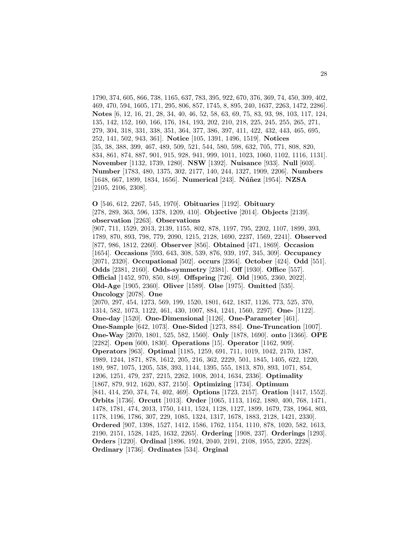1790, 374, 605, 866, 738, 1165, 637, 783, 395, 922, 670, 376, 369, 74, 450, 309, 402, 469, 470, 594, 1605, 171, 295, 806, 857, 1745, 8, 895, 240, 1637, 2263, 1472, 2286]. **Notes** [6, 12, 16, 21, 28, 34, 40, 46, 52, 58, 63, 69, 75, 83, 93, 98, 103, 117, 124, 135, 142, 152, 160, 166, 176, 184, 193, 202, 210, 218, 225, 245, 255, 265, 271, 279, 304, 318, 331, 338, 351, 364, 377, 386, 397, 411, 422, 432, 443, 465, 695, 252, 141, 502, 943, 361]. **Notice** [105, 1391, 1496, 1519]. **Notices** [35, 38, 388, 399, 467, 489, 509, 521, 544, 580, 598, 632, 705, 771, 808, 820, 834, 861, 874, 887, 901, 915, 928, 941, 999, 1011, 1023, 1060, 1102, 1116, 1131]. **November** [1132, 1739, 1280]. **NSW** [1392]. **Nuisance** [933]. **Null** [603]. **Number** [1783, 480, 1375, 302, 2177, 140, 244, 1327, 1909, 2206]. **Numbers** [1648, 667, 1899, 1834, 1656]. **Numerical** [243]. **N´u˜nez** [1954]. **NZSA** [2105, 2106, 2308].

**O** [546, 612, 2267, 545, 1970]. **Obituaries** [1192]. **Obituary** [278, 289, 363, 596, 1378, 1209, 410]. **Objective** [2014]. **Objects** [2139]. **observation** [2263]. **Observations**

[907, 711, 1529, 2013, 2139, 1155, 802, 878, 1197, 795, 2202, 1107, 1899, 393, 1789, 870, 893, 798, 779, 2090, 1215, 2128, 1690, 2237, 1569, 2241]. **Observed** [877, 986, 1812, 2260]. **Observer** [856]. **Obtained** [471, 1869]. **Occasion** [1654]. **Occasions** [593, 643, 308, 539, 876, 939, 197, 345, 309]. **Occupancy** [2071, 2320]. **Occupational** [502]. **occurs** [2364]. **October** [424]. **Odd** [551]. **Odds** [2381, 2160]. **Odds-symmetry** [2381]. **Off** [1930]. **Office** [557]. **Official** [1452, 970, 850, 849]. **Offspring** [726]. **Old** [1905, 2360, 2022]. **Old-Age** [1905, 2360]. **Oliver** [1589]. **Olse** [1975]. **Omitted** [535]. **Oncology** [2078]. **One**

[2070, 297, 454, 1273, 569, 199, 1520, 1801, 642, 1837, 1126, 773, 525, 370, 1314, 582, 1073, 1122, 461, 430, 1007, 884, 1241, 1560, 2297]. **One-** [1122]. **One-day** [1520]. **One-Dimensional** [1126]. **One-Parameter** [461]. **One-Sample** [642, 1073]. **One-Sided** [1273, 884]. **One-Truncation** [1007]. **One-Way** [2070, 1801, 525, 582, 1560]. **Only** [1878, 1690]. **onto** [1366]. **OPE** [2282]. **Open** [600, 1830]. **Operations** [15]. **Operator** [1162, 909]. **Operators** [963]. **Optimal** [1185, 1259, 691, 711, 1019, 1042, 2170, 1387, 1989, 1244, 1871, 878, 1612, 205, 216, 362, 2229, 501, 1845, 1405, 622, 1220, 189, 987, 1075, 1205, 538, 393, 1144, 1395, 555, 1813, 870, 893, 1071, 854, 1206, 1251, 479, 237, 2215, 2262, 1008, 2014, 1634, 2336]. **Optimality** [1867, 879, 912, 1620, 837, 2150]. **Optimizing** [1734]. **Optimum** [841, 414, 250, 374, 74, 402, 469]. **Options** [1723, 2157]. **Oration** [1417, 1552]. **Orbits** [1736]. **Orcutt** [1013]. **Order** [1065, 1113, 1162, 1880, 400, 768, 1471, 1478, 1781, 474, 2013, 1750, 1411, 1524, 1128, 1127, 1899, 1679, 738, 1964, 803, 1178, 1196, 1786, 307, 229, 1085, 1324, 1317, 1678, 1883, 2128, 1421, 2330]. **Ordered** [907, 1398, 1527, 1412, 1586, 1762, 1154, 1110, 878, 1020, 582, 1613, 2190, 2151, 1528, 1425, 1632, 2265]. **Ordering** [1908, 237]. **Orderings** [1293]. **Orders** [1220]. **Ordinal** [1896, 1924, 2040, 2191, 2108, 1955, 2205, 2228]. **Ordinary** [1736]. **Ordinates** [534]. **Orginal**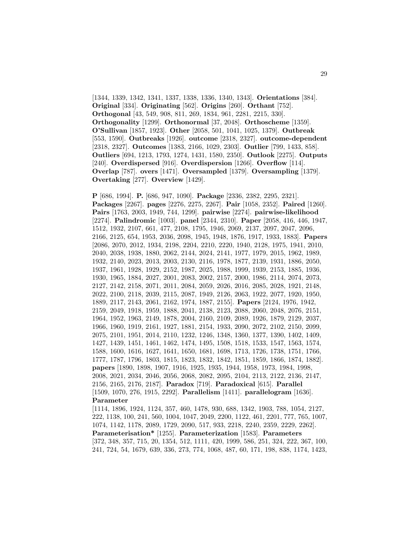[1344, 1339, 1342, 1341, 1337, 1338, 1336, 1340, 1343]. **Orientations** [384]. **Original** [334]. **Originating** [562]. **Origins** [260]. **Orthant** [752]. **Orthogonal** [43, 549, 908, 811, 269, 1834, 961, 2281, 2215, 330]. **Orthogonality** [1299]. **Orthonormal** [37, 2048]. **Orthoscheme** [1359]. **O'Sullivan** [1857, 1923]. **Other** [2058, 501, 1041, 1025, 1379]. **Outbreak** [553, 1590]. **Outbreaks** [1926]. **outcome** [2318, 2327]. **outcome-dependent** [2318, 2327]. **Outcomes** [1383, 2166, 1029, 2303]. **Outlier** [799, 1433, 858]. **Outliers** [694, 1213, 1793, 1274, 1431, 1580, 2350]. **Outlook** [2275]. **Outputs** [240]. **Overdispersed** [916]. **Overdispersion** [1266]. **Overflow** [114]. **Overlap** [787]. **overs** [1471]. **Oversampled** [1379]. **Oversampling** [1379]. **Overtaking** [277]. **Overview** [1429].

**P** [686, 1994]. **P.** [686, 947, 1090]. **Package** [2336, 2382, 2295, 2321]. **Packages** [2267]. **pages** [2276, 2275, 2267]. **Pair** [1058, 2352]. **Paired** [1260]. **Pairs** [1763, 2003, 1949, 744, 1299]. **pairwise** [2274]. **pairwise-likelihood** [2274]. **Palindromic** [1003]. **panel** [2344, 2310]. **Paper** [2058, 416, 446, 1947, 1512, 1932, 2107, 661, 477, 2108, 1795, 1946, 2069, 2137, 2097, 2047, 2096, 2166, 2125, 654, 1953, 2036, 2098, 1945, 1948, 1876, 1917, 1933, 1883]. **Papers** [2086, 2070, 2012, 1934, 2198, 2204, 2210, 2220, 1940, 2128, 1975, 1941, 2010, 2040, 2038, 1938, 1880, 2062, 2144, 2024, 2141, 1977, 1979, 2015, 1962, 1989, 1932, 2140, 2023, 2013, 2003, 2130, 2116, 1978, 1877, 2139, 1931, 1886, 2050, 1937, 1961, 1928, 1929, 2152, 1987, 2025, 1988, 1999, 1939, 2153, 1885, 1936, 1930, 1965, 1884, 2027, 2001, 2083, 2002, 2157, 2000, 1986, 2114, 2074, 2073, 2127, 2142, 2158, 2071, 2011, 2084, 2059, 2026, 2016, 2085, 2028, 1921, 2148, 2022, 2100, 2118, 2039, 2115, 2087, 1949, 2126, 2063, 1922, 2077, 1920, 1950, 1889, 2117, 2143, 2061, 2162, 1974, 1887, 2155]. **Papers** [2124, 1976, 1942, 2159, 2049, 1918, 1959, 1888, 2041, 2138, 2123, 2088, 2060, 2048, 2076, 2151, 1964, 1952, 1963, 2149, 1878, 2004, 2160, 2109, 2089, 1926, 1879, 2129, 2037, 1966, 1960, 1919, 2161, 1927, 1881, 2154, 1933, 2090, 2072, 2102, 2150, 2099, 2075, 2101, 1951, 2014, 2110, 1232, 1246, 1348, 1360, 1377, 1390, 1402, 1409, 1427, 1439, 1451, 1461, 1462, 1474, 1495, 1508, 1518, 1533, 1547, 1563, 1574, 1588, 1600, 1616, 1627, 1641, 1650, 1681, 1698, 1713, 1726, 1738, 1751, 1766, 1777, 1787, 1796, 1803, 1815, 1823, 1832, 1842, 1851, 1859, 1866, 1874, 1882]. **papers** [1890, 1898, 1907, 1916, 1925, 1935, 1944, 1958, 1973, 1984, 1998, 2008, 2021, 2034, 2046, 2056, 2068, 2082, 2095, 2104, 2113, 2122, 2136, 2147, 2156, 2165, 2176, 2187]. **Paradox** [719]. **Paradoxical** [615]. **Parallel** [1509, 1070, 276, 1915, 2292]. **Parallelism** [1411]. **parallelogram** [1636]. **Parameter** [1114, 1896, 1924, 1124, 357, 460, 1478, 930, 688, 1342, 1903, 788, 1054, 2127, 222, 1138, 100, 241, 560, 1004, 1047, 2049, 2200, 1122, 461, 2201, 777, 765, 1007, 1074, 1142, 1178, 2089, 1729, 2090, 517, 933, 2218, 2240, 2359, 2229, 2262].

**Parameterisation\*** [1255]. **Parameterization** [1583]. **Parameters** [372, 348, 357, 715, 20, 1354, 512, 1111, 420, 1999, 586, 251, 324, 222, 367, 100, 241, 724, 54, 1679, 639, 336, 273, 774, 1068, 487, 60, 171, 198, 838, 1174, 1423,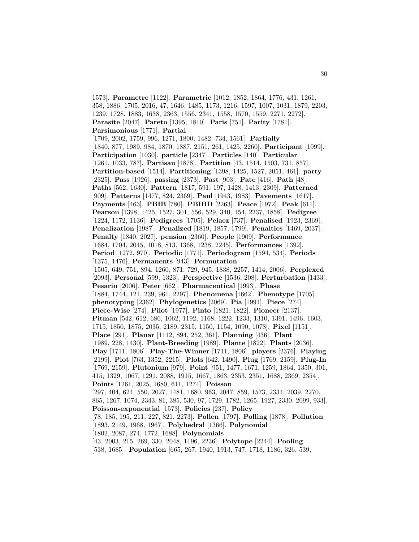1573]. **Parametre** [1122]. **Parametric** [1012, 1852, 1864, 1776, 431, 1261, 358, 1886, 1705, 2016, 47, 1646, 1485, 1173, 1216, 1597, 1007, 1031, 1879, 2203, 1239, 1728, 1883, 1638, 2363, 1556, 2341, 1558, 1570, 1559, 2271, 2272]. **Parasite** [2047]. **Pareto** [1395, 1810]. **Paris** [751]. **Parity** [1781]. **Parsimonious** [1771]. **Partial** [1709, 2002, 1759, 996, 1271, 1800, 1482, 734, 1561]. **Partially** [1840, 877, 1989, 984, 1870, 1887, 2151, 261, 1425, 2260]. **Participant** [1999]. **Participation** [1030]. **particle** [2347]. **Particles** [140]. **Particular** [1261, 1033, 787]. **Partisan** [1878]. **Partition** [43, 1514, 1503, 731, 857]. **Partition-based** [1514]. **Partitioning** [1398, 1425, 1527, 2051, 461]. **party** [2325]. **Pass** [1926]. **passing** [2373]. **Past** [903]. **Pate** [416]. **Path** [48]. **Paths** [562, 1630]. **Pattern** [1817, 591, 197, 1428, 1413, 2309]. **Patterned** [909]. **Patterns** [1477, 824, 2369]. **Paul** [1943, 1983]. **Pavements** [1617]. **Payments** [463]. **PBIB** [780]. **PBIBD** [2263]. **Peace** [1972]. **Peak** [611]. **Pearson** [1398, 1425, 1527, 301, 556, 529, 340, 154, 2237, 1858]. **Pedigree** [1224, 1172, 1136]. **Pedigrees** [1705]. **Pelaez** [737]. **Penalised** [1923, 2369]. **Penalization** [1987]. **Penalized** [1819, 1857, 1799]. **Penalties** [1469, 2037]. **Penalty** [1840, 2027]. **pension** [2360]. **People** [1909]. **Performance** [1684, 1704, 2045, 1018, 813, 1368, 1238, 2245]. **Performances** [1392]. **Period** [1272, 970]. **Periodic** [1771]. **Periodogram** [1594, 534]. **Periods** [1375, 1476]. **Permanents** [943]. **Permutation** [1505, 649, 751, 894, 1260, 871, 729, 945, 1838, 2257, 1414, 2006]. **Perplexed** [2093]. **Personal** [599, 1323]. **Perspective** [1536, 208]. **Perturbation** [1433]. **Pesarin** [2006]. **Peter** [662]. **Pharmaceutical** [1993]. **Phase** [1884, 1744, 121, 239, 961, 2297]. **Phenomena** [1662]. **Phenotype** [1705]. **phenotyping** [2362]. **Phylogenetics** [2069]. **Pia** [1991]. **Piece** [274]. **Piece-Wise** [274]. **Pilot** [1977]. **Pinto** [1821, 1822]. **Pioneer** [2137]. **Pitman** [542, 612, 686, 1062, 1192, 1168, 1222, 1233, 1310, 1391, 1496, 1603, 1715, 1850, 1875, 2035, 2189, 2315, 1150, 1154, 1090, 1078]. **Pixel** [1151]. **Place** [291]. **Planar** [1112, 894, 252, 361]. **Planning** [436]. **Plant** [1989, 228, 1430]. **Plant-Breeding** [1989]. **Plante** [1822]. **Plants** [2036]. **Play** [1711, 1806]. **Play-The-Winner** [1711, 1806]. **players** [2376]. **Playing** [2199]. **Plot** [763, 1352, 2215]. **Plots** [642, 1490]. **Plug** [1769, 2159]. **Plug-In** [1769, 2159]. **Plutonium** [979]. **Point** [951, 1477, 1671, 1259, 1864, 1350, 301, 415, 1329, 1067, 1291, 2088, 1915, 1667, 1863, 2353, 2351, 1688, 2369, 2354]. **Points** [1261, 2025, 1680, 611, 1274]. **Poisson** [297, 404, 624, 550, 2027, 1481, 1680, 963, 2047, 859, 1573, 2334, 2039, 2270, 865, 1267, 1074, 2343, 81, 385, 530, 97, 1729, 1782, 1265, 1927, 2330, 2099, 933]. **Poisson-exponential** [1573]. **Policies** [237]. **Policy** [78, 185, 195, 211, 227, 821, 2273]. **Pollen** [1797]. **Polling** [1878]. **Pollution** [1893, 2149, 1968, 1967]. **Polyhedral** [1366]. **Polynomial** [1802, 2087, 274, 1772, 1688]. **Polynomials** [43, 2003, 215, 269, 330, 2048, 1196, 2236]. **Polytope** [2244]. **Pooling** [538, 1685]. **Population** [665, 267, 1940, 1913, 747, 1718, 1186, 326, 539,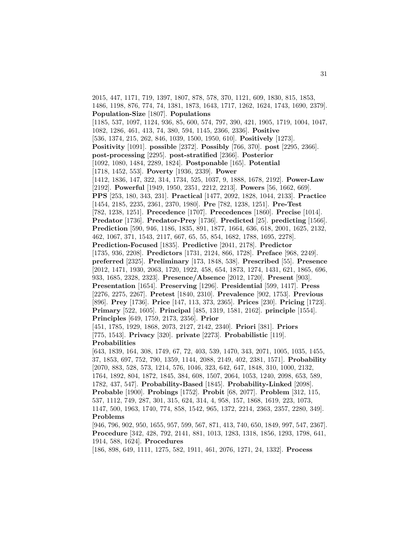2015, 447, 1171, 719, 1397, 1807, 878, 578, 370, 1121, 609, 1830, 815, 1853, 1486, 1198, 876, 774, 74, 1381, 1873, 1643, 1717, 1262, 1624, 1743, 1690, 2379]. **Population-Size** [1807]. **Populations** [1185, 537, 1097, 1124, 936, 85, 600, 574, 797, 390, 421, 1905, 1719, 1004, 1047, 1082, 1286, 461, 413, 74, 380, 594, 1145, 2366, 2336]. **Positive** [536, 1374, 215, 262, 846, 1039, 1500, 1950, 610]. **Positively** [1273]. **Positivity** [1091]. **possible** [2372]. **Possibly** [766, 370]. **post** [2295, 2366]. **post-processing** [2295]. **post-stratified** [2366]. **Posterior** [1092, 1080, 1484, 2289, 1824]. **Postponable** [165]. **Potential** [1718, 1452, 553]. **Poverty** [1936, 2339]. **Power** [1412, 1836, 147, 322, 314, 1734, 525, 1037, 9, 1888, 1678, 2192]. **Power-Law** [2192]. **Powerful** [1949, 1950, 2351, 2212, 2213]. **Powers** [56, 1662, 669]. **PPS** [253, 180, 343, 231]. **Practical** [1477, 2092, 1828, 1044, 2133]. **Practice** [1454, 2185, 2235, 2361, 2370, 1980]. **Pre** [782, 1238, 1251]. **Pre-Test** [782, 1238, 1251]. **Precedence** [1707]. **Precedences** [1860]. **Precise** [1014]. **Predator** [1736]. **Predator-Prey** [1736]. **Predicted** [25]. **predicting** [1566]. **Prediction** [590, 946, 1186, 1835, 891, 1877, 1664, 636, 618, 2001, 1625, 2132, 462, 1067, 371, 1543, 2117, 667, 65, 55, 854, 1682, 1788, 1695, 2278]. **Prediction-Focused** [1835]. **Predictive** [2041, 2178]. **Predictor** [1735, 936, 2208]. **Predictors** [1731, 2124, 866, 1728]. **Preface** [968, 2249]. **preferred** [2325]. **Preliminary** [173, 1848, 538]. **Prescribed** [55]. **Presence** [2012, 1471, 1930, 2063, 1720, 1922, 458, 654, 1873, 1274, 1431, 621, 1865, 696, 933, 1685, 2328, 2323]. **Presence/Absence** [2012, 1720]. **Present** [903]. **Presentation** [1654]. **Preserving** [1296]. **Presidential** [599, 1417]. **Press** [2276, 2275, 2267]. **Pretest** [1840, 2310]. **Prevalence** [902, 1753]. **Previous** [896]. **Prey** [1736]. **Price** [147, 113, 373, 2365]. **Prices** [230]. **Pricing** [1723]. **Primary** [522, 1605]. **Principal** [485, 1319, 1581, 2162]. **principle** [1554]. **Principles** [649, 1759, 2173, 2356]. **Prior** [451, 1785, 1929, 1868, 2073, 2127, 2142, 2340]. **Priori** [381]. **Priors** [775, 1543]. **Privacy** [320]. **private** [2273]. **Probabilistic** [119]. **Probabilities** [643, 1839, 164, 308, 1749, 67, 72, 403, 539, 1470, 343, 2071, 1005, 1035, 1455, 37, 1853, 697, 752, 790, 1359, 1144, 2088, 2149, 402, 2381, 1571]. **Probability** [2070, 883, 528, 573, 1214, 576, 1046, 323, 642, 647, 1848, 310, 1000, 2132, 1764, 1892, 804, 1872, 1845, 384, 608, 1507, 2064, 1053, 1240, 2098, 653, 589, 1782, 437, 547]. **Probability-Based** [1845]. **Probability-Linked** [2098]. **Probable** [1900]. **Probings** [1752]. **Probit** [68, 2077]. **Problem** [312, 115, 537, 1112, 749, 287, 301, 315, 624, 314, 4, 958, 157, 1868, 1619, 223, 1073, 1147, 500, 1963, 1740, 774, 858, 1542, 965, 1372, 2214, 2363, 2357, 2280, 349]. **Problems** [946, 796, 902, 950, 1655, 957, 599, 567, 871, 413, 740, 650, 1849, 997, 547, 2367].

**Procedure** [342, 428, 792, 2141, 881, 1013, 1283, 1318, 1856, 1293, 1798, 641, 1914, 588, 1624]. **Procedures**

[186, 898, 649, 1111, 1275, 582, 1911, 461, 2076, 1271, 24, 1332]. **Process**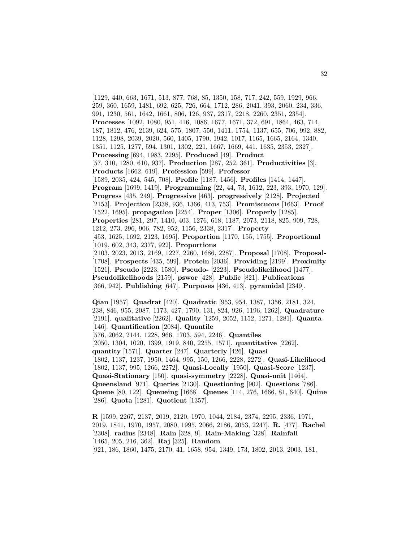[1129, 440, 663, 1671, 513, 877, 768, 85, 1350, 158, 717, 242, 559, 1929, 966, 259, 360, 1659, 1481, 692, 625, 726, 664, 1712, 286, 2041, 393, 2060, 234, 336, 991, 1230, 561, 1642, 1661, 806, 126, 937, 2317, 2218, 2260, 2351, 2354]. **Processes** [1092, 1080, 951, 416, 1086, 1677, 1671, 372, 691, 1864, 463, 714, 187, 1812, 476, 2139, 624, 575, 1807, 550, 1411, 1754, 1137, 655, 706, 992, 882, 1128, 1298, 2039, 2020, 560, 1405, 1790, 1942, 1017, 1165, 1665, 2164, 1340, 1351, 1125, 1277, 594, 1301, 1302, 221, 1667, 1669, 441, 1635, 2353, 2327]. **Processing** [694, 1983, 2295]. **Produced** [49]. **Product** [57, 310, 1280, 610, 937]. **Production** [287, 252, 361]. **Productivities** [3]. **Products** [1662, 619]. **Profession** [599]. **Professor** [1589, 2035, 424, 545, 708]. **Profile** [1187, 1456]. **Profiles** [1414, 1447]. **Program** [1699, 1419]. **Programming** [22, 44, 73, 1612, 223, 393, 1970, 129]. **Progress** [435, 249]. **Progressive** [463]. **progressively** [2128]. **Projected** [2153]. **Projection** [2338, 936, 1366, 413, 753]. **Promiscuous** [1663]. **Proof** [1522, 1695]. **propagation** [2254]. **Proper** [1306]. **Properly** [1285]. **Properties** [281, 297, 1410, 403, 1276, 618, 1187, 2073, 2118, 825, 909, 728, 1212, 273, 296, 906, 782, 952, 1156, 2338, 2317]. **Property** [453, 1625, 1692, 2123, 1695]. **Proportion** [1170, 155, 1755]. **Proportional** [1019, 602, 343, 2377, 922]. **Proportions** [2103, 2023, 2013, 2169, 1227, 2260, 1686, 2287]. **Proposal** [1708]. **Proposal-** [1708]. **Prospects** [435, 599]. **Protein** [2036]. **Providing** [2199]. **Proximity** [1521]. **Pseudo** [2223, 1580]. **Pseudo-** [2223]. **Pseudolikelihood** [1477]. **Pseudolikelihoods** [2159]. **pswor** [428]. **Public** [821]. **Publications** [366, 942]. **Publishing** [647]. **Purposes** [436, 413]. **pyramidal** [2349].

**Qian** [1957]. **Quadrat** [420]. **Quadratic** [953, 954, 1387, 1356, 2181, 324, 238, 846, 955, 2087, 1173, 427, 1790, 131, 824, 926, 1196, 1262]. **Quadrature** [2191]. **qualitative** [2262]. **Quality** [1259, 2052, 1152, 1271, 1281]. **Quanta** [146]. **Quantification** [2084]. **Quantile** [576, 2062, 2144, 1228, 966, 1703, 594, 2246]. **Quantiles** [2050, 1304, 1020, 1399, 1919, 840, 2255, 1571]. **quantitative** [2262]. **quantity** [1571]. **Quarter** [247]. **Quarterly** [426]. **Quasi** [1802, 1137, 1237, 1950, 1464, 995, 150, 1266, 2228, 2272]. **Quasi-Likelihood** [1802, 1137, 995, 1266, 2272]. **Quasi-Locally** [1950]. **Quasi-Score** [1237]. **Quasi-Stationary** [150]. **quasi-symmetry** [2228]. **Quasi-unit** [1464]. **Queensland** [971]. **Queries** [2130]. **Questioning** [902]. **Questions** [786]. **Queue** [80, 122]. **Queueing** [1668]. **Queues** [114, 276, 1666, 81, 640]. **Quine** [286]. **Quota** [1281]. **Quotient** [1357].

**R** [1599, 2267, 2137, 2019, 2120, 1970, 1044, 2184, 2374, 2295, 2336, 1971, 2019, 1841, 1970, 1957, 2080, 1995, 2066, 2186, 2053, 2247]. **R.** [477]. **Rachel** [2308]. **radius** [2348]. **Rain** [328, 9]. **Rain-Making** [328]. **Rainfall** [1465, 205, 216, 362]. **Raj** [325]. **Random** [921, 186, 1860, 1475, 2170, 41, 1658, 954, 1349, 173, 1802, 2013, 2003, 181,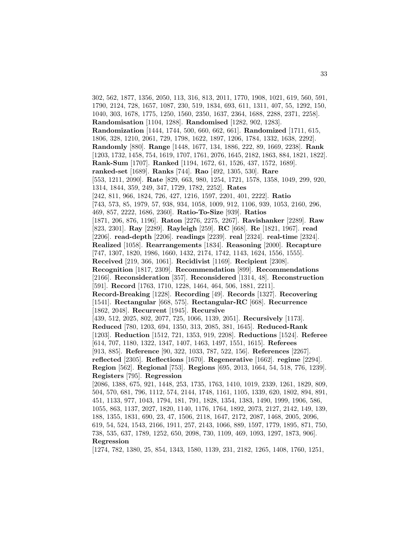302, 562, 1877, 1356, 2050, 113, 316, 813, 2011, 1770, 1908, 1021, 619, 560, 591, 1790, 2124, 728, 1657, 1087, 230, 519, 1834, 693, 611, 1311, 407, 55, 1292, 150, 1040, 303, 1678, 1775, 1250, 1560, 2350, 1637, 2364, 1688, 2288, 2371, 2258]. **Randomisation** [1104, 1288]. **Randomised** [1282, 902, 1283]. **Randomization** [1444, 1744, 500, 660, 662, 661]. **Randomized** [1711, 615, 1806, 328, 1210, 2061, 729, 1798, 1622, 1897, 1206, 1784, 1332, 1638, 2292]. **Randomly** [880]. **Range** [1448, 1677, 134, 1886, 222, 89, 1669, 2238]. **Rank** [1203, 1732, 1458, 754, 1619, 1707, 1761, 2076, 1645, 2182, 1863, 884, 1821, 1822]. **Rank-Sum** [1707]. **Ranked** [1194, 1672, 61, 1526, 437, 1572, 1689]. **ranked-set** [1689]. **Ranks** [744]. **Rao** [492, 1305, 530]. **Rare** [553, 1211, 2090]. **Rate** [829, 663, 980, 1254, 1721, 1578, 1358, 1049, 299, 920, 1314, 1844, 359, 249, 347, 1729, 1782, 2252]. **Rates** [242, 811, 966, 1824, 726, 427, 1216, 1597, 2201, 401, 2222]. **Ratio** [743, 573, 85, 1979, 57, 938, 934, 1058, 1009, 912, 1106, 939, 1053, 2160, 296, 469, 857, 2222, 1686, 2360]. **Ratio-To-Size** [939]. **Ratios** [1871, 206, 876, 1196]. **Raton** [2276, 2275, 2267]. **Ravishanker** [2289]. **Raw** [823, 2301]. **Ray** [2289]. **Rayleigh** [259]. **RC** [668]. **Re** [1821, 1967]. **read** [2206]. **read-depth** [2206]. **readings** [2239]. **real** [2324]. **real-time** [2324]. **Realized** [1058]. **Rearrangements** [1834]. **Reasoning** [2000]. **Recapture** [747, 1307, 1820, 1986, 1660, 1432, 2174, 1742, 1143, 1624, 1556, 1555]. **Received** [219, 366, 1061]. **Recidivist** [1169]. **Recipient** [2308]. **Recognition** [1817, 2309]. **Recommendation** [899]. **Recommendations** [2166]. **Reconsideration** [357]. **Reconsidered** [1314, 48]. **Reconstruction** [591]. **Record** [1763, 1710, 1228, 1464, 464, 506, 1881, 2211]. **Record-Breaking** [1228]. **Recording** [49]. **Records** [1327]. **Recovering** [1541]. **Rectangular** [668, 575]. **Rectangular-RC** [668]. **Recurrence** [1862, 2048]. **Recurrent** [1945]. **Recursive** [439, 512, 2025, 802, 2077, 725, 1066, 1139, 2051]. **Recursively** [1173]. **Reduced** [780, 1203, 694, 1350, 313, 2085, 381, 1645]. **Reduced-Rank** [1203]. **Reduction** [1512, 721, 1353, 919, 2208]. **Reductions** [1524]. **Referee** [614, 707, 1180, 1322, 1347, 1407, 1463, 1497, 1551, 1615]. **Referees** [913, 885]. **Reference** [90, 322, 1033, 787, 522, 156]. **References** [2267]. **reflected** [2305]. **Reflections** [1670]. **Regenerative** [1662]. **regime** [2294]. **Region** [562]. **Regional** [753]. **Regions** [695, 2013, 1664, 54, 518, 776, 1239]. **Registers** [795]. **Regression** [2086, 1388, 675, 921, 1448, 253, 1735, 1763, 1410, 1019, 2339, 1261, 1829, 809, 504, 570, 681, 796, 1112, 574, 2144, 1748, 1161, 1105, 1339, 620, 1802, 894, 891, 451, 1133, 977, 1043, 1794, 181, 791, 1828, 1354, 1383, 1490, 1999, 1906, 586, 1055, 863, 1137, 2027, 1820, 1140, 1176, 1764, 1892, 2073, 2127, 2142, 149, 139, 188, 1355, 1831, 690, 23, 47, 1506, 2118, 1647, 2172, 2087, 1468, 2005, 2096, 619, 54, 524, 1543, 2166, 1911, 257, 2143, 1066, 889, 1597, 1779, 1895, 871, 750, 738, 535, 637, 1789, 1252, 650, 2098, 730, 1109, 469, 1093, 1297, 1873, 906]. **Regression** [1274, 782, 1380, 25, 854, 1343, 1580, 1139, 231, 2182, 1265, 1408, 1760, 1251,

33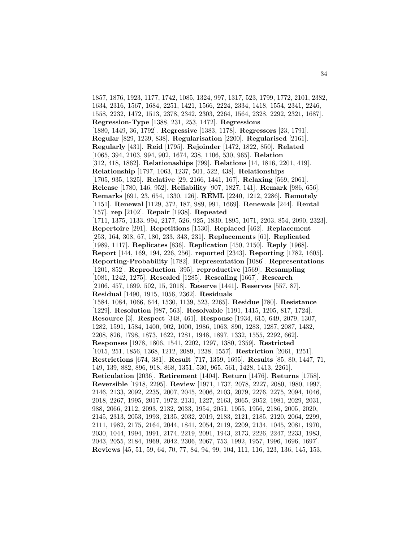1857, 1876, 1923, 1177, 1742, 1085, 1324, 997, 1317, 523, 1799, 1772, 2101, 2382, 1634, 2316, 1567, 1684, 2251, 1421, 1566, 2224, 2334, 1418, 1554, 2341, 2246, 1558, 2232, 1472, 1513, 2378, 2342, 2303, 2264, 1564, 2328, 2292, 2321, 1687]. **Regression-Type** [1388, 231, 253, 1472]. **Regressions** [1880, 1449, 36, 1792]. **Regressive** [1383, 1178]. **Regressors** [23, 1791]. **Regular** [829, 1239, 838]. **Regularisation** [2200]. **Regularised** [2161]. **Regularly** [431]. **Reid** [1795]. **Rejoinder** [1472, 1822, 850]. **Related** [1065, 394, 2103, 994, 902, 1674, 238, 1106, 530, 965]. **Relation** [312, 418, 1862]. **Relationaships** [799]. **Relations** [14, 1816, 2201, 419]. **Relationship** [1797, 1063, 1237, 501, 522, 438]. **Relationships** [1705, 935, 1325]. **Relative** [29, 2166, 1441, 167]. **Relaxing** [569, 2061]. **Release** [1780, 146, 952]. **Reliability** [907, 1827, 141]. **Remark** [986, 656]. **Remarks** [691, 23, 654, 1330, 126]. **REML** [2240, 1212, 2286]. **Remotely** [1151]. **Renewal** [1129, 372, 187, 989, 991, 1669]. **Renewals** [244]. **Rental** [157]. **rep** [2102]. **Repair** [1938]. **Repeated** [1711, 1375, 1133, 994, 2177, 526, 925, 1830, 1895, 1071, 2203, 854, 2090, 2323]. **Repertoire** [291]. **Repetitions** [1530]. **Replaced** [462]. **Replacement** [253, 164, 308, 67, 180, 233, 343, 231]. **Replacements** [61]. **Replicated** [1989, 1117]. **Replicates** [836]. **Replication** [450, 2150]. **Reply** [1968]. **Report** [144, 169, 194, 226, 256]. **reported** [2343]. **Reporting** [1782, 1605]. **Reporting-Probability** [1782]. **Representation** [1086]. **Representations** [1201, 852]. **Reproduction** [395]. **reproductive** [1569]. **Resampling** [1081, 1242, 1275]. **Rescaled** [1285]. **Rescaling** [1667]. **Research** [2106, 457, 1699, 502, 15, 2018]. **Reserve** [1441]. **Reserves** [557, 87]. **Residual** [1490, 1915, 1056, 2362]. **Residuals** [1584, 1084, 1066, 644, 1530, 1139, 523, 2265]. **Residue** [780]. **Resistance** [1229]. **Resolution** [987, 563]. **Resolvable** [1191, 1415, 1205, 817, 1724]. **Resource** [3]. **Respect** [348, 461]. **Response** [1934, 615, 649, 2079, 1307, 1282, 1591, 1584, 1400, 902, 1000, 1986, 1063, 890, 1283, 1287, 2087, 1432, 2208, 826, 1798, 1873, 1622, 1281, 1948, 1897, 1332, 1555, 2292, 662]. **Responses** [1978, 1806, 1541, 2202, 1297, 1380, 2359]. **Restricted** [1015, 251, 1856, 1368, 1212, 2089, 1238, 1557]. **Restriction** [2061, 1251]. **Restrictions** [674, 381]. **Result** [717, 1359, 1695]. **Results** [85, 80, 1447, 71, 149, 139, 882, 896, 918, 868, 1351, 530, 965, 561, 1428, 1413, 2261]. **Reticulation** [2036]. **Retirement** [1404]. **Return** [1476]. **Returns** [1758]. **Reversible** [1918, 2295]. **Review** [1971, 1737, 2078, 2227, 2080, 1980, 1997, 2146, 2133, 2092, 2235, 2007, 2045, 2006, 2103, 2079, 2276, 2275, 2094, 1046, 2018, 2267, 1995, 2017, 1972, 2131, 1227, 2163, 2065, 2052, 1981, 2029, 2031, 988, 2066, 2112, 2093, 2132, 2033, 1954, 2051, 1955, 1956, 2186, 2005, 2020, 2145, 2313, 2053, 1993, 2135, 2032, 2019, 2183, 2121, 2185, 2120, 2064, 2299, 2111, 1982, 2175, 2164, 2044, 1841, 2054, 2119, 2209, 2134, 1045, 2081, 1970, 2030, 1044, 1994, 1991, 2174, 2219, 2091, 1943, 2173, 2226, 2247, 2233, 1983, 2043, 2055, 2184, 1969, 2042, 2306, 2067, 753, 1992, 1957, 1996, 1696, 1697]. **Reviews** [45, 51, 59, 64, 70, 77, 84, 94, 99, 104, 111, 116, 123, 136, 145, 153,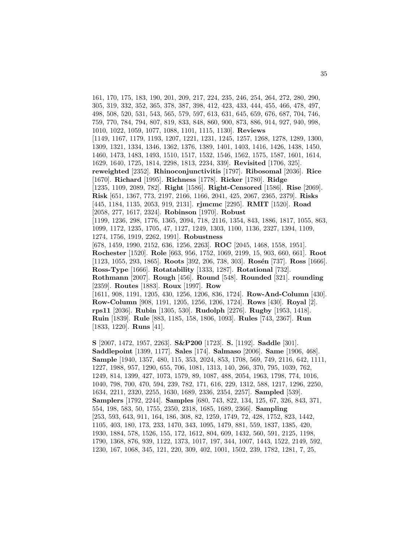161, 170, 175, 183, 190, 201, 209, 217, 224, 235, 246, 254, 264, 272, 280, 290, 305, 319, 332, 352, 365, 378, 387, 398, 412, 423, 433, 444, 455, 466, 478, 497, 498, 508, 520, 531, 543, 565, 579, 597, 613, 631, 645, 659, 676, 687, 704, 746, 759, 770, 784, 794, 807, 819, 833, 848, 860, 900, 873, 886, 914, 927, 940, 998, 1010, 1022, 1059, 1077, 1088, 1101, 1115, 1130]. **Reviews** [1149, 1167, 1179, 1193, 1207, 1221, 1231, 1245, 1257, 1268, 1278, 1289, 1300, 1309, 1321, 1334, 1346, 1362, 1376, 1389, 1401, 1403, 1416, 1426, 1438, 1450, 1460, 1473, 1483, 1493, 1510, 1517, 1532, 1546, 1562, 1575, 1587, 1601, 1614, 1629, 1640, 1725, 1814, 2298, 1813, 2234, 339]. **Revisited** [1706, 325]. **reweighted** [2352]. **Rhinoconjunctivitis** [1797]. **Ribosomal** [2036]. **Rice** [1670]. **Richard** [1995]. **Richness** [1778]. **Ricker** [1780]. **Ridge** [1235, 1109, 2089, 782]. **Right** [1586]. **Right-Censored** [1586]. **Rise** [2069]. **Risk** [651, 1367, 773, 2197, 2166, 1166, 2041, 425, 2067, 2365, 2379]. **Risks** [445, 1184, 1135, 2053, 919, 2131]. **rjmcmc** [2295]. **RMIT** [1520]. **Road** [2058, 277, 1617, 2324]. **Robinson** [1970]. **Robust** [1199, 1236, 298, 1776, 1365, 2094, 718, 2116, 1354, 843, 1886, 1817, 1055, 863, 1099, 1172, 1235, 1705, 47, 1127, 1249, 1303, 1100, 1136, 2327, 1394, 1109, 1274, 1756, 1919, 2262, 1991]. **Robustness** [678, 1459, 1990, 2152, 636, 1256, 2263]. **ROC** [2045, 1468, 1558, 1951]. **Rochester** [1520]. **Role** [663, 956, 1752, 1069, 2199, 15, 903, 660, 661]. **Root** [1123, 1055, 293, 1865]. **Roots** [392, 206, 738, 303]. **Ros´en** [737]. **Ross** [1666]. **Ross-Type** [1666]. **Rotatability** [1333, 1287]. **Rotational** [732]. **Rothmann** [2007]. **Rough** [456]. **Round** [548]. **Rounded** [321]. **rounding** [2359]. **Routes** [1883]. **Roux** [1997]. **Row** [1611, 908, 1191, 1205, 430, 1256, 1206, 836, 1724]. **Row-And-Column** [430]. **Row-Column** [908, 1191, 1205, 1256, 1206, 1724]. **Rows** [430]. **Royal** [2]. **rps11** [2036]. **Rubin** [1305, 530]. **Rudolph** [2276]. **Rugby** [1953, 1418]. **Ruin** [1839]. **Rule** [883, 1185, 158, 1806, 1093]. **Rules** [743, 2367]. **Run** [1833, 1220]. **Runs** [41].

**S** [2007, 1472, 1957, 2263]. **S&P200** [1723]. **S.** [1192]. **Saddle** [301]. **Saddlepoint** [1399, 1177]. **Sales** [174]. **Salmaso** [2006]. **Same** [1906, 468]. **Sample** [1940, 1357, 480, 115, 353, 2024, 853, 1708, 569, 749, 2116, 642, 1111, 1227, 1988, 957, 1290, 655, 706, 1081, 1313, 140, 266, 370, 795, 1039, 762, 1249, 814, 1399, 427, 1073, 1579, 89, 1087, 488, 2054, 1963, 1798, 774, 1016, 1040, 798, 700, 470, 594, 239, 782, 171, 616, 229, 1312, 588, 1217, 1296, 2250, 1634, 2211, 2320, 2255, 1630, 1689, 2336, 2354, 2257]. **Sampled** [539]. **Samplers** [1792, 2244]. **Samples** [680, 743, 822, 134, 125, 67, 326, 843, 371, 554, 198, 583, 50, 1755, 2350, 2318, 1685, 1689, 2366]. **Sampling** [253, 593, 643, 911, 164, 186, 308, 82, 1259, 1749, 72, 428, 1752, 823, 1442, 1105, 403, 180, 173, 233, 1470, 343, 1095, 1479, 881, 559, 1837, 1385, 420, 1930, 1884, 578, 1526, 155, 172, 1612, 804, 609, 1432, 560, 591, 2125, 1198, 1790, 1368, 876, 939, 1122, 1373, 1017, 197, 344, 1007, 1443, 1522, 2149, 592, 1230, 167, 1068, 345, 121, 220, 309, 402, 1001, 1502, 239, 1782, 1281, 7, 25,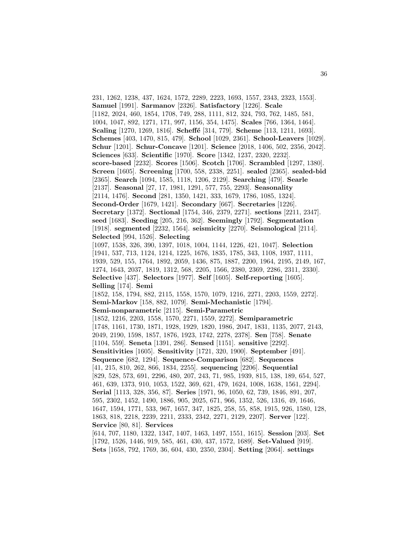231, 1262, 1238, 437, 1624, 1572, 2289, 2223, 1693, 1557, 2343, 2323, 1553]. **Samuel** [1991]. **Sarmanov** [2326]. **Satisfactory** [1226]. **Scale** [1182, 2024, 460, 1854, 1708, 749, 288, 1111, 812, 324, 793, 762, 1485, 581, 1004, 1047, 892, 1271, 171, 997, 1156, 354, 1475]. **Scales** [766, 1364, 1464]. **Scaling** [1270, 1269, 1816]. **Scheff´e** [314, 779]. **Scheme** [113, 1211, 1693]. **Schemes** [403, 1470, 815, 479]. **School** [1029, 2361]. **School-Leavers** [1029]. **Schur** [1201]. **Schur-Concave** [1201]. **Science** [2018, 1406, 502, 2356, 2042]. **Sciences** [633]. **Scientific** [1970]. **Score** [1342, 1237, 2320, 2232]. **score-based** [2232]. **Scores** [1506]. **Scotch** [1706]. **Scrambled** [1297, 1380]. **Screen** [1605]. **Screening** [1700, 558, 2338, 2251]. **sealed** [2365]. **sealed-bid** [2365]. **Search** [1094, 1585, 1118, 1206, 2129]. **Searching** [479]. **Searle** [2137]. **Seasonal** [27, 17, 1981, 1291, 577, 755, 2293]. **Seasonality** [2114, 1476]. **Second** [281, 1350, 1421, 333, 1679, 1786, 1085, 1324]. **Second-Order** [1679, 1421]. **Secondary** [667]. **Secretaries** [1226]. **Secretary** [1372]. **Sectional** [1754, 346, 2379, 2271]. **sections** [2211, 2347]. **seed** [1683]. **Seeding** [205, 216, 362]. **Seemingly** [1792]. **Segmentation** [1918]. **segmented** [2232, 1564]. **seismicity** [2270]. **Seismological** [2114]. **Selected** [994, 1526]. **Selecting** [1097, 1538, 326, 390, 1397, 1018, 1004, 1144, 1226, 421, 1047]. **Selection** [1941, 537, 713, 1124, 1214, 1225, 1676, 1835, 1785, 343, 1108, 1937, 1111, 1939, 529, 155, 1764, 1892, 2059, 1436, 875, 1887, 2200, 1964, 2195, 2149, 167, 1274, 1643, 2037, 1819, 1312, 568, 2205, 1566, 2380, 2369, 2286, 2311, 2330]. **Selective** [437]. **Selectors** [1977]. **Self** [1605]. **Self-reporting** [1605]. **Selling** [174]. **Semi** [1852, 158, 1794, 882, 2115, 1558, 1570, 1079, 1216, 2271, 2203, 1559, 2272]. **Semi-Markov** [158, 882, 1079]. **Semi-Mechanistic** [1794]. **Semi-nonparametric** [2115]. **Semi-Parametric** [1852, 1216, 2203, 1558, 1570, 2271, 1559, 2272]. **Semiparametric** [1748, 1161, 1730, 1871, 1928, 1929, 1820, 1986, 2047, 1831, 1135, 2077, 2143, 2049, 2190, 1598, 1857, 1876, 1923, 1742, 2278, 2378]. **Sen** [758]. **Senate** [1104, 559]. **Seneta** [1391, 286]. **Sensed** [1151]. **sensitive** [2292]. **Sensitivities** [1605]. **Sensitivity** [1721, 320, 1900]. **September** [491]. **Sequence** [682, 1294]. **Sequence-Comparison** [682]. **Sequences** [41, 215, 810, 262, 866, 1834, 2255]. **sequencing** [2206]. **Sequential** [829, 528, 573, 691, 2296, 480, 207, 243, 71, 985, 1939, 815, 138, 189, 654, 527, 461, 639, 1373, 910, 1053, 1522, 369, 621, 479, 1624, 1008, 1638, 1561, 2294]. **Serial** [1113, 328, 356, 87]. **Series** [1971, 96, 1050, 62, 739, 1846, 891, 207, 595, 2302, 1452, 1490, 1886, 905, 2025, 671, 966, 1352, 526, 1316, 49, 1646, 1647, 1594, 1771, 533, 967, 1657, 347, 1825, 258, 55, 858, 1915, 926, 1580, 128, 1863, 818, 2218, 2239, 2211, 2333, 2342, 2271, 2129, 2207]. **Server** [122]. **Service** [80, 81]. **Services** [614, 707, 1180, 1322, 1347, 1407, 1463, 1497, 1551, 1615]. **Session** [203]. **Set** [1792, 1526, 1446, 919, 585, 461, 430, 437, 1572, 1689]. **Set-Valued** [919]. **Sets** [1658, 792, 1769, 36, 604, 430, 2350, 2304]. **Setting** [2064]. **settings**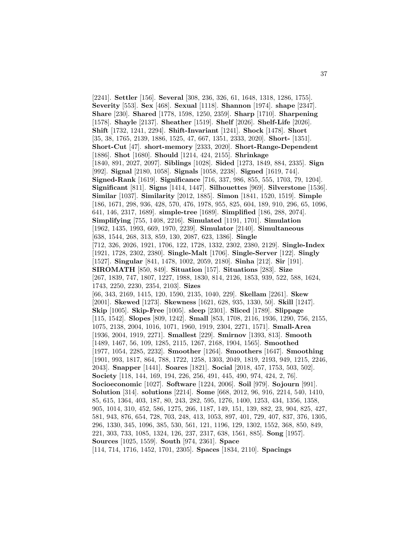[2241]. **Settler** [156]. **Several** [308, 236, 326, 61, 1648, 1318, 1286, 1755]. **Severity** [553]. **Sex** [468]. **Sexual** [1118]. **Shannon** [1974]. **shape** [2347]. **Share** [230]. **Shared** [1778, 1598, 1250, 2359]. **Sharp** [1710]. **Sharpening** [1578]. **Shayle** [2137]. **Sheather** [1519]. **Shelf** [2026]. **Shelf-Life** [2026]. **Shift** [1732, 1241, 2294]. **Shift-Invariant** [1241]. **Shock** [1478]. **Short** [35, 38, 1765, 2139, 1886, 1525, 47, 667, 1351, 2333, 2020]. **Short-** [1351]. **Short-Cut** [47]. **short-memory** [2333, 2020]. **Short-Range-Dependent** [1886]. **Shot** [1680]. **Should** [1214, 424, 2155]. **Shrinkage** [1840, 891, 2027, 2097]. **Siblings** [1028]. **Sided** [1273, 1849, 884, 2335]. **Sign** [992]. **Signal** [2180, 1058]. **Signals** [1058, 2238]. **Signed** [1619, 744]. **Signed-Rank** [1619]. **Significance** [716, 337, 986, 855, 555, 1703, 79, 1204]. **Significant** [811]. **Signs** [1414, 1447]. **Silhouettes** [969]. **Silverstone** [1536]. **Similar** [1037]. **Similarity** [2012, 1885]. **Simon** [1841, 1520, 1519]. **Simple** [186, 1671, 298, 936, 428, 570, 476, 1978, 955, 825, 604, 189, 910, 296, 65, 1096, 641, 146, 2317, 1689]. **simple-tree** [1689]. **Simplified** [186, 288, 2074]. **Simplifying** [755, 1408, 2216]. **Simulated** [1191, 1701]. **Simulation** [1962, 1435, 1993, 669, 1970, 2239]. **Simulator** [2140]. **Simultaneous** [638, 1544, 268, 313, 859, 130, 2087, 623, 1386]. **Single** [712, 326, 2026, 1921, 1706, 122, 1728, 1332, 2302, 2380, 2129]. **Single-Index** [1921, 1728, 2302, 2380]. **Single-Malt** [1706]. **Single-Server** [122]. **Singly** [1527]. **Singular** [841, 1478, 1002, 2059, 2180]. **Sinha** [212]. **Sir** [191]. **SIROMATH** [850, 849]. **Situation** [157]. **Situations** [283]. **Size** [267, 1839, 747, 1807, 1227, 1988, 1830, 814, 2126, 1853, 939, 522, 588, 1624, 1743, 2250, 2230, 2354, 2103]. **Sizes** [66, 343, 2169, 1415, 120, 1590, 2135, 1040, 229]. **Skellam** [2261]. **Skew** [2001]. **Skewed** [1273]. **Skewness** [1621, 628, 935, 1330, 50]. **Skill** [1247]. **Skip** [1005]. **Skip-Free** [1005]. **sleep** [2301]. **Sliced** [1789]. **Slippage** [115, 1542]. **Slopes** [809, 1242]. **Small** [853, 1708, 2116, 1936, 1290, 756, 2155, 1075, 2138, 2004, 1016, 1071, 1960, 1919, 2304, 2271, 1571]. **Small-Area** [1936, 2004, 1919, 2271]. **Smallest** [229]. **Smirnov** [1393, 813]. **Smooth** [1489, 1467, 56, 109, 1285, 2115, 1267, 2168, 1904, 1565]. **Smoothed** [1977, 1054, 2285, 2232]. **Smoother** [1264]. **Smoothers** [1647]. **Smoothing** [1901, 993, 1817, 864, 788, 1722, 1258, 1303, 2049, 1819, 2193, 949, 1215, 2246, 2043]. **Snapper** [1441]. **Soares** [1821]. **Social** [2018, 457, 1753, 503, 502]. **Society** [118, 144, 169, 194, 226, 256, 491, 445, 490, 974, 424, 2, 76]. **Socioeconomic** [1027]. **Software** [1224, 2006]. **Soil** [979]. **Sojourn** [991]. **Solution** [314]. **solutions** [2214]. **Some** [668, 2012, 96, 916, 2214, 540, 1410, 85, 615, 1364, 403, 187, 80, 243, 282, 595, 1276, 1400, 1253, 434, 1356, 1358, 905, 1014, 310, 452, 586, 1275, 266, 1187, 149, 151, 139, 882, 23, 904, 825, 427, 581, 943, 876, 654, 728, 703, 248, 413, 1053, 897, 401, 729, 407, 837, 376, 1305, 296, 1330, 345, 1096, 385, 530, 561, 121, 1196, 129, 1302, 1552, 368, 850, 849, 221, 303, 733, 1085, 1324, 126, 237, 2317, 638, 1561, 885]. **Song** [1957]. **Sources** [1025, 1559]. **South** [974, 2361]. **Space** [114, 714, 1716, 1452, 1701, 2305]. **Spaces** [1834, 2110]. **Spacings**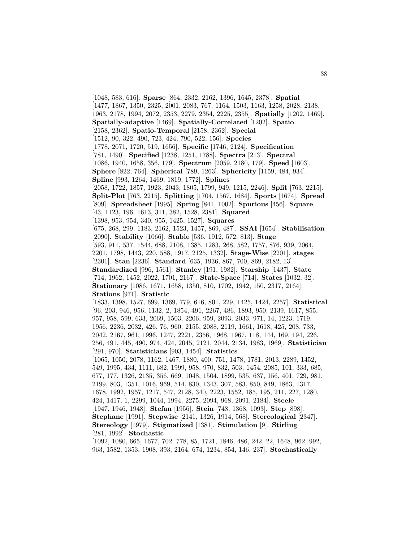[1048, 583, 616]. **Sparse** [864, 2332, 2162, 1396, 1645, 2378]. **Spatial** [1477, 1867, 1350, 2325, 2001, 2083, 767, 1164, 1503, 1163, 1258, 2028, 2138, 1963, 2178, 1994, 2072, 2353, 2279, 2354, 2225, 2355]. **Spatially** [1202, 1469]. **Spatially-adaptive** [1469]. **Spatially-Correlated** [1202]. **Spatio** [2158, 2362]. **Spatio-Temporal** [2158, 2362]. **Special** [1512, 90, 322, 490, 723, 424, 790, 522, 156]. **Species** [1778, 2071, 1720, 519, 1656]. **Specific** [1746, 2124]. **Specification** [781, 1490]. **Specified** [1238, 1251, 1788]. **Spectra** [213]. **Spectral** [1086, 1940, 1658, 356, 179]. **Spectrum** [2059, 2180, 179]. **Speed** [1603]. **Sphere** [822, 764]. **Spherical** [789, 1263]. **Sphericity** [1159, 484, 934]. **Spline** [993, 1264, 1469, 1819, 1772]. **Splines** [2058, 1722, 1857, 1923, 2043, 1805, 1799, 949, 1215, 2246]. **Split** [763, 2215]. **Split-Plot** [763, 2215]. **Splitting** [1704, 1567, 1684]. **Sports** [1674]. **Spread** [809]. **Spreadsheet** [1995]. **Spring** [841, 1002]. **Spurious** [456]. **Square** [43, 1123, 196, 1613, 311, 382, 1528, 2381]. **Squared** [1398, 953, 954, 340, 955, 1425, 1527]. **Squares** [675, 268, 299, 1183, 2162, 1523, 1457, 869, 487]. **SSAI** [1654]. **Stabilisation** [2090]. **Stability** [1066]. **Stable** [536, 1912, 572, 813]. **Stage** [593, 911, 537, 1544, 688, 2108, 1385, 1283, 268, 582, 1757, 876, 939, 2064, 2201, 1798, 1443, 220, 588, 1917, 2125, 1332]. **Stage-Wise** [2201]. **stages** [2301]. **Stan** [2236]. **Standard** [635, 1936, 867, 700, 869, 2182, 13]. **Standardized** [996, 1561]. **Stanley** [191, 1982]. **Starship** [1437]. **State** [714, 1962, 1452, 2022, 1701, 2167]. **State-Space** [714]. **States** [1032, 32]. **Stationary** [1086, 1671, 1658, 1350, 810, 1702, 1942, 150, 2317, 2164]. **Stations** [971]. **Statistic** [1833, 1398, 1527, 699, 1369, 779, 616, 801, 229, 1425, 1424, 2257]. **Statistical** [96, 203, 946, 956, 1132, 2, 1854, 491, 2267, 486, 1893, 950, 2139, 1617, 855, 957, 958, 599, 633, 2069, 1503, 2206, 959, 2093, 2033, 971, 14, 1223, 1719, 1956, 2236, 2032, 426, 76, 960, 2155, 2088, 2119, 1661, 1618, 425, 208, 733, 2042, 2167, 961, 1996, 1247, 2221, 2356, 1968, 1967, 118, 144, 169, 194, 226, 256, 491, 445, 490, 974, 424, 2045, 2121, 2044, 2134, 1983, 1969]. **Statistician** [291, 970]. **Statisticians** [903, 1454]. **Statistics** [1065, 1050, 2078, 1162, 1467, 1880, 400, 751, 1478, 1781, 2013, 2289, 1452, 549, 1995, 434, 1111, 682, 1999, 958, 970, 832, 503, 1454, 2085, 101, 333, 685, 677, 177, 1326, 2135, 356, 669, 1048, 1504, 1899, 535, 637, 156, 401, 729, 981, 2199, 803, 1351, 1016, 969, 514, 830, 1343, 307, 583, 850, 849, 1863, 1317, 1678, 1992, 1957, 1217, 547, 2128, 340, 2223, 1552, 185, 195, 211, 227, 1280, 424, 1417, 1, 2299, 1044, 1994, 2275, 2094, 968, 2091, 2184]. **Steele** [1947, 1946, 1948]. **Stefan** [1956]. **Stein** [748, 1368, 1093]. **Step** [898]. **Stephane** [1991]. **Stepwise** [2141, 1326, 1914, 568]. **Stereological** [2347]. **Stereology** [1979]. **Stigmatized** [1381]. **Stimulation** [9]. **Stirling** [281, 1992]. **Stochastic** [1092, 1080, 665, 1677, 702, 778, 85, 1721, 1846, 486, 242, 22, 1648, 962, 992,

963, 1582, 1353, 1908, 393, 2164, 674, 1234, 854, 146, 237]. **Stochastically**

38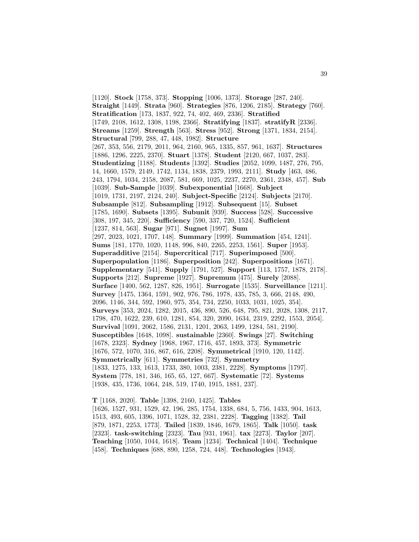[1120]. **Stock** [1758, 373]. **Stopping** [1006, 1373]. **Storage** [287, 240]. **Straight** [1449]. **Strata** [960]. **Strategies** [876, 1206, 2185]. **Strategy** [760]. **Stratification** [173, 1837, 922, 74, 402, 469, 2336]. **Stratified** [1749, 2108, 1612, 1308, 1198, 2366]. **Stratifying** [1837]. **stratifyR** [2336]. **Streams** [1259]. **Strength** [563]. **Stress** [952]. **Strong** [1371, 1834, 2154]. **Structural** [799, 288, 47, 448, 1982]. **Structure** [267, 353, 556, 2179, 2011, 964, 2160, 965, 1335, 857, 961, 1637]. **Structures** [1886, 1296, 2225, 2370]. **Stuart** [1378]. **Student** [2120, 667, 1037, 283]. **Studentizing** [1188]. **Students** [1392]. **Studies** [2052, 1099, 1487, 276, 795, 14, 1660, 1579, 2149, 1742, 1134, 1838, 2379, 1993, 2111]. **Study** [463, 486, 243, 1794, 1034, 2158, 2087, 581, 669, 1025, 2237, 2270, 2361, 2348, 457]. **Sub** [1039]. **Sub-Sample** [1039]. **Subexponential** [1668]. **Subject** [1019, 1731, 2197, 2124, 240]. **Subject-Specific** [2124]. **Subjects** [2170]. **Subsample** [812]. **Subsampling** [1912]. **Subsequent** [15]. **Subset** [1785, 1690]. **Subsets** [1395]. **Subunit** [939]. **Success** [528]. **Successive** [308, 197, 345, 220]. **Sufficiency** [590, 337, 720, 1524]. **Sufficient** [1237, 814, 563]. **Sugar** [971]. **Sugnet** [1997]. **Sum** [297, 2023, 1021, 1707, 148]. **Summary** [1999]. **Summation** [454, 1241]. **Sums** [181, 1770, 1020, 1148, 996, 840, 2265, 2253, 1561]. **Super** [1953]. **Superadditive** [2154]. **Supercritical** [717]. **Superimposed** [500]. **Superpopulation** [1186]. **Superposition** [242]. **Superpositions** [1671]. **Supplementary** [541]. **Supply** [1791, 527]. **Support** [113, 1757, 1878, 2178]. **Supports** [212]. **Supreme** [1927]. **Supremum** [475]. **Surely** [2088]. **Surface** [1400, 562, 1287, 826, 1951]. **Surrogate** [1535]. **Surveillance** [1211]. **Survey** [1475, 1364, 1591, 902, 976, 786, 1978, 435, 785, 3, 666, 2148, 490, 2096, 1146, 344, 592, 1960, 975, 354, 734, 2250, 1033, 1031, 1025, 354]. **Surveys** [353, 2024, 1282, 2015, 436, 890, 526, 648, 795, 821, 2028, 1308, 2117, 1798, 470, 1622, 239, 610, 1281, 854, 320, 2090, 1634, 2319, 2292, 1553, 2054]. **Survival** [1091, 2062, 1586, 2131, 1201, 2063, 1499, 1284, 581, 2190]. **Susceptibles** [1648, 1098]. **sustainable** [2360]. **Swings** [27]. **Switching** [1678, 2323]. **Sydney** [1968, 1967, 1716, 457, 1893, 373]. **Symmetric** [1676, 572, 1070, 316, 867, 616, 2208]. **Symmetrical** [1910, 120, 1142]. **Symmetrically** [611]. **Symmetries** [732]. **Symmetry** [1833, 1275, 133, 1613, 1733, 380, 1003, 2381, 2228]. **Symptoms** [1797]. **System** [778, 181, 346, 165, 65, 127, 667]. **Systematic** [72]. **Systems** [1938, 435, 1736, 1064, 248, 519, 1740, 1915, 1881, 237].

**T** [1168, 2020]. **Table** [1398, 2160, 1425]. **Tables** [1626, 1527, 931, 1529, 42, 196, 285, 1754, 1338, 684, 5, 756, 1433, 904, 1613, 1513, 493, 605, 1396, 1071, 1528, 32, 2381, 2228]. **Tagging** [1382]. **Tail** [879, 1871, 2253, 1773]. **Tailed** [1839, 1846, 1679, 1865]. **Talk** [1050]. **task** [2323]. **task-switching** [2323]. **Tau** [931, 1961]. **tax** [2273]. **Taylor** [207]. **Teaching** [1050, 1044, 1618]. **Team** [1234]. **Technical** [1404]. **Technique** [458]. **Techniques** [688, 890, 1258, 724, 448]. **Technologies** [1943].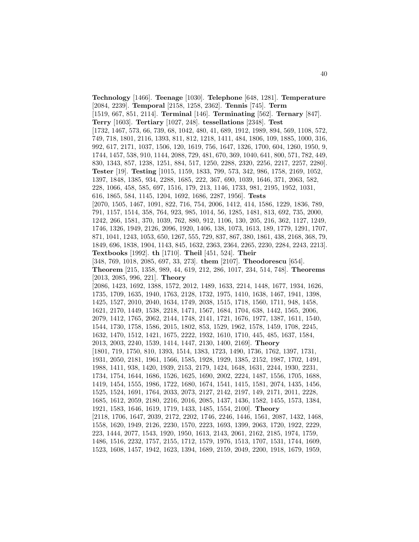**Technology** [1466]. **Teenage** [1030]. **Telephone** [648, 1281]. **Temperature** [2084, 2239]. **Temporal** [2158, 1258, 2362]. **Tennis** [745]. **Term** [1519, 667, 851, 2114]. **Terminal** [146]. **Terminating** [562]. **Ternary** [847]. **Terry** [1603]. **Tertiary** [1027, 248]. **tessellations** [2348]. **Test** [1732, 1467, 573, 66, 739, 68, 1042, 480, 41, 689, 1912, 1989, 894, 569, 1108, 572, 749, 718, 1801, 2116, 1393, 811, 812, 1218, 1411, 484, 1806, 109, 1885, 1000, 316, 992, 617, 2171, 1037, 1506, 120, 1619, 756, 1647, 1326, 1700, 604, 1260, 1950, 9, 1744, 1457, 538, 910, 1144, 2088, 729, 481, 670, 369, 1040, 641, 800, 571, 782, 449, 830, 1343, 857, 1238, 1251, 884, 517, 1250, 2288, 2320, 2256, 2217, 2257, 2280]. **Tester** [19]. **Testing** [1015, 1159, 1833, 799, 573, 342, 986, 1758, 2169, 1052, 1397, 1848, 1385, 934, 2288, 1685, 222, 367, 690, 1039, 1646, 371, 2063, 582, 228, 1066, 458, 585, 697, 1516, 179, 213, 1146, 1733, 981, 2195, 1952, 1031, 616, 1865, 584, 1145, 1204, 1692, 1686, 2287, 1956]. **Tests** [2070, 1505, 1467, 1091, 822, 716, 754, 2006, 1412, 414, 1586, 1229, 1836, 789, 791, 1157, 1514, 358, 764, 923, 985, 1014, 56, 1285, 1481, 813, 692, 735, 2000, 1242, 266, 1581, 370, 1039, 762, 880, 912, 1106, 130, 205, 216, 362, 1127, 1249, 1746, 1326, 1949, 2126, 2096, 1920, 1406, 138, 1073, 1613, 189, 1779, 1291, 1707, 871, 1041, 1243, 1053, 650, 1267, 555, 729, 837, 867, 380, 1861, 438, 2168, 368, 79, 1849, 696, 1838, 1904, 1143, 845, 1632, 2363, 2364, 2265, 2230, 2284, 2243, 2213]. **Textbooks** [1992]. **th** [1710]. **Theil** [451, 524]. **Their** [348, 769, 1018, 2085, 697, 33, 273]. **them** [2107]. **Theodorescu** [654]. **Theorem** [215, 1358, 989, 44, 619, 212, 286, 1017, 234, 514, 748]. **Theorems** [2013, 2085, 996, 221]. **Theory** [2086, 1423, 1692, 1388, 1572, 2012, 1489, 1633, 2214, 1448, 1677, 1934, 1626, 1735, 1709, 1635, 1940, 1763, 2128, 1732, 1975, 1410, 1638, 1467, 1941, 1398, 1425, 1527, 2010, 2040, 1634, 1749, 2038, 1515, 1718, 1560, 1711, 948, 1458, 1621, 2170, 1449, 1538, 2218, 1471, 1567, 1684, 1704, 638, 1442, 1565, 2006, 2079, 1412, 1765, 2062, 2144, 1748, 2141, 1721, 1676, 1977, 1387, 1611, 1540, 1544, 1730, 1758, 1586, 2015, 1802, 853, 1529, 1962, 1578, 1459, 1708, 2245, 1632, 1470, 1512, 1421, 1675, 2222, 1932, 1610, 1710, 445, 485, 1637, 1584, 2013, 2003, 2240, 1539, 1414, 1447, 2130, 1400, 2169]. **Theory** [1801, 719, 1750, 810, 1393, 1514, 1383, 1723, 1490, 1736, 1762, 1397, 1731, 1931, 2050, 2181, 1961, 1566, 1585, 1928, 1929, 1385, 2152, 1987, 1702, 1491, 1988, 1411, 938, 1420, 1939, 2153, 2179, 1424, 1648, 1631, 2244, 1930, 2231, 1734, 1754, 1644, 1686, 1526, 1625, 1690, 2002, 2224, 1487, 1556, 1705, 1688, 1419, 1454, 1555, 1986, 1722, 1680, 1674, 1541, 1415, 1581, 2074, 1435, 1456, 1525, 1524, 1691, 1764, 2033, 2073, 2127, 2142, 2197, 149, 2171, 2011, 2228, 1685, 1612, 2059, 2180, 2216, 2016, 2085, 1437, 1436, 1582, 1455, 1573, 1384, 1921, 1583, 1646, 1619, 1719, 1433, 1485, 1554, 2100]. **Theory** [2118, 1706, 1647, 2039, 2172, 2202, 1746, 2246, 1446, 1561, 2087, 1432, 1468, 1558, 1620, 1949, 2126, 2230, 1570, 2223, 1693, 1399, 2063, 1720, 1922, 2229, 223, 1444, 2077, 1543, 1920, 1950, 1613, 2143, 2061, 2162, 2185, 1974, 1759, 1486, 1516, 2232, 1757, 2155, 1712, 1579, 1976, 1513, 1707, 1531, 1744, 1609, 1523, 1608, 1457, 1942, 1623, 1394, 1689, 2159, 2049, 2200, 1918, 1679, 1959,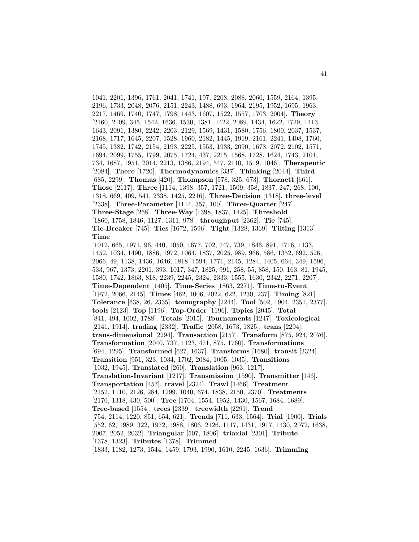1041, 2201, 1396, 1761, 2041, 1741, 197, 2208, 2088, 2060, 1559, 2164, 1395, 2196, 1733, 2048, 2076, 2151, 2243, 1488, 693, 1964, 2195, 1952, 1695, 1963, 2217, 1469, 1740, 1747, 1798, 1443, 1607, 1522, 1557, 1703, 2004]. **Theory** [2160, 2109, 345, 1542, 1636, 1530, 1381, 1422, 2089, 1434, 1622, 1729, 1413, 1643, 2091, 1380, 2242, 2203, 2129, 1569, 1431, 1580, 1756, 1800, 2037, 1537, 2168, 1717, 1645, 2207, 1528, 1960, 2182, 1445, 1919, 2161, 2241, 1408, 1760, 1745, 1382, 1742, 2154, 2193, 2225, 1553, 1933, 2090, 1678, 2072, 2102, 1571, 1694, 2099, 1755, 1799, 2075, 1724, 437, 2215, 1568, 1728, 1624, 1743, 2101, 734, 1687, 1951, 2014, 2213, 1386, 2194, 547, 2110, 1519, 1046]. **Therapeutic** [2084]. **There** [1720]. **Thermodynamics** [337]. **Thinking** [2044]. **Third** [685, 2299]. **Thomas** [420]. **Thompson** [578, 325, 673]. **Thornett** [661]. **Those** [2117]. **Three** [1114, 1398, 357, 1721, 1509, 358, 1837, 247, 268, 100, 1318, 669, 409, 541, 2338, 1425, 2216]. **Three-Decision** [1318]. **three-level** [2338]. **Three-Parameter** [1114, 357, 100]. **Three-Quarter** [247]. **Three-Stage** [268]. **Three-Way** [1398, 1837, 1425]. **Threshold** [1860, 1758, 1846, 1127, 1311, 978]. **throughput** [2362]. **Tie** [745]. **Tie-Breaker** [745]. **Ties** [1672, 1596]. **Tight** [1328, 1369]. **Tilting** [1313]. **Time** [1012, 665, 1971, 96, 440, 1050, 1677, 702, 747, 739, 1846, 891, 1716, 1133, 1452, 1034, 1490, 1886, 1972, 1064, 1837, 2025, 989, 966, 586, 1352, 692, 526, 2066, 49, 1138, 1436, 1646, 1818, 1594, 1771, 2145, 1284, 1405, 664, 349, 1596, 533, 967, 1373, 2201, 393, 1017, 347, 1825, 991, 258, 55, 858, 150, 163, 81, 1945, 1580, 1742, 1863, 818, 2239, 2245, 2324, 2333, 1555, 1630, 2342, 2271, 2207]. **Time-Dependent** [1405]. **Time-Series** [1863, 2271]. **Time-to-Event** [1972, 2066, 2145]. **Times** [462, 1006, 2022, 622, 1230, 237]. **Timing** [821]. **Tolerance** [638, 26, 2335]. **tomography** [2244]. **Tool** [502, 1904, 2351, 2377]. **tools** [2123]. **Top** [1196]. **Top-Order** [1196]. **Topics** [2045]. **Total** [841, 494, 1002, 1788]. **Totals** [2015]. **Tournaments** [1247]. **Toxicological** [2141, 1914]. **trading** [2332]. **Traffic** [2058, 1673, 1825]. **trans** [2294]. **trans-dimensional** [2294]. **Transaction** [2157]. **Transform** [875, 924, 2076]. **Transformation** [2040, 737, 1123, 471, 875, 1760]. **Transformations** [694, 1295]. **Transformed** [627, 1637]. **Transforms** [1680]. **transit** [2324]. **Transition** [951, 323, 1034, 1702, 2084, 1005, 1035]. **Transitions** [1032, 1945]. **Translated** [260]. **Translation** [963, 1217]. **Translation-Invariant** [1217]. **Transmission** [1590]. **Transmitter** [146]. **Transportation** [457]. **travel** [2324]. **Trawl** [1466]. **Treatment** [2152, 1110, 2126, 284, 1299, 1040, 674, 1838, 2150, 2370]. **Treatments** [2170, 1318, 430, 500]. **Tree** [1704, 1554, 1952, 1430, 1567, 1684, 1689]. **Tree-based** [1554]. **trees** [2339]. **treewidth** [2291]. **Trend** [754, 2114, 1220, 851, 654, 621]. **Trends** [711, 633, 1564]. **Trial** [1900]. **Trials** [552, 62, 1989, 322, 1972, 1988, 1806, 2126, 1117, 1431, 1917, 1430, 2072, 1638, 2007, 2052, 2032]. **Triangular** [507, 1806]. **triaxial** [2301]. **Tribute** [1378, 1323]. **Tributes** [1378]. **Trimmed** [1833, 1182, 1273, 1544, 1459, 1793, 1990, 1610, 2245, 1636]. **Trimming**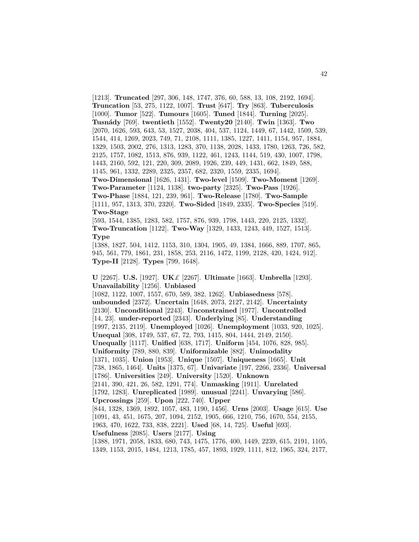[1213]. **Truncated** [297, 306, 148, 1747, 376, 60, 588, 13, 108, 2192, 1694]. **Truncation** [53, 275, 1122, 1007]. **Trust** [647]. **Try** [863]. **Tuberculosis** [1000]. **Tumor** [522]. **Tumours** [1605]. **Tuned** [1844]. **Turning** [2025]. **Tusn´ady** [769]. **twentieth** [1552]. **Twenty20** [2140]. **Twin** [1363]. **Two** [2070, 1626, 593, 643, 53, 1527, 2038, 404, 537, 1124, 1449, 67, 1442, 1509, 539, 1544, 414, 1269, 2023, 749, 71, 2108, 1111, 1385, 1227, 1411, 1154, 957, 1884, 1329, 1503, 2002, 276, 1313, 1283, 370, 1138, 2028, 1433, 1780, 1263, 726, 582, 2125, 1757, 1082, 1513, 876, 939, 1122, 461, 1243, 1144, 519, 430, 1007, 1798, 1443, 2160, 592, 121, 220, 309, 2089, 1926, 239, 449, 1431, 662, 1849, 588, 1145, 961, 1332, 2289, 2325, 2357, 682, 2320, 1559, 2335, 1694]. **Two-Dimensional** [1626, 1431]. **Two-level** [1509]. **Two-Moment** [1269]. **Two-Parameter** [1124, 1138]. **two-party** [2325]. **Two-Pass** [1926]. **Two-Phase** [1884, 121, 239, 961]. **Two-Release** [1780]. **Two-Sample** [1111, 957, 1313, 370, 2320]. **Two-Sided** [1849, 2335]. **Two-Species** [519]. **Two-Stage**

[593, 1544, 1385, 1283, 582, 1757, 876, 939, 1798, 1443, 220, 2125, 1332]. **Two-Truncation** [1122]. **Two-Way** [1329, 1433, 1243, 449, 1527, 1513]. **Type**

[1388, 1827, 504, 1412, 1153, 310, 1304, 1905, 49, 1384, 1666, 889, 1707, 865, 945, 561, 779, 1861, 231, 1858, 253, 2116, 1472, 1199, 2128, 420, 1424, 912]. **Type-II** [2128]. **Types** [799, 1648].

**U** [2267]. **U.S.** [1927]. **UK**£ [2267]. **Ultimate** [1663]. **Umbrella** [1293]. **Unavailability** [1256]. **Unbiased**

[1082, 1122, 1007, 1557, 670, 589, 382, 1262]. **Unbiasedness** [578]. **unbounded** [2372]. **Uncertain** [1648, 2073, 2127, 2142]. **Uncertainty** [2130]. **Unconditional** [2243]. **Unconstrained** [1977]. **Uncontrolled** [14, 23]. **under-reported** [2343]. **Underlying** [85]. **Understanding** [1997, 2135, 2119]. **Unemployed** [1026]. **Unemployment** [1033, 920, 1025]. **Unequal** [308, 1749, 537, 67, 72, 793, 1415, 804, 1444, 2149, 2150]. **Unequally** [1117]. **Unified** [638, 1717]. **Uniform** [454, 1076, 828, 985]. **Uniformity** [789, 880, 839]. **Uniformizable** [882]. **Unimodality** [1371, 1035]. **Union** [1953]. **Unique** [1507]. **Uniqueness** [1665]. **Unit** [738, 1865, 1464]. **Units** [1375, 67]. **Univariate** [197, 2266, 2336]. **Universal** [1786]. **Universities** [249]. **University** [1520]. **Unknown** [2141, 390, 421, 26, 582, 1291, 774]. **Unmasking** [1911]. **Unrelated** [1792, 1283]. **Unreplicated** [1989]. **unusual** [2241]. **Unvarying** [586]. **Upcrossings** [259]. **Upon** [222, 740]. **Upper** [844, 1328, 1369, 1892, 1057, 483, 1190, 1456]. **Urns** [2003]. **Usage** [615]. **Use** [1091, 43, 451, 1675, 207, 1094, 2152, 1905, 666, 1210, 756, 1670, 554, 2155, 1963, 470, 1622, 733, 838, 2221]. **Used** [68, 14, 725]. **Useful** [693]. **Usefulness** [2085]. **Users** [2177]. **Using** [1388, 1971, 2058, 1833, 680, 743, 1475, 1776, 400, 1449, 2239, 615, 2191, 1105, 1349, 1153, 2015, 1484, 1213, 1785, 457, 1893, 1929, 1111, 812, 1965, 324, 2177,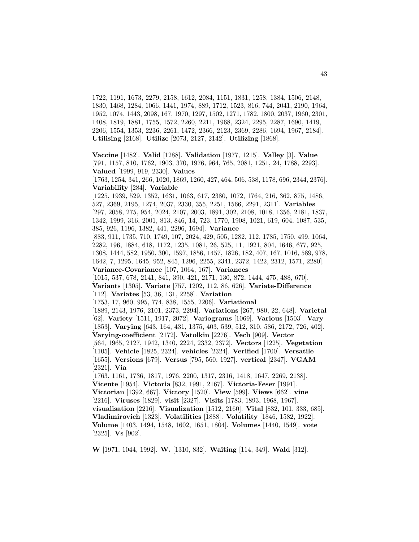1722, 1191, 1673, 2279, 2158, 1612, 2084, 1151, 1831, 1258, 1384, 1506, 2148, 1830, 1468, 1284, 1066, 1441, 1974, 889, 1712, 1523, 816, 744, 2041, 2190, 1964, 1952, 1074, 1443, 2098, 167, 1970, 1297, 1502, 1271, 1782, 1800, 2037, 1960, 2301, 1408, 1819, 1881, 1755, 1572, 2260, 2211, 1968, 2324, 2295, 2287, 1690, 1419, 2206, 1554, 1353, 2236, 2261, 1472, 2366, 2123, 2369, 2286, 1694, 1967, 2184]. **Utilising** [2168]. **Utilize** [2073, 2127, 2142]. **Utilizing** [1868].

**Vaccine** [1482]. **Valid** [1288]. **Validation** [1977, 1215]. **Valley** [3]. **Value** [791, 1157, 810, 1762, 1903, 370, 1976, 964, 765, 2081, 1251, 24, 1788, 2293]. **Valued** [1999, 919, 2330]. **Values**

[1763, 1254, 341, 266, 1020, 1869, 1260, 427, 464, 506, 538, 1178, 696, 2344, 2376]. **Variability** [284]. **Variable**

[1225, 1939, 529, 1352, 1631, 1063, 617, 2380, 1072, 1764, 216, 362, 875, 1486, 527, 2369, 2195, 1274, 2037, 2330, 355, 2251, 1566, 2291, 2311]. **Variables** [297, 2058, 275, 954, 2024, 2107, 2003, 1891, 302, 2108, 1018, 1356, 2181, 1837, 1342, 1999, 316, 2001, 813, 846, 14, 723, 1770, 1908, 1021, 619, 604, 1087, 535, 385, 926, 1196, 1382, 441, 2296, 1694]. **Variance**

[883, 911, 1735, 710, 1749, 107, 2024, 429, 505, 1282, 112, 1785, 1750, 499, 1064, 2282, 196, 1884, 618, 1172, 1235, 1081, 26, 525, 11, 1921, 804, 1646, 677, 925, 1308, 1444, 582, 1950, 300, 1597, 1856, 1457, 1826, 182, 407, 167, 1016, 589, 978, 1642, 7, 1295, 1645, 952, 845, 1296, 2255, 2341, 2372, 1422, 2312, 1571, 2280]. **Variance-Covariance** [107, 1064, 167]. **Variances**

[1015, 537, 678, 2141, 841, 390, 421, 2171, 130, 872, 1444, 475, 488, 670].

**Variants** [1305]. **Variate** [757, 1202, 112, 86, 626]. **Variate-Difference** [112]. **Variates** [53, 36, 131, 2258]. **Variation**

[1753, 17, 960, 995, 774, 838, 1555, 2206]. **Variational**

[1889, 2143, 1976, 2101, 2373, 2294]. **Variations** [267, 980, 22, 648]. **Varietal** [62]. **Variety** [1511, 1917, 2072]. **Variograms** [1069]. **Various** [1503]. **Vary** [1853]. **Varying** [643, 164, 431, 1375, 403, 539, 512, 310, 586, 2172, 726, 402]. **Varying-coefficient** [2172]. **Vatolkin** [2276]. **Vech** [909]. **Vector** [564, 1965, 2127, 1942, 1340, 2224, 2332, 2372]. **Vectors** [1225]. **Vegetation**

[1105]. **Vehicle** [1825, 2324]. **vehicles** [2324]. **Verified** [1700]. **Versatile**

[1655]. **Versions** [679]. **Versus** [795, 560, 1927]. **vertical** [2347]. **VGAM** [2321]. **Via**

[1763, 1161, 1736, 1817, 1976, 2200, 1317, 2316, 1418, 1647, 2269, 2138]. **Vicente** [1954]. **Victoria** [832, 1991, 2167]. **Victoria-Feser** [1991]. **Victorian** [1392, 667]. **Victory** [1520]. **View** [599]. **Views** [662]. **vine** [2216]. **Viruses** [1829]. **visit** [2327]. **Visits** [1783, 1893, 1968, 1967]. **visualisation** [2216]. **Visualization** [1512, 2160]. **Vital** [832, 101, 333, 685]. **Vladimirovich** [1323]. **Volatilities** [1888]. **Volatility** [1846, 1582, 1922]. **Volume** [1403, 1494, 1548, 1602, 1651, 1804]. **Volumes** [1440, 1549]. **vote** [2325]. **Vs** [902].

**W** [1971, 1044, 1992]. **W.** [1310, 832]. **Waiting** [114, 349]. **Wald** [312].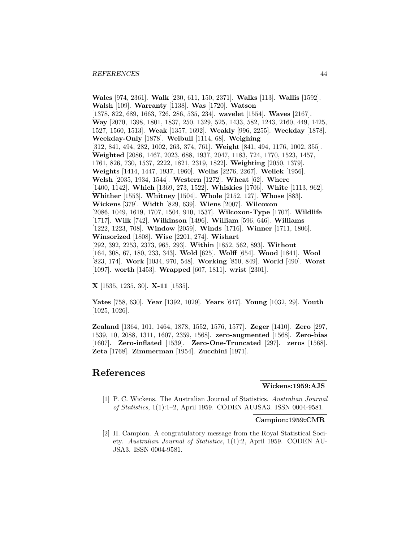**Wales** [974, 2361]. **Walk** [230, 611, 150, 2371]. **Walks** [113]. **Wallis** [1592]. **Walsh** [109]. **Warranty** [1138]. **Was** [1720]. **Watson** [1378, 822, 689, 1663, 726, 286, 535, 234]. **wavelet** [1554]. **Waves** [2167]. **Way** [2070, 1398, 1801, 1837, 250, 1329, 525, 1433, 582, 1243, 2160, 449, 1425, 1527, 1560, 1513]. **Weak** [1357, 1692]. **Weakly** [996, 2255]. **Weekday** [1878]. **Weekday-Only** [1878]. **Weibull** [1114, 68]. **Weighing** [312, 841, 494, 282, 1002, 263, 374, 761]. **Weight** [841, 494, 1176, 1002, 355]. **Weighted** [2086, 1467, 2023, 688, 1937, 2047, 1183, 724, 1770, 1523, 1457, 1761, 826, 730, 1537, 2222, 1821, 2319, 1822]. **Weighting** [2050, 1379]. **Weights** [1414, 1447, 1937, 1960]. **Weihs** [2276, 2267]. **Wellek** [1956]. **Welsh** [2035, 1934, 1544]. **Western** [1272]. **Wheat** [62]. **Where** [1400, 1142]. **Which** [1369, 273, 1522]. **Whiskies** [1706]. **White** [1113, 962]. **Whither** [1553]. **Whitney** [1504]. **Whole** [2152, 127]. **Whose** [883]. **Wickens** [379]. **Width** [829, 639]. **Wiens** [2007]. **Wilcoxon** [2086, 1049, 1619, 1707, 1504, 910, 1537]. **Wilcoxon-Type** [1707]. **Wildlife** [1717]. **Wilk** [742]. **Wilkinson** [1496]. **William** [596, 646]. **Williams** [1222, 1223, 708]. **Window** [2059]. **Winds** [1716]. **Winner** [1711, 1806]. **Winsorized** [1808]. **Wise** [2201, 274]. **Wishart** [292, 392, 2253, 2373, 965, 293]. **Within** [1852, 562, 893]. **Without** [164, 308, 67, 180, 233, 343]. **Wold** [625]. **Wolff** [654]. **Wood** [1841]. **Wool** [823, 174]. **Work** [1034, 970, 548]. **Working** [850, 849]. **World** [490]. **Worst** [1097]. **worth** [1453]. **Wrapped** [607, 1811]. **wrist** [2301].

**X** [1535, 1235, 30]. **X-11** [1535].

**Yates** [758, 630]. **Year** [1392, 1029]. **Years** [647]. **Young** [1032, 29]. **Youth** [1025, 1026].

**Zealand** [1364, 101, 1464, 1878, 1552, 1576, 1577]. **Zeger** [1410]. **Zero** [297, 1539, 10, 2088, 1311, 1607, 2359, 1568]. **zero-augmented** [1568]. **Zero-bias** [1607]. **Zero-inflated** [1539]. **Zero-One-Truncated** [297]. **zeros** [1568]. **Zeta** [1768]. **Zimmerman** [1954]. **Zucchini** [1971].

# **References**

**Wickens:1959:AJS**

[1] P. C. Wickens. The Australian Journal of Statistics. Australian Journal of Statistics, 1(1):1–2, April 1959. CODEN AUJSA3. ISSN 0004-9581.

**Campion:1959:CMR**

[2] H. Campion. A congratulatory message from the Royal Statistical Society. Australian Journal of Statistics, 1(1):2, April 1959. CODEN AU-JSA3. ISSN 0004-9581.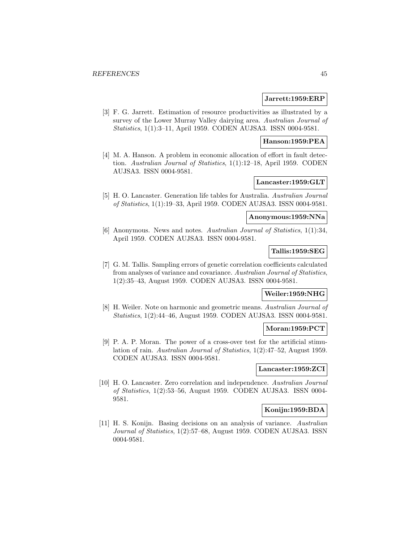### **Jarrett:1959:ERP**

[3] F. G. Jarrett. Estimation of resource productivities as illustrated by a survey of the Lower Murray Valley dairying area. Australian Journal of Statistics, 1(1):3–11, April 1959. CODEN AUJSA3. ISSN 0004-9581.

### **Hanson:1959:PEA**

[4] M. A. Hanson. A problem in economic allocation of effort in fault detection. Australian Journal of Statistics, 1(1):12–18, April 1959. CODEN AUJSA3. ISSN 0004-9581.

# **Lancaster:1959:GLT**

[5] H. O. Lancaster. Generation life tables for Australia. Australian Journal of Statistics, 1(1):19–33, April 1959. CODEN AUJSA3. ISSN 0004-9581.

### **Anonymous:1959:NNa**

[6] Anonymous. News and notes. Australian Journal of Statistics, 1(1):34, April 1959. CODEN AUJSA3. ISSN 0004-9581.

# **Tallis:1959:SEG**

[7] G. M. Tallis. Sampling errors of genetic correlation coefficients calculated from analyses of variance and covariance. Australian Journal of Statistics, 1(2):35–43, August 1959. CODEN AUJSA3. ISSN 0004-9581.

# **Weiler:1959:NHG**

[8] H. Weiler. Note on harmonic and geometric means. Australian Journal of Statistics, 1(2):44–46, August 1959. CODEN AUJSA3. ISSN 0004-9581.

#### **Moran:1959:PCT**

[9] P. A. P. Moran. The power of a cross-over test for the artificial stimulation of rain. Australian Journal of Statistics, 1(2):47–52, August 1959. CODEN AUJSA3. ISSN 0004-9581.

### **Lancaster:1959:ZCI**

[10] H. O. Lancaster. Zero correlation and independence. Australian Journal of Statistics, 1(2):53–56, August 1959. CODEN AUJSA3. ISSN 0004- 9581.

### **Konijn:1959:BDA**

[11] H. S. Konijn. Basing decisions on an analysis of variance. Australian Journal of Statistics, 1(2):57–68, August 1959. CODEN AUJSA3. ISSN 0004-9581.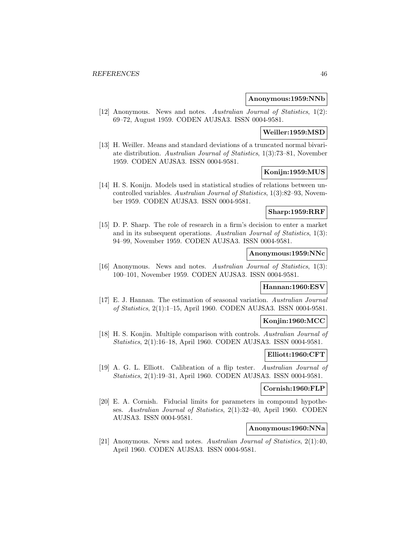### **Anonymous:1959:NNb**

[12] Anonymous. News and notes. Australian Journal of Statistics, 1(2): 69–72, August 1959. CODEN AUJSA3. ISSN 0004-9581.

# **Weiller:1959:MSD**

[13] H. Weiller. Means and standard deviations of a truncated normal bivariate distribution. Australian Journal of Statistics, 1(3):73–81, November 1959. CODEN AUJSA3. ISSN 0004-9581.

# **Konijn:1959:MUS**

[14] H. S. Konijn. Models used in statistical studies of relations between uncontrolled variables. Australian Journal of Statistics, 1(3):82–93, November 1959. CODEN AUJSA3. ISSN 0004-9581.

#### **Sharp:1959:RRF**

[15] D. P. Sharp. The role of research in a firm's decision to enter a market and in its subsequent operations. Australian Journal of Statistics, 1(3): 94–99, November 1959. CODEN AUJSA3. ISSN 0004-9581.

# **Anonymous:1959:NNc**

[16] Anonymous. News and notes. Australian Journal of Statistics, 1(3): 100–101, November 1959. CODEN AUJSA3. ISSN 0004-9581.

#### **Hannan:1960:ESV**

[17] E. J. Hannan. The estimation of seasonal variation. Australian Journal of Statistics, 2(1):1–15, April 1960. CODEN AUJSA3. ISSN 0004-9581.

## **Konjin:1960:MCC**

[18] H. S. Konjin. Multiple comparison with controls. Australian Journal of Statistics, 2(1):16–18, April 1960. CODEN AUJSA3. ISSN 0004-9581.

### **Elliott:1960:CFT**

[19] A. G. L. Elliott. Calibration of a flip tester. Australian Journal of Statistics, 2(1):19–31, April 1960. CODEN AUJSA3. ISSN 0004-9581.

## **Cornish:1960:FLP**

[20] E. A. Cornish. Fiducial limits for parameters in compound hypotheses. Australian Journal of Statistics, 2(1):32–40, April 1960. CODEN AUJSA3. ISSN 0004-9581.

# **Anonymous:1960:NNa**

[21] Anonymous. News and notes. Australian Journal of Statistics, 2(1):40, April 1960. CODEN AUJSA3. ISSN 0004-9581.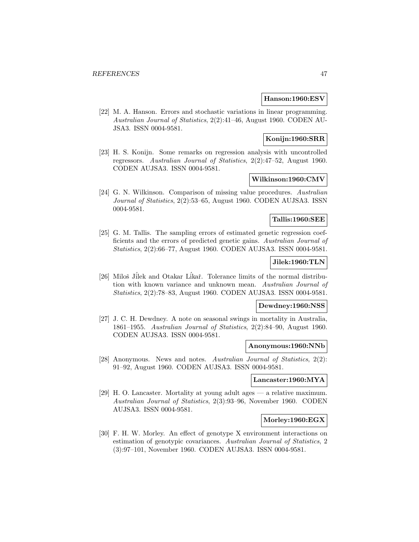#### **Hanson:1960:ESV**

[22] M. A. Hanson. Errors and stochastic variations in linear programming. Australian Journal of Statistics, 2(2):41–46, August 1960. CODEN AU-JSA3. ISSN 0004-9581.

# **Konijn:1960:SRR**

[23] H. S. Konijn. Some remarks on regression analysis with uncontrolled regressors. Australian Journal of Statistics, 2(2):47–52, August 1960. CODEN AUJSA3. ISSN 0004-9581.

# **Wilkinson:1960:CMV**

[24] G. N. Wilkinson. Comparison of missing value procedures. Australian Journal of Statistics, 2(2):53–65, August 1960. CODEN AUJSA3. ISSN 0004-9581.

#### **Tallis:1960:SEE**

[25] G. M. Tallis. The sampling errors of estimated genetic regression coefficients and the errors of predicted genetic gains. Australian Journal of Statistics, 2(2):66–77, August 1960. CODEN AUJSA3. ISSN 0004-9581.

# **Jilek:1960:TLN**

[26] Miloš Jilek and Otakar Likař. Tolerance limits of the normal distribution with known variance and unknown mean. Australian Journal of Statistics, 2(2):78–83, August 1960. CODEN AUJSA3. ISSN 0004-9581.

# **Dewdney:1960:NSS**

[27] J. C. H. Dewdney. A note on seasonal swings in mortality in Australia, 1861–1955. Australian Journal of Statistics, 2(2):84–90, August 1960. CODEN AUJSA3. ISSN 0004-9581.

#### **Anonymous:1960:NNb**

[28] Anonymous. News and notes. Australian Journal of Statistics, 2(2): 91–92, August 1960. CODEN AUJSA3. ISSN 0004-9581.

## **Lancaster:1960:MYA**

[29] H. O. Lancaster. Mortality at young adult ages — a relative maximum. Australian Journal of Statistics, 2(3):93–96, November 1960. CODEN AUJSA3. ISSN 0004-9581.

### **Morley:1960:EGX**

[30] F. H. W. Morley. An effect of genotype X environment interactions on estimation of genotypic covariances. Australian Journal of Statistics, 2 (3):97–101, November 1960. CODEN AUJSA3. ISSN 0004-9581.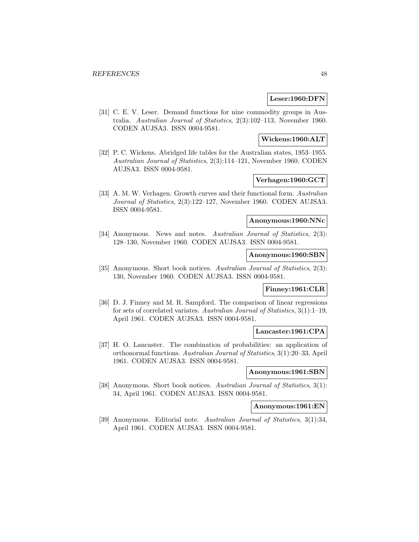### **Leser:1960:DFN**

[31] C. E. V. Leser. Demand functions for nine commodity groups in Australia. Australian Journal of Statistics, 2(3):102–113, November 1960. CODEN AUJSA3. ISSN 0004-9581.

### **Wickens:1960:ALT**

[32] P. C. Wickens. Abridged life tables for the Australian states, 1953–1955. Australian Journal of Statistics, 2(3):114–121, November 1960. CODEN AUJSA3. ISSN 0004-9581.

# **Verhagen:1960:GCT**

[33] A. M. W. Verhagen. Growth curves and their functional form. Australian Journal of Statistics, 2(3):122–127, November 1960. CODEN AUJSA3. ISSN 0004-9581.

### **Anonymous:1960:NNc**

[34] Anonymous. News and notes. Australian Journal of Statistics, 2(3): 128–130, November 1960. CODEN AUJSA3. ISSN 0004-9581.

### **Anonymous:1960:SBN**

[35] Anonymous. Short book notices. Australian Journal of Statistics, 2(3): 130, November 1960. CODEN AUJSA3. ISSN 0004-9581.

# **Finney:1961:CLR**

[36] D. J. Finney and M. R. Sampford. The comparison of linear regressions for sets of correlated variates. Australian Journal of Statistics, 3(1):1–19, April 1961. CODEN AUJSA3. ISSN 0004-9581.

### **Lancaster:1961:CPA**

[37] H. O. Lancaster. The combination of probabilities: an application of orthonormal functions. Australian Journal of Statistics, 3(1):20–33, April 1961. CODEN AUJSA3. ISSN 0004-9581.

### **Anonymous:1961:SBN**

[38] Anonymous. Short book notices. Australian Journal of Statistics, 3(1): 34, April 1961. CODEN AUJSA3. ISSN 0004-9581.

# **Anonymous:1961:EN**

[39] Anonymous. Editorial note. Australian Journal of Statistics, 3(1):34, April 1961. CODEN AUJSA3. ISSN 0004-9581.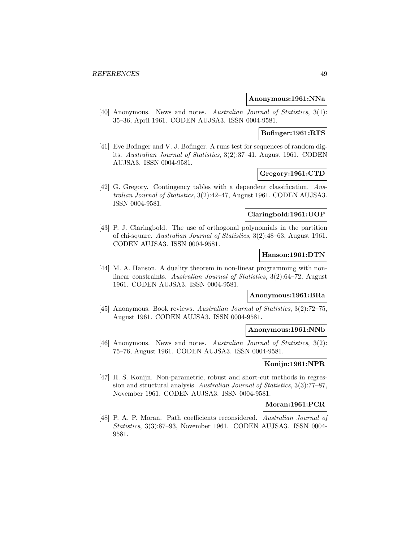### **Anonymous:1961:NNa**

[40] Anonymous. News and notes. Australian Journal of Statistics, 3(1): 35–36, April 1961. CODEN AUJSA3. ISSN 0004-9581.

### **Bofinger:1961:RTS**

[41] Eve Bofinger and V. J. Bofinger. A runs test for sequences of random digits. Australian Journal of Statistics, 3(2):37–41, August 1961. CODEN AUJSA3. ISSN 0004-9581.

# **Gregory:1961:CTD**

[42] G. Gregory. Contingency tables with a dependent classification. Australian Journal of Statistics, 3(2):42–47, August 1961. CODEN AUJSA3. ISSN 0004-9581.

# **Claringbold:1961:UOP**

[43] P. J. Claringbold. The use of orthogonal polynomials in the partition of chi-square. Australian Journal of Statistics, 3(2):48–63, August 1961. CODEN AUJSA3. ISSN 0004-9581.

### **Hanson:1961:DTN**

[44] M. A. Hanson. A duality theorem in non-linear programming with nonlinear constraints. Australian Journal of Statistics, 3(2):64–72, August 1961. CODEN AUJSA3. ISSN 0004-9581.

### **Anonymous:1961:BRa**

[45] Anonymous. Book reviews. Australian Journal of Statistics, 3(2):72–75, August 1961. CODEN AUJSA3. ISSN 0004-9581.

#### **Anonymous:1961:NNb**

[46] Anonymous. News and notes. Australian Journal of Statistics, 3(2): 75–76, August 1961. CODEN AUJSA3. ISSN 0004-9581.

# **Konijn:1961:NPR**

[47] H. S. Konijn. Non-parametric, robust and short-cut methods in regression and structural analysis. Australian Journal of Statistics, 3(3):77–87, November 1961. CODEN AUJSA3. ISSN 0004-9581.

#### **Moran:1961:PCR**

[48] P. A. P. Moran. Path coefficients reconsidered. Australian Journal of Statistics, 3(3):87–93, November 1961. CODEN AUJSA3. ISSN 0004- 9581.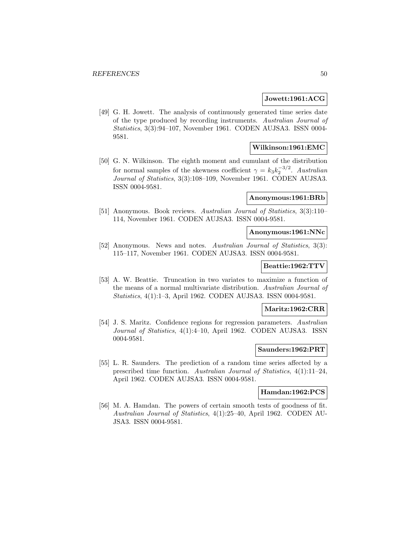### **Jowett:1961:ACG**

[49] G. H. Jowett. The analysis of continuously generated time series date of the type produced by recording instruments. Australian Journal of Statistics, 3(3):94–107, November 1961. CODEN AUJSA3. ISSN 0004- 9581.

# **Wilkinson:1961:EMC**

[50] G. N. Wilkinson. The eighth moment and cumulant of the distribution for normal samples of the skewness coefficient  $\gamma = k_3 k_2^{-3/2}$ . Australian Journal of Statistics, 3(3):108–109, November 1961. CODEN AUJSA3. ISSN 0004-9581.

### **Anonymous:1961:BRb**

[51] Anonymous. Book reviews. Australian Journal of Statistics, 3(3):110– 114, November 1961. CODEN AUJSA3. ISSN 0004-9581.

### **Anonymous:1961:NNc**

[52] Anonymous. News and notes. Australian Journal of Statistics, 3(3): 115–117, November 1961. CODEN AUJSA3. ISSN 0004-9581.

#### **Beattie:1962:TTV**

[53] A. W. Beattie. Truncation in two variates to maximize a function of the means of a normal multivariate distribution. Australian Journal of Statistics, 4(1):1–3, April 1962. CODEN AUJSA3. ISSN 0004-9581.

#### **Maritz:1962:CRR**

[54] J. S. Maritz. Confidence regions for regression parameters. Australian Journal of Statistics, 4(1):4–10, April 1962. CODEN AUJSA3. ISSN 0004-9581.

#### **Saunders:1962:PRT**

[55] L. R. Saunders. The prediction of a random time series affected by a prescribed time function. Australian Journal of Statistics, 4(1):11–24, April 1962. CODEN AUJSA3. ISSN 0004-9581.

### **Hamdan:1962:PCS**

[56] M. A. Hamdan. The powers of certain smooth tests of goodness of fit. Australian Journal of Statistics, 4(1):25–40, April 1962. CODEN AU-JSA3. ISSN 0004-9581.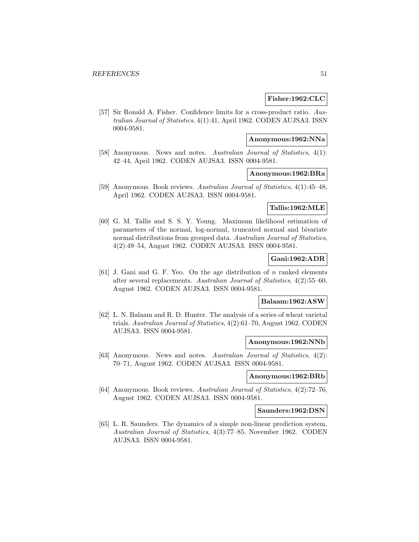### **Fisher:1962:CLC**

[57] Sir Ronald A. Fisher. Confidence limits for a cross-product ratio. Australian Journal of Statistics, 4(1):41, April 1962. CODEN AUJSA3. ISSN 0004-9581.

## **Anonymous:1962:NNa**

[58] Anonymous. News and notes. Australian Journal of Statistics, 4(1): 42–44, April 1962. CODEN AUJSA3. ISSN 0004-9581.

### **Anonymous:1962:BRa**

[59] Anonymous. Book reviews. Australian Journal of Statistics, 4(1):45–48, April 1962. CODEN AUJSA3. ISSN 0004-9581.

# **Tallis:1962:MLE**

[60] G. M. Tallis and S. S. Y. Young. Maximum likelihood estimation of parameters of the normal, log-normal, truncated normal and bivariate normal distributions from grouped data. Australian Journal of Statistics, 4(2):49–54, August 1962. CODEN AUJSA3. ISSN 0004-9581.

# **Gani:1962:ADR**

[61] J. Gani and G. F. Yeo. On the age distribution of n ranked elements after several replacements. Australian Journal of Statistics, 4(2):55–60, August 1962. CODEN AUJSA3. ISSN 0004-9581.

### **Balaam:1962:ASW**

[62] L. N. Balaam and R. D. Hunter. The analysis of a series of wheat varietal trials. Australian Journal of Statistics, 4(2):61–70, August 1962. CODEN AUJSA3. ISSN 0004-9581.

### **Anonymous:1962:NNb**

[63] Anonymous. News and notes. Australian Journal of Statistics, 4(2): 70–71, August 1962. CODEN AUJSA3. ISSN 0004-9581.

# **Anonymous:1962:BRb**

[64] Anonymous. Book reviews. Australian Journal of Statistics, 4(2):72–76, August 1962. CODEN AUJSA3. ISSN 0004-9581.

#### **Saunders:1962:DSN**

[65] L. R. Saunders. The dynamics of a simple non-linear prediction system. Australian Journal of Statistics, 4(3):77–85, November 1962. CODEN AUJSA3. ISSN 0004-9581.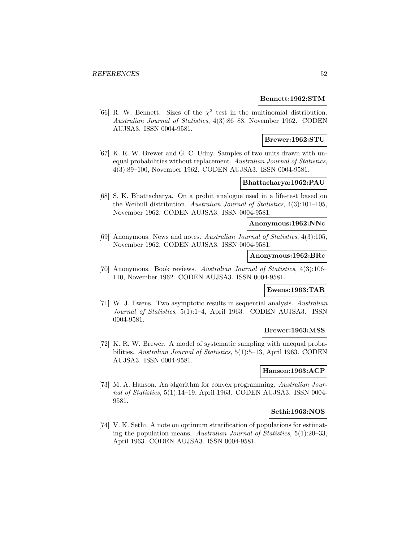### **Bennett:1962:STM**

[66] R. W. Bennett. Sizes of the  $\chi^2$  test in the multinomial distribution. Australian Journal of Statistics, 4(3):86–88, November 1962. CODEN AUJSA3. ISSN 0004-9581.

### **Brewer:1962:STU**

[67] K. R. W. Brewer and G. C. Udny. Samples of two units drawn with unequal probabilities without replacement. Australian Journal of Statistics, 4(3):89–100, November 1962. CODEN AUJSA3. ISSN 0004-9581.

# **Bhattacharya:1962:PAU**

[68] S. K. Bhattacharya. On a probit analogue used in a life-test based on the Weibull distribution. Australian Journal of Statistics, 4(3):101–105, November 1962. CODEN AUJSA3. ISSN 0004-9581.

### **Anonymous:1962:NNc**

[69] Anonymous. News and notes. Australian Journal of Statistics, 4(3):105, November 1962. CODEN AUJSA3. ISSN 0004-9581.

### **Anonymous:1962:BRc**

[70] Anonymous. Book reviews. Australian Journal of Statistics, 4(3):106– 110, November 1962. CODEN AUJSA3. ISSN 0004-9581.

# **Ewens:1963:TAR**

[71] W. J. Ewens. Two asymptotic results in sequential analysis. Australian Journal of Statistics, 5(1):1–4, April 1963. CODEN AUJSA3. ISSN 0004-9581.

## **Brewer:1963:MSS**

[72] K. R. W. Brewer. A model of systematic sampling with unequal probabilities. Australian Journal of Statistics, 5(1):5–13, April 1963. CODEN AUJSA3. ISSN 0004-9581.

### **Hanson:1963:ACP**

[73] M. A. Hanson. An algorithm for convex programming. Australian Journal of Statistics, 5(1):14–19, April 1963. CODEN AUJSA3. ISSN 0004- 9581.

#### **Sethi:1963:NOS**

[74] V. K. Sethi. A note on optimum stratification of populations for estimating the population means. Australian Journal of Statistics, 5(1):20–33, April 1963. CODEN AUJSA3. ISSN 0004-9581.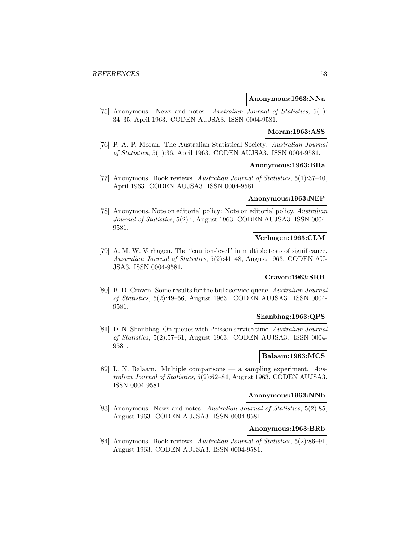### **Anonymous:1963:NNa**

[75] Anonymous. News and notes. Australian Journal of Statistics, 5(1): 34–35, April 1963. CODEN AUJSA3. ISSN 0004-9581.

### **Moran:1963:ASS**

[76] P. A. P. Moran. The Australian Statistical Society. Australian Journal of Statistics, 5(1):36, April 1963. CODEN AUJSA3. ISSN 0004-9581.

#### **Anonymous:1963:BRa**

[77] Anonymous. Book reviews. Australian Journal of Statistics, 5(1):37–40, April 1963. CODEN AUJSA3. ISSN 0004-9581.

### **Anonymous:1963:NEP**

[78] Anonymous. Note on editorial policy: Note on editorial policy. Australian Journal of Statistics, 5(2):i, August 1963. CODEN AUJSA3. ISSN 0004-9581.

### **Verhagen:1963:CLM**

[79] A. M. W. Verhagen. The "caution-level" in multiple tests of significance. Australian Journal of Statistics, 5(2):41–48, August 1963. CODEN AU-JSA3. ISSN 0004-9581.

### **Craven:1963:SRB**

[80] B. D. Craven. Some results for the bulk service queue. Australian Journal of Statistics, 5(2):49–56, August 1963. CODEN AUJSA3. ISSN 0004- 9581.

### **Shanbhag:1963:QPS**

[81] D. N. Shanbhag. On queues with Poisson service time. Australian Journal of Statistics, 5(2):57–61, August 1963. CODEN AUJSA3. ISSN 0004- 9581.

#### **Balaam:1963:MCS**

[82] L. N. Balaam. Multiple comparisons — a sampling experiment. Australian Journal of Statistics, 5(2):62–84, August 1963. CODEN AUJSA3. ISSN 0004-9581.

# **Anonymous:1963:NNb**

[83] Anonymous. News and notes. Australian Journal of Statistics, 5(2):85, August 1963. CODEN AUJSA3. ISSN 0004-9581.

# **Anonymous:1963:BRb**

[84] Anonymous. Book reviews. Australian Journal of Statistics, 5(2):86–91, August 1963. CODEN AUJSA3. ISSN 0004-9581.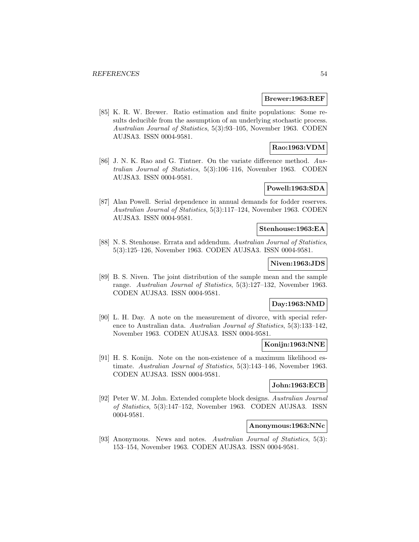#### **Brewer:1963:REF**

[85] K. R. W. Brewer. Ratio estimation and finite populations: Some results deducible from the assumption of an underlying stochastic process. Australian Journal of Statistics, 5(3):93–105, November 1963. CODEN AUJSA3. ISSN 0004-9581.

# **Rao:1963:VDM**

[86] J. N. K. Rao and G. Tintner. On the variate difference method. Australian Journal of Statistics, 5(3):106–116, November 1963. CODEN AUJSA3. ISSN 0004-9581.

# **Powell:1963:SDA**

[87] Alan Powell. Serial dependence in annual demands for fodder reserves. Australian Journal of Statistics, 5(3):117–124, November 1963. CODEN AUJSA3. ISSN 0004-9581.

### **Stenhouse:1963:EA**

[88] N. S. Stenhouse. Errata and addendum. Australian Journal of Statistics, 5(3):125–126, November 1963. CODEN AUJSA3. ISSN 0004-9581.

# **Niven:1963:JDS**

[89] B. S. Niven. The joint distribution of the sample mean and the sample range. Australian Journal of Statistics, 5(3):127–132, November 1963. CODEN AUJSA3. ISSN 0004-9581.

# **Day:1963:NMD**

[90] L. H. Day. A note on the measurement of divorce, with special reference to Australian data. Australian Journal of Statistics, 5(3):133–142, November 1963. CODEN AUJSA3. ISSN 0004-9581.

### **Konijn:1963:NNE**

[91] H. S. Konijn. Note on the non-existence of a maximum likelihood estimate. Australian Journal of Statistics, 5(3):143–146, November 1963. CODEN AUJSA3. ISSN 0004-9581.

# **John:1963:ECB**

[92] Peter W. M. John. Extended complete block designs. Australian Journal of Statistics, 5(3):147–152, November 1963. CODEN AUJSA3. ISSN 0004-9581.

#### **Anonymous:1963:NNc**

[93] Anonymous. News and notes. Australian Journal of Statistics, 5(3): 153–154, November 1963. CODEN AUJSA3. ISSN 0004-9581.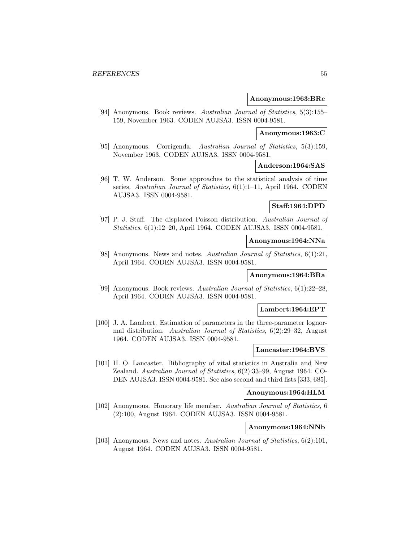#### **Anonymous:1963:BRc**

[94] Anonymous. Book reviews. Australian Journal of Statistics, 5(3):155– 159, November 1963. CODEN AUJSA3. ISSN 0004-9581.

# **Anonymous:1963:C**

[95] Anonymous. Corrigenda. Australian Journal of Statistics, 5(3):159, November 1963. CODEN AUJSA3. ISSN 0004-9581.

### **Anderson:1964:SAS**

[96] T. W. Anderson. Some approaches to the statistical analysis of time series. Australian Journal of Statistics, 6(1):1-11, April 1964. CODEN AUJSA3. ISSN 0004-9581.

# **Staff:1964:DPD**

[97] P. J. Staff. The displaced Poisson distribution. Australian Journal of Statistics, 6(1):12–20, April 1964. CODEN AUJSA3. ISSN 0004-9581.

# **Anonymous:1964:NNa**

[98] Anonymous. News and notes. Australian Journal of Statistics, 6(1):21, April 1964. CODEN AUJSA3. ISSN 0004-9581.

# **Anonymous:1964:BRa**

[99] Anonymous. Book reviews. Australian Journal of Statistics, 6(1):22–28, April 1964. CODEN AUJSA3. ISSN 0004-9581.

### **Lambert:1964:EPT**

[100] J. A. Lambert. Estimation of parameters in the three-parameter lognormal distribution. Australian Journal of Statistics, 6(2):29–32, August 1964. CODEN AUJSA3. ISSN 0004-9581.

# **Lancaster:1964:BVS**

[101] H. O. Lancaster. Bibliography of vital statistics in Australia and New Zealand. Australian Journal of Statistics, 6(2):33–99, August 1964. CO-DEN AUJSA3. ISSN 0004-9581. See also second and third lists [333, 685].

### **Anonymous:1964:HLM**

[102] Anonymous. Honorary life member. Australian Journal of Statistics, 6 (2):100, August 1964. CODEN AUJSA3. ISSN 0004-9581.

### **Anonymous:1964:NNb**

[103] Anonymous. News and notes. Australian Journal of Statistics, 6(2):101, August 1964. CODEN AUJSA3. ISSN 0004-9581.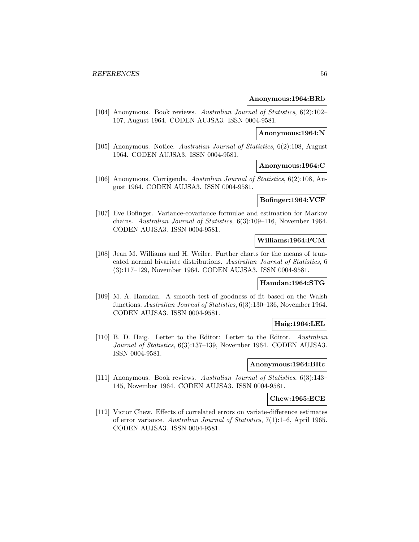### **Anonymous:1964:BRb**

[104] Anonymous. Book reviews. Australian Journal of Statistics, 6(2):102– 107, August 1964. CODEN AUJSA3. ISSN 0004-9581.

### **Anonymous:1964:N**

[105] Anonymous. Notice. Australian Journal of Statistics, 6(2):108, August 1964. CODEN AUJSA3. ISSN 0004-9581.

### **Anonymous:1964:C**

[106] Anonymous. Corrigenda. Australian Journal of Statistics, 6(2):108, August 1964. CODEN AUJSA3. ISSN 0004-9581.

# **Bofinger:1964:VCF**

[107] Eve Bofinger. Variance-covariance formulae and estimation for Markov chains. Australian Journal of Statistics, 6(3):109–116, November 1964. CODEN AUJSA3. ISSN 0004-9581.

# **Williams:1964:FCM**

[108] Jean M. Williams and H. Weiler. Further charts for the means of truncated normal bivariate distributions. Australian Journal of Statistics, 6 (3):117–129, November 1964. CODEN AUJSA3. ISSN 0004-9581.

#### **Hamdan:1964:STG**

[109] M. A. Hamdan. A smooth test of goodness of fit based on the Walsh functions. Australian Journal of Statistics, 6(3):130–136, November 1964. CODEN AUJSA3. ISSN 0004-9581.

### **Haig:1964:LEL**

[110] B. D. Haig. Letter to the Editor: Letter to the Editor. Australian Journal of Statistics, 6(3):137–139, November 1964. CODEN AUJSA3. ISSN 0004-9581.

## **Anonymous:1964:BRc**

[111] Anonymous. Book reviews. Australian Journal of Statistics, 6(3):143– 145, November 1964. CODEN AUJSA3. ISSN 0004-9581.

#### **Chew:1965:ECE**

[112] Victor Chew. Effects of correlated errors on variate-difference estimates of error variance. Australian Journal of Statistics, 7(1):1–6, April 1965. CODEN AUJSA3. ISSN 0004-9581.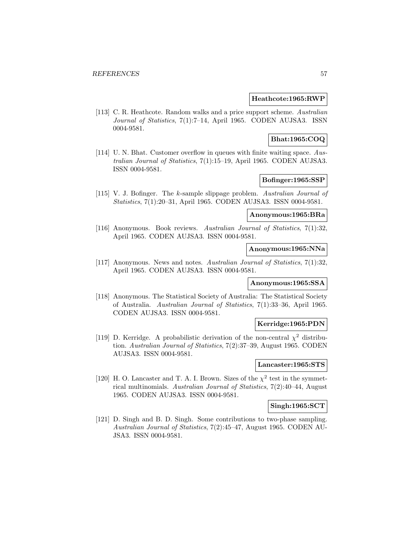## **Heathcote:1965:RWP**

[113] C. R. Heathcote. Random walks and a price support scheme. Australian Journal of Statistics, 7(1):7–14, April 1965. CODEN AUJSA3. ISSN 0004-9581.

# **Bhat:1965:COQ**

[114] U. N. Bhat. Customer overflow in queues with finite waiting space. Australian Journal of Statistics, 7(1):15–19, April 1965. CODEN AUJSA3. ISSN 0004-9581.

# **Bofinger:1965:SSP**

[115] V. J. Bofinger. The k-sample slippage problem. Australian Journal of Statistics, 7(1):20–31, April 1965. CODEN AUJSA3. ISSN 0004-9581.

### **Anonymous:1965:BRa**

[116] Anonymous. Book reviews. Australian Journal of Statistics, 7(1):32, April 1965. CODEN AUJSA3. ISSN 0004-9581.

# **Anonymous:1965:NNa**

[117] Anonymous. News and notes. Australian Journal of Statistics, 7(1):32, April 1965. CODEN AUJSA3. ISSN 0004-9581.

### **Anonymous:1965:SSA**

[118] Anonymous. The Statistical Society of Australia: The Statistical Society of Australia. Australian Journal of Statistics, 7(1):33–36, April 1965. CODEN AUJSA3. ISSN 0004-9581.

# **Kerridge:1965:PDN**

[119] D. Kerridge. A probabilistic derivation of the non-central  $\chi^2$  distribution. Australian Journal of Statistics, 7(2):37–39, August 1965. CODEN AUJSA3. ISSN 0004-9581.

### **Lancaster:1965:STS**

[120] H. O. Lancaster and T. A. I. Brown. Sizes of the  $\chi^2$  test in the symmetrical multinomials. Australian Journal of Statistics, 7(2):40–44, August 1965. CODEN AUJSA3. ISSN 0004-9581.

## **Singh:1965:SCT**

[121] D. Singh and B. D. Singh. Some contributions to two-phase sampling. Australian Journal of Statistics, 7(2):45–47, August 1965. CODEN AU-JSA3. ISSN 0004-9581.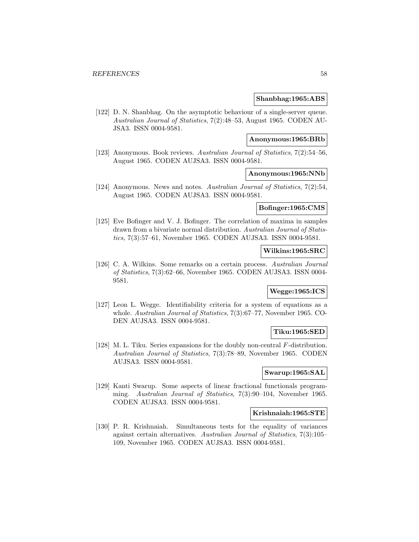#### **Shanbhag:1965:ABS**

[122] D. N. Shanbhag. On the asymptotic behaviour of a single-server queue. Australian Journal of Statistics, 7(2):48–53, August 1965. CODEN AU-JSA3. ISSN 0004-9581.

### **Anonymous:1965:BRb**

[123] Anonymous. Book reviews. Australian Journal of Statistics, 7(2):54–56, August 1965. CODEN AUJSA3. ISSN 0004-9581.

# **Anonymous:1965:NNb**

[124] Anonymous. News and notes. Australian Journal of Statistics, 7(2):54, August 1965. CODEN AUJSA3. ISSN 0004-9581.

### **Bofinger:1965:CMS**

[125] Eve Bofinger and V. J. Bofinger. The correlation of maxima in samples drawn from a bivariate normal distribution. Australian Journal of Statistics, 7(3):57–61, November 1965. CODEN AUJSA3. ISSN 0004-9581.

# **Wilkins:1965:SRC**

[126] C. A. Wilkins. Some remarks on a certain process. Australian Journal of Statistics, 7(3):62–66, November 1965. CODEN AUJSA3. ISSN 0004- 9581.

### **Wegge:1965:ICS**

[127] Leon L. Wegge. Identifiability criteria for a system of equations as a whole. Australian Journal of Statistics, 7(3):67–77, November 1965. CO-DEN AUJSA3. ISSN 0004-9581.

### **Tiku:1965:SED**

[128] M. L. Tiku. Series expansions for the doubly non-central F-distribution. Australian Journal of Statistics, 7(3):78–89, November 1965. CODEN AUJSA3. ISSN 0004-9581.

## **Swarup:1965:SAL**

[129] Kanti Swarup. Some aspects of linear fractional functionals programming. Australian Journal of Statistics, 7(3):90–104, November 1965. CODEN AUJSA3. ISSN 0004-9581.

# **Krishnaiah:1965:STE**

[130] P. R. Krishnaiah. Simultaneous tests for the equality of variances against certain alternatives. Australian Journal of Statistics, 7(3):105– 109, November 1965. CODEN AUJSA3. ISSN 0004-9581.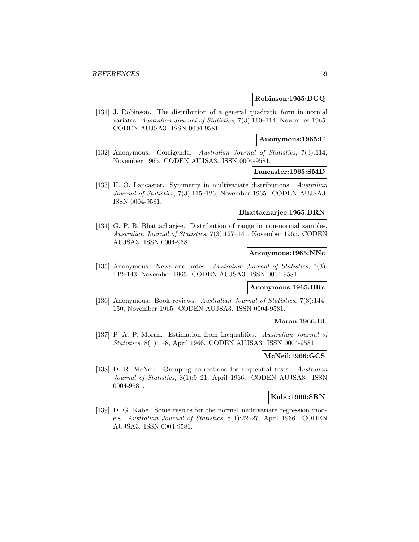#### **Robinson:1965:DGQ**

[131] J. Robinson. The distribution of a general quadratic form in normal variates. Australian Journal of Statistics, 7(3):110–114, November 1965. CODEN AUJSA3. ISSN 0004-9581.

### **Anonymous:1965:C**

[132] Anonymous. Corrigenda. Australian Journal of Statistics, 7(3):114, November 1965. CODEN AUJSA3. ISSN 0004-9581.

### **Lancaster:1965:SMD**

[133] H. O. Lancaster. Symmetry in multivariate distributions. Australian Journal of Statistics, 7(3):115–126, November 1965. CODEN AUJSA3. ISSN 0004-9581.

#### **Bhattacharjee:1965:DRN**

[134] G. P. B. Bhattacharjee. Distribution of range in non-normal samples. Australian Journal of Statistics, 7(3):127–141, November 1965. CODEN AUJSA3. ISSN 0004-9581.

# **Anonymous:1965:NNc**

[135] Anonymous. News and notes. Australian Journal of Statistics, 7(3): 142–143, November 1965. CODEN AUJSA3. ISSN 0004-9581.

#### **Anonymous:1965:BRc**

[136] Anonymous. Book reviews. Australian Journal of Statistics, 7(3):144– 150, November 1965. CODEN AUJSA3. ISSN 0004-9581.

#### **Moran:1966:EI**

[137] P. A. P. Moran. Estimation from inequalities. Australian Journal of Statistics, 8(1):1–8, April 1966. CODEN AUJSA3. ISSN 0004-9581.

#### **McNeil:1966:GCS**

[138] D. R. McNeil. Grouping corrections for sequential tests. Australian Journal of Statistics, 8(1):9–21, April 1966. CODEN AUJSA3. ISSN 0004-9581.

# **Kabe:1966:SRN**

[139] D. G. Kabe. Some results for the normal multivariate regression models. Australian Journal of Statistics, 8(1):22–27, April 1966. CODEN AUJSA3. ISSN 0004-9581.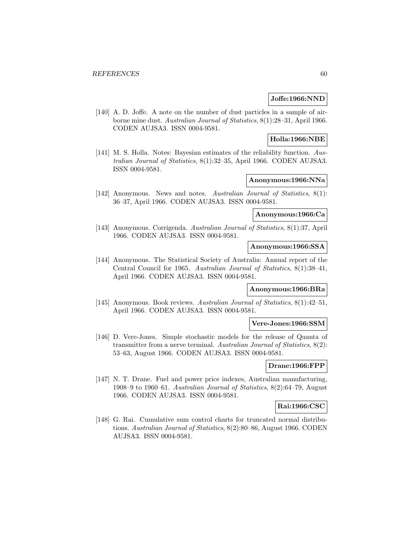### **Joffe:1966:NND**

[140] A. D. Joffe. A note on the number of dust particles in a sample of airborne mine dust. Australian Journal of Statistics, 8(1):28–31, April 1966. CODEN AUJSA3. ISSN 0004-9581.

### **Holla:1966:NBE**

[141] M. S. Holla. Notes: Bayesian estimates of the reliability function. Australian Journal of Statistics, 8(1):32–35, April 1966. CODEN AUJSA3. ISSN 0004-9581.

# **Anonymous:1966:NNa**

[142] Anonymous. News and notes. Australian Journal of Statistics, 8(1): 36–37, April 1966. CODEN AUJSA3. ISSN 0004-9581.

## **Anonymous:1966:Ca**

[143] Anonymous. Corrigenda. Australian Journal of Statistics, 8(1):37, April 1966. CODEN AUJSA3. ISSN 0004-9581.

# **Anonymous:1966:SSA**

[144] Anonymous. The Statistical Society of Australia: Annual report of the Central Council for 1965. Australian Journal of Statistics, 8(1):38–41, April 1966. CODEN AUJSA3. ISSN 0004-9581.

### **Anonymous:1966:BRa**

[145] Anonymous. Book reviews. Australian Journal of Statistics, 8(1):42–51, April 1966. CODEN AUJSA3. ISSN 0004-9581.

### **Vere-Jones:1966:SSM**

[146] D. Vere-Jones. Simple stochastic models for the release of Quanta of transmitter from a nerve terminal. Australian Journal of Statistics, 8(2): 53–63, August 1966. CODEN AUJSA3. ISSN 0004-9581.

# **Drane:1966:FPP**

[147] N. T. Drane. Fuel and power price indexes, Australian manufacturing, 1908–9 to 1960–61. Australian Journal of Statistics, 8(2):64–79, August 1966. CODEN AUJSA3. ISSN 0004-9581.

## **Rai:1966:CSC**

[148] G. Rai. Cumulative sum control charts for truncated normal distributions. Australian Journal of Statistics, 8(2):80–86, August 1966. CODEN AUJSA3. ISSN 0004-9581.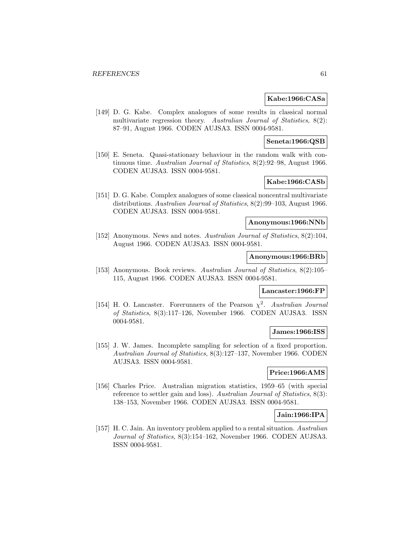### **Kabe:1966:CASa**

[149] D. G. Kabe. Complex analogues of some results in classical normal multivariate regression theory. Australian Journal of Statistics, 8(2): 87–91, August 1966. CODEN AUJSA3. ISSN 0004-9581.

### **Seneta:1966:QSB**

[150] E. Seneta. Quasi-stationary behaviour in the random walk with continuous time. Australian Journal of Statistics, 8(2):92–98, August 1966. CODEN AUJSA3. ISSN 0004-9581.

# **Kabe:1966:CASb**

[151] D. G. Kabe. Complex analogues of some classical noncentral multivariate distributions. Australian Journal of Statistics, 8(2):99–103, August 1966. CODEN AUJSA3. ISSN 0004-9581.

# **Anonymous:1966:NNb**

[152] Anonymous. News and notes. Australian Journal of Statistics, 8(2):104, August 1966. CODEN AUJSA3. ISSN 0004-9581.

### **Anonymous:1966:BRb**

[153] Anonymous. Book reviews. Australian Journal of Statistics, 8(2):105– 115, August 1966. CODEN AUJSA3. ISSN 0004-9581.

# **Lancaster:1966:FP**

[154] H. O. Lancaster. Forerunners of the Pearson  $\chi^2$ . Australian Journal of Statistics, 8(3):117–126, November 1966. CODEN AUJSA3. ISSN 0004-9581.

### **James:1966:ISS**

[155] J. W. James. Incomplete sampling for selection of a fixed proportion. Australian Journal of Statistics, 8(3):127–137, November 1966. CODEN AUJSA3. ISSN 0004-9581.

# **Price:1966:AMS**

[156] Charles Price. Australian migration statistics, 1959–65 (with special reference to settler gain and loss). Australian Journal of Statistics, 8(3): 138–153, November 1966. CODEN AUJSA3. ISSN 0004-9581.

### **Jain:1966:IPA**

[157] H. C. Jain. An inventory problem applied to a rental situation. Australian Journal of Statistics, 8(3):154–162, November 1966. CODEN AUJSA3. ISSN 0004-9581.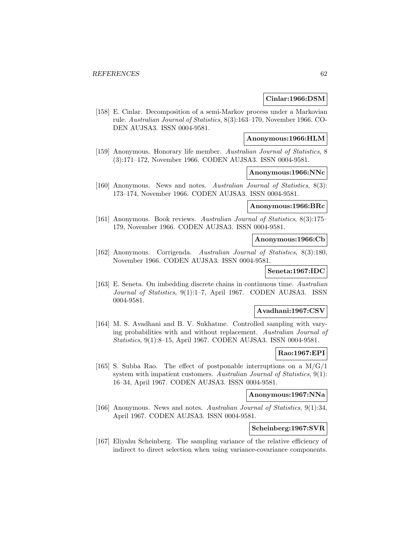### **Cinlar:1966:DSM**

[158] E. Cinlar. Decomposition of a semi-Markov process under a Markovian rule. Australian Journal of Statistics, 8(3):163–170, November 1966. CO-DEN AUJSA3. ISSN 0004-9581.

# **Anonymous:1966:HLM**

[159] Anonymous. Honorary life member. Australian Journal of Statistics, 8 (3):171–172, November 1966. CODEN AUJSA3. ISSN 0004-9581.

# **Anonymous:1966:NNc**

[160] Anonymous. News and notes. Australian Journal of Statistics, 8(3): 173–174, November 1966. CODEN AUJSA3. ISSN 0004-9581.

## **Anonymous:1966:BRc**

[161] Anonymous. Book reviews. Australian Journal of Statistics, 8(3):175– 179, November 1966. CODEN AUJSA3. ISSN 0004-9581.

## **Anonymous:1966:Cb**

[162] Anonymous. Corrigenda. Australian Journal of Statistics, 8(3):180, November 1966. CODEN AUJSA3. ISSN 0004-9581.

## **Seneta:1967:IDC**

[163] E. Seneta. On imbedding discrete chains in continuous time. Australian Journal of Statistics, 9(1):1–7, April 1967. CODEN AUJSA3. ISSN 0004-9581.

#### **Avadhani:1967:CSV**

[164] M. S. Avadhani and B. V. Sukhatme. Controlled sampling with varying probabilities with and without replacement. Australian Journal of Statistics, 9(1):8–15, April 1967. CODEN AUJSA3. ISSN 0004-9581.

### **Rao:1967:EPI**

[165] S. Subba Rao. The effect of postponable interruptions on a  $M/G/1$ system with impatient customers. Australian Journal of Statistics, 9(1): 16–34, April 1967. CODEN AUJSA3. ISSN 0004-9581.

# **Anonymous:1967:NNa**

[166] Anonymous. News and notes. Australian Journal of Statistics, 9(1):34, April 1967. CODEN AUJSA3. ISSN 0004-9581.

### **Scheinberg:1967:SVR**

[167] Eliyahu Scheinberg. The sampling variance of the relative efficiency of indirect to direct selection when using variance-covariance components.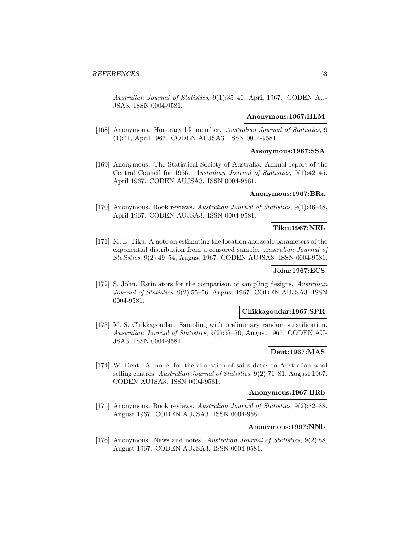Australian Journal of Statistics, 9(1):35–40, April 1967. CODEN AU-JSA3. ISSN 0004-9581.

#### **Anonymous:1967:HLM**

[168] Anonymous. Honorary life member. Australian Journal of Statistics, 9 (1):41, April 1967. CODEN AUJSA3. ISSN 0004-9581.

#### **Anonymous:1967:SSA**

[169] Anonymous. The Statistical Society of Australia: Annual report of the Central Council for 1966. Australian Journal of Statistics, 9(1):42–45, April 1967. CODEN AUJSA3. ISSN 0004-9581.

### **Anonymous:1967:BRa**

[170] Anonymous. Book reviews. Australian Journal of Statistics, 9(1):46–48, April 1967. CODEN AUJSA3. ISSN 0004-9581.

# **Tiku:1967:NEL**

[171] M. L. Tiku. A note on estimating the location and scale parameters of the exponential distribution from a censored sample. Australian Journal of Statistics, 9(2):49–54, August 1967. CODEN AUJSA3. ISSN 0004-9581.

# **John:1967:ECS**

[172] S. John. Estimators for the comparison of sampling designs. Australian Journal of Statistics, 9(2):55–56, August 1967. CODEN AUJSA3. ISSN 0004-9581.

### **Chikkagoudar:1967:SPR**

[173] M. S. Chikkagoudar. Sampling with preliminary random stratification. Australian Journal of Statistics, 9(2):57–70, August 1967. CODEN AU-JSA3. ISSN 0004-9581.

### **Dent:1967:MAS**

[174] W. Dent. A model for the allocation of sales dates to Australian wool selling centres. Australian Journal of Statistics, 9(2):71–81, August 1967. CODEN AUJSA3. ISSN 0004-9581.

# **Anonymous:1967:BRb**

[175] Anonymous. Book reviews. Australian Journal of Statistics, 9(2):82–88, August 1967. CODEN AUJSA3. ISSN 0004-9581.

#### **Anonymous:1967:NNb**

[176] Anonymous. News and notes. Australian Journal of Statistics, 9(2):88, August 1967. CODEN AUJSA3. ISSN 0004-9581.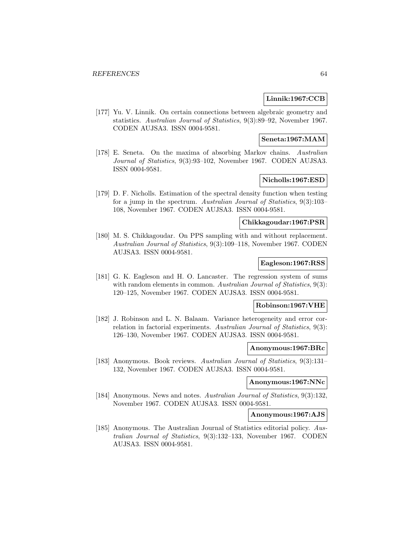### **Linnik:1967:CCB**

[177] Yu. V. Linnik. On certain connections between algebraic geometry and statistics. Australian Journal of Statistics, 9(3):89–92, November 1967. CODEN AUJSA3. ISSN 0004-9581.

# **Seneta:1967:MAM**

[178] E. Seneta. On the maxima of absorbing Markov chains. Australian Journal of Statistics, 9(3):93–102, November 1967. CODEN AUJSA3. ISSN 0004-9581.

# **Nicholls:1967:ESD**

[179] D. F. Nicholls. Estimation of the spectral density function when testing for a jump in the spectrum. Australian Journal of Statistics, 9(3):103– 108, November 1967. CODEN AUJSA3. ISSN 0004-9581.

### **Chikkagoudar:1967:PSR**

[180] M. S. Chikkagoudar. On PPS sampling with and without replacement. Australian Journal of Statistics, 9(3):109–118, November 1967. CODEN AUJSA3. ISSN 0004-9581.

# **Eagleson:1967:RSS**

[181] G. K. Eagleson and H. O. Lancaster. The regression system of sums with random elements in common. Australian Journal of Statistics, 9(3): 120–125, November 1967. CODEN AUJSA3. ISSN 0004-9581.

# **Robinson:1967:VHE**

[182] J. Robinson and L. N. Balaam. Variance heterogeneity and error correlation in factorial experiments. Australian Journal of Statistics, 9(3): 126–130, November 1967. CODEN AUJSA3. ISSN 0004-9581.

#### **Anonymous:1967:BRc**

[183] Anonymous. Book reviews. Australian Journal of Statistics, 9(3):131– 132, November 1967. CODEN AUJSA3. ISSN 0004-9581.

### **Anonymous:1967:NNc**

[184] Anonymous. News and notes. Australian Journal of Statistics, 9(3):132, November 1967. CODEN AUJSA3. ISSN 0004-9581.

#### **Anonymous:1967:AJS**

[185] Anonymous. The Australian Journal of Statistics editorial policy. Australian Journal of Statistics, 9(3):132–133, November 1967. CODEN AUJSA3. ISSN 0004-9581.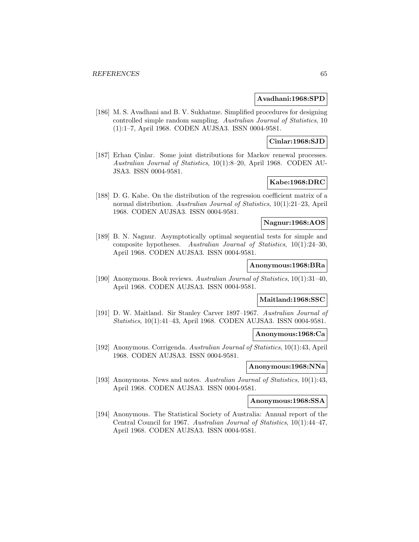#### **Avadhani:1968:SPD**

[186] M. S. Avadhani and B. V. Sukhatme. Simplified procedures for designing controlled simple random sampling. Australian Journal of Statistics, 10 (1):1–7, April 1968. CODEN AUJSA3. ISSN 0004-9581.

### **Cinlar:1968:SJD**

[187] Erhan Çinlar. Some joint distributions for Markov renewal processes. Australian Journal of Statistics, 10(1):8–20, April 1968. CODEN AU-JSA3. ISSN 0004-9581.

# **Kabe:1968:DRC**

[188] D. G. Kabe. On the distribution of the regression coefficient matrix of a normal distribution. Australian Journal of Statistics, 10(1):21–23, April 1968. CODEN AUJSA3. ISSN 0004-9581.

### **Nagnur:1968:AOS**

[189] B. N. Nagnur. Asymptotically optimal sequential tests for simple and composite hypotheses. Australian Journal of Statistics, 10(1):24–30, April 1968. CODEN AUJSA3. ISSN 0004-9581.

#### **Anonymous:1968:BRa**

[190] Anonymous. Book reviews. Australian Journal of Statistics, 10(1):31–40, April 1968. CODEN AUJSA3. ISSN 0004-9581.

#### **Maitland:1968:SSC**

[191] D. W. Maitland. Sir Stanley Carver 1897–1967. Australian Journal of Statistics, 10(1):41–43, April 1968. CODEN AUJSA3. ISSN 0004-9581.

### **Anonymous:1968:Ca**

[192] Anonymous. Corrigenda. Australian Journal of Statistics, 10(1):43, April 1968. CODEN AUJSA3. ISSN 0004-9581.

# **Anonymous:1968:NNa**

[193] Anonymous. News and notes. Australian Journal of Statistics, 10(1):43, April 1968. CODEN AUJSA3. ISSN 0004-9581.

#### **Anonymous:1968:SSA**

[194] Anonymous. The Statistical Society of Australia: Annual report of the Central Council for 1967. Australian Journal of Statistics, 10(1):44–47, April 1968. CODEN AUJSA3. ISSN 0004-9581.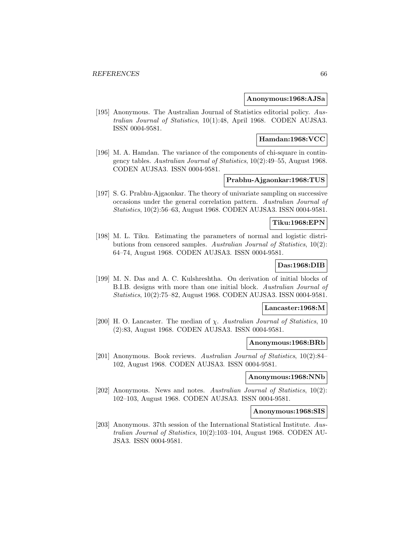### **Anonymous:1968:AJSa**

[195] Anonymous. The Australian Journal of Statistics editorial policy. Australian Journal of Statistics, 10(1):48, April 1968. CODEN AUJSA3. ISSN 0004-9581.

### **Hamdan:1968:VCC**

[196] M. A. Hamdan. The variance of the components of chi-square in contingency tables. Australian Journal of Statistics, 10(2):49–55, August 1968. CODEN AUJSA3. ISSN 0004-9581.

# **Prabhu-Ajgaonkar:1968:TUS**

[197] S. G. Prabhu-Ajgaonkar. The theory of univariate sampling on successive occasions under the general correlation pattern. Australian Journal of Statistics, 10(2):56–63, August 1968. CODEN AUJSA3. ISSN 0004-9581.

# **Tiku:1968:EPN**

[198] M. L. Tiku. Estimating the parameters of normal and logistic distributions from censored samples. Australian Journal of Statistics, 10(2): 64–74, August 1968. CODEN AUJSA3. ISSN 0004-9581.

## **Das:1968:DIB**

[199] M. N. Das and A. C. Kulshreshtha. On derivation of initial blocks of B.I.B. designs with more than one initial block. Australian Journal of Statistics, 10(2):75–82, August 1968. CODEN AUJSA3. ISSN 0004-9581.

#### **Lancaster:1968:M**

[200] H. O. Lancaster. The median of  $\chi$ . Australian Journal of Statistics, 10 (2):83, August 1968. CODEN AUJSA3. ISSN 0004-9581.

#### **Anonymous:1968:BRb**

[201] Anonymous. Book reviews. Australian Journal of Statistics, 10(2):84– 102, August 1968. CODEN AUJSA3. ISSN 0004-9581.

#### **Anonymous:1968:NNb**

[202] Anonymous. News and notes. Australian Journal of Statistics, 10(2): 102–103, August 1968. CODEN AUJSA3. ISSN 0004-9581.

#### **Anonymous:1968:SIS**

[203] Anonymous. 37th session of the International Statistical Institute. Australian Journal of Statistics, 10(2):103–104, August 1968. CODEN AU-JSA3. ISSN 0004-9581.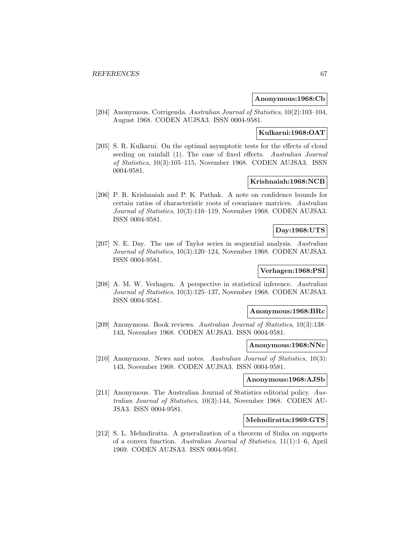### **Anonymous:1968:Cb**

[204] Anonymous. Corrigenda. Australian Journal of Statistics, 10(2):103–104, August 1968. CODEN AUJSA3. ISSN 0004-9581.

# **Kulkarni:1968:OAT**

[205] S. R. Kulkarni. On the optimal asymptotic tests for the effects of cloud seeding on rainfall (1). The case of fixed effects. Australian Journal of Statistics, 10(3):105–115, November 1968. CODEN AUJSA3. ISSN 0004-9581.

# **Krishnaiah:1968:NCB**

[206] P. R. Krishnaiah and P. K. Pathak. A note on confidence bounds for certain ratios of characteristic roots of covariance matrices. Australian Journal of Statistics, 10(3):116–119, November 1968. CODEN AUJSA3. ISSN 0004-9581.

# **Day:1968:UTS**

[207] N. E. Day. The use of Taylor series in sequential analysis. Australian Journal of Statistics, 10(3):120–124, November 1968. CODEN AUJSA3. ISSN 0004-9581.

# **Verhagen:1968:PSI**

[208] A. M. W. Verhagen. A perspective in statistical inference. Australian Journal of Statistics, 10(3):125–137, November 1968. CODEN AUJSA3. ISSN 0004-9581.

#### **Anonymous:1968:BRc**

[209] Anonymous. Book reviews. Australian Journal of Statistics, 10(3):138– 143, November 1968. CODEN AUJSA3. ISSN 0004-9581.

### **Anonymous:1968:NNc**

[210] Anonymous. News and notes. Australian Journal of Statistics, 10(3): 143, November 1968. CODEN AUJSA3. ISSN 0004-9581.

# **Anonymous:1968:AJSb**

[211] Anonymous. The Australian Journal of Statistics editorial policy. Australian Journal of Statistics, 10(3):144, November 1968. CODEN AU-JSA3. ISSN 0004-9581.

### **Mehndiratta:1969:GTS**

[212] S. L. Mehndiratta. A generalization of a theorem of Sinha on supports of a convex function. Australian Journal of Statistics, 11(1):1–6, April 1969. CODEN AUJSA3. ISSN 0004-9581.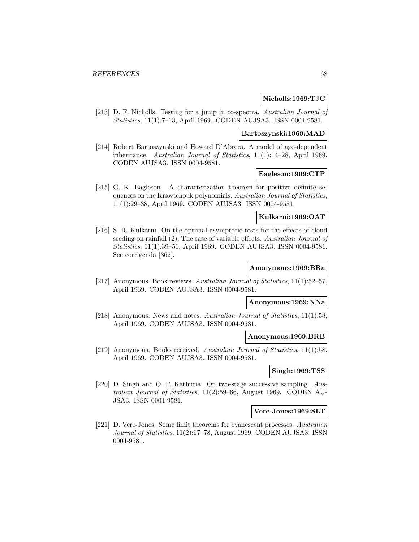#### **Nicholls:1969:TJC**

[213] D. F. Nicholls. Testing for a jump in co-spectra. Australian Journal of Statistics, 11(1):7–13, April 1969. CODEN AUJSA3. ISSN 0004-9581.

## **Bartoszynski:1969:MAD**

[214] Robert Bartoszynski and Howard D'Abrera. A model of age-dependent inheritance. Australian Journal of Statistics, 11(1):14–28, April 1969. CODEN AUJSA3. ISSN 0004-9581.

# **Eagleson:1969:CTP**

[215] G. K. Eagleson. A characterization theorem for positive definite sequences on the Krawtchouk polynomials. Australian Journal of Statistics, 11(1):29–38, April 1969. CODEN AUJSA3. ISSN 0004-9581.

### **Kulkarni:1969:OAT**

[216] S. R. Kulkarni. On the optimal asymptotic tests for the effects of cloud seeding on rainfall (2). The case of variable effects. Australian Journal of Statistics, 11(1):39–51, April 1969. CODEN AUJSA3. ISSN 0004-9581. See corrigenda [362].

#### **Anonymous:1969:BRa**

[217] Anonymous. Book reviews. Australian Journal of Statistics, 11(1):52–57, April 1969. CODEN AUJSA3. ISSN 0004-9581.

#### **Anonymous:1969:NNa**

[218] Anonymous. News and notes. Australian Journal of Statistics, 11(1):58, April 1969. CODEN AUJSA3. ISSN 0004-9581.

# **Anonymous:1969:BRB**

[219] Anonymous. Books received. Australian Journal of Statistics, 11(1):58, April 1969. CODEN AUJSA3. ISSN 0004-9581.

## **Singh:1969:TSS**

[220] D. Singh and O. P. Kathuria. On two-stage successive sampling. Australian Journal of Statistics, 11(2):59–66, August 1969. CODEN AU-JSA3. ISSN 0004-9581.

#### **Vere-Jones:1969:SLT**

[221] D. Vere-Jones. Some limit theorems for evanescent processes. Australian Journal of Statistics, 11(2):67–78, August 1969. CODEN AUJSA3. ISSN 0004-9581.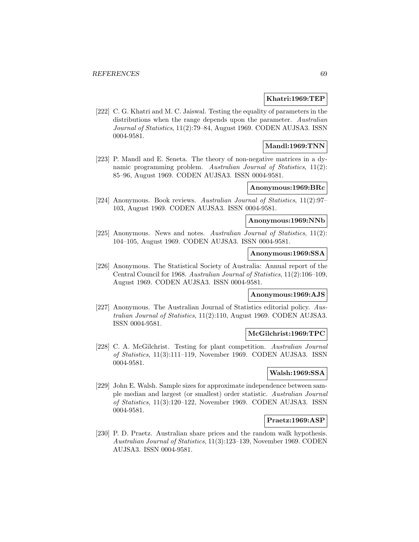### **Khatri:1969:TEP**

[222] C. G. Khatri and M. C. Jaiswal. Testing the equality of parameters in the distributions when the range depends upon the parameter. Australian Journal of Statistics, 11(2):79–84, August 1969. CODEN AUJSA3. ISSN 0004-9581.

# **Mandl:1969:TNN**

[223] P. Mandl and E. Seneta. The theory of non-negative matrices in a dynamic programming problem. Australian Journal of Statistics, 11(2): 85–96, August 1969. CODEN AUJSA3. ISSN 0004-9581.

### **Anonymous:1969:BRc**

[224] Anonymous. Book reviews. Australian Journal of Statistics, 11(2):97– 103, August 1969. CODEN AUJSA3. ISSN 0004-9581.

### **Anonymous:1969:NNb**

[225] Anonymous. News and notes. Australian Journal of Statistics, 11(2): 104–105, August 1969. CODEN AUJSA3. ISSN 0004-9581.

# **Anonymous:1969:SSA**

[226] Anonymous. The Statistical Society of Australia: Annual report of the Central Council for 1968. Australian Journal of Statistics, 11(2):106–109, August 1969. CODEN AUJSA3. ISSN 0004-9581.

# **Anonymous:1969:AJS**

[227] Anonymous. The Australian Journal of Statistics editorial policy. Australian Journal of Statistics, 11(2):110, August 1969. CODEN AUJSA3. ISSN 0004-9581.

#### **McGilchrist:1969:TPC**

[228] C. A. McGilchrist. Testing for plant competition. Australian Journal of Statistics, 11(3):111–119, November 1969. CODEN AUJSA3. ISSN 0004-9581.

# **Walsh:1969:SSA**

[229] John E. Walsh. Sample sizes for approximate independence between sample median and largest (or smallest) order statistic. Australian Journal of Statistics, 11(3):120–122, November 1969. CODEN AUJSA3. ISSN 0004-9581.

### **Praetz:1969:ASP**

[230] P. D. Praetz. Australian share prices and the random walk hypothesis. Australian Journal of Statistics, 11(3):123–139, November 1969. CODEN AUJSA3. ISSN 0004-9581.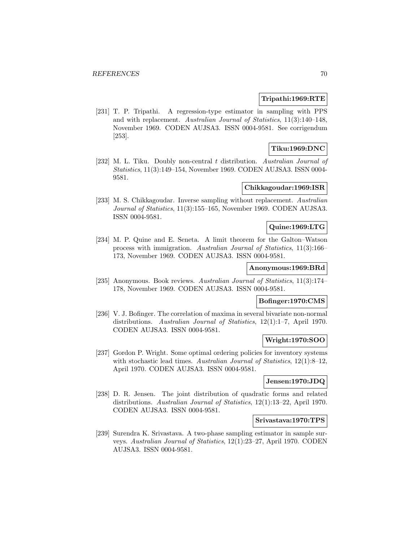### **Tripathi:1969:RTE**

[231] T. P. Tripathi. A regression-type estimator in sampling with PPS and with replacement. Australian Journal of Statistics, 11(3):140–148, November 1969. CODEN AUJSA3. ISSN 0004-9581. See corrigendum [253].

# **Tiku:1969:DNC**

[232] M. L. Tiku. Doubly non-central t distribution. Australian Journal of Statistics, 11(3):149–154, November 1969. CODEN AUJSA3. ISSN 0004- 9581.

### **Chikkagoudar:1969:ISR**

[233] M. S. Chikkagoudar. Inverse sampling without replacement. Australian Journal of Statistics, 11(3):155–165, November 1969. CODEN AUJSA3. ISSN 0004-9581.

### **Quine:1969:LTG**

[234] M. P. Quine and E. Seneta. A limit theorem for the Galton–Watson process with immigration. Australian Journal of Statistics, 11(3):166– 173, November 1969. CODEN AUJSA3. ISSN 0004-9581.

### **Anonymous:1969:BRd**

[235] Anonymous. Book reviews. Australian Journal of Statistics, 11(3):174– 178, November 1969. CODEN AUJSA3. ISSN 0004-9581.

# **Bofinger:1970:CMS**

[236] V. J. Bofinger. The correlation of maxima in several bivariate non-normal distributions. Australian Journal of Statistics, 12(1):1–7, April 1970. CODEN AUJSA3. ISSN 0004-9581.

# **Wright:1970:SOO**

[237] Gordon P. Wright. Some optimal ordering policies for inventory systems with stochastic lead times. Australian Journal of Statistics, 12(1):8-12, April 1970. CODEN AUJSA3. ISSN 0004-9581.

#### **Jensen:1970:JDQ**

[238] D. R. Jensen. The joint distribution of quadratic forms and related distributions. Australian Journal of Statistics, 12(1):13–22, April 1970. CODEN AUJSA3. ISSN 0004-9581.

### **Srivastava:1970:TPS**

[239] Surendra K. Srivastava. A two-phase sampling estimator in sample surveys. Australian Journal of Statistics, 12(1):23–27, April 1970. CODEN AUJSA3. ISSN 0004-9581.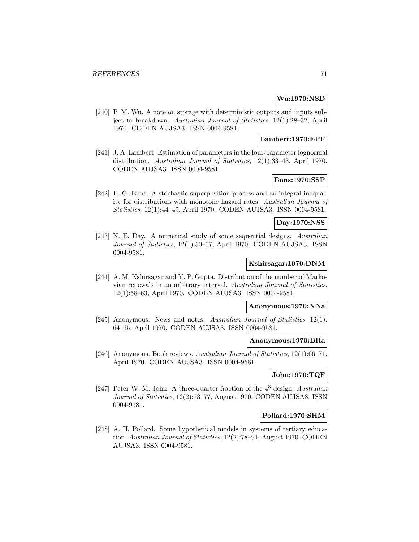# **Wu:1970:NSD**

[240] P. M. Wu. A note on storage with deterministic outputs and inputs subject to breakdown. Australian Journal of Statistics, 12(1):28–32, April 1970. CODEN AUJSA3. ISSN 0004-9581.

## **Lambert:1970:EPF**

[241] J. A. Lambert. Estimation of parameters in the four-parameter lognormal distribution. Australian Journal of Statistics, 12(1):33–43, April 1970. CODEN AUJSA3. ISSN 0004-9581.

# **Enns:1970:SSP**

[242] E. G. Enns. A stochastic superposition process and an integral inequality for distributions with monotone hazard rates. Australian Journal of Statistics, 12(1):44–49, April 1970. CODEN AUJSA3. ISSN 0004-9581.

# **Day:1970:NSS**

[243] N. E. Day. A numerical study of some sequential designs. Australian Journal of Statistics, 12(1):50–57, April 1970. CODEN AUJSA3. ISSN 0004-9581.

# **Kshirsagar:1970:DNM**

[244] A. M. Kshirsagar and Y. P. Gupta. Distribution of the number of Markovian renewals in an arbitrary interval. Australian Journal of Statistics, 12(1):58–63, April 1970. CODEN AUJSA3. ISSN 0004-9581.

# **Anonymous:1970:NNa**

[245] Anonymous. News and notes. Australian Journal of Statistics, 12(1): 64–65, April 1970. CODEN AUJSA3. ISSN 0004-9581.

#### **Anonymous:1970:BRa**

[246] Anonymous. Book reviews. Australian Journal of Statistics, 12(1):66–71, April 1970. CODEN AUJSA3. ISSN 0004-9581.

# **John:1970:TQF**

[247] Peter W. M. John. A three-quarter fraction of the  $4<sup>3</sup>$  design. Australian Journal of Statistics, 12(2):73–77, August 1970. CODEN AUJSA3. ISSN 0004-9581.

#### **Pollard:1970:SHM**

[248] A. H. Pollard. Some hypothetical models in systems of tertiary education. Australian Journal of Statistics, 12(2):78–91, August 1970. CODEN AUJSA3. ISSN 0004-9581.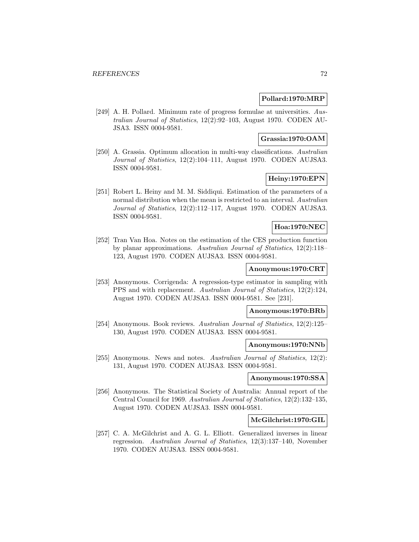### **Pollard:1970:MRP**

[249] A. H. Pollard. Minimum rate of progress formulae at universities. Australian Journal of Statistics, 12(2):92–103, August 1970. CODEN AU-JSA3. ISSN 0004-9581.

## **Grassia:1970:OAM**

[250] A. Grassia. Optimum allocation in multi-way classifications. Australian Journal of Statistics, 12(2):104–111, August 1970. CODEN AUJSA3. ISSN 0004-9581.

# **Heiny:1970:EPN**

[251] Robert L. Heiny and M. M. Siddiqui. Estimation of the parameters of a normal distribution when the mean is restricted to an interval. Australian Journal of Statistics, 12(2):112–117, August 1970. CODEN AUJSA3. ISSN 0004-9581.

# **Hoa:1970:NEC**

[252] Tran Van Hoa. Notes on the estimation of the CES production function by planar approximations. Australian Journal of Statistics, 12(2):118– 123, August 1970. CODEN AUJSA3. ISSN 0004-9581.

#### **Anonymous:1970:CRT**

[253] Anonymous. Corrigenda: A regression-type estimator in sampling with PPS and with replacement. Australian Journal of Statistics, 12(2):124, August 1970. CODEN AUJSA3. ISSN 0004-9581. See [231].

### **Anonymous:1970:BRb**

[254] Anonymous. Book reviews. Australian Journal of Statistics, 12(2):125– 130, August 1970. CODEN AUJSA3. ISSN 0004-9581.

#### **Anonymous:1970:NNb**

[255] Anonymous. News and notes. Australian Journal of Statistics, 12(2): 131, August 1970. CODEN AUJSA3. ISSN 0004-9581.

#### **Anonymous:1970:SSA**

[256] Anonymous. The Statistical Society of Australia: Annual report of the Central Council for 1969. Australian Journal of Statistics, 12(2):132–135, August 1970. CODEN AUJSA3. ISSN 0004-9581.

### **McGilchrist:1970:GIL**

[257] C. A. McGilchrist and A. G. L. Elliott. Generalized inverses in linear regression. Australian Journal of Statistics, 12(3):137–140, November 1970. CODEN AUJSA3. ISSN 0004-9581.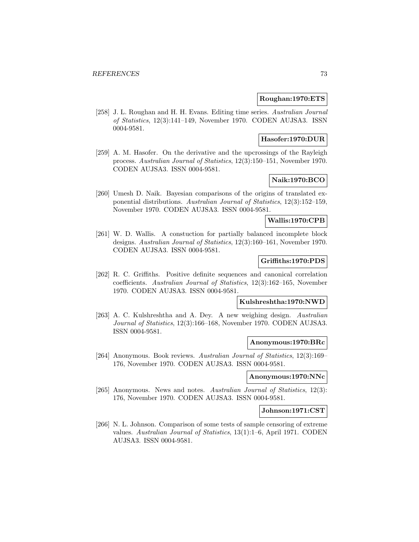### **Roughan:1970:ETS**

[258] J. L. Roughan and H. H. Evans. Editing time series. Australian Journal of Statistics, 12(3):141–149, November 1970. CODEN AUJSA3. ISSN 0004-9581.

## **Hasofer:1970:DUR**

[259] A. M. Hasofer. On the derivative and the upcrossings of the Rayleigh process. Australian Journal of Statistics, 12(3):150–151, November 1970. CODEN AUJSA3. ISSN 0004-9581.

# **Naik:1970:BCO**

[260] Umesh D. Naik. Bayesian comparisons of the origins of translated exponential distributions. Australian Journal of Statistics, 12(3):152–159, November 1970. CODEN AUJSA3. ISSN 0004-9581.

### **Wallis:1970:CPB**

[261] W. D. Wallis. A constuction for partially balanced incomplete block designs. Australian Journal of Statistics, 12(3):160–161, November 1970. CODEN AUJSA3. ISSN 0004-9581.

### **Griffiths:1970:PDS**

[262] R. C. Griffiths. Positive definite sequences and canonical correlation coefficients. Australian Journal of Statistics, 12(3):162–165, November 1970. CODEN AUJSA3. ISSN 0004-9581.

### **Kulshreshtha:1970:NWD**

[263] A. C. Kulshreshtha and A. Dey. A new weighing design. Australian Journal of Statistics, 12(3):166–168, November 1970. CODEN AUJSA3. ISSN 0004-9581.

#### **Anonymous:1970:BRc**

[264] Anonymous. Book reviews. Australian Journal of Statistics, 12(3):169– 176, November 1970. CODEN AUJSA3. ISSN 0004-9581.

## **Anonymous:1970:NNc**

[265] Anonymous. News and notes. Australian Journal of Statistics, 12(3): 176, November 1970. CODEN AUJSA3. ISSN 0004-9581.

#### **Johnson:1971:CST**

[266] N. L. Johnson. Comparison of some tests of sample censoring of extreme values. Australian Journal of Statistics, 13(1):1–6, April 1971. CODEN AUJSA3. ISSN 0004-9581.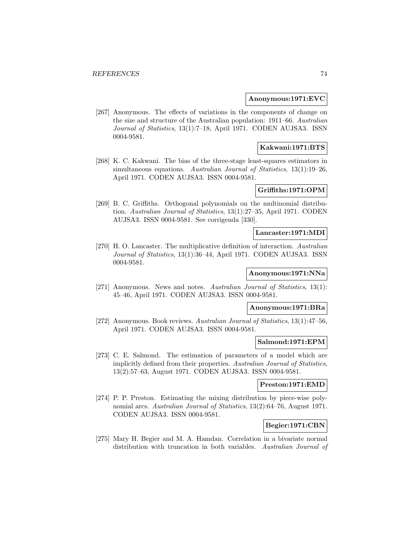#### **Anonymous:1971:EVC**

[267] Anonymous. The effects of variations in the components of change on the size and structure of the Australian population: 1911–66. Australian Journal of Statistics, 13(1):7–18, April 1971. CODEN AUJSA3. ISSN 0004-9581.

## **Kakwani:1971:BTS**

[268] K. C. Kakwani. The bias of the three-stage least-squares estimators in simultaneous equations. Australian Journal of Statistics, 13(1):19–26, April 1971. CODEN AUJSA3. ISSN 0004-9581.

## **Griffiths:1971:OPM**

[269] B. C. Griffiths. Orthogonal polynomials on the multinomial distribution. Australian Journal of Statistics, 13(1):27–35, April 1971. CODEN AUJSA3. ISSN 0004-9581. See corrigenda [330].

#### **Lancaster:1971:MDI**

[270] H. O. Lancaster. The multiplicative definition of interaction. Australian Journal of Statistics, 13(1):36–44, April 1971. CODEN AUJSA3. ISSN 0004-9581.

## **Anonymous:1971:NNa**

[271] Anonymous. News and notes. Australian Journal of Statistics, 13(1): 45–46, April 1971. CODEN AUJSA3. ISSN 0004-9581.

## **Anonymous:1971:BRa**

[272] Anonymous. Book reviews. Australian Journal of Statistics, 13(1):47–56, April 1971. CODEN AUJSA3. ISSN 0004-9581.

### **Salmond:1971:EPM**

[273] C. E. Salmond. The estimation of parameters of a model which are implicitly defined from their properties. Australian Journal of Statistics, 13(2):57–63, August 1971. CODEN AUJSA3. ISSN 0004-9581.

## **Preston:1971:EMD**

[274] P. P. Preston. Estimating the mixing distribution by piece-wise polynomial arcs. Australian Journal of Statistics, 13(2):64–76, August 1971. CODEN AUJSA3. ISSN 0004-9581.

## **Begier:1971:CBN**

[275] Mary H. Begier and M. A. Hamdan. Correlation in a bivariate normal distribution with truncation in both variables. Australian Journal of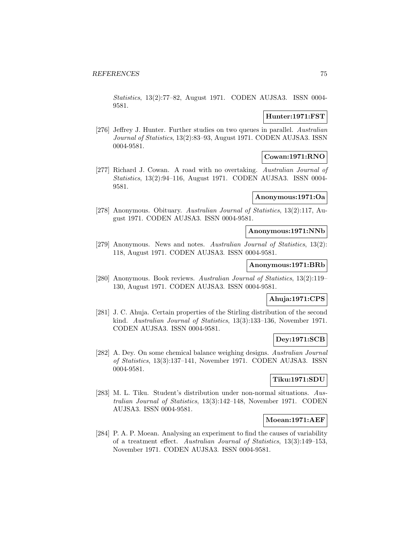Statistics, 13(2):77–82, August 1971. CODEN AUJSA3. ISSN 0004- 9581.

## **Hunter:1971:FST**

[276] Jeffrey J. Hunter. Further studies on two queues in parallel. Australian Journal of Statistics, 13(2):83–93, August 1971. CODEN AUJSA3. ISSN 0004-9581.

### **Cowan:1971:RNO**

[277] Richard J. Cowan. A road with no overtaking. Australian Journal of Statistics, 13(2):94–116, August 1971. CODEN AUJSA3. ISSN 0004- 9581.

#### **Anonymous:1971:Oa**

[278] Anonymous. Obituary. Australian Journal of Statistics, 13(2):117, August 1971. CODEN AUJSA3. ISSN 0004-9581.

#### **Anonymous:1971:NNb**

[279] Anonymous. News and notes. Australian Journal of Statistics, 13(2): 118, August 1971. CODEN AUJSA3. ISSN 0004-9581.

#### **Anonymous:1971:BRb**

[280] Anonymous. Book reviews. Australian Journal of Statistics, 13(2):119– 130, August 1971. CODEN AUJSA3. ISSN 0004-9581.

### **Ahuja:1971:CPS**

[281] J. C. Ahuja. Certain properties of the Stirling distribution of the second kind. Australian Journal of Statistics, 13(3):133–136, November 1971. CODEN AUJSA3. ISSN 0004-9581.

## **Dey:1971:SCB**

[282] A. Dey. On some chemical balance weighing designs. Australian Journal of Statistics, 13(3):137–141, November 1971. CODEN AUJSA3. ISSN 0004-9581.

## **Tiku:1971:SDU**

[283] M. L. Tiku. Student's distribution under non-normal situations. Australian Journal of Statistics, 13(3):142–148, November 1971. CODEN AUJSA3. ISSN 0004-9581.

### **Moean:1971:AEF**

[284] P. A. P. Moean. Analysing an experiment to find the causes of variability of a treatment effect. Australian Journal of Statistics, 13(3):149–153, November 1971. CODEN AUJSA3. ISSN 0004-9581.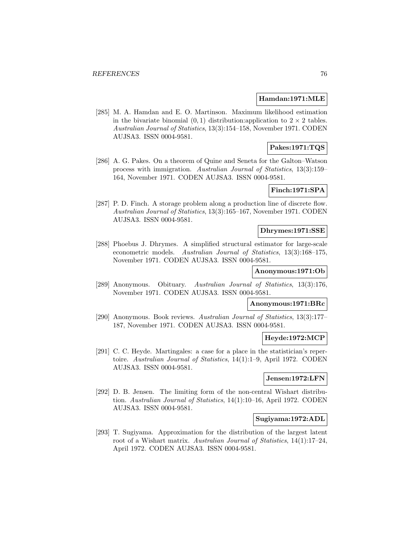#### **Hamdan:1971:MLE**

[285] M. A. Hamdan and E. O. Martinson. Maximum likelihood estimation in the bivariate binomial  $(0, 1)$  distribution:application to  $2 \times 2$  tables. Australian Journal of Statistics, 13(3):154–158, November 1971. CODEN AUJSA3. ISSN 0004-9581.

# **Pakes:1971:TQS**

[286] A. G. Pakes. On a theorem of Quine and Seneta for the Galton–Watson process with immigration. Australian Journal of Statistics, 13(3):159– 164, November 1971. CODEN AUJSA3. ISSN 0004-9581.

## **Finch:1971:SPA**

[287] P. D. Finch. A storage problem along a production line of discrete flow. Australian Journal of Statistics, 13(3):165–167, November 1971. CODEN AUJSA3. ISSN 0004-9581.

#### **Dhrymes:1971:SSE**

[288] Phoebus J. Dhrymes. A simplified structural estimator for large-scale econometric models. Australian Journal of Statistics, 13(3):168–175, November 1971. CODEN AUJSA3. ISSN 0004-9581.

## **Anonymous:1971:Ob**

[289] Anonymous. Obituary. Australian Journal of Statistics, 13(3):176, November 1971. CODEN AUJSA3. ISSN 0004-9581.

## **Anonymous:1971:BRc**

[290] Anonymous. Book reviews. Australian Journal of Statistics, 13(3):177– 187, November 1971. CODEN AUJSA3. ISSN 0004-9581.

# **Heyde:1972:MCP**

[291] C. C. Heyde. Martingales: a case for a place in the statistician's repertoire. Australian Journal of Statistics, 14(1):1–9, April 1972. CODEN AUJSA3. ISSN 0004-9581.

#### **Jensen:1972:LFN**

[292] D. B. Jensen. The limiting form of the non-central Wishart distribution. Australian Journal of Statistics, 14(1):10–16, April 1972. CODEN AUJSA3. ISSN 0004-9581.

#### **Sugiyama:1972:ADL**

[293] T. Sugiyama. Approximation for the distribution of the largest latent root of a Wishart matrix. Australian Journal of Statistics, 14(1):17–24, April 1972. CODEN AUJSA3. ISSN 0004-9581.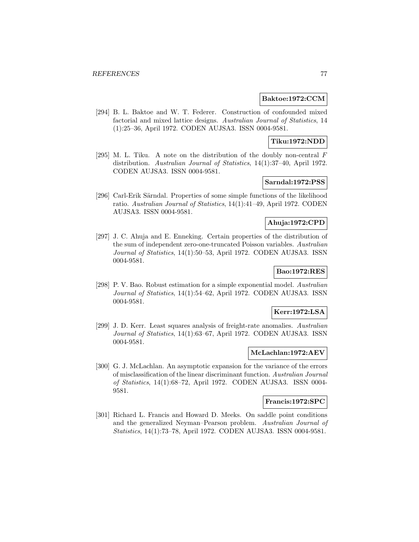#### **Baktoe:1972:CCM**

[294] B. L. Baktoe and W. T. Federer. Construction of confounded mixed factorial and mixed lattice designs. Australian Journal of Statistics, 14 (1):25–36, April 1972. CODEN AUJSA3. ISSN 0004-9581.

## **Tiku:1972:NDD**

[295] M. L. Tiku. A note on the distribution of the doubly non-central F distribution. Australian Journal of Statistics, 14(1):37–40, April 1972. CODEN AUJSA3. ISSN 0004-9581.

# **Sarndal:1972:PSS**

[296] Carl-Erik Särndal. Properties of some simple functions of the likelihood ratio. Australian Journal of Statistics, 14(1):41–49, April 1972. CODEN AUJSA3. ISSN 0004-9581.

# **Ahuja:1972:CPD**

[297] J. C. Ahuja and E. Enneking. Certain properties of the distribution of the sum of independent zero-one-truncated Poisson variables. Australian Journal of Statistics, 14(1):50–53, April 1972. CODEN AUJSA3. ISSN 0004-9581.

# **Bao:1972:RES**

[298] P. V. Bao. Robust estimation for a simple exponential model. Australian Journal of Statistics, 14(1):54–62, April 1972. CODEN AUJSA3. ISSN 0004-9581.

## **Kerr:1972:LSA**

[299] J. D. Kerr. Least squares analysis of freight-rate anomalies. Australian Journal of Statistics, 14(1):63–67, April 1972. CODEN AUJSA3. ISSN 0004-9581.

## **McLachlan:1972:AEV**

[300] G. J. McLachlan. An asymptotic expansion for the variance of the errors of misclassification of the linear discriminant function. Australian Journal of Statistics, 14(1):68–72, April 1972. CODEN AUJSA3. ISSN 0004- 9581.

#### **Francis:1972:SPC**

[301] Richard L. Francis and Howard D. Meeks. On saddle point conditions and the generalized Neyman–Pearson problem. Australian Journal of Statistics, 14(1):73–78, April 1972. CODEN AUJSA3. ISSN 0004-9581.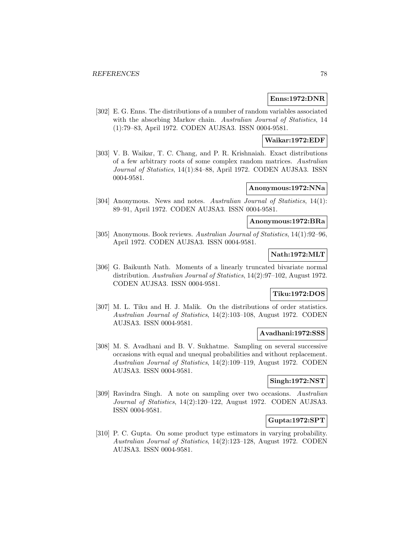### **Enns:1972:DNR**

[302] E. G. Enns. The distributions of a number of random variables associated with the absorbing Markov chain. Australian Journal of Statistics, 14 (1):79–83, April 1972. CODEN AUJSA3. ISSN 0004-9581.

### **Waikar:1972:EDF**

[303] V. B. Waikar, T. C. Chang, and P. R. Krishnaiah. Exact distributions of a few arbitrary roots of some complex random matrices. Australian Journal of Statistics, 14(1):84–88, April 1972. CODEN AUJSA3. ISSN 0004-9581.

### **Anonymous:1972:NNa**

[304] Anonymous. News and notes. Australian Journal of Statistics, 14(1): 89–91, April 1972. CODEN AUJSA3. ISSN 0004-9581.

### **Anonymous:1972:BRa**

[305] Anonymous. Book reviews. Australian Journal of Statistics, 14(1):92–96, April 1972. CODEN AUJSA3. ISSN 0004-9581.

## **Nath:1972:MLT**

[306] G. Baikunth Nath. Moments of a linearly truncated bivariate normal distribution. Australian Journal of Statistics, 14(2):97–102, August 1972. CODEN AUJSA3. ISSN 0004-9581.

# **Tiku:1972:DOS**

[307] M. L. Tiku and H. J. Malik. On the distributions of order statistics. Australian Journal of Statistics, 14(2):103–108, August 1972. CODEN AUJSA3. ISSN 0004-9581.

#### **Avadhani:1972:SSS**

[308] M. S. Avadhani and B. V. Sukhatme. Sampling on several successive occasions with equal and unequal probabilities and without replacement. Australian Journal of Statistics, 14(2):109–119, August 1972. CODEN AUJSA3. ISSN 0004-9581.

#### **Singh:1972:NST**

[309] Ravindra Singh. A note on sampling over two occasions. Australian Journal of Statistics, 14(2):120–122, August 1972. CODEN AUJSA3. ISSN 0004-9581.

### **Gupta:1972:SPT**

[310] P. C. Gupta. On some product type estimators in varying probability. Australian Journal of Statistics, 14(2):123–128, August 1972. CODEN AUJSA3. ISSN 0004-9581.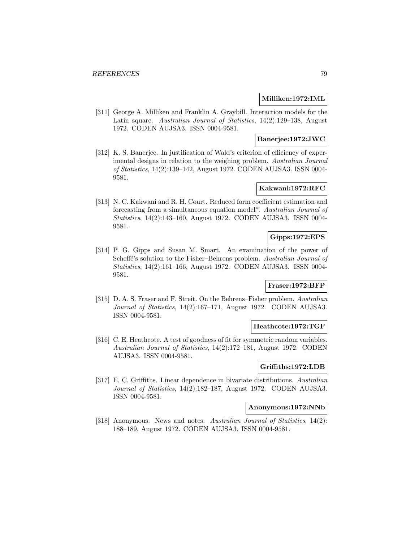### **Milliken:1972:IML**

[311] George A. Milliken and Franklin A. Graybill. Interaction models for the Latin square. Australian Journal of Statistics, 14(2):129–138, August 1972. CODEN AUJSA3. ISSN 0004-9581.

## **Banerjee:1972:JWC**

[312] K. S. Banerjee. In justification of Wald's criterion of efficiency of experimental designs in relation to the weighing problem. Australian Journal of Statistics, 14(2):139–142, August 1972. CODEN AUJSA3. ISSN 0004- 9581.

## **Kakwani:1972:RFC**

[313] N. C. Kakwani and R. H. Court. Reduced form coefficient estimation and forecasting from a simultaneous equation model\*. Australian Journal of Statistics, 14(2):143–160, August 1972. CODEN AUJSA3. ISSN 0004- 9581.

# **Gipps:1972:EPS**

[314] P. G. Gipps and Susan M. Smart. An examination of the power of Scheffé's solution to the Fisher–Behrens problem. Australian Journal of Statistics, 14(2):161–166, August 1972. CODEN AUJSA3. ISSN 0004- 9581.

## **Fraser:1972:BFP**

[315] D. A. S. Fraser and F. Streit. On the Behrens–Fisher problem. Australian Journal of Statistics, 14(2):167–171, August 1972. CODEN AUJSA3. ISSN 0004-9581.

### **Heathcote:1972:TGF**

[316] C. E. Heathcote. A test of goodness of fit for symmetric random variables. Australian Journal of Statistics, 14(2):172–181, August 1972. CODEN AUJSA3. ISSN 0004-9581.

#### **Griffiths:1972:LDB**

[317] E. C. Griffiths. Linear dependence in bivariate distributions. Australian Journal of Statistics, 14(2):182–187, August 1972. CODEN AUJSA3. ISSN 0004-9581.

## **Anonymous:1972:NNb**

[318] Anonymous. News and notes. Australian Journal of Statistics, 14(2): 188–189, August 1972. CODEN AUJSA3. ISSN 0004-9581.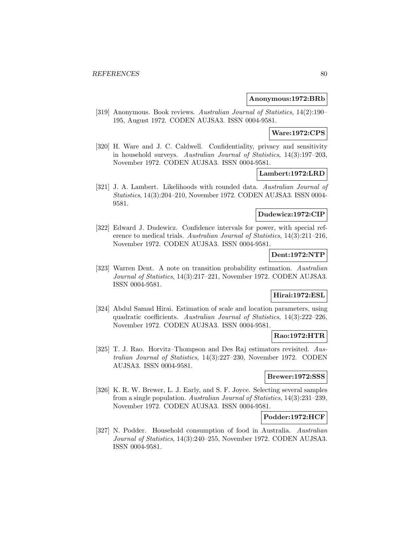#### **Anonymous:1972:BRb**

[319] Anonymous. Book reviews. Australian Journal of Statistics, 14(2):190– 195, August 1972. CODEN AUJSA3. ISSN 0004-9581.

### **Ware:1972:CPS**

[320] H. Ware and J. C. Caldwell. Confidentiality, privacy and sensitivity in household surveys. Australian Journal of Statistics, 14(3):197–203, November 1972. CODEN AUJSA3. ISSN 0004-9581.

## **Lambert:1972:LRD**

[321] J. A. Lambert. Likelihoods with rounded data. Australian Journal of Statistics, 14(3):204–210, November 1972. CODEN AUJSA3. ISSN 0004- 9581.

## **Dudewicz:1972:CIP**

[322] Edward J. Dudewicz. Confidence intervals for power, with special reference to medical trials. Australian Journal of Statistics, 14(3):211–216, November 1972. CODEN AUJSA3. ISSN 0004-9581.

### **Dent:1972:NTP**

[323] Warren Dent. A note on transition probability estimation. Australian Journal of Statistics, 14(3):217–221, November 1972. CODEN AUJSA3. ISSN 0004-9581.

## **Hirai:1972:ESL**

[324] Abdul Samad Hirai. Estimation of scale and location parameters, using quadratic coefficients. Australian Journal of Statistics, 14(3):222–226, November 1972. CODEN AUJSA3. ISSN 0004-9581.

#### **Rao:1972:HTR**

[325] T. J. Rao. Horvitz–Thompson and Des Raj estimators revisited. Australian Journal of Statistics, 14(3):227–230, November 1972. CODEN AUJSA3. ISSN 0004-9581.

## **Brewer:1972:SSS**

[326] K. R. W. Brewer, L. J. Early, and S. F. Joyce. Selecting several samples from a single population. Australian Journal of Statistics, 14(3):231–239, November 1972. CODEN AUJSA3. ISSN 0004-9581.

## **Podder:1972:HCF**

[327] N. Podder. Household consumption of food in Australia. Australian Journal of Statistics, 14(3):240–255, November 1972. CODEN AUJSA3. ISSN 0004-9581.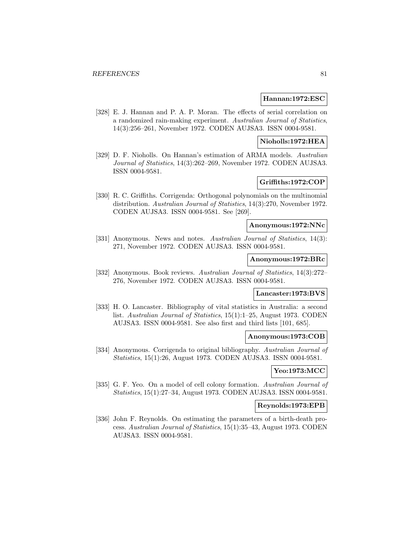#### **Hannan:1972:ESC**

[328] E. J. Hannan and P. A. P. Moran. The effects of serial correlation on a randomized rain-making experiment. Australian Journal of Statistics, 14(3):256–261, November 1972. CODEN AUJSA3. ISSN 0004-9581.

## **Nioholls:1972:HEA**

[329] D. F. Nioholls. On Hannan's estimation of ARMA models. Australian Journal of Statistics, 14(3):262–269, November 1972. CODEN AUJSA3. ISSN 0004-9581.

## **Griffiths:1972:COP**

[330] R. C. Griffiths. Corrigenda: Orthogonal polynomials on the multinomial distribution. Australian Journal of Statistics, 14(3):270, November 1972. CODEN AUJSA3. ISSN 0004-9581. See [269].

## **Anonymous:1972:NNc**

[331] Anonymous. News and notes. Australian Journal of Statistics, 14(3): 271, November 1972. CODEN AUJSA3. ISSN 0004-9581.

#### **Anonymous:1972:BRc**

[332] Anonymous. Book reviews. Australian Journal of Statistics, 14(3):272– 276, November 1972. CODEN AUJSA3. ISSN 0004-9581.

## **Lancaster:1973:BVS**

[333] H. O. Lancaster. Bibliography of vital statistics in Australia: a second list. Australian Journal of Statistics, 15(1):1–25, August 1973. CODEN AUJSA3. ISSN 0004-9581. See also first and third lists [101, 685].

#### **Anonymous:1973:COB**

[334] Anonymous. Corrigenda to original bibliography. Australian Journal of Statistics, 15(1):26, August 1973. CODEN AUJSA3. ISSN 0004-9581.

## **Yeo:1973:MCC**

[335] G. F. Yeo. On a model of cell colony formation. Australian Journal of Statistics, 15(1):27–34, August 1973. CODEN AUJSA3. ISSN 0004-9581.

### **Reynolds:1973:EPB**

[336] John F. Reynolds. On estimating the parameters of a birth-death process. Australian Journal of Statistics, 15(1):35–43, August 1973. CODEN AUJSA3. ISSN 0004-9581.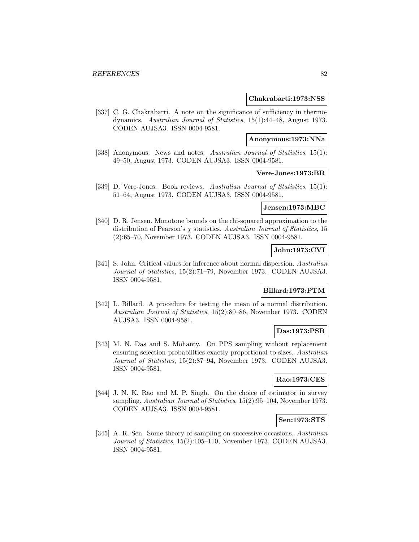#### **Chakrabarti:1973:NSS**

[337] C. G. Chakrabarti. A note on the significance of sufficiency in thermodynamics. Australian Journal of Statistics, 15(1):44–48, August 1973. CODEN AUJSA3. ISSN 0004-9581.

## **Anonymous:1973:NNa**

[338] Anonymous. News and notes. Australian Journal of Statistics, 15(1): 49–50, August 1973. CODEN AUJSA3. ISSN 0004-9581.

## **Vere-Jones:1973:BR**

[339] D. Vere-Jones. Book reviews. Australian Journal of Statistics, 15(1): 51–64, August 1973. CODEN AUJSA3. ISSN 0004-9581.

## **Jensen:1973:MBC**

[340] D. R. Jensen. Monotone bounds on the chi-squared approximation to the distribution of Pearson's  $\chi$  statistics. Australian Journal of Statistics, 15 (2):65–70, November 1973. CODEN AUJSA3. ISSN 0004-9581.

## **John:1973:CVI**

[341] S. John. Critical values for inference about normal dispersion. Australian Journal of Statistics, 15(2):71–79, November 1973. CODEN AUJSA3. ISSN 0004-9581.

#### **Billard:1973:PTM**

[342] L. Billard. A procedure for testing the mean of a normal distribution. Australian Journal of Statistics, 15(2):80–86, November 1973. CODEN AUJSA3. ISSN 0004-9581.

## **Das:1973:PSR**

[343] M. N. Das and S. Mohanty. On PPS sampling without replacement ensuring selection probabilities exactly proportional to sizes. Australian Journal of Statistics, 15(2):87–94, November 1973. CODEN AUJSA3. ISSN 0004-9581.

# **Rao:1973:CES**

[344] J. N. K. Rao and M. P. Singh. On the choice of estimator in survey sampling. Australian Journal of Statistics, 15(2):95–104, November 1973. CODEN AUJSA3. ISSN 0004-9581.

## **Sen:1973:STS**

[345] A. R. Sen. Some theory of sampling on successive occasions. Australian Journal of Statistics, 15(2):105–110, November 1973. CODEN AUJSA3. ISSN 0004-9581.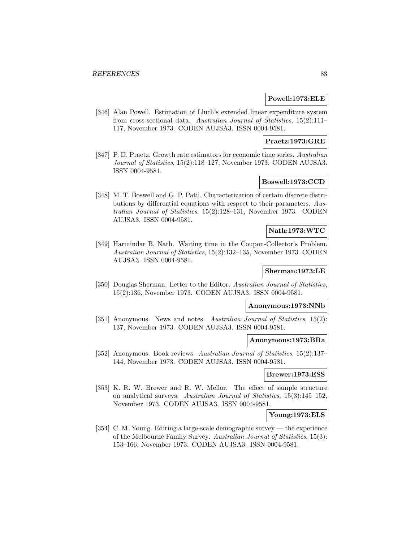### **Powell:1973:ELE**

[346] Alan Powell. Estimation of Lluch's extended linear expenditure system from cross-sectional data. Australian Journal of Statistics, 15(2):111– 117, November 1973. CODEN AUJSA3. ISSN 0004-9581.

## **Praetz:1973:GRE**

[347] P. D. Praetz. Growth rate estimators for economic time series. Australian Journal of Statistics, 15(2):118–127, November 1973. CODEN AUJSA3. ISSN 0004-9581.

## **Boswell:1973:CCD**

[348] M. T. Boswell and G. P. Patil. Characterization of certain discrete distributions by differential equations with respect to their parameters. Australian Journal of Statistics, 15(2):128–131, November 1973. CODEN AUJSA3. ISSN 0004-9581.

### **Nath:1973:WTC**

[349] Harmindar B. Nath. Waiting time in the Coupon-Collector's Problem. Australian Journal of Statistics, 15(2):132–135, November 1973. CODEN AUJSA3. ISSN 0004-9581.

# **Sherman:1973:LE**

[350] Douglas Sherman. Letter to the Editor. Australian Journal of Statistics, 15(2):136, November 1973. CODEN AUJSA3. ISSN 0004-9581.

# **Anonymous:1973:NNb**

[351] Anonymous. News and notes. Australian Journal of Statistics, 15(2): 137, November 1973. CODEN AUJSA3. ISSN 0004-9581.

### **Anonymous:1973:BRa**

[352] Anonymous. Book reviews. Australian Journal of Statistics, 15(2):137– 144, November 1973. CODEN AUJSA3. ISSN 0004-9581.

#### **Brewer:1973:ESS**

[353] K. R. W. Brewer and R. W. Mellor. The effect of sample structure on analytical surveys. Australian Journal of Statistics, 15(3):145–152, November 1973. CODEN AUJSA3. ISSN 0004-9581.

### **Young:1973:ELS**

[354] C. M. Young. Editing a large-scale demographic survey — the experience of the Melbourne Family Survey. Australian Journal of Statistics, 15(3): 153–166, November 1973. CODEN AUJSA3. ISSN 0004-9581.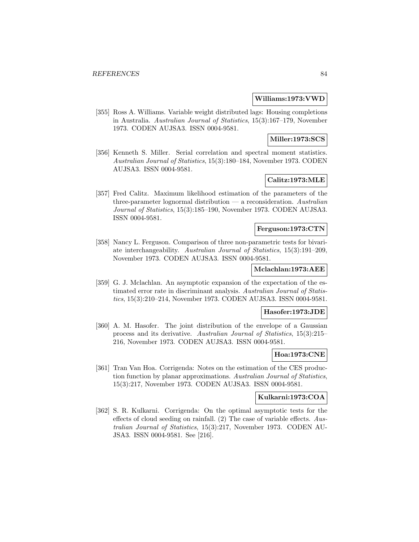#### **Williams:1973:VWD**

[355] Ross A. Williams. Variable weight distributed lags: Housing completions in Australia. Australian Journal of Statistics, 15(3):167–179, November 1973. CODEN AUJSA3. ISSN 0004-9581.

## **Miller:1973:SCS**

[356] Kenneth S. Miller. Serial correlation and spectral moment statistics. Australian Journal of Statistics, 15(3):180–184, November 1973. CODEN AUJSA3. ISSN 0004-9581.

# **Calitz:1973:MLE**

[357] Fred Calitz. Maximum likelihood estimation of the parameters of the three-parameter lognormal distribution  $\frac{1}{2}$  a reconsideration. Australian Journal of Statistics, 15(3):185–190, November 1973. CODEN AUJSA3. ISSN 0004-9581.

## **Ferguson:1973:CTN**

[358] Nancy L. Ferguson. Comparison of three non-parametric tests for bivariate interchangeability. Australian Journal of Statistics, 15(3):191–209, November 1973. CODEN AUJSA3. ISSN 0004-9581.

# **Mclachlan:1973:AEE**

[359] G. J. Mclachlan. An asymptotic expansion of the expectation of the estimated error rate in discriminant analysis. Australian Journal of Statistics, 15(3):210–214, November 1973. CODEN AUJSA3. ISSN 0004-9581.

#### **Hasofer:1973:JDE**

[360] A. M. Hasofer. The joint distribution of the envelope of a Gaussian process and its derivative. Australian Journal of Statistics, 15(3):215– 216, November 1973. CODEN AUJSA3. ISSN 0004-9581.

## **Hoa:1973:CNE**

[361] Tran Van Hoa. Corrigenda: Notes on the estimation of the CES production function by planar approximations. Australian Journal of Statistics, 15(3):217, November 1973. CODEN AUJSA3. ISSN 0004-9581.

## **Kulkarni:1973:COA**

[362] S. R. Kulkarni. Corrigenda: On the optimal asymptotic tests for the effects of cloud seeding on rainfall. (2) The case of variable effects. Australian Journal of Statistics, 15(3):217, November 1973. CODEN AU-JSA3. ISSN 0004-9581. See [216].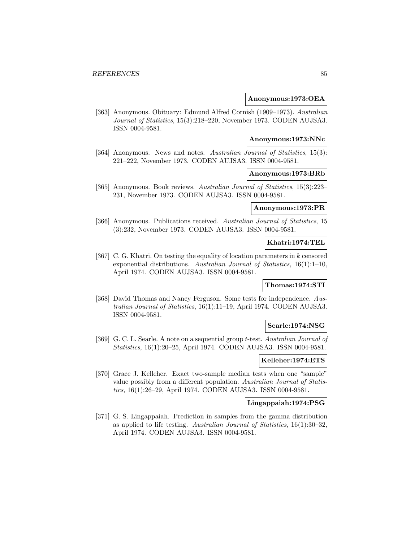#### **Anonymous:1973:OEA**

[363] Anonymous. Obituary: Edmund Alfred Cornish (1909–1973). Australian Journal of Statistics, 15(3):218–220, November 1973. CODEN AUJSA3. ISSN 0004-9581.

#### **Anonymous:1973:NNc**

[364] Anonymous. News and notes. Australian Journal of Statistics, 15(3): 221–222, November 1973. CODEN AUJSA3. ISSN 0004-9581.

# **Anonymous:1973:BRb**

[365] Anonymous. Book reviews. Australian Journal of Statistics, 15(3):223– 231, November 1973. CODEN AUJSA3. ISSN 0004-9581.

#### **Anonymous:1973:PR**

[366] Anonymous. Publications received. Australian Journal of Statistics, 15 (3):232, November 1973. CODEN AUJSA3. ISSN 0004-9581.

### **Khatri:1974:TEL**

[367] C. G. Khatri. On testing the equality of location parameters in k censored exponential distributions. Australian Journal of Statistics, 16(1):1–10, April 1974. CODEN AUJSA3. ISSN 0004-9581.

## **Thomas:1974:STI**

[368] David Thomas and Nancy Ferguson. Some tests for independence. Australian Journal of Statistics, 16(1):11–19, April 1974. CODEN AUJSA3. ISSN 0004-9581.

#### **Searle:1974:NSG**

[369] G. C. L. Searle. A note on a sequential group t-test. Australian Journal of Statistics, 16(1):20–25, April 1974. CODEN AUJSA3. ISSN 0004-9581.

## **Kelleher:1974:ETS**

[370] Grace J. Kelleher. Exact two-sample median tests when one "sample" value possibly from a different population. Australian Journal of Statistics, 16(1):26–29, April 1974. CODEN AUJSA3. ISSN 0004-9581.

### **Lingappaiah:1974:PSG**

[371] G. S. Lingappaiah. Prediction in samples from the gamma distribution as applied to life testing. Australian Journal of Statistics, 16(1):30–32, April 1974. CODEN AUJSA3. ISSN 0004-9581.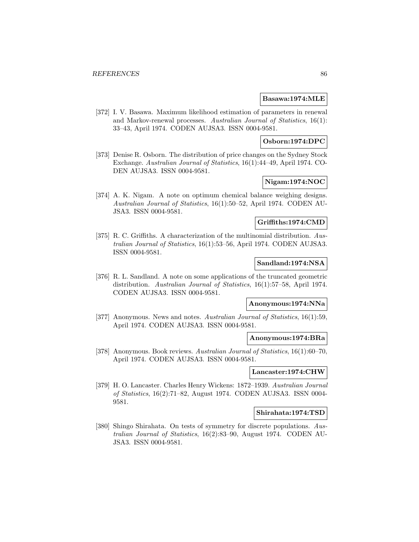#### **Basawa:1974:MLE**

[372] I. V. Basawa. Maximum likelihood estimation of parameters in renewal and Markov-renewal processes. Australian Journal of Statistics, 16(1): 33–43, April 1974. CODEN AUJSA3. ISSN 0004-9581.

## **Osborn:1974:DPC**

[373] Denise R. Osborn. The distribution of price changes on the Sydney Stock Exchange. Australian Journal of Statistics, 16(1):44–49, April 1974. CO-DEN AUJSA3. ISSN 0004-9581.

## **Nigam:1974:NOC**

[374] A. K. Nigam. A note on optimum chemical balance weighing designs. Australian Journal of Statistics, 16(1):50–52, April 1974. CODEN AU-JSA3. ISSN 0004-9581.

## **Griffiths:1974:CMD**

[375] R. C. Griffiths. A characterization of the multinomial distribution. Australian Journal of Statistics, 16(1):53–56, April 1974. CODEN AUJSA3. ISSN 0004-9581.

## **Sandland:1974:NSA**

[376] R. L. Sandland. A note on some applications of the truncated geometric distribution. Australian Journal of Statistics, 16(1):57–58, April 1974. CODEN AUJSA3. ISSN 0004-9581.

## **Anonymous:1974:NNa**

[377] Anonymous. News and notes. Australian Journal of Statistics, 16(1):59, April 1974. CODEN AUJSA3. ISSN 0004-9581.

### **Anonymous:1974:BRa**

[378] Anonymous. Book reviews. Australian Journal of Statistics, 16(1):60–70, April 1974. CODEN AUJSA3. ISSN 0004-9581.

## **Lancaster:1974:CHW**

[379] H. O. Lancaster. Charles Henry Wickens: 1872–1939. Australian Journal of Statistics, 16(2):71–82, August 1974. CODEN AUJSA3. ISSN 0004- 9581.

#### **Shirahata:1974:TSD**

[380] Shingo Shirahata. On tests of symmetry for discrete populations. Australian Journal of Statistics, 16(2):83–90, August 1974. CODEN AU-JSA3. ISSN 0004-9581.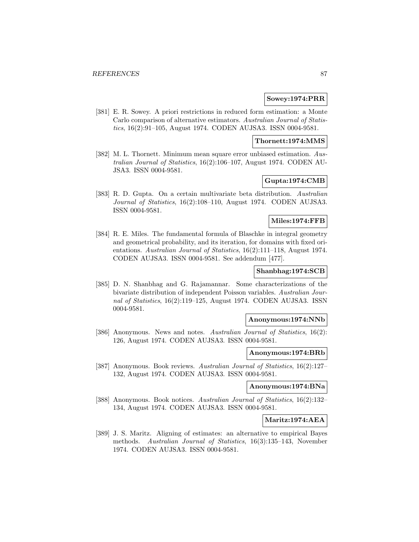#### **Sowey:1974:PRR**

[381] E. R. Sowey. A priori restrictions in reduced form estimation: a Monte Carlo comparison of alternative estimators. Australian Journal of Statistics, 16(2):91–105, August 1974. CODEN AUJSA3. ISSN 0004-9581.

## **Thornett:1974:MMS**

[382] M. L. Thornett. Minimum mean square error unbiased estimation. Australian Journal of Statistics, 16(2):106–107, August 1974. CODEN AU-JSA3. ISSN 0004-9581.

## **Gupta:1974:CMB**

[383] R. D. Gupta. On a certain multivariate beta distribution. Australian Journal of Statistics, 16(2):108–110, August 1974. CODEN AUJSA3. ISSN 0004-9581.

### **Miles:1974:FFB**

[384] R. E. Miles. The fundamental formula of Blaschke in integral geometry and geometrical probability, and its iteration, for domains with fixed orientations. Australian Journal of Statistics, 16(2):111–118, August 1974. CODEN AUJSA3. ISSN 0004-9581. See addendum [477].

## **Shanbhag:1974:SCB**

[385] D. N. Shanbhag and G. Rajamannar. Some characterizations of the bivariate distribution of independent Poisson variables. Australian Journal of Statistics, 16(2):119–125, August 1974. CODEN AUJSA3. ISSN 0004-9581.

## **Anonymous:1974:NNb**

[386] Anonymous. News and notes. Australian Journal of Statistics, 16(2): 126, August 1974. CODEN AUJSA3. ISSN 0004-9581.

### **Anonymous:1974:BRb**

[387] Anonymous. Book reviews. Australian Journal of Statistics, 16(2):127– 132, August 1974. CODEN AUJSA3. ISSN 0004-9581.

## **Anonymous:1974:BNa**

[388] Anonymous. Book notices. Australian Journal of Statistics, 16(2):132– 134, August 1974. CODEN AUJSA3. ISSN 0004-9581.

## **Maritz:1974:AEA**

[389] J. S. Maritz. Aligning of estimates: an alternative to empirical Bayes methods. Australian Journal of Statistics, 16(3):135–143, November 1974. CODEN AUJSA3. ISSN 0004-9581.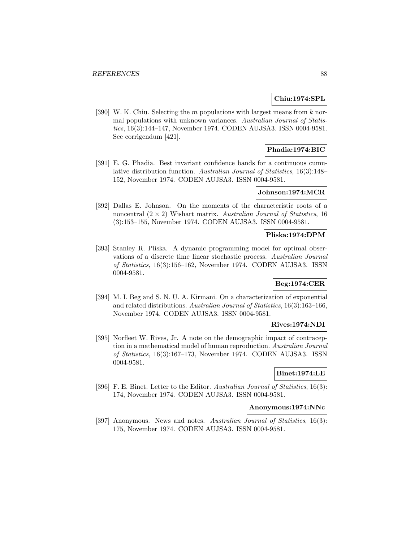## **Chiu:1974:SPL**

[390] W. K. Chiu. Selecting the m populations with largest means from  $k$  normal populations with unknown variances. Australian Journal of Statistics, 16(3):144–147, November 1974. CODEN AUJSA3. ISSN 0004-9581. See corrigendum [421].

## **Phadia:1974:BIC**

[391] E. G. Phadia. Best invariant confidence bands for a continuous cumulative distribution function. Australian Journal of Statistics, 16(3):148– 152, November 1974. CODEN AUJSA3. ISSN 0004-9581.

## **Johnson:1974:MCR**

[392] Dallas E. Johnson. On the moments of the characteristic roots of a noncentral  $(2 \times 2)$  Wishart matrix. Australian Journal of Statistics, 16 (3):153–155, November 1974. CODEN AUJSA3. ISSN 0004-9581.

#### **Pliska:1974:DPM**

[393] Stanley R. Pliska. A dynamic programming model for optimal observations of a discrete time linear stochastic process. Australian Journal of Statistics, 16(3):156–162, November 1974. CODEN AUJSA3. ISSN 0004-9581.

## **Beg:1974:CER**

[394] M. I. Beg and S. N. U. A. Kirmani. On a characterization of exponential and related distributions. Australian Journal of Statistics, 16(3):163–166, November 1974. CODEN AUJSA3. ISSN 0004-9581.

### **Rives:1974:NDI**

[395] Norfleet W. Rives, Jr. A note on the demographic impact of contraception in a mathematical model of human reproduction. Australian Journal of Statistics, 16(3):167–173, November 1974. CODEN AUJSA3. ISSN 0004-9581.

#### **Binet:1974:LE**

[396] F. E. Binet. Letter to the Editor. Australian Journal of Statistics, 16(3): 174, November 1974. CODEN AUJSA3. ISSN 0004-9581.

## **Anonymous:1974:NNc**

[397] Anonymous. News and notes. Australian Journal of Statistics, 16(3): 175, November 1974. CODEN AUJSA3. ISSN 0004-9581.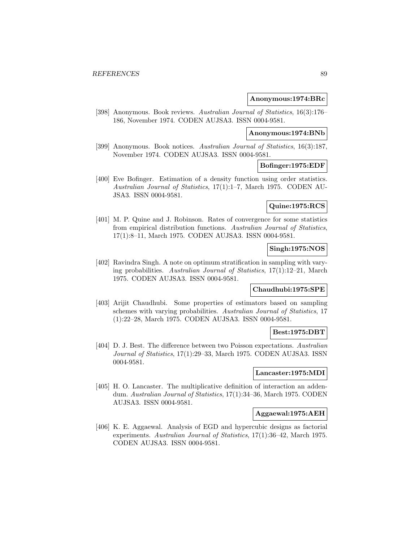#### **Anonymous:1974:BRc**

[398] Anonymous. Book reviews. Australian Journal of Statistics, 16(3):176– 186, November 1974. CODEN AUJSA3. ISSN 0004-9581.

## **Anonymous:1974:BNb**

[399] Anonymous. Book notices. Australian Journal of Statistics, 16(3):187, November 1974. CODEN AUJSA3. ISSN 0004-9581.

### **Bofinger:1975:EDF**

[400] Eve Bofinger. Estimation of a density function using order statistics. Australian Journal of Statistics, 17(1):1–7, March 1975. CODEN AU-JSA3. ISSN 0004-9581.

## **Quine:1975:RCS**

[401] M. P. Quine and J. Robinson. Rates of convergence for some statistics from empirical distribution functions. Australian Journal of Statistics, 17(1):8–11, March 1975. CODEN AUJSA3. ISSN 0004-9581.

# **Singh:1975:NOS**

[402] Ravindra Singh. A note on optimum stratification in sampling with varying probabilities. Australian Journal of Statistics, 17(1):12–21, March 1975. CODEN AUJSA3. ISSN 0004-9581.

## **Chaudhubi:1975:SPE**

[403] Arijit Chaudhubi. Some properties of estimators based on sampling schemes with varying probabilities. Australian Journal of Statistics, 17 (1):22–28, March 1975. CODEN AUJSA3. ISSN 0004-9581.

#### **Best:1975:DBT**

[404] D. J. Best. The difference between two Poisson expectations. Australian Journal of Statistics, 17(1):29–33, March 1975. CODEN AUJSA3. ISSN 0004-9581.

#### **Lancaster:1975:MDI**

[405] H. O. Lancaster. The multiplicative definition of interaction an addendum. Australian Journal of Statistics, 17(1):34–36, March 1975. CODEN AUJSA3. ISSN 0004-9581.

#### **Aggaewal:1975:AEH**

[406] K. E. Aggaewal. Analysis of EGD and hypercubic designs as factorial experiments. Australian Journal of Statistics, 17(1):36–42, March 1975. CODEN AUJSA3. ISSN 0004-9581.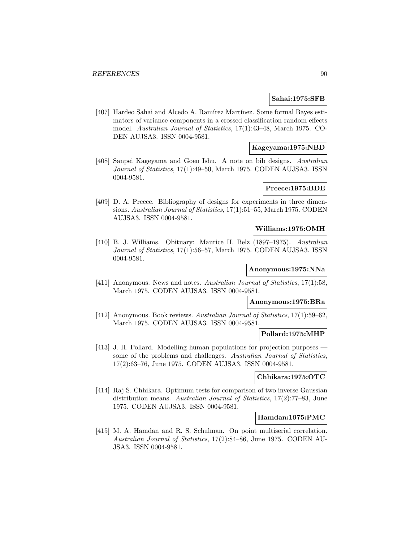### **Sahai:1975:SFB**

[407] Hardeo Sahai and Alcedo A. Ramírez Martínez. Some formal Bayes estimators of variance components in a crossed classification random effects model. Australian Journal of Statistics, 17(1):43–48, March 1975. CO-DEN AUJSA3. ISSN 0004-9581.

## **Kageyama:1975:NBD**

[408] Sanpei Kageyama and Goeo Ishu. A note on bib designs. Australian Journal of Statistics, 17(1):49–50, March 1975. CODEN AUJSA3. ISSN 0004-9581.

## **Preece:1975:BDE**

[409] D. A. Preece. Bibliography of designs for experiments in three dimensions. Australian Journal of Statistics, 17(1):51–55, March 1975. CODEN AUJSA3. ISSN 0004-9581.

## **Williams:1975:OMH**

[410] B. J. Williams. Obituary: Maurice H. Belz (1897–1975). Australian Journal of Statistics, 17(1):56–57, March 1975. CODEN AUJSA3. ISSN 0004-9581.

#### **Anonymous:1975:NNa**

[411] Anonymous. News and notes. Australian Journal of Statistics, 17(1):58, March 1975. CODEN AUJSA3. ISSN 0004-9581.

## **Anonymous:1975:BRa**

[412] Anonymous. Book reviews. Australian Journal of Statistics, 17(1):59–62, March 1975. CODEN AUJSA3. ISSN 0004-9581.

#### **Pollard:1975:MHP**

[413] J. H. Pollard. Modelling human populations for projection purposes some of the problems and challenges. Australian Journal of Statistics, 17(2):63–76, June 1975. CODEN AUJSA3. ISSN 0004-9581.

## **Chhikara:1975:OTC**

[414] Raj S. Chhikara. Optimum tests for comparison of two inverse Gaussian distribution means. Australian Journal of Statistics, 17(2):77–83, June 1975. CODEN AUJSA3. ISSN 0004-9581.

### **Hamdan:1975:PMC**

[415] M. A. Hamdan and R. S. Schulman. On point multiserial correlation. Australian Journal of Statistics, 17(2):84–86, June 1975. CODEN AU-JSA3. ISSN 0004-9581.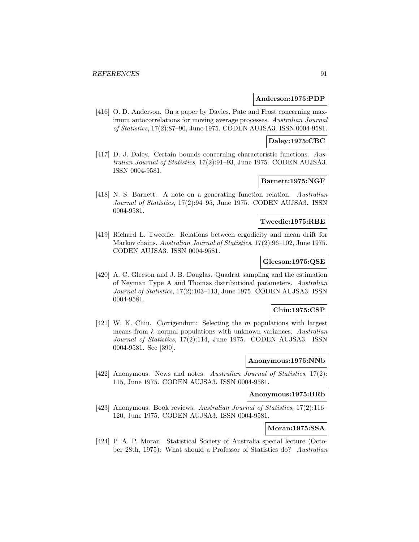#### **Anderson:1975:PDP**

[416] O. D. Anderson. On a paper by Davies, Pate and Frost concerning maximum autocorrelations for moving average processes. Australian Journal of Statistics, 17(2):87–90, June 1975. CODEN AUJSA3. ISSN 0004-9581.

## **Daley:1975:CBC**

[417] D. J. Daley. Certain bounds concerning characteristic functions. Australian Journal of Statistics, 17(2):91–93, June 1975. CODEN AUJSA3. ISSN 0004-9581.

# **Barnett:1975:NGF**

[418] N. S. Barnett. A note on a generating function relation. Australian Journal of Statistics, 17(2):94–95, June 1975. CODEN AUJSA3. ISSN 0004-9581.

### **Tweedie:1975:RBE**

[419] Richard L. Tweedie. Relations between ergodicity and mean drift for Markov chains. Australian Journal of Statistics, 17(2):96–102, June 1975. CODEN AUJSA3. ISSN 0004-9581.

## **Gleeson:1975:QSE**

[420] A. C. Gleeson and J. B. Douglas. Quadrat sampling and the estimation of Neyman Type A and Thomas distributional parameters. Australian Journal of Statistics, 17(2):103–113, June 1975. CODEN AUJSA3. ISSN 0004-9581.

#### **Chiu:1975:CSP**

[421] W. K. Chiu. Corrigendum: Selecting the m populations with largest means from  $k$  normal populations with unknown variances. Australian Journal of Statistics, 17(2):114, June 1975. CODEN AUJSA3. ISSN 0004-9581. See [390].

## **Anonymous:1975:NNb**

[422] Anonymous. News and notes. Australian Journal of Statistics, 17(2): 115, June 1975. CODEN AUJSA3. ISSN 0004-9581.

# **Anonymous:1975:BRb**

[423] Anonymous. Book reviews. Australian Journal of Statistics, 17(2):116– 120, June 1975. CODEN AUJSA3. ISSN 0004-9581.

# **Moran:1975:SSA**

[424] P. A. P. Moran. Statistical Society of Australia special lecture (October 28th, 1975): What should a Professor of Statistics do? Australian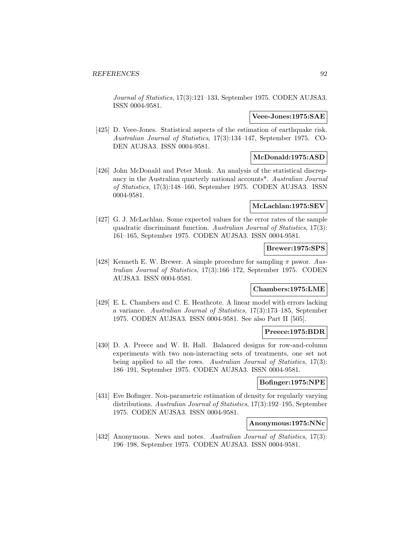Journal of Statistics, 17(3):121–133, September 1975. CODEN AUJSA3. ISSN 0004-9581.

### **Veee-Jones:1975:SAE**

[425] D. Veee-Jones. Statistical aspects of the estimation of earthquake risk. Australian Journal of Statistics, 17(3):134–147, September 1975. CO-DEN AUJSA3. ISSN 0004-9581.

## **McDonald:1975:ASD**

[426] John McDonald and Peter Monk. An analysis of the statistical discrepancy in the Australian quarterly national accounts\*. Australian Journal of Statistics, 17(3):148–160, September 1975. CODEN AUJSA3. ISSN 0004-9581.

## **McLachlan:1975:SEV**

[427] G. J. McLachlan. Some expected values for the error rates of the sample quadratic discriminant function. Australian Journal of Statistics, 17(3): 161–165, September 1975. CODEN AUJSA3. ISSN 0004-9581.

## **Brewer:1975:SPS**

[428] Kenneth E. W. Brewer. A simple procedure for sampling  $\pi$  pswor. Australian Journal of Statistics, 17(3):166–172, September 1975. CODEN AUJSA3. ISSN 0004-9581.

#### **Chambers:1975:LME**

[429] E. L. Chambers and C. E. Heathcote. A linear model with errors lacking a variance. Australian Journal of Statistics, 17(3):173–185, September 1975. CODEN AUJSA3. ISSN 0004-9581. See also Part II [505].

#### **Preece:1975:BDR**

[430] D. A. Preece and W. B. Hall. Balanced designs for row-and-column experiments with two non-interacting sets of treatments, one set not being applied to all the rows. Australian Journal of Statistics, 17(3): 186–191, September 1975. CODEN AUJSA3. ISSN 0004-9581.

## **Bofinger:1975:NPE**

[431] Eve Bofinger. Non-parametric estimation of density for regularly varying distributions. Australian Journal of Statistics, 17(3):192–195, September 1975. CODEN AUJSA3. ISSN 0004-9581.

#### **Anonymous:1975:NNc**

[432] Anonymous. News and notes. Australian Journal of Statistics, 17(3): 196–198, September 1975. CODEN AUJSA3. ISSN 0004-9581.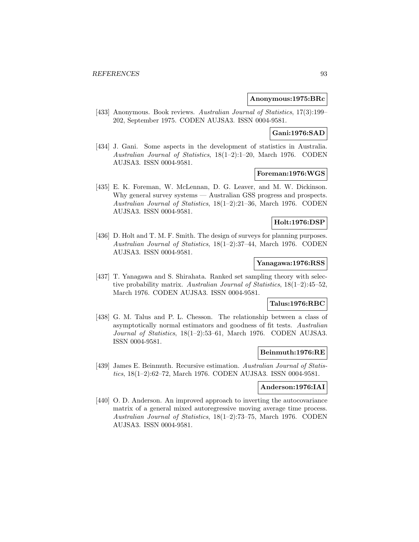#### **Anonymous:1975:BRc**

[433] Anonymous. Book reviews. Australian Journal of Statistics, 17(3):199– 202, September 1975. CODEN AUJSA3. ISSN 0004-9581.

## **Gani:1976:SAD**

[434] J. Gani. Some aspects in the development of statistics in Australia. Australian Journal of Statistics, 18(1–2):1–20, March 1976. CODEN AUJSA3. ISSN 0004-9581.

## **Foreman:1976:WGS**

[435] E. K. Foreman, W. McLennan, D. G. Leaver, and M. W. Dickinson. Why general survey systems — Australian GSS progress and prospects. Australian Journal of Statistics, 18(1–2):21–36, March 1976. CODEN AUJSA3. ISSN 0004-9581.

### **Holt:1976:DSP**

[436] D. Holt and T. M. F. Smith. The design of surveys for planning purposes. Australian Journal of Statistics, 18(1–2):37–44, March 1976. CODEN AUJSA3. ISSN 0004-9581.

## **Yanagawa:1976:RSS**

[437] T. Yanagawa and S. Shirahata. Ranked set sampling theory with selective probability matrix. Australian Journal of Statistics, 18(1–2):45–52, March 1976. CODEN AUJSA3. ISSN 0004-9581.

## **Talus:1976:RBC**

[438] G. M. Talus and P. L. Chesson. The relationship between a class of asymptotically normal estimators and goodness of fit tests. Australian Journal of Statistics, 18(1–2):53–61, March 1976. CODEN AUJSA3. ISSN 0004-9581.

## **Beinmuth:1976:RE**

[439] James E. Beinmuth. Recursive estimation. Australian Journal of Statistics, 18(1–2):62–72, March 1976. CODEN AUJSA3. ISSN 0004-9581.

## **Anderson:1976:IAI**

[440] O. D. Anderson. An improved approach to inverting the autocovariance matrix of a general mixed autoregressive moving average time process. Australian Journal of Statistics, 18(1–2):73–75, March 1976. CODEN AUJSA3. ISSN 0004-9581.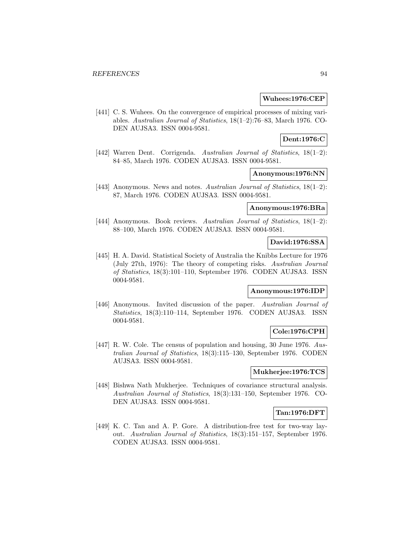#### **Wuhees:1976:CEP**

[441] C. S. Wuhees. On the convergence of empirical processes of mixing variables. Australian Journal of Statistics, 18(1–2):76–83, March 1976. CO-DEN AUJSA3. ISSN 0004-9581.

# **Dent:1976:C**

[442] Warren Dent. Corrigenda. Australian Journal of Statistics, 18(1–2): 84–85, March 1976. CODEN AUJSA3. ISSN 0004-9581.

## **Anonymous:1976:NN**

[443] Anonymous. News and notes. Australian Journal of Statistics, 18(1–2): 87, March 1976. CODEN AUJSA3. ISSN 0004-9581.

## **Anonymous:1976:BRa**

[444] Anonymous. Book reviews. Australian Journal of Statistics, 18(1-2): 88–100, March 1976. CODEN AUJSA3. ISSN 0004-9581.

## **David:1976:SSA**

[445] H. A. David. Statistical Society of Australia the Knibbs Lecture for 1976 (July 27th, 1976): The theory of competing risks. Australian Journal of Statistics, 18(3):101–110, September 1976. CODEN AUJSA3. ISSN 0004-9581.

#### **Anonymous:1976:IDP**

[446] Anonymous. Invited discussion of the paper. Australian Journal of Statistics, 18(3):110–114, September 1976. CODEN AUJSA3. ISSN 0004-9581.

## **Cole:1976:CPH**

[447] R. W. Cole. The census of population and housing, 30 June 1976. Australian Journal of Statistics, 18(3):115–130, September 1976. CODEN AUJSA3. ISSN 0004-9581.

### **Mukherjee:1976:TCS**

[448] Bishwa Nath Mukherjee. Techniques of covariance structural analysis. Australian Journal of Statistics, 18(3):131–150, September 1976. CO-DEN AUJSA3. ISSN 0004-9581.

## **Tan:1976:DFT**

[449] K. C. Tan and A. P. Gore. A distribution-free test for two-way layout. Australian Journal of Statistics, 18(3):151–157, September 1976. CODEN AUJSA3. ISSN 0004-9581.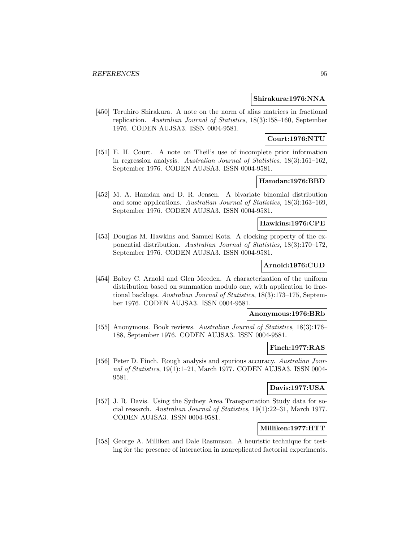#### **Shirakura:1976:NNA**

[450] Teruhiro Shirakura. A note on the norm of alias matrices in fractional replication. Australian Journal of Statistics, 18(3):158–160, September 1976. CODEN AUJSA3. ISSN 0004-9581.

## **Court:1976:NTU**

[451] E. H. Court. A note on Theil's use of incomplete prior information in regression analysis. Australian Journal of Statistics, 18(3):161–162, September 1976. CODEN AUJSA3. ISSN 0004-9581.

# **Hamdan:1976:BBD**

[452] M. A. Hamdan and D. R. Jensen. A bivariate binomial distribution and some applications. Australian Journal of Statistics, 18(3):163–169, September 1976. CODEN AUJSA3. ISSN 0004-9581.

### **Hawkins:1976:CPE**

[453] Douglas M. Hawkins and Samuel Kotz. A clocking property of the exponential distribution. Australian Journal of Statistics, 18(3):170–172, September 1976. CODEN AUJSA3. ISSN 0004-9581.

### **Arnold:1976:CUD**

[454] Babry C. Arnold and Glen Meeden. A characterization of the uniform distribution based on summation modulo one, with application to fractional backlogs. Australian Journal of Statistics, 18(3):173–175, September 1976. CODEN AUJSA3. ISSN 0004-9581.

#### **Anonymous:1976:BRb**

[455] Anonymous. Book reviews. Australian Journal of Statistics, 18(3):176– 188, September 1976. CODEN AUJSA3. ISSN 0004-9581.

## **Finch:1977:RAS**

[456] Peter D. Finch. Rough analysis and spurious accuracy. Australian Journal of Statistics, 19(1):1–21, March 1977. CODEN AUJSA3. ISSN 0004- 9581.

## **Davis:1977:USA**

[457] J. R. Davis. Using the Sydney Area Transportation Study data for social research. Australian Journal of Statistics, 19(1):22–31, March 1977. CODEN AUJSA3. ISSN 0004-9581.

## **Milliken:1977:HTT**

[458] George A. Milliken and Dale Rasmuson. A heuristic technique for testing for the presence of interaction in nonreplicated factorial experiments.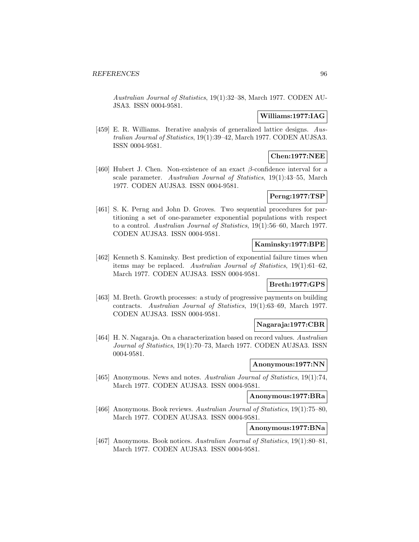Australian Journal of Statistics, 19(1):32–38, March 1977. CODEN AU-JSA3. ISSN 0004-9581.

# **Williams:1977:IAG**

[459] E. R. Williams. Iterative analysis of generalized lattice designs. Australian Journal of Statistics, 19(1):39–42, March 1977. CODEN AUJSA3. ISSN 0004-9581.

## **Chen:1977:NEE**

[460] Hubert J. Chen. Non-existence of an exact  $\beta$ -confidence interval for a scale parameter. Australian Journal of Statistics, 19(1):43–55, March 1977. CODEN AUJSA3. ISSN 0004-9581.

## **Perng:1977:TSP**

[461] S. K. Perng and John D. Groves. Two sequential procedures for partitioning a set of one-parameter exponential populations with respect to a control. Australian Journal of Statistics, 19(1):56–60, March 1977. CODEN AUJSA3. ISSN 0004-9581.

#### **Kaminsky:1977:BPE**

[462] Kenneth S. Kaminsky. Best prediction of exponential failure times when items may be replaced. Australian Journal of Statistics, 19(1):61–62, March 1977. CODEN AUJSA3. ISSN 0004-9581.

## **Breth:1977:GPS**

[463] M. Breth. Growth processes: a study of progressive payments on building contracts. Australian Journal of Statistics, 19(1):63–69, March 1977. CODEN AUJSA3. ISSN 0004-9581.

#### **Nagaraja:1977:CBR**

[464] H. N. Nagaraja. On a characterization based on record values. Australian Journal of Statistics, 19(1):70–73, March 1977. CODEN AUJSA3. ISSN 0004-9581.

## **Anonymous:1977:NN**

[465] Anonymous. News and notes. Australian Journal of Statistics, 19(1):74, March 1977. CODEN AUJSA3. ISSN 0004-9581.

# **Anonymous:1977:BRa**

[466] Anonymous. Book reviews. Australian Journal of Statistics, 19(1):75–80, March 1977. CODEN AUJSA3. ISSN 0004-9581.

**Anonymous:1977:BNa**

[467] Anonymous. Book notices. Australian Journal of Statistics, 19(1):80–81, March 1977. CODEN AUJSA3. ISSN 0004-9581.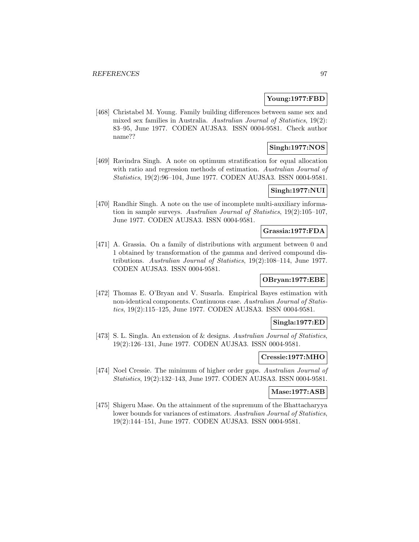#### **Young:1977:FBD**

[468] Christabel M. Young. Family building differences between same sex and mixed sex families in Australia. Australian Journal of Statistics, 19(2): 83–95, June 1977. CODEN AUJSA3. ISSN 0004-9581. Check author name??

# **Singh:1977:NOS**

[469] Ravindra Singh. A note on optimum stratification for equal allocation with ratio and regression methods of estimation. Australian Journal of Statistics, 19(2):96–104, June 1977. CODEN AUJSA3. ISSN 0004-9581.

## **Singh:1977:NUI**

[470] Randhir Singh. A note on the use of incomplete multi-auxiliary information in sample surveys. Australian Journal of Statistics, 19(2):105–107, June 1977. CODEN AUJSA3. ISSN 0004-9581.

#### **Grassia:1977:FDA**

[471] A. Grassia. On a family of distributions with argument between 0 and 1 obtained by transformation of the gamma and derived compound distributions. Australian Journal of Statistics, 19(2):108–114, June 1977. CODEN AUJSA3. ISSN 0004-9581.

## **OBryan:1977:EBE**

[472] Thomas E. O'Bryan and V. Susarla. Empirical Bayes estimation with non-identical components. Continuous case. Australian Journal of Statistics, 19(2):115–125, June 1977. CODEN AUJSA3. ISSN 0004-9581.

#### **Singla:1977:ED**

[473] S. L. Singla. An extension of & designs. Australian Journal of Statistics, 19(2):126–131, June 1977. CODEN AUJSA3. ISSN 0004-9581.

#### **Cressie:1977:MHO**

[474] Noel Cressie. The minimum of higher order gaps. Australian Journal of Statistics, 19(2):132–143, June 1977. CODEN AUJSA3. ISSN 0004-9581.

## **Mase:1977:ASB**

[475] Shigeru Mase. On the attainment of the supremum of the Bhattacharyya lower bounds for variances of estimators. Australian Journal of Statistics, 19(2):144–151, June 1977. CODEN AUJSA3. ISSN 0004-9581.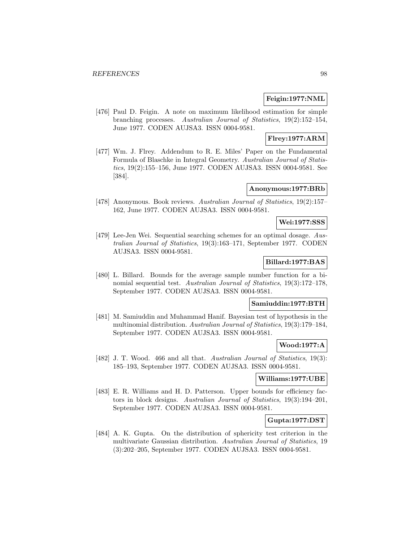### **Feigin:1977:NML**

[476] Paul D. Feigin. A note on maximum likelihood estimation for simple branching processes. Australian Journal of Statistics, 19(2):152–154, June 1977. CODEN AUJSA3. ISSN 0004-9581.

## **Flrey:1977:ARM**

[477] Wm. J. Flrey. Addendum to R. E. Miles' Paper on the Fundamental Formula of Blaschke in Integral Geometry. Australian Journal of Statistics, 19(2):155–156, June 1977. CODEN AUJSA3. ISSN 0004-9581. See [384].

#### **Anonymous:1977:BRb**

[478] Anonymous. Book reviews. Australian Journal of Statistics, 19(2):157– 162, June 1977. CODEN AUJSA3. ISSN 0004-9581.

# **Wei:1977:SSS**

[479] Lee-Jen Wei. Sequential searching schemes for an optimal dosage. Australian Journal of Statistics, 19(3):163–171, September 1977. CODEN AUJSA3. ISSN 0004-9581.

## **Billard:1977:BAS**

[480] L. Billard. Bounds for the average sample number function for a binomial sequential test. Australian Journal of Statistics, 19(3):172–178, September 1977. CODEN AUJSA3. ISSN 0004-9581.

## **Samiuddin:1977:BTH**

[481] M. Samiuddin and Muhammad Hanif. Bayesian test of hypothesis in the multinomial distribution. Australian Journal of Statistics, 19(3):179–184, September 1977. CODEN AUJSA3. ISSN 0004-9581.

### **Wood:1977:A**

[482] J. T. Wood. 466 and all that. Australian Journal of Statistics, 19(3): 185–193, September 1977. CODEN AUJSA3. ISSN 0004-9581.

## **Williams:1977:UBE**

[483] E. R. Williams and H. D. Patterson. Upper bounds for efficiency factors in block designs. Australian Journal of Statistics, 19(3):194–201, September 1977. CODEN AUJSA3. ISSN 0004-9581.

### **Gupta:1977:DST**

[484] A. K. Gupta. On the distribution of sphericity test criterion in the multivariate Gaussian distribution. Australian Journal of Statistics, 19 (3):202–205, September 1977. CODEN AUJSA3. ISSN 0004-9581.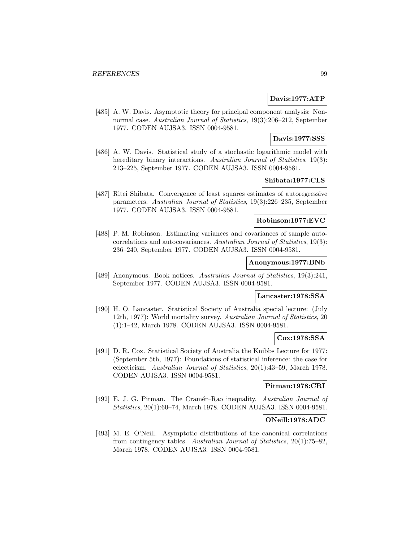## **Davis:1977:ATP**

[485] A. W. Davis. Asymptotic theory for principal component analysis: Nonnormal case. Australian Journal of Statistics, 19(3):206–212, September 1977. CODEN AUJSA3. ISSN 0004-9581.

## **Davis:1977:SSS**

[486] A. W. Davis. Statistical study of a stochastic logarithmic model with hereditary binary interactions. Australian Journal of Statistics, 19(3): 213–225, September 1977. CODEN AUJSA3. ISSN 0004-9581.

# **Shibata:1977:CLS**

[487] Ritei Shibata. Convergence of least squares estimates of autoregressive parameters. Australian Journal of Statistics, 19(3):226–235, September 1977. CODEN AUJSA3. ISSN 0004-9581.

## **Robinson:1977:EVC**

[488] P. M. Robinson. Estimating variances and covariances of sample autocorrelations and autocovariances. Australian Journal of Statistics, 19(3): 236–240, September 1977. CODEN AUJSA3. ISSN 0004-9581.

## **Anonymous:1977:BNb**

[489] Anonymous. Book notices. Australian Journal of Statistics, 19(3):241, September 1977. CODEN AUJSA3. ISSN 0004-9581.

### **Lancaster:1978:SSA**

[490] H. O. Lancaster. Statistical Society of Australia special lecture: (July 12th, 1977): World mortality survey. Australian Journal of Statistics, 20 (1):1–42, March 1978. CODEN AUJSA3. ISSN 0004-9581.

# **Cox:1978:SSA**

[491] D. R. Cox. Statistical Society of Australia the Knibbs Lecture for 1977: (September 5th, 1977): Foundations of statistical inference: the case for eclecticism. Australian Journal of Statistics, 20(1):43–59, March 1978. CODEN AUJSA3. ISSN 0004-9581.

## **Pitman:1978:CRI**

[492] E. J. G. Pitman. The Cramér–Rao inequality. Australian Journal of Statistics, 20(1):60–74, March 1978. CODEN AUJSA3. ISSN 0004-9581.

# **ONeill:1978:ADC**

[493] M. E. O'Neill. Asymptotic distributions of the canonical correlations from contingency tables. Australian Journal of Statistics, 20(1):75–82, March 1978. CODEN AUJSA3. ISSN 0004-9581.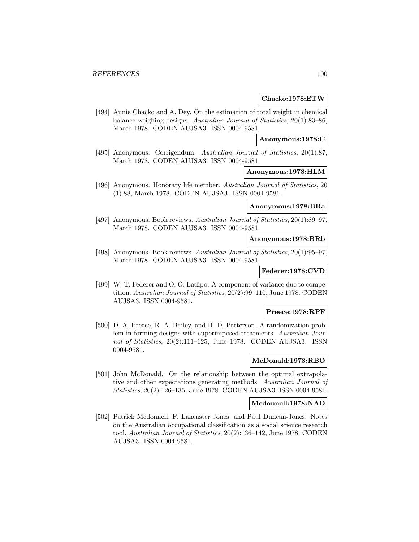#### **Chacko:1978:ETW**

[494] Annie Chacko and A. Dey. On the estimation of total weight in chemical balance weighing designs. Australian Journal of Statistics, 20(1):83–86, March 1978. CODEN AUJSA3. ISSN 0004-9581.

#### **Anonymous:1978:C**

[495] Anonymous. Corrigendum. Australian Journal of Statistics, 20(1):87, March 1978. CODEN AUJSA3. ISSN 0004-9581.

#### **Anonymous:1978:HLM**

[496] Anonymous. Honorary life member. Australian Journal of Statistics, 20 (1):88, March 1978. CODEN AUJSA3. ISSN 0004-9581.

## **Anonymous:1978:BRa**

[497] Anonymous. Book reviews. Australian Journal of Statistics, 20(1):89–97, March 1978. CODEN AUJSA3. ISSN 0004-9581.

### **Anonymous:1978:BRb**

[498] Anonymous. Book reviews. Australian Journal of Statistics, 20(1):95–97, March 1978. CODEN AUJSA3. ISSN 0004-9581.

**Federer:1978:CVD**

[499] W. T. Federer and O. O. Ladipo. A component of variance due to competition. Australian Journal of Statistics, 20(2):99–110, June 1978. CODEN AUJSA3. ISSN 0004-9581.

#### **Preece:1978:RPF**

[500] D. A. Preece, R. A. Bailey, and H. D. Patterson. A randomization problem in forming designs with superimposed treatments. Australian Journal of Statistics, 20(2):111–125, June 1978. CODEN AUJSA3. ISSN 0004-9581.

## **McDonald:1978:RBO**

[501] John McDonald. On the relationship between the optimal extrapolative and other expectations generating methods. Australian Journal of Statistics, 20(2):126–135, June 1978. CODEN AUJSA3. ISSN 0004-9581.

### **Mcdonnell:1978:NAO**

[502] Patrick Mcdonnell, F. Lancaster Jones, and Paul Duncan-Jones. Notes on the Australian occupational classification as a social science research tool. Australian Journal of Statistics, 20(2):136–142, June 1978. CODEN AUJSA3. ISSN 0004-9581.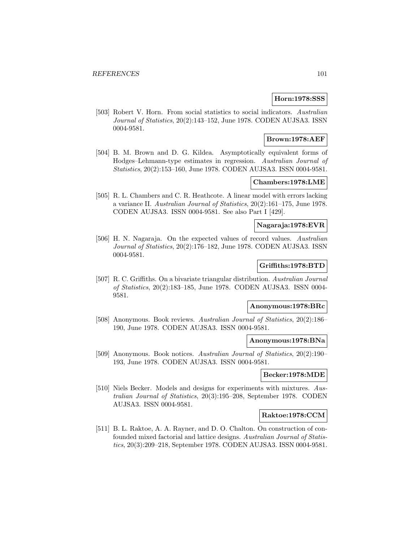### **Horn:1978:SSS**

[503] Robert V. Horn. From social statistics to social indicators. Australian Journal of Statistics, 20(2):143–152, June 1978. CODEN AUJSA3. ISSN 0004-9581.

## **Brown:1978:AEF**

[504] B. M. Brown and D. G. Kildea. Asymptotically equivalent forms of Hodges–Lehmann-type estimates in regression. Australian Journal of Statistics, 20(2):153–160, June 1978. CODEN AUJSA3. ISSN 0004-9581.

### **Chambers:1978:LME**

[505] R. L. Chambers and C. R. Heathcote. A linear model with errors lacking a variance II. Australian Journal of Statistics, 20(2):161–175, June 1978. CODEN AUJSA3. ISSN 0004-9581. See also Part I [429].

## **Nagaraja:1978:EVR**

[506] H. N. Nagaraja. On the expected values of record values. Australian Journal of Statistics, 20(2):176–182, June 1978. CODEN AUJSA3. ISSN 0004-9581.

### **Griffiths:1978:BTD**

[507] R. C. Griffiths. On a bivariate triangular distribution. Australian Journal of Statistics, 20(2):183–185, June 1978. CODEN AUJSA3. ISSN 0004- 9581.

### **Anonymous:1978:BRc**

[508] Anonymous. Book reviews. Australian Journal of Statistics, 20(2):186– 190, June 1978. CODEN AUJSA3. ISSN 0004-9581.

#### **Anonymous:1978:BNa**

[509] Anonymous. Book notices. Australian Journal of Statistics, 20(2):190– 193, June 1978. CODEN AUJSA3. ISSN 0004-9581.

#### **Becker:1978:MDE**

[510] Niels Becker. Models and designs for experiments with mixtures. Australian Journal of Statistics, 20(3):195–208, September 1978. CODEN AUJSA3. ISSN 0004-9581.

#### **Raktoe:1978:CCM**

[511] B. L. Raktoe, A. A. Rayner, and D. O. Chalton. On construction of confounded mixed factorial and lattice designs. Australian Journal of Statistics, 20(3):209–218, September 1978. CODEN AUJSA3. ISSN 0004-9581.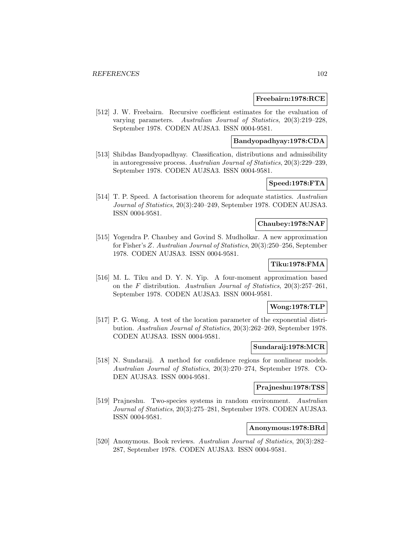### **Freebairn:1978:RCE**

[512] J. W. Freebairn. Recursive coefficient estimates for the evaluation of varying parameters. Australian Journal of Statistics, 20(3):219–228, September 1978. CODEN AUJSA3. ISSN 0004-9581.

# **Bandyopadhyay:1978:CDA**

[513] Shibdas Bandyopadhyay. Classification, distributions and admissibility in autoregressive process. Australian Journal of Statistics, 20(3):229–239, September 1978. CODEN AUJSA3. ISSN 0004-9581.

# **Speed:1978:FTA**

[514] T. P. Speed. A factorisation theorem for adequate statistics. Australian Journal of Statistics, 20(3):240–249, September 1978. CODEN AUJSA3. ISSN 0004-9581.

# **Chaubey:1978:NAF**

[515] Yogendra P. Chaubey and Govind S. Mudholkar. A new approximation for Fisher's Z. Australian Journal of Statistics, 20(3):250–256, September 1978. CODEN AUJSA3. ISSN 0004-9581.

# **Tiku:1978:FMA**

[516] M. L. Tiku and D. Y. N. Yip. A four-moment approximation based on the F distribution. Australian Journal of Statistics, 20(3):257–261, September 1978. CODEN AUJSA3. ISSN 0004-9581.

# **Wong:1978:TLP**

[517] P. G. Wong. A test of the location parameter of the exponential distribution. Australian Journal of Statistics, 20(3):262–269, September 1978. CODEN AUJSA3. ISSN 0004-9581.

#### **Sundaraij:1978:MCR**

[518] N. Sundaraij. A method for confidence regions for nonlinear models. Australian Journal of Statistics, 20(3):270–274, September 1978. CO-DEN AUJSA3. ISSN 0004-9581.

## **Prajneshu:1978:TSS**

[519] Prajneshu. Two-species systems in random environment. Australian Journal of Statistics, 20(3):275–281, September 1978. CODEN AUJSA3. ISSN 0004-9581.

## **Anonymous:1978:BRd**

[520] Anonymous. Book reviews. Australian Journal of Statistics, 20(3):282– 287, September 1978. CODEN AUJSA3. ISSN 0004-9581.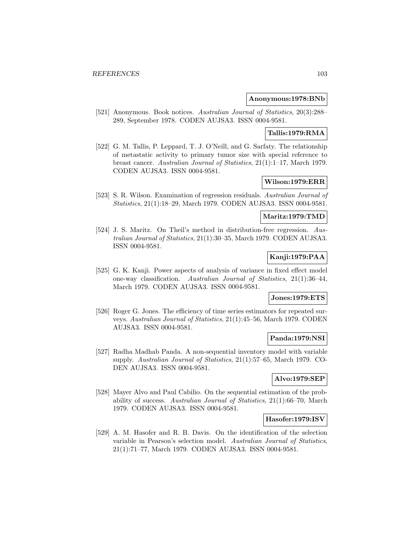### **Anonymous:1978:BNb**

[521] Anonymous. Book notices. Australian Journal of Statistics, 20(3):288– 289, September 1978. CODEN AUJSA3. ISSN 0004-9581.

# **Tallis:1979:RMA**

[522] G. M. Tallis, P. Leppard, T. J. O'Neill, and G. Sarfaty. The relationship of metastatic activity to primary tumor size with special reference to breast cancer. Australian Journal of Statistics, 21(1):1–17, March 1979. CODEN AUJSA3. ISSN 0004-9581.

## **Wilson:1979:ERR**

[523] S. R. Wilson. Examination of regression residuals. Australian Journal of Statistics, 21(1):18–29, March 1979. CODEN AUJSA3. ISSN 0004-9581.

### **Maritz:1979:TMD**

[524] J. S. Maritz. On Theil's method in distribution-free regression. Australian Journal of Statistics, 21(1):30–35, March 1979. CODEN AUJSA3. ISSN 0004-9581.

## **Kanji:1979:PAA**

[525] G. K. Kanji. Power aspects of analysis of variance in fixed effect model one-way classification. Australian Journal of Statistics, 21(1):36–44, March 1979. CODEN AUJSA3. ISSN 0004-9581.

## **Jones:1979:ETS**

[526] Roger G. Jones. The efficiency of time series estimators for repeated surveys. Australian Journal of Statistics, 21(1):45–56, March 1979. CODEN AUJSA3. ISSN 0004-9581.

## **Panda:1979:NSI**

[527] Radha Madhab Panda. A non-sequential inventory model with variable supply. Australian Journal of Statistics, 21(1):57–65, March 1979. CO-DEN AUJSA3. ISSN 0004-9581.

## **Alvo:1979:SEP**

[528] Mayer Alvo and Paul Cabilio. On the sequential estimation of the probability of success. Australian Journal of Statistics,  $21(1):66-70$ , March 1979. CODEN AUJSA3. ISSN 0004-9581.

#### **Hasofer:1979:ISV**

[529] A. M. Hasofer and R. B. Davis. On the identification of the selection variable in Pearson's selection model. Australian Journal of Statistics, 21(1):71–77, March 1979. CODEN AUJSA3. ISSN 0004-9581.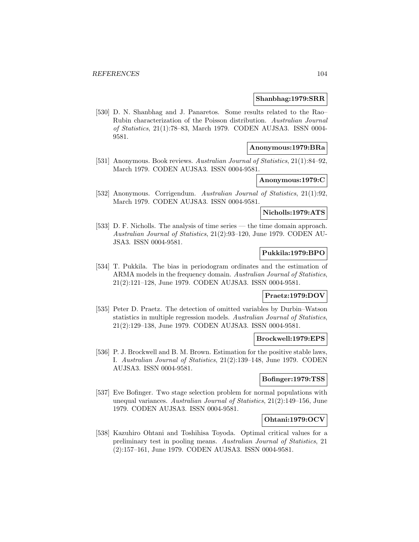#### **Shanbhag:1979:SRR**

[530] D. N. Shanbhag and J. Panaretos. Some results related to the Rao– Rubin characterization of the Poisson distribution. Australian Journal of Statistics, 21(1):78–83, March 1979. CODEN AUJSA3. ISSN 0004- 9581.

#### **Anonymous:1979:BRa**

[531] Anonymous. Book reviews. Australian Journal of Statistics, 21(1):84–92, March 1979. CODEN AUJSA3. ISSN 0004-9581.

# **Anonymous:1979:C**

[532] Anonymous. Corrigendum. Australian Journal of Statistics, 21(1):92, March 1979. CODEN AUJSA3. ISSN 0004-9581.

### **Nicholls:1979:ATS**

[533] D. F. Nicholls. The analysis of time series — the time domain approach. Australian Journal of Statistics, 21(2):93–120, June 1979. CODEN AU-JSA3. ISSN 0004-9581.

# **Pukkila:1979:BPO**

[534] T. Pukkila. The bias in periodogram ordinates and the estimation of ARMA models in the frequency domain. Australian Journal of Statistics, 21(2):121–128, June 1979. CODEN AUJSA3. ISSN 0004-9581.

### **Praetz:1979:DOV**

[535] Peter D. Praetz. The detection of omitted variables by Durbin–Watson statistics in multiple regression models. Australian Journal of Statistics, 21(2):129–138, June 1979. CODEN AUJSA3. ISSN 0004-9581.

# **Brockwell:1979:EPS**

[536] P. J. Brockwell and B. M. Brown. Estimation for the positive stable laws, I. Australian Journal of Statistics, 21(2):139–148, June 1979. CODEN AUJSA3. ISSN 0004-9581.

## **Bofinger:1979:TSS**

[537] Eve Bofinger. Two stage selection problem for normal populations with unequal variances. Australian Journal of Statistics,  $21(2):149-156$ , June 1979. CODEN AUJSA3. ISSN 0004-9581.

### **Ohtani:1979:OCV**

[538] Kazuhiro Ohtani and Toshihisa Toyoda. Optimal critical values for a preliminary test in pooling means. Australian Journal of Statistics, 21 (2):157–161, June 1979. CODEN AUJSA3. ISSN 0004-9581.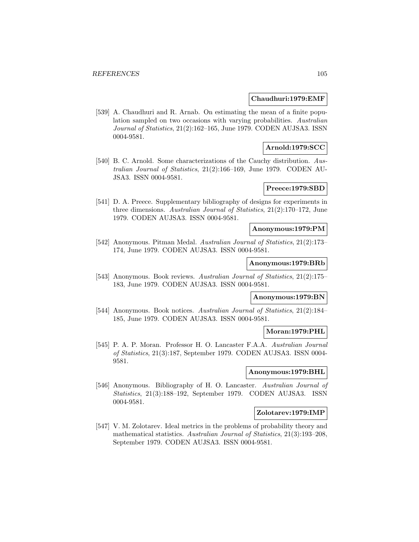#### **Chaudhuri:1979:EMF**

[539] A. Chaudhuri and R. Arnab. On estimating the mean of a finite population sampled on two occasions with varying probabilities. Australian Journal of Statistics, 21(2):162–165, June 1979. CODEN AUJSA3. ISSN 0004-9581.

### **Arnold:1979:SCC**

[540] B. C. Arnold. Some characterizations of the Cauchy distribution. Australian Journal of Statistics, 21(2):166–169, June 1979. CODEN AU-JSA3. ISSN 0004-9581.

### **Preece:1979:SBD**

[541] D. A. Preece. Supplementary bibliography of designs for experiments in three dimensions. Australian Journal of Statistics, 21(2):170–172, June 1979. CODEN AUJSA3. ISSN 0004-9581.

### **Anonymous:1979:PM**

[542] Anonymous. Pitman Medal. Australian Journal of Statistics, 21(2):173– 174, June 1979. CODEN AUJSA3. ISSN 0004-9581.

## **Anonymous:1979:BRb**

[543] Anonymous. Book reviews. Australian Journal of Statistics, 21(2):175– 183, June 1979. CODEN AUJSA3. ISSN 0004-9581.

#### **Anonymous:1979:BN**

[544] Anonymous. Book notices. Australian Journal of Statistics, 21(2):184– 185, June 1979. CODEN AUJSA3. ISSN 0004-9581.

# **Moran:1979:PHL**

[545] P. A. P. Moran. Professor H. O. Lancaster F.A.A. Australian Journal of Statistics, 21(3):187, September 1979. CODEN AUJSA3. ISSN 0004- 9581.

## **Anonymous:1979:BHL**

[546] Anonymous. Bibliography of H. O. Lancaster. Australian Journal of Statistics, 21(3):188–192, September 1979. CODEN AUJSA3. ISSN 0004-9581.

### **Zolotarev:1979:IMP**

[547] V. M. Zolotarev. Ideal metrics in the problems of probability theory and mathematical statistics. Australian Journal of Statistics, 21(3):193–208, September 1979. CODEN AUJSA3. ISSN 0004-9581.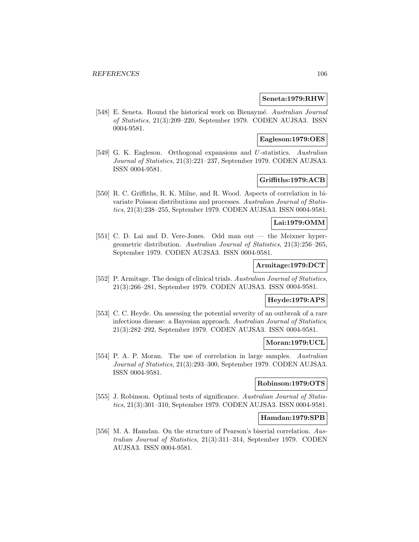#### **Seneta:1979:RHW**

[548] E. Seneta. Round the historical work on Bienaymé. Australian Journal of Statistics, 21(3):209–220, September 1979. CODEN AUJSA3. ISSN 0004-9581.

## **Eagleson:1979:OES**

[549] G. K. Eagleson. Orthogonal expansions and U-statistics. Australian Journal of Statistics, 21(3):221–237, September 1979. CODEN AUJSA3. ISSN 0004-9581.

# **Griffiths:1979:ACB**

[550] R. C. Griffiths, R. K. Milne, and R. Wood. Aspects of correlation in bivariate Poisson distributions and processes. Australian Journal of Statistics, 21(3):238–255, September 1979. CODEN AUJSA3. ISSN 0004-9581.

# **Lai:1979:OMM**

[551] C. D. Lai and D. Vere-Jones. Odd man out — the Meixner hypergeometric distribution. Australian Journal of Statistics, 21(3):256–265, September 1979. CODEN AUJSA3. ISSN 0004-9581.

### **Armitage:1979:DCT**

[552] P. Armitage. The design of clinical trials. Australian Journal of Statistics, 21(3):266–281, September 1979. CODEN AUJSA3. ISSN 0004-9581.

# **Heyde:1979:APS**

[553] C. C. Heyde. On assessing the potential severity of an outbreak of a rare infectious disease: a Bayesian approach. Australian Journal of Statistics, 21(3):282–292, September 1979. CODEN AUJSA3. ISSN 0004-9581.

### **Moran:1979:UCL**

[554] P. A. P. Moran. The use of correlation in large samples. Australian Journal of Statistics, 21(3):293–300, September 1979. CODEN AUJSA3. ISSN 0004-9581.

# **Robinson:1979:OTS**

[555] J. Robinson. Optimal tests of significance. Australian Journal of Statistics, 21(3):301–310, September 1979. CODEN AUJSA3. ISSN 0004-9581.

#### **Hamdan:1979:SPB**

[556] M. A. Hamdan. On the structure of Pearson's biserial correlation. Australian Journal of Statistics, 21(3):311–314, September 1979. CODEN AUJSA3. ISSN 0004-9581.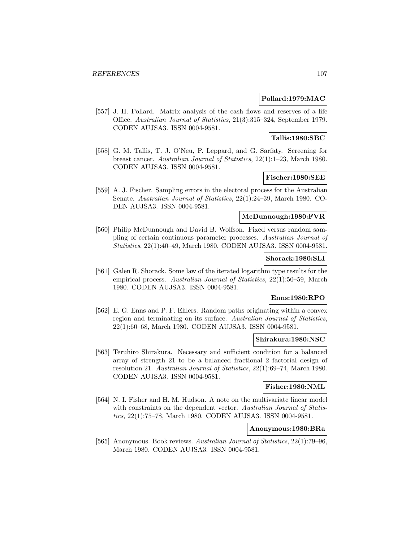## **Pollard:1979:MAC**

[557] J. H. Pollard. Matrix analysis of the cash flows and reserves of a life Office. Australian Journal of Statistics, 21(3):315–324, September 1979. CODEN AUJSA3. ISSN 0004-9581.

## **Tallis:1980:SBC**

[558] G. M. Tallis, T. J. O'Neu, P. Leppard, and G. Sarfaty. Screening for breast cancer. Australian Journal of Statistics, 22(1):1–23, March 1980. CODEN AUJSA3. ISSN 0004-9581.

## **Fischer:1980:SEE**

[559] A. J. Fischer. Sampling errors in the electoral process for the Australian Senate. Australian Journal of Statistics, 22(1):24–39, March 1980. CO-DEN AUJSA3. ISSN 0004-9581.

## **McDunnough:1980:FVR**

[560] Philip McDunnough and David B. Wolfson. Fixed versus random sampling of certain continuous parameter processes. Australian Journal of Statistics, 22(1):40–49, March 1980. CODEN AUJSA3. ISSN 0004-9581.

## **Shorack:1980:SLI**

[561] Galen R. Shorack. Some law of the iterated logarithm type results for the empirical process. Australian Journal of Statistics, 22(1):50–59, March 1980. CODEN AUJSA3. ISSN 0004-9581.

# **Enns:1980:RPO**

[562] E. G. Enns and P. F. Ehlers. Random paths originating within a convex region and terminating on its surface. Australian Journal of Statistics, 22(1):60–68, March 1980. CODEN AUJSA3. ISSN 0004-9581.

## **Shirakura:1980:NSC**

[563] Teruhiro Shirakura. Necessary and sufficient condition for a balanced array of strength 21 to be a balanced fractional 2 factorial design of resolution 21. Australian Journal of Statistics, 22(1):69–74, March 1980. CODEN AUJSA3. ISSN 0004-9581.

# **Fisher:1980:NML**

[564] N. I. Fisher and H. M. Hudson. A note on the multivariate linear model with constraints on the dependent vector. Australian Journal of Statistics, 22(1):75–78, March 1980. CODEN AUJSA3. ISSN 0004-9581.

## **Anonymous:1980:BRa**

[565] Anonymous. Book reviews. Australian Journal of Statistics, 22(1):79–96, March 1980. CODEN AUJSA3. ISSN 0004-9581.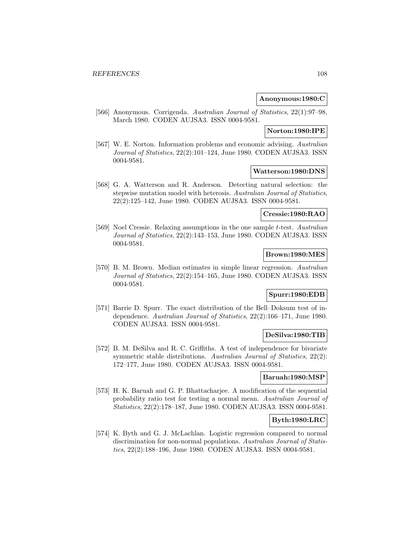### **Anonymous:1980:C**

[566] Anonymous. Corrigenda. Australian Journal of Statistics, 22(1):97–98, March 1980. CODEN AUJSA3. ISSN 0004-9581.

#### **Norton:1980:IPE**

[567] W. E. Norton. Information problems and economic advising. Australian Journal of Statistics, 22(2):101–124, June 1980. CODEN AUJSA3. ISSN 0004-9581.

### **Watterson:1980:DNS**

[568] G. A. Watterson and R. Anderson. Detecting natural selection: the stepwise mutation model with heterosis. Australian Journal of Statistics, 22(2):125–142, June 1980. CODEN AUJSA3. ISSN 0004-9581.

## **Cressie:1980:RAO**

[569] Noel Cressie. Relaxing assumptions in the one sample t-test. Australian Journal of Statistics, 22(2):143–153, June 1980. CODEN AUJSA3. ISSN 0004-9581.

### **Brown:1980:MES**

[570] B. M. Brown. Median estimates in simple linear regression. Australian Journal of Statistics, 22(2):154–165, June 1980. CODEN AUJSA3. ISSN 0004-9581.

# **Spurr:1980:EDB**

[571] Barrie D. Spurr. The exact distribution of the Bell–Doksum test of independence. Australian Journal of Statistics, 22(2):166–171, June 1980. CODEN AUJSA3. ISSN 0004-9581.

### **DeSilva:1980:TIB**

[572] B. M. DeSilva and R. C. Griffiths. A test of independence for bivariate symmetric stable distributions. Australian Journal of Statistics, 22(2): 172–177, June 1980. CODEN AUJSA3. ISSN 0004-9581.

## **Baruah:1980:MSP**

[573] H. K. Baruah and G. P. Bhattacharjee. A modification of the sequential probability ratio test for testing a normal mean. Australian Journal of Statistics, 22(2):178–187, June 1980. CODEN AUJSA3. ISSN 0004-9581.

## **Byth:1980:LRC**

[574] K. Byth and G. J. McLachlan. Logistic regression compared to normal discrimination for non-normal populations. Australian Journal of Statistics, 22(2):188–196, June 1980. CODEN AUJSA3. ISSN 0004-9581.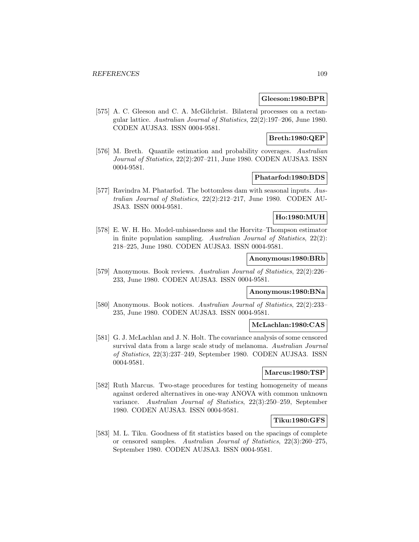#### **Gleeson:1980:BPR**

[575] A. C. Gleeson and C. A. McGilchrist. Bilateral processes on a rectangular lattice. Australian Journal of Statistics, 22(2):197–206, June 1980. CODEN AUJSA3. ISSN 0004-9581.

## **Breth:1980:QEP**

[576] M. Breth. Quantile estimation and probability coverages. Australian Journal of Statistics, 22(2):207–211, June 1980. CODEN AUJSA3. ISSN 0004-9581.

### **Phatarfod:1980:BDS**

[577] Ravindra M. Phatarfod. The bottomless dam with seasonal inputs. Australian Journal of Statistics, 22(2):212–217, June 1980. CODEN AU-JSA3. ISSN 0004-9581.

## **Ho:1980:MUH**

[578] E. W. H. Ho. Model-unbiasedness and the Horvitz–Thompson estimator in finite population sampling. Australian Journal of Statistics,  $22(2)$ : 218–225, June 1980. CODEN AUJSA3. ISSN 0004-9581.

### **Anonymous:1980:BRb**

[579] Anonymous. Book reviews. Australian Journal of Statistics, 22(2):226– 233, June 1980. CODEN AUJSA3. ISSN 0004-9581.

# **Anonymous:1980:BNa**

[580] Anonymous. Book notices. Australian Journal of Statistics, 22(2):233– 235, June 1980. CODEN AUJSA3. ISSN 0004-9581.

#### **McLachlan:1980:CAS**

[581] G. J. McLachlan and J. N. Holt. The covariance analysis of some censored survival data from a large scale study of melanoma. Australian Journal of Statistics, 22(3):237–249, September 1980. CODEN AUJSA3. ISSN 0004-9581.

### **Marcus:1980:TSP**

[582] Ruth Marcus. Two-stage procedures for testing homogeneity of means against ordered alternatives in one-way ANOVA with common unknown variance. Australian Journal of Statistics, 22(3):250–259, September 1980. CODEN AUJSA3. ISSN 0004-9581.

### **Tiku:1980:GFS**

[583] M. L. Tiku. Goodness of fit statistics based on the spacings of complete or censored samples. Australian Journal of Statistics, 22(3):260–275, September 1980. CODEN AUJSA3. ISSN 0004-9581.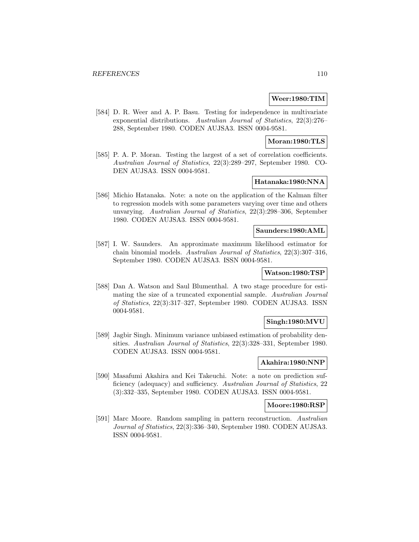#### **Weer:1980:TIM**

[584] D. R. Weer and A. P. Basu. Testing for independence in multivariate exponential distributions. Australian Journal of Statistics, 22(3):276– 288, September 1980. CODEN AUJSA3. ISSN 0004-9581.

### **Moran:1980:TLS**

[585] P. A. P. Moran. Testing the largest of a set of correlation coefficients. Australian Journal of Statistics, 22(3):289–297, September 1980. CO-DEN AUJSA3. ISSN 0004-9581.

## **Hatanaka:1980:NNA**

[586] Michio Hatanaka. Note: a note on the application of the Kalman filter to regression models with some parameters varying over time and others unvarying. Australian Journal of Statistics, 22(3):298–306, September 1980. CODEN AUJSA3. ISSN 0004-9581.

#### **Saunders:1980:AML**

[587] I. W. Saunders. An approximate maximum likelihood estimator for chain binomial models. Australian Journal of Statistics, 22(3):307–316, September 1980. CODEN AUJSA3. ISSN 0004-9581.

# **Watson:1980:TSP**

[588] Dan A. Watson and Saul Blumenthal. A two stage procedure for estimating the size of a truncated exponential sample. Australian Journal of Statistics, 22(3):317–327, September 1980. CODEN AUJSA3. ISSN 0004-9581.

### **Singh:1980:MVU**

[589] Jagbir Singh. Minimum variance unbiased estimation of probability densities. Australian Journal of Statistics, 22(3):328–331, September 1980. CODEN AUJSA3. ISSN 0004-9581.

## **Akahira:1980:NNP**

[590] Masafumi Akahira and Kei Takeuchi. Note: a note on prediction sufficiency (adequacy) and sufficiency. Australian Journal of Statistics, 22 (3):332–335, September 1980. CODEN AUJSA3. ISSN 0004-9581.

#### **Moore:1980:RSP**

[591] Marc Moore. Random sampling in pattern reconstruction. Australian Journal of Statistics, 22(3):336–340, September 1980. CODEN AUJSA3. ISSN 0004-9581.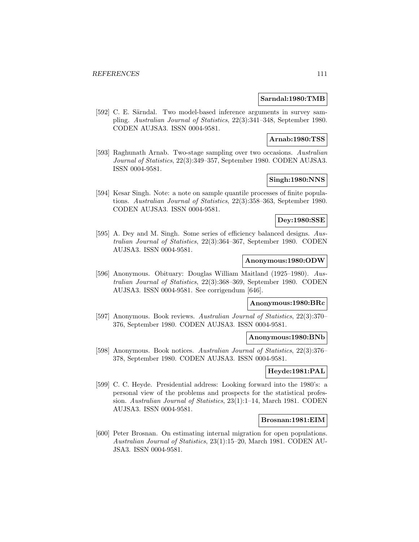#### **Sarndal:1980:TMB**

[592] C. E. Särndal. Two model-based inference arguments in survey sampling. Australian Journal of Statistics, 22(3):341–348, September 1980. CODEN AUJSA3. ISSN 0004-9581.

### **Arnab:1980:TSS**

[593] Raghunath Arnab. Two-stage sampling over two occasions. Australian Journal of Statistics, 22(3):349–357, September 1980. CODEN AUJSA3. ISSN 0004-9581.

# **Singh:1980:NNS**

[594] Kesar Singh. Note: a note on sample quantile processes of finite populations. Australian Journal of Statistics, 22(3):358–363, September 1980. CODEN AUJSA3. ISSN 0004-9581.

#### **Dey:1980:SSE**

[595] A. Dey and M. Singh. Some series of efficiency balanced designs. Australian Journal of Statistics, 22(3):364–367, September 1980. CODEN AUJSA3. ISSN 0004-9581.

## **Anonymous:1980:ODW**

[596] Anonymous. Obituary: Douglas William Maitland (1925–1980). Australian Journal of Statistics, 22(3):368–369, September 1980. CODEN AUJSA3. ISSN 0004-9581. See corrigendum [646].

#### **Anonymous:1980:BRc**

[597] Anonymous. Book reviews. Australian Journal of Statistics, 22(3):370– 376, September 1980. CODEN AUJSA3. ISSN 0004-9581.

## **Anonymous:1980:BNb**

[598] Anonymous. Book notices. Australian Journal of Statistics, 22(3):376– 378, September 1980. CODEN AUJSA3. ISSN 0004-9581.

## **Heyde:1981:PAL**

[599] C. C. Heyde. Presidential address: Looking forward into the 1980's: a personal view of the problems and prospects for the statistical profession. Australian Journal of Statistics, 23(1):1–14, March 1981. CODEN AUJSA3. ISSN 0004-9581.

## **Brosnan:1981:EIM**

[600] Peter Brosnan. On estimating internal migration for open populations. Australian Journal of Statistics, 23(1):15–20, March 1981. CODEN AU-JSA3. ISSN 0004-9581.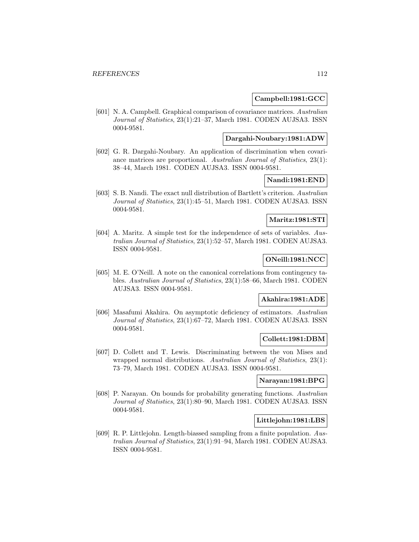### **Campbell:1981:GCC**

[601] N. A. Campbell. Graphical comparison of covariance matrices. Australian Journal of Statistics, 23(1):21–37, March 1981. CODEN AUJSA3. ISSN 0004-9581.

## **Dargahi-Noubary:1981:ADW**

[602] G. R. Dargahi-Noubary. An application of discrimination when covariance matrices are proportional. Australian Journal of Statistics, 23(1): 38–44, March 1981. CODEN AUJSA3. ISSN 0004-9581.

# **Nandi:1981:END**

[603] S. B. Nandi. The exact null distribution of Bartlett's criterion. Australian Journal of Statistics, 23(1):45–51, March 1981. CODEN AUJSA3. ISSN 0004-9581.

### **Maritz:1981:STI**

[604] A. Maritz. A simple test for the independence of sets of variables. Australian Journal of Statistics, 23(1):52–57, March 1981. CODEN AUJSA3. ISSN 0004-9581.

## **ONeill:1981:NCC**

[605] M. E. O'Neill. A note on the canonical correlations from contingency tables. Australian Journal of Statistics, 23(1):58–66, March 1981. CODEN AUJSA3. ISSN 0004-9581.

### **Akahira:1981:ADE**

[606] Masafumi Akahira. On asymptotic deficiency of estimators. Australian Journal of Statistics, 23(1):67–72, March 1981. CODEN AUJSA3. ISSN 0004-9581.

## **Collett:1981:DBM**

[607] D. Collett and T. Lewis. Discriminating between the von Mises and wrapped normal distributions. Australian Journal of Statistics, 23(1): 73–79, March 1981. CODEN AUJSA3. ISSN 0004-9581.

### **Narayan:1981:BPG**

[608] P. Narayan. On bounds for probability generating functions. Australian Journal of Statistics, 23(1):80–90, March 1981. CODEN AUJSA3. ISSN 0004-9581.

## **Littlejohn:1981:LBS**

[609] R. P. Littlejohn. Length-biassed sampling from a finite population. Australian Journal of Statistics, 23(1):91–94, March 1981. CODEN AUJSA3. ISSN 0004-9581.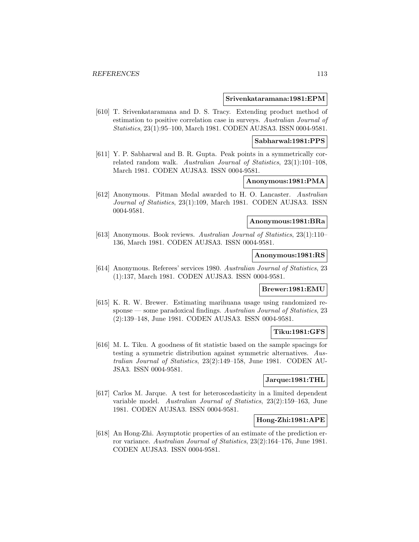#### **Srivenkataramana:1981:EPM**

[610] T. Srivenkataramana and D. S. Tracy. Extending product method of estimation to positive correlation case in surveys. Australian Journal of Statistics, 23(1):95–100, March 1981. CODEN AUJSA3. ISSN 0004-9581.

#### **Sabharwal:1981:PPS**

[611] Y. P. Sabharwal and B. R. Gupta. Peak points in a symmetrically correlated random walk. Australian Journal of Statistics, 23(1):101–108, March 1981. CODEN AUJSA3. ISSN 0004-9581.

# **Anonymous:1981:PMA**

[612] Anonymous. Pitman Medal awarded to H. O. Lancaster. Australian Journal of Statistics, 23(1):109, March 1981. CODEN AUJSA3. ISSN 0004-9581.

#### **Anonymous:1981:BRa**

[613] Anonymous. Book reviews. Australian Journal of Statistics, 23(1):110– 136, March 1981. CODEN AUJSA3. ISSN 0004-9581.

#### **Anonymous:1981:RS**

[614] Anonymous. Referees' services 1980. Australian Journal of Statistics, 23 (1):137, March 1981. CODEN AUJSA3. ISSN 0004-9581.

### **Brewer:1981:EMU**

[615] K. R. W. Brewer. Estimating marihuana usage using randomized response — some paradoxical findings. Australian Journal of Statistics, 23 (2):139–148, June 1981. CODEN AUJSA3. ISSN 0004-9581.

#### **Tiku:1981:GFS**

[616] M. L. Tiku. A goodness of fit statistic based on the sample spacings for testing a symmetric distribution against symmetric alternatives. Australian Journal of Statistics, 23(2):149–158, June 1981. CODEN AU-JSA3. ISSN 0004-9581.

### **Jarque:1981:THL**

[617] Carlos M. Jarque. A test for heteroscedasticity in a limited dependent variable model. Australian Journal of Statistics, 23(2):159–163, June 1981. CODEN AUJSA3. ISSN 0004-9581.

## **Hong-Zhi:1981:APE**

[618] An Hong-Zhi. Asymptotic properties of an estimate of the prediction error variance. Australian Journal of Statistics, 23(2):164–176, June 1981. CODEN AUJSA3. ISSN 0004-9581.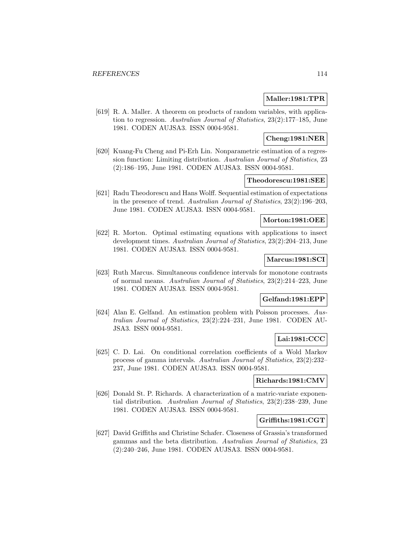## **Maller:1981:TPR**

[619] R. A. Maller. A theorem on products of random variables, with application to regression. Australian Journal of Statistics, 23(2):177–185, June 1981. CODEN AUJSA3. ISSN 0004-9581.

### **Cheng:1981:NER**

[620] Kuang-Fu Cheng and Pi-Erh Lin. Nonparametric estimation of a regression function: Limiting distribution. Australian Journal of Statistics, 23 (2):186–195, June 1981. CODEN AUJSA3. ISSN 0004-9581.

## **Theodorescu:1981:SEE**

[621] Radu Theodorescu and Hans Wolff. Sequential estimation of expectations in the presence of trend. Australian Journal of Statistics, 23(2):196–203, June 1981. CODEN AUJSA3. ISSN 0004-9581.

#### **Morton:1981:OEE**

[622] R. Morton. Optimal estimating equations with applications to insect development times. Australian Journal of Statistics, 23(2):204–213, June 1981. CODEN AUJSA3. ISSN 0004-9581.

### **Marcus:1981:SCI**

[623] Ruth Marcus. Simultaneous confidence intervals for monotone contrasts of normal means. Australian Journal of Statistics, 23(2):214–223, June 1981. CODEN AUJSA3. ISSN 0004-9581.

### **Gelfand:1981:EPP**

[624] Alan E. Gelfand. An estimation problem with Poisson processes. Australian Journal of Statistics, 23(2):224–231, June 1981. CODEN AU-JSA3. ISSN 0004-9581.

# **Lai:1981:CCC**

[625] C. D. Lai. On conditional correlation coefficients of a Wold Markov process of gamma intervals. Australian Journal of Statistics, 23(2):232– 237, June 1981. CODEN AUJSA3. ISSN 0004-9581.

### **Richards:1981:CMV**

[626] Donald St. P. Richards. A characterization of a matric-variate exponential distribution. Australian Journal of Statistics, 23(2):238–239, June 1981. CODEN AUJSA3. ISSN 0004-9581.

## **Griffiths:1981:CGT**

[627] David Griffiths and Christine Schafer. Closeness of Grassia's transformed gammas and the beta distribution. Australian Journal of Statistics, 23 (2):240–246, June 1981. CODEN AUJSA3. ISSN 0004-9581.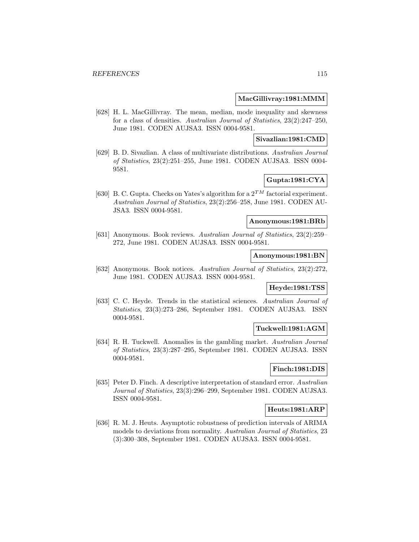#### **MacGillivray:1981:MMM**

[628] H. L. MacGillivray. The mean, median, mode inequality and skewness for a class of densities. Australian Journal of Statistics, 23(2):247–250, June 1981. CODEN AUJSA3. ISSN 0004-9581.

### **Sivazlian:1981:CMD**

[629] B. D. Sivazlian. A class of multivariate distributions. Australian Journal of Statistics, 23(2):251–255, June 1981. CODEN AUJSA3. ISSN 0004- 9581.

# **Gupta:1981:CYA**

[630] B. C. Gupta. Checks on Yates's algorithm for a  $2^{TM}$  factorial experiment. Australian Journal of Statistics, 23(2):256–258, June 1981. CODEN AU-JSA3. ISSN 0004-9581.

### **Anonymous:1981:BRb**

[631] Anonymous. Book reviews. Australian Journal of Statistics, 23(2):259– 272, June 1981. CODEN AUJSA3. ISSN 0004-9581.

#### **Anonymous:1981:BN**

[632] Anonymous. Book notices. Australian Journal of Statistics, 23(2):272, June 1981. CODEN AUJSA3. ISSN 0004-9581.

### **Heyde:1981:TSS**

[633] C. C. Heyde. Trends in the statistical sciences. Australian Journal of Statistics, 23(3):273–286, September 1981. CODEN AUJSA3. ISSN 0004-9581.

### **Tuckwell:1981:AGM**

[634] R. H. Tuckwell. Anomalies in the gambling market. Australian Journal of Statistics, 23(3):287–295, September 1981. CODEN AUJSA3. ISSN 0004-9581.

### **Finch:1981:DIS**

[635] Peter D. Finch. A descriptive interpretation of standard error. Australian Journal of Statistics, 23(3):296–299, September 1981. CODEN AUJSA3. ISSN 0004-9581.

### **Heuts:1981:ARP**

[636] R. M. J. Heuts. Asymptotic robustness of prediction intervals of ARIMA models to deviations from normality. Australian Journal of Statistics, 23 (3):300–308, September 1981. CODEN AUJSA3. ISSN 0004-9581.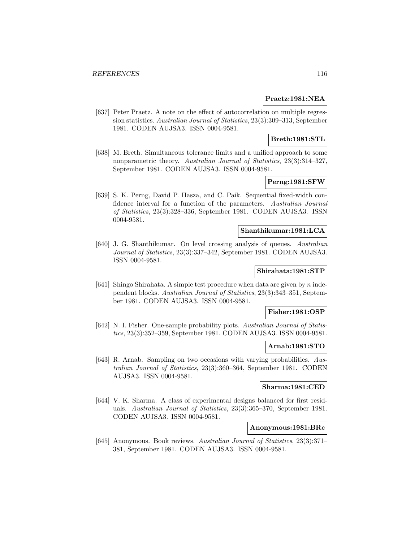#### **Praetz:1981:NEA**

[637] Peter Praetz. A note on the effect of autocorrelation on multiple regression statistics. Australian Journal of Statistics, 23(3):309–313, September 1981. CODEN AUJSA3. ISSN 0004-9581.

### **Breth:1981:STL**

[638] M. Breth. Simultaneous tolerance limits and a unified approach to some nonparametric theory. Australian Journal of Statistics, 23(3):314–327, September 1981. CODEN AUJSA3. ISSN 0004-9581.

## **Perng:1981:SFW**

[639] S. K. Perng, David P. Hasza, and C. Paik. Sequential fixed-width confidence interval for a function of the parameters. Australian Journal of Statistics, 23(3):328–336, September 1981. CODEN AUJSA3. ISSN 0004-9581.

#### **Shanthikumar:1981:LCA**

[640] J. G. Shanthikumar. On level crossing analysis of queues. Australian Journal of Statistics, 23(3):337–342, September 1981. CODEN AUJSA3. ISSN 0004-9581.

## **Shirahata:1981:STP**

[641] Shingo Shirahata. A simple test procedure when data are given by n independent blocks. Australian Journal of Statistics, 23(3):343–351, September 1981. CODEN AUJSA3. ISSN 0004-9581.

#### **Fisher:1981:OSP**

[642] N. I. Fisher. One-sample probability plots. Australian Journal of Statistics, 23(3):352–359, September 1981. CODEN AUJSA3. ISSN 0004-9581.

#### **Arnab:1981:STO**

[643] R. Arnab. Sampling on two occasions with varying probabilities. Australian Journal of Statistics, 23(3):360–364, September 1981. CODEN AUJSA3. ISSN 0004-9581.

## **Sharma:1981:CED**

[644] V. K. Sharma. A class of experimental designs balanced for first residuals. Australian Journal of Statistics, 23(3):365–370, September 1981. CODEN AUJSA3. ISSN 0004-9581.

#### **Anonymous:1981:BRc**

[645] Anonymous. Book reviews. Australian Journal of Statistics, 23(3):371– 381, September 1981. CODEN AUJSA3. ISSN 0004-9581.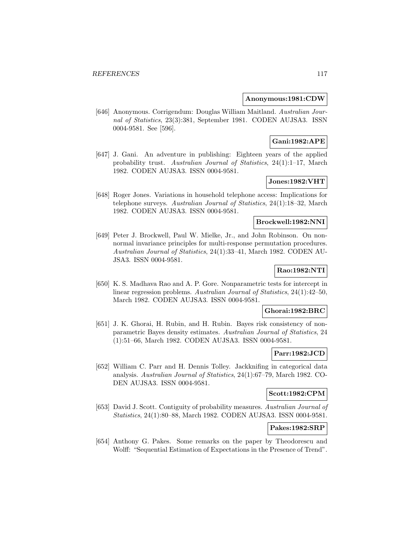#### **Anonymous:1981:CDW**

[646] Anonymous. Corrigendum: Douglas William Maitland. Australian Journal of Statistics, 23(3):381, September 1981. CODEN AUJSA3. ISSN 0004-9581. See [596].

## **Gani:1982:APE**

[647] J. Gani. An adventure in publishing: Eighteen years of the applied probability trust. Australian Journal of Statistics, 24(1):1–17, March 1982. CODEN AUJSA3. ISSN 0004-9581.

# **Jones:1982:VHT**

[648] Roger Jones. Variations in household telephone access: Implications for telephone surveys. Australian Journal of Statistics, 24(1):18–32, March 1982. CODEN AUJSA3. ISSN 0004-9581.

### **Brockwell:1982:NNI**

[649] Peter J. Brockwell, Paul W. Mielke, Jr., and John Robinson. On nonnormal invariance principles for multi-response permutation procedures. Australian Journal of Statistics, 24(1):33–41, March 1982. CODEN AU-JSA3. ISSN 0004-9581.

# **Rao:1982:NTI**

[650] K. S. Madhava Rao and A. P. Gore. Nonparametric tests for intercept in linear regression problems. Australian Journal of Statistics, 24(1):42–50, March 1982. CODEN AUJSA3. ISSN 0004-9581.

#### **Ghorai:1982:BRC**

[651] J. K. Ghorai, H. Rubin, and H. Rubin. Bayes risk consistency of nonparametric Bayes density estimates. Australian Journal of Statistics, 24 (1):51–66, March 1982. CODEN AUJSA3. ISSN 0004-9581.

#### **Parr:1982:JCD**

[652] William C. Parr and H. Dennis Tolley. Jackknifing in categorical data analysis. Australian Journal of Statistics, 24(1):67–79, March 1982. CO-DEN AUJSA3. ISSN 0004-9581.

#### **Scott:1982:CPM**

[653] David J. Scott. Contiguity of probability measures. Australian Journal of Statistics, 24(1):80–88, March 1982. CODEN AUJSA3. ISSN 0004-9581.

#### **Pakes:1982:SRP**

[654] Anthony G. Pakes. Some remarks on the paper by Theodorescu and Wolff: "Sequential Estimation of Expectations in the Presence of Trend".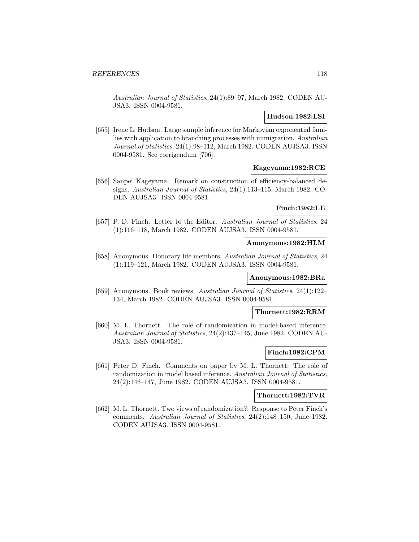Australian Journal of Statistics, 24(1):89–97, March 1982. CODEN AU-JSA3. ISSN 0004-9581.

### **Hudson:1982:LSI**

[655] Irene L. Hudson. Large sample inference for Markovian exponential families with application to branching processes with immigration. Australian Journal of Statistics, 24(1):98–112, March 1982. CODEN AUJSA3. ISSN 0004-9581. See corrigendum [706].

#### **Kageyama:1982:RCE**

[656] Sanpei Kageyama. Remark on construction of efficiency-balanced designs. Australian Journal of Statistics, 24(1):113–115, March 1982. CO-DEN AUJSA3. ISSN 0004-9581.

### **Finch:1982:LE**

[657] P. D. Finch. Letter to the Editor. Australian Journal of Statistics, 24 (1):116–118, March 1982. CODEN AUJSA3. ISSN 0004-9581.

#### **Anonymous:1982:HLM**

[658] Anonymous. Honorary life members. Australian Journal of Statistics, 24 (1):119–121, March 1982. CODEN AUJSA3. ISSN 0004-9581.

## **Anonymous:1982:BRa**

[659] Anonymous. Book reviews. Australian Journal of Statistics, 24(1):122– 134, March 1982. CODEN AUJSA3. ISSN 0004-9581.

#### **Thornett:1982:RRM**

[660] M. L. Thornett. The role of randomization in model-based inference. Australian Journal of Statistics, 24(2):137–145, June 1982. CODEN AU-JSA3. ISSN 0004-9581.

### **Finch:1982:CPM**

[661] Peter D. Finch. Comments on paper by M. L. Thornett: The role of randomization in model based inference. Australian Journal of Statistics, 24(2):146–147, June 1982. CODEN AUJSA3. ISSN 0004-9581.

## **Thornett:1982:TVR**

[662] M. L. Thornett. Two views of randomization?: Response to Peter Finch's comments. Australian Journal of Statistics, 24(2):148–150, June 1982. CODEN AUJSA3. ISSN 0004-9581.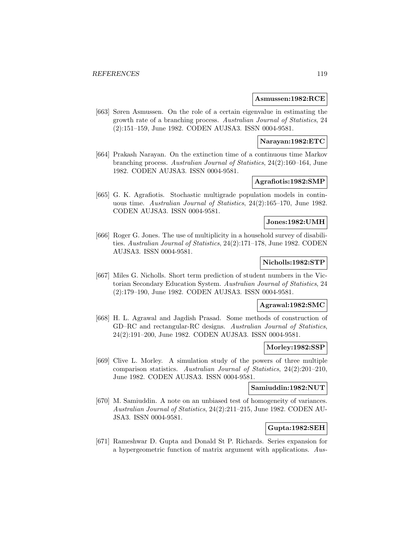#### **Asmussen:1982:RCE**

[663] Søren Asmussen. On the role of a certain eigenvalue in estimating the growth rate of a branching process. Australian Journal of Statistics, 24 (2):151–159, June 1982. CODEN AUJSA3. ISSN 0004-9581.

## **Narayan:1982:ETC**

[664] Prakash Narayan. On the extinction time of a continuous time Markov branching process. Australian Journal of Statistics, 24(2):160–164, June 1982. CODEN AUJSA3. ISSN 0004-9581.

## **Agrafiotis:1982:SMP**

[665] G. K. Agrafiotis. Stochastic multigrade population models in continuous time. Australian Journal of Statistics, 24(2):165–170, June 1982. CODEN AUJSA3. ISSN 0004-9581.

### **Jones:1982:UMH**

[666] Roger G. Jones. The use of multiplicity in a household survey of disabilities. Australian Journal of Statistics, 24(2):171–178, June 1982. CODEN AUJSA3. ISSN 0004-9581.

### **Nicholls:1982:STP**

[667] Miles G. Nicholls. Short term prediction of student numbers in the Victorian Secondary Education System. Australian Journal of Statistics, 24 (2):179–190, June 1982. CODEN AUJSA3. ISSN 0004-9581.

## **Agrawal:1982:SMC**

[668] H. L. Agrawal and Jagdish Prasad. Some methods of construction of GD–RC and rectangular-RC designs. Australian Journal of Statistics, 24(2):191–200, June 1982. CODEN AUJSA3. ISSN 0004-9581.

#### **Morley:1982:SSP**

[669] Clive L. Morley. A simulation study of the powers of three multiple comparison statistics. Australian Journal of Statistics, 24(2):201–210, June 1982. CODEN AUJSA3. ISSN 0004-9581.

## **Samiuddin:1982:NUT**

[670] M. Samiuddin. A note on an unbiased test of homogeneity of variances. Australian Journal of Statistics, 24(2):211–215, June 1982. CODEN AU-JSA3. ISSN 0004-9581.

#### **Gupta:1982:SEH**

[671] Rameshwar D. Gupta and Donald St P. Richards. Series expansion for a hypergeometric function of matrix argument with applications. Aus-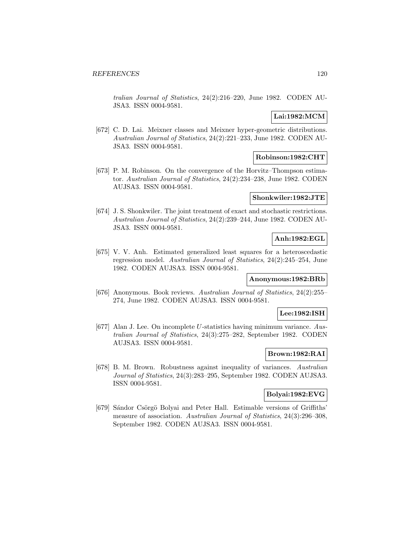tralian Journal of Statistics, 24(2):216–220, June 1982. CODEN AU-JSA3. ISSN 0004-9581.

### **Lai:1982:MCM**

[672] C. D. Lai. Meixner classes and Meixner hyper-geometric distributions. Australian Journal of Statistics, 24(2):221–233, June 1982. CODEN AU-JSA3. ISSN 0004-9581.

### **Robinson:1982:CHT**

[673] P. M. Robinson. On the convergence of the Horvitz–Thompson estimator. Australian Journal of Statistics, 24(2):234–238, June 1982. CODEN AUJSA3. ISSN 0004-9581.

#### **Shonkwiler:1982:JTE**

[674] J. S. Shonkwiler. The joint treatment of exact and stochastic restrictions. Australian Journal of Statistics, 24(2):239–244, June 1982. CODEN AU-JSA3. ISSN 0004-9581.

## **Anh:1982:EGL**

[675] V. V. Anh. Estimated generalized least squares for a heteroscedastic regression model. Australian Journal of Statistics, 24(2):245–254, June 1982. CODEN AUJSA3. ISSN 0004-9581.

### **Anonymous:1982:BRb**

[676] Anonymous. Book reviews. Australian Journal of Statistics, 24(2):255– 274, June 1982. CODEN AUJSA3. ISSN 0004-9581.

### **Lee:1982:ISH**

[677] Alan J. Lee. On incomplete U-statistics having minimum variance. Australian Journal of Statistics, 24(3):275–282, September 1982. CODEN AUJSA3. ISSN 0004-9581.

## **Brown:1982:RAI**

[678] B. M. Brown. Robustness against inequality of variances. Australian Journal of Statistics, 24(3):283–295, September 1982. CODEN AUJSA3. ISSN 0004-9581.

## **Bolyai:1982:EVG**

[679] Sándor Csörgö Bolyai and Peter Hall. Estimable versions of Griffiths' measure of association. Australian Journal of Statistics, 24(3):296–308, September 1982. CODEN AUJSA3. ISSN 0004-9581.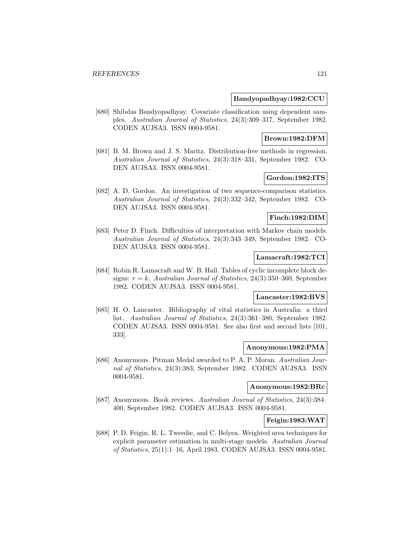#### **Bandyopadhyay:1982:CCU**

[680] Shibdas Bandyopadhyay. Covariate classification using dependent samples. Australian Journal of Statistics, 24(3):309–317, September 1982. CODEN AUJSA3. ISSN 0004-9581.

### **Brown:1982:DFM**

[681] B. M. Brown and J. S. Maritz. Distribution-free methods in regression. Australian Journal of Statistics, 24(3):318–331, September 1982. CO-DEN AUJSA3. ISSN 0004-9581.

### **Gordon:1982:ITS**

[682] A. D. Gordon. An investigation of two sequence-comparison statistics. Australian Journal of Statistics, 24(3):332–342, September 1982. CO-DEN AUJSA3. ISSN 0004-9581.

## **Finch:1982:DIM**

[683] Peter D. Finch. Difficulties of interpretation with Markov chain models. Australian Journal of Statistics, 24(3):343–349, September 1982. CO-DEN AUJSA3. ISSN 0004-9581.

#### **Lamacraft:1982:TCI**

[684] Robin R. Lamacraft and W. B. Hall. Tables of cyclic incomplete block designs:  $r = k$ . Australian Journal of Statistics, 24(3):350-360, September 1982. CODEN AUJSA3. ISSN 0004-9581.

## **Lancaster:1982:BVS**

[685] H. O. Lancaster. Bibliography of vital statistics in Australia: a third list. Australian Journal of Statistics, 24(3):361–380, September 1982. CODEN AUJSA3. ISSN 0004-9581. See also first and second lists [101, 333].

#### **Anonymous:1982:PMA**

[686] Anonymous. Pitman Medal awarded to P. A. P. Moran. Australian Journal of Statistics, 24(3):383, September 1982. CODEN AUJSA3. ISSN 0004-9581.

## **Anonymous:1982:BRc**

[687] Anonymous. Book reviews. Australian Journal of Statistics, 24(3):384– 400, September 1982. CODEN AUJSA3. ISSN 0004-9581.

## **Feigin:1983:WAT**

[688] P. D. Feigin, R. L. Tweedie, and C. Belyea. Weighted area techniques for explicit parameter estimation in multi-stage models. Australian Journal of Statistics, 25(1):1–16, April 1983. CODEN AUJSA3. ISSN 0004-9581.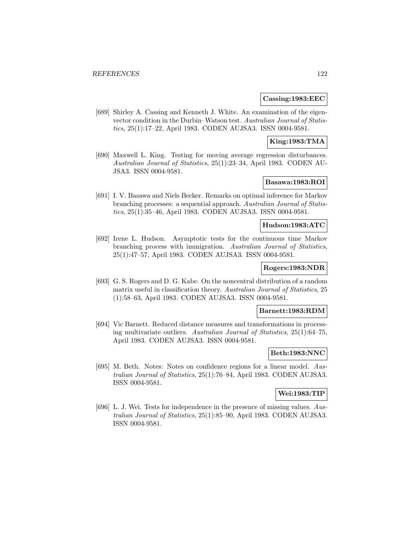### **Cassing:1983:EEC**

[689] Shirley A. Cassing and Kenneth J. White. An examination of the eigenvector condition in the Durbin–Watson test. Australian Journal of Statistics, 25(1):17–22, April 1983. CODEN AUJSA3. ISSN 0004-9581.

### **King:1983:TMA**

[690] Maxwell L. King. Testing for moving average regression disturbances. Australian Journal of Statistics, 25(1):23–34, April 1983. CODEN AU-JSA3. ISSN 0004-9581.

## **Basawa:1983:ROI**

[691] I. V. Basawa and Niels Becker. Remarks on optimal inference for Markov branching processes: a sequential approach. Australian Journal of Statistics, 25(1):35–46, April 1983. CODEN AUJSA3. ISSN 0004-9581.

## **Hudson:1983:ATC**

[692] Irene L. Hudson. Asymptotic tests for the continuous time Markov branching process with immigration. Australian Journal of Statistics, 25(1):47–57, April 1983. CODEN AUJSA3. ISSN 0004-9581.

#### **Rogers:1983:NDR**

[693] G. S. Rogers and D. G. Kabe. On the noncentral distribution of a random matrix useful in classification theory. Australian Journal of Statistics, 25 (1):58–63, April 1983. CODEN AUJSA3. ISSN 0004-9581.

#### **Barnett:1983:RDM**

[694] Vic Barnett. Reduced distance measures and transformations in processing multivariate outliers. Australian Journal of Statistics, 25(1):64–75, April 1983. CODEN AUJSA3. ISSN 0004-9581.

### **Beth:1983:NNC**

[695] M. Beth. Notes: Notes on confidence regions for a linear model. Australian Journal of Statistics, 25(1):76–84, April 1983. CODEN AUJSA3. ISSN 0004-9581.

#### **Wei:1983:TIP**

[696] L. J. Wei. Tests for independence in the presence of missing values. Australian Journal of Statistics, 25(1):85–90, April 1983. CODEN AUJSA3. ISSN 0004-9581.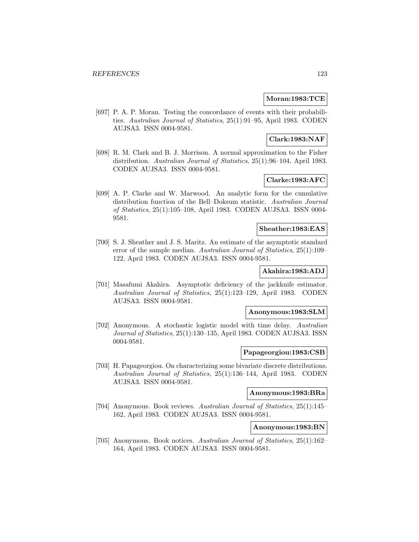### **Moran:1983:TCE**

[697] P. A. P. Moran. Testing the concordance of events with their probabilities. Australian Journal of Statistics, 25(1):91–95, April 1983. CODEN AUJSA3. ISSN 0004-9581.

## **Clark:1983:NAF**

[698] R. M. Clark and B. J. Morrison. A normal approximation to the Fisher distribution. Australian Journal of Statistics, 25(1):96–104, April 1983. CODEN AUJSA3. ISSN 0004-9581.

# **Clarke:1983:AFC**

[699] A. P. Clarke and W. Marwood. An analytic form for the cumulative distribution function of the Bell–Doksum statistic. Australian Journal of Statistics, 25(1):105–108, April 1983. CODEN AUJSA3. ISSN 0004- 9581.

## **Sheather:1983:EAS**

[700] S. J. Sheather and J. S. Maritz. An estimate of the asymptotic standard error of the sample median. Australian Journal of Statistics, 25(1):109– 122, April 1983. CODEN AUJSA3. ISSN 0004-9581.

## **Akahira:1983:ADJ**

[701] Masafumi Akahira. Asymptotic deficiency of the jackknife estimator. Australian Journal of Statistics, 25(1):123–129, April 1983. CODEN AUJSA3. ISSN 0004-9581.

#### **Anonymous:1983:SLM**

[702] Anonymous. A stochastic logistic model with time delay. Australian Journal of Statistics, 25(1):130–135, April 1983. CODEN AUJSA3. ISSN 0004-9581.

## **Papageorgiou:1983:CSB**

[703] H. Papageorgiou. On characterizing some bivariate discrete distributions. Australian Journal of Statistics, 25(1):136–144, April 1983. CODEN AUJSA3. ISSN 0004-9581.

#### **Anonymous:1983:BRa**

[704] Anonymous. Book reviews. Australian Journal of Statistics, 25(1):145– 162, April 1983. CODEN AUJSA3. ISSN 0004-9581.

**Anonymous:1983:BN**

[705] Anonymous. Book notices. Australian Journal of Statistics, 25(1):162– 164, April 1983. CODEN AUJSA3. ISSN 0004-9581.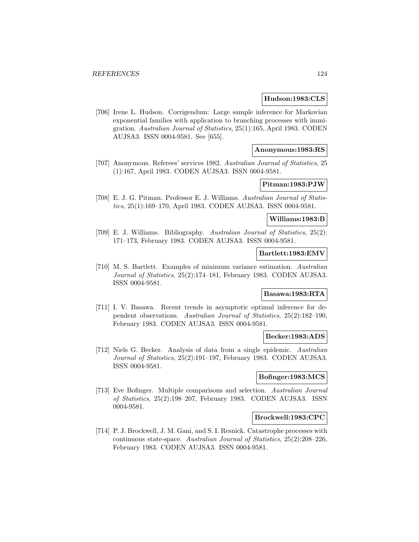#### **Hudson:1983:CLS**

[706] Irene L. Hudson. Corrigendum: Large sample inference for Markovian exponential families with application to branching processes with immigration. Australian Journal of Statistics, 25(1):165, April 1983. CODEN AUJSA3. ISSN 0004-9581. See [655].

### **Anonymous:1983:RS**

[707] Anonymous. Referees' services 1982. Australian Journal of Statistics, 25 (1):167, April 1983. CODEN AUJSA3. ISSN 0004-9581.

### **Pitman:1983:PJW**

[708] E. J. G. Pitman. Professor E. J. Williams. Australian Journal of Statistics, 25(1):169–170, April 1983. CODEN AUJSA3. ISSN 0004-9581.

#### **Williams:1983:B**

[709] E. J. Williams. Bibliography. Australian Journal of Statistics, 25(2): 171–173, February 1983. CODEN AUJSA3. ISSN 0004-9581.

### **Bartlett:1983:EMV**

[710] M. S. Bartlett. Examples of minimum variance estimation. Australian Journal of Statistics, 25(2):174–181, February 1983. CODEN AUJSA3. ISSN 0004-9581.

## **Basawa:1983:RTA**

[711] I. V. Basawa. Recent trends in asymptotic optimal inference for dependent observations. Australian Journal of Statistics, 25(2):182–190, February 1983. CODEN AUJSA3. ISSN 0004-9581.

#### **Becker:1983:ADS**

[712] Niels G. Becker. Analysis of data from a single epidemic. Australian Journal of Statistics, 25(2):191–197, February 1983. CODEN AUJSA3. ISSN 0004-9581.

#### **Bofinger:1983:MCS**

[713] Eve Bofinger. Multiple comparisons and selection. Australian Journal of Statistics, 25(2):198–207, February 1983. CODEN AUJSA3. ISSN 0004-9581.

#### **Brockwell:1983:CPC**

[714] P. J. Brockwell, J. M. Gani, and S. I. Resnick. Catastrophe processes with continuous state-space. Australian Journal of Statistics, 25(2):208–226, February 1983. CODEN AUJSA3. ISSN 0004-9581.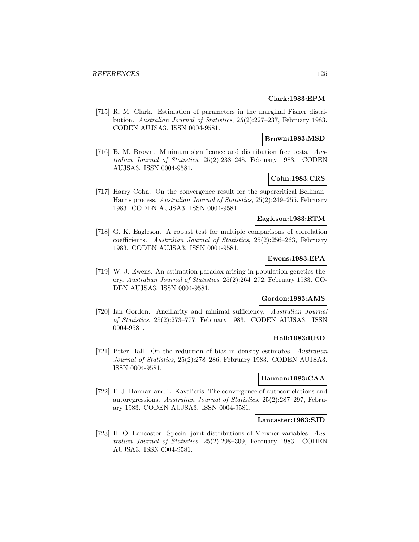## **Clark:1983:EPM**

[715] R. M. Clark. Estimation of parameters in the marginal Fisher distribution. Australian Journal of Statistics, 25(2):227–237, February 1983. CODEN AUJSA3. ISSN 0004-9581.

### **Brown:1983:MSD**

[716] B. M. Brown. Minimum significance and distribution free tests. Australian Journal of Statistics, 25(2):238–248, February 1983. CODEN AUJSA3. ISSN 0004-9581.

## **Cohn:1983:CRS**

[717] Harry Cohn. On the convergence result for the supercritical Bellman– Harris process. Australian Journal of Statistics, 25(2):249–255, February 1983. CODEN AUJSA3. ISSN 0004-9581.

### **Eagleson:1983:RTM**

[718] G. K. Eagleson. A robust test for multiple comparisons of correlation coefficients. Australian Journal of Statistics, 25(2):256–263, February 1983. CODEN AUJSA3. ISSN 0004-9581.

### **Ewens:1983:EPA**

[719] W. J. Ewens. An estimation paradox arising in population genetics theory. Australian Journal of Statistics, 25(2):264–272, February 1983. CO-DEN AUJSA3. ISSN 0004-9581.

### **Gordon:1983:AMS**

[720] Ian Gordon. Ancillarity and minimal sufficiency. Australian Journal of Statistics, 25(2):273–777, February 1983. CODEN AUJSA3. ISSN 0004-9581.

## **Hall:1983:RBD**

[721] Peter Hall. On the reduction of bias in density estimates. Australian Journal of Statistics, 25(2):278–286, February 1983. CODEN AUJSA3. ISSN 0004-9581.

## **Hannan:1983:CAA**

[722] E. J. Hannan and L. Kavalieris. The convergence of autocorrelations and autoregressions. Australian Journal of Statistics, 25(2):287–297, February 1983. CODEN AUJSA3. ISSN 0004-9581.

## **Lancaster:1983:SJD**

[723] H. O. Lancaster. Special joint distributions of Meixner variables. Australian Journal of Statistics, 25(2):298–309, February 1983. CODEN AUJSA3. ISSN 0004-9581.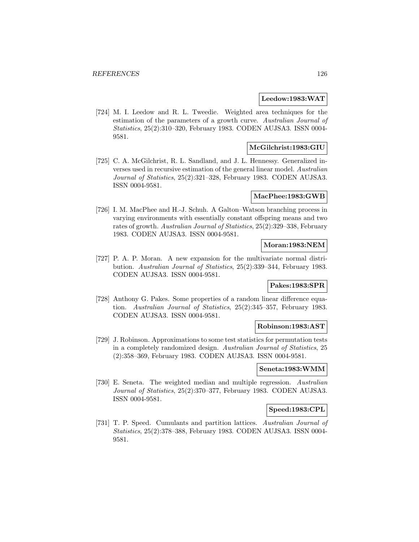#### **Leedow:1983:WAT**

[724] M. I. Leedow and R. L. Tweedie. Weighted area techniques for the estimation of the parameters of a growth curve. Australian Journal of Statistics, 25(2):310–320, February 1983. CODEN AUJSA3. ISSN 0004- 9581.

### **McGilchrist:1983:GIU**

[725] C. A. McGilchrist, R. L. Sandland, and J. L. Hennessy. Generalized inverses used in recursive estimation of the general linear model. Australian Journal of Statistics, 25(2):321–328, February 1983. CODEN AUJSA3. ISSN 0004-9581.

### **MacPhee:1983:GWB**

[726] I. M. MacPhee and H.-J. Schuh. A Galton–Watson branching process in varying environments with essentially constant offspring means and two rates of growth. Australian Journal of Statistics, 25(2):329–338, February 1983. CODEN AUJSA3. ISSN 0004-9581.

#### **Moran:1983:NEM**

[727] P. A. P. Moran. A new expansion for the multivariate normal distribution. Australian Journal of Statistics, 25(2):339–344, February 1983. CODEN AUJSA3. ISSN 0004-9581.

#### **Pakes:1983:SPR**

[728] Anthony G. Pakes. Some properties of a random linear difference equation. Australian Journal of Statistics, 25(2):345–357, February 1983. CODEN AUJSA3. ISSN 0004-9581.

## **Robinson:1983:AST**

[729] J. Robinson. Approximations to some test statistics for permutation tests in a completely randomized design. Australian Journal of Statistics, 25 (2):358–369, February 1983. CODEN AUJSA3. ISSN 0004-9581.

#### **Seneta:1983:WMM**

[730] E. Seneta. The weighted median and multiple regression. Australian Journal of Statistics, 25(2):370–377, February 1983. CODEN AUJSA3. ISSN 0004-9581.

### **Speed:1983:CPL**

[731] T. P. Speed. Cumulants and partition lattices. Australian Journal of Statistics, 25(2):378–388, February 1983. CODEN AUJSA3. ISSN 0004- 9581.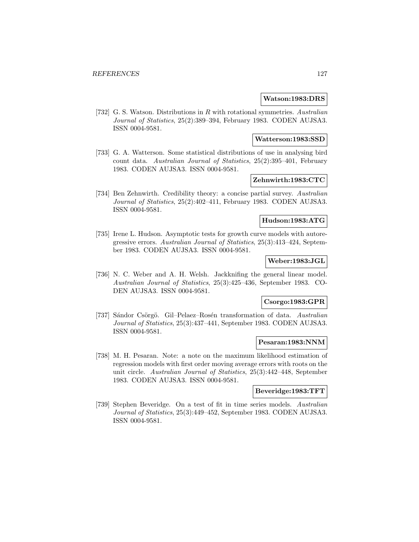#### **Watson:1983:DRS**

[732] G. S. Watson. Distributions in R with rotational symmetries. Australian Journal of Statistics, 25(2):389–394, February 1983. CODEN AUJSA3. ISSN 0004-9581.

### **Watterson:1983:SSD**

[733] G. A. Watterson. Some statistical distributions of use in analysing bird count data. Australian Journal of Statistics, 25(2):395–401, February 1983. CODEN AUJSA3. ISSN 0004-9581.

## **Zehnwirth:1983:CTC**

[734] Ben Zehnwirth. Credibility theory: a concise partial survey. Australian Journal of Statistics, 25(2):402–411, February 1983. CODEN AUJSA3. ISSN 0004-9581.

#### **Hudson:1983:ATG**

[735] Irene L. Hudson. Asymptotic tests for growth curve models with autoregressive errors. Australian Journal of Statistics, 25(3):413–424, September 1983. CODEN AUJSA3. ISSN 0004-9581.

### **Weber:1983:JGL**

[736] N. C. Weber and A. H. Welsh. Jackknifing the general linear model. Australian Journal of Statistics, 25(3):425–436, September 1983. CO-DEN AUJSA3. ISSN 0004-9581.

### **Csorgo:1983:GPR**

[737] Sándor Csörgö. Gil–Pelaez–Rosén transformation of data. Australian Journal of Statistics, 25(3):437–441, September 1983. CODEN AUJSA3. ISSN 0004-9581.

### **Pesaran:1983:NNM**

[738] M. H. Pesaran. Note: a note on the maximum likelihood estimation of regression models with first order moving average errors with roots on the unit circle. Australian Journal of Statistics, 25(3):442–448, September 1983. CODEN AUJSA3. ISSN 0004-9581.

## **Beveridge:1983:TFT**

[739] Stephen Beveridge. On a test of fit in time series models. Australian Journal of Statistics, 25(3):449–452, September 1983. CODEN AUJSA3. ISSN 0004-9581.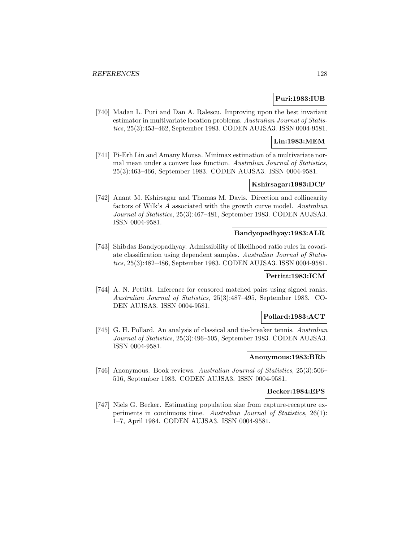## **Puri:1983:IUB**

[740] Madan L. Puri and Dan A. Ralescu. Improving upon the best invariant estimator in multivariate location problems. Australian Journal of Statistics, 25(3):453–462, September 1983. CODEN AUJSA3. ISSN 0004-9581.

### **Lin:1983:MEM**

[741] Pi-Erh Lin and Amany Mousa. Minimax estimation of a multivariate normal mean under a convex loss function. Australian Journal of Statistics, 25(3):463–466, September 1983. CODEN AUJSA3. ISSN 0004-9581.

## **Kshirsagar:1983:DCF**

[742] Anant M. Kshirsagar and Thomas M. Davis. Direction and collinearity factors of Wilk's A associated with the growth curve model. Australian Journal of Statistics, 25(3):467–481, September 1983. CODEN AUJSA3. ISSN 0004-9581.

### **Bandyopadhyay:1983:ALR**

[743] Shibdas Bandyopadhyay. Admissibility of likelihood ratio rules in covariate classification using dependent samples. Australian Journal of Statistics, 25(3):482–486, September 1983. CODEN AUJSA3. ISSN 0004-9581.

### **Pettitt:1983:ICM**

[744] A. N. Pettitt. Inference for censored matched pairs using signed ranks. Australian Journal of Statistics, 25(3):487–495, September 1983. CO-DEN AUJSA3. ISSN 0004-9581.

### **Pollard:1983:ACT**

[745] G. H. Pollard. An analysis of classical and tie-breaker tennis. Australian Journal of Statistics, 25(3):496–505, September 1983. CODEN AUJSA3. ISSN 0004-9581.

### **Anonymous:1983:BRb**

[746] Anonymous. Book reviews. Australian Journal of Statistics, 25(3):506– 516, September 1983. CODEN AUJSA3. ISSN 0004-9581.

### **Becker:1984:EPS**

[747] Niels G. Becker. Estimating population size from capture-recapture experiments in continuous time. Australian Journal of Statistics, 26(1): 1–7, April 1984. CODEN AUJSA3. ISSN 0004-9581.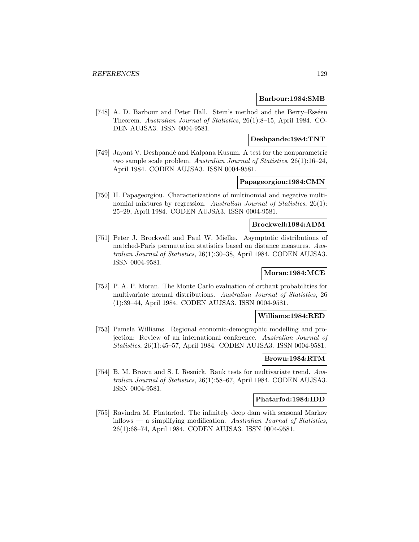#### **Barbour:1984:SMB**

[748] A. D. Barbour and Peter Hall. Stein's method and the Berry–Esséen Theorem. Australian Journal of Statistics, 26(1):8–15, April 1984. CO-DEN AUJSA3. ISSN 0004-9581.

### **Deshpande:1984:TNT**

[749] Jayant V. Deshpandé and Kalpana Kusum. A test for the nonparametric two sample scale problem. Australian Journal of Statistics, 26(1):16–24, April 1984. CODEN AUJSA3. ISSN 0004-9581.

### **Papageorgiou:1984:CMN**

[750] H. Papageorgiou. Characterizations of multinomial and negative multinomial mixtures by regression. Australian Journal of Statistics, 26(1): 25–29, April 1984. CODEN AUJSA3. ISSN 0004-9581.

### **Brockwell:1984:ADM**

[751] Peter J. Brockwell and Paul W. Mielke. Asymptotic distributions of matched-Paris permutation statistics based on distance measures. Australian Journal of Statistics, 26(1):30–38, April 1984. CODEN AUJSA3. ISSN 0004-9581.

### **Moran:1984:MCE**

[752] P. A. P. Moran. The Monte Carlo evaluation of orthant probabilities for multivariate normal distributions. Australian Journal of Statistics, 26 (1):39–44, April 1984. CODEN AUJSA3. ISSN 0004-9581.

### **Williams:1984:RED**

[753] Pamela Williams. Regional economic-demographic modelling and projection: Review of an international conference. Australian Journal of Statistics, 26(1):45–57, April 1984. CODEN AUJSA3. ISSN 0004-9581.

#### **Brown:1984:RTM**

[754] B. M. Brown and S. I. Resnick. Rank tests for multivariate trend. Australian Journal of Statistics, 26(1):58–67, April 1984. CODEN AUJSA3. ISSN 0004-9581.

### **Phatarfod:1984:IDD**

[755] Ravindra M. Phatarfod. The infinitely deep dam with seasonal Markov  $\text{inflows}$  — a simplifying modification. Australian Journal of Statistics, 26(1):68–74, April 1984. CODEN AUJSA3. ISSN 0004-9581.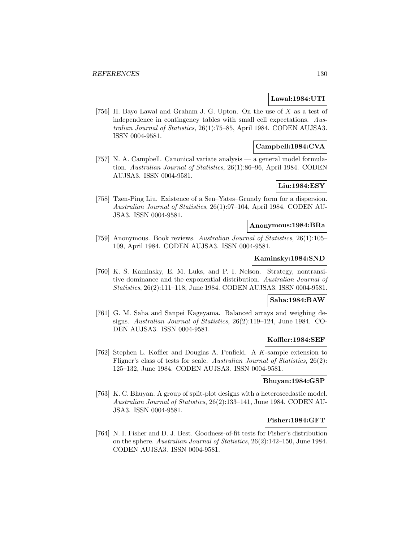### **Lawal:1984:UTI**

[756] H. Bayo Lawal and Graham J. G. Upton. On the use of X as a test of independence in contingency tables with small cell expectations. Australian Journal of Statistics, 26(1):75–85, April 1984. CODEN AUJSA3. ISSN 0004-9581.

## **Campbell:1984:CVA**

[757] N. A. Campbell. Canonical variate analysis — a general model formulation. Australian Journal of Statistics, 26(1):86–96, April 1984. CODEN AUJSA3. ISSN 0004-9581.

## **Liu:1984:ESY**

[758] Tzen-Ping Liu. Existence of a Sen–Yates–Grundy form for a dispersion. Australian Journal of Statistics, 26(1):97–104, April 1984. CODEN AU-JSA3. ISSN 0004-9581.

### **Anonymous:1984:BRa**

[759] Anonymous. Book reviews. Australian Journal of Statistics, 26(1):105– 109, April 1984. CODEN AUJSA3. ISSN 0004-9581.

## **Kaminsky:1984:SND**

[760] K. S. Kaminsky, E. M. Luks, and P. I. Nelson. Strategy, nontransitive dominance and the exponential distribution. Australian Journal of Statistics, 26(2):111–118, June 1984. CODEN AUJSA3. ISSN 0004-9581.

### **Saha:1984:BAW**

[761] G. M. Saha and Sanpei Kageyama. Balanced arrays and weighing designs. Australian Journal of Statistics, 26(2):119–124, June 1984. CO-DEN AUJSA3. ISSN 0004-9581.

## **Koffler:1984:SEF**

[762] Stephen L. Koffler and Douglas A. Penfield. A K-sample extension to Fligner's class of tests for scale. Australian Journal of Statistics, 26(2): 125–132, June 1984. CODEN AUJSA3. ISSN 0004-9581.

#### **Bhuyan:1984:GSP**

[763] K. C. Bhuyan. A group of split-plot designs with a heteroscedastic model. Australian Journal of Statistics, 26(2):133–141, June 1984. CODEN AU-JSA3. ISSN 0004-9581.

### **Fisher:1984:GFT**

[764] N. I. Fisher and D. J. Best. Goodness-of-fit tests for Fisher's distribution on the sphere. Australian Journal of Statistics, 26(2):142–150, June 1984. CODEN AUJSA3. ISSN 0004-9581.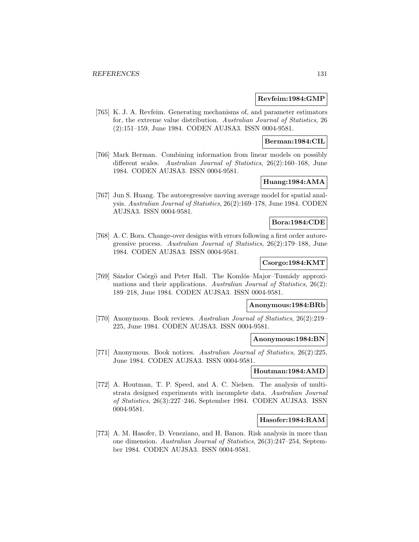#### **Revfeim:1984:GMP**

[765] K. J. A. Revfeim. Generating mechanisms of, and parameter estimators for, the extreme value distribution. Australian Journal of Statistics, 26 (2):151–159, June 1984. CODEN AUJSA3. ISSN 0004-9581.

### **Berman:1984:CIL**

[766] Mark Berman. Combining information from linear models on possibly different scales. Australian Journal of Statistics, 26(2):160–168, June 1984. CODEN AUJSA3. ISSN 0004-9581.

### **Huang:1984:AMA**

[767] Jun S. Huang. The autoregressive moving average model for spatial analysis. Australian Journal of Statistics, 26(2):169–178, June 1984. CODEN AUJSA3. ISSN 0004-9581.

## **Bora:1984:CDE**

[768] A. C. Bora. Change-over designs with errors following a first order autoregressive process. Australian Journal of Statistics, 26(2):179–188, June 1984. CODEN AUJSA3. ISSN 0004-9581.

## **Csorgo:1984:KMT**

[769] Sándor Csörgö and Peter Hall. The Komlós–Major–Tusnády approximations and their applications. Australian Journal of Statistics, 26(2): 189–218, June 1984. CODEN AUJSA3. ISSN 0004-9581.

## **Anonymous:1984:BRb**

[770] Anonymous. Book reviews. Australian Journal of Statistics, 26(2):219– 225, June 1984. CODEN AUJSA3. ISSN 0004-9581.

#### **Anonymous:1984:BN**

[771] Anonymous. Book notices. Australian Journal of Statistics, 26(2):225, June 1984. CODEN AUJSA3. ISSN 0004-9581.

#### **Houtman:1984:AMD**

[772] A. Houtman, T. P. Speed, and A. C. Nielsen. The analysis of multistrata designed experiments with incomplete data. Australian Journal of Statistics, 26(3):227–246, September 1984. CODEN AUJSA3. ISSN 0004-9581.

### **Hasofer:1984:RAM**

[773] A. M. Hasofer, D. Veneziano, and H. Banon. Risk analysis in more than one dimension. Australian Journal of Statistics, 26(3):247–254, September 1984. CODEN AUJSA3. ISSN 0004-9581.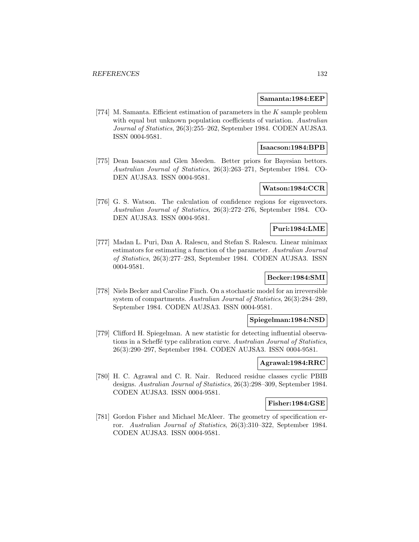#### **Samanta:1984:EEP**

[774] M. Samanta. Efficient estimation of parameters in the K sample problem with equal but unknown population coefficients of variation. Australian Journal of Statistics, 26(3):255–262, September 1984. CODEN AUJSA3. ISSN 0004-9581.

#### **Isaacson:1984:BPB**

[775] Dean Isaacson and Glen Meeden. Better priors for Bayesian bettors. Australian Journal of Statistics, 26(3):263–271, September 1984. CO-DEN AUJSA3. ISSN 0004-9581.

### **Watson:1984:CCR**

[776] G. S. Watson. The calculation of confidence regions for eigenvectors. Australian Journal of Statistics, 26(3):272–276, September 1984. CO-DEN AUJSA3. ISSN 0004-9581.

## **Puri:1984:LME**

[777] Madan L. Puri, Dan A. Ralescu, and Stefan S. Ralescu. Linear minimax estimators for estimating a function of the parameter. Australian Journal of Statistics, 26(3):277–283, September 1984. CODEN AUJSA3. ISSN 0004-9581.

## **Becker:1984:SMI**

[778] Niels Becker and Caroline Finch. On a stochastic model for an irreversible system of compartments. Australian Journal of Statistics, 26(3):284–289, September 1984. CODEN AUJSA3. ISSN 0004-9581.

#### **Spiegelman:1984:NSD**

[779] Clifford H. Spiegelman. A new statistic for detecting influential observations in a Scheffé type calibration curve. Australian Journal of Statistics, 26(3):290–297, September 1984. CODEN AUJSA3. ISSN 0004-9581.

## **Agrawal:1984:RRC**

[780] H. C. Agrawal and C. R. Nair. Reduced residue classes cyclic PBIB designs. Australian Journal of Statistics, 26(3):298–309, September 1984. CODEN AUJSA3. ISSN 0004-9581.

### **Fisher:1984:GSE**

[781] Gordon Fisher and Michael McAleer. The geometry of specification error. Australian Journal of Statistics, 26(3):310–322, September 1984. CODEN AUJSA3. ISSN 0004-9581.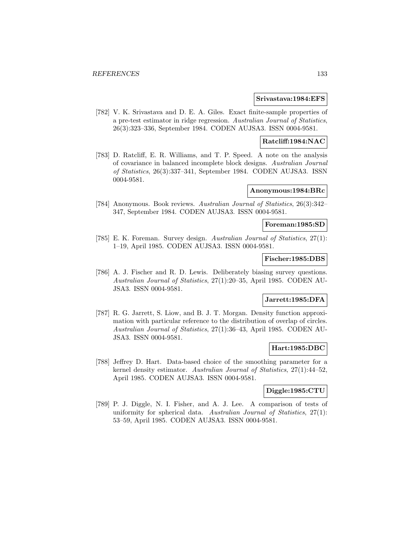#### **Srivastava:1984:EFS**

[782] V. K. Srivastava and D. E. A. Giles. Exact finite-sample properties of a pre-test estimator in ridge regression. Australian Journal of Statistics, 26(3):323–336, September 1984. CODEN AUJSA3. ISSN 0004-9581.

## **Ratcliff:1984:NAC**

[783] D. Ratcliff, E. R. Williams, and T. P. Speed. A note on the analysis of covariance in balanced incomplete block designs. Australian Journal of Statistics, 26(3):337–341, September 1984. CODEN AUJSA3. ISSN 0004-9581.

#### **Anonymous:1984:BRc**

[784] Anonymous. Book reviews. Australian Journal of Statistics, 26(3):342– 347, September 1984. CODEN AUJSA3. ISSN 0004-9581.

## **Foreman:1985:SD**

[785] E. K. Foreman. Survey design. Australian Journal of Statistics, 27(1): 1–19, April 1985. CODEN AUJSA3. ISSN 0004-9581.

### **Fischer:1985:DBS**

[786] A. J. Fischer and R. D. Lewis. Deliberately biasing survey questions. Australian Journal of Statistics, 27(1):20–35, April 1985. CODEN AU-JSA3. ISSN 0004-9581.

### **Jarrett:1985:DFA**

[787] R. G. Jarrett, S. Liow, and B. J. T. Morgan. Density function approximation with particular reference to the distribution of overlap of circles. Australian Journal of Statistics, 27(1):36–43, April 1985. CODEN AU-JSA3. ISSN 0004-9581.

### **Hart:1985:DBC**

[788] Jeffrey D. Hart. Data-based choice of the smoothing parameter for a kernel density estimator. Australian Journal of Statistics, 27(1):44–52, April 1985. CODEN AUJSA3. ISSN 0004-9581.

## **Diggle:1985:CTU**

[789] P. J. Diggle, N. I. Fisher, and A. J. Lee. A comparison of tests of uniformity for spherical data. Australian Journal of Statistics, 27(1): 53–59, April 1985. CODEN AUJSA3. ISSN 0004-9581.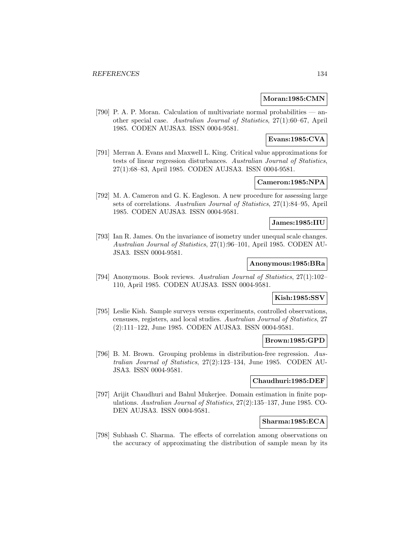#### **Moran:1985:CMN**

[790] P. A. P. Moran. Calculation of multivariate normal probabilities — another special case. Australian Journal of Statistics, 27(1):60–67, April 1985. CODEN AUJSA3. ISSN 0004-9581.

### **Evans:1985:CVA**

[791] Merran A. Evans and Maxwell L. King. Critical value approximations for tests of linear regression disturbances. Australian Journal of Statistics, 27(1):68–83, April 1985. CODEN AUJSA3. ISSN 0004-9581.

### **Cameron:1985:NPA**

[792] M. A. Cameron and G. K. Eagleson. A new procedure for assessing large sets of correlations. Australian Journal of Statistics, 27(1):84–95, April 1985. CODEN AUJSA3. ISSN 0004-9581.

#### **James:1985:IIU**

[793] Ian R. James. On the invariance of isometry under unequal scale changes. Australian Journal of Statistics, 27(1):96–101, April 1985. CODEN AU-JSA3. ISSN 0004-9581.

## **Anonymous:1985:BRa**

[794] Anonymous. Book reviews. Australian Journal of Statistics, 27(1):102– 110, April 1985. CODEN AUJSA3. ISSN 0004-9581.

# **Kish:1985:SSV**

[795] Leslie Kish. Sample surveys versus experiments, controlled observations, censuses, registers, and local studies. Australian Journal of Statistics, 27 (2):111–122, June 1985. CODEN AUJSA3. ISSN 0004-9581.

### **Brown:1985:GPD**

[796] B. M. Brown. Grouping problems in distribution-free regression. Australian Journal of Statistics, 27(2):123–134, June 1985. CODEN AU-JSA3. ISSN 0004-9581.

#### **Chaudhuri:1985:DEF**

[797] Arijit Chaudhuri and Bahul Mukerjee. Domain estimation in finite populations. Australian Journal of Statistics, 27(2):135–137, June 1985. CO-DEN AUJSA3. ISSN 0004-9581.

## **Sharma:1985:ECA**

[798] Subhash C. Sharma. The effects of correlation among observations on the accuracy of approximating the distribution of sample mean by its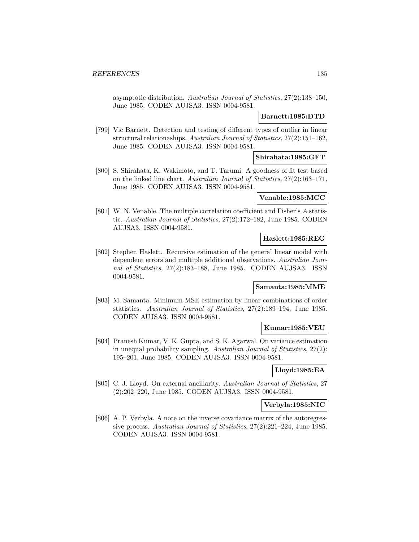asymptotic distribution. Australian Journal of Statistics, 27(2):138–150, June 1985. CODEN AUJSA3. ISSN 0004-9581.

## **Barnett:1985:DTD**

[799] Vic Barnett. Detection and testing of different types of outlier in linear structural relationaships. Australian Journal of Statistics, 27(2):151–162, June 1985. CODEN AUJSA3. ISSN 0004-9581.

## **Shirahata:1985:GFT**

[800] S. Shirahata, K. Wakimoto, and T. Tarumi. A goodness of fit test based on the linked line chart. Australian Journal of Statistics, 27(2):163–171, June 1985. CODEN AUJSA3. ISSN 0004-9581.

#### **Venable:1985:MCC**

[801] W. N. Venable. The multiple correlation coefficient and Fisher's A statistic. Australian Journal of Statistics, 27(2):172–182, June 1985. CODEN AUJSA3. ISSN 0004-9581.

### **Haslett:1985:REG**

[802] Stephen Haslett. Recursive estimation of the general linear model with dependent errors and multiple additional observations. Australian Journal of Statistics, 27(2):183–188, June 1985. CODEN AUJSA3. ISSN 0004-9581.

#### **Samanta:1985:MME**

[803] M. Samanta. Minimum MSE estimation by linear combinations of order statistics. Australian Journal of Statistics, 27(2):189–194, June 1985. CODEN AUJSA3. ISSN 0004-9581.

#### **Kumar:1985:VEU**

[804] Pranesh Kumar, V. K. Gupta, and S. K. Agarwal. On variance estimation in unequal probability sampling. Australian Journal of Statistics, 27(2): 195–201, June 1985. CODEN AUJSA3. ISSN 0004-9581.

### **Lloyd:1985:EA**

[805] C. J. Lloyd. On external ancillarity. Australian Journal of Statistics, 27 (2):202–220, June 1985. CODEN AUJSA3. ISSN 0004-9581.

#### **Verbyla:1985:NIC**

[806] A. P. Verbyla. A note on the inverse covariance matrix of the autoregressive process. Australian Journal of Statistics, 27(2):221–224, June 1985. CODEN AUJSA3. ISSN 0004-9581.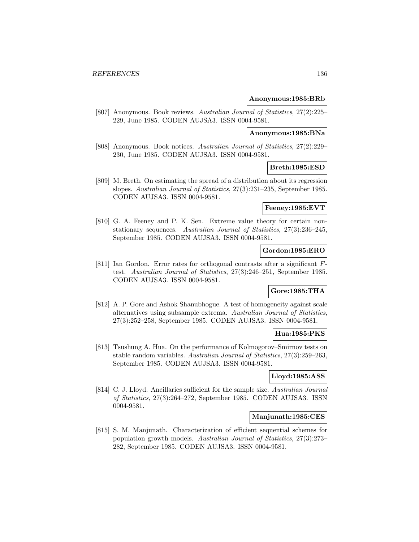#### **Anonymous:1985:BRb**

[807] Anonymous. Book reviews. Australian Journal of Statistics, 27(2):225– 229, June 1985. CODEN AUJSA3. ISSN 0004-9581.

### **Anonymous:1985:BNa**

[808] Anonymous. Book notices. Australian Journal of Statistics, 27(2):229– 230, June 1985. CODEN AUJSA3. ISSN 0004-9581.

### **Breth:1985:ESD**

[809] M. Breth. On estimating the spread of a distribution about its regression slopes. Australian Journal of Statistics, 27(3):231–235, September 1985. CODEN AUJSA3. ISSN 0004-9581.

### **Feeney:1985:EVT**

[810] G. A. Feeney and P. K. Sen. Extreme value theory for certain nonstationary sequences. Australian Journal of Statistics, 27(3):236–245, September 1985. CODEN AUJSA3. ISSN 0004-9581.

## **Gordon:1985:ERO**

[811] Ian Gordon. Error rates for orthogonal contrasts after a significant Ftest. Australian Journal of Statistics, 27(3):246–251, September 1985. CODEN AUJSA3. ISSN 0004-9581.

### **Gore:1985:THA**

[812] A. P. Gore and Ashok Shanubhogue. A test of homogeneity against scale alternatives using subsample extrema. Australian Journal of Statistics, 27(3):252–258, September 1985. CODEN AUJSA3. ISSN 0004-9581.

### **Hua:1985:PKS**

[813] Tsushung A. Hua. On the performance of Kolmogorov–Smirnov tests on stable random variables. Australian Journal of Statistics, 27(3):259–263, September 1985. CODEN AUJSA3. ISSN 0004-9581.

## **Lloyd:1985:ASS**

[814] C. J. Lloyd. Ancillaries sufficient for the sample size. Australian Journal of Statistics, 27(3):264–272, September 1985. CODEN AUJSA3. ISSN 0004-9581.

#### **Manjunath:1985:CES**

[815] S. M. Manjunath. Characterization of efficient sequential schemes for population growth models. Australian Journal of Statistics, 27(3):273– 282, September 1985. CODEN AUJSA3. ISSN 0004-9581.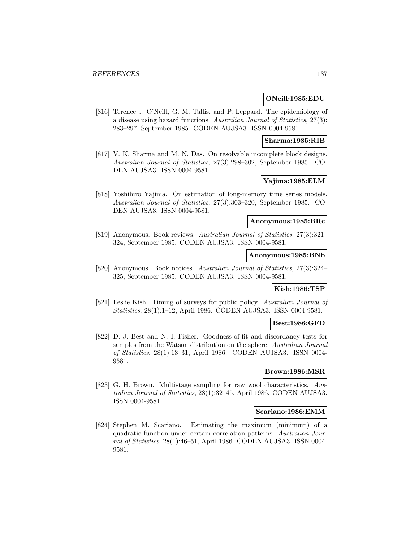#### **ONeill:1985:EDU**

[816] Terence J. O'Neill, G. M. Tallis, and P. Leppard. The epidemiology of a disease using hazard functions. Australian Journal of Statistics, 27(3): 283–297, September 1985. CODEN AUJSA3. ISSN 0004-9581.

#### **Sharma:1985:RIB**

[817] V. K. Sharma and M. N. Das. On resolvable incomplete block designs. Australian Journal of Statistics, 27(3):298–302, September 1985. CO-DEN AUJSA3. ISSN 0004-9581.

## **Yajima:1985:ELM**

[818] Yoshihiro Yajima. On estimation of long-memory time series models. Australian Journal of Statistics, 27(3):303–320, September 1985. CO-DEN AUJSA3. ISSN 0004-9581.

### **Anonymous:1985:BRc**

[819] Anonymous. Book reviews. Australian Journal of Statistics, 27(3):321– 324, September 1985. CODEN AUJSA3. ISSN 0004-9581.

### **Anonymous:1985:BNb**

[820] Anonymous. Book notices. Australian Journal of Statistics, 27(3):324– 325, September 1985. CODEN AUJSA3. ISSN 0004-9581.

### **Kish:1986:TSP**

[821] Leslie Kish. Timing of surveys for public policy. Australian Journal of Statistics, 28(1):1–12, April 1986. CODEN AUJSA3. ISSN 0004-9581.

#### **Best:1986:GFD**

[822] D. J. Best and N. I. Fisher. Goodness-of-fit and discordancy tests for samples from the Watson distribution on the sphere. Australian Journal of Statistics, 28(1):13–31, April 1986. CODEN AUJSA3. ISSN 0004- 9581.

### **Brown:1986:MSR**

[823] G. H. Brown. Multistage sampling for raw wool characteristics. Australian Journal of Statistics, 28(1):32–45, April 1986. CODEN AUJSA3. ISSN 0004-9581.

#### **Scariano:1986:EMM**

[824] Stephen M. Scariano. Estimating the maximum (minimum) of a quadratic function under certain correlation patterns. Australian Journal of Statistics, 28(1):46–51, April 1986. CODEN AUJSA3. ISSN 0004- 9581.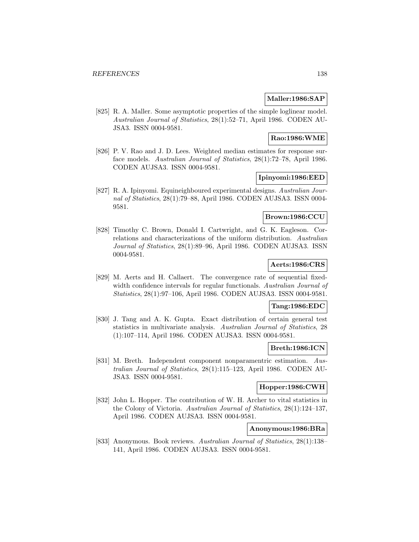### **Maller:1986:SAP**

[825] R. A. Maller. Some asymptotic properties of the simple loglinear model. Australian Journal of Statistics, 28(1):52–71, April 1986. CODEN AU-JSA3. ISSN 0004-9581.

### **Rao:1986:WME**

[826] P. V. Rao and J. D. Lees. Weighted median estimates for response surface models. Australian Journal of Statistics, 28(1):72–78, April 1986. CODEN AUJSA3. ISSN 0004-9581.

#### **Ipinyomi:1986:EED**

[827] R. A. Ipinyomi. Equineighboured experimental designs. Australian Journal of Statistics, 28(1):79–88, April 1986. CODEN AUJSA3. ISSN 0004- 9581.

## **Brown:1986:CCU**

[828] Timothy C. Brown, Donald I. Cartwright, and G. K. Eagleson. Correlations and characterizations of the uniform distribution. Australian Journal of Statistics, 28(1):89–96, April 1986. CODEN AUJSA3. ISSN 0004-9581.

### **Aerts:1986:CRS**

[829] M. Aerts and H. Callaert. The convergence rate of sequential fixedwidth confidence intervals for regular functionals. Australian Journal of Statistics, 28(1):97–106, April 1986. CODEN AUJSA3. ISSN 0004-9581.

#### **Tang:1986:EDC**

[830] J. Tang and A. K. Gupta. Exact distribution of certain general test statistics in multivariate analysis. Australian Journal of Statistics, 28 (1):107–114, April 1986. CODEN AUJSA3. ISSN 0004-9581.

#### **Breth:1986:ICN**

[831] M. Breth. Independent component nonparamentric estimation. Australian Journal of Statistics, 28(1):115–123, April 1986. CODEN AU-JSA3. ISSN 0004-9581.

## **Hopper:1986:CWH**

[832] John L. Hopper. The contribution of W. H. Archer to vital statistics in the Colony of Victoria. Australian Journal of Statistics, 28(1):124–137, April 1986. CODEN AUJSA3. ISSN 0004-9581.

## **Anonymous:1986:BRa**

[833] Anonymous. Book reviews. Australian Journal of Statistics, 28(1):138– 141, April 1986. CODEN AUJSA3. ISSN 0004-9581.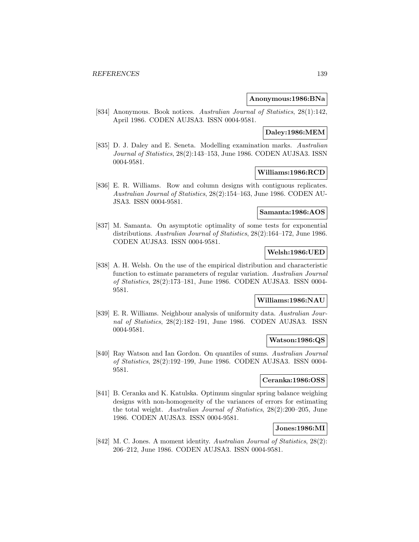#### **Anonymous:1986:BNa**

[834] Anonymous. Book notices. Australian Journal of Statistics, 28(1):142, April 1986. CODEN AUJSA3. ISSN 0004-9581.

## **Daley:1986:MEM**

[835] D. J. Daley and E. Seneta. Modelling examination marks. Australian Journal of Statistics, 28(2):143–153, June 1986. CODEN AUJSA3. ISSN 0004-9581.

## **Williams:1986:RCD**

[836] E. R. Williams. Row and column designs with contiguous replicates. Australian Journal of Statistics, 28(2):154–163, June 1986. CODEN AU-JSA3. ISSN 0004-9581.

### **Samanta:1986:AOS**

[837] M. Samanta. On asymptotic optimality of some tests for exponential distributions. Australian Journal of Statistics, 28(2):164–172, June 1986. CODEN AUJSA3. ISSN 0004-9581.

## **Welsh:1986:UED**

[838] A. H. Welsh. On the use of the empirical distribution and characteristic function to estimate parameters of regular variation. Australian Journal of Statistics, 28(2):173–181, June 1986. CODEN AUJSA3. ISSN 0004- 9581.

## **Williams:1986:NAU**

[839] E. R. Williams. Neighbour analysis of uniformity data. Australian Journal of Statistics, 28(2):182–191, June 1986. CODEN AUJSA3. ISSN 0004-9581.

## **Watson:1986:QS**

[840] Ray Watson and Ian Gordon. On quantiles of sums. Australian Journal of Statistics, 28(2):192–199, June 1986. CODEN AUJSA3. ISSN 0004- 9581.

#### **Ceranka:1986:OSS**

[841] B. Ceranka and K. Katulska. Optimum singular spring balance weighing designs with non-homogeneity of the variances of errors for estimating the total weight. Australian Journal of Statistics, 28(2):200–205, June 1986. CODEN AUJSA3. ISSN 0004-9581.

#### **Jones:1986:MI**

[842] M. C. Jones. A moment identity. Australian Journal of Statistics, 28(2): 206–212, June 1986. CODEN AUJSA3. ISSN 0004-9581.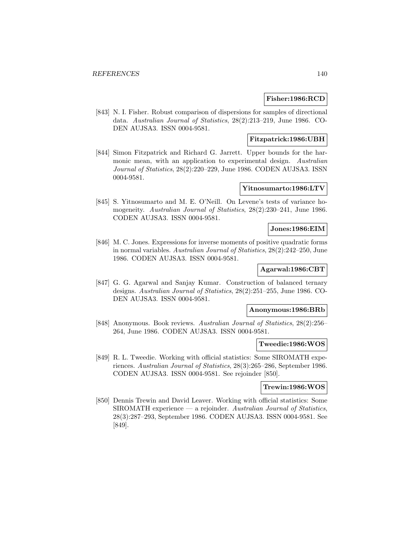#### **Fisher:1986:RCD**

[843] N. I. Fisher. Robust comparison of dispersions for samples of directional data. Australian Journal of Statistics, 28(2):213–219, June 1986. CO-DEN AUJSA3. ISSN 0004-9581.

## **Fitzpatrick:1986:UBH**

[844] Simon Fitzpatrick and Richard G. Jarrett. Upper bounds for the harmonic mean, with an application to experimental design. Australian Journal of Statistics, 28(2):220–229, June 1986. CODEN AUJSA3. ISSN 0004-9581.

#### **Yitnosumarto:1986:LTV**

[845] S. Yitnosumarto and M. E. O'Neill. On Levene's tests of variance homogeneity. Australian Journal of Statistics, 28(2):230–241, June 1986. CODEN AUJSA3. ISSN 0004-9581.

## **Jones:1986:EIM**

[846] M. C. Jones. Expressions for inverse moments of positive quadratic forms in normal variables. Australian Journal of Statistics, 28(2):242–250, June 1986. CODEN AUJSA3. ISSN 0004-9581.

## **Agarwal:1986:CBT**

[847] G. G. Agarwal and Sanjay Kumar. Construction of balanced ternary designs. Australian Journal of Statistics, 28(2):251–255, June 1986. CO-DEN AUJSA3. ISSN 0004-9581.

#### **Anonymous:1986:BRb**

[848] Anonymous. Book reviews. Australian Journal of Statistics, 28(2):256– 264, June 1986. CODEN AUJSA3. ISSN 0004-9581.

#### **Tweedie:1986:WOS**

[849] R. L. Tweedie. Working with official statistics: Some SIROMATH experiences. Australian Journal of Statistics, 28(3):265–286, September 1986. CODEN AUJSA3. ISSN 0004-9581. See rejoinder [850].

## **Trewin:1986:WOS**

[850] Dennis Trewin and David Leaver. Working with official statistics: Some  $SIROMATH$  experience — a rejoinder. Australian Journal of Statistics, 28(3):287–293, September 1986. CODEN AUJSA3. ISSN 0004-9581. See [849].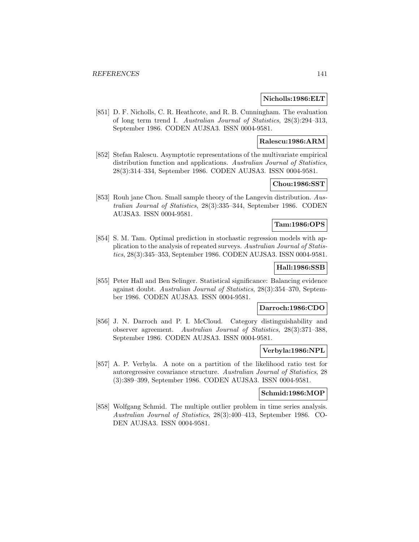#### **Nicholls:1986:ELT**

[851] D. F. Nicholls, C. R. Heathcote, and R. B. Cunningham. The evaluation of long term trend I. Australian Journal of Statistics, 28(3):294–313, September 1986. CODEN AUJSA3. ISSN 0004-9581.

### **Ralescu:1986:ARM**

[852] Stefan Ralescu. Asymptotic representations of the multivariate empirical distribution function and applications. Australian Journal of Statistics, 28(3):314–334, September 1986. CODEN AUJSA3. ISSN 0004-9581.

### **Chou:1986:SST**

[853] Rouh jane Chou. Small sample theory of the Langevin distribution. Australian Journal of Statistics, 28(3):335–344, September 1986. CODEN AUJSA3. ISSN 0004-9581.

## **Tam:1986:OPS**

[854] S. M. Tam. Optimal prediction in stochastic regression models with application to the analysis of repeated surveys. Australian Journal of Statistics, 28(3):345–353, September 1986. CODEN AUJSA3. ISSN 0004-9581.

## **Hall:1986:SSB**

[855] Peter Hall and Ben Selinger. Statistical significance: Balancing evidence against doubt. Australian Journal of Statistics, 28(3):354–370, September 1986. CODEN AUJSA3. ISSN 0004-9581.

### **Darroch:1986:CDO**

[856] J. N. Darroch and P. I. McCloud. Category distinguishability and observer agreement. Australian Journal of Statistics, 28(3):371–388, September 1986. CODEN AUJSA3. ISSN 0004-9581.

### **Verbyla:1986:NPL**

[857] A. P. Verbyla. A note on a partition of the likelihood ratio test for autoregressive covariance structure. Australian Journal of Statistics, 28 (3):389–399, September 1986. CODEN AUJSA3. ISSN 0004-9581.

#### **Schmid:1986:MOP**

[858] Wolfgang Schmid. The multiple outlier problem in time series analysis. Australian Journal of Statistics, 28(3):400–413, September 1986. CO-DEN AUJSA3. ISSN 0004-9581.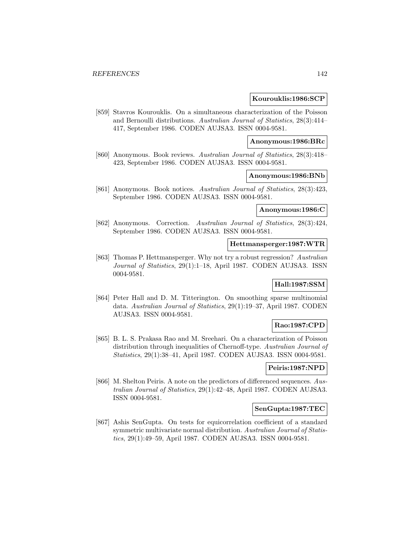#### **Kourouklis:1986:SCP**

[859] Stavros Kourouklis. On a simultaneous characterization of the Poisson and Bernoulli distributions. Australian Journal of Statistics, 28(3):414– 417, September 1986. CODEN AUJSA3. ISSN 0004-9581.

#### **Anonymous:1986:BRc**

[860] Anonymous. Book reviews. Australian Journal of Statistics, 28(3):418– 423, September 1986. CODEN AUJSA3. ISSN 0004-9581.

#### **Anonymous:1986:BNb**

[861] Anonymous. Book notices. Australian Journal of Statistics, 28(3):423, September 1986. CODEN AUJSA3. ISSN 0004-9581.

#### **Anonymous:1986:C**

[862] Anonymous. Correction. Australian Journal of Statistics, 28(3):424, September 1986. CODEN AUJSA3. ISSN 0004-9581.

#### **Hettmansperger:1987:WTR**

[863] Thomas P. Hettmansperger. Why not try a robust regression? Australian Journal of Statistics, 29(1):1–18, April 1987. CODEN AUJSA3. ISSN 0004-9581.

#### **Hall:1987:SSM**

[864] Peter Hall and D. M. Titterington. On smoothing sparse multinomial data. Australian Journal of Statistics, 29(1):19–37, April 1987. CODEN AUJSA3. ISSN 0004-9581.

#### **Rao:1987:CPD**

[865] B. L. S. Prakasa Rao and M. Sreehari. On a characterization of Poisson distribution through inequalities of Chernoff-type. Australian Journal of Statistics, 29(1):38–41, April 1987. CODEN AUJSA3. ISSN 0004-9581.

#### **Peiris:1987:NPD**

[866] M. Shelton Peiris. A note on the predictors of differenced sequences. Australian Journal of Statistics, 29(1):42–48, April 1987. CODEN AUJSA3. ISSN 0004-9581.

### **SenGupta:1987:TEC**

[867] Ashis SenGupta. On tests for equicorrelation coefficient of a standard symmetric multivariate normal distribution. Australian Journal of Statistics, 29(1):49–59, April 1987. CODEN AUJSA3. ISSN 0004-9581.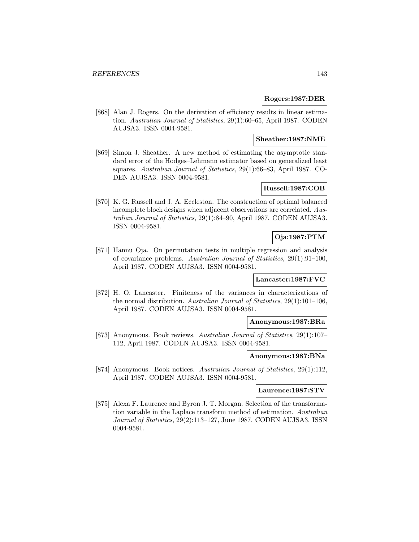#### **Rogers:1987:DER**

[868] Alan J. Rogers. On the derivation of efficiency results in linear estimation. Australian Journal of Statistics, 29(1):60–65, April 1987. CODEN AUJSA3. ISSN 0004-9581.

### **Sheather:1987:NME**

[869] Simon J. Sheather. A new method of estimating the asymptotic standard error of the Hodges–Lehmann estimator based on generalized least squares. Australian Journal of Statistics, 29(1):66–83, April 1987. CO-DEN AUJSA3. ISSN 0004-9581.

### **Russell:1987:COB**

[870] K. G. Russell and J. A. Eccleston. The construction of optimal balanced incomplete block designs when adjacent observations are correlated. Australian Journal of Statistics, 29(1):84–90, April 1987. CODEN AUJSA3. ISSN 0004-9581.

# **Oja:1987:PTM**

[871] Hannu Oja. On permutation tests in multiple regression and analysis of covariance problems. Australian Journal of Statistics, 29(1):91–100, April 1987. CODEN AUJSA3. ISSN 0004-9581.

#### **Lancaster:1987:FVC**

[872] H. O. Lancaster. Finiteness of the variances in characterizations of the normal distribution. Australian Journal of Statistics, 29(1):101–106, April 1987. CODEN AUJSA3. ISSN 0004-9581.

#### **Anonymous:1987:BRa**

[873] Anonymous. Book reviews. Australian Journal of Statistics, 29(1):107– 112, April 1987. CODEN AUJSA3. ISSN 0004-9581.

#### **Anonymous:1987:BNa**

[874] Anonymous. Book notices. Australian Journal of Statistics, 29(1):112, April 1987. CODEN AUJSA3. ISSN 0004-9581.

### **Laurence:1987:STV**

[875] Alexa F. Laurence and Byron J. T. Morgan. Selection of the transformation variable in the Laplace transform method of estimation. Australian Journal of Statistics, 29(2):113–127, June 1987. CODEN AUJSA3. ISSN 0004-9581.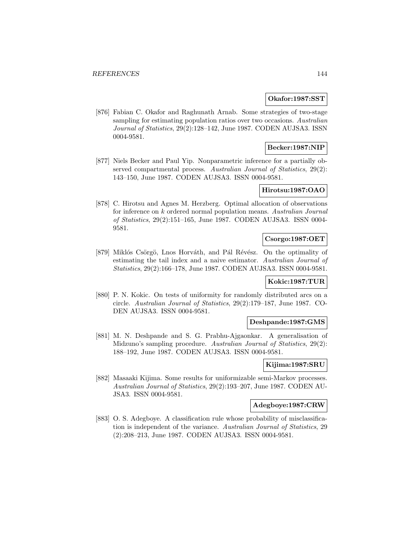#### **Okafor:1987:SST**

[876] Fabian C. Okafor and Raghunath Arnab. Some strategies of two-stage sampling for estimating population ratios over two occasions. Australian Journal of Statistics, 29(2):128–142, June 1987. CODEN AUJSA3. ISSN 0004-9581.

### **Becker:1987:NIP**

[877] Niels Becker and Paul Yip. Nonparametric inference for a partially observed compartmental process. Australian Journal of Statistics, 29(2): 143–150, June 1987. CODEN AUJSA3. ISSN 0004-9581.

## **Hirotsu:1987:OAO**

[878] C. Hirotsu and Agnes M. Herzberg. Optimal allocation of observations for inference on k ordered normal population means. Australian Journal of Statistics, 29(2):151–165, June 1987. CODEN AUJSA3. ISSN 0004- 9581.

## **Csorgo:1987:OET**

[879] Miklós Csörgö, Lnos Horváth, and Pál Révész. On the optimality of estimating the tail index and a naive estimator. Australian Journal of Statistics, 29(2):166–178, June 1987. CODEN AUJSA3. ISSN 0004-9581.

### **Kokic:1987:TUR**

[880] P. N. Kokic. On tests of uniformity for randomly distributed arcs on a circle. Australian Journal of Statistics, 29(2):179–187, June 1987. CO-DEN AUJSA3. ISSN 0004-9581.

#### **Deshpande:1987:GMS**

[881] M. N. Deshpande and S. G. Prabhu-Ajgaonkar. A generalisation of Midzuno's sampling procedure. Australian Journal of Statistics, 29(2): 188–192, June 1987. CODEN AUJSA3. ISSN 0004-9581.

### **Kijima:1987:SRU**

[882] Masaaki Kijima. Some results for uniformizable semi-Markov processes. Australian Journal of Statistics, 29(2):193–207, June 1987. CODEN AU-JSA3. ISSN 0004-9581.

#### **Adegboye:1987:CRW**

[883] O. S. Adegboye. A classification rule whose probability of misclassification is independent of the variance. Australian Journal of Statistics, 29 (2):208–213, June 1987. CODEN AUJSA3. ISSN 0004-9581.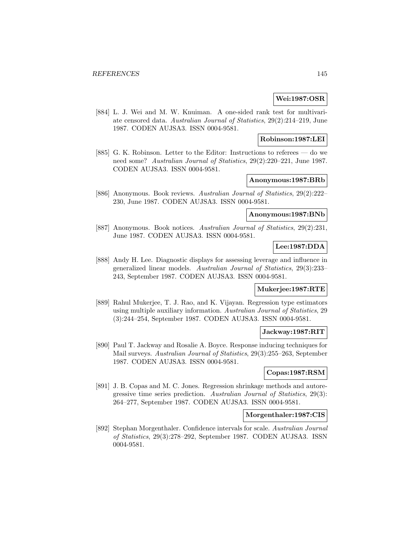# **Wei:1987:OSR**

[884] L. J. Wei and M. W. Knuiman. A one-sided rank test for multivariate censored data. Australian Journal of Statistics, 29(2):214–219, June 1987. CODEN AUJSA3. ISSN 0004-9581.

## **Robinson:1987:LEI**

[885] G. K. Robinson. Letter to the Editor: Instructions to referees — do we need some? Australian Journal of Statistics, 29(2):220–221, June 1987. CODEN AUJSA3. ISSN 0004-9581.

# **Anonymous:1987:BRb**

[886] Anonymous. Book reviews. Australian Journal of Statistics, 29(2):222– 230, June 1987. CODEN AUJSA3. ISSN 0004-9581.

# **Anonymous:1987:BNb**

[887] Anonymous. Book notices. Australian Journal of Statistics, 29(2):231, June 1987. CODEN AUJSA3. ISSN 0004-9581.

# **Lee:1987:DDA**

[888] Andy H. Lee. Diagnostic displays for assessing leverage and influence in generalized linear models. Australian Journal of Statistics, 29(3):233– 243, September 1987. CODEN AUJSA3. ISSN 0004-9581.

#### **Mukerjee:1987:RTE**

[889] Rahul Mukerjee, T. J. Rao, and K. Vijayan. Regression type estimators using multiple auxiliary information. Australian Journal of Statistics, 29 (3):244–254, September 1987. CODEN AUJSA3. ISSN 0004-9581.

#### **Jackway:1987:RIT**

[890] Paul T. Jackway and Rosalie A. Boyce. Response inducing techniques for Mail surveys. Australian Journal of Statistics, 29(3):255–263, September 1987. CODEN AUJSA3. ISSN 0004-9581.

# **Copas:1987:RSM**

[891] J. B. Copas and M. C. Jones. Regression shrinkage methods and autoregressive time series prediction. Australian Journal of Statistics, 29(3): 264–277, September 1987. CODEN AUJSA3. ISSN 0004-9581.

#### **Morgenthaler:1987:CIS**

[892] Stephan Morgenthaler. Confidence intervals for scale. Australian Journal of Statistics, 29(3):278–292, September 1987. CODEN AUJSA3. ISSN 0004-9581.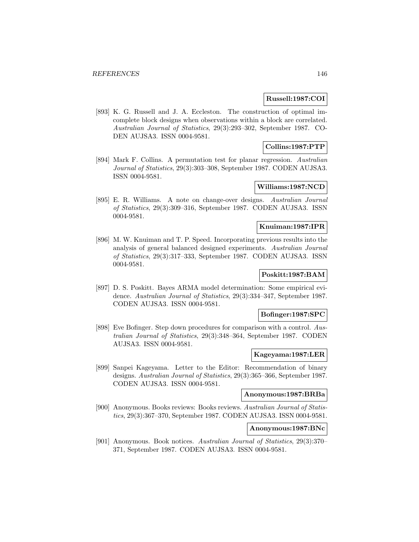### **Russell:1987:COI**

[893] K. G. Russell and J. A. Eccleston. The construction of optimal imcomplete block designs when observations within a block are correlated. Australian Journal of Statistics, 29(3):293–302, September 1987. CO-DEN AUJSA3. ISSN 0004-9581.

# **Collins:1987:PTP**

[894] Mark F. Collins. A permutation test for planar regression. Australian Journal of Statistics, 29(3):303–308, September 1987. CODEN AUJSA3. ISSN 0004-9581.

# **Williams:1987:NCD**

[895] E. R. Williams. A note on change-over designs. Australian Journal of Statistics, 29(3):309–316, September 1987. CODEN AUJSA3. ISSN 0004-9581.

# **Knuiman:1987:IPR**

[896] M. W. Knuiman and T. P. Speed. Incorporating previous results into the analysis of general balanced designed experiments. Australian Journal of Statistics, 29(3):317–333, September 1987. CODEN AUJSA3. ISSN 0004-9581.

# **Poskitt:1987:BAM**

[897] D. S. Poskitt. Bayes ARMA model determination: Some empirical evidence. Australian Journal of Statistics, 29(3):334–347, September 1987. CODEN AUJSA3. ISSN 0004-9581.

# **Bofinger:1987:SPC**

[898] Eve Bofinger. Step down procedures for comparison with a control. Australian Journal of Statistics, 29(3):348–364, September 1987. CODEN AUJSA3. ISSN 0004-9581.

### **Kageyama:1987:LER**

[899] Sanpei Kageyama. Letter to the Editor: Recommendation of binary designs. Australian Journal of Statistics, 29(3):365–366, September 1987. CODEN AUJSA3. ISSN 0004-9581.

# **Anonymous:1987:BRBa**

[900] Anonymous. Books reviews: Books reviews. Australian Journal of Statistics, 29(3):367–370, September 1987. CODEN AUJSA3. ISSN 0004-9581.

# **Anonymous:1987:BNc**

[901] Anonymous. Book notices. Australian Journal of Statistics, 29(3):370– 371, September 1987. CODEN AUJSA3. ISSN 0004-9581.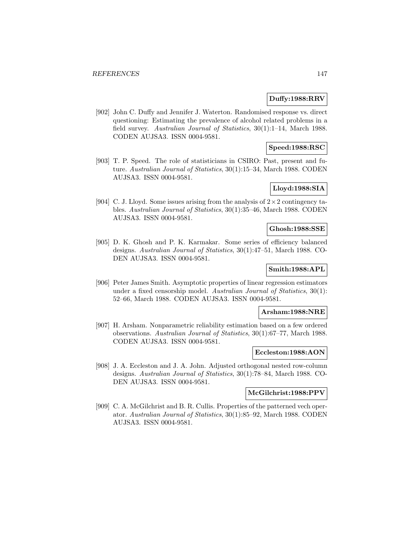# **Duffy:1988:RRV**

[902] John C. Duffy and Jennifer J. Waterton. Randomised response vs. direct questioning: Estimating the prevalence of alcohol related problems in a field survey. Australian Journal of Statistics, 30(1):1–14, March 1988. CODEN AUJSA3. ISSN 0004-9581.

# **Speed:1988:RSC**

[903] T. P. Speed. The role of statisticians in CSIRO: Past, present and future. Australian Journal of Statistics, 30(1):15–34, March 1988. CODEN AUJSA3. ISSN 0004-9581.

# **Lloyd:1988:SIA**

[904] C. J. Lloyd. Some issues arising from the analysis of  $2\times 2$  contingency tables. Australian Journal of Statistics, 30(1):35–46, March 1988. CODEN AUJSA3. ISSN 0004-9581.

# **Ghosh:1988:SSE**

[905] D. K. Ghosh and P. K. Karmakar. Some series of efficiency balanced designs. Australian Journal of Statistics, 30(1):47–51, March 1988. CO-DEN AUJSA3. ISSN 0004-9581.

# **Smith:1988:APL**

[906] Peter James Smith. Asymptotic properties of linear regression estimators under a fixed censorship model. Australian Journal of Statistics, 30(1): 52–66, March 1988. CODEN AUJSA3. ISSN 0004-9581.

# **Arsham:1988:NRE**

[907] H. Arsham. Nonparametric reliability estimation based on a few ordered observations. Australian Journal of Statistics, 30(1):67–77, March 1988. CODEN AUJSA3. ISSN 0004-9581.

## **Eccleston:1988:AON**

[908] J. A. Eccleston and J. A. John. Adjusted orthogonal nested row-column designs. Australian Journal of Statistics, 30(1):78–84, March 1988. CO-DEN AUJSA3. ISSN 0004-9581.

#### **McGilchrist:1988:PPV**

[909] C. A. McGilchrist and B. R. Cullis. Properties of the patterned vech operator. Australian Journal of Statistics, 30(1):85–92, March 1988. CODEN AUJSA3. ISSN 0004-9581.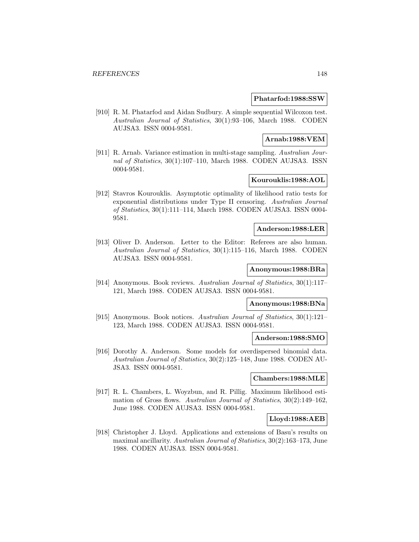#### **Phatarfod:1988:SSW**

[910] R. M. Phatarfod and Aidan Sudbury. A simple sequential Wilcoxon test. Australian Journal of Statistics, 30(1):93–106, March 1988. CODEN AUJSA3. ISSN 0004-9581.

## **Arnab:1988:VEM**

[911] R. Arnab. Variance estimation in multi-stage sampling. Australian Journal of Statistics, 30(1):107–110, March 1988. CODEN AUJSA3. ISSN 0004-9581.

# **Kourouklis:1988:AOL**

[912] Stavros Kourouklis. Asymptotic optimality of likelihood ratio tests for exponential distributions under Type II censoring. Australian Journal of Statistics, 30(1):111–114, March 1988. CODEN AUJSA3. ISSN 0004- 9581.

# **Anderson:1988:LER**

[913] Oliver D. Anderson. Letter to the Editor: Referees are also human. Australian Journal of Statistics, 30(1):115–116, March 1988. CODEN AUJSA3. ISSN 0004-9581.

#### **Anonymous:1988:BRa**

[914] Anonymous. Book reviews. Australian Journal of Statistics, 30(1):117– 121, March 1988. CODEN AUJSA3. ISSN 0004-9581.

## **Anonymous:1988:BNa**

[915] Anonymous. Book notices. Australian Journal of Statistics, 30(1):121– 123, March 1988. CODEN AUJSA3. ISSN 0004-9581.

## **Anderson:1988:SMO**

[916] Dorothy A. Anderson. Some models for overdispersed binomial data. Australian Journal of Statistics, 30(2):125–148, June 1988. CODEN AU-JSA3. ISSN 0004-9581.

#### **Chambers:1988:MLE**

[917] R. L. Chambers, L. Woyzbun, and R. Pillig. Maximum likelihood estimation of Gross flows. Australian Journal of Statistics, 30(2):149–162, June 1988. CODEN AUJSA3. ISSN 0004-9581.

#### **Lloyd:1988:AEB**

[918] Christopher J. Lloyd. Applications and extensions of Basu's results on maximal ancillarity. Australian Journal of Statistics, 30(2):163–173, June 1988. CODEN AUJSA3. ISSN 0004-9581.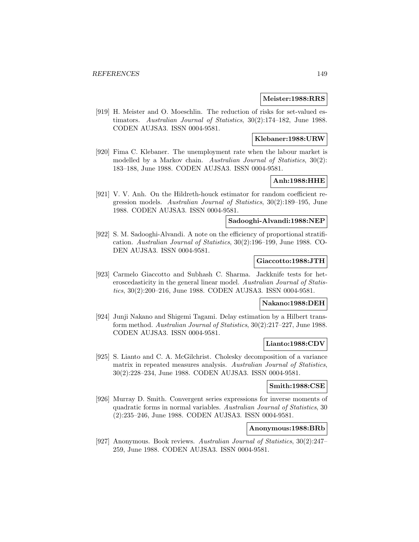#### **Meister:1988:RRS**

[919] H. Meister and O. Moeschlin. The reduction of risks for set-valued estimators. Australian Journal of Statistics, 30(2):174–182, June 1988. CODEN AUJSA3. ISSN 0004-9581.

### **Klebaner:1988:URW**

[920] Fima C. Klebaner. The unemployment rate when the labour market is modelled by a Markov chain. Australian Journal of Statistics, 30(2): 183–188, June 1988. CODEN AUJSA3. ISSN 0004-9581.

# **Anh:1988:HHE**

[921] V. V. Anh. On the Hildreth-houck estimator for random coefficient regression models. Australian Journal of Statistics, 30(2):189–195, June 1988. CODEN AUJSA3. ISSN 0004-9581.

# **Sadooghi-Alvandi:1988:NEP**

[922] S. M. Sadooghi-Alvandi. A note on the efficiency of proportional stratification. Australian Journal of Statistics, 30(2):196–199, June 1988. CO-DEN AUJSA3. ISSN 0004-9581.

#### **Giaccotto:1988:JTH**

[923] Carmelo Giaccotto and Subhash C. Sharma. Jackknife tests for heteroscedasticity in the general linear model. Australian Journal of Statistics, 30(2):200–216, June 1988. CODEN AUJSA3. ISSN 0004-9581.

## **Nakano:1988:DEH**

[924] Junji Nakano and Shigemi Tagami. Delay estimation by a Hilbert transform method. Australian Journal of Statistics, 30(2):217–227, June 1988. CODEN AUJSA3. ISSN 0004-9581.

## **Lianto:1988:CDV**

[925] S. Lianto and C. A. McGilchrist. Cholesky decomposition of a variance matrix in repeated measures analysis. Australian Journal of Statistics, 30(2):228–234, June 1988. CODEN AUJSA3. ISSN 0004-9581.

## **Smith:1988:CSE**

[926] Murray D. Smith. Convergent series expressions for inverse moments of quadratic forms in normal variables. Australian Journal of Statistics, 30 (2):235–246, June 1988. CODEN AUJSA3. ISSN 0004-9581.

# **Anonymous:1988:BRb**

[927] Anonymous. Book reviews. Australian Journal of Statistics, 30(2):247– 259, June 1988. CODEN AUJSA3. ISSN 0004-9581.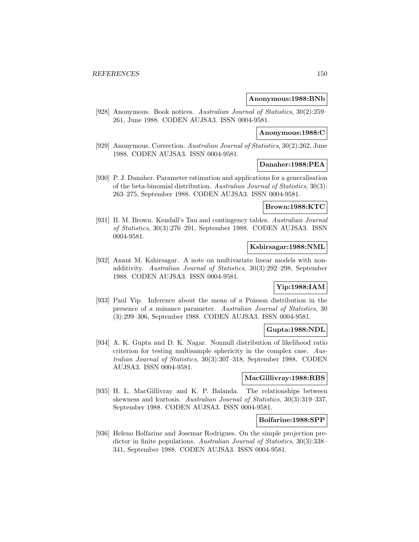#### **Anonymous:1988:BNb**

[928] Anonymous. Book notices. Australian Journal of Statistics, 30(2):259– 261, June 1988. CODEN AUJSA3. ISSN 0004-9581.

## **Anonymous:1988:C**

[929] Anonymous. Correction. Australian Journal of Statistics, 30(2):262, June 1988. CODEN AUJSA3. ISSN 0004-9581.

#### **Danaher:1988:PEA**

[930] P. J. Danaher. Parameter estimation and applications for a generalisation of the beta-binomial distribution. Australian Journal of Statistics, 30(3): 263–275, September 1988. CODEN AUJSA3. ISSN 0004-9581.

# **Brown:1988:KTC**

[931] B. M. Brown. Kendall's Tau and contingency tables. Australian Journal of Statistics, 30(3):276–291, September 1988. CODEN AUJSA3. ISSN 0004-9581.

#### **Kshirsagar:1988:NML**

[932] Anant M. Kshirsagar. A note on multivariate linear models with nonadditivity. Australian Journal of Statistics, 30(3):292–298, September 1988. CODEN AUJSA3. ISSN 0004-9581.

# **Yip:1988:IAM**

[933] Paul Yip. Inference about the mean of a Poisson distribution in the presence of a nuisance parameter. Australian Journal of Statistics, 30 (3):299–306, September 1988. CODEN AUJSA3. ISSN 0004-9581.

### **Gupta:1988:NDL**

[934] A. K. Gupta and D. K. Nagar. Nonnull distribution of likelihood ratio criterion for testing multisample sphericity in the complex case. Australian Journal of Statistics, 30(3):307–318, September 1988. CODEN AUJSA3. ISSN 0004-9581.

## **MacGillivray:1988:RBS**

[935] H. L. MacGillivray and K. P. Balanda. The relationships between skewness and kurtosis. Australian Journal of Statistics, 30(3):319–337, September 1988. CODEN AUJSA3. ISSN 0004-9581.

#### **Bolfarine:1988:SPP**

[936] Heleno Bolfarine and Josemar Rodrigues. On the simple projection predictor in finite populations. Australian Journal of Statistics, 30(3):338– 341, September 1988. CODEN AUJSA3. ISSN 0004-9581.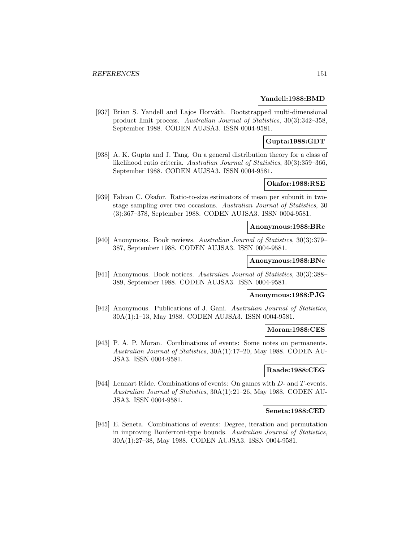### **Yandell:1988:BMD**

[937] Brian S. Yandell and Lajos Horváth. Bootstrapped multi-dimensional product limit process. Australian Journal of Statistics, 30(3):342–358, September 1988. CODEN AUJSA3. ISSN 0004-9581.

# **Gupta:1988:GDT**

[938] A. K. Gupta and J. Tang. On a general distribution theory for a class of likelihood ratio criteria. Australian Journal of Statistics, 30(3):359–366, September 1988. CODEN AUJSA3. ISSN 0004-9581.

# **Okafor:1988:RSE**

[939] Fabian C. Okafor. Ratio-to-size estimators of mean per subunit in twostage sampling over two occasions. Australian Journal of Statistics, 30 (3):367–378, September 1988. CODEN AUJSA3. ISSN 0004-9581.

#### **Anonymous:1988:BRc**

[940] Anonymous. Book reviews. Australian Journal of Statistics, 30(3):379– 387, September 1988. CODEN AUJSA3. ISSN 0004-9581.

## **Anonymous:1988:BNc**

[941] Anonymous. Book notices. Australian Journal of Statistics, 30(3):388– 389, September 1988. CODEN AUJSA3. ISSN 0004-9581.

# **Anonymous:1988:PJG**

[942] Anonymous. Publications of J. Gani. Australian Journal of Statistics, 30A(1):1–13, May 1988. CODEN AUJSA3. ISSN 0004-9581.

#### **Moran:1988:CES**

[943] P. A. P. Moran. Combinations of events: Some notes on permanents. Australian Journal of Statistics, 30A(1):17–20, May 1988. CODEN AU-JSA3. ISSN 0004-9581.

### **Raade:1988:CEG**

[944] Lennart Råde. Combinations of events: On games with  $D$ - and  $T$ -events. Australian Journal of Statistics, 30A(1):21–26, May 1988. CODEN AU-JSA3. ISSN 0004-9581.

#### **Seneta:1988:CED**

[945] E. Seneta. Combinations of events: Degree, iteration and permutation in improving Bonferroni-type bounds. Australian Journal of Statistics, 30A(1):27–38, May 1988. CODEN AUJSA3. ISSN 0004-9581.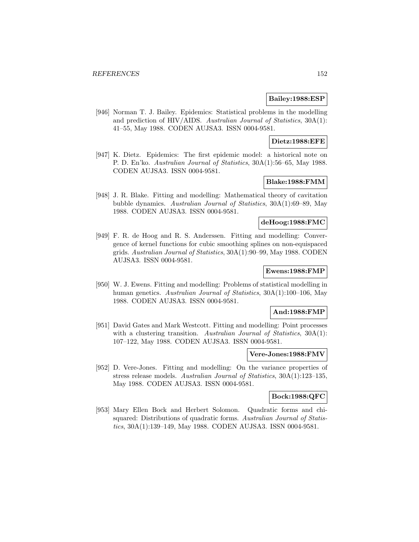# **Bailey:1988:ESP**

[946] Norman T. J. Bailey. Epidemics: Statistical problems in the modelling and prediction of HIV/AIDS. Australian Journal of Statistics, 30A(1): 41–55, May 1988. CODEN AUJSA3. ISSN 0004-9581.

# **Dietz:1988:EFE**

[947] K. Dietz. Epidemics: The first epidemic model: a historical note on P. D. En'ko. Australian Journal of Statistics, 30A(1):56–65, May 1988. CODEN AUJSA3. ISSN 0004-9581.

## **Blake:1988:FMM**

[948] J. R. Blake. Fitting and modelling: Mathematical theory of cavitation bubble dynamics. Australian Journal of Statistics, 30A(1):69–89, May 1988. CODEN AUJSA3. ISSN 0004-9581.

## **deHoog:1988:FMC**

[949] F. R. de Hoog and R. S. Anderssen. Fitting and modelling: Convergence of kernel functions for cubic smoothing splines on non-equispaced grids. Australian Journal of Statistics, 30A(1):90–99, May 1988. CODEN AUJSA3. ISSN 0004-9581.

# **Ewens:1988:FMP**

[950] W. J. Ewens. Fitting and modelling: Problems of statistical modelling in human genetics. Australian Journal of Statistics, 30A(1):100–106, May 1988. CODEN AUJSA3. ISSN 0004-9581.

#### **And:1988:FMP**

[951] David Gates and Mark Westcott. Fitting and modelling: Point processes with a clustering transition. Australian Journal of Statistics, 30A(1): 107–122, May 1988. CODEN AUJSA3. ISSN 0004-9581.

### **Vere-Jones:1988:FMV**

[952] D. Vere-Jones. Fitting and modelling: On the variance properties of stress release models. Australian Journal of Statistics, 30A(1):123–135, May 1988. CODEN AUJSA3. ISSN 0004-9581.

## **Bock:1988:QFC**

[953] Mary Ellen Bock and Herbert Solomon. Quadratic forms and chisquared: Distributions of quadratic forms. Australian Journal of Statistics, 30A(1):139–149, May 1988. CODEN AUJSA3. ISSN 0004-9581.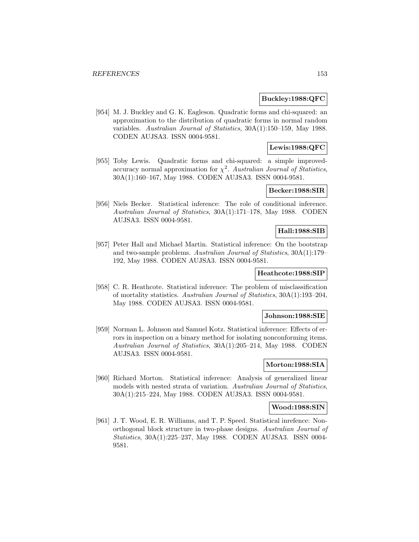### **Buckley:1988:QFC**

[954] M. J. Buckley and G. K. Eagleson. Quadratic forms and chi-squared: an approximation to the distribution of quadratic forms in normal random variables. Australian Journal of Statistics, 30A(1):150–159, May 1988. CODEN AUJSA3. ISSN 0004-9581.

# **Lewis:1988:QFC**

[955] Toby Lewis. Quadratic forms and chi-squared: a simple improvedaccuracy normal approximation for  $\chi^2$ . Australian Journal of Statistics, 30A(1):160–167, May 1988. CODEN AUJSA3. ISSN 0004-9581.

# **Becker:1988:SIR**

[956] Niels Becker. Statistical inference: The role of conditional inference. Australian Journal of Statistics, 30A(1):171–178, May 1988. CODEN AUJSA3. ISSN 0004-9581.

#### **Hall:1988:SIB**

[957] Peter Hall and Michael Martin. Statistical inference: On the bootstrap and two-sample problems. Australian Journal of Statistics, 30A(1):179– 192, May 1988. CODEN AUJSA3. ISSN 0004-9581.

### **Heathcote:1988:SIP**

[958] C. R. Heathcote. Statistical inference: The problem of misclassification of mortality statistics. Australian Journal of Statistics, 30A(1):193–204, May 1988. CODEN AUJSA3. ISSN 0004-9581.

### **Johnson:1988:SIE**

[959] Norman L. Johnson and Samuel Kotz. Statistical inference: Effects of errors in inspection on a binary method for isolating nonconforming items. Australian Journal of Statistics, 30A(1):205–214, May 1988. CODEN AUJSA3. ISSN 0004-9581.

# **Morton:1988:SIA**

[960] Richard Morton. Statistical inference: Analysis of generalized linear models with nested strata of variation. Australian Journal of Statistics, 30A(1):215–224, May 1988. CODEN AUJSA3. ISSN 0004-9581.

# **Wood:1988:SIN**

[961] J. T. Wood, E. R. Williams, and T. P. Speed. Statistical inrefence: Nonorthogonal block structure in two-phase designs. Australian Journal of Statistics, 30A(1):225–237, May 1988. CODEN AUJSA3. ISSN 0004- 9581.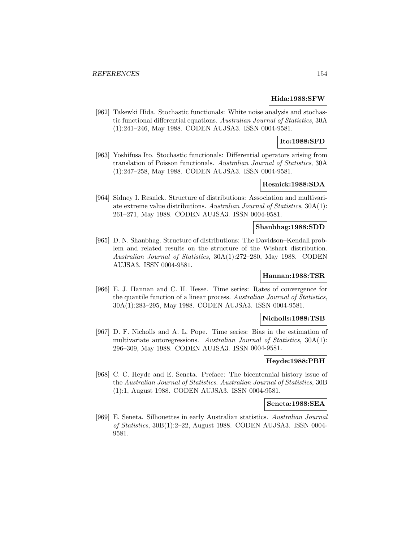### **Hida:1988:SFW**

[962] Takewki Hida. Stochastic functionals: White noise analysis and stochastic functional differential equations. Australian Journal of Statistics, 30A (1):241–246, May 1988. CODEN AUJSA3. ISSN 0004-9581.

# **Ito:1988:SFD**

[963] Yoshifusa Ito. Stochastic functionals: Differential operators arising from translation of Poisson functionals. Australian Journal of Statistics, 30A (1):247–258, May 1988. CODEN AUJSA3. ISSN 0004-9581.

## **Resnick:1988:SDA**

[964] Sidney I. Resnick. Structure of distributions: Association and multivariate extreme value distributions. Australian Journal of Statistics, 30A(1): 261–271, May 1988. CODEN AUJSA3. ISSN 0004-9581.

#### **Shanbhag:1988:SDD**

[965] D. N. Shanbhag. Structure of distributions: The Davidson–Kendall problem and related results on the structure of the Wishart distribution. Australian Journal of Statistics, 30A(1):272–280, May 1988. CODEN AUJSA3. ISSN 0004-9581.

# **Hannan:1988:TSR**

[966] E. J. Hannan and C. H. Hesse. Time series: Rates of convergence for the quantile function of a linear process. Australian Journal of Statistics, 30A(1):283–295, May 1988. CODEN AUJSA3. ISSN 0004-9581.

## **Nicholls:1988:TSB**

[967] D. F. Nicholls and A. L. Pope. Time series: Bias in the estimation of multivariate autoregressions. Australian Journal of Statistics, 30A(1): 296–309, May 1988. CODEN AUJSA3. ISSN 0004-9581.

# **Heyde:1988:PBH**

[968] C. C. Heyde and E. Seneta. Preface: The bicentennial history issue of the Australian Journal of Statistics. Australian Journal of Statistics, 30B (1):1, August 1988. CODEN AUJSA3. ISSN 0004-9581.

#### **Seneta:1988:SEA**

[969] E. Seneta. Silhouettes in early Australian statistics. Australian Journal of Statistics, 30B(1):2–22, August 1988. CODEN AUJSA3. ISSN 0004- 9581.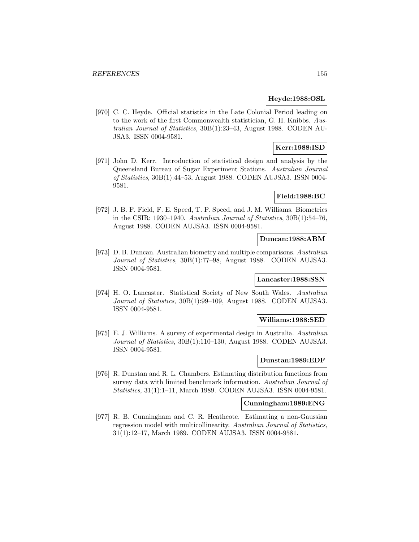### **Heyde:1988:OSL**

[970] C. C. Heyde. Official statistics in the Late Colonial Period leading on to the work of the first Commonwealth statistician, G. H. Knibbs. Australian Journal of Statistics, 30B(1):23–43, August 1988. CODEN AU-JSA3. ISSN 0004-9581.

# **Kerr:1988:ISD**

[971] John D. Kerr. Introduction of statistical design and analysis by the Queensland Bureau of Sugar Experiment Stations. Australian Journal of Statistics, 30B(1):44–53, August 1988. CODEN AUJSA3. ISSN 0004- 9581.

## **Field:1988:BC**

[972] J. B. F. Field, F. E. Speed, T. P. Speed, and J. M. Williams. Biometrics in the CSIR: 1930–1940. Australian Journal of Statistics, 30B(1):54–76, August 1988. CODEN AUJSA3. ISSN 0004-9581.

# **Duncan:1988:ABM**

[973] D. B. Duncan. Australian biometry and multiple comparisons. Australian Journal of Statistics, 30B(1):77–98, August 1988. CODEN AUJSA3. ISSN 0004-9581.

#### **Lancaster:1988:SSN**

[974] H. O. Lancaster. Statistical Society of New South Wales. Australian Journal of Statistics, 30B(1):99–109, August 1988. CODEN AUJSA3. ISSN 0004-9581.

## **Williams:1988:SED**

[975] E. J. Williams. A survey of experimental design in Australia. Australian Journal of Statistics, 30B(1):110–130, August 1988. CODEN AUJSA3. ISSN 0004-9581.

### **Dunstan:1989:EDF**

[976] R. Dunstan and R. L. Chambers. Estimating distribution functions from survey data with limited benchmark information. Australian Journal of Statistics, 31(1):1–11, March 1989. CODEN AUJSA3. ISSN 0004-9581.

### **Cunningham:1989:ENG**

[977] R. B. Cunningham and C. R. Heathcote. Estimating a non-Gaussian regression model with multicollinearity. Australian Journal of Statistics, 31(1):12–17, March 1989. CODEN AUJSA3. ISSN 0004-9581.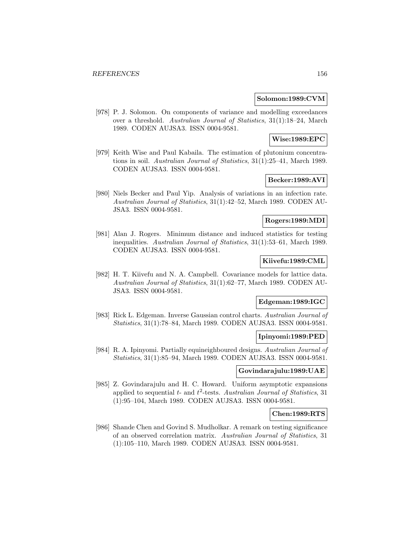#### **Solomon:1989:CVM**

[978] P. J. Solomon. On components of variance and modelling exceedances over a threshold. Australian Journal of Statistics, 31(1):18–24, March 1989. CODEN AUJSA3. ISSN 0004-9581.

# **Wise:1989:EPC**

[979] Keith Wise and Paul Kabaila. The estimation of plutonium concentrations in soil. Australian Journal of Statistics, 31(1):25–41, March 1989. CODEN AUJSA3. ISSN 0004-9581.

# **Becker:1989:AVI**

[980] Niels Becker and Paul Yip. Analysis of variations in an infection rate. Australian Journal of Statistics, 31(1):42–52, March 1989. CODEN AU-JSA3. ISSN 0004-9581.

### **Rogers:1989:MDI**

[981] Alan J. Rogers. Minimum distance and induced statistics for testing inequalities. Australian Journal of Statistics, 31(1):53–61, March 1989. CODEN AUJSA3. ISSN 0004-9581.

#### **Kiivefu:1989:CML**

[982] H. T. Kiivefu and N. A. Campbell. Covariance models for lattice data. Australian Journal of Statistics, 31(1):62–77, March 1989. CODEN AU-JSA3. ISSN 0004-9581.

# **Edgeman:1989:IGC**

[983] Rick L. Edgeman. Inverse Gaussian control charts. Australian Journal of Statistics, 31(1):78–84, March 1989. CODEN AUJSA3. ISSN 0004-9581.

# **Ipinyomi:1989:PED**

[984] R. A. Ipinyomi. Partially equineighboured designs. Australian Journal of Statistics, 31(1):85–94, March 1989. CODEN AUJSA3. ISSN 0004-9581.

### **Govindarajulu:1989:UAE**

[985] Z. Govindarajulu and H. C. Howard. Uniform asymptotic expansions applied to sequential  $t$ - and  $t^2$ -tests. Australian Journal of Statistics, 31 (1):95–104, March 1989. CODEN AUJSA3. ISSN 0004-9581.

### **Chen:1989:RTS**

[986] Shande Chen and Govind S. Mudholkar. A remark on testing significance of an observed correlation matrix. Australian Journal of Statistics, 31 (1):105–110, March 1989. CODEN AUJSA3. ISSN 0004-9581.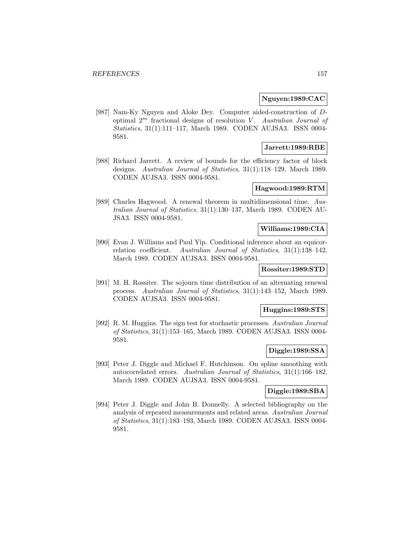### **Nguyen:1989:CAC**

[987] Nam-Ky Nguyen and Aloke Dey. Computer aided-construction of Doptimal  $2^m$  fractional designs of resolution V. Australian Journal of Statistics, 31(1):111–117, March 1989. CODEN AUJSA3. ISSN 0004- 9581.

#### **Jarrett:1989:RBE**

[988] Richard Jarrett. A review of bounds for the efficiency factor of block designs. Australian Journal of Statistics, 31(1):118–129, March 1989. CODEN AUJSA3. ISSN 0004-9581.

#### **Hagwood:1989:RTM**

[989] Charles Hagwood. A renewal theorem in multidimensional time. Australian Journal of Statistics, 31(1):130–137, March 1989. CODEN AU-JSA3. ISSN 0004-9581.

# **Williams:1989:CIA**

[990] Evan J. Williams and Paul Yip. Conditional inference about an equicorrelation coefficient. Australian Journal of Statistics, 31(1):138–142, March 1989. CODEN AUJSA3. ISSN 0004-9581.

# **Rossiter:1989:STD**

[991] M. H. Rossiter. The sojourn time distribution of an alternating renewal process. Australian Journal of Statistics, 31(1):143–152, March 1989. CODEN AUJSA3. ISSN 0004-9581.

## **Huggins:1989:STS**

[992] R. M. Huggins. The sign test for stochastic processes. Australian Journal of Statistics, 31(1):153–165, March 1989. CODEN AUJSA3. ISSN 0004- 9581.

# **Diggle:1989:SSA**

[993] Peter J. Diggle and Michael F. Hutchinson. On spline smoothing with autocorrelated errors. Australian Journal of Statistics, 31(1):166–182, March 1989. CODEN AUJSA3. ISSN 0004-9581.

### **Diggle:1989:SBA**

[994] Peter J. Diggle and John B. Donnelly. A selected bibliography on the analysis of repeated measurements and related areas. Australian Journal of Statistics, 31(1):183–193, March 1989. CODEN AUJSA3. ISSN 0004- 9581.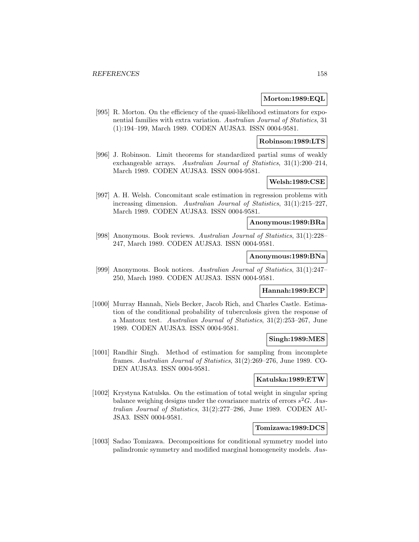#### **Morton:1989:EQL**

[995] R. Morton. On the efficiency of the quasi-likelihood estimators for exponential families with extra variation. Australian Journal of Statistics, 31 (1):194–199, March 1989. CODEN AUJSA3. ISSN 0004-9581.

#### **Robinson:1989:LTS**

[996] J. Robinson. Limit theorems for standardized partial sums of weakly exchangeable arrays. Australian Journal of Statistics, 31(1):200–214, March 1989. CODEN AUJSA3. ISSN 0004-9581.

# **Welsh:1989:CSE**

[997] A. H. Welsh. Concomitant scale estimation in regression problems with increasing dimension. Australian Journal of Statistics, 31(1):215–227, March 1989. CODEN AUJSA3. ISSN 0004-9581.

### **Anonymous:1989:BRa**

[998] Anonymous. Book reviews. Australian Journal of Statistics, 31(1):228– 247, March 1989. CODEN AUJSA3. ISSN 0004-9581.

### **Anonymous:1989:BNa**

[999] Anonymous. Book notices. Australian Journal of Statistics, 31(1):247– 250, March 1989. CODEN AUJSA3. ISSN 0004-9581.

### **Hannah:1989:ECP**

[1000] Murray Hannah, Niels Becker, Jacob Rich, and Charles Castle. Estimation of the conditional probability of tuberculosis given the response of a Mantoux test. Australian Journal of Statistics, 31(2):253–267, June 1989. CODEN AUJSA3. ISSN 0004-9581.

# **Singh:1989:MES**

[1001] Randhir Singh. Method of estimation for sampling from incomplete frames. Australian Journal of Statistics, 31(2):269–276, June 1989. CO-DEN AUJSA3. ISSN 0004-9581.

# **Katulska:1989:ETW**

[1002] Krystyna Katulska. On the estimation of total weight in singular spring balance weighing designs under the covariance matrix of errors  $s^2G$ . Australian Journal of Statistics, 31(2):277–286, June 1989. CODEN AU-JSA3. ISSN 0004-9581.

## **Tomizawa:1989:DCS**

[1003] Sadao Tomizawa. Decompositions for conditional symmetry model into palindromic symmetry and modified marginal homogeneity models. Aus-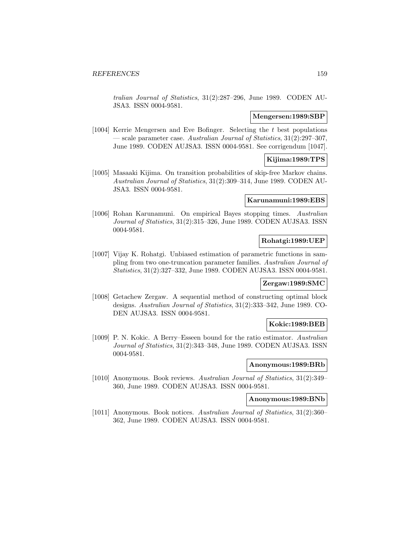tralian Journal of Statistics, 31(2):287–296, June 1989. CODEN AU-JSA3. ISSN 0004-9581.

#### **Mengersen:1989:SBP**

[1004] Kerrie Mengersen and Eve Bofinger. Selecting the t best populations — scale parameter case. Australian Journal of Statistics, 31(2):297–307, June 1989. CODEN AUJSA3. ISSN 0004-9581. See corrigendum [1047].

## **Kijima:1989:TPS**

[1005] Masaaki Kijima. On transition probabilities of skip-free Markov chains. Australian Journal of Statistics, 31(2):309–314, June 1989. CODEN AU-JSA3. ISSN 0004-9581.

#### **Karunamuni:1989:EBS**

[1006] Rohan Karunamuni. On empirical Bayes stopping times. Australian Journal of Statistics, 31(2):315–326, June 1989. CODEN AUJSA3. ISSN 0004-9581.

# **Rohatgi:1989:UEP**

[1007] Vijay K. Rohatgi. Unbiased estimation of parametric functions in sampling from two one-truncation parameter families. Australian Journal of Statistics, 31(2):327–332, June 1989. CODEN AUJSA3. ISSN 0004-9581.

#### **Zergaw:1989:SMC**

[1008] Getachew Zergaw. A sequential method of constructing optimal block designs. Australian Journal of Statistics, 31(2):333–342, June 1989. CO-DEN AUJSA3. ISSN 0004-9581.

#### **Kokic:1989:BEB**

[1009] P. N. Kokic. A Berry–Esseen bound for the ratio estimator. Australian Journal of Statistics, 31(2):343–348, June 1989. CODEN AUJSA3. ISSN 0004-9581.

### **Anonymous:1989:BRb**

[1010] Anonymous. Book reviews. Australian Journal of Statistics, 31(2):349– 360, June 1989. CODEN AUJSA3. ISSN 0004-9581.

### **Anonymous:1989:BNb**

[1011] Anonymous. Book notices. Australian Journal of Statistics, 31(2):360– 362, June 1989. CODEN AUJSA3. ISSN 0004-9581.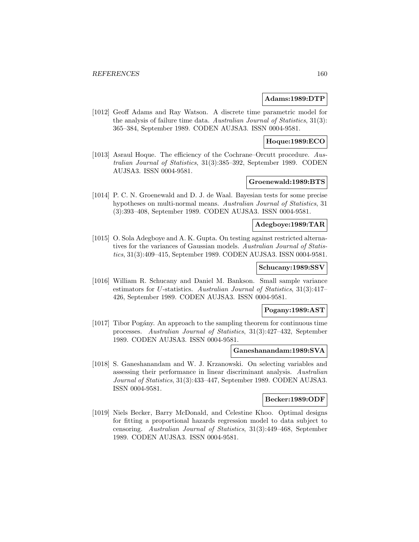#### **Adams:1989:DTP**

[1012] Geoff Adams and Ray Watson. A discrete time parametric model for the analysis of failure time data. Australian Journal of Statistics, 31(3): 365–384, September 1989. CODEN AUJSA3. ISSN 0004-9581.

# **Hoque:1989:ECO**

[1013] Asraul Hoque. The efficiency of the Cochrane–Orcutt procedure. Australian Journal of Statistics, 31(3):385–392, September 1989. CODEN AUJSA3. ISSN 0004-9581.

# **Groenewald:1989:BTS**

[1014] P. C. N. Groenewald and D. J. de Waal. Bayesian tests for some precise hypotheses on multi-normal means. Australian Journal of Statistics, 31 (3):393–408, September 1989. CODEN AUJSA3. ISSN 0004-9581.

# **Adegboye:1989:TAR**

[1015] O. Sola Adegboye and A. K. Gupta. On testing against restricted alternatives for the variances of Gaussian models. Australian Journal of Statistics, 31(3):409–415, September 1989. CODEN AUJSA3. ISSN 0004-9581.

### **Schucany:1989:SSV**

[1016] William R. Schucany and Daniel M. Bankson. Small sample variance estimators for U-statistics. Australian Journal of Statistics, 31(3):417– 426, September 1989. CODEN AUJSA3. ISSN 0004-9581.

# **Pogany:1989:AST**

[1017] Tibor Pog´any. An approach to the sampling theorem for continuous time processes. Australian Journal of Statistics, 31(3):427–432, September 1989. CODEN AUJSA3. ISSN 0004-9581.

### **Ganeshanandam:1989:SVA**

[1018] S. Ganeshanandam and W. J. Krzanowski. On selecting variables and assessing their performance in linear discriminant analysis. Australian Journal of Statistics, 31(3):433–447, September 1989. CODEN AUJSA3. ISSN 0004-9581.

#### **Becker:1989:ODF**

[1019] Niels Becker, Barry McDonald, and Celestine Khoo. Optimal designs for fitting a proportional hazards regression model to data subject to censoring. Australian Journal of Statistics, 31(3):449–468, September 1989. CODEN AUJSA3. ISSN 0004-9581.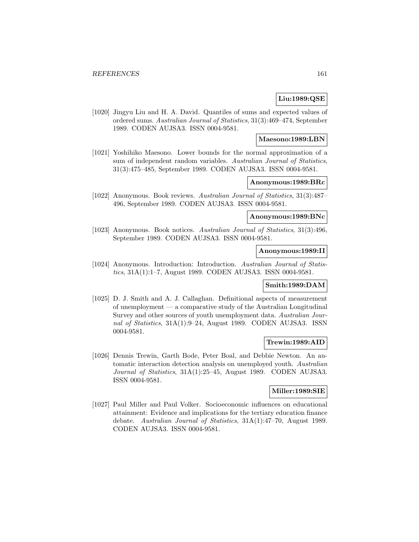# **Liu:1989:QSE**

[1020] Jingyu Liu and H. A. David. Quantiles of sums and expected values of ordered sums. Australian Journal of Statistics, 31(3):469–474, September 1989. CODEN AUJSA3. ISSN 0004-9581.

### **Maesono:1989:LBN**

[1021] Yoshihiko Maesono. Lower bounds for the normal approximation of a sum of independent random variables. Australian Journal of Statistics, 31(3):475–485, September 1989. CODEN AUJSA3. ISSN 0004-9581.

## **Anonymous:1989:BRc**

[1022] Anonymous. Book reviews. Australian Journal of Statistics, 31(3):487– 496, September 1989. CODEN AUJSA3. ISSN 0004-9581.

## **Anonymous:1989:BNc**

[1023] Anonymous. Book notices. Australian Journal of Statistics, 31(3):496, September 1989. CODEN AUJSA3. ISSN 0004-9581.

### **Anonymous:1989:II**

[1024] Anonymous. Introduction: Introduction. Australian Journal of Statistics, 31A(1):1–7, August 1989. CODEN AUJSA3. ISSN 0004-9581.

## **Smith:1989:DAM**

[1025] D. J. Smith and A. J. Callaghan. Definitional aspects of measurement of unemployment — a comparative study of the Australian Longitudinal Survey and other sources of youth unemployment data. Australian Journal of Statistics, 31A(1):9–24, August 1989. CODEN AUJSA3. ISSN 0004-9581.

# **Trewin:1989:AID**

[1026] Dennis Trewin, Garth Bode, Peter Boal, and Debbie Newton. An automatic interaction detection analysis on unemployed youth. Australian Journal of Statistics, 31A(1):25–45, August 1989. CODEN AUJSA3. ISSN 0004-9581.

#### **Miller:1989:SIE**

[1027] Paul Miller and Paul Volker. Socioeconomic influences on educational attainment: Evidence and implications for the tertiary education finance debate. Australian Journal of Statistics, 31A(1):47–70, August 1989. CODEN AUJSA3. ISSN 0004-9581.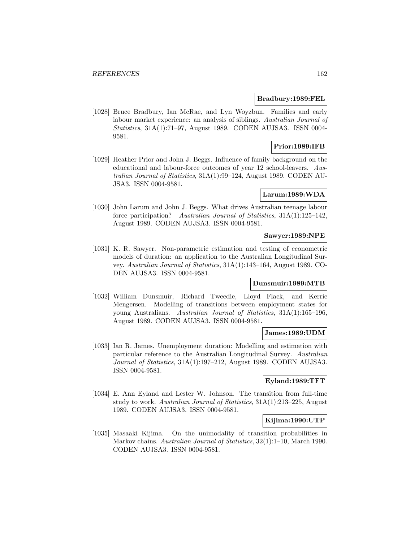### **Bradbury:1989:FEL**

[1028] Bruce Bradbury, Ian McRae, and Lyn Woyzbun. Families and early labour market experience: an analysis of siblings. Australian Journal of Statistics, 31A(1):71–97, August 1989. CODEN AUJSA3. ISSN 0004- 9581.

# **Prior:1989:IFB**

[1029] Heather Prior and John J. Beggs. Influence of family background on the educational and labour-force outcomes of year 12 school-leavers. Australian Journal of Statistics, 31A(1):99–124, August 1989. CODEN AU-JSA3. ISSN 0004-9581.

# **Larum:1989:WDA**

[1030] John Larum and John J. Beggs. What drives Australian teenage labour force participation? Australian Journal of Statistics, 31A(1):125–142, August 1989. CODEN AUJSA3. ISSN 0004-9581.

# **Sawyer:1989:NPE**

[1031] K. R. Sawyer. Non-parametric estimation and testing of econometric models of duration: an application to the Australian Longitudinal Survey. Australian Journal of Statistics, 31A(1):143–164, August 1989. CO-DEN AUJSA3. ISSN 0004-9581.

# **Dunsmuir:1989:MTB**

[1032] William Dunsmuir, Richard Tweedie, Lloyd Flack, and Kerrie Mengersen. Modelling of transitions between employment states for young Australians. Australian Journal of Statistics, 31A(1):165–196, August 1989. CODEN AUJSA3. ISSN 0004-9581.

### **James:1989:UDM**

[1033] Ian R. James. Unemployment duration: Modelling and estimation with particular reference to the Australian Longitudinal Survey. Australian Journal of Statistics, 31A(1):197–212, August 1989. CODEN AUJSA3. ISSN 0004-9581.

#### **Eyland:1989:TFT**

[1034] E. Ann Eyland and Lester W. Johnson. The transition from full-time study to work. Australian Journal of Statistics, 31A(1):213–225, August 1989. CODEN AUJSA3. ISSN 0004-9581.

### **Kijima:1990:UTP**

[1035] Masaaki Kijima. On the unimodality of transition probabilities in Markov chains. Australian Journal of Statistics, 32(1):1–10, March 1990. CODEN AUJSA3. ISSN 0004-9581.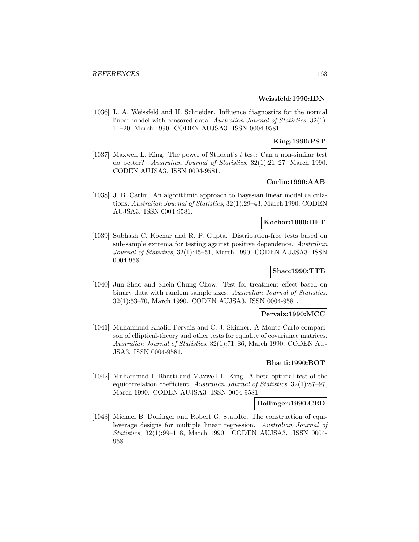#### **Weissfeld:1990:IDN**

[1036] L. A. Weissfeld and H. Schneider. Influence diagnostics for the normal linear model with censored data. Australian Journal of Statistics, 32(1): 11–20, March 1990. CODEN AUJSA3. ISSN 0004-9581.

# **King:1990:PST**

[1037] Maxwell L. King. The power of Student's t test: Can a non-similar test do better? Australian Journal of Statistics, 32(1):21–27, March 1990. CODEN AUJSA3. ISSN 0004-9581.

# **Carlin:1990:AAB**

[1038] J. B. Carlin. An algorithmic approach to Bayesian linear model calculations. Australian Journal of Statistics, 32(1):29–43, March 1990. CODEN AUJSA3. ISSN 0004-9581.

# **Kochar:1990:DFT**

[1039] Subhash C. Kochar and R. P. Gupta. Distribution-free tests based on sub-sample extrema for testing against positive dependence. Australian Journal of Statistics, 32(1):45–51, March 1990. CODEN AUJSA3. ISSN 0004-9581.

# **Shao:1990:TTE**

[1040] Jun Shao and Shein-Chung Chow. Test for treatment effect based on binary data with random sample sizes. Australian Journal of Statistics, 32(1):53–70, March 1990. CODEN AUJSA3. ISSN 0004-9581.

#### **Pervaiz:1990:MCC**

[1041] Muhammad Khalid Pervaiz and C. J. Skinner. A Monte Carlo comparison of elliptical-theory and other tests for equality of covariance matrices. Australian Journal of Statistics, 32(1):71–86, March 1990. CODEN AU-JSA3. ISSN 0004-9581.

### **Bhatti:1990:BOT**

[1042] Muhammad I. Bhatti and Maxwell L. King. A beta-optimal test of the equicorrelation coefficient. Australian Journal of Statistics, 32(1):87–97, March 1990. CODEN AUJSA3. ISSN 0004-9581.

### **Dollinger:1990:CED**

[1043] Michael B. Dollinger and Robert G. Staudte. The construction of equileverage designs for multiple linear regression. Australian Journal of Statistics, 32(1):99–118, March 1990. CODEN AUJSA3. ISSN 0004- 9581.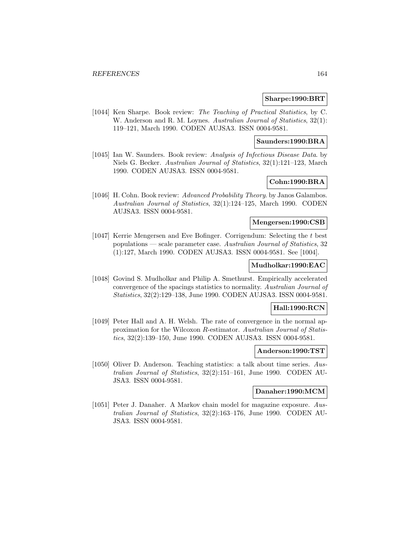### **Sharpe:1990:BRT**

[1044] Ken Sharpe. Book review: The Teaching of Practical Statistics, by C. W. Anderson and R. M. Loynes. Australian Journal of Statistics, 32(1): 119–121, March 1990. CODEN AUJSA3. ISSN 0004-9581.

### **Saunders:1990:BRA**

[1045] Ian W. Saunders. Book review: Analysis of Infectious Disease Data. by Niels G. Becker. Australian Journal of Statistics, 32(1):121–123, March 1990. CODEN AUJSA3. ISSN 0004-9581.

## **Cohn:1990:BRA**

[1046] H. Cohn. Book review: Advanced Probability Theory. by Janos Galambos. Australian Journal of Statistics, 32(1):124–125, March 1990. CODEN AUJSA3. ISSN 0004-9581.

### **Mengersen:1990:CSB**

[1047] Kerrie Mengersen and Eve Bofinger. Corrigendum: Selecting the t best populations — scale parameter case. Australian Journal of Statistics, 32 (1):127, March 1990. CODEN AUJSA3. ISSN 0004-9581. See [1004].

#### **Mudholkar:1990:EAC**

[1048] Govind S. Mudholkar and Philip A. Smethurst. Empirically accelerated convergence of the spacings statistics to normality. Australian Journal of Statistics, 32(2):129–138, June 1990. CODEN AUJSA3. ISSN 0004-9581.

### **Hall:1990:RCN**

[1049] Peter Hall and A. H. Welsh. The rate of convergence in the normal approximation for the Wilcoxon R-estimator. Australian Journal of Statistics, 32(2):139–150, June 1990. CODEN AUJSA3. ISSN 0004-9581.

#### **Anderson:1990:TST**

[1050] Oliver D. Anderson. Teaching statistics: a talk about time series. Australian Journal of Statistics, 32(2):151–161, June 1990. CODEN AU-JSA3. ISSN 0004-9581.

#### **Danaher:1990:MCM**

[1051] Peter J. Danaher. A Markov chain model for magazine exposure. Australian Journal of Statistics, 32(2):163–176, June 1990. CODEN AU-JSA3. ISSN 0004-9581.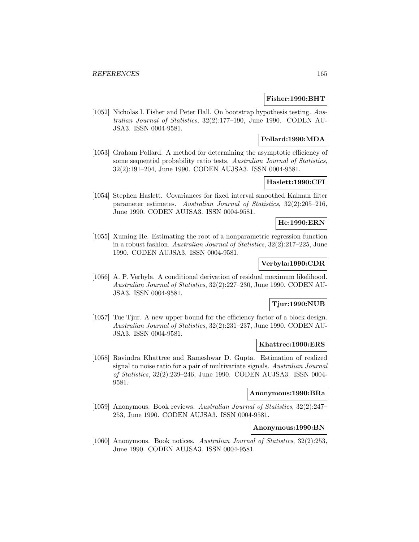### **Fisher:1990:BHT**

[1052] Nicholas I. Fisher and Peter Hall. On bootstrap hypothesis testing. Australian Journal of Statistics, 32(2):177–190, June 1990. CODEN AU-JSA3. ISSN 0004-9581.

# **Pollard:1990:MDA**

[1053] Graham Pollard. A method for determining the asymptotic efficiency of some sequential probability ratio tests. Australian Journal of Statistics, 32(2):191–204, June 1990. CODEN AUJSA3. ISSN 0004-9581.

# **Haslett:1990:CFI**

[1054] Stephen Haslett. Covariances for fixed interval smoothed Kalman filter parameter estimates. Australian Journal of Statistics, 32(2):205–216, June 1990. CODEN AUJSA3. ISSN 0004-9581.

# **He:1990:ERN**

[1055] Xuming He. Estimating the root of a nonparametric regression function in a robust fashion. Australian Journal of Statistics, 32(2):217–225, June 1990. CODEN AUJSA3. ISSN 0004-9581.

# **Verbyla:1990:CDR**

[1056] A. P. Verbyla. A conditional derivation of residual maximum likelihood. Australian Journal of Statistics, 32(2):227–230, June 1990. CODEN AU-JSA3. ISSN 0004-9581.

# **Tjur:1990:NUB**

[1057] Tue Tjur. A new upper bound for the efficiency factor of a block design. Australian Journal of Statistics, 32(2):231–237, June 1990. CODEN AU-JSA3. ISSN 0004-9581.

#### **Khattree:1990:ERS**

[1058] Ravindra Khattree and Rameshwar D. Gupta. Estimation of realized signal to noise ratio for a pair of multivariate signals. Australian Journal of Statistics, 32(2):239–246, June 1990. CODEN AUJSA3. ISSN 0004- 9581.

#### **Anonymous:1990:BRa**

[1059] Anonymous. Book reviews. Australian Journal of Statistics, 32(2):247– 253, June 1990. CODEN AUJSA3. ISSN 0004-9581.

## **Anonymous:1990:BN**

[1060] Anonymous. Book notices. Australian Journal of Statistics, 32(2):253, June 1990. CODEN AUJSA3. ISSN 0004-9581.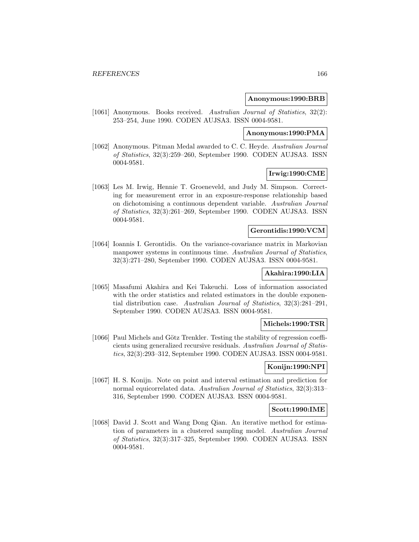### **Anonymous:1990:BRB**

[1061] Anonymous. Books received. Australian Journal of Statistics, 32(2): 253–254, June 1990. CODEN AUJSA3. ISSN 0004-9581.

# **Anonymous:1990:PMA**

[1062] Anonymous. Pitman Medal awarded to C. C. Heyde. Australian Journal of Statistics, 32(3):259–260, September 1990. CODEN AUJSA3. ISSN 0004-9581.

# **Irwig:1990:CME**

[1063] Les M. Irwig, Hennie T. Groeneveld, and Judy M. Simpson. Correcting for measurement error in an exposure-response relationship based on dichotomising a continuous dependent variable. Australian Journal of Statistics, 32(3):261–269, September 1990. CODEN AUJSA3. ISSN 0004-9581.

#### **Gerontidis:1990:VCM**

[1064] Ioannis I. Gerontidis. On the variance-covariance matrix in Markovian manpower systems in continuous time. Australian Journal of Statistics, 32(3):271–280, September 1990. CODEN AUJSA3. ISSN 0004-9581.

### **Akahira:1990:LIA**

[1065] Masafumi Akahira and Kei Takeuchi. Loss of information associated with the order statistics and related estimators in the double exponential distribution case. Australian Journal of Statistics, 32(3):281–291, September 1990. CODEN AUJSA3. ISSN 0004-9581.

#### **Michels:1990:TSR**

[1066] Paul Michels and Götz Trenkler. Testing the stability of regression coefficients using generalized recursive residuals. Australian Journal of Statistics, 32(3):293–312, September 1990. CODEN AUJSA3. ISSN 0004-9581.

### **Konijn:1990:NPI**

[1067] H. S. Konijn. Note on point and interval estimation and prediction for normal equicorrelated data. Australian Journal of Statistics, 32(3):313– 316, September 1990. CODEN AUJSA3. ISSN 0004-9581.

#### **Scott:1990:IME**

[1068] David J. Scott and Wang Dong Qian. An iterative method for estimation of parameters in a clustered sampling model. Australian Journal of Statistics, 32(3):317–325, September 1990. CODEN AUJSA3. ISSN 0004-9581.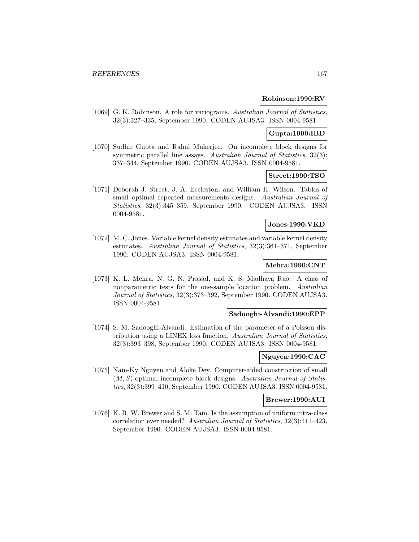#### **Robinson:1990:RV**

[1069] G. K. Robinson. A role for variograms. Australian Journal of Statistics, 32(3):327–335, September 1990. CODEN AUJSA3. ISSN 0004-9581.

## **Gupta:1990:IBD**

[1070] Sudhir Gupta and Rahul Mukerjee. On incomplete block designs for symmetric parallel line assays. Australian Journal of Statistics, 32(3): 337–344, September 1990. CODEN AUJSA3. ISSN 0004-9581.

### **Street:1990:TSO**

[1071] Deborah J. Street, J. A. Eccleston, and William H. Wilson. Tables of small optimal repeated measurements designs. Australian Journal of Statistics, 32(3):345–359, September 1990. CODEN AUJSA3. ISSN 0004-9581.

# **Jones:1990:VKD**

[1072] M. C. Jones. Variable kernel density estimates and variable kernel density estimates. Australian Journal of Statistics, 32(3):361–371, September 1990. CODEN AUJSA3. ISSN 0004-9581.

### **Mehra:1990:CNT**

[1073] K. L. Mehra, N. G. N. Prasad, and K. S. Madhava Rao. A class of nonparametric tests for the one-sample location problem. Australian Journal of Statistics, 32(3):373–392, September 1990. CODEN AUJSA3. ISSN 0004-9581.

#### **Sadooghi-Alvandi:1990:EPP**

[1074] S. M. Sadooghi-Alvandi. Estimation of the parameter of a Poisson distribution using a LINEX loss function. Australian Journal of Statistics, 32(3):393–398, September 1990. CODEN AUJSA3. ISSN 0004-9581.

#### **Nguyen:1990:CAC**

[1075] Nam-Ky Nguyen and Aloke Dey. Computer-aided construction of small  $(M, S)$ -optimal incomplete block designs. Australian Journal of Statistics, 32(3):399–410, September 1990. CODEN AUJSA3. ISSN 0004-9581.

#### **Brewer:1990:AUI**

[1076] K. R. W. Brewer and S. M. Tam. Is the assumption of uniform intra-class correlation ever needed? Australian Journal of Statistics, 32(3):411–423, September 1990. CODEN AUJSA3. ISSN 0004-9581.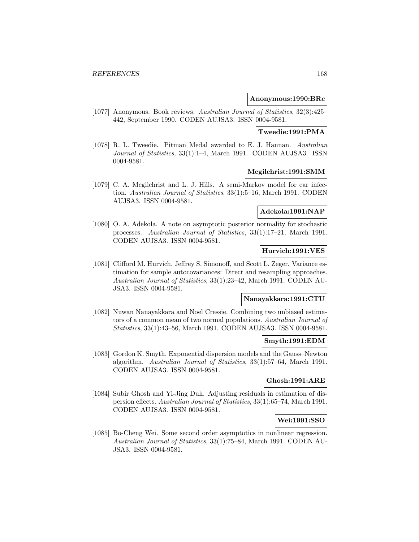### **Anonymous:1990:BRc**

[1077] Anonymous. Book reviews. Australian Journal of Statistics, 32(3):425– 442, September 1990. CODEN AUJSA3. ISSN 0004-9581.

# **Tweedie:1991:PMA**

[1078] R. L. Tweedie. Pitman Medal awarded to E. J. Hannan. Australian Journal of Statistics, 33(1):1–4, March 1991. CODEN AUJSA3. ISSN 0004-9581.

### **Mcgilchrist:1991:SMM**

[1079] C. A. Mcgilchrist and L. J. Hills. A semi-Markov model for ear infection. Australian Journal of Statistics, 33(1):5–16, March 1991. CODEN AUJSA3. ISSN 0004-9581.

# **Adekola:1991:NAP**

[1080] O. A. Adekola. A note on asymptotic posterior normality for stochastic processes. Australian Journal of Statistics, 33(1):17–21, March 1991. CODEN AUJSA3. ISSN 0004-9581.

# **Hurvich:1991:VES**

[1081] Clifford M. Hurvich, Jeffrey S. Simonoff, and Scott L. Zeger. Variance estimation for sample autocovariances: Direct and resampling approaches. Australian Journal of Statistics, 33(1):23–42, March 1991. CODEN AU-JSA3. ISSN 0004-9581.

#### **Nanayakkara:1991:CTU**

[1082] Nuwan Nanayakkara and Noel Cressie. Combining two unbiased estimators of a common mean of two normal populations. Australian Journal of Statistics, 33(1):43–56, March 1991. CODEN AUJSA3. ISSN 0004-9581.

# **Smyth:1991:EDM**

[1083] Gordon K. Smyth. Exponential dispersion models and the Gauss–Newton algorithm. Australian Journal of Statistics, 33(1):57–64, March 1991. CODEN AUJSA3. ISSN 0004-9581.

# **Ghosh:1991:ARE**

[1084] Subir Ghosh and Yi-Jing Duh. Adjusting residuals in estimation of dispersion effects. Australian Journal of Statistics, 33(1):65–74, March 1991. CODEN AUJSA3. ISSN 0004-9581.

# **Wei:1991:SSO**

[1085] Bo-Cheng Wei. Some second order asymptotics in nonlinear regression. Australian Journal of Statistics, 33(1):75–84, March 1991. CODEN AU-JSA3. ISSN 0004-9581.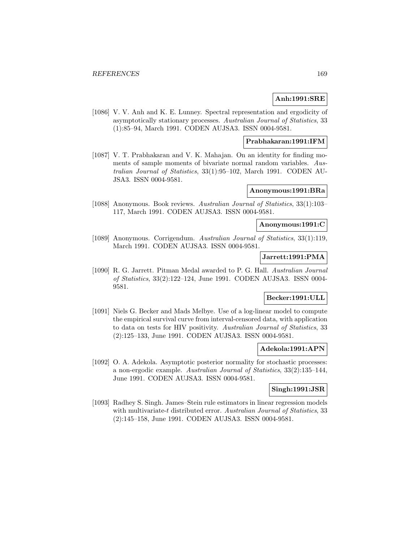## **Anh:1991:SRE**

[1086] V. V. Anh and K. E. Lunney. Spectral representation and ergodicity of asymptotically stationary processes. Australian Journal of Statistics, 33 (1):85–94, March 1991. CODEN AUJSA3. ISSN 0004-9581.

# **Prabhakaran:1991:IFM**

[1087] V. T. Prabhakaran and V. K. Mahajan. On an identity for finding moments of sample moments of bivariate normal random variables. Australian Journal of Statistics, 33(1):95–102, March 1991. CODEN AU-JSA3. ISSN 0004-9581.

#### **Anonymous:1991:BRa**

[1088] Anonymous. Book reviews. Australian Journal of Statistics, 33(1):103– 117, March 1991. CODEN AUJSA3. ISSN 0004-9581.

# **Anonymous:1991:C**

[1089] Anonymous. Corrigendum. Australian Journal of Statistics, 33(1):119, March 1991. CODEN AUJSA3. ISSN 0004-9581.

### **Jarrett:1991:PMA**

[1090] R. G. Jarrett. Pitman Medal awarded to P. G. Hall. Australian Journal of Statistics, 33(2):122–124, June 1991. CODEN AUJSA3. ISSN 0004- 9581.

# **Becker:1991:ULL**

[1091] Niels G. Becker and Mads Melbye. Use of a log-linear model to compute the empirical survival curve from interval-censored data, with application to data on tests for HIV positivity. Australian Journal of Statistics, 33 (2):125–133, June 1991. CODEN AUJSA3. ISSN 0004-9581.

# **Adekola:1991:APN**

[1092] O. A. Adekola. Asymptotic posterior normality for stochastic processes: a non-ergodic example. Australian Journal of Statistics, 33(2):135–144, June 1991. CODEN AUJSA3. ISSN 0004-9581.

#### **Singh:1991:JSR**

[1093] Radhey S. Singh. James–Stein rule estimators in linear regression models with multivariate-t distributed error. Australian Journal of Statistics, 33 (2):145–158, June 1991. CODEN AUJSA3. ISSN 0004-9581.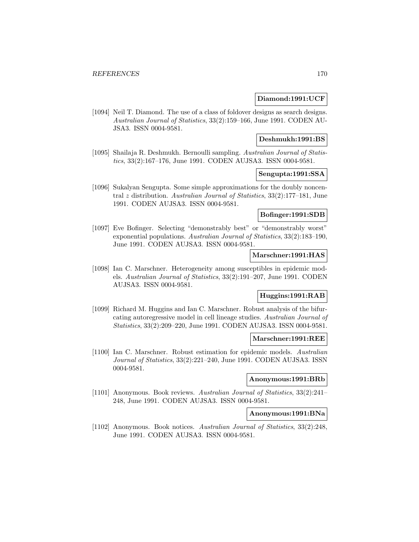### **Diamond:1991:UCF**

[1094] Neil T. Diamond. The use of a class of foldover designs as search designs. Australian Journal of Statistics, 33(2):159–166, June 1991. CODEN AU-JSA3. ISSN 0004-9581.

## **Deshmukh:1991:BS**

[1095] Shailaja R. Deshmukh. Bernoulli sampling. Australian Journal of Statistics, 33(2):167–176, June 1991. CODEN AUJSA3. ISSN 0004-9581.

# **Sengupta:1991:SSA**

[1096] Sukalyan Sengupta. Some simple approximations for the doubly noncentral z distribution. Australian Journal of Statistics, 33(2):177–181, June 1991. CODEN AUJSA3. ISSN 0004-9581.

## **Bofinger:1991:SDB**

[1097] Eve Bofinger. Selecting "demonstrably best" or "demonstrably worst" exponential populations. Australian Journal of Statistics, 33(2):183–190, June 1991. CODEN AUJSA3. ISSN 0004-9581.

#### **Marschner:1991:HAS**

[1098] Ian C. Marschner. Heterogeneity among susceptibles in epidemic models. Australian Journal of Statistics, 33(2):191–207, June 1991. CODEN AUJSA3. ISSN 0004-9581.

# **Huggins:1991:RAB**

[1099] Richard M. Huggins and Ian C. Marschner. Robust analysis of the bifurcating autoregressive model in cell lineage studies. Australian Journal of Statistics, 33(2):209–220, June 1991. CODEN AUJSA3. ISSN 0004-9581.

# **Marschner:1991:REE**

[1100] Ian C. Marschner. Robust estimation for epidemic models. Australian Journal of Statistics, 33(2):221–240, June 1991. CODEN AUJSA3. ISSN 0004-9581.

#### **Anonymous:1991:BRb**

[1101] Anonymous. Book reviews. Australian Journal of Statistics, 33(2):241– 248, June 1991. CODEN AUJSA3. ISSN 0004-9581.

#### **Anonymous:1991:BNa**

[1102] Anonymous. Book notices. Australian Journal of Statistics, 33(2):248, June 1991. CODEN AUJSA3. ISSN 0004-9581.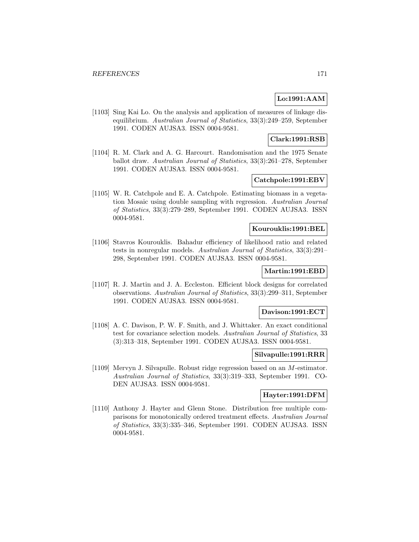# **Lo:1991:AAM**

[1103] Sing Kai Lo. On the analysis and application of measures of linkage disequilibrium. Australian Journal of Statistics, 33(3):249–259, September 1991. CODEN AUJSA3. ISSN 0004-9581.

# **Clark:1991:RSB**

[1104] R. M. Clark and A. G. Harcourt. Randomisation and the 1975 Senate ballot draw. Australian Journal of Statistics, 33(3):261–278, September 1991. CODEN AUJSA3. ISSN 0004-9581.

# **Catchpole:1991:EBV**

[1105] W. R. Catchpole and E. A. Catchpole. Estimating biomass in a vegetation Mosaic using double sampling with regression. Australian Journal of Statistics, 33(3):279–289, September 1991. CODEN AUJSA3. ISSN 0004-9581.

# **Kourouklis:1991:BEL**

[1106] Stavros Kourouklis. Bahadur efficiency of likelihood ratio and related tests in nonregular models. Australian Journal of Statistics, 33(3):291– 298, September 1991. CODEN AUJSA3. ISSN 0004-9581.

# **Martin:1991:EBD**

[1107] R. J. Martin and J. A. Eccleston. Efficient block designs for correlated observations. Australian Journal of Statistics, 33(3):299–311, September 1991. CODEN AUJSA3. ISSN 0004-9581.

#### **Davison:1991:ECT**

[1108] A. C. Davison, P. W. F. Smith, and J. Whittaker. An exact conditional test for covariance selection models. Australian Journal of Statistics, 33 (3):313–318, September 1991. CODEN AUJSA3. ISSN 0004-9581.

### **Silvapulle:1991:RRR**

[1109] Mervyn J. Silvapulle. Robust ridge regression based on an M-estimator. Australian Journal of Statistics, 33(3):319–333, September 1991. CO-DEN AUJSA3. ISSN 0004-9581.

# **Hayter:1991:DFM**

[1110] Anthony J. Hayter and Glenn Stone. Distribution free multiple comparisons for monotonically ordered treatment effects. Australian Journal of Statistics, 33(3):335–346, September 1991. CODEN AUJSA3. ISSN 0004-9581.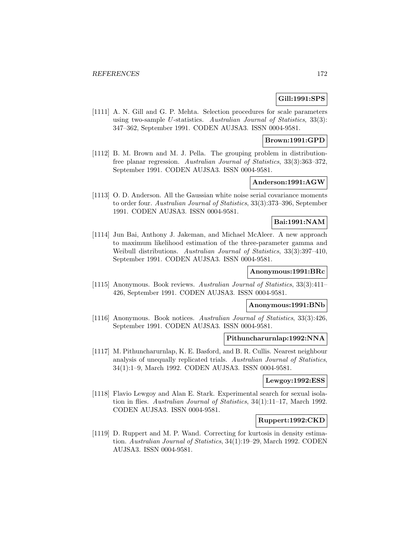# **Gill:1991:SPS**

[1111] A. N. Gill and G. P. Mehta. Selection procedures for scale parameters using two-sample U-statistics. Australian Journal of Statistics, 33(3): 347–362, September 1991. CODEN AUJSA3. ISSN 0004-9581.

#### **Brown:1991:GPD**

[1112] B. M. Brown and M. J. Pella. The grouping problem in distributionfree planar regression. Australian Journal of Statistics, 33(3):363–372, September 1991. CODEN AUJSA3. ISSN 0004-9581.

### **Anderson:1991:AGW**

[1113] O. D. Anderson. All the Gaussian white noise serial covariance moments to order four. Australian Journal of Statistics, 33(3):373–396, September 1991. CODEN AUJSA3. ISSN 0004-9581.

### **Bai:1991:NAM**

[1114] Jun Bai, Anthony J. Jakeman, and Michael McAleer. A new approach to maximum likelihood estimation of the three-parameter gamma and Weibull distributions. Australian Journal of Statistics, 33(3):397–410, September 1991. CODEN AUJSA3. ISSN 0004-9581.

# **Anonymous:1991:BRc**

[1115] Anonymous. Book reviews. Australian Journal of Statistics, 33(3):411– 426, September 1991. CODEN AUJSA3. ISSN 0004-9581.

# **Anonymous:1991:BNb**

[1116] Anonymous. Book notices. Australian Journal of Statistics, 33(3):426, September 1991. CODEN AUJSA3. ISSN 0004-9581.

# **Pithuncharurnlap:1992:NNA**

[1117] M. Pithuncharurnlap, K. E. Basford, and B. R. Cullis. Nearest neighbour analysis of unequally replicated trials. Australian Journal of Statistics, 34(1):1–9, March 1992. CODEN AUJSA3. ISSN 0004-9581.

#### **Lewgoy:1992:ESS**

[1118] Flavio Lewgoy and Alan E. Stark. Experimental search for sexual isolation in flies. Australian Journal of Statistics, 34(1):11–17, March 1992. CODEN AUJSA3. ISSN 0004-9581.

### **Ruppert:1992:CKD**

[1119] D. Ruppert and M. P. Wand. Correcting for kurtosis in density estimation. Australian Journal of Statistics, 34(1):19–29, March 1992. CODEN AUJSA3. ISSN 0004-9581.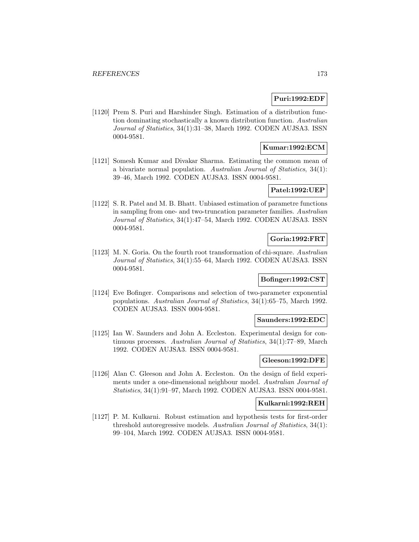# **Puri:1992:EDF**

[1120] Prem S. Puri and Harshinder Singh. Estimation of a distribution function dominating stochastically a known distribution function. Australian Journal of Statistics, 34(1):31–38, March 1992. CODEN AUJSA3. ISSN 0004-9581.

### **Kumar:1992:ECM**

[1121] Somesh Kumar and Divakar Sharma. Estimating the common mean of a bivariate normal population. Australian Journal of Statistics, 34(1): 39–46, March 1992. CODEN AUJSA3. ISSN 0004-9581.

# **Patel:1992:UEP**

[1122] S. R. Patel and M. B. Bhatt. Unbiased estimation of parametre functions in sampling from one- and two-truncation parameter families. Australian Journal of Statistics, 34(1):47–54, March 1992. CODEN AUJSA3. ISSN 0004-9581.

# **Goria:1992:FRT**

[1123] M. N. Goria. On the fourth root transformation of chi-square. Australian Journal of Statistics, 34(1):55–64, March 1992. CODEN AUJSA3. ISSN 0004-9581.

# **Bofinger:1992:CST**

[1124] Eve Bofinger. Comparisons and selection of two-parameter exponential populations. Australian Journal of Statistics, 34(1):65–75, March 1992. CODEN AUJSA3. ISSN 0004-9581.

## **Saunders:1992:EDC**

[1125] Ian W. Saunders and John A. Eccleston. Experimental design for continuous processes. Australian Journal of Statistics, 34(1):77–89, March 1992. CODEN AUJSA3. ISSN 0004-9581.

### **Gleeson:1992:DFE**

[1126] Alan C. Gleeson and John A. Eccleston. On the design of field experiments under a one-dimensional neighbour model. Australian Journal of Statistics, 34(1):91–97, March 1992. CODEN AUJSA3. ISSN 0004-9581.

#### **Kulkarni:1992:REH**

[1127] P. M. Kulkarni. Robust estimation and hypothesis tests for first-order threshold autoregressive models. Australian Journal of Statistics, 34(1): 99–104, March 1992. CODEN AUJSA3. ISSN 0004-9581.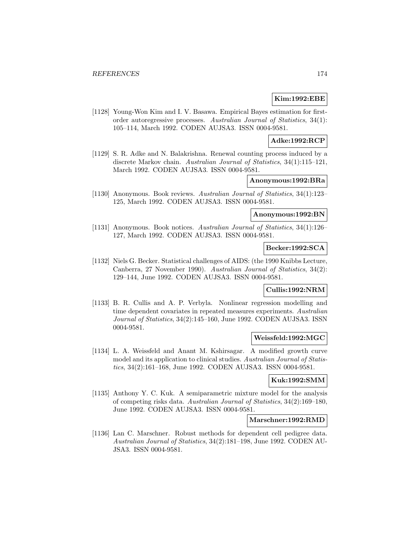# **Kim:1992:EBE**

[1128] Young-Won Kim and I. V. Basawa. Empirical Bayes estimation for firstorder autoregressive processes. Australian Journal of Statistics, 34(1): 105–114, March 1992. CODEN AUJSA3. ISSN 0004-9581.

# **Adke:1992:RCP**

[1129] S. R. Adke and N. Balakrishna. Renewal counting process induced by a discrete Markov chain. Australian Journal of Statistics, 34(1):115–121, March 1992. CODEN AUJSA3. ISSN 0004-9581.

# **Anonymous:1992:BRa**

[1130] Anonymous. Book reviews. Australian Journal of Statistics, 34(1):123– 125, March 1992. CODEN AUJSA3. ISSN 0004-9581.

### **Anonymous:1992:BN**

[1131] Anonymous. Book notices. Australian Journal of Statistics, 34(1):126– 127, March 1992. CODEN AUJSA3. ISSN 0004-9581.

# **Becker:1992:SCA**

[1132] Niels G. Becker. Statistical challenges of AIDS: (the 1990 Knibbs Lecture, Canberra, 27 November 1990). Australian Journal of Statistics, 34(2): 129–144, June 1992. CODEN AUJSA3. ISSN 0004-9581.

# **Cullis:1992:NRM**

[1133] B. R. Cullis and A. P. Verbyla. Nonlinear regression modelling and time dependent covariates in repeated measures experiments. Australian Journal of Statistics, 34(2):145–160, June 1992. CODEN AUJSA3. ISSN 0004-9581.

# **Weissfeld:1992:MGC**

[1134] L. A. Weissfeld and Anant M. Kshirsagar. A modified growth curve model and its application to clinical studies. Australian Journal of Statistics, 34(2):161–168, June 1992. CODEN AUJSA3. ISSN 0004-9581.

## **Kuk:1992:SMM**

[1135] Anthony Y. C. Kuk. A semiparametric mixture model for the analysis of competing risks data. Australian Journal of Statistics, 34(2):169–180, June 1992. CODEN AUJSA3. ISSN 0004-9581.

#### **Marschner:1992:RMD**

[1136] Lan C. Marschner. Robust methods for dependent cell pedigree data. Australian Journal of Statistics, 34(2):181–198, June 1992. CODEN AU-JSA3. ISSN 0004-9581.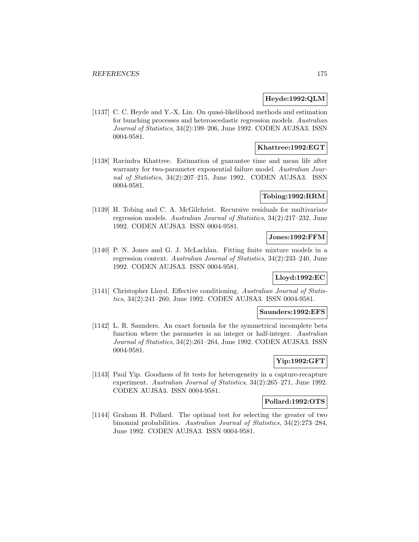# **Heyde:1992:QLM**

[1137] C. C. Heyde and Y.-X. Lin. On quasi-likelihood methods and estimation for bunching processes and heteroscedastic regression models. Australian Journal of Statistics, 34(2):199–206, June 1992. CODEN AUJSA3. ISSN 0004-9581.

### **Khattree:1992:EGT**

[1138] Ravindra Khattree. Estimation of guarantee time and mean life after warranty for two-parameter exponential failure model. Australian Journal of Statistics, 34(2):207–215, June 1992. CODEN AUJSA3. ISSN 0004-9581.

# **Tobing:1992:RRM**

[1139] H. Tobing and C. A. McGilchrist. Recursive residuals for multivariate regression models. Australian Journal of Statistics, 34(2):217–232, June 1992. CODEN AUJSA3. ISSN 0004-9581.

# **Jones:1992:FFM**

[1140] P. N. Jones and G. J. McLachlan. Fitting finite mixture models in a regression context. Australian Journal of Statistics, 34(2):233–240, June 1992. CODEN AUJSA3. ISSN 0004-9581.

## **Lloyd:1992:EC**

[1141] Christopher Lloyd. Effective conditioning. Australian Journal of Statistics, 34(2):241–260, June 1992. CODEN AUJSA3. ISSN 0004-9581.

## **Saunders:1992:EFS**

[1142] L. R. Saunders. An exact formula for the symmetrical incomplete beta function where the parameter is an integer or half-integer. Australian Journal of Statistics, 34(2):261–264, June 1992. CODEN AUJSA3. ISSN 0004-9581.

# **Yip:1992:GFT**

[1143] Paul Yip. Goodness of fit tests for heterogeneity in a capture-recapture experiment. Australian Journal of Statistics, 34(2):265–271, June 1992. CODEN AUJSA3. ISSN 0004-9581.

#### **Pollard:1992:OTS**

[1144] Graham H. Pollard. The optimal test for selecting the greater of two binomial probabilities. Australian Journal of Statistics, 34(2):273–284, June 1992. CODEN AUJSA3. ISSN 0004-9581.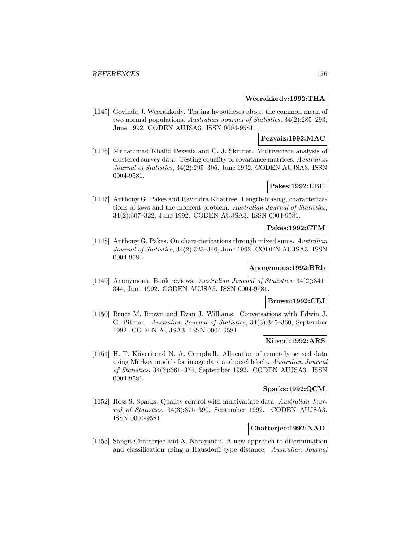#### **Weerakkody:1992:THA**

[1145] Govinda J. Weerakkody. Testing hypotheses about the common mean of two normal populations. Australian Journal of Statistics, 34(2):285–293, June 1992. CODEN AUJSA3. ISSN 0004-9581.

# **Pezvaiz:1992:MAC**

[1146] Muhammad Khalid Pezvaiz and C. J. Skinner. Multivariate analysis of clustered survey data: Testing equality of covariance matrices. Australian Journal of Statistics, 34(2):295–306, June 1992. CODEN AUJSA3. ISSN 0004-9581.

# **Pakes:1992:LBC**

[1147] Anthony G. Pakes and Ravindra Khattree. Length-biasing, characterizations of laws and the moment problem. Australian Journal of Statistics, 34(2):307–322, June 1992. CODEN AUJSA3. ISSN 0004-9581.

### **Pakes:1992:CTM**

[1148] Anthony G. Pakes. On characterizations through mixed sums. Australian Journal of Statistics, 34(2):323–340, June 1992. CODEN AUJSA3. ISSN 0004-9581.

### **Anonymous:1992:BRb**

[1149] Anonymous. Book reviews. Australian Journal of Statistics, 34(2):341– 344, June 1992. CODEN AUJSA3. ISSN 0004-9581.

## **Brown:1992:CEJ**

[1150] Bruce M. Brown and Evan J. Williams. Conversations with Edwin J. G. Pitman. Australian Journal of Statistics, 34(3):345–360, September 1992. CODEN AUJSA3. ISSN 0004-9581.

# **Kiiveri:1992:ARS**

[1151] H. T. Kiiveri and N. A. Campbell. Allocation of remotely sensed data using Markov models for image data and pixel labels. Australian Journal of Statistics, 34(3):361–374, September 1992. CODEN AUJSA3. ISSN 0004-9581.

# **Sparks:1992:QCM**

[1152] Ross S. Sparks. Quality control with multivariate data. Australian Journal of Statistics, 34(3):375–390, September 1992. CODEN AUJSA3. ISSN 0004-9581.

# **Chatterjee:1992:NAD**

[1153] Sangit Chatterjee and A. Narayanan. A new approach to discrimination and classification using a Hausdorff type distance. Australian Journal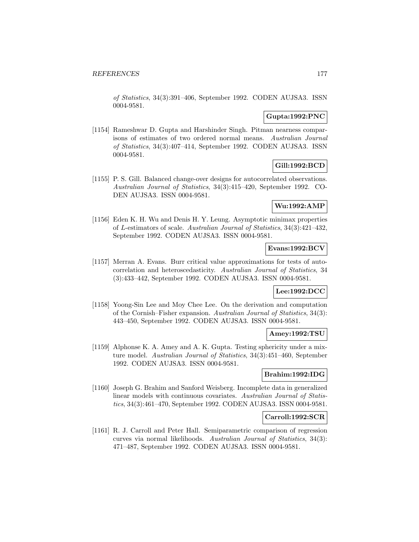of Statistics, 34(3):391–406, September 1992. CODEN AUJSA3. ISSN 0004-9581.

## **Gupta:1992:PNC**

[1154] Rameshwar D. Gupta and Harshinder Singh. Pitman nearness comparisons of estimates of two ordered normal means. Australian Journal of Statistics, 34(3):407–414, September 1992. CODEN AUJSA3. ISSN 0004-9581.

# **Gill:1992:BCD**

[1155] P. S. Gill. Balanced change-over designs for autocorrelated observations. Australian Journal of Statistics, 34(3):415–420, September 1992. CO-DEN AUJSA3. ISSN 0004-9581.

# **Wu:1992:AMP**

[1156] Eden K. H. Wu and Denis H. Y. Leung. Asymptotic minimax properties of L-estimators of scale. Australian Journal of Statistics, 34(3):421–432, September 1992. CODEN AUJSA3. ISSN 0004-9581.

# **Evans:1992:BCV**

[1157] Merran A. Evans. Burr critical value approximations for tests of autocorrelation and heteroscedasticity. Australian Journal of Statistics, 34 (3):433–442, September 1992. CODEN AUJSA3. ISSN 0004-9581.

### **Lee:1992:DCC**

[1158] Yoong-Sin Lee and Moy Chee Lee. On the derivation and computation of the Cornish–Fisher expansion. Australian Journal of Statistics, 34(3): 443–450, September 1992. CODEN AUJSA3. ISSN 0004-9581.

### **Amey:1992:TSU**

[1159] Alphonse K. A. Amey and A. K. Gupta. Testing sphericity under a mixture model. Australian Journal of Statistics, 34(3):451–460, September 1992. CODEN AUJSA3. ISSN 0004-9581.

# **Brahim:1992:IDG**

[1160] Joseph G. Brahim and Sanford Weisberg. Incomplete data in generalized linear models with continuous covariates. Australian Journal of Statistics, 34(3):461–470, September 1992. CODEN AUJSA3. ISSN 0004-9581.

### **Carroll:1992:SCR**

[1161] R. J. Carroll and Peter Hall. Semiparametric comparison of regression curves via normal likelihoods. Australian Journal of Statistics, 34(3): 471–487, September 1992. CODEN AUJSA3. ISSN 0004-9581.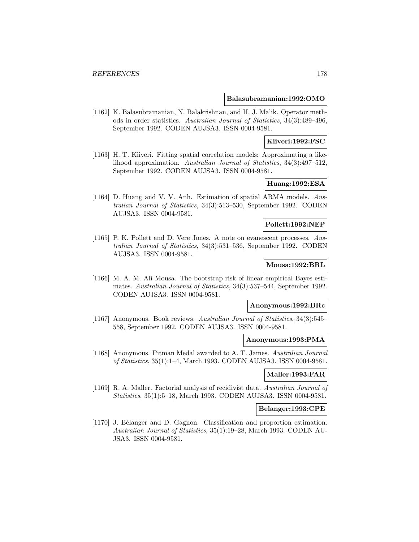#### **Balasubramanian:1992:OMO**

[1162] K. Balasubramanian, N. Balakrishnan, and H. J. Malik. Operator methods in order statistics. Australian Journal of Statistics, 34(3):489–496, September 1992. CODEN AUJSA3. ISSN 0004-9581.

# **Kiiveri:1992:FSC**

[1163] H. T. Kiiveri. Fitting spatial correlation models: Approximating a likelihood approximation. Australian Journal of Statistics, 34(3):497–512, September 1992. CODEN AUJSA3. ISSN 0004-9581.

# **Huang:1992:ESA**

[1164] D. Huang and V. V. Anh. Estimation of spatial ARMA models. Australian Journal of Statistics, 34(3):513–530, September 1992. CODEN AUJSA3. ISSN 0004-9581.

## **Pollett:1992:NEP**

[1165] P. K. Pollett and D. Vere Jones. A note on evanescent processes. Australian Journal of Statistics, 34(3):531–536, September 1992. CODEN AUJSA3. ISSN 0004-9581.

### **Mousa:1992:BRL**

[1166] M. A. M. Ali Mousa. The bootstrap risk of linear empirical Bayes estimates. Australian Journal of Statistics, 34(3):537–544, September 1992. CODEN AUJSA3. ISSN 0004-9581.

### **Anonymous:1992:BRc**

[1167] Anonymous. Book reviews. Australian Journal of Statistics, 34(3):545– 558, September 1992. CODEN AUJSA3. ISSN 0004-9581.

# **Anonymous:1993:PMA**

[1168] Anonymous. Pitman Medal awarded to A. T. James. Australian Journal of Statistics, 35(1):1–4, March 1993. CODEN AUJSA3. ISSN 0004-9581.

### **Maller:1993:FAR**

[1169] R. A. Maller. Factorial analysis of recidivist data. Australian Journal of Statistics, 35(1):5–18, March 1993. CODEN AUJSA3. ISSN 0004-9581.

### **Belanger:1993:CPE**

[1170] J. Bélanger and D. Gagnon. Classification and proportion estimation. Australian Journal of Statistics, 35(1):19–28, March 1993. CODEN AU-JSA3. ISSN 0004-9581.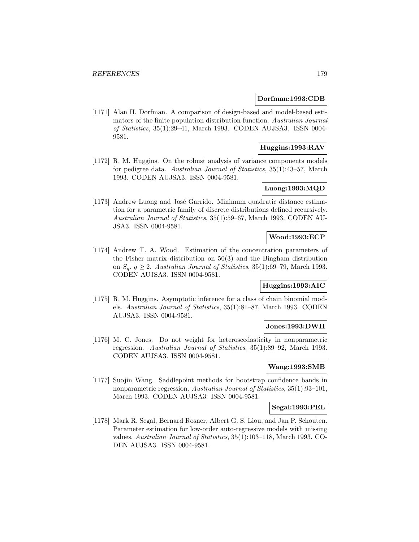### **Dorfman:1993:CDB**

[1171] Alan H. Dorfman. A comparison of design-based and model-based estimators of the finite population distribution function. Australian Journal of Statistics, 35(1):29–41, March 1993. CODEN AUJSA3. ISSN 0004- 9581.

# **Huggins:1993:RAV**

[1172] R. M. Huggins. On the robust analysis of variance components models for pedigree data. Australian Journal of Statistics, 35(1):43–57, March 1993. CODEN AUJSA3. ISSN 0004-9581.

## **Luong:1993:MQD**

[1173] Andrew Luong and José Garrido. Minimum quadratic distance estimation for a parametric family of discrete distributions defined recursively. Australian Journal of Statistics, 35(1):59–67, March 1993. CODEN AU-JSA3. ISSN 0004-9581.

# **Wood:1993:ECP**

[1174] Andrew T. A. Wood. Estimation of the concentration parameters of the Fisher matrix distribution on 50(3) and the Bingham distribution on  $S_q$ ,  $q \geq 2$ . Australian Journal of Statistics, 35(1):69–79, March 1993. CODEN AUJSA3. ISSN 0004-9581.

# **Huggins:1993:AIC**

[1175] R. M. Huggins. Asymptotic inference for a class of chain binomial models. Australian Journal of Statistics, 35(1):81–87, March 1993. CODEN AUJSA3. ISSN 0004-9581.

## **Jones:1993:DWH**

[1176] M. C. Jones. Do not weight for heteroscedasticity in nonparametric regression. Australian Journal of Statistics, 35(1):89–92, March 1993. CODEN AUJSA3. ISSN 0004-9581.

### **Wang:1993:SMB**

[1177] Suojin Wang. Saddlepoint methods for bootstrap confidence bands in nonparametric regression. Australian Journal of Statistics, 35(1):93–101, March 1993. CODEN AUJSA3. ISSN 0004-9581.

# **Segal:1993:PEL**

[1178] Mark R. Segal, Bernard Rosner, Albert G. S. Liou, and Jan P. Schouten. Parameter estimation for low-order auto-regressive models with missing values. Australian Journal of Statistics, 35(1):103–118, March 1993. CO-DEN AUJSA3. ISSN 0004-9581.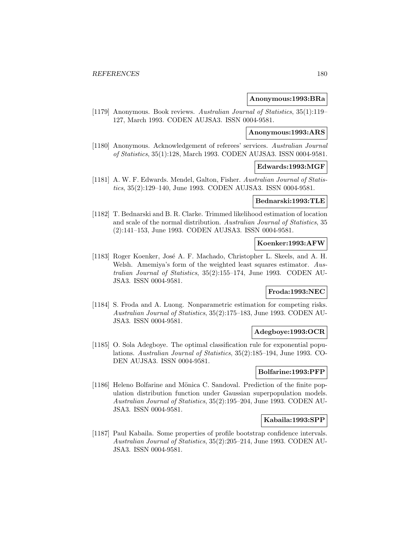### **Anonymous:1993:BRa**

[1179] Anonymous. Book reviews. Australian Journal of Statistics, 35(1):119– 127, March 1993. CODEN AUJSA3. ISSN 0004-9581.

# **Anonymous:1993:ARS**

[1180] Anonymous. Acknowledgement of referees' services. Australian Journal of Statistics, 35(1):128, March 1993. CODEN AUJSA3. ISSN 0004-9581.

#### **Edwards:1993:MGF**

[1181] A. W. F. Edwards. Mendel, Galton, Fisher. Australian Journal of Statistics, 35(2):129–140, June 1993. CODEN AUJSA3. ISSN 0004-9581.

## **Bednarski:1993:TLE**

[1182] T. Bednarski and B. R. Clarke. Trimmed likelihood estimation of location and scale of the normal distribution. Australian Journal of Statistics, 35 (2):141–153, June 1993. CODEN AUJSA3. ISSN 0004-9581.

#### **Koenker:1993:AFW**

[1183] Roger Koenker, José A. F. Machado, Christopher L. Skeels, and A. H. Welsh. Amemiya's form of the weighted least squares estimator. Australian Journal of Statistics, 35(2):155–174, June 1993. CODEN AU-JSA3. ISSN 0004-9581.

### **Froda:1993:NEC**

[1184] S. Froda and A. Luong. Nonparametric estimation for competing risks. Australian Journal of Statistics, 35(2):175–183, June 1993. CODEN AU-JSA3. ISSN 0004-9581.

#### **Adegboye:1993:OCR**

[1185] O. Sola Adegboye. The optimal classification rule for exponential populations. Australian Journal of Statistics, 35(2):185–194, June 1993. CO-DEN AUJSA3. ISSN 0004-9581.

## **Bolfarine:1993:PFP**

[1186] Heleno Bolfarine and Mönica C. Sandoval. Prediction of the finite population distribution function under Gaussian superpopulation models. Australian Journal of Statistics, 35(2):195–204, June 1993. CODEN AU-JSA3. ISSN 0004-9581.

# **Kabaila:1993:SPP**

[1187] Paul Kabaila. Some properties of profile bootstrap confidence intervals. Australian Journal of Statistics, 35(2):205–214, June 1993. CODEN AU-JSA3. ISSN 0004-9581.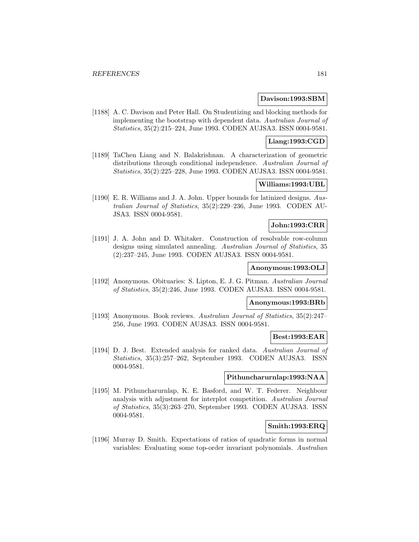#### **Davison:1993:SBM**

[1188] A. C. Davison and Peter Hall. On Studentizing and blocking methods for implementing the bootstrap with dependent data. Australian Journal of Statistics, 35(2):215–224, June 1993. CODEN AUJSA3. ISSN 0004-9581.

### **Liang:1993:CGD**

[1189] TaChen Liang and N. Balakrishnan. A characterization of geometric distributions through conditional independence. Australian Journal of Statistics, 35(2):225–228, June 1993. CODEN AUJSA3. ISSN 0004-9581.

## **Williams:1993:UBL**

[1190] E. R. Williams and J. A. John. Upper bounds for latinized designs. Australian Journal of Statistics, 35(2):229–236, June 1993. CODEN AU-JSA3. ISSN 0004-9581.

# **John:1993:CRR**

[1191] J. A. John and D. Whitaker. Construction of resolvable row-column designs using simulated annealing. Australian Journal of Statistics, 35 (2):237–245, June 1993. CODEN AUJSA3. ISSN 0004-9581.

#### **Anonymous:1993:OLJ**

[1192] Anonymous. Obituaries: S. Lipton, E. J. G. Pitman. Australian Journal of Statistics, 35(2):246, June 1993. CODEN AUJSA3. ISSN 0004-9581.

#### **Anonymous:1993:BRb**

[1193] Anonymous. Book reviews. Australian Journal of Statistics, 35(2):247– 256, June 1993. CODEN AUJSA3. ISSN 0004-9581.

## **Best:1993:EAR**

[1194] D. J. Best. Extended analysis for ranked data. Australian Journal of Statistics, 35(3):257–262, September 1993. CODEN AUJSA3. ISSN 0004-9581.

## **Pithuncharurnlap:1993:NAA**

[1195] M. Pithuncharurnlap, K. E. Basford, and W. T. Federer. Neighbour analysis with adjustment for interplot competition. Australian Journal of Statistics, 35(3):263–270, September 1993. CODEN AUJSA3. ISSN 0004-9581.

### **Smith:1993:ERQ**

[1196] Murray D. Smith. Expectations of ratios of quadratic forms in normal variables: Evaluating some top-order invariant polynomials. Australian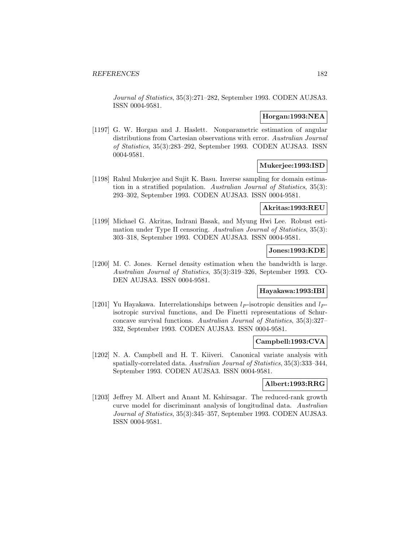Journal of Statistics, 35(3):271–282, September 1993. CODEN AUJSA3. ISSN 0004-9581.

#### **Horgan:1993:NEA**

[1197] G. W. Horgan and J. Haslett. Nonparametric estimation of angular distributions from Cartesian observations with error. Australian Journal of Statistics, 35(3):283–292, September 1993. CODEN AUJSA3. ISSN 0004-9581.

#### **Mukerjee:1993:ISD**

[1198] Rahul Mukerjee and Sujit K. Basu. Inverse sampling for domain estimation in a stratified population. Australian Journal of Statistics, 35(3): 293–302, September 1993. CODEN AUJSA3. ISSN 0004-9581.

#### **Akritas:1993:REU**

[1199] Michael G. Akritas, Indrani Basak, and Myung Hwi Lee. Robust estimation under Type II censoring. Australian Journal of Statistics, 35(3): 303–318, September 1993. CODEN AUJSA3. ISSN 0004-9581.

# **Jones:1993:KDE**

[1200] M. C. Jones. Kernel density estimation when the bandwidth is large. Australian Journal of Statistics, 35(3):319–326, September 1993. CO-DEN AUJSA3. ISSN 0004-9581.

### **Hayakawa:1993:IBI**

[1201] Yu Hayakawa. Interrelationships between  $l_P$ -isotropic densities and  $l_P$ isotropic survival functions, and De Finetti representations of Schurconcave survival functions. Australian Journal of Statistics, 35(3):327– 332, September 1993. CODEN AUJSA3. ISSN 0004-9581.

### **Campbell:1993:CVA**

[1202] N. A. Campbell and H. T. Kiiveri. Canonical variate analysis with spatially-correlated data. Australian Journal of Statistics, 35(3):333–344, September 1993. CODEN AUJSA3. ISSN 0004-9581.

# **Albert:1993:RRG**

[1203] Jeffrey M. Albert and Anant M. Kshirsagar. The reduced-rank growth curve model for discriminant analysis of longitudinal data. Australian Journal of Statistics, 35(3):345–357, September 1993. CODEN AUJSA3. ISSN 0004-9581.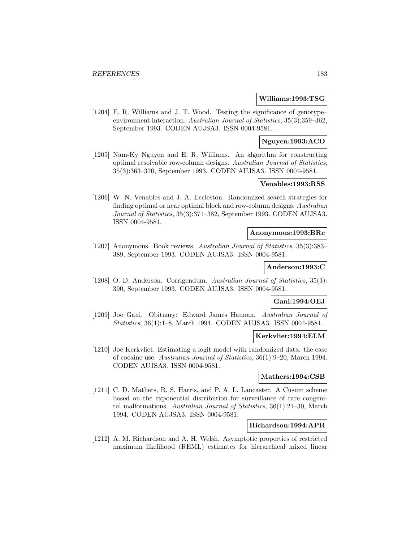#### **Williams:1993:TSG**

[1204] E. R. Williams and J. T. Wood. Testing the significance of genotype– environment interaction. Australian Journal of Statistics, 35(3):359–362, September 1993. CODEN AUJSA3. ISSN 0004-9581.

### **Nguyen:1993:ACO**

[1205] Nam-Ky Nguyen and E. R. Williams. An algorithm for constructing optimal resolvable row-column designs. Australian Journal of Statistics, 35(3):363–370, September 1993. CODEN AUJSA3. ISSN 0004-9581.

## **Venables:1993:RSS**

[1206] W. N. Venables and J. A. Eccleston. Randomized search strategies for finding optimal or near optimal block and row-column designs. Australian Journal of Statistics, 35(3):371–382, September 1993. CODEN AUJSA3. ISSN 0004-9581.

#### **Anonymous:1993:BRc**

[1207] Anonymous. Book reviews. Australian Journal of Statistics, 35(3):383– 389, September 1993. CODEN AUJSA3. ISSN 0004-9581.

#### **Anderson:1993:C**

[1208] O. D. Anderson. Corrigendum. Australian Journal of Statistics, 35(3): 390, September 1993. CODEN AUJSA3. ISSN 0004-9581.

## **Gani:1994:OEJ**

[1209] Joe Gani. Obituary: Edward James Hannan. Australian Journal of Statistics, 36(1):1–8, March 1994. CODEN AUJSA3. ISSN 0004-9581.

#### **Kerkvliet:1994:ELM**

[1210] Joe Kerkvliet. Estimating a logit model with randomized data: the case of cocaine use. Australian Journal of Statistics, 36(1):9–20, March 1994. CODEN AUJSA3. ISSN 0004-9581.

# **Mathers:1994:CSB**

[1211] C. D. Mathers, R. S. Harris, and P. A. L. Lancaster. A Cusum scheme based on the exponential distribution for surveillance of rare congenital malformations. Australian Journal of Statistics, 36(1):21–30, March 1994. CODEN AUJSA3. ISSN 0004-9581.

#### **Richardson:1994:APR**

[1212] A. M. Richardson and A. H. Welsh. Asymptotic properties of restricted maximum likelihood (REML) estimates for hierarchical mixed linear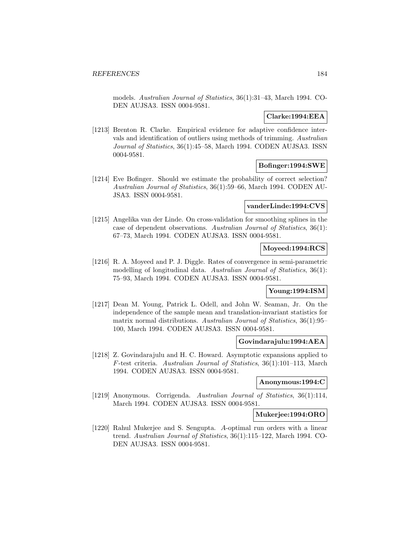models. Australian Journal of Statistics, 36(1):31–43, March 1994. CO-DEN AUJSA3. ISSN 0004-9581.

## **Clarke:1994:EEA**

[1213] Brenton R. Clarke. Empirical evidence for adaptive confidence intervals and identification of outliers using methods of trimming. Australian Journal of Statistics, 36(1):45–58, March 1994. CODEN AUJSA3. ISSN 0004-9581.

## **Bofinger:1994:SWE**

[1214] Eve Bofinger. Should we estimate the probability of correct selection? Australian Journal of Statistics, 36(1):59–66, March 1994. CODEN AU-JSA3. ISSN 0004-9581.

# **vanderLinde:1994:CVS**

[1215] Angelika van der Linde. On cross-validation for smoothing splines in the case of dependent observations. Australian Journal of Statistics, 36(1): 67–73, March 1994. CODEN AUJSA3. ISSN 0004-9581.

# **Moyeed:1994:RCS**

[1216] R. A. Moyeed and P. J. Diggle. Rates of convergence in semi-parametric modelling of longitudinal data. Australian Journal of Statistics, 36(1): 75–93, March 1994. CODEN AUJSA3. ISSN 0004-9581.

### **Young:1994:ISM**

[1217] Dean M. Young, Patrick L. Odell, and John W. Seaman, Jr. On the independence of the sample mean and translation-invariant statistics for matrix normal distributions. Australian Journal of Statistics, 36(1):95– 100, March 1994. CODEN AUJSA3. ISSN 0004-9581.

# **Govindarajulu:1994:AEA**

[1218] Z. Govindarajulu and H. C. Howard. Asymptotic expansions applied to F-test criteria. Australian Journal of Statistics, 36(1):101–113, March 1994. CODEN AUJSA3. ISSN 0004-9581.

#### **Anonymous:1994:C**

[1219] Anonymous. Corrigenda. Australian Journal of Statistics, 36(1):114, March 1994. CODEN AUJSA3. ISSN 0004-9581.

#### **Mukerjee:1994:ORO**

[1220] Rahul Mukerjee and S. Sengupta. A-optimal run orders with a linear trend. Australian Journal of Statistics, 36(1):115–122, March 1994. CO-DEN AUJSA3. ISSN 0004-9581.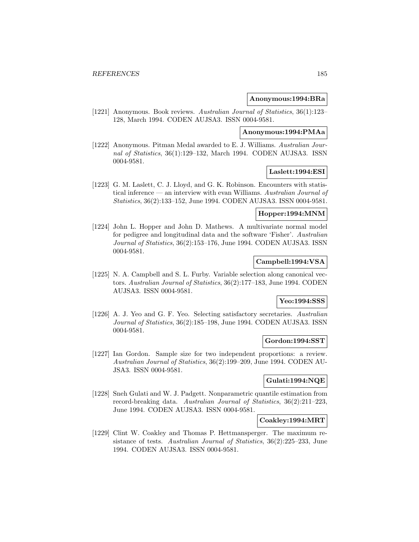#### **Anonymous:1994:BRa**

[1221] Anonymous. Book reviews. Australian Journal of Statistics, 36(1):123– 128, March 1994. CODEN AUJSA3. ISSN 0004-9581.

# **Anonymous:1994:PMAa**

[1222] Anonymous. Pitman Medal awarded to E. J. Williams. Australian Journal of Statistics, 36(1):129–132, March 1994. CODEN AUJSA3. ISSN 0004-9581.

## **Laslett:1994:ESI**

[1223] G. M. Laslett, C. J. Lloyd, and G. K. Robinson. Encounters with statistical inference — an interview with evan Williams. Australian Journal of Statistics, 36(2):133–152, June 1994. CODEN AUJSA3. ISSN 0004-9581.

# **Hopper:1994:MNM**

[1224] John L. Hopper and John D. Mathews. A multivariate normal model for pedigree and longitudinal data and the software 'Fisher'. Australian Journal of Statistics, 36(2):153–176, June 1994. CODEN AUJSA3. ISSN 0004-9581.

### **Campbell:1994:VSA**

[1225] N. A. Campbell and S. L. Furby. Variable selection along canonical vectors. Australian Journal of Statistics, 36(2):177–183, June 1994. CODEN AUJSA3. ISSN 0004-9581.

# **Yeo:1994:SSS**

[1226] A. J. Yeo and G. F. Yeo. Selecting satisfactory secretaries. Australian Journal of Statistics, 36(2):185–198, June 1994. CODEN AUJSA3. ISSN 0004-9581.

## **Gordon:1994:SST**

[1227] Ian Gordon. Sample size for two independent proportions: a review. Australian Journal of Statistics, 36(2):199–209, June 1994. CODEN AU-JSA3. ISSN 0004-9581.

## **Gulati:1994:NQE**

[1228] Sneh Gulati and W. J. Padgett. Nonparametric quantile estimation from record-breaking data. Australian Journal of Statistics, 36(2):211–223, June 1994. CODEN AUJSA3. ISSN 0004-9581.

## **Coakley:1994:MRT**

[1229] Clint W. Coakley and Thomas P. Hettmansperger. The maximum resistance of tests. Australian Journal of Statistics, 36(2):225–233, June 1994. CODEN AUJSA3. ISSN 0004-9581.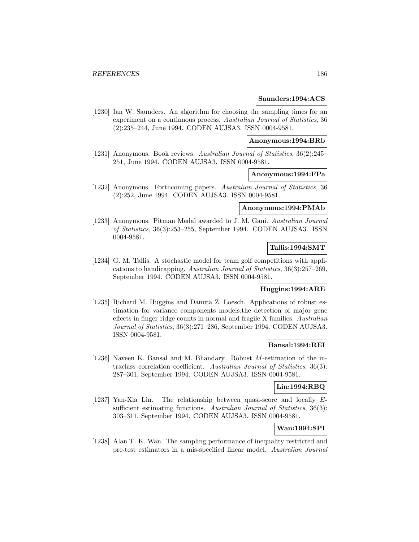#### **Saunders:1994:ACS**

[1230] Ian W. Saunders. An algorithm for choosing the sampling times for an experiment on a continuous process. Australian Journal of Statistics, 36 (2):235–244, June 1994. CODEN AUJSA3. ISSN 0004-9581.

### **Anonymous:1994:BRb**

[1231] Anonymous. Book reviews. Australian Journal of Statistics, 36(2):245– 251, June 1994. CODEN AUJSA3. ISSN 0004-9581.

#### **Anonymous:1994:FPa**

[1232] Anonymous. Forthcoming papers. Australian Journal of Statistics, 36 (2):252, June 1994. CODEN AUJSA3. ISSN 0004-9581.

#### **Anonymous:1994:PMAb**

[1233] Anonymous. Pitman Medal awarded to J. M. Gani. Australian Journal of Statistics, 36(3):253–255, September 1994. CODEN AUJSA3. ISSN 0004-9581.

# **Tallis:1994:SMT**

[1234] G. M. Tallis. A stochastic model for team golf competitions with applications to handicapping. Australian Journal of Statistics, 36(3):257–269, September 1994. CODEN AUJSA3. ISSN 0004-9581.

# **Huggins:1994:ARE**

[1235] Richard M. Huggins and Danuta Z. Loesch. Applications of robust estimation for variance components models:the detection of major gene effects in finger ridge counts in normal and fragile X families. Australian Journal of Statistics, 36(3):271–286, September 1994. CODEN AUJSA3. ISSN 0004-9581.

## **Bansal:1994:REI**

[1236] Naveen K. Bansal and M. Bhandary. Robust M-estimation of the intraclass correlation coefficient. Australian Journal of Statistics, 36(3): 287–301, September 1994. CODEN AUJSA3. ISSN 0004-9581.

# **Lin:1994:RBQ**

[1237] Yan-Xia Lin. The relationship between quasi-score and locally Esufficient estimating functions. Australian Journal of Statistics, 36(3): 303–311, September 1994. CODEN AUJSA3. ISSN 0004-9581.

# **Wan:1994:SPI**

[1238] Alan T. K. Wan. The sampling performance of inequality restricted and pre-test estimators in a mis-specified linear model. Australian Journal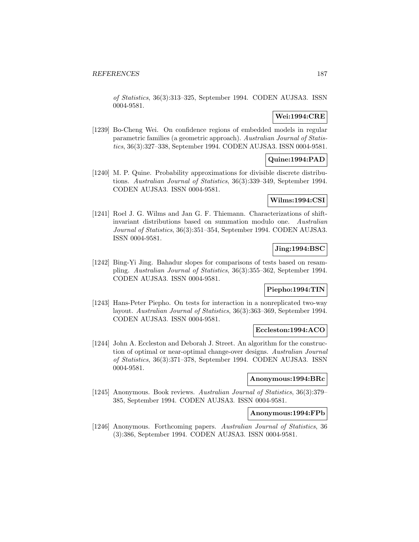of Statistics, 36(3):313–325, September 1994. CODEN AUJSA3. ISSN 0004-9581.

# **Wei:1994:CRE**

[1239] Bo-Cheng Wei. On confidence regions of embedded models in regular parametric families (a geometric approach). Australian Journal of Statistics, 36(3):327–338, September 1994. CODEN AUJSA3. ISSN 0004-9581.

# **Quine:1994:PAD**

[1240] M. P. Quine. Probability approximations for divisible discrete distributions. Australian Journal of Statistics, 36(3):339–349, September 1994. CODEN AUJSA3. ISSN 0004-9581.

## **Wilms:1994:CSI**

[1241] Roel J. G. Wilms and Jan G. F. Thiemann. Characterizations of shiftinvariant distributions based on summation modulo one. Australian Journal of Statistics, 36(3):351–354, September 1994. CODEN AUJSA3. ISSN 0004-9581.

# **Jing:1994:BSC**

[1242] Bing-Yi Jing. Bahadur slopes for comparisons of tests based on resampling. Australian Journal of Statistics, 36(3):355–362, September 1994. CODEN AUJSA3. ISSN 0004-9581.

## **Piepho:1994:TIN**

[1243] Hans-Peter Piepho. On tests for interaction in a nonreplicated two-way layout. Australian Journal of Statistics, 36(3):363–369, September 1994. CODEN AUJSA3. ISSN 0004-9581.

# **Eccleston:1994:ACO**

[1244] John A. Eccleston and Deborah J. Street. An algorithm for the construction of optimal or near-optimal change-over designs. Australian Journal of Statistics, 36(3):371–378, September 1994. CODEN AUJSA3. ISSN 0004-9581.

### **Anonymous:1994:BRc**

[1245] Anonymous. Book reviews. Australian Journal of Statistics, 36(3):379– 385, September 1994. CODEN AUJSA3. ISSN 0004-9581.

#### **Anonymous:1994:FPb**

[1246] Anonymous. Forthcoming papers. Australian Journal of Statistics, 36 (3):386, September 1994. CODEN AUJSA3. ISSN 0004-9581.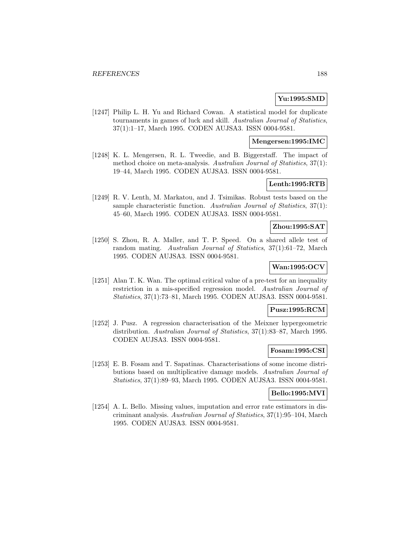## **Yu:1995:SMD**

[1247] Philip L. H. Yu and Richard Cowan. A statistical model for duplicate tournaments in games of luck and skill. Australian Journal of Statistics, 37(1):1–17, March 1995. CODEN AUJSA3. ISSN 0004-9581.

### **Mengersen:1995:IMC**

[1248] K. L. Mengersen, R. L. Tweedie, and B. Biggerstaff. The impact of method choice on meta-analysis. Australian Journal of Statistics, 37(1): 19–44, March 1995. CODEN AUJSA3. ISSN 0004-9581.

# **Lenth:1995:RTB**

[1249] R. V. Lenth, M. Markatou, and J. Tsimikas. Robust tests based on the sample characteristic function. Australian Journal of Statistics, 37(1): 45–60, March 1995. CODEN AUJSA3. ISSN 0004-9581.

# **Zhou:1995:SAT**

[1250] S. Zhou, R. A. Maller, and T. P. Speed. On a shared allele test of random mating. Australian Journal of Statistics, 37(1):61–72, March 1995. CODEN AUJSA3. ISSN 0004-9581.

#### **Wan:1995:OCV**

[1251] Alan T. K. Wan. The optimal critical value of a pre-test for an inequality restriction in a mis-specified regression model. Australian Journal of Statistics, 37(1):73–81, March 1995. CODEN AUJSA3. ISSN 0004-9581.

#### **Pusz:1995:RCM**

[1252] J. Pusz. A regression characterisation of the Meixner hypergeometric distribution. Australian Journal of Statistics, 37(1):83–87, March 1995. CODEN AUJSA3. ISSN 0004-9581.

## **Fosam:1995:CSI**

[1253] E. B. Fosam and T. Sapatinas. Characterisations of some income distributions based on multiplicative damage models. Australian Journal of Statistics, 37(1):89–93, March 1995. CODEN AUJSA3. ISSN 0004-9581.

#### **Bello:1995:MVI**

[1254] A. L. Bello. Missing values, imputation and error rate estimators in discriminant analysis. Australian Journal of Statistics, 37(1):95–104, March 1995. CODEN AUJSA3. ISSN 0004-9581.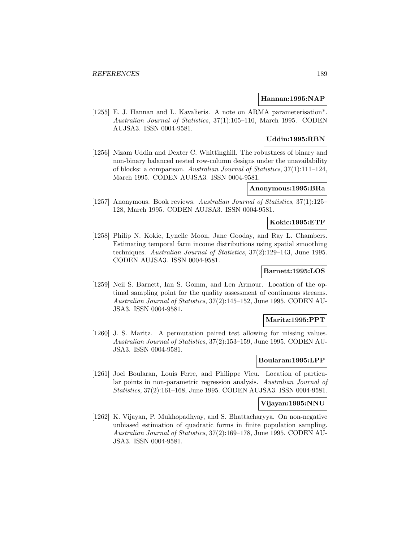#### **Hannan:1995:NAP**

[1255] E. J. Hannan and L. Kavalieris. A note on ARMA parameterisation\*. Australian Journal of Statistics, 37(1):105–110, March 1995. CODEN AUJSA3. ISSN 0004-9581.

# **Uddin:1995:RBN**

[1256] Nizam Uddin and Dexter C. Whittinghill. The robustness of binary and non-binary balanced nested row-column designs under the unavailability of blocks: a comparison. Australian Journal of Statistics, 37(1):111–124, March 1995. CODEN AUJSA3. ISSN 0004-9581.

## **Anonymous:1995:BRa**

[1257] Anonymous. Book reviews. Australian Journal of Statistics, 37(1):125– 128, March 1995. CODEN AUJSA3. ISSN 0004-9581.

# **Kokic:1995:ETF**

[1258] Philip N. Kokic, Lynelle Moon, Jane Gooday, and Ray L. Chambers. Estimating temporal farm income distributions using spatial smoothing techniques. Australian Journal of Statistics, 37(2):129–143, June 1995. CODEN AUJSA3. ISSN 0004-9581.

# **Barnett:1995:LOS**

[1259] Neil S. Barnett, Ian S. Gomm, and Len Armour. Location of the optimal sampling point for the quality assessment of continuous streams. Australian Journal of Statistics, 37(2):145–152, June 1995. CODEN AU-JSA3. ISSN 0004-9581.

# **Maritz:1995:PPT**

[1260] J. S. Maritz. A permutation paired test allowing for missing values. Australian Journal of Statistics, 37(2):153–159, June 1995. CODEN AU-JSA3. ISSN 0004-9581.

### **Boularan:1995:LPP**

[1261] Joel Boularan, Louis Ferre, and Philippe Vieu. Location of particular points in non-parametric regression analysis. Australian Journal of Statistics, 37(2):161–168, June 1995. CODEN AUJSA3. ISSN 0004-9581.

#### **Vijayan:1995:NNU**

[1262] K. Vijayan, P. Mukhopadhyay, and S. Bhattacharyya. On non-negative unbiased estimation of quadratic forms in finite population sampling. Australian Journal of Statistics, 37(2):169–178, June 1995. CODEN AU-JSA3. ISSN 0004-9581.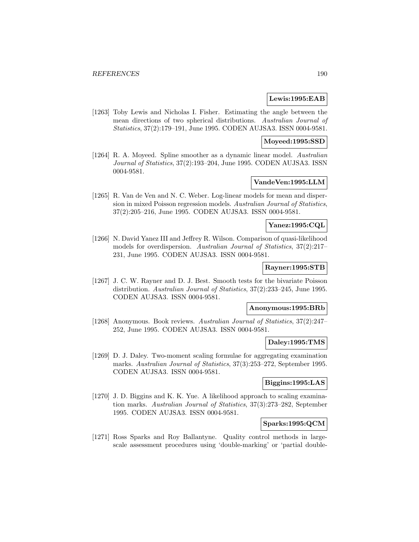#### **Lewis:1995:EAB**

[1263] Toby Lewis and Nicholas I. Fisher. Estimating the angle between the mean directions of two spherical distributions. Australian Journal of Statistics, 37(2):179–191, June 1995. CODEN AUJSA3. ISSN 0004-9581.

#### **Moyeed:1995:SSD**

[1264] R. A. Moyeed. Spline smoother as a dynamic linear model. Australian Journal of Statistics, 37(2):193–204, June 1995. CODEN AUJSA3. ISSN 0004-9581.

# **VandeVen:1995:LLM**

[1265] R. Van de Ven and N. C. Weber. Log-linear models for mean and dispersion in mixed Poisson regression models. Australian Journal of Statistics, 37(2):205–216, June 1995. CODEN AUJSA3. ISSN 0004-9581.

# **Yanez:1995:CQL**

[1266] N. David Yanez III and Jeffrey R. Wilson. Comparison of quasi-likelihood models for overdispersion. Australian Journal of Statistics, 37(2):217– 231, June 1995. CODEN AUJSA3. ISSN 0004-9581.

#### **Rayner:1995:STB**

[1267] J. C. W. Rayner and D. J. Best. Smooth tests for the bivariate Poisson distribution. Australian Journal of Statistics, 37(2):233–245, June 1995. CODEN AUJSA3. ISSN 0004-9581.

## **Anonymous:1995:BRb**

[1268] Anonymous. Book reviews. Australian Journal of Statistics, 37(2):247– 252, June 1995. CODEN AUJSA3. ISSN 0004-9581.

### **Daley:1995:TMS**

[1269] D. J. Daley. Two-moment scaling formulae for aggregating examination marks. Australian Journal of Statistics, 37(3):253–272, September 1995. CODEN AUJSA3. ISSN 0004-9581.

# **Biggins:1995:LAS**

[1270] J. D. Biggins and K. K. Yue. A likelihood approach to scaling examination marks. Australian Journal of Statistics, 37(3):273–282, September 1995. CODEN AUJSA3. ISSN 0004-9581.

## **Sparks:1995:QCM**

[1271] Ross Sparks and Roy Ballantyne. Quality control methods in largescale assessment procedures using 'double-marking' or 'partial double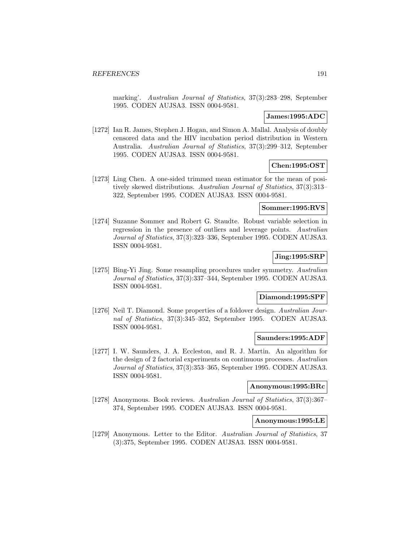marking'. Australian Journal of Statistics, 37(3):283–298, September 1995. CODEN AUJSA3. ISSN 0004-9581.

# **James:1995:ADC**

[1272] Ian R. James, Stephen J. Hogan, and Simon A. Mallal. Analysis of doubly censored data and the HIV incubation period distribution in Western Australia. Australian Journal of Statistics, 37(3):299–312, September 1995. CODEN AUJSA3. ISSN 0004-9581.

### **Chen:1995:OST**

[1273] Ling Chen. A one-sided trimmed mean estimator for the mean of positively skewed distributions. Australian Journal of Statistics, 37(3):313– 322, September 1995. CODEN AUJSA3. ISSN 0004-9581.

# **Sommer:1995:RVS**

[1274] Suzanne Sommer and Robert G. Staudte. Robust variable selection in regression in the presence of outliers and leverage points. Australian Journal of Statistics, 37(3):323–336, September 1995. CODEN AUJSA3. ISSN 0004-9581.

#### **Jing:1995:SRP**

[1275] Bing-Yi Jing. Some resampling procedures under symmetry. Australian Journal of Statistics, 37(3):337–344, September 1995. CODEN AUJSA3. ISSN 0004-9581.

## **Diamond:1995:SPF**

[1276] Neil T. Diamond. Some properties of a foldover design. Australian Journal of Statistics, 37(3):345–352, September 1995. CODEN AUJSA3. ISSN 0004-9581.

## **Saunders:1995:ADF**

[1277] I. W. Saunders, J. A. Eccleston, and R. J. Martin. An algorithm for the design of 2 factorial experiments on continuous processes. Australian Journal of Statistics, 37(3):353–365, September 1995. CODEN AUJSA3. ISSN 0004-9581.

#### **Anonymous:1995:BRc**

[1278] Anonymous. Book reviews. Australian Journal of Statistics, 37(3):367– 374, September 1995. CODEN AUJSA3. ISSN 0004-9581.

# **Anonymous:1995:LE**

[1279] Anonymous. Letter to the Editor. Australian Journal of Statistics, 37 (3):375, September 1995. CODEN AUJSA3. ISSN 0004-9581.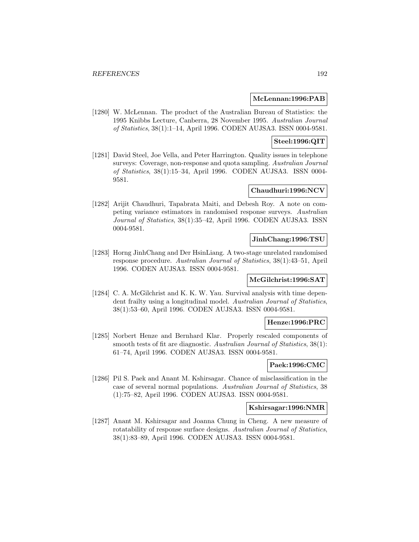#### **McLennan:1996:PAB**

[1280] W. McLennan. The product of the Australian Bureau of Statistics: the 1995 Knibbs Lecture, Canberra, 28 November 1995. Australian Journal of Statistics, 38(1):1–14, April 1996. CODEN AUJSA3. ISSN 0004-9581.

#### **Steel:1996:QIT**

[1281] David Steel, Joe Vella, and Peter Harrington. Quality issues in telephone surveys: Coverage, non-response and quota sampling. Australian Journal of Statistics, 38(1):15–34, April 1996. CODEN AUJSA3. ISSN 0004- 9581.

# **Chaudhuri:1996:NCV**

[1282] Arijit Chaudhuri, Tapabrata Maiti, and Debesh Roy. A note on competing variance estimators in randomised response surveys. Australian Journal of Statistics, 38(1):35–42, April 1996. CODEN AUJSA3. ISSN 0004-9581.

# **JinhChang:1996:TSU**

[1283] Horng JinhChang and Der HsinLiang. A two-stage unrelated randomised response procedure. Australian Journal of Statistics, 38(1):43–51, April 1996. CODEN AUJSA3. ISSN 0004-9581.

#### **McGilchrist:1996:SAT**

[1284] C. A. McGilchrist and K. K. W. Yau. Survival analysis with time dependent frailty using a longitudinal model. Australian Journal of Statistics, 38(1):53–60, April 1996. CODEN AUJSA3. ISSN 0004-9581.

#### **Henze:1996:PRC**

[1285] Norbert Henze and Bernhard Klar. Properly rescaled components of smooth tests of fit are diagnostic. Australian Journal of Statistics, 38(1): 61–74, April 1996. CODEN AUJSA3. ISSN 0004-9581.

# **Paek:1996:CMC**

[1286] Pil S. Paek and Anant M. Kshirsagar. Chance of misclassification in the case of several normal populations. Australian Journal of Statistics, 38 (1):75–82, April 1996. CODEN AUJSA3. ISSN 0004-9581.

#### **Kshirsagar:1996:NMR**

[1287] Anant M. Kshirsagar and Joanna Chung in Cheng. A new measure of rotatability of response surface designs. Australian Journal of Statistics, 38(1):83–89, April 1996. CODEN AUJSA3. ISSN 0004-9581.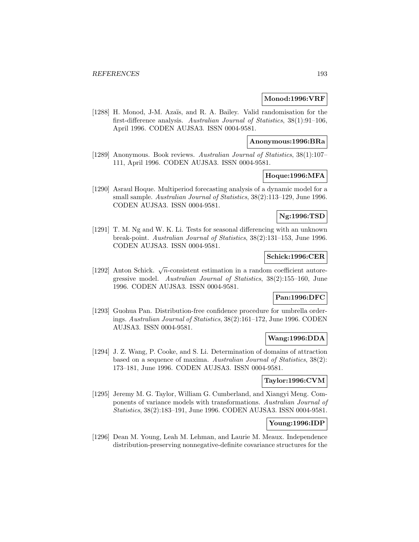#### **Monod:1996:VRF**

[1288] H. Monod, J-M. Azaïs, and R. A. Bailey. Valid randomisation for the first-difference analysis. Australian Journal of Statistics, 38(1):91–106, April 1996. CODEN AUJSA3. ISSN 0004-9581.

#### **Anonymous:1996:BRa**

[1289] Anonymous. Book reviews. Australian Journal of Statistics, 38(1):107– 111, April 1996. CODEN AUJSA3. ISSN 0004-9581.

# **Hoque:1996:MFA**

[1290] Asraul Hoque. Multiperiod forecasting analysis of a dynamic model for a small sample. Australian Journal of Statistics, 38(2):113–129, June 1996. CODEN AUJSA3. ISSN 0004-9581.

# **Ng:1996:TSD**

[1291] T. M. Ng and W. K. Li. Tests for seasonal differencing with an unknown break-point. Australian Journal of Statistics, 38(2):131–153, June 1996. CODEN AUJSA3. ISSN 0004-9581.

#### **Schick:1996:CER**

[1292] Anton Schick.  $\sqrt{n}$ -consistent estimation in a random coefficient autoregressive model. Australian Journal of Statistics, 38(2):155–160, June 1996. CODEN AUJSA3. ISSN 0004-9581.

# **Pan:1996:DFC**

[1293] Guohua Pan. Distribution-free confidence procedure for umbrella orderings. Australian Journal of Statistics, 38(2):161–172, June 1996. CODEN AUJSA3. ISSN 0004-9581.

# **Wang:1996:DDA**

[1294] J. Z. Wang, P. Cooke, and S. Li. Determination of domains of attraction based on a sequence of maxima. Australian Journal of Statistics, 38(2): 173–181, June 1996. CODEN AUJSA3. ISSN 0004-9581.

#### **Taylor:1996:CVM**

[1295] Jeremy M. G. Taylor, William G. Cumberland, and Xiangyi Meng. Components of variance models with transformations. Australian Journal of Statistics, 38(2):183–191, June 1996. CODEN AUJSA3. ISSN 0004-9581.

# **Young:1996:IDP**

[1296] Dean M. Young, Leah M. Lehman, and Laurie M. Meaux. Independence distribution-preserving nonnegative-definite covariance structures for the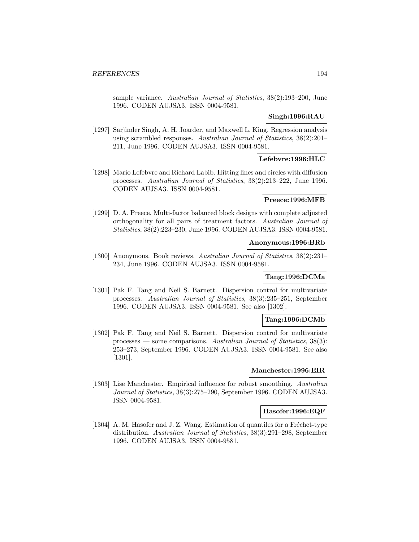sample variance. Australian Journal of Statistics, 38(2):193–200, June 1996. CODEN AUJSA3. ISSN 0004-9581.

# **Singh:1996:RAU**

[1297] Sarjinder Singh, A. H. Joarder, and Maxwell L. King. Regression analysis using scrambled responses. Australian Journal of Statistics, 38(2):201– 211, June 1996. CODEN AUJSA3. ISSN 0004-9581.

# **Lefebvre:1996:HLC**

[1298] Mario Lefebvre and Richard Labib. Hitting lines and circles with diffusion processes. Australian Journal of Statistics, 38(2):213–222, June 1996. CODEN AUJSA3. ISSN 0004-9581.

## **Preece:1996:MFB**

[1299] D. A. Preece. Multi-factor balanced block designs with complete adjusted orthogonality for all pairs of treatment factors. Australian Journal of Statistics, 38(2):223–230, June 1996. CODEN AUJSA3. ISSN 0004-9581.

#### **Anonymous:1996:BRb**

[1300] Anonymous. Book reviews. Australian Journal of Statistics, 38(2):231– 234, June 1996. CODEN AUJSA3. ISSN 0004-9581.

# **Tang:1996:DCMa**

[1301] Pak F. Tang and Neil S. Barnett. Dispersion control for multivariate processes. Australian Journal of Statistics, 38(3):235–251, September 1996. CODEN AUJSA3. ISSN 0004-9581. See also [1302].

## **Tang:1996:DCMb**

[1302] Pak F. Tang and Neil S. Barnett. Dispersion control for multivariate processes — some comparisons. Australian Journal of Statistics, 38(3): 253–273, September 1996. CODEN AUJSA3. ISSN 0004-9581. See also [1301].

#### **Manchester:1996:EIR**

[1303] Lise Manchester. Empirical influence for robust smoothing. Australian Journal of Statistics, 38(3):275–290, September 1996. CODEN AUJSA3. ISSN 0004-9581.

#### **Hasofer:1996:EQF**

[1304] A. M. Hasofer and J. Z. Wang. Estimation of quantiles for a Fréchet-type distribution. Australian Journal of Statistics, 38(3):291–298, September 1996. CODEN AUJSA3. ISSN 0004-9581.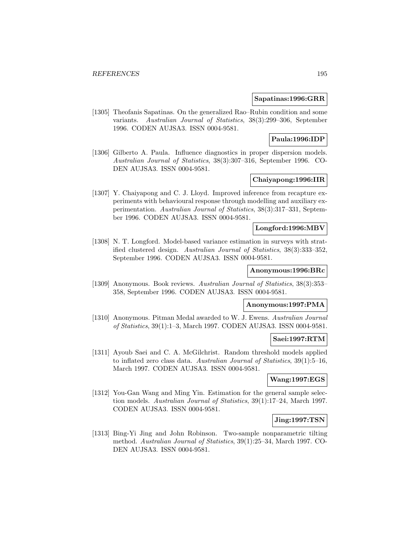#### **Sapatinas:1996:GRR**

[1305] Theofanis Sapatinas. On the generalized Rao–Rubin condition and some variants. Australian Journal of Statistics, 38(3):299–306, September 1996. CODEN AUJSA3. ISSN 0004-9581.

## **Paula:1996:IDP**

[1306] Gilberto A. Paula. Influence diagnostics in proper dispersion models. Australian Journal of Statistics, 38(3):307–316, September 1996. CO-DEN AUJSA3. ISSN 0004-9581.

# **Chaiyapong:1996:IIR**

[1307] Y. Chaiyapong and C. J. Lloyd. Improved inference from recapture experiments with behavioural response through modelling and auxiliary experimentation. Australian Journal of Statistics, 38(3):317–331, September 1996. CODEN AUJSA3. ISSN 0004-9581.

# **Longford:1996:MBV**

[1308] N. T. Longford. Model-based variance estimation in surveys with stratified clustered design. Australian Journal of Statistics, 38(3):333–352, September 1996. CODEN AUJSA3. ISSN 0004-9581.

# **Anonymous:1996:BRc**

[1309] Anonymous. Book reviews. Australian Journal of Statistics, 38(3):353– 358, September 1996. CODEN AUJSA3. ISSN 0004-9581.

# **Anonymous:1997:PMA**

[1310] Anonymous. Pitman Medal awarded to W. J. Ewens. Australian Journal of Statistics, 39(1):1–3, March 1997. CODEN AUJSA3. ISSN 0004-9581.

### **Saei:1997:RTM**

[1311] Ayoub Saei and C. A. McGilchrist. Random threshold models applied to inflated zero class data. Australian Journal of Statistics, 39(1):5–16, March 1997. CODEN AUJSA3. ISSN 0004-9581.

# **Wang:1997:EGS**

[1312] You-Gan Wang and Ming Yin. Estimation for the general sample selection models. Australian Journal of Statistics, 39(1):17–24, March 1997. CODEN AUJSA3. ISSN 0004-9581.

## **Jing:1997:TSN**

[1313] Bing-Yi Jing and John Robinson. Two-sample nonparametric tilting method. Australian Journal of Statistics, 39(1):25–34, March 1997. CO-DEN AUJSA3. ISSN 0004-9581.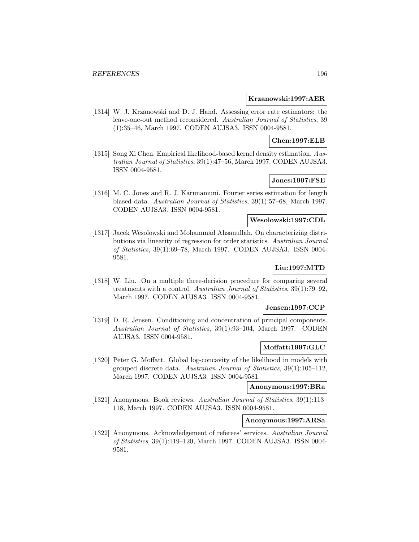#### **Krzanowski:1997:AER**

[1314] W. J. Krzanowski and D. J. Hand. Assessing error rate estimators: the leave-one-out method reconsidered. Australian Journal of Statistics, 39 (1):35–46, March 1997. CODEN AUJSA3. ISSN 0004-9581.

#### **Chen:1997:ELB**

[1315] Song Xi Chen. Empirical likelihood-based kernel density estimation. Australian Journal of Statistics, 39(1):47–56, March 1997. CODEN AUJSA3. ISSN 0004-9581.

# **Jones:1997:FSE**

[1316] M. C. Jones and R. J. Karunamuni. Fourier series estimation for length biased data. Australian Journal of Statistics, 39(1):57–68, March 1997. CODEN AUJSA3. ISSN 0004-9581.

#### **Wesolowski:1997:CDL**

[1317] Jacek Wesolowski and Mohammad Ahsanullah. On characterizing distributions via linearity of regression for order statistics. Australian Journal of Statistics, 39(1):69–78, March 1997. CODEN AUJSA3. ISSN 0004- 9581.

# **Liu:1997:MTD**

[1318] W. Liu. On a multiple three-decision procedure for comparing several treatments with a control. Australian Journal of Statistics, 39(1):79–92, March 1997. CODEN AUJSA3. ISSN 0004-9581.

# **Jensen:1997:CCP**

[1319] D. R. Jensen. Conditioning and concentration of principal components. Australian Journal of Statistics, 39(1):93–104, March 1997. CODEN AUJSA3. ISSN 0004-9581.

### **Moffatt:1997:GLC**

[1320] Peter G. Moffatt. Global log-concavity of the likelihood in models with grouped discrete data. Australian Journal of Statistics, 39(1):105–112, March 1997. CODEN AUJSA3. ISSN 0004-9581.

# **Anonymous:1997:BRa**

[1321] Anonymous. Book reviews. Australian Journal of Statistics, 39(1):113-118, March 1997. CODEN AUJSA3. ISSN 0004-9581.

#### **Anonymous:1997:ARSa**

[1322] Anonymous. Acknowledgement of referees' services. Australian Journal of Statistics, 39(1):119–120, March 1997. CODEN AUJSA3. ISSN 0004- 9581.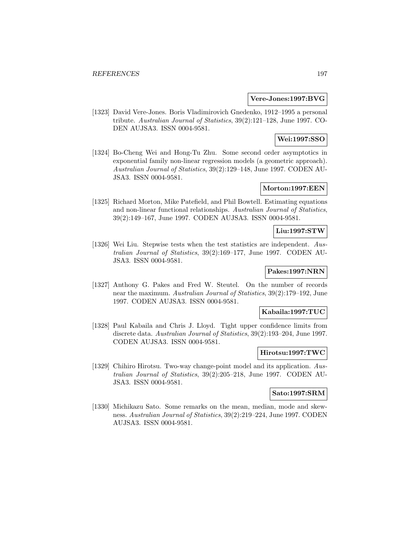#### **Vere-Jones:1997:BVG**

[1323] David Vere-Jones. Boris Vladimirovich Gnedenko, 1912–1995 a personal tribute. Australian Journal of Statistics, 39(2):121–128, June 1997. CO-DEN AUJSA3. ISSN 0004-9581.

# **Wei:1997:SSO**

[1324] Bo-Cheng Wei and Hong-Tu Zhu. Some second order asymptotics in exponential family non-linear regression models (a geometric approach). Australian Journal of Statistics, 39(2):129–148, June 1997. CODEN AU-JSA3. ISSN 0004-9581.

### **Morton:1997:EEN**

[1325] Richard Morton, Mike Patefield, and Phil Bowtell. Estimating equations and non-linear functional relationships. Australian Journal of Statistics, 39(2):149–167, June 1997. CODEN AUJSA3. ISSN 0004-9581.

#### **Liu:1997:STW**

[1326] Wei Liu. Stepwise tests when the test statistics are independent. Australian Journal of Statistics, 39(2):169–177, June 1997. CODEN AU-JSA3. ISSN 0004-9581.

# **Pakes:1997:NRN**

[1327] Anthony G. Pakes and Fred W. Steutel. On the number of records near the maximum. Australian Journal of Statistics, 39(2):179–192, June 1997. CODEN AUJSA3. ISSN 0004-9581.

# **Kabaila:1997:TUC**

[1328] Paul Kabaila and Chris J. Lloyd. Tight upper confidence limits from discrete data. Australian Journal of Statistics, 39(2):193–204, June 1997. CODEN AUJSA3. ISSN 0004-9581.

#### **Hirotsu:1997:TWC**

[1329] Chihiro Hirotsu. Two-way change-point model and its application. Australian Journal of Statistics, 39(2):205–218, June 1997. CODEN AU-JSA3. ISSN 0004-9581.

#### **Sato:1997:SRM**

[1330] Michikazu Sato. Some remarks on the mean, median, mode and skewness. Australian Journal of Statistics, 39(2):219–224, June 1997. CODEN AUJSA3. ISSN 0004-9581.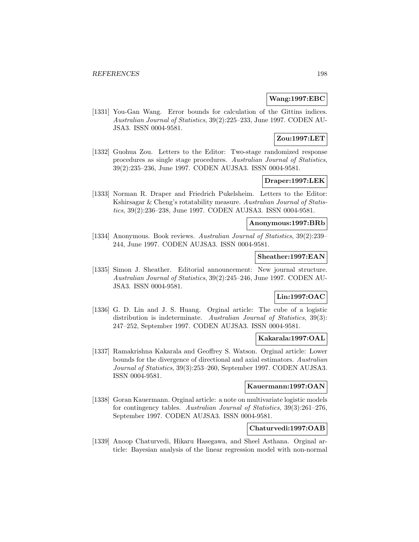### **Wang:1997:EBC**

[1331] You-Gan Wang. Error bounds for calculation of the Gittins indices. Australian Journal of Statistics, 39(2):225–233, June 1997. CODEN AU-JSA3. ISSN 0004-9581.

# **Zou:1997:LET**

[1332] Guohua Zou. Letters to the Editor: Two-stage randomized response procedures as single stage procedures. Australian Journal of Statistics, 39(2):235–236, June 1997. CODEN AUJSA3. ISSN 0004-9581.

# **Draper:1997:LEK**

[1333] Norman R. Draper and Friedrich Pukelsheim. Letters to the Editor: Kshirsagar & Cheng's rotatability measure. Australian Journal of Statistics, 39(2):236–238, June 1997. CODEN AUJSA3. ISSN 0004-9581.

#### **Anonymous:1997:BRb**

[1334] Anonymous. Book reviews. Australian Journal of Statistics, 39(2):239– 244, June 1997. CODEN AUJSA3. ISSN 0004-9581.

#### **Sheather:1997:EAN**

[1335] Simon J. Sheather. Editorial announcement: New journal structure. Australian Journal of Statistics, 39(2):245–246, June 1997. CODEN AU-JSA3. ISSN 0004-9581.

# **Lin:1997:OAC**

[1336] G. D. Lin and J. S. Huang. Orginal article: The cube of a logistic distribution is indeterminate. Australian Journal of Statistics, 39(3): 247–252, September 1997. CODEN AUJSA3. ISSN 0004-9581.

# **Kakarala:1997:OAL**

[1337] Ramakrishna Kakarala and Geoffrey S. Watson. Orginal article: Lower bounds for the divergence of directional and axial estimators. Australian Journal of Statistics, 39(3):253–260, September 1997. CODEN AUJSA3. ISSN 0004-9581.

#### **Kauermann:1997:OAN**

[1338] Goran Kauermann. Orginal article: a note on multivariate logistic models for contingency tables. Australian Journal of Statistics, 39(3):261–276, September 1997. CODEN AUJSA3. ISSN 0004-9581.

# **Chaturvedi:1997:OAB**

[1339] Anoop Chaturvedi, Hikaru Hasegawa, and Sheel Asthana. Orginal article: Bayesian analysis of the linear regression model with non-normal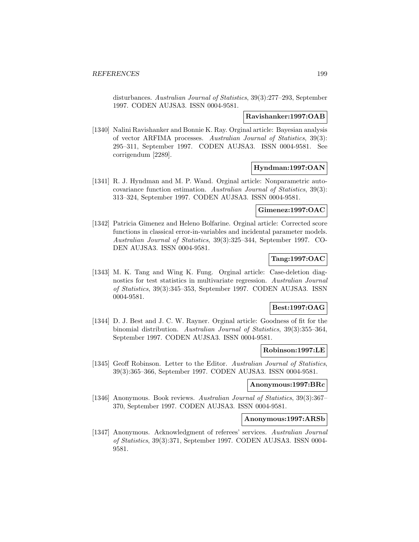disturbances. Australian Journal of Statistics, 39(3):277–293, September 1997. CODEN AUJSA3. ISSN 0004-9581.

### **Ravishanker:1997:OAB**

[1340] Nalini Ravishanker and Bonnie K. Ray. Orginal article: Bayesian analysis of vector ARFIMA processes. Australian Journal of Statistics, 39(3): 295–311, September 1997. CODEN AUJSA3. ISSN 0004-9581. See corrigendum [2289].

### **Hyndman:1997:OAN**

[1341] R. J. Hyndman and M. P. Wand. Orginal article: Nonparametric autocovariance function estimation. Australian Journal of Statistics, 39(3): 313–324, September 1997. CODEN AUJSA3. ISSN 0004-9581.

# **Gimenez:1997:OAC**

[1342] Patricia Gimenez and Heleno Bolfarine. Orginal article: Corrected score functions in classical error-in-variables and incidental parameter models. Australian Journal of Statistics, 39(3):325–344, September 1997. CO-DEN AUJSA3. ISSN 0004-9581.

# **Tang:1997:OAC**

[1343] M. K. Tang and Wing K. Fung. Orginal article: Case-deletion diagnostics for test statistics in multivariate regression. Australian Journal of Statistics, 39(3):345–353, September 1997. CODEN AUJSA3. ISSN 0004-9581.

### **Best:1997:OAG**

[1344] D. J. Best and J. C. W. Rayner. Orginal article: Goodness of fit for the binomial distribution. Australian Journal of Statistics, 39(3):355–364, September 1997. CODEN AUJSA3. ISSN 0004-9581.

### **Robinson:1997:LE**

[1345] Geoff Robinson. Letter to the Editor. Australian Journal of Statistics, 39(3):365–366, September 1997. CODEN AUJSA3. ISSN 0004-9581.

# **Anonymous:1997:BRc**

[1346] Anonymous. Book reviews. Australian Journal of Statistics, 39(3):367– 370, September 1997. CODEN AUJSA3. ISSN 0004-9581.

# **Anonymous:1997:ARSb**

[1347] Anonymous. Acknowledgment of referees' services. Australian Journal of Statistics, 39(3):371, September 1997. CODEN AUJSA3. ISSN 0004- 9581.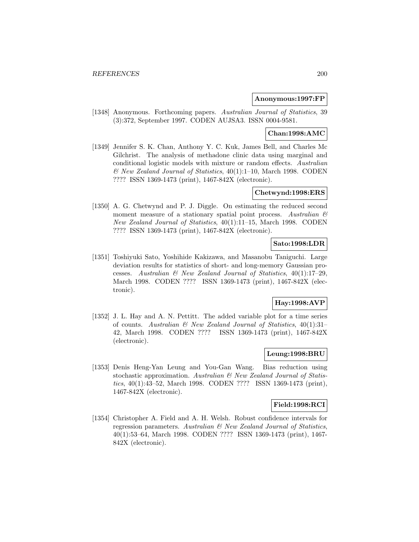#### **Anonymous:1997:FP**

[1348] Anonymous. Forthcoming papers. Australian Journal of Statistics, 39 (3):372, September 1997. CODEN AUJSA3. ISSN 0004-9581.

# **Chan:1998:AMC**

[1349] Jennifer S. K. Chan, Anthony Y. C. Kuk, James Bell, and Charles Mc Gilchrist. The analysis of methadone clinic data using marginal and conditional logistic models with mixture or random effects. Australian  $\mathscr$  New Zealand Journal of Statistics, 40(1):1–10, March 1998. CODEN ???? ISSN 1369-1473 (print), 1467-842X (electronic).

#### **Chetwynd:1998:ERS**

[1350] A. G. Chetwynd and P. J. Diggle. On estimating the reduced second moment measure of a stationary spatial point process. Australian  $\mathcal C$ New Zealand Journal of Statistics, 40(1):11–15, March 1998. CODEN ???? ISSN 1369-1473 (print), 1467-842X (electronic).

## **Sato:1998:LDR**

[1351] Toshiyuki Sato, Yoshihide Kakizawa, and Masanobu Taniguchi. Large deviation results for statistics of short- and long-memory Gaussian processes. Australian  $\mathcal B$  New Zealand Journal of Statistics, 40(1):17-29, March 1998. CODEN ???? ISSN 1369-1473 (print), 1467-842X (electronic).

# **Hay:1998:AVP**

[1352] J. L. Hay and A. N. Pettitt. The added variable plot for a time series of counts. Australian  $\mathcal{B}$  New Zealand Journal of Statistics, 40(1):31-42, March 1998. CODEN ???? ISSN 1369-1473 (print), 1467-842X (electronic).

## **Leung:1998:BRU**

[1353] Denis Heng-Yan Leung and You-Gan Wang. Bias reduction using stochastic approximation. Australian & New Zealand Journal of Statistics, 40(1):43–52, March 1998. CODEN ???? ISSN 1369-1473 (print), 1467-842X (electronic).

#### **Field:1998:RCI**

[1354] Christopher A. Field and A. H. Welsh. Robust confidence intervals for regression parameters. Australian & New Zealand Journal of Statistics, 40(1):53–64, March 1998. CODEN ???? ISSN 1369-1473 (print), 1467- 842X (electronic).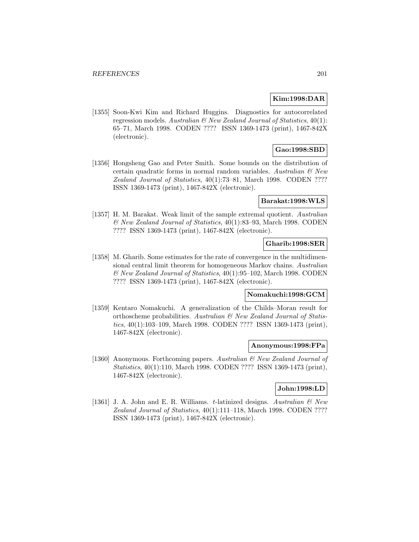#### **Kim:1998:DAR**

[1355] Soon-Kwi Kim and Richard Huggins. Diagnostics for autocorrelated regression models. Australian  $\mathcal B$  New Zealand Journal of Statistics, 40(1): 65–71, March 1998. CODEN ???? ISSN 1369-1473 (print), 1467-842X (electronic).

# **Gao:1998:SBD**

[1356] Hongsheng Gao and Peter Smith. Some bounds on the distribution of certain quadratic forms in normal random variables. Australian  $\mathcal{C}$  New Zealand Journal of Statistics, 40(1):73–81, March 1998. CODEN ???? ISSN 1369-1473 (print), 1467-842X (electronic).

#### **Barakat:1998:WLS**

[1357] H. M. Barakat. Weak limit of the sample extremal quotient. Australian & New Zealand Journal of Statistics, 40(1):83–93, March 1998. CODEN ???? ISSN 1369-1473 (print), 1467-842X (electronic).

# **Gharib:1998:SER**

[1358] M. Gharib. Some estimates for the rate of convergence in the multidimensional central limit theorem for homogeneous Markov chains. Australian & New Zealand Journal of Statistics, 40(1):95–102, March 1998. CODEN ???? ISSN 1369-1473 (print), 1467-842X (electronic).

# **Nomakuchi:1998:GCM**

[1359] Kentaro Nomakuchi. A generalization of the Childs–Moran result for orthoscheme probabilities. Australian & New Zealand Journal of Statistics, 40(1):103–109, March 1998. CODEN ???? ISSN 1369-1473 (print), 1467-842X (electronic).

#### **Anonymous:1998:FPa**

[1360] Anonymous. Forthcoming papers. Australian & New Zealand Journal of Statistics, 40(1):110, March 1998. CODEN ???? ISSN 1369-1473 (print), 1467-842X (electronic).

## **John:1998:LD**

[1361] J. A. John and E. R. Williams. t-latinized designs. Australian  $\mathcal{B}$  New Zealand Journal of Statistics, 40(1):111–118, March 1998. CODEN ???? ISSN 1369-1473 (print), 1467-842X (electronic).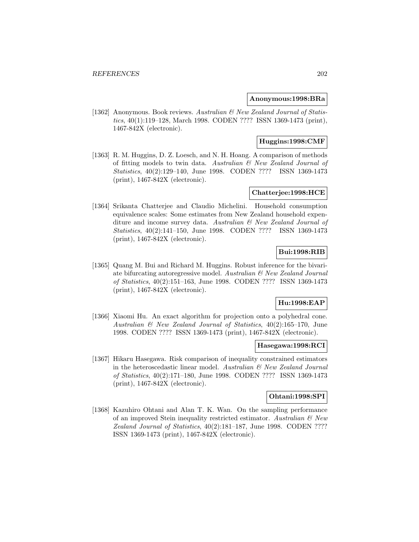### **Anonymous:1998:BRa**

[1362] Anonymous. Book reviews. Australian & New Zealand Journal of Statistics, 40(1):119–128, March 1998. CODEN ???? ISSN 1369-1473 (print), 1467-842X (electronic).

# **Huggins:1998:CMF**

[1363] R. M. Huggins, D. Z. Loesch, and N. H. Hoang. A comparison of methods of fitting models to twin data. Australian & New Zealand Journal of Statistics, 40(2):129–140, June 1998. CODEN ???? ISSN 1369-1473 (print), 1467-842X (electronic).

### **Chatterjee:1998:HCE**

[1364] Srikanta Chatterjee and Claudio Michelini. Household consumption equivalence scales: Some estimates from New Zealand household expenditure and income survey data. Australian & New Zealand Journal of Statistics, 40(2):141–150, June 1998. CODEN ???? ISSN 1369-1473 (print), 1467-842X (electronic).

# **Bui:1998:RIB**

[1365] Quang M. Bui and Richard M. Huggins. Robust inference for the bivariate bifurcating autoregressive model. Australian & New Zealand Journal of Statistics, 40(2):151–163, June 1998. CODEN ???? ISSN 1369-1473 (print), 1467-842X (electronic).

### **Hu:1998:EAP**

[1366] Xiaomi Hu. An exact algorithm for projection onto a polyhedral cone. Australian & New Zealand Journal of Statistics, 40(2):165–170, June 1998. CODEN ???? ISSN 1369-1473 (print), 1467-842X (electronic).

#### **Hasegawa:1998:RCI**

[1367] Hikaru Hasegawa. Risk comparison of inequality constrained estimators in the heteroscedastic linear model. Australian  $\mathcal B$  New Zealand Journal of Statistics, 40(2):171–180, June 1998. CODEN ???? ISSN 1369-1473 (print), 1467-842X (electronic).

## **Ohtani:1998:SPI**

[1368] Kazuhiro Ohtani and Alan T. K. Wan. On the sampling performance of an improved Stein inequality restricted estimator. Australian & New Zealand Journal of Statistics, 40(2):181–187, June 1998. CODEN ???? ISSN 1369-1473 (print), 1467-842X (electronic).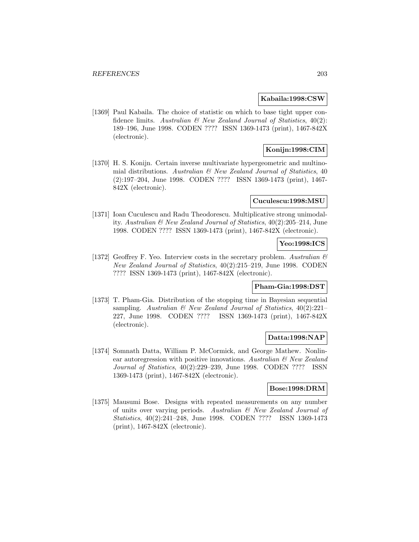#### **Kabaila:1998:CSW**

[1369] Paul Kabaila. The choice of statistic on which to base tight upper confidence limits. Australian  $\mathcal{B}$  New Zealand Journal of Statistics, 40(2): 189–196, June 1998. CODEN ???? ISSN 1369-1473 (print), 1467-842X (electronic).

# **Konijn:1998:CIM**

[1370] H. S. Konijn. Certain inverse multivariate hypergeometric and multinomial distributions. Australian  $\mathcal B$  New Zealand Journal of Statistics, 40 (2):197–204, June 1998. CODEN ???? ISSN 1369-1473 (print), 1467- 842X (electronic).

# **Cuculescu:1998:MSU**

[1371] Ioan Cuculescu and Radu Theodorescu. Multiplicative strong unimodality. Australian & New Zealand Journal of Statistics, 40(2):205–214, June 1998. CODEN ???? ISSN 1369-1473 (print), 1467-842X (electronic).

### **Yeo:1998:ICS**

[1372] Geoffrey F. Yeo. Interview costs in the secretary problem. Australian  $\mathcal{B}$ New Zealand Journal of Statistics, 40(2):215–219, June 1998. CODEN ???? ISSN 1369-1473 (print), 1467-842X (electronic).

#### **Pham-Gia:1998:DST**

[1373] T. Pham-Gia. Distribution of the stopping time in Bayesian sequential sampling. Australian  $\mathcal C$  New Zealand Journal of Statistics, 40(2):221-227, June 1998. CODEN ???? ISSN 1369-1473 (print), 1467-842X (electronic).

#### **Datta:1998:NAP**

[1374] Somnath Datta, William P. McCormick, and George Mathew. Nonlinear autoregression with positive innovations. Australian  $\mathcal{C}'$  New Zealand Journal of Statistics, 40(2):229–239, June 1998. CODEN ???? ISSN 1369-1473 (print), 1467-842X (electronic).

## **Bose:1998:DRM**

[1375] Mausumi Bose. Designs with repeated measurements on any number of units over varying periods. Australian & New Zealand Journal of Statistics, 40(2):241–248, June 1998. CODEN ???? ISSN 1369-1473 (print), 1467-842X (electronic).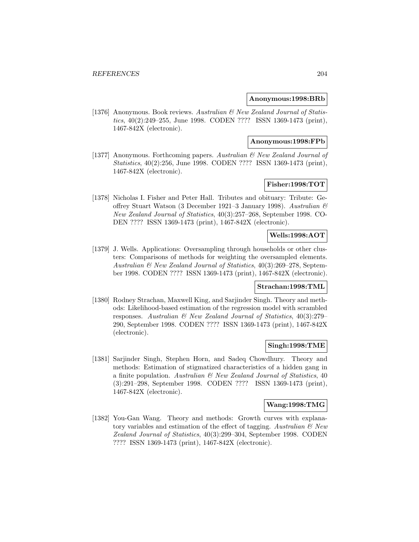#### **Anonymous:1998:BRb**

[1376] Anonymous. Book reviews. Australian & New Zealand Journal of Statistics, 40(2):249–255, June 1998. CODEN ???? ISSN 1369-1473 (print), 1467-842X (electronic).

#### **Anonymous:1998:FPb**

[1377] Anonymous. Forthcoming papers. Australian & New Zealand Journal of Statistics, 40(2):256, June 1998. CODEN ???? ISSN 1369-1473 (print), 1467-842X (electronic).

# **Fisher:1998:TOT**

[1378] Nicholas I. Fisher and Peter Hall. Tributes and obituary: Tribute: Geoffrey Stuart Watson (3 December 1921–3 January 1998). Australian & New Zealand Journal of Statistics, 40(3):257–268, September 1998. CO-DEN ???? ISSN 1369-1473 (print), 1467-842X (electronic).

# **Wells:1998:AOT**

[1379] J. Wells. Applications: Oversampling through households or other clusters: Comparisons of methods for weighting the oversampled elements. Australian  $\mathcal{B}$  New Zealand Journal of Statistics, 40(3):269–278, September 1998. CODEN ???? ISSN 1369-1473 (print), 1467-842X (electronic).

#### **Strachan:1998:TML**

[1380] Rodney Strachan, Maxwell King, and Sarjinder Singh. Theory and methods: Likelihood-based estimation of the regression model with scrambled responses. Australian & New Zealand Journal of Statistics, 40(3):279– 290, September 1998. CODEN ???? ISSN 1369-1473 (print), 1467-842X (electronic).

#### **Singh:1998:TME**

[1381] Sarjinder Singh, Stephen Horn, and Sadeq Chowdhury. Theory and methods: Estimation of stigmatized characteristics of a hidden gang in a finite population. Australian & New Zealand Journal of Statistics, 40 (3):291–298, September 1998. CODEN ???? ISSN 1369-1473 (print), 1467-842X (electronic).

#### **Wang:1998:TMG**

[1382] You-Gan Wang. Theory and methods: Growth curves with explanatory variables and estimation of the effect of tagging. Australian  $\mathcal{C}$  New Zealand Journal of Statistics, 40(3):299–304, September 1998. CODEN ???? ISSN 1369-1473 (print), 1467-842X (electronic).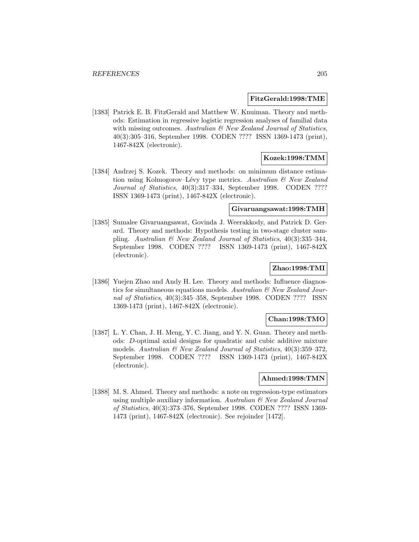#### **FitzGerald:1998:TME**

[1383] Patrick E. B. FitzGerald and Matthew W. Knuiman. Theory and methods: Estimation in regressive logistic regression analyses of familial data with missing outcomes. Australian  $\mathcal{B}$  New Zealand Journal of Statistics, 40(3):305–316, September 1998. CODEN ???? ISSN 1369-1473 (print), 1467-842X (electronic).

### **Kozek:1998:TMM**

[1384] Andrzej S. Kozek. Theory and methods: on minimum distance estimation using Kolmogorov–Lévy type metrics. Australian  $\mathcal B$  New Zealand Journal of Statistics, 40(3):317-334, September 1998. CODEN ???? ISSN 1369-1473 (print), 1467-842X (electronic).

#### **Givaruangsawat:1998:TMH**

[1385] Sumalee Givaruangsawat, Govinda J. Weerakkody, and Patrick D. Gerard. Theory and methods: Hypothesis testing in two-stage cluster sampling. Australian & New Zealand Journal of Statistics, 40(3):335–344, September 1998. CODEN ???? ISSN 1369-1473 (print), 1467-842X (electronic).

#### **Zhao:1998:TMI**

[1386] Yuejen Zhao and Andy H. Lee. Theory and methods: Influence diagnostics for simultaneous equations models. Australian  $\mathcal{B}$  New Zealand Journal of Statistics, 40(3):345–358, September 1998. CODEN ???? ISSN 1369-1473 (print), 1467-842X (electronic).

# **Chan:1998:TMO**

[1387] L. Y. Chan, J. H. Meng, Y. C. Jiang, and Y. N. Guan. Theory and methods: D-optimal axial designs for quadratic and cubic additive mixture models. Australian & New Zealand Journal of Statistics, 40(3):359–372, September 1998. CODEN ???? ISSN 1369-1473 (print), 1467-842X (electronic).

#### **Ahmed:1998:TMN**

[1388] M. S. Ahmed. Theory and methods: a note on regression-type estimators using multiple auxiliary information. Australian  $\mathcal{C}$  New Zealand Journal of Statistics, 40(3):373–376, September 1998. CODEN ???? ISSN 1369- 1473 (print), 1467-842X (electronic). See rejoinder [1472].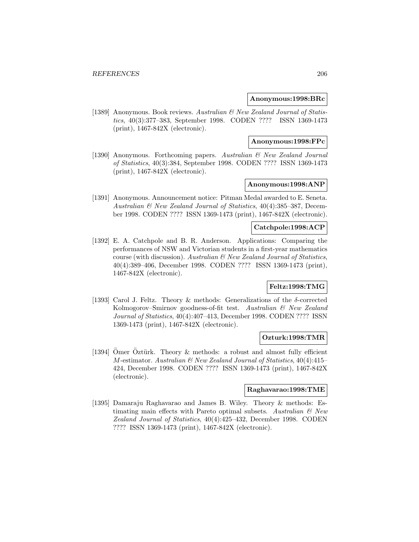#### **Anonymous:1998:BRc**

[1389] Anonymous. Book reviews. Australian & New Zealand Journal of Statistics, 40(3):377–383, September 1998. CODEN ???? ISSN 1369-1473 (print), 1467-842X (electronic).

#### **Anonymous:1998:FPc**

[1390] Anonymous. Forthcoming papers. Australian & New Zealand Journal of Statistics, 40(3):384, September 1998. CODEN ???? ISSN 1369-1473 (print), 1467-842X (electronic).

## **Anonymous:1998:ANP**

[1391] Anonymous. Announcement notice: Pitman Medal awarded to E. Seneta. Australian & New Zealand Journal of Statistics, 40(4):385–387, December 1998. CODEN ???? ISSN 1369-1473 (print), 1467-842X (electronic).

### **Catchpole:1998:ACP**

[1392] E. A. Catchpole and B. R. Anderson. Applications: Comparing the performances of NSW and Victorian students in a first-year mathematics course (with discussion). Australian & New Zealand Journal of Statistics, 40(4):389–406, December 1998. CODEN ???? ISSN 1369-1473 (print), 1467-842X (electronic).

# **Feltz:1998:TMG**

[1393] Carol J. Feltz. Theory & methods: Generalizations of the δ-corrected Kolmogorov–Smirnov goodness-of-fit test. Australian & New Zealand Journal of Statistics, 40(4):407–413, December 1998. CODEN ???? ISSN 1369-1473 (print), 1467-842X (electronic).

#### **Ozturk:1998:TMR**

[1394] Omer Oztürk. Theory  $&$  methods: a robust and almost fully efficient  $M$ -estimator. Australian  $\mathcal B$  New Zealand Journal of Statistics, 40(4):415– 424, December 1998. CODEN ???? ISSN 1369-1473 (print), 1467-842X (electronic).

#### **Raghavarao:1998:TME**

[1395] Damaraju Raghavarao and James B. Wiley. Theory & methods: Estimating main effects with Pareto optimal subsets. Australian  $\mathcal{C}$  New Zealand Journal of Statistics, 40(4):425–432, December 1998. CODEN ???? ISSN 1369-1473 (print), 1467-842X (electronic).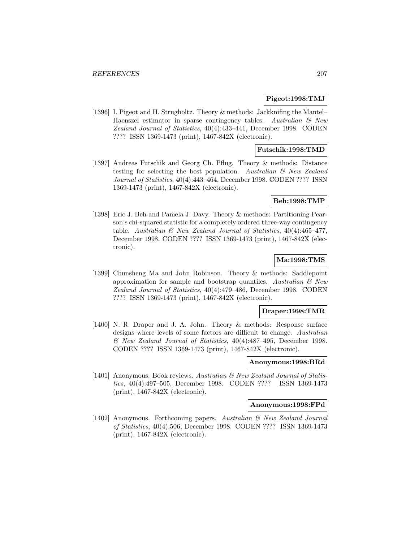#### **Pigeot:1998:TMJ**

[1396] I. Pigeot and H. Strugholtz. Theory & methods: Jackknifing the Mantel– Haenszel estimator in sparse contingency tables. Australian  $\mathcal{B}$  New Zealand Journal of Statistics, 40(4):433–441, December 1998. CODEN ???? ISSN 1369-1473 (print), 1467-842X (electronic).

## **Futschik:1998:TMD**

[1397] Andreas Futschik and Georg Ch. Pflug. Theory & methods: Distance testing for selecting the best population. Australian  $\mathcal{B}$  New Zealand Journal of Statistics, 40(4):443–464, December 1998. CODEN ???? ISSN 1369-1473 (print), 1467-842X (electronic).

### **Beh:1998:TMP**

[1398] Eric J. Beh and Pamela J. Davy. Theory & methods: Partitioning Pearson's chi-squared statistic for a completely ordered three-way contingency table. Australian  $\mathcal{B}$  New Zealand Journal of Statistics, 40(4):465-477, December 1998. CODEN ???? ISSN 1369-1473 (print), 1467-842X (electronic).

# **Ma:1998:TMS**

[1399] Chunsheng Ma and John Robinson. Theory & methods: Saddlepoint approximation for sample and bootstrap quantiles. Australian  $\mathcal{B}$  New Zealand Journal of Statistics, 40(4):479–486, December 1998. CODEN ???? ISSN 1369-1473 (print), 1467-842X (electronic).

## **Draper:1998:TMR**

[1400] N. R. Draper and J. A. John. Theory & methods: Response surface designs where levels of some factors are difficult to change. Australian & New Zealand Journal of Statistics, 40(4):487–495, December 1998. CODEN ???? ISSN 1369-1473 (print), 1467-842X (electronic).

## **Anonymous:1998:BRd**

[1401] Anonymous. Book reviews. Australian & New Zealand Journal of Statistics, 40(4):497–505, December 1998. CODEN ???? ISSN 1369-1473 (print), 1467-842X (electronic).

#### **Anonymous:1998:FPd**

[1402] Anonymous. Forthcoming papers. Australian & New Zealand Journal of Statistics, 40(4):506, December 1998. CODEN ???? ISSN 1369-1473 (print), 1467-842X (electronic).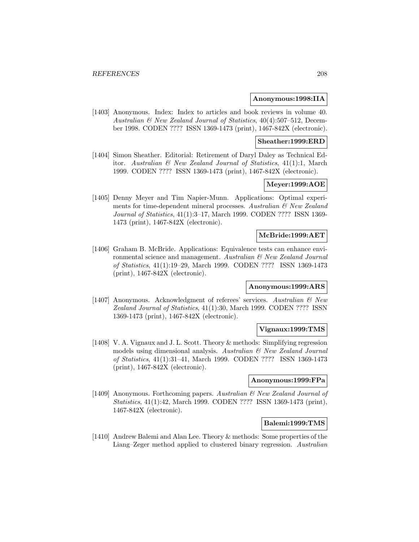#### **Anonymous:1998:IIA**

[1403] Anonymous. Index: Index to articles and book reviews in volume 40. Australian & New Zealand Journal of Statistics, 40(4):507–512, December 1998. CODEN ???? ISSN 1369-1473 (print), 1467-842X (electronic).

#### **Sheather:1999:ERD**

[1404] Simon Sheather. Editorial: Retirement of Daryl Daley as Technical Editor. Australian & New Zealand Journal of Statistics, 41(1):1, March 1999. CODEN ???? ISSN 1369-1473 (print), 1467-842X (electronic).

# **Meyer:1999:AOE**

[1405] Denny Meyer and Tim Napier-Munn. Applications: Optimal experiments for time-dependent mineral processes. Australian & New Zealand Journal of Statistics, 41(1):3–17, March 1999. CODEN ???? ISSN 1369- 1473 (print), 1467-842X (electronic).

# **McBride:1999:AET**

[1406] Graham B. McBride. Applications: Equivalence tests can enhance environmental science and management. Australian & New Zealand Journal of Statistics, 41(1):19–29, March 1999. CODEN ???? ISSN 1369-1473 (print), 1467-842X (electronic).

#### **Anonymous:1999:ARS**

[1407] Anonymous. Acknowledgment of referees' services. Australian & New Zealand Journal of Statistics, 41(1):30, March 1999. CODEN ???? ISSN 1369-1473 (print), 1467-842X (electronic).

#### **Vignaux:1999:TMS**

[1408] V. A. Vignaux and J. L. Scott. Theory & methods: Simplifying regression models using dimensional analysis. Australian & New Zealand Journal of Statistics, 41(1):31–41, March 1999. CODEN ???? ISSN 1369-1473 (print), 1467-842X (electronic).

#### **Anonymous:1999:FPa**

[1409] Anonymous. Forthcoming papers. Australian & New Zealand Journal of Statistics, 41(1):42, March 1999. CODEN ???? ISSN 1369-1473 (print), 1467-842X (electronic).

#### **Balemi:1999:TMS**

[1410] Andrew Balemi and Alan Lee. Theory & methods: Some properties of the Liang–Zeger method applied to clustered binary regression. Australian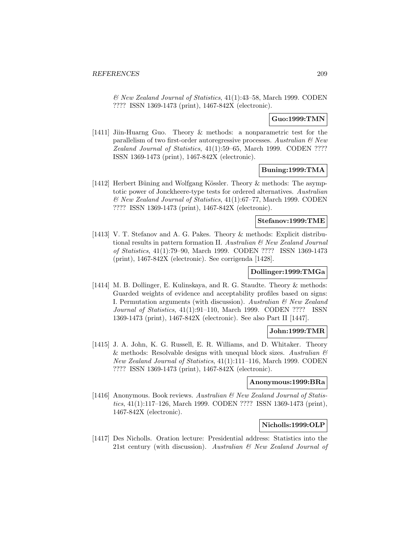& New Zealand Journal of Statistics, 41(1):43–58, March 1999. CODEN ???? ISSN 1369-1473 (print), 1467-842X (electronic).

## **Guo:1999:TMN**

[1411] Jiin-Huarng Guo. Theory & methods: a nonparametric test for the parallelism of two first-order autoregressive processes. Australian  $\mathcal{B}$  New Zealand Journal of Statistics, 41(1):59–65, March 1999. CODEN ???? ISSN 1369-1473 (print), 1467-842X (electronic).

## **Buning:1999:TMA**

[1412] Herbert Büning and Wolfgang Kössler. Theory  $\&$  methods: The asymptotic power of Jonckheere-type tests for ordered alternatives. Australian & New Zealand Journal of Statistics, 41(1):67–77, March 1999. CODEN ???? ISSN 1369-1473 (print), 1467-842X (electronic).

# **Stefanov:1999:TME**

[1413] V. T. Stefanov and A. G. Pakes. Theory & methods: Explicit distributional results in pattern formation II. Australian & New Zealand Journal of Statistics, 41(1):79–90, March 1999. CODEN ???? ISSN 1369-1473 (print), 1467-842X (electronic). See corrigenda [1428].

# **Dollinger:1999:TMGa**

[1414] M. B. Dollinger, E. Kulinskaya, and R. G. Staudte. Theory & methods: Guarded weights of evidence and acceptability profiles based on signs: I. Permutation arguments (with discussion). Australian & New Zealand Journal of Statistics, 41(1):91–110, March 1999. CODEN ???? ISSN 1369-1473 (print), 1467-842X (electronic). See also Part II [1447].

### **John:1999:TMR**

[1415] J. A. John, K. G. Russell, E. R. Williams, and D. Whitaker. Theory & methods: Resolvable designs with unequal block sizes. Australian  $\mathcal C$ New Zealand Journal of Statistics, 41(1):111–116, March 1999. CODEN ???? ISSN 1369-1473 (print), 1467-842X (electronic).

#### **Anonymous:1999:BRa**

[1416] Anonymous. Book reviews. Australian & New Zealand Journal of Statistics, 41(1):117–126, March 1999. CODEN ???? ISSN 1369-1473 (print), 1467-842X (electronic).

### **Nicholls:1999:OLP**

[1417] Des Nicholls. Oration lecture: Presidential address: Statistics into the 21st century (with discussion). Australian & New Zealand Journal of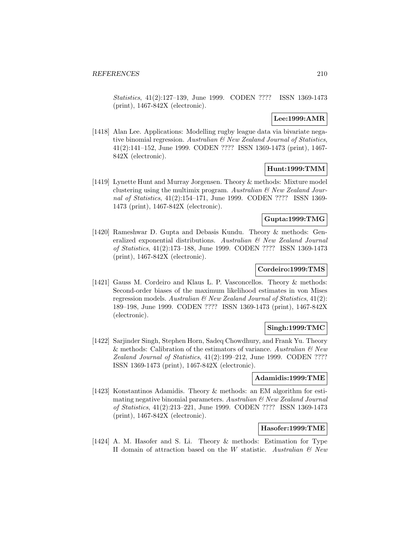Statistics, 41(2):127–139, June 1999. CODEN ???? ISSN 1369-1473 (print), 1467-842X (electronic).

## **Lee:1999:AMR**

[1418] Alan Lee. Applications: Modelling rugby league data via bivariate negative binomial regression. Australian & New Zealand Journal of Statistics, 41(2):141–152, June 1999. CODEN ???? ISSN 1369-1473 (print), 1467- 842X (electronic).

# **Hunt:1999:TMM**

[1419] Lynette Hunt and Murray Jorgensen. Theory & methods: Mixture model clustering using the multimix program. Australian  $\mathcal{C}$  New Zealand Journal of Statistics, 41(2):154–171, June 1999. CODEN ???? ISSN 1369- 1473 (print), 1467-842X (electronic).

# **Gupta:1999:TMG**

[1420] Rameshwar D. Gupta and Debasis Kundu. Theory & methods: Generalized exponential distributions. Australian & New Zealand Journal of Statistics, 41(2):173–188, June 1999. CODEN ???? ISSN 1369-1473 (print), 1467-842X (electronic).

## **Cordeiro:1999:TMS**

[1421] Gauss M. Cordeiro and Klaus L. P. Vasconcellos. Theory & methods: Second-order biases of the maximum likelihood estimates in von Mises regression models. Australian  $\mathcal B$  New Zealand Journal of Statistics, 41(2): 189–198, June 1999. CODEN ???? ISSN 1369-1473 (print), 1467-842X (electronic).

# **Singh:1999:TMC**

[1422] Sarjinder Singh, Stephen Horn, Sadeq Chowdhury, and Frank Yu. Theory & methods: Calibration of the estimators of variance. Australian  $\mathcal{O}$  New Zealand Journal of Statistics, 41(2):199–212, June 1999. CODEN ???? ISSN 1369-1473 (print), 1467-842X (electronic).

### **Adamidis:1999:TME**

[1423] Konstantinos Adamidis. Theory & methods: an EM algorithm for estimating negative binomial parameters. Australian  $\mathcal{B}$  New Zealand Journal of Statistics, 41(2):213–221, June 1999. CODEN ???? ISSN 1369-1473 (print), 1467-842X (electronic).

# **Hasofer:1999:TME**

[1424] A. M. Hasofer and S. Li. Theory & methods: Estimation for Type II domain of attraction based on the W statistic. Australian  $\mathcal{B}$  New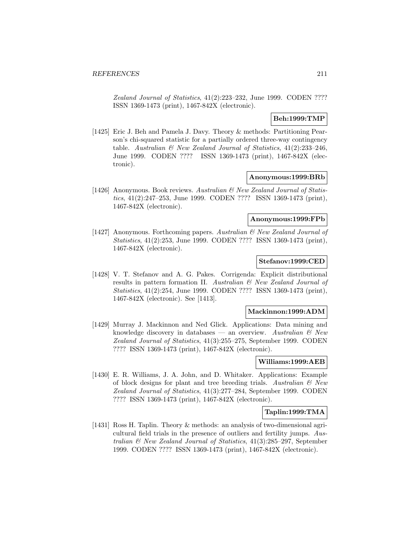Zealand Journal of Statistics, 41(2):223–232, June 1999. CODEN ???? ISSN 1369-1473 (print), 1467-842X (electronic).

# **Beh:1999:TMP**

[1425] Eric J. Beh and Pamela J. Davy. Theory & methods: Partitioning Pearson's chi-squared statistic for a partially ordered three-way contingency table. Australian  $\mathcal{B}$  New Zealand Journal of Statistics, 41(2):233-246, June 1999. CODEN ???? ISSN 1369-1473 (print), 1467-842X (electronic).

#### **Anonymous:1999:BRb**

[1426] Anonymous. Book reviews. Australian & New Zealand Journal of Statistics, 41(2):247–253, June 1999. CODEN ???? ISSN 1369-1473 (print), 1467-842X (electronic).

### **Anonymous:1999:FPb**

[1427] Anonymous. Forthcoming papers. Australian & New Zealand Journal of Statistics, 41(2):253, June 1999. CODEN ???? ISSN 1369-1473 (print), 1467-842X (electronic).

#### **Stefanov:1999:CED**

[1428] V. T. Stefanov and A. G. Pakes. Corrigenda: Explicit distributional results in pattern formation II. Australian & New Zealand Journal of Statistics, 41(2):254, June 1999. CODEN ???? ISSN 1369-1473 (print), 1467-842X (electronic). See [1413].

#### **Mackinnon:1999:ADM**

[1429] Murray J. Mackinnon and Ned Glick. Applications: Data mining and knowledge discovery in databases — an overview. Australian  $\mathcal{B}$  New Zealand Journal of Statistics, 41(3):255–275, September 1999. CODEN ???? ISSN 1369-1473 (print), 1467-842X (electronic).

#### **Williams:1999:AEB**

[1430] E. R. Williams, J. A. John, and D. Whitaker. Applications: Example of block designs for plant and tree breeding trials. Australian  $\mathcal{B}$  New Zealand Journal of Statistics, 41(3):277–284, September 1999. CODEN ???? ISSN 1369-1473 (print), 1467-842X (electronic).

### **Taplin:1999:TMA**

[1431] Ross H. Taplin. Theory & methods: an analysis of two-dimensional agricultural field trials in the presence of outliers and fertility jumps. Australian & New Zealand Journal of Statistics, 41(3):285–297, September 1999. CODEN ???? ISSN 1369-1473 (print), 1467-842X (electronic).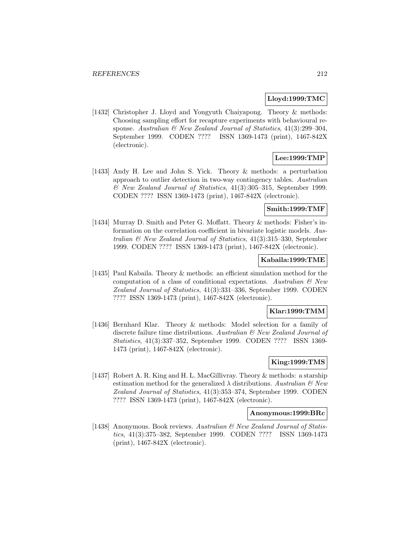#### **Lloyd:1999:TMC**

[1432] Christopher J. Lloyd and Yongyuth Chaiyapong. Theory & methods: Choosing sampling effort for recapture experiments with behavioural response. Australian  $\mathcal C$  New Zealand Journal of Statistics, 41(3):299–304, September 1999. CODEN ???? ISSN 1369-1473 (print), 1467-842X (electronic).

# **Lee:1999:TMP**

[1433] Andy H. Lee and John S. Yick. Theory & methods: a perturbation approach to outlier detection in two-way contingency tables. Australian & New Zealand Journal of Statistics, 41(3):305–315, September 1999. CODEN ???? ISSN 1369-1473 (print), 1467-842X (electronic).

### **Smith:1999:TMF**

[1434] Murray D. Smith and Peter G. Moffatt. Theory & methods: Fisher's information on the correlation coefficient in bivariate logistic models. Australian & New Zealand Journal of Statistics, 41(3):315–330, September 1999. CODEN ???? ISSN 1369-1473 (print), 1467-842X (electronic).

#### **Kabaila:1999:TME**

[1435] Paul Kabaila. Theory & methods: an efficient simulation method for the computation of a class of conditional expectations. Australian  $\mathcal{B}$  New Zealand Journal of Statistics, 41(3):331–336, September 1999. CODEN ???? ISSN 1369-1473 (print), 1467-842X (electronic).

## **Klar:1999:TMM**

[1436] Bernhard Klar. Theory & methods: Model selection for a family of discrete failure time distributions. Australian  $\mathcal{E}$  New Zealand Journal of Statistics, 41(3):337–352, September 1999. CODEN ???? ISSN 1369- 1473 (print), 1467-842X (electronic).

# **King:1999:TMS**

[1437] Robert A. R. King and H. L. MacGillivray. Theory & methods: a starship estimation method for the generalized  $\lambda$  distributions. Australian  $\mathcal{B}$  New Zealand Journal of Statistics, 41(3):353–374, September 1999. CODEN ???? ISSN 1369-1473 (print), 1467-842X (electronic).

#### **Anonymous:1999:BRc**

[1438] Anonymous. Book reviews. Australian & New Zealand Journal of Statistics, 41(3):375–382, September 1999. CODEN ???? ISSN 1369-1473 (print), 1467-842X (electronic).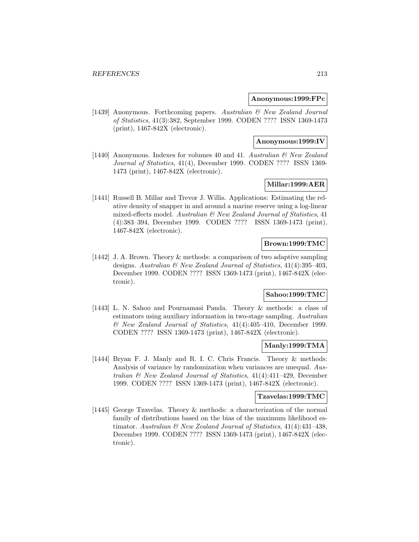#### **Anonymous:1999:FPc**

[1439] Anonymous. Forthcoming papers. Australian & New Zealand Journal of Statistics, 41(3):382, September 1999. CODEN ???? ISSN 1369-1473 (print), 1467-842X (electronic).

### **Anonymous:1999:IV**

[1440] Anonymous. Indexes for volumes 40 and 41. Australian & New Zealand Journal of Statistics, 41(4), December 1999. CODEN ???? ISSN 1369- 1473 (print), 1467-842X (electronic).

# **Millar:1999:AER**

[1441] Russell B. Millar and Trevor J. Willis. Applications: Estimating the relative density of snapper in and around a marine reserve using a log-linear mixed-effects model. Australian & New Zealand Journal of Statistics, 41 (4):383–394, December 1999. CODEN ???? ISSN 1369-1473 (print), 1467-842X (electronic).

## **Brown:1999:TMC**

[1442] J. A. Brown. Theory & methods: a comparison of two adaptive sampling designs. Australian  $\mathcal B$  New Zealand Journal of Statistics, 41(4):395–403, December 1999. CODEN ???? ISSN 1369-1473 (print), 1467-842X (electronic).

# **Sahoo:1999:TMC**

[1443] L. N. Sahoo and Pournamasi Panda. Theory & methods: a class of estimators using auxiliary information in two-stage sampling. Australian & New Zealand Journal of Statistics, 41(4):405–410, December 1999. CODEN ???? ISSN 1369-1473 (print), 1467-842X (electronic).

#### **Manly:1999:TMA**

[1444] Bryan F. J. Manly and R. I. C. Chris Francis. Theory & methods: Analysis of variance by randomization when variances are unequal. Australian & New Zealand Journal of Statistics, 41(4):411–429, December 1999. CODEN ???? ISSN 1369-1473 (print), 1467-842X (electronic).

#### **Tzavelas:1999:TMC**

[1445] George Tzavelas. Theory & methods: a characterization of the normal family of distributions based on the bias of the maximum likelihood estimator. Australian  $\mathcal{B}$  New Zealand Journal of Statistics, 41(4):431-438, December 1999. CODEN ???? ISSN 1369-1473 (print), 1467-842X (electronic).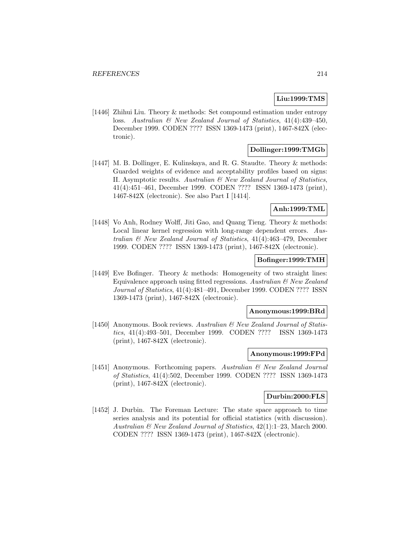## **Liu:1999:TMS**

[1446] Zhihui Liu. Theory & methods: Set compound estimation under entropy loss. Australian & New Zealand Journal of Statistics, 41(4):439–450, December 1999. CODEN ???? ISSN 1369-1473 (print), 1467-842X (electronic).

# **Dollinger:1999:TMGb**

[1447] M. B. Dollinger, E. Kulinskaya, and R. G. Staudte. Theory & methods: Guarded weights of evidence and acceptability profiles based on signs: II. Asymptotic results. Australian & New Zealand Journal of Statistics, 41(4):451–461, December 1999. CODEN ???? ISSN 1369-1473 (print), 1467-842X (electronic). See also Part I [1414].

### **Anh:1999:TML**

[1448] Vo Anh, Rodney Wolff, Jiti Gao, and Quang Tieng. Theory & methods: Local linear kernel regression with long-range dependent errors. Australian & New Zealand Journal of Statistics, 41(4):463–479, December 1999. CODEN ???? ISSN 1369-1473 (print), 1467-842X (electronic).

### **Bofinger:1999:TMH**

[1449] Eve Bofinger. Theory & methods: Homogeneity of two straight lines: Equivalence approach using fitted regressions. Australian  $\mathcal{B}$  New Zealand Journal of Statistics, 41(4):481–491, December 1999. CODEN ???? ISSN 1369-1473 (print), 1467-842X (electronic).

#### **Anonymous:1999:BRd**

[1450] Anonymous. Book reviews. Australian & New Zealand Journal of Statistics, 41(4):493–501, December 1999. CODEN ???? ISSN 1369-1473 (print), 1467-842X (electronic).

#### **Anonymous:1999:FPd**

[1451] Anonymous. Forthcoming papers. Australian & New Zealand Journal of Statistics, 41(4):502, December 1999. CODEN ???? ISSN 1369-1473 (print), 1467-842X (electronic).

## **Durbin:2000:FLS**

[1452] J. Durbin. The Foreman Lecture: The state space approach to time series analysis and its potential for official statistics (with discussion). Australian & New Zealand Journal of Statistics, 42(1):1–23, March 2000. CODEN ???? ISSN 1369-1473 (print), 1467-842X (electronic).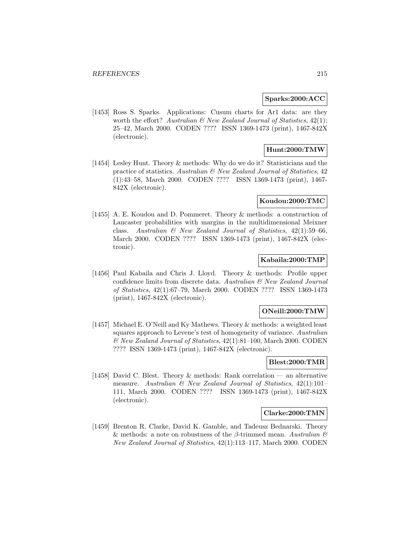#### **Sparks:2000:ACC**

[1453] Ross S. Sparks. Applications: Cusum charts for Ar1 data: are they worth the effort? Australian  $\mathcal{B}$  New Zealand Journal of Statistics, 42(1): 25–42, March 2000. CODEN ???? ISSN 1369-1473 (print), 1467-842X (electronic).

# **Hunt:2000:TMW**

[1454] Lesley Hunt. Theory & methods: Why do we do it? Statisticians and the practice of statistics. Australian  $\mathcal{B}$  New Zealand Journal of Statistics, 42 (1):43–58, March 2000. CODEN ???? ISSN 1369-1473 (print), 1467- 842X (electronic).

### **Koudou:2000:TMC**

[1455] A. E. Koudou and D. Pommeret. Theory & methods: a construction of Lancaster probabilities with margins in the multidimensional Meixner class. Australian  $\mathcal B$  New Zealand Journal of Statistics, 42(1):59–66, March 2000. CODEN ???? ISSN 1369-1473 (print), 1467-842X (electronic).

## **Kabaila:2000:TMP**

[1456] Paul Kabaila and Chris J. Lloyd. Theory & methods: Profile upper confidence limits from discrete data. Australian & New Zealand Journal of Statistics, 42(1):67–79, March 2000. CODEN ???? ISSN 1369-1473 (print), 1467-842X (electronic).

#### **ONeill:2000:TMW**

[1457] Michael E. O'Neill and Ky Mathews. Theory & methods: a weighted least squares approach to Levene's test of homogeneity of variance. Australian & New Zealand Journal of Statistics, 42(1):81–100, March 2000. CODEN ???? ISSN 1369-1473 (print), 1467-842X (electronic).

## **Blest:2000:TMR**

[1458] David C. Blest. Theory & methods: Rank correlation — an alternative measure. Australian  $\mathcal{B}$  New Zealand Journal of Statistics, 42(1):101– 111, March 2000. CODEN ???? ISSN 1369-1473 (print), 1467-842X (electronic).

#### **Clarke:2000:TMN**

[1459] Brenton R. Clarke, David K. Gamble, and Tadeusz Bednarski. Theory & methods: a note on robustness of the  $\beta$ -trimmed mean. Australian  $\mathcal C$ New Zealand Journal of Statistics, 42(1):113–117, March 2000. CODEN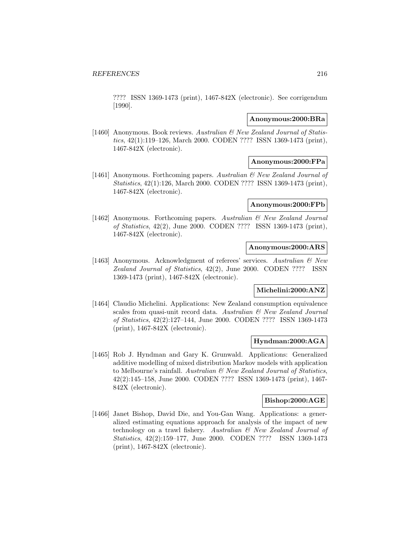???? ISSN 1369-1473 (print), 1467-842X (electronic). See corrigendum [1990].

#### **Anonymous:2000:BRa**

[1460] Anonymous. Book reviews. Australian & New Zealand Journal of Statistics, 42(1):119–126, March 2000. CODEN ???? ISSN 1369-1473 (print), 1467-842X (electronic).

# **Anonymous:2000:FPa**

[1461] Anonymous. Forthcoming papers. Australian & New Zealand Journal of Statistics, 42(1):126, March 2000. CODEN ???? ISSN 1369-1473 (print), 1467-842X (electronic).

# **Anonymous:2000:FPb**

[1462] Anonymous. Forthcoming papers. Australian & New Zealand Journal of Statistics, 42(2), June 2000. CODEN ???? ISSN 1369-1473 (print), 1467-842X (electronic).

# **Anonymous:2000:ARS**

[1463] Anonymous. Acknowledgment of referees' services. Australian  $\mathcal{B}$  New Zealand Journal of Statistics, 42(2), June 2000. CODEN ???? ISSN 1369-1473 (print), 1467-842X (electronic).

### **Michelini:2000:ANZ**

[1464] Claudio Michelini. Applications: New Zealand consumption equivalence scales from quasi-unit record data. Australian & New Zealand Journal of Statistics, 42(2):127–144, June 2000. CODEN ???? ISSN 1369-1473 (print), 1467-842X (electronic).

# **Hyndman:2000:AGA**

[1465] Rob J. Hyndman and Gary K. Grunwald. Applications: Generalized additive modelling of mixed distribution Markov models with application to Melbourne's rainfall. Australian  $\mathcal B$  New Zealand Journal of Statistics, 42(2):145–158, June 2000. CODEN ???? ISSN 1369-1473 (print), 1467- 842X (electronic).

#### **Bishop:2000:AGE**

[1466] Janet Bishop, David Die, and You-Gan Wang. Applications: a generalized estimating equations approach for analysis of the impact of new technology on a trawl fishery. Australian & New Zealand Journal of Statistics, 42(2):159–177, June 2000. CODEN ???? ISSN 1369-1473 (print), 1467-842X (electronic).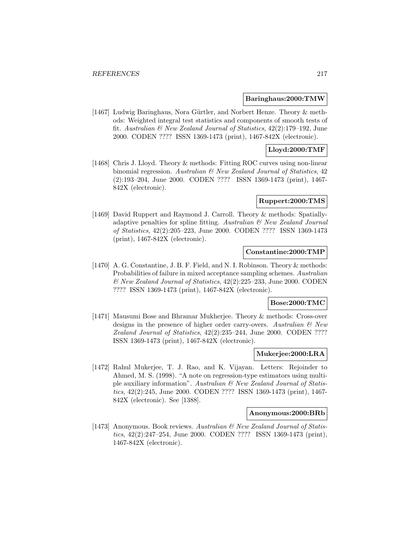#### **Baringhaus:2000:TMW**

[1467] Ludwig Baringhaus, Nora Gürtler, and Norbert Henze. Theory & methods: Weighted integral test statistics and components of smooth tests of fit. Australian & New Zealand Journal of Statistics, 42(2):179–192, June 2000. CODEN ???? ISSN 1369-1473 (print), 1467-842X (electronic).

# **Lloyd:2000:TMF**

[1468] Chris J. Lloyd. Theory & methods: Fitting ROC curves using non-linear binomial regression. Australian  $\mathcal{B}$  New Zealand Journal of Statistics, 42 (2):193–204, June 2000. CODEN ???? ISSN 1369-1473 (print), 1467- 842X (electronic).

# **Ruppert:2000:TMS**

[1469] David Ruppert and Raymond J. Carroll. Theory & methods: Spatiallyadaptive penalties for spline fitting. Australian  $\mathcal B$  New Zealand Journal of Statistics, 42(2):205–223, June 2000. CODEN ???? ISSN 1369-1473 (print), 1467-842X (electronic).

# **Constantine:2000:TMP**

[1470] A. G. Constantine, J. B. F. Field, and N. I. Robinson. Theory & methods: Probabilities of failure in mixed acceptance sampling schemes. Australian & New Zealand Journal of Statistics, 42(2):225–233, June 2000. CODEN ???? ISSN 1369-1473 (print), 1467-842X (electronic).

## **Bose:2000:TMC**

[1471] Mausumi Bose and Bhramar Mukherjee. Theory & methods: Cross-over designs in the presence of higher order carry-overs. Australian  $\mathcal{C}$  New Zealand Journal of Statistics, 42(2):235–244, June 2000. CODEN ???? ISSN 1369-1473 (print), 1467-842X (electronic).

# **Mukerjee:2000:LRA**

[1472] Rahul Mukerjee, T. J. Rao, and K. Vijayan. Letters: Rejoinder to Ahmed, M. S. (1998). "A note on regression-type estimators using multiple auxiliary information". Australian & New Zealand Journal of Statistics, 42(2):245, June 2000. CODEN ???? ISSN 1369-1473 (print), 1467- 842X (electronic). See [1388].

### **Anonymous:2000:BRb**

[1473] Anonymous. Book reviews. Australian & New Zealand Journal of Statistics, 42(2):247–254, June 2000. CODEN ???? ISSN 1369-1473 (print), 1467-842X (electronic).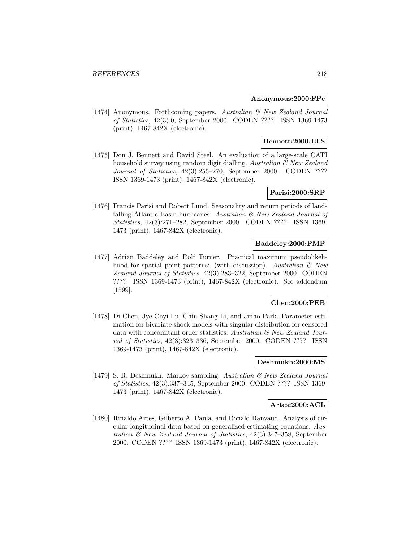## **Anonymous:2000:FPc**

[1474] Anonymous. Forthcoming papers. Australian & New Zealand Journal of Statistics, 42(3):0, September 2000. CODEN ???? ISSN 1369-1473 (print), 1467-842X (electronic).

# **Bennett:2000:ELS**

[1475] Don J. Bennett and David Steel. An evaluation of a large-scale CATI household survey using random digit dialling. Australian  $\mathcal{B}$  New Zealand Journal of Statistics, 42(3):255–270, September 2000. CODEN ???? ISSN 1369-1473 (print), 1467-842X (electronic).

# **Parisi:2000:SRP**

[1476] Francis Parisi and Robert Lund. Seasonality and return periods of landfalling Atlantic Basin hurricanes. Australian & New Zealand Journal of Statistics, 42(3):271–282, September 2000. CODEN ???? ISSN 1369- 1473 (print), 1467-842X (electronic).

# **Baddeley:2000:PMP**

[1477] Adrian Baddeley and Rolf Turner. Practical maximum pseudolikelihood for spatial point patterns: (with discussion). Australian  $\mathcal{B}$  New Zealand Journal of Statistics, 42(3):283–322, September 2000. CODEN ???? ISSN 1369-1473 (print), 1467-842X (electronic). See addendum [1599].

## **Chen:2000:PEB**

[1478] Di Chen, Jye-Chyi Lu, Chin-Shang Li, and Jinho Park. Parameter estimation for bivariate shock models with singular distribution for censored data with concomitant order statistics. Australian  $\mathcal B$  New Zealand Journal of Statistics, 42(3):323–336, September 2000. CODEN ???? ISSN 1369-1473 (print), 1467-842X (electronic).

# **Deshmukh:2000:MS**

[1479] S. R. Deshmukh. Markov sampling. Australian & New Zealand Journal of Statistics, 42(3):337–345, September 2000. CODEN ???? ISSN 1369- 1473 (print), 1467-842X (electronic).

### **Artes:2000:ACL**

[1480] Rinaldo Artes, Gilberto A. Paula, and Ronald Ranvaud. Analysis of circular longitudinal data based on generalized estimating equations. Australian & New Zealand Journal of Statistics, 42(3):347–358, September 2000. CODEN ???? ISSN 1369-1473 (print), 1467-842X (electronic).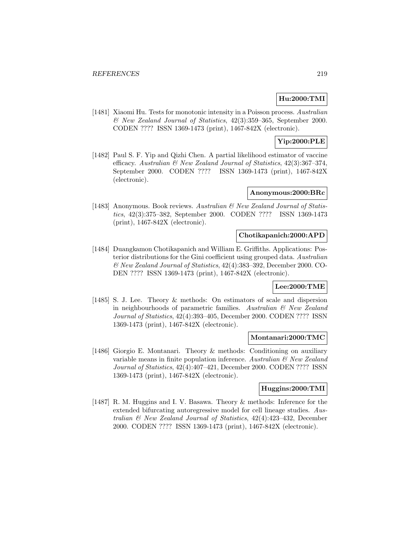# **Hu:2000:TMI**

[1481] Xiaomi Hu. Tests for monotonic intensity in a Poisson process. Australian & New Zealand Journal of Statistics, 42(3):359–365, September 2000. CODEN ???? ISSN 1369-1473 (print), 1467-842X (electronic).

# **Yip:2000:PLE**

[1482] Paul S. F. Yip and Qizhi Chen. A partial likelihood estimator of vaccine efficacy. Australian & New Zealand Journal of Statistics, 42(3):367–374, September 2000. CODEN ???? ISSN 1369-1473 (print), 1467-842X (electronic).

# **Anonymous:2000:BRc**

[1483] Anonymous. Book reviews. Australian & New Zealand Journal of Statistics, 42(3):375–382, September 2000. CODEN ???? ISSN 1369-1473 (print), 1467-842X (electronic).

## **Chotikapanich:2000:APD**

[1484] Duangkamon Chotikapanich and William E. Griffiths. Applications: Posterior distributions for the Gini coefficient using grouped data. Australian & New Zealand Journal of Statistics, 42(4):383–392, December 2000. CO-DEN ???? ISSN 1369-1473 (print), 1467-842X (electronic).

# **Lee:2000:TME**

[1485] S. J. Lee. Theory & methods: On estimators of scale and dispersion in neighbourhoods of parametric families. Australian & New Zealand Journal of Statistics, 42(4):393–405, December 2000. CODEN ???? ISSN 1369-1473 (print), 1467-842X (electronic).

## **Montanari:2000:TMC**

[1486] Giorgio E. Montanari. Theory & methods: Conditioning on auxiliary variable means in finite population inference. Australian  $\mathcal{C}'$  New Zealand Journal of Statistics, 42(4):407–421, December 2000. CODEN ???? ISSN 1369-1473 (print), 1467-842X (electronic).

# **Huggins:2000:TMI**

[1487] R. M. Huggins and I. V. Basawa. Theory & methods: Inference for the extended bifurcating autoregressive model for cell lineage studies. Australian & New Zealand Journal of Statistics, 42(4):423–432, December 2000. CODEN ???? ISSN 1369-1473 (print), 1467-842X (electronic).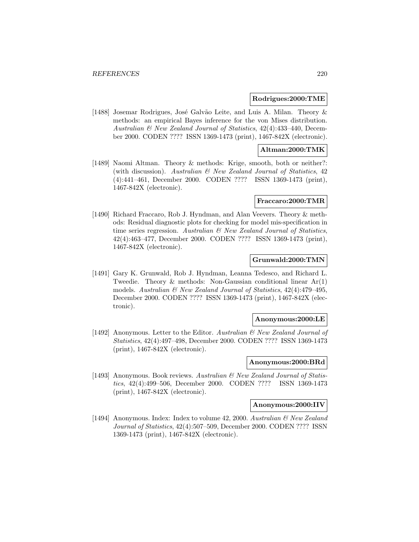#### **Rodrigues:2000:TME**

[1488] Josemar Rodrigues, José Galvão Leite, and Luis A. Milan. Theory & methods: an empirical Bayes inference for the von Mises distribution. Australian & New Zealand Journal of Statistics, 42(4):433–440, December 2000. CODEN ???? ISSN 1369-1473 (print), 1467-842X (electronic).

# **Altman:2000:TMK**

[1489] Naomi Altman. Theory & methods: Krige, smooth, both or neither?: (with discussion). Australian  $\mathcal{B}$  New Zealand Journal of Statistics, 42 (4):441–461, December 2000. CODEN ???? ISSN 1369-1473 (print), 1467-842X (electronic).

#### **Fraccaro:2000:TMR**

[1490] Richard Fraccaro, Rob J. Hyndman, and Alan Veevers. Theory & methods: Residual diagnostic plots for checking for model mis-specification in time series regression. Australian  $\mathcal B$  New Zealand Journal of Statistics, 42(4):463–477, December 2000. CODEN ???? ISSN 1369-1473 (print), 1467-842X (electronic).

### **Grunwald:2000:TMN**

[1491] Gary K. Grunwald, Rob J. Hyndman, Leanna Tedesco, and Richard L. Tweedie. Theory & methods: Non-Gaussian conditional linear Ar(1) models. Australian & New Zealand Journal of Statistics, 42(4):479–495, December 2000. CODEN ???? ISSN 1369-1473 (print), 1467-842X (electronic).

# **Anonymous:2000:LE**

[1492] Anonymous. Letter to the Editor. Australian  $\mathcal{B}$  New Zealand Journal of Statistics, 42(4):497–498, December 2000. CODEN ???? ISSN 1369-1473 (print), 1467-842X (electronic).

#### **Anonymous:2000:BRd**

[1493] Anonymous. Book reviews. Australian & New Zealand Journal of Statistics, 42(4):499–506, December 2000. CODEN ???? ISSN 1369-1473 (print), 1467-842X (electronic).

#### **Anonymous:2000:IIV**

[1494] Anonymous. Index: Index to volume 42, 2000. Australian & New Zealand Journal of Statistics, 42(4):507–509, December 2000. CODEN ???? ISSN 1369-1473 (print), 1467-842X (electronic).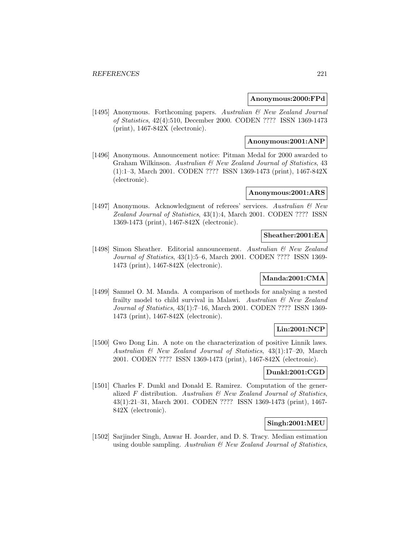### **Anonymous:2000:FPd**

[1495] Anonymous. Forthcoming papers. Australian & New Zealand Journal of Statistics, 42(4):510, December 2000. CODEN ???? ISSN 1369-1473 (print), 1467-842X (electronic).

### **Anonymous:2001:ANP**

[1496] Anonymous. Announcement notice: Pitman Medal for 2000 awarded to Graham Wilkinson. Australian & New Zealand Journal of Statistics, 43 (1):1–3, March 2001. CODEN ???? ISSN 1369-1473 (print), 1467-842X (electronic).

### **Anonymous:2001:ARS**

[1497] Anonymous. Acknowledgment of referees' services. Australian & New Zealand Journal of Statistics, 43(1):4, March 2001. CODEN ???? ISSN 1369-1473 (print), 1467-842X (electronic).

#### **Sheather:2001:EA**

[1498] Simon Sheather. Editorial announcement. Australian & New Zealand Journal of Statistics, 43(1):5–6, March 2001. CODEN ???? ISSN 1369- 1473 (print), 1467-842X (electronic).

# **Manda:2001:CMA**

[1499] Samuel O. M. Manda. A comparison of methods for analysing a nested frailty model to child survival in Malawi. Australian & New Zealand Journal of Statistics, 43(1):7–16, March 2001. CODEN ???? ISSN 1369- 1473 (print), 1467-842X (electronic).

## **Lin:2001:NCP**

[1500] Gwo Dong Lin. A note on the characterization of positive Linnik laws. Australian & New Zealand Journal of Statistics, 43(1):17–20, March 2001. CODEN ???? ISSN 1369-1473 (print), 1467-842X (electronic).

# **Dunkl:2001:CGD**

[1501] Charles F. Dunkl and Donald E. Ramirez. Computation of the generalized F distribution. Australian  $\mathcal{B}$  New Zealand Journal of Statistics, 43(1):21–31, March 2001. CODEN ???? ISSN 1369-1473 (print), 1467- 842X (electronic).

## **Singh:2001:MEU**

[1502] Sarjinder Singh, Anwar H. Joarder, and D. S. Tracy. Median estimation using double sampling. Australian  $\mathcal{B}$  New Zealand Journal of Statistics,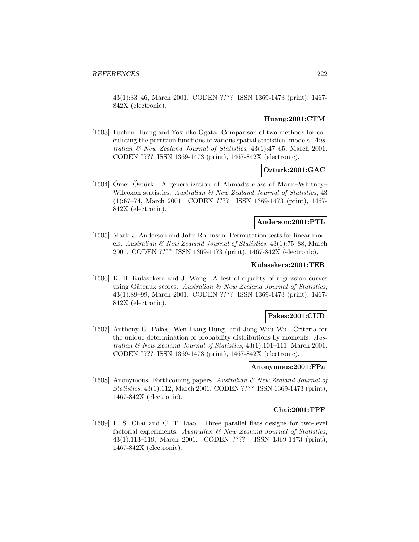43(1):33–46, March 2001. CODEN ???? ISSN 1369-1473 (print), 1467- 842X (electronic).

## **Huang:2001:CTM**

[1503] Fuchun Huang and Yosihiko Ogata. Comparison of two methods for calculating the partition functions of various spatial statistical models. Australian & New Zealand Journal of Statistics, 43(1):47–65, March 2001. CODEN ???? ISSN 1369-1473 (print), 1467-842X (electronic).

# **Ozturk:2001:GAC**

[1504] Ömer Öztürk. A generalization of Ahmad's class of Mann–Whitney– Wilcoxon statistics. Australian & New Zealand Journal of Statistics, 43 (1):67–74, March 2001. CODEN ???? ISSN 1369-1473 (print), 1467- 842X (electronic).

# **Anderson:2001:PTL**

[1505] Marti J. Anderson and John Robinson. Permutation tests for linear models. Australian & New Zealand Journal of Statistics, 43(1):75–88, March 2001. CODEN ???? ISSN 1369-1473 (print), 1467-842X (electronic).

#### **Kulasekera:2001:TER**

[1506] K. B. Kulasekera and J. Wang. A test of equality of regression curves using Gâteaux scores. Australian  $\mathcal{B}$  New Zealand Journal of Statistics, 43(1):89–99, March 2001. CODEN ???? ISSN 1369-1473 (print), 1467- 842X (electronic).

# **Pakes:2001:CUD**

[1507] Anthony G. Pakes, Wen-Liang Hung, and Jong-Wuu Wu. Criteria for the unique determination of probability distributions by moments. Australian & New Zealand Journal of Statistics, 43(1):101–111, March 2001. CODEN ???? ISSN 1369-1473 (print), 1467-842X (electronic).

#### **Anonymous:2001:FPa**

[1508] Anonymous. Forthcoming papers. Australian & New Zealand Journal of Statistics, 43(1):112, March 2001. CODEN ???? ISSN 1369-1473 (print), 1467-842X (electronic).

# **Chai:2001:TPF**

[1509] F. S. Chai and C. T. Liao. Three parallel flats designs for two-level factorial experiments. Australian  $\mathcal{B}$  New Zealand Journal of Statistics, 43(1):113–119, March 2001. CODEN ???? ISSN 1369-1473 (print), 1467-842X (electronic).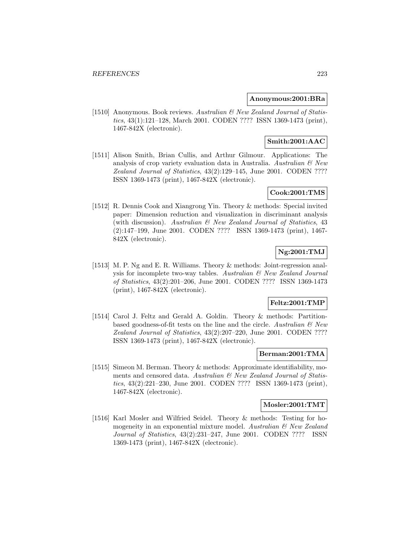## **Anonymous:2001:BRa**

[1510] Anonymous. Book reviews. Australian & New Zealand Journal of Statistics, 43(1):121–128, March 2001. CODEN ???? ISSN 1369-1473 (print), 1467-842X (electronic).

# **Smith:2001:AAC**

[1511] Alison Smith, Brian Cullis, and Arthur Gilmour. Applications: The analysis of crop variety evaluation data in Australia. Australian  $\mathcal{B}$  New Zealand Journal of Statistics, 43(2):129–145, June 2001. CODEN ???? ISSN 1369-1473 (print), 1467-842X (electronic).

# **Cook:2001:TMS**

[1512] R. Dennis Cook and Xiangrong Yin. Theory & methods: Special invited paper: Dimension reduction and visualization in discriminant analysis (with discussion). Australian & New Zealand Journal of Statistics, 43 (2):147–199, June 2001. CODEN ???? ISSN 1369-1473 (print), 1467- 842X (electronic).

# **Ng:2001:TMJ**

[1513] M. P. Ng and E. R. Williams. Theory & methods: Joint-regression analysis for incomplete two-way tables. Australian  $\mathcal B$  New Zealand Journal of Statistics, 43(2):201–206, June 2001. CODEN ???? ISSN 1369-1473 (print), 1467-842X (electronic).

## **Feltz:2001:TMP**

[1514] Carol J. Feltz and Gerald A. Goldin. Theory & methods: Partitionbased goodness-of-fit tests on the line and the circle. Australian  $\mathcal{B}$  New Zealand Journal of Statistics, 43(2):207–220, June 2001. CODEN ???? ISSN 1369-1473 (print), 1467-842X (electronic).

# **Berman:2001:TMA**

[1515] Simeon M. Berman. Theory & methods: Approximate identifiability, moments and censored data. Australian & New Zealand Journal of Statistics, 43(2):221–230, June 2001. CODEN ???? ISSN 1369-1473 (print), 1467-842X (electronic).

# **Mosler:2001:TMT**

[1516] Karl Mosler and Wilfried Seidel. Theory & methods: Testing for homogeneity in an exponential mixture model. Australian  $\mathcal{B}$  New Zealand Journal of Statistics, 43(2):231–247, June 2001. CODEN ???? ISSN 1369-1473 (print), 1467-842X (electronic).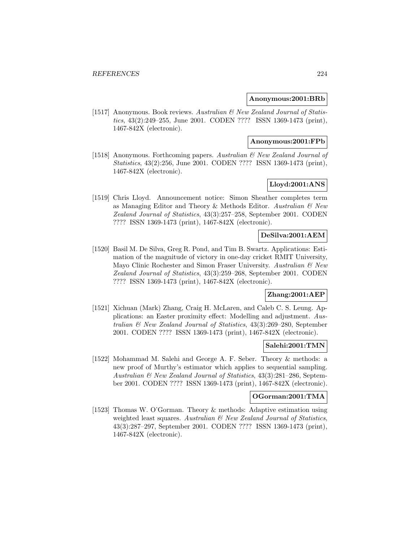### **Anonymous:2001:BRb**

[1517] Anonymous. Book reviews. Australian & New Zealand Journal of Statistics, 43(2):249–255, June 2001. CODEN ???? ISSN 1369-1473 (print), 1467-842X (electronic).

### **Anonymous:2001:FPb**

[1518] Anonymous. Forthcoming papers. Australian & New Zealand Journal of Statistics, 43(2):256, June 2001. CODEN ???? ISSN 1369-1473 (print), 1467-842X (electronic).

# **Lloyd:2001:ANS**

[1519] Chris Lloyd. Announcement notice: Simon Sheather completes term as Managing Editor and Theory & Methods Editor. Australian & New Zealand Journal of Statistics, 43(3):257–258, September 2001. CODEN ???? ISSN 1369-1473 (print), 1467-842X (electronic).

# **DeSilva:2001:AEM**

[1520] Basil M. De Silva, Greg R. Pond, and Tim B. Swartz. Applications: Estimation of the magnitude of victory in one-day cricket RMIT University, Mayo Clinic Rochester and Simon Fraser University. Australian  $\mathcal{C}$  New Zealand Journal of Statistics, 43(3):259–268, September 2001. CODEN ???? ISSN 1369-1473 (print), 1467-842X (electronic).

# **Zhang:2001:AEP**

[1521] Xichuan (Mark) Zhang, Craig H. McLaren, and Caleb C. S. Leung. Applications: an Easter proximity effect: Modelling and adjustment. Australian & New Zealand Journal of Statistics, 43(3):269–280, September 2001. CODEN ???? ISSN 1369-1473 (print), 1467-842X (electronic).

## **Salehi:2001:TMN**

[1522] Mohammad M. Salehi and George A. F. Seber. Theory & methods: a new proof of Murthy's estimator which applies to sequential sampling. Australian & New Zealand Journal of Statistics, 43(3):281–286, September 2001. CODEN ???? ISSN 1369-1473 (print), 1467-842X (electronic).

### **OGorman:2001:TMA**

[1523] Thomas W. O'Gorman. Theory & methods: Adaptive estimation using weighted least squares. Australian  $\mathcal{B}$  New Zealand Journal of Statistics, 43(3):287–297, September 2001. CODEN ???? ISSN 1369-1473 (print), 1467-842X (electronic).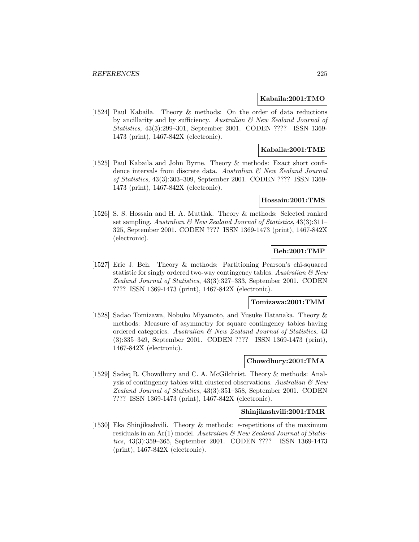## **Kabaila:2001:TMO**

[1524] Paul Kabaila. Theory & methods: On the order of data reductions by ancillarity and by sufficiency. Australian & New Zealand Journal of Statistics, 43(3):299–301, September 2001. CODEN ???? ISSN 1369- 1473 (print), 1467-842X (electronic).

# **Kabaila:2001:TME**

[1525] Paul Kabaila and John Byrne. Theory & methods: Exact short confidence intervals from discrete data. Australian  $\mathcal{C}$  New Zealand Journal of Statistics, 43(3):303–309, September 2001. CODEN ???? ISSN 1369- 1473 (print), 1467-842X (electronic).

### **Hossain:2001:TMS**

[1526] S. S. Hossain and H. A. Muttlak. Theory & methods: Selected ranked set sampling. Australian & New Zealand Journal of Statistics, 43(3):311-325, September 2001. CODEN ???? ISSN 1369-1473 (print), 1467-842X (electronic).

# **Beh:2001:TMP**

[1527] Eric J. Beh. Theory & methods: Partitioning Pearson's chi-squared statistic for singly ordered two-way contingency tables. Australian  $\mathcal{B}$  New Zealand Journal of Statistics, 43(3):327–333, September 2001. CODEN ???? ISSN 1369-1473 (print), 1467-842X (electronic).

### **Tomizawa:2001:TMM**

[1528] Sadao Tomizawa, Nobuko Miyamoto, and Yusuke Hatanaka. Theory & methods: Measure of asymmetry for square contingency tables having ordered categories. Australian & New Zealand Journal of Statistics, 43 (3):335–349, September 2001. CODEN ???? ISSN 1369-1473 (print), 1467-842X (electronic).

## **Chowdhury:2001:TMA**

[1529] Sadeq R. Chowdhury and C. A. McGilchrist. Theory & methods: Analysis of contingency tables with clustered observations. Australian  $\mathcal{B}$  New Zealand Journal of Statistics, 43(3):351–358, September 2001. CODEN ???? ISSN 1369-1473 (print), 1467-842X (electronic).

### **Shinjikashvili:2001:TMR**

[1530] Eka Shinjikashvili. Theory & methods:  $\epsilon$ -repetitions of the maximum residuals in an Ar(1) model. Australian  $\mathcal{C}$  New Zealand Journal of Statistics, 43(3):359–365, September 2001. CODEN ???? ISSN 1369-1473 (print), 1467-842X (electronic).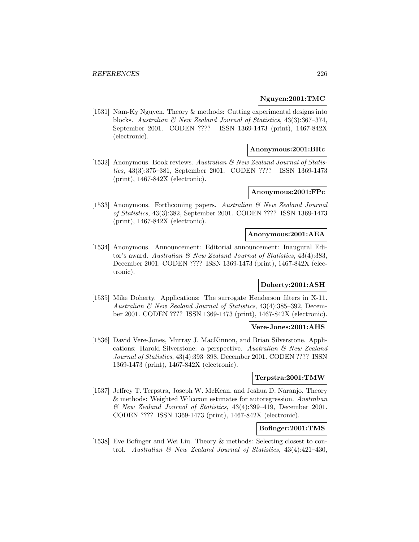### **Nguyen:2001:TMC**

[1531] Nam-Ky Nguyen. Theory & methods: Cutting experimental designs into blocks. Australian & New Zealand Journal of Statistics, 43(3):367–374, September 2001. CODEN ???? ISSN 1369-1473 (print), 1467-842X (electronic).

## **Anonymous:2001:BRc**

[1532] Anonymous. Book reviews. Australian & New Zealand Journal of Statistics, 43(3):375–381, September 2001. CODEN ???? ISSN 1369-1473 (print), 1467-842X (electronic).

# **Anonymous:2001:FPc**

[1533] Anonymous. Forthcoming papers. Australian  $\mathcal{B}$  New Zealand Journal of Statistics, 43(3):382, September 2001. CODEN ???? ISSN 1369-1473 (print), 1467-842X (electronic).

### **Anonymous:2001:AEA**

[1534] Anonymous. Announcement: Editorial announcement: Inaugural Editor's award. Australian & New Zealand Journal of Statistics, 43(4):383, December 2001. CODEN ???? ISSN 1369-1473 (print), 1467-842X (electronic).

# **Doherty:2001:ASH**

[1535] Mike Doherty. Applications: The surrogate Henderson filters in X-11. Australian & New Zealand Journal of Statistics, 43(4):385–392, December 2001. CODEN ???? ISSN 1369-1473 (print), 1467-842X (electronic).

# **Vere-Jones:2001:AHS**

[1536] David Vere-Jones, Murray J. MacKinnon, and Brian Silverstone. Applications: Harold Silverstone: a perspective. Australian & New Zealand Journal of Statistics, 43(4):393–398, December 2001. CODEN ???? ISSN 1369-1473 (print), 1467-842X (electronic).

### **Terpstra:2001:TMW**

[1537] Jeffrey T. Terpstra, Joseph W. McKean, and Joshua D. Naranjo. Theory & methods: Weighted Wilcoxon estimates for autoregression. Australian & New Zealand Journal of Statistics, 43(4):399–419, December 2001. CODEN ???? ISSN 1369-1473 (print), 1467-842X (electronic).

# **Bofinger:2001:TMS**

[1538] Eve Bofinger and Wei Liu. Theory & methods: Selecting closest to control. Australian & New Zealand Journal of Statistics, 43(4):421–430,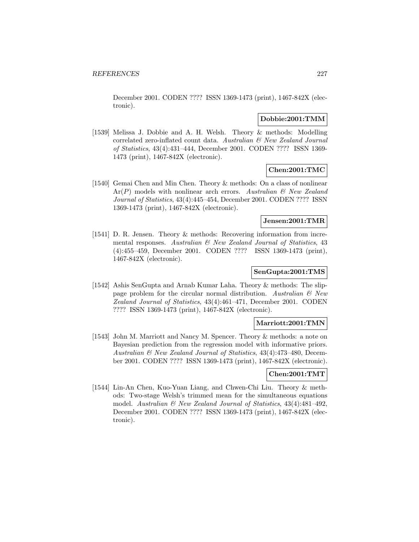December 2001. CODEN ???? ISSN 1369-1473 (print), 1467-842X (electronic).

# **Dobbie:2001:TMM**

[1539] Melissa J. Dobbie and A. H. Welsh. Theory & methods: Modelling correlated zero-inflated count data. Australian & New Zealand Journal of Statistics, 43(4):431–444, December 2001. CODEN ???? ISSN 1369- 1473 (print), 1467-842X (electronic).

# **Chen:2001:TMC**

[1540] Gemai Chen and Min Chen. Theory & methods: On a class of nonlinear  $Ar(P)$  models with nonlinear arch errors. Australian  $\mathcal{B}$  New Zealand Journal of Statistics, 43(4):445–454, December 2001. CODEN ???? ISSN 1369-1473 (print), 1467-842X (electronic).

## **Jensen:2001:TMR**

[1541] D. R. Jensen. Theory & methods: Recovering information from incremental responses. Australian & New Zealand Journal of Statistics, 43 (4):455–459, December 2001. CODEN ???? ISSN 1369-1473 (print), 1467-842X (electronic).

# **SenGupta:2001:TMS**

[1542] Ashis SenGupta and Arnab Kumar Laha. Theory & methods: The slippage problem for the circular normal distribution. Australian  $\mathcal{B}$  New Zealand Journal of Statistics, 43(4):461–471, December 2001. CODEN ???? ISSN 1369-1473 (print), 1467-842X (electronic).

## **Marriott:2001:TMN**

[1543] John M. Marriott and Nancy M. Spencer. Theory & methods: a note on Bayesian prediction from the regression model with informative priors. Australian & New Zealand Journal of Statistics, 43(4):473–480, December 2001. CODEN ???? ISSN 1369-1473 (print), 1467-842X (electronic).

#### **Chen:2001:TMT**

[1544] Lin-An Chen, Kuo-Yuan Liang, and Chwen-Chi Liu. Theory & methods: Two-stage Welsh's trimmed mean for the simultaneous equations model. Australian  $\mathcal{B}$  New Zealand Journal of Statistics, 43(4):481-492, December 2001. CODEN ???? ISSN 1369-1473 (print), 1467-842X (electronic).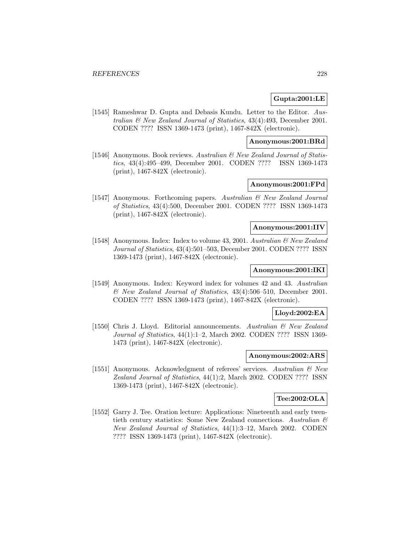# **Gupta:2001:LE**

[1545] Rameshwar D. Gupta and Debasis Kundu. Letter to the Editor. Australian & New Zealand Journal of Statistics, 43(4):493, December 2001. CODEN ???? ISSN 1369-1473 (print), 1467-842X (electronic).

# **Anonymous:2001:BRd**

[1546] Anonymous. Book reviews. Australian & New Zealand Journal of Statistics, 43(4):495–499, December 2001. CODEN ???? ISSN 1369-1473 (print), 1467-842X (electronic).

# **Anonymous:2001:FPd**

[1547] Anonymous. Forthcoming papers. Australian & New Zealand Journal of Statistics, 43(4):500, December 2001. CODEN ???? ISSN 1369-1473 (print), 1467-842X (electronic).

#### **Anonymous:2001:IIV**

[1548] Anonymous. Index: Index to volume 43, 2001. Australian & New Zealand Journal of Statistics, 43(4):501–503, December 2001. CODEN ???? ISSN 1369-1473 (print), 1467-842X (electronic).

## **Anonymous:2001:IKI**

[1549] Anonymous. Index: Keyword index for volumes 42 and 43. Australian & New Zealand Journal of Statistics, 43(4):506–510, December 2001. CODEN ???? ISSN 1369-1473 (print), 1467-842X (electronic).

#### **Lloyd:2002:EA**

[1550] Chris J. Lloyd. Editorial announcements. Australian & New Zealand Journal of Statistics, 44(1):1–2, March 2002. CODEN ???? ISSN 1369- 1473 (print), 1467-842X (electronic).

#### **Anonymous:2002:ARS**

[1551] Anonymous. Acknowledgment of referees' services. Australian & New Zealand Journal of Statistics, 44(1):2, March 2002. CODEN ???? ISSN 1369-1473 (print), 1467-842X (electronic).

# **Tee:2002:OLA**

[1552] Garry J. Tee. Oration lecture: Applications: Nineteenth and early twentieth century statistics: Some New Zealand connections. Australian  $\mathcal C$ New Zealand Journal of Statistics, 44(1):3–12, March 2002. CODEN ???? ISSN 1369-1473 (print), 1467-842X (electronic).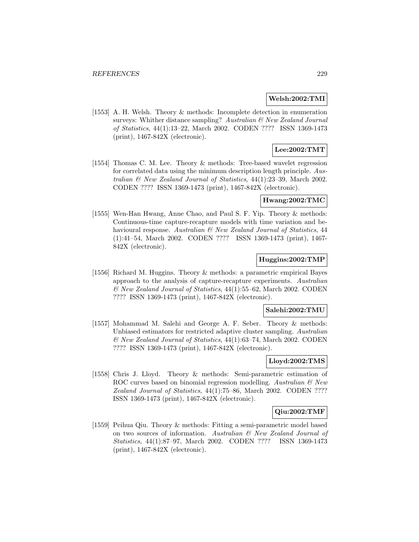### **Welsh:2002:TMI**

[1553] A. H. Welsh. Theory & methods: Incomplete detection in enumeration surveys: Whither distance sampling? Australian & New Zealand Journal of Statistics, 44(1):13–22, March 2002. CODEN ???? ISSN 1369-1473 (print), 1467-842X (electronic).

# **Lee:2002:TMT**

[1554] Thomas C. M. Lee. Theory & methods: Tree-based wavelet regression for correlated data using the minimum description length principle. Australian & New Zealand Journal of Statistics, 44(1):23–39, March 2002. CODEN ???? ISSN 1369-1473 (print), 1467-842X (electronic).

### **Hwang:2002:TMC**

[1555] Wen-Han Hwang, Anne Chao, and Paul S. F. Yip. Theory & methods: Continuous-time capture-recapture models with time variation and behavioural response. Australian & New Zealand Journal of Statistics, 44 (1):41–54, March 2002. CODEN ???? ISSN 1369-1473 (print), 1467- 842X (electronic).

### **Huggins:2002:TMP**

[1556] Richard M. Huggins. Theory & methods: a parametric empirical Bayes approach to the analysis of capture-recapture experiments. Australian & New Zealand Journal of Statistics, 44(1):55–62, March 2002. CODEN ???? ISSN 1369-1473 (print), 1467-842X (electronic).

#### **Salehi:2002:TMU**

[1557] Mohammad M. Salehi and George A. F. Seber. Theory & methods: Unbiased estimators for restricted adaptive cluster sampling. Australian & New Zealand Journal of Statistics, 44(1):63–74, March 2002. CODEN ???? ISSN 1369-1473 (print), 1467-842X (electronic).

# **Lloyd:2002:TMS**

[1558] Chris J. Lloyd. Theory & methods: Semi-parametric estimation of ROC curves based on binomial regression modelling. Australian  $\mathcal{B}$  New Zealand Journal of Statistics, 44(1):75–86, March 2002. CODEN ???? ISSN 1369-1473 (print), 1467-842X (electronic).

# **Qiu:2002:TMF**

[1559] Peihua Qiu. Theory & methods: Fitting a semi-parametric model based on two sources of information. Australian & New Zealand Journal of Statistics, 44(1):87–97, March 2002. CODEN ???? ISSN 1369-1473 (print), 1467-842X (electronic).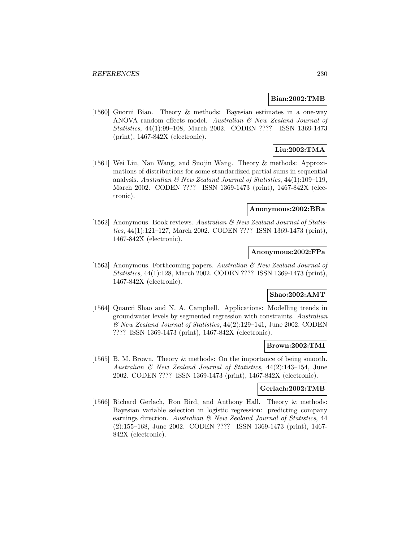### **Bian:2002:TMB**

[1560] Guorui Bian. Theory & methods: Bayesian estimates in a one-way ANOVA random effects model. Australian & New Zealand Journal of Statistics, 44(1):99–108, March 2002. CODEN ???? ISSN 1369-1473 (print), 1467-842X (electronic).

# **Liu:2002:TMA**

[1561] Wei Liu, Nan Wang, and Suojin Wang. Theory & methods: Approximations of distributions for some standardized partial sums in sequential analysis. Australian & New Zealand Journal of Statistics, 44(1):109–119, March 2002. CODEN ???? ISSN 1369-1473 (print), 1467-842X (electronic).

#### **Anonymous:2002:BRa**

[1562] Anonymous. Book reviews. Australian & New Zealand Journal of Statistics, 44(1):121–127, March 2002. CODEN ???? ISSN 1369-1473 (print), 1467-842X (electronic).

# **Anonymous:2002:FPa**

[1563] Anonymous. Forthcoming papers. Australian & New Zealand Journal of Statistics, 44(1):128, March 2002. CODEN ???? ISSN 1369-1473 (print), 1467-842X (electronic).

# **Shao:2002:AMT**

[1564] Quanxi Shao and N. A. Campbell. Applications: Modelling trends in groundwater levels by segmented regression with constraints. Australian & New Zealand Journal of Statistics, 44(2):129–141, June 2002. CODEN ???? ISSN 1369-1473 (print), 1467-842X (electronic).

#### **Brown:2002:TMI**

[1565] B. M. Brown. Theory & methods: On the importance of being smooth. Australian & New Zealand Journal of Statistics, 44(2):143–154, June 2002. CODEN ???? ISSN 1369-1473 (print), 1467-842X (electronic).

### **Gerlach:2002:TMB**

[1566] Richard Gerlach, Ron Bird, and Anthony Hall. Theory & methods: Bayesian variable selection in logistic regression: predicting company earnings direction. Australian & New Zealand Journal of Statistics, 44 (2):155–168, June 2002. CODEN ???? ISSN 1369-1473 (print), 1467- 842X (electronic).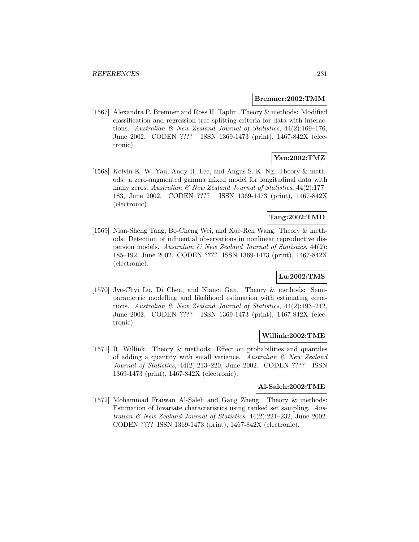### **Bremner:2002:TMM**

[1567] Alexandra P. Bremner and Ross H. Taplin. Theory & methods: Modified classification and regression tree splitting criteria for data with interactions. Australian  $\mathcal B$  New Zealand Journal of Statistics, 44(2):169–176, June 2002. CODEN ???? ISSN 1369-1473 (print), 1467-842X (electronic).

# **Yau:2002:TMZ**

[1568] Kelvin K. W. Yau, Andy H. Lee, and Angus S. K. Ng. Theory & methods: a zero-augmented gamma mixed model for longitudinal data with many zeros. Australian  $\mathcal{B}$  New Zealand Journal of Statistics, 44(2):177– 183, June 2002. CODEN ???? ISSN 1369-1473 (print), 1467-842X (electronic).

# **Tang:2002:TMD**

[1569] Nian-Sheng Tang, Bo-Cheng Wei, and Xue-Ren Wang. Theory & methods: Detection of influential observations in nonlinear reproductive dispersion models. Australian  $\mathcal{C}$  New Zealand Journal of Statistics, 44(2): 185–192, June 2002. CODEN ???? ISSN 1369-1473 (print), 1467-842X (electronic).

# **Lu:2002:TMS**

[1570] Jye-Chyi Lu, Di Chen, and Nianci Gan. Theory & methods: Semiparametric modelling and likelihood estimation with estimating equations. Australian & New Zealand Journal of Statistics, 44(2):193–212, June 2002. CODEN ???? ISSN 1369-1473 (print), 1467-842X (electronic).

### **Willink:2002:TME**

[1571] R. Willink. Theory & methods: Effect on probabilities and quantiles of adding a quantity with small variance. Australian  $\mathcal{B}$  New Zealand Journal of Statistics, 44(2):213–220, June 2002. CODEN ???? ISSN 1369-1473 (print), 1467-842X (electronic).

# **Al-Saleh:2002:TME**

[1572] Mohammad Fraiwan Al-Saleh and Gang Zheng. Theory & methods: Estimation of bivariate characteristics using ranked set sampling. Australian & New Zealand Journal of Statistics, 44(2):221–232, June 2002. CODEN ???? ISSN 1369-1473 (print), 1467-842X (electronic).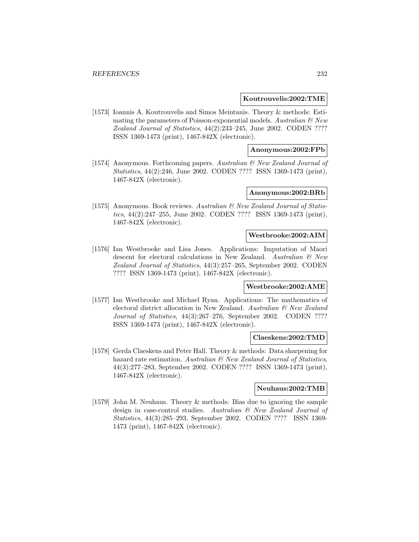### **Koutrouvelis:2002:TME**

[1573] Ioannis A. Koutrouvelis and Simos Meintanis. Theory & methods: Estimating the parameters of Poisson-exponential models. Australian  $\mathcal{C}$  New Zealand Journal of Statistics, 44(2):233–245, June 2002. CODEN ???? ISSN 1369-1473 (print), 1467-842X (electronic).

# **Anonymous:2002:FPb**

[1574] Anonymous. Forthcoming papers. Australian & New Zealand Journal of Statistics, 44(2):246, June 2002. CODEN ???? ISSN 1369-1473 (print), 1467-842X (electronic).

### **Anonymous:2002:BRb**

[1575] Anonymous. Book reviews. Australian & New Zealand Journal of Statistics, 44(2):247–255, June 2002. CODEN ???? ISSN 1369-1473 (print), 1467-842X (electronic).

#### **Westbrooke:2002:AIM**

[1576] Ian Westbrooke and Lisa Jones. Applications: Imputation of Maori descent for electoral calculations in New Zealand. Australian  $\mathcal{B}$  New Zealand Journal of Statistics, 44(3):257–265, September 2002. CODEN ???? ISSN 1369-1473 (print), 1467-842X (electronic).

#### **Westbrooke:2002:AME**

[1577] Ian Westbrooke and Michael Ryan. Applications: The mathematics of electoral district allocation in New Zealand. Australian & New Zealand Journal of Statistics, 44(3):267–276, September 2002. CODEN ???? ISSN 1369-1473 (print), 1467-842X (electronic).

#### **Claeskens:2002:TMD**

[1578] Gerda Claeskens and Peter Hall. Theory & methods: Data sharpening for hazard rate estimation. Australian  $\mathcal B$  New Zealand Journal of Statistics, 44(3):277–283, September 2002. CODEN ???? ISSN 1369-1473 (print), 1467-842X (electronic).

### **Neuhaus:2002:TMB**

[1579] John M. Neuhaus. Theory & methods: Bias due to ignoring the sample design in case-control studies. Australian & New Zealand Journal of Statistics, 44(3):285–293, September 2002. CODEN ???? ISSN 1369- 1473 (print), 1467-842X (electronic).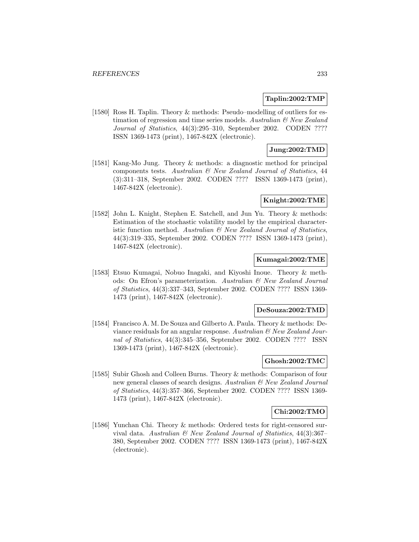## **Taplin:2002:TMP**

[1580] Ross H. Taplin. Theory & methods: Pseudo–modelling of outliers for estimation of regression and time series models. Australian  $\mathcal{C}$  New Zealand Journal of Statistics, 44(3):295–310, September 2002. CODEN ???? ISSN 1369-1473 (print), 1467-842X (electronic).

# **Jung:2002:TMD**

[1581] Kang-Mo Jung. Theory & methods: a diagnostic method for principal components tests. Australian  $\mathcal{C}$  New Zealand Journal of Statistics, 44 (3):311–318, September 2002. CODEN ???? ISSN 1369-1473 (print), 1467-842X (electronic).

### **Knight:2002:TME**

[1582] John L. Knight, Stephen E. Satchell, and Jun Yu. Theory & methods: Estimation of the stochastic volatility model by the empirical characteristic function method. Australian & New Zealand Journal of Statistics, 44(3):319–335, September 2002. CODEN ???? ISSN 1369-1473 (print), 1467-842X (electronic).

### **Kumagai:2002:TME**

[1583] Etsuo Kumagai, Nobuo Inagaki, and Kiyoshi Inoue. Theory & methods: On Efron's parameterization. Australian & New Zealand Journal of Statistics, 44(3):337–343, September 2002. CODEN ???? ISSN 1369- 1473 (print), 1467-842X (electronic).

#### **DeSouza:2002:TMD**

[1584] Francisco A. M. De Souza and Gilberto A. Paula. Theory & methods: Deviance residuals for an angular response. Australian  $\mathcal{C}$  New Zealand Journal of Statistics, 44(3):345–356, September 2002. CODEN ???? ISSN 1369-1473 (print), 1467-842X (electronic).

# **Ghosh:2002:TMC**

[1585] Subir Ghosh and Colleen Burns. Theory & methods: Comparison of four new general classes of search designs. Australian  $\mathcal{B}$  New Zealand Journal of Statistics, 44(3):357–366, September 2002. CODEN ???? ISSN 1369- 1473 (print), 1467-842X (electronic).

# **Chi:2002:TMO**

[1586] Yunchan Chi. Theory & methods: Ordered tests for right-censored survival data. Australian & New Zealand Journal of Statistics, 44(3):367– 380, September 2002. CODEN ???? ISSN 1369-1473 (print), 1467-842X (electronic).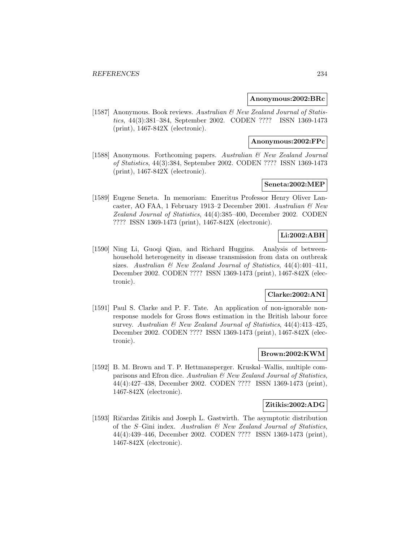### **Anonymous:2002:BRc**

[1587] Anonymous. Book reviews. Australian & New Zealand Journal of Statistics, 44(3):381–384, September 2002. CODEN ???? ISSN 1369-1473 (print), 1467-842X (electronic).

# **Anonymous:2002:FPc**

[1588] Anonymous. Forthcoming papers. Australian & New Zealand Journal of Statistics, 44(3):384, September 2002. CODEN ???? ISSN 1369-1473 (print), 1467-842X (electronic).

# **Seneta:2002:MEP**

[1589] Eugene Seneta. In memoriam: Emeritus Professor Henry Oliver Lancaster, AO FAA, 1 February 1913–2 December 2001. Australian & New Zealand Journal of Statistics, 44(4):385–400, December 2002. CODEN ???? ISSN 1369-1473 (print), 1467-842X (electronic).

# **Li:2002:ABH**

[1590] Ning Li, Guoqi Qian, and Richard Huggins. Analysis of betweenhousehold heterogeneity in disease transmission from data on outbreak sizes. Australian  $\mathcal{B}$  New Zealand Journal of Statistics, 44(4):401-411, December 2002. CODEN ???? ISSN 1369-1473 (print), 1467-842X (electronic).

# **Clarke:2002:ANI**

[1591] Paul S. Clarke and P. F. Tate. An application of non-ignorable nonresponse models for Gross flows estimation in the British labour force survey. Australian & New Zealand Journal of Statistics, 44(4):413–425, December 2002. CODEN ???? ISSN 1369-1473 (print), 1467-842X (electronic).

# **Brown:2002:KWM**

[1592] B. M. Brown and T. P. Hettmansperger. Kruskal–Wallis, multiple comparisons and Efron dice. Australian & New Zealand Journal of Statistics, 44(4):427–438, December 2002. CODEN ???? ISSN 1369-1473 (print), 1467-842X (electronic).

# **Zitikis:2002:ADG**

[1593] Ričardas Zitikis and Joseph L. Gastwirth. The asymptotic distribution of the S–Gini index. Australian & New Zealand Journal of Statistics, 44(4):439–446, December 2002. CODEN ???? ISSN 1369-1473 (print), 1467-842X (electronic).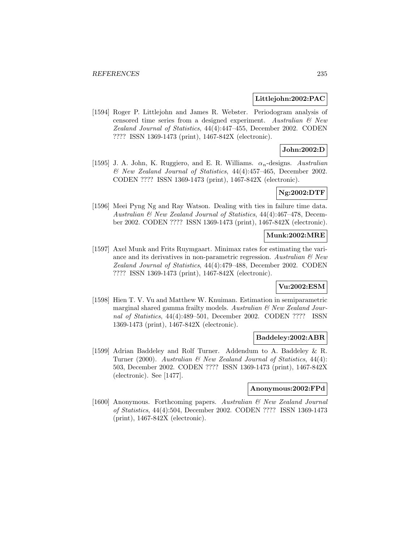### **Littlejohn:2002:PAC**

[1594] Roger P. Littlejohn and James R. Webster. Periodogram analysis of censored time series from a designed experiment. Australian  $\mathcal{C}$  New Zealand Journal of Statistics, 44(4):447–455, December 2002. CODEN ???? ISSN 1369-1473 (print), 1467-842X (electronic).

# **John:2002:D**

[1595] J. A. John, K. Ruggiero, and E. R. Williams.  $\alpha_n$ -designs. Australian & New Zealand Journal of Statistics, 44(4):457–465, December 2002. CODEN ???? ISSN 1369-1473 (print), 1467-842X (electronic).

# **Ng:2002:DTF**

[1596] Meei Pyng Ng and Ray Watson. Dealing with ties in failure time data. Australian & New Zealand Journal of Statistics, 44(4):467–478, December 2002. CODEN ???? ISSN 1369-1473 (print), 1467-842X (electronic).

### **Munk:2002:MRE**

[1597] Axel Munk and Frits Ruymgaart. Minimax rates for estimating the variance and its derivatives in non-parametric regression. Australian  $\mathcal{B}$  New Zealand Journal of Statistics, 44(4):479–488, December 2002. CODEN ???? ISSN 1369-1473 (print), 1467-842X (electronic).

# **Vu:2002:ESM**

[1598] Hien T. V. Vu and Matthew W. Knuiman. Estimation in semiparametric marginal shared gamma frailty models. Australian  $\mathcal{B}$  New Zealand Journal of Statistics, 44(4):489–501, December 2002. CODEN ???? ISSN 1369-1473 (print), 1467-842X (electronic).

#### **Baddeley:2002:ABR**

[1599] Adrian Baddeley and Rolf Turner. Addendum to A. Baddeley & R. Turner (2000). Australian  $\mathscr B$  New Zealand Journal of Statistics, 44(4): 503, December 2002. CODEN ???? ISSN 1369-1473 (print), 1467-842X (electronic). See [1477].

# **Anonymous:2002:FPd**

[1600] Anonymous. Forthcoming papers. Australian & New Zealand Journal of Statistics, 44(4):504, December 2002. CODEN ???? ISSN 1369-1473 (print), 1467-842X (electronic).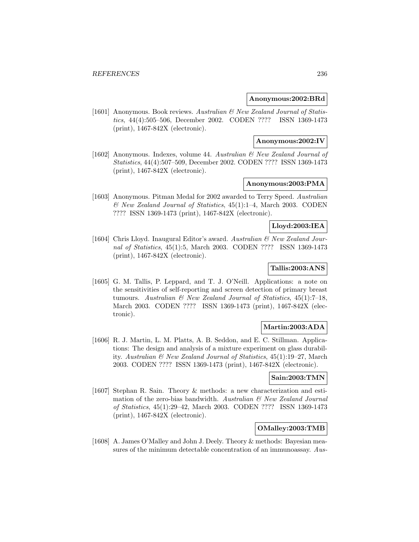### **Anonymous:2002:BRd**

[1601] Anonymous. Book reviews. Australian & New Zealand Journal of Statistics, 44(4):505–506, December 2002. CODEN ???? ISSN 1369-1473 (print), 1467-842X (electronic).

# **Anonymous:2002:IV**

[1602] Anonymous. Indexes, volume 44. Australian & New Zealand Journal of Statistics, 44(4):507–509, December 2002. CODEN ???? ISSN 1369-1473 (print), 1467-842X (electronic).

# **Anonymous:2003:PMA**

[1603] Anonymous. Pitman Medal for 2002 awarded to Terry Speed. Australian & New Zealand Journal of Statistics, 45(1):1–4, March 2003. CODEN ???? ISSN 1369-1473 (print), 1467-842X (electronic).

# **Lloyd:2003:IEA**

[1604] Chris Lloyd. Inaugural Editor's award. Australian & New Zealand Journal of Statistics, 45(1):5, March 2003. CODEN ???? ISSN 1369-1473 (print), 1467-842X (electronic).

# **Tallis:2003:ANS**

[1605] G. M. Tallis, P. Leppard, and T. J. O'Neill. Applications: a note on the sensitivities of self-reporting and screen detection of primary breast tumours. Australian  $\mathcal{B}$  New Zealand Journal of Statistics, 45(1):7-18, March 2003. CODEN ???? ISSN 1369-1473 (print), 1467-842X (electronic).

# **Martin:2003:ADA**

[1606] R. J. Martin, L. M. Platts, A. B. Seddon, and E. C. Stillman. Applications: The design and analysis of a mixture experiment on glass durability. Australian & New Zealand Journal of Statistics, 45(1):19–27, March 2003. CODEN ???? ISSN 1369-1473 (print), 1467-842X (electronic).

# **Sain:2003:TMN**

[1607] Stephan R. Sain. Theory & methods: a new characterization and estimation of the zero-bias bandwidth. Australian & New Zealand Journal of Statistics, 45(1):29–42, March 2003. CODEN ???? ISSN 1369-1473 (print), 1467-842X (electronic).

# **OMalley:2003:TMB**

[1608] A. James O'Malley and John J. Deely. Theory & methods: Bayesian measures of the minimum detectable concentration of an immunoassay. Aus-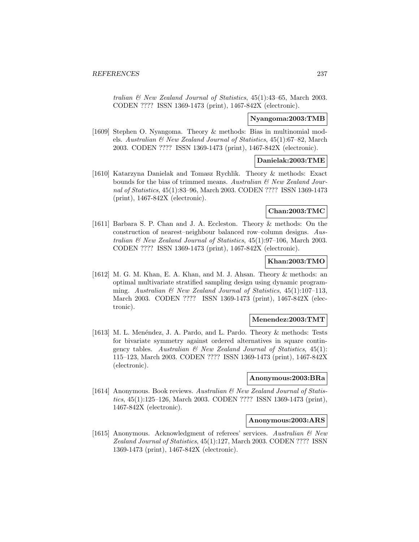tralian & New Zealand Journal of Statistics, 45(1):43–65, March 2003. CODEN ???? ISSN 1369-1473 (print), 1467-842X (electronic).

### **Nyangoma:2003:TMB**

[1609] Stephen O. Nyangoma. Theory & methods: Bias in multinomial models. Australian & New Zealand Journal of Statistics, 45(1):67–82, March 2003. CODEN ???? ISSN 1369-1473 (print), 1467-842X (electronic).

# **Danielak:2003:TME**

[1610] Katarzyna Danielak and Tomasz Rychlik. Theory & methods: Exact bounds for the bias of trimmed means. Australian  $\mathcal{C}'$  New Zealand Journal of Statistics, 45(1):83–96, March 2003. CODEN ???? ISSN 1369-1473 (print), 1467-842X (electronic).

# **Chan:2003:TMC**

[1611] Barbara S. P. Chan and J. A. Eccleston. Theory & methods: On the construction of nearest–neighbour balanced row–column designs. Australian & New Zealand Journal of Statistics, 45(1):97–106, March 2003. CODEN ???? ISSN 1369-1473 (print), 1467-842X (electronic).

# **Khan:2003:TMO**

[1612] M. G. M. Khan, E. A. Khan, and M. J. Ahsan. Theory & methods: an optimal multivariate stratified sampling design using dynamic programming. Australian  $\mathcal{B}$  New Zealand Journal of Statistics, 45(1):107-113, March 2003. CODEN ???? ISSN 1369-1473 (print), 1467-842X (electronic).

# **Menendez:2003:TMT**

[1613] M. L. Menéndez, J. A. Pardo, and L. Pardo. Theory & methods: Tests for bivariate symmetry against ordered alternatives in square contingency tables. Australian  $\mathcal B$  New Zealand Journal of Statistics, 45(1): 115–123, March 2003. CODEN ???? ISSN 1369-1473 (print), 1467-842X (electronic).

### **Anonymous:2003:BRa**

[1614] Anonymous. Book reviews. Australian & New Zealand Journal of Statistics, 45(1):125–126, March 2003. CODEN ???? ISSN 1369-1473 (print), 1467-842X (electronic).

#### **Anonymous:2003:ARS**

[1615] Anonymous. Acknowledgment of referees' services. Australian & New Zealand Journal of Statistics, 45(1):127, March 2003. CODEN ???? ISSN 1369-1473 (print), 1467-842X (electronic).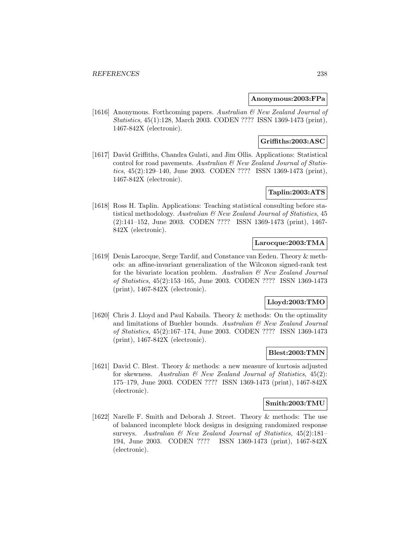# **Anonymous:2003:FPa**

[1616] Anonymous. Forthcoming papers. Australian & New Zealand Journal of Statistics, 45(1):128, March 2003. CODEN ???? ISSN 1369-1473 (print), 1467-842X (electronic).

# **Griffiths:2003:ASC**

[1617] David Griffiths, Chandra Gulati, and Jim Ollis. Applications: Statistical control for road pavements. Australian & New Zealand Journal of Statistics, 45(2):129–140, June 2003. CODEN ???? ISSN 1369-1473 (print), 1467-842X (electronic).

# **Taplin:2003:ATS**

[1618] Ross H. Taplin. Applications: Teaching statistical consulting before statistical methodology. Australian & New Zealand Journal of Statistics, 45 (2):141–152, June 2003. CODEN ???? ISSN 1369-1473 (print), 1467- 842X (electronic).

## **Larocque:2003:TMA**

[1619] Denis Larocque, Serge Tardif, and Constance van Eeden. Theory & methods: an affine-invariant generalization of the Wilcoxon signed-rank test for the bivariate location problem. Australian  $\mathcal{B}$  New Zealand Journal of Statistics, 45(2):153–165, June 2003. CODEN ???? ISSN 1369-1473 (print), 1467-842X (electronic).

# **Lloyd:2003:TMO**

[1620] Chris J. Lloyd and Paul Kabaila. Theory & methods: On the optimality and limitations of Buehler bounds. Australian & New Zealand Journal of Statistics, 45(2):167–174, June 2003. CODEN ???? ISSN 1369-1473 (print), 1467-842X (electronic).

# **Blest:2003:TMN**

[1621] David C. Blest. Theory & methods: a new measure of kurtosis adjusted for skewness. Australian  $\mathcal{B}$  New Zealand Journal of Statistics, 45(2): 175–179, June 2003. CODEN ???? ISSN 1369-1473 (print), 1467-842X (electronic).

#### **Smith:2003:TMU**

[1622] Narelle F. Smith and Deborah J. Street. Theory & methods: The use of balanced incomplete block designs in designing randomized response surveys. Australian & New Zealand Journal of Statistics, 45(2):181– 194, June 2003. CODEN ???? ISSN 1369-1473 (print), 1467-842X (electronic).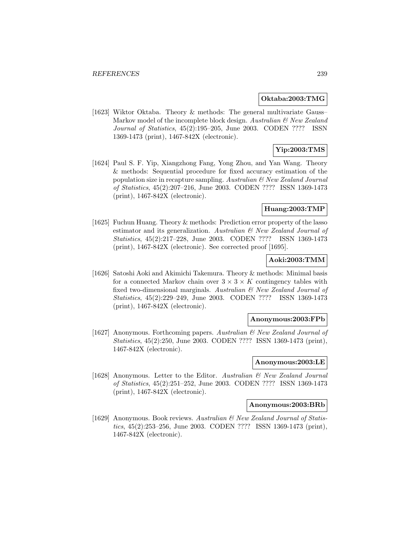### **Oktaba:2003:TMG**

[1623] Wiktor Oktaba. Theory & methods: The general multivariate Gauss– Markov model of the incomplete block design. Australian  $\mathcal{C}$  New Zealand Journal of Statistics, 45(2):195–205, June 2003. CODEN ???? ISSN 1369-1473 (print), 1467-842X (electronic).

# **Yip:2003:TMS**

[1624] Paul S. F. Yip, Xiangzhong Fang, Yong Zhou, and Yan Wang. Theory & methods: Sequential procedure for fixed accuracy estimation of the population size in recapture sampling. Australian  $\mathcal{B}$  New Zealand Journal of Statistics, 45(2):207–216, June 2003. CODEN ???? ISSN 1369-1473 (print), 1467-842X (electronic).

# **Huang:2003:TMP**

[1625] Fuchun Huang. Theory & methods: Prediction error property of the lasso estimator and its generalization. Australian  $\mathcal{C}'$  New Zealand Journal of Statistics, 45(2):217–228, June 2003. CODEN ???? ISSN 1369-1473 (print), 1467-842X (electronic). See corrected proof [1695].

# **Aoki:2003:TMM**

[1626] Satoshi Aoki and Akimichi Takemura. Theory & methods: Minimal basis for a connected Markov chain over  $3 \times 3 \times K$  contingency tables with fixed two-dimensional marginals. Australian & New Zealand Journal of Statistics, 45(2):229–249, June 2003. CODEN ???? ISSN 1369-1473 (print), 1467-842X (electronic).

### **Anonymous:2003:FPb**

[1627] Anonymous. Forthcoming papers. Australian  $\mathcal{B}$  New Zealand Journal of Statistics, 45(2):250, June 2003. CODEN ???? ISSN 1369-1473 (print), 1467-842X (electronic).

#### **Anonymous:2003:LE**

[1628] Anonymous. Letter to the Editor. Australian  $\mathcal{B}$  New Zealand Journal of Statistics, 45(2):251–252, June 2003. CODEN ???? ISSN 1369-1473 (print), 1467-842X (electronic).

### **Anonymous:2003:BRb**

[1629] Anonymous. Book reviews. Australian & New Zealand Journal of Statistics, 45(2):253–256, June 2003. CODEN ???? ISSN 1369-1473 (print), 1467-842X (electronic).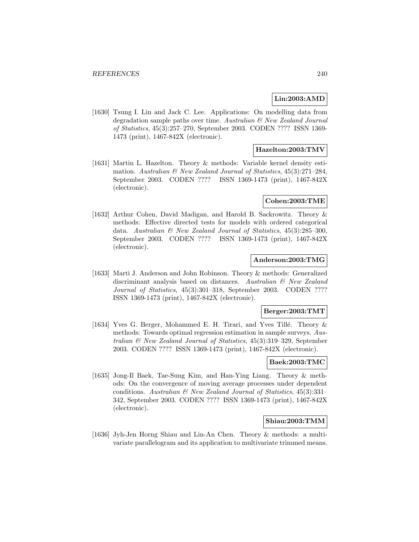# **Lin:2003:AMD**

[1630] Tsung I. Lin and Jack C. Lee. Applications: On modelling data from degradation sample paths over time. Australian & New Zealand Journal of Statistics, 45(3):257–270, September 2003. CODEN ???? ISSN 1369- 1473 (print), 1467-842X (electronic).

# **Hazelton:2003:TMV**

[1631] Martin L. Hazelton. Theory & methods: Variable kernel density estimation. Australian  $\mathcal C$  New Zealand Journal of Statistics, 45(3):271–284, September 2003. CODEN ???? ISSN 1369-1473 (print), 1467-842X (electronic).

### **Cohen:2003:TME**

[1632] Arthur Cohen, David Madigan, and Harold B. Sackrowitz. Theory & methods: Effective directed tests for models with ordered categorical data. Australian  $\mathcal B$  New Zealand Journal of Statistics, 45(3):285-300, September 2003. CODEN ???? ISSN 1369-1473 (print), 1467-842X (electronic).

# **Anderson:2003:TMG**

[1633] Marti J. Anderson and John Robinson. Theory & methods: Generalized discriminant analysis based on distances. Australian & New Zealand Journal of Statistics, 45(3):301-318, September 2003. CODEN ???? ISSN 1369-1473 (print), 1467-842X (electronic).

# **Berger:2003:TMT**

[1634] Yves G. Berger, Mohammed E. H. Tirari, and Yves Tillé. Theory & methods: Towards optimal regression estimation in sample surveys. Australian & New Zealand Journal of Statistics, 45(3):319–329, September 2003. CODEN ???? ISSN 1369-1473 (print), 1467-842X (electronic).

# **Baek:2003:TMC**

[1635] Jong-Il Baek, Tae-Sung Kim, and Han-Ying Liang. Theory & methods: On the convergence of moving average processes under dependent conditions. Australian  $\mathcal B$  New Zealand Journal of Statistics, 45(3):331– 342, September 2003. CODEN ???? ISSN 1369-1473 (print), 1467-842X (electronic).

# **Shiau:2003:TMM**

[1636] Jyh-Jen Horng Shiau and Lin-An Chen. Theory & methods: a multivariate parallelogram and its application to multivariate trimmed means.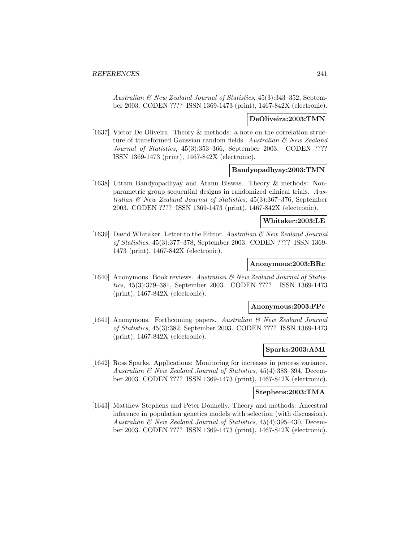Australian & New Zealand Journal of Statistics, 45(3):343–352, September 2003. CODEN ???? ISSN 1369-1473 (print), 1467-842X (electronic).

### **DeOliveira:2003:TMN**

[1637] Victor De Oliveira. Theory & methods: a note on the correlation structure of transformed Gaussian random fields. Australian & New Zealand Journal of Statistics, 45(3):353–366, September 2003. CODEN ???? ISSN 1369-1473 (print), 1467-842X (electronic).

### **Bandyopadhyay:2003:TMN**

[1638] Uttam Bandyopadhyay and Atanu Biswas. Theory & methods: Nonparametric group sequential designs in randomized clinical trials. Australian & New Zealand Journal of Statistics, 45(3):367–376, September 2003. CODEN ???? ISSN 1369-1473 (print), 1467-842X (electronic).

### **Whitaker:2003:LE**

[1639] David Whitaker. Letter to the Editor. Australian & New Zealand Journal of Statistics, 45(3):377–378, September 2003. CODEN ???? ISSN 1369- 1473 (print), 1467-842X (electronic).

# **Anonymous:2003:BRc**

[1640] Anonymous. Book reviews. Australian & New Zealand Journal of Statistics, 45(3):379–381, September 2003. CODEN ???? ISSN 1369-1473 (print), 1467-842X (electronic).

### **Anonymous:2003:FPc**

[1641] Anonymous. Forthcoming papers. Australian & New Zealand Journal of Statistics, 45(3):382, September 2003. CODEN ???? ISSN 1369-1473 (print), 1467-842X (electronic).

# **Sparks:2003:AMI**

[1642] Ross Sparks. Applications: Monitoring for increases in process variance. Australian & New Zealand Journal of Statistics, 45(4):383–394, December 2003. CODEN ???? ISSN 1369-1473 (print), 1467-842X (electronic).

### **Stephens:2003:TMA**

[1643] Matthew Stephens and Peter Donnelly. Theory and methods: Ancestral inference in population genetics models with selection (with discussion). Australian & New Zealand Journal of Statistics, 45(4):395–430, December 2003. CODEN ???? ISSN 1369-1473 (print), 1467-842X (electronic).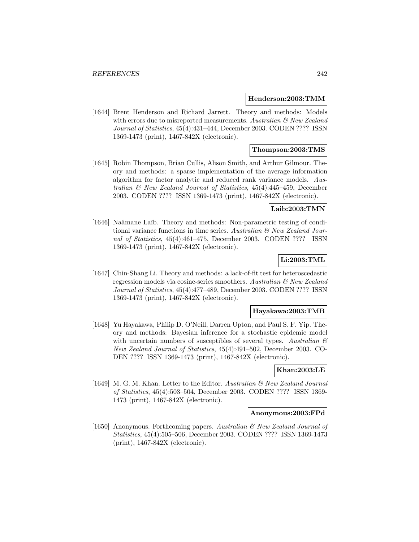### **Henderson:2003:TMM**

[1644] Brent Henderson and Richard Jarrett. Theory and methods: Models with errors due to misreported measurements. Australian  $\mathcal{B}$  New Zealand Journal of Statistics, 45(4):431–444, December 2003. CODEN ???? ISSN 1369-1473 (print), 1467-842X (electronic).

# **Thompson:2003:TMS**

[1645] Robin Thompson, Brian Cullis, Alison Smith, and Arthur Gilmour. Theory and methods: a sparse implementation of the average information algorithm for factor analytic and reduced rank variance models. Australian & New Zealand Journal of Statistics, 45(4):445–459, December 2003. CODEN ???? ISSN 1369-1473 (print), 1467-842X (electronic).

## **Laib:2003:TMN**

[1646] Naâmane Laïb. Theory and methods: Non-parametric testing of conditional variance functions in time series. Australian  $\mathcal{C}'$  New Zealand Journal of Statistics, 45(4):461–475, December 2003. CODEN ???? ISSN 1369-1473 (print), 1467-842X (electronic).

# **Li:2003:TML**

[1647] Chin-Shang Li. Theory and methods: a lack-of-fit test for heteroscedastic regression models via cosine-series smoothers. Australian & New Zealand Journal of Statistics, 45(4):477–489, December 2003. CODEN ???? ISSN 1369-1473 (print), 1467-842X (electronic).

### **Hayakawa:2003:TMB**

[1648] Yu Hayakawa, Philip D. O'Neill, Darren Upton, and Paul S. F. Yip. Theory and methods: Bayesian inference for a stochastic epidemic model with uncertain numbers of susceptibles of several types. Australian  $\mathcal{B}$ New Zealand Journal of Statistics, 45(4):491–502, December 2003. CO-DEN ???? ISSN 1369-1473 (print), 1467-842X (electronic).

# **Khan:2003:LE**

[1649] M. G. M. Khan. Letter to the Editor. Australian & New Zealand Journal of Statistics, 45(4):503–504, December 2003. CODEN ???? ISSN 1369- 1473 (print), 1467-842X (electronic).

### **Anonymous:2003:FPd**

[1650] Anonymous. Forthcoming papers. Australian & New Zealand Journal of Statistics, 45(4):505–506, December 2003. CODEN ???? ISSN 1369-1473 (print), 1467-842X (electronic).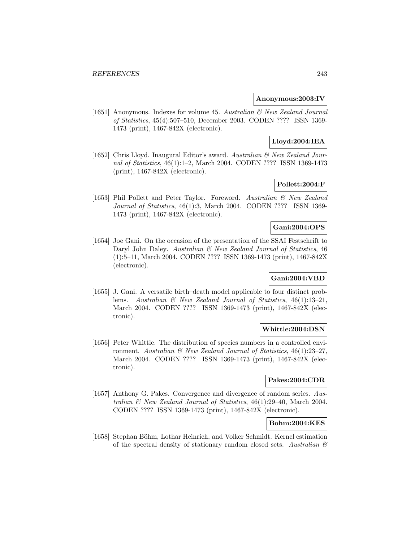### **Anonymous:2003:IV**

[1651] Anonymous. Indexes for volume 45. Australian & New Zealand Journal of Statistics, 45(4):507–510, December 2003. CODEN ???? ISSN 1369- 1473 (print), 1467-842X (electronic).

# **Lloyd:2004:IEA**

[1652] Chris Lloyd. Inaugural Editor's award. Australian & New Zealand Journal of Statistics, 46(1):1–2, March 2004. CODEN ???? ISSN 1369-1473 (print), 1467-842X (electronic).

# **Pollett:2004:F**

[1653] Phil Pollett and Peter Taylor. Foreword. Australian & New Zealand Journal of Statistics, 46(1):3, March 2004. CODEN ???? ISSN 1369- 1473 (print), 1467-842X (electronic).

# **Gani:2004:OPS**

[1654] Joe Gani. On the occasion of the presentation of the SSAI Festschrift to Daryl John Daley. Australian & New Zealand Journal of Statistics, 46 (1):5–11, March 2004. CODEN ???? ISSN 1369-1473 (print), 1467-842X (electronic).

# **Gani:2004:VBD**

[1655] J. Gani. A versatile birth–death model applicable to four distinct problems. Australian & New Zealand Journal of Statistics, 46(1):13–21, March 2004. CODEN ???? ISSN 1369-1473 (print), 1467-842X (electronic).

# **Whittle:2004:DSN**

[1656] Peter Whittle. The distribution of species numbers in a controlled environment. Australian  $\mathcal B$  New Zealand Journal of Statistics, 46(1):23-27, March 2004. CODEN ???? ISSN 1369-1473 (print), 1467-842X (electronic).

# **Pakes:2004:CDR**

[1657] Anthony G. Pakes. Convergence and divergence of random series. Australian & New Zealand Journal of Statistics, 46(1):29–40, March 2004. CODEN ???? ISSN 1369-1473 (print), 1467-842X (electronic).

# **Bohm:2004:KES**

[1658] Stephan Böhm, Lothar Heinrich, and Volker Schmidt. Kernel estimation of the spectral density of stationary random closed sets. Australian  $\mathcal C$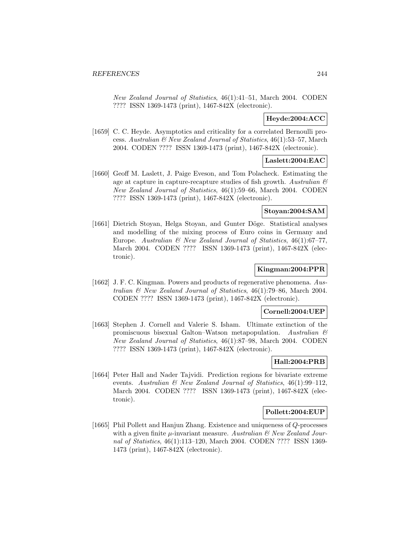New Zealand Journal of Statistics, 46(1):41–51, March 2004. CODEN ???? ISSN 1369-1473 (print), 1467-842X (electronic).

# **Heyde:2004:ACC**

[1659] C. C. Heyde. Asymptotics and criticality for a correlated Bernoulli process. Australian & New Zealand Journal of Statistics, 46(1):53–57, March 2004. CODEN ???? ISSN 1369-1473 (print), 1467-842X (electronic).

# **Laslett:2004:EAC**

[1660] Geoff M. Laslett, J. Paige Eveson, and Tom Polacheck. Estimating the age at capture in capture-recapture studies of fish growth. Australian  $\mathcal{B}$ New Zealand Journal of Statistics, 46(1):59–66, March 2004. CODEN ???? ISSN 1369-1473 (print), 1467-842X (electronic).

# **Stoyan:2004:SAM**

[1661] Dietrich Stoyan, Helga Stoyan, and Gunter Döge. Statistical analyses and modelling of the mixing process of Euro coins in Germany and Europe. Australian & New Zealand Journal of Statistics, 46(1):67-77, March 2004. CODEN ???? ISSN 1369-1473 (print), 1467-842X (electronic).

# **Kingman:2004:PPR**

[1662] J. F. C. Kingman. Powers and products of regenerative phenomena. Australian & New Zealand Journal of Statistics, 46(1):79–86, March 2004. CODEN ???? ISSN 1369-1473 (print), 1467-842X (electronic).

# **Cornell:2004:UEP**

[1663] Stephen J. Cornell and Valerie S. Isham. Ultimate extinction of the promiscuous bisexual Galton–Watson metapopulation. Australian & New Zealand Journal of Statistics, 46(1):87–98, March 2004. CODEN ???? ISSN 1369-1473 (print), 1467-842X (electronic).

# **Hall:2004:PRB**

[1664] Peter Hall and Nader Tajvidi. Prediction regions for bivariate extreme events. Australian & New Zealand Journal of Statistics, 46(1):99–112, March 2004. CODEN ???? ISSN 1369-1473 (print), 1467-842X (electronic).

# **Pollett:2004:EUP**

[1665] Phil Pollett and Hanjun Zhang. Existence and uniqueness of Q-processes with a given finite  $\mu$ -invariant measure. Australian  $\mathcal{B}$  New Zealand Journal of Statistics, 46(1):113–120, March 2004. CODEN ???? ISSN 1369- 1473 (print), 1467-842X (electronic).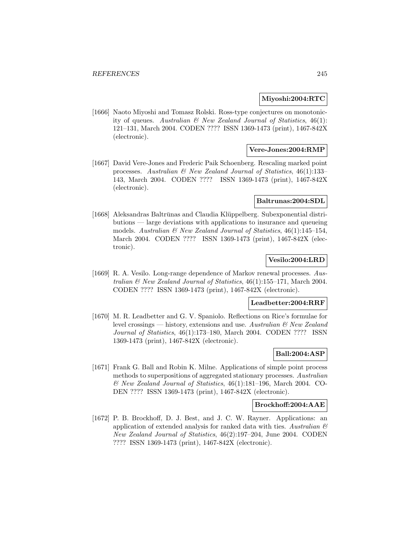# **Miyoshi:2004:RTC**

[1666] Naoto Miyoshi and Tomasz Rolski. Ross-type conjectures on monotonicity of queues. Australian  $\mathcal{B}$  New Zealand Journal of Statistics, 46(1): 121–131, March 2004. CODEN ???? ISSN 1369-1473 (print), 1467-842X (electronic).

# **Vere-Jones:2004:RMP**

[1667] David Vere-Jones and Frederic Paik Schoenberg. Rescaling marked point processes. Australian  $\mathcal{B}$  New Zealand Journal of Statistics, 46(1):133– 143, March 2004. CODEN ???? ISSN 1369-1473 (print), 1467-842X (electronic).

### **Baltrunas:2004:SDL**

[1668] Aleksandras Baltrūnas and Claudia Klüppelberg. Subexponential distributions — large deviations with applications to insurance and queueing models. Australian  $\mathcal C$  New Zealand Journal of Statistics, 46(1):145–154, March 2004. CODEN ???? ISSN 1369-1473 (print), 1467-842X (electronic).

# **Vesilo:2004:LRD**

[1669] R. A. Vesilo. Long-range dependence of Markov renewal processes. Australian  $\mathcal{B}$  New Zealand Journal of Statistics, 46(1):155–171, March 2004. CODEN ???? ISSN 1369-1473 (print), 1467-842X (electronic).

# **Leadbetter:2004:RRF**

[1670] M. R. Leadbetter and G. V. Spaniolo. Reflections on Rice's formulae for level crossings — history, extensions and use. Australian  $\mathcal{B}$  New Zealand Journal of Statistics, 46(1):173–180, March 2004. CODEN ???? ISSN 1369-1473 (print), 1467-842X (electronic).

# **Ball:2004:ASP**

[1671] Frank G. Ball and Robin K. Milne. Applications of simple point process methods to superpositions of aggregated stationary processes. Australian & New Zealand Journal of Statistics, 46(1):181–196, March 2004. CO-DEN ???? ISSN 1369-1473 (print), 1467-842X (electronic).

### **Brockhoff:2004:AAE**

[1672] P. B. Brockhoff, D. J. Best, and J. C. W. Rayner. Applications: an application of extended analysis for ranked data with ties. Australian  $\mathcal C$ New Zealand Journal of Statistics, 46(2):197–204, June 2004. CODEN ???? ISSN 1369-1473 (print), 1467-842X (electronic).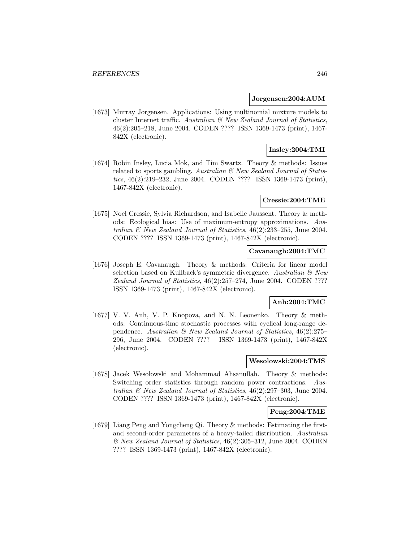#### **Jorgensen:2004:AUM**

[1673] Murray Jorgensen. Applications: Using multinomial mixture models to cluster Internet traffic. Australian & New Zealand Journal of Statistics, 46(2):205–218, June 2004. CODEN ???? ISSN 1369-1473 (print), 1467- 842X (electronic).

# **Insley:2004:TMI**

[1674] Robin Insley, Lucia Mok, and Tim Swartz. Theory & methods: Issues related to sports gambling. Australian  $\mathcal B$  New Zealand Journal of Statistics, 46(2):219–232, June 2004. CODEN ???? ISSN 1369-1473 (print), 1467-842X (electronic).

### **Cressie:2004:TME**

[1675] Noel Cressie, Sylvia Richardson, and Isabelle Jaussent. Theory & methods: Ecological bias: Use of maximum-entropy approximations. Australian & New Zealand Journal of Statistics, 46(2):233–255, June 2004. CODEN ???? ISSN 1369-1473 (print), 1467-842X (electronic).

# **Cavanaugh:2004:TMC**

[1676] Joseph E. Cavanaugh. Theory & methods: Criteria for linear model selection based on Kullback's symmetric divergence. Australian  $\mathcal{C}$  New Zealand Journal of Statistics, 46(2):257–274, June 2004. CODEN ???? ISSN 1369-1473 (print), 1467-842X (electronic).

# **Anh:2004:TMC**

[1677] V. V. Anh, V. P. Knopova, and N. N. Leonenko. Theory & methods: Continuous-time stochastic processes with cyclical long-range dependence. Australian & New Zealand Journal of Statistics, 46(2):275– 296, June 2004. CODEN ???? ISSN 1369-1473 (print), 1467-842X (electronic).

# **Wesolowski:2004:TMS**

[1678] Jacek Wesokowski and Mohammad Ahsanullah. Theory  $\&$  methods: Switching order statistics through random power contractions. Australian & New Zealand Journal of Statistics, 46(2):297–303, June 2004. CODEN ???? ISSN 1369-1473 (print), 1467-842X (electronic).

## **Peng:2004:TME**

[1679] Liang Peng and Yongcheng Qi. Theory & methods: Estimating the firstand second-order parameters of a heavy-tailed distribution. Australian & New Zealand Journal of Statistics, 46(2):305–312, June 2004. CODEN ???? ISSN 1369-1473 (print), 1467-842X (electronic).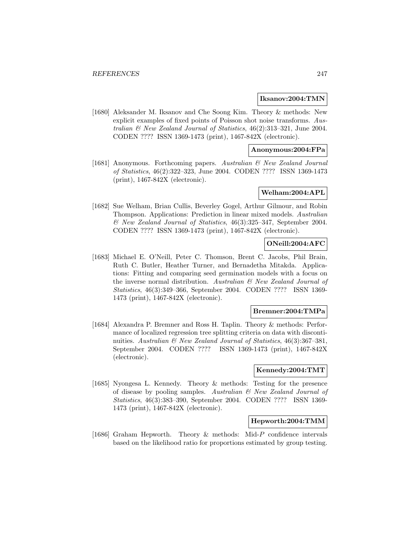### **Iksanov:2004:TMN**

[1680] Aleksander M. Iksanov and Che Soong Kim. Theory & methods: New explicit examples of fixed points of Poisson shot noise transforms. Australian & New Zealand Journal of Statistics, 46(2):313–321, June 2004. CODEN ???? ISSN 1369-1473 (print), 1467-842X (electronic).

# **Anonymous:2004:FPa**

[1681] Anonymous. Forthcoming papers. Australian & New Zealand Journal of Statistics, 46(2):322–323, June 2004. CODEN ???? ISSN 1369-1473 (print), 1467-842X (electronic).

## **Welham:2004:APL**

[1682] Sue Welham, Brian Cullis, Beverley Gogel, Arthur Gilmour, and Robin Thompson. Applications: Prediction in linear mixed models. Australian & New Zealand Journal of Statistics, 46(3):325–347, September 2004. CODEN ???? ISSN 1369-1473 (print), 1467-842X (electronic).

### **ONeill:2004:AFC**

[1683] Michael E. O'Neill, Peter C. Thomson, Brent C. Jacobs, Phil Brain, Ruth C. Butler, Heather Turner, and Bernadetha Mitakda. Applications: Fitting and comparing seed germination models with a focus on the inverse normal distribution. Australian  $\mathcal B$  New Zealand Journal of Statistics, 46(3):349–366, September 2004. CODEN ???? ISSN 1369- 1473 (print), 1467-842X (electronic).

### **Bremner:2004:TMPa**

[1684] Alexandra P. Bremner and Ross H. Taplin. Theory & methods: Performance of localized regression tree splitting criteria on data with discontinuities. Australian  $\mathcal B$  New Zealand Journal of Statistics, 46(3):367–381, September 2004. CODEN ???? ISSN 1369-1473 (print), 1467-842X (electronic).

# **Kennedy:2004:TMT**

[1685] Nyongesa L. Kennedy. Theory & methods: Testing for the presence of disease by pooling samples. Australian & New Zealand Journal of Statistics, 46(3):383–390, September 2004. CODEN ???? ISSN 1369- 1473 (print), 1467-842X (electronic).

# **Hepworth:2004:TMM**

[1686] Graham Hepworth. Theory & methods: Mid-P confidence intervals based on the likelihood ratio for proportions estimated by group testing.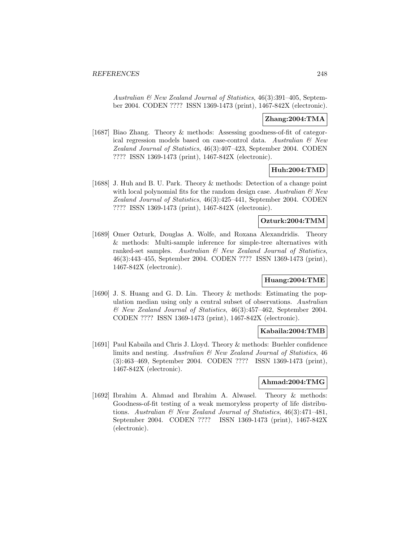Australian & New Zealand Journal of Statistics, 46(3):391–405, September 2004. CODEN ???? ISSN 1369-1473 (print), 1467-842X (electronic).

# **Zhang:2004:TMA**

[1687] Biao Zhang. Theory & methods: Assessing goodness-of-fit of categorical regression models based on case-control data. Australian  $\mathcal{C}$  New Zealand Journal of Statistics, 46(3):407–423, September 2004. CODEN ???? ISSN 1369-1473 (print), 1467-842X (electronic).

# **Huh:2004:TMD**

[1688] J. Huh and B. U. Park. Theory & methods: Detection of a change point with local polynomial fits for the random design case. Australian  $\mathcal{O}$  New Zealand Journal of Statistics, 46(3):425–441, September 2004. CODEN ???? ISSN 1369-1473 (print), 1467-842X (electronic).

# **Ozturk:2004:TMM**

[1689] Omer Ozturk, Douglas A. Wolfe, and Roxana Alexandridis. Theory & methods: Multi-sample inference for simple-tree alternatives with ranked-set samples. Australian & New Zealand Journal of Statistics, 46(3):443–455, September 2004. CODEN ???? ISSN 1369-1473 (print), 1467-842X (electronic).

### **Huang:2004:TME**

[1690] J. S. Huang and G. D. Lin. Theory & methods: Estimating the population median using only a central subset of observations. Australian & New Zealand Journal of Statistics, 46(3):457–462, September 2004. CODEN ???? ISSN 1369-1473 (print), 1467-842X (electronic).

## **Kabaila:2004:TMB**

[1691] Paul Kabaila and Chris J. Lloyd. Theory & methods: Buehler confidence limits and nesting. Australian & New Zealand Journal of Statistics, 46 (3):463–469, September 2004. CODEN ???? ISSN 1369-1473 (print), 1467-842X (electronic).

#### **Ahmad:2004:TMG**

[1692] Ibrahim A. Ahmad and Ibrahim A. Alwasel. Theory & methods: Goodness-of-fit testing of a weak memoryless property of life distributions. Australian & New Zealand Journal of Statistics, 46(3):471–481, September 2004. CODEN ???? ISSN 1369-1473 (print), 1467-842X (electronic).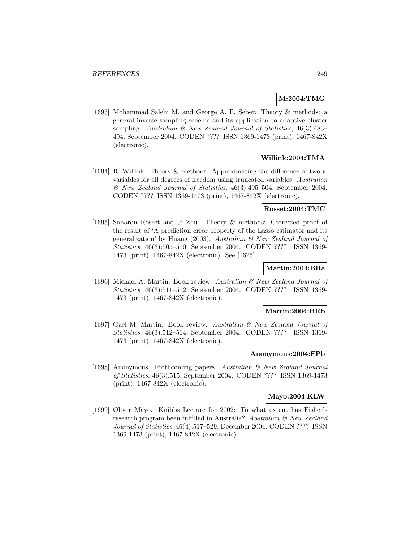# **M:2004:TMG**

[1693] Mohammad Salehi M. and George A. F. Seber. Theory & methods: a general inverse sampling scheme and its application to adaptive cluster sampling. Australian  $\mathcal{B}$  New Zealand Journal of Statistics, 46(3):483– 494, September 2004. CODEN ???? ISSN 1369-1473 (print), 1467-842X (electronic).

# **Willink:2004:TMA**

[1694] R. Willink. Theory & methods: Approximating the difference of two tvariables for all degrees of freedom using truncated variables. Australian & New Zealand Journal of Statistics, 46(3):495–504, September 2004. CODEN ???? ISSN 1369-1473 (print), 1467-842X (electronic).

#### **Rosset:2004:TMC**

[1695] Saharon Rosset and Ji Zhu. Theory & methods: Corrected proof of the result of 'A prediction error property of the Lasso estimator and its generalization' by Huang (2003). Australian  $\mathcal C$  New Zealand Journal of Statistics, 46(3):505–510, September 2004. CODEN ???? ISSN 1369- 1473 (print), 1467-842X (electronic). See [1625].

# **Martin:2004:BRa**

[1696] Michael A. Martin. Book review. Australian & New Zealand Journal of Statistics, 46(3):511–512, September 2004. CODEN ???? ISSN 1369- 1473 (print), 1467-842X (electronic).

#### **Martin:2004:BRb**

[1697] Gael M. Martin. Book review. Australian & New Zealand Journal of Statistics, 46(3):512–514, September 2004. CODEN ???? ISSN 1369- 1473 (print), 1467-842X (electronic).

# **Anonymous:2004:FPb**

[1698] Anonymous. Forthcoming papers. Australian & New Zealand Journal of Statistics, 46(3):515, September 2004. CODEN ???? ISSN 1369-1473 (print), 1467-842X (electronic).

# **Mayo:2004:KLW**

[1699] Oliver Mayo. Knibbs Lecture for 2002: To what extent has Fisher's research program been fulfilled in Australia? Australian & New Zealand Journal of Statistics, 46(4):517–529, December 2004. CODEN ???? ISSN 1369-1473 (print), 1467-842X (electronic).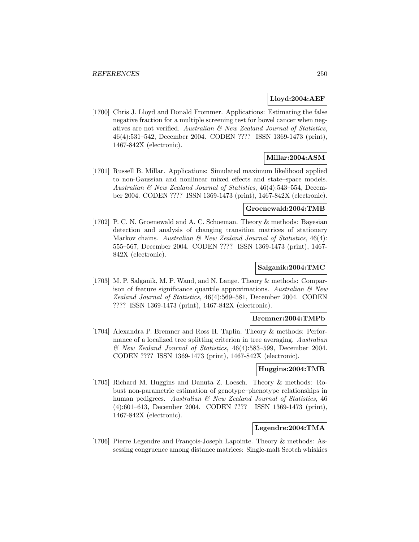# **Lloyd:2004:AEF**

[1700] Chris J. Lloyd and Donald Frommer. Applications: Estimating the false negative fraction for a multiple screening test for bowel cancer when negatives are not verified. Australian & New Zealand Journal of Statistics, 46(4):531–542, December 2004. CODEN ???? ISSN 1369-1473 (print), 1467-842X (electronic).

# **Millar:2004:ASM**

[1701] Russell B. Millar. Applications: Simulated maximum likelihood applied to non-Gaussian and nonlinear mixed effects and state–space models. Australian & New Zealand Journal of Statistics, 46(4):543–554, December 2004. CODEN ???? ISSN 1369-1473 (print), 1467-842X (electronic).

### **Groenewald:2004:TMB**

[1702] P. C. N. Groenewald and A. C. Schoeman. Theory & methods: Bayesian detection and analysis of changing transition matrices of stationary Markov chains. Australian  $\mathcal{B}$  New Zealand Journal of Statistics, 46(4): 555–567, December 2004. CODEN ???? ISSN 1369-1473 (print), 1467- 842X (electronic).

# **Salganik:2004:TMC**

[1703] M. P. Salganik, M. P. Wand, and N. Lange. Theory & methods: Comparison of feature significance quantile approximations. Australian  $\mathcal{C}$  New Zealand Journal of Statistics, 46(4):569–581, December 2004. CODEN ???? ISSN 1369-1473 (print), 1467-842X (electronic).

#### **Bremner:2004:TMPb**

[1704] Alexandra P. Bremner and Ross H. Taplin. Theory & methods: Performance of a localized tree splitting criterion in tree averaging. Australian & New Zealand Journal of Statistics, 46(4):583–599, December 2004. CODEN ???? ISSN 1369-1473 (print), 1467-842X (electronic).

### **Huggins:2004:TMR**

[1705] Richard M. Huggins and Danuta Z. Loesch. Theory & methods: Robust non-parametric estimation of genotype–phenotype relationships in human pedigrees. Australian & New Zealand Journal of Statistics, 46 (4):601–613, December 2004. CODEN ???? ISSN 1369-1473 (print), 1467-842X (electronic).

## **Legendre:2004:TMA**

[1706] Pierre Legendre and François-Joseph Lapointe. Theory & methods: Assessing congruence among distance matrices: Single-malt Scotch whiskies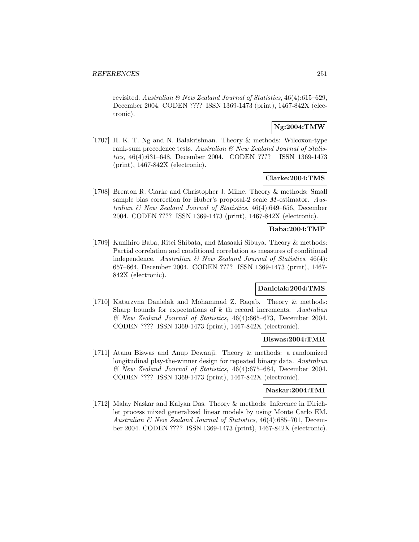revisited. Australian & New Zealand Journal of Statistics, 46(4):615–629, December 2004. CODEN ???? ISSN 1369-1473 (print), 1467-842X (electronic).

# **Ng:2004:TMW**

[1707] H. K. T. Ng and N. Balakrishnan. Theory & methods: Wilcoxon-type rank-sum precedence tests. Australian & New Zealand Journal of Statistics, 46(4):631–648, December 2004. CODEN ???? ISSN 1369-1473 (print), 1467-842X (electronic).

#### **Clarke:2004:TMS**

[1708] Brenton R. Clarke and Christopher J. Milne. Theory & methods: Small sample bias correction for Huber's proposal-2 scale M-estimator. Australian & New Zealand Journal of Statistics, 46(4):649–656, December 2004. CODEN ???? ISSN 1369-1473 (print), 1467-842X (electronic).

### **Baba:2004:TMP**

[1709] Kunihiro Baba, Ritei Shibata, and Masaaki Sibuya. Theory & methods: Partial correlation and conditional correlation as measures of conditional independence. Australian  $\mathcal{B}$  New Zealand Journal of Statistics, 46(4): 657–664, December 2004. CODEN ???? ISSN 1369-1473 (print), 1467- 842X (electronic).

## **Danielak:2004:TMS**

[1710] Katarzyna Danielak and Mohammad Z. Raqab. Theory & methods: Sharp bounds for expectations of  $k$  th record increments. Australian & New Zealand Journal of Statistics, 46(4):665–673, December 2004. CODEN ???? ISSN 1369-1473 (print), 1467-842X (electronic).

# **Biswas:2004:TMR**

[1711] Atanu Biswas and Anup Dewanji. Theory & methods: a randomized longitudinal play-the-winner design for repeated binary data. Australian & New Zealand Journal of Statistics, 46(4):675–684, December 2004. CODEN ???? ISSN 1369-1473 (print), 1467-842X (electronic).

#### **Naskar:2004:TMI**

[1712] Malay Naskar and Kalyan Das. Theory & methods: Inference in Dirichlet process mixed generalized linear models by using Monte Carlo EM. Australian & New Zealand Journal of Statistics, 46(4):685–701, December 2004. CODEN ???? ISSN 1369-1473 (print), 1467-842X (electronic).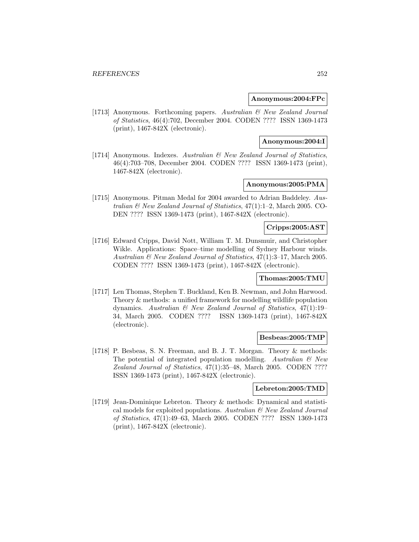### **Anonymous:2004:FPc**

[1713] Anonymous. Forthcoming papers. Australian & New Zealand Journal of Statistics, 46(4):702, December 2004. CODEN ???? ISSN 1369-1473 (print), 1467-842X (electronic).

### **Anonymous:2004:I**

[1714] Anonymous. Indexes. Australian & New Zealand Journal of Statistics, 46(4):703–708, December 2004. CODEN ???? ISSN 1369-1473 (print), 1467-842X (electronic).

# **Anonymous:2005:PMA**

[1715] Anonymous. Pitman Medal for 2004 awarded to Adrian Baddeley. Australian & New Zealand Journal of Statistics, 47(1):1–2, March 2005. CO-DEN ???? ISSN 1369-1473 (print), 1467-842X (electronic).

## **Cripps:2005:AST**

[1716] Edward Cripps, David Nott, William T. M. Dunsmuir, and Christopher Wikle. Applications: Space–time modelling of Sydney Harbour winds. Australian & New Zealand Journal of Statistics, 47(1):3–17, March 2005. CODEN ???? ISSN 1369-1473 (print), 1467-842X (electronic).

### **Thomas:2005:TMU**

[1717] Len Thomas, Stephen T. Buckland, Ken B. Newman, and John Harwood. Theory & methods: a unified framework for modelling wildlife population dynamics. Australian & New Zealand Journal of Statistics, 47(1):19– 34, March 2005. CODEN ???? ISSN 1369-1473 (print), 1467-842X (electronic).

## **Besbeas:2005:TMP**

[1718] P. Besbeas, S. N. Freeman, and B. J. T. Morgan. Theory & methods: The potential of integrated population modelling. Australian  $\mathcal{C}$  New Zealand Journal of Statistics, 47(1):35–48, March 2005. CODEN ???? ISSN 1369-1473 (print), 1467-842X (electronic).

### **Lebreton:2005:TMD**

[1719] Jean-Dominique Lebreton. Theory & methods: Dynamical and statistical models for exploited populations. Australian  $\mathcal C$  New Zealand Journal of Statistics, 47(1):49–63, March 2005. CODEN ???? ISSN 1369-1473 (print), 1467-842X (electronic).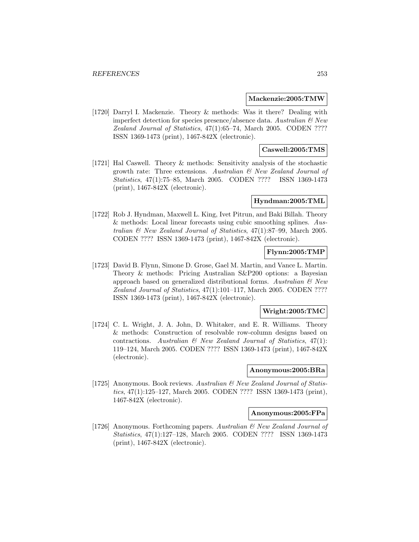#### **Mackenzie:2005:TMW**

[1720] Darryl I. Mackenzie. Theory & methods: Was it there? Dealing with imperfect detection for species presence/absence data. Australian  $\mathcal{B}$  New Zealand Journal of Statistics, 47(1):65–74, March 2005. CODEN ???? ISSN 1369-1473 (print), 1467-842X (electronic).

## **Caswell:2005:TMS**

[1721] Hal Caswell. Theory & methods: Sensitivity analysis of the stochastic growth rate: Three extensions. Australian & New Zealand Journal of Statistics, 47(1):75–85, March 2005. CODEN ???? ISSN 1369-1473 (print), 1467-842X (electronic).

## **Hyndman:2005:TML**

[1722] Rob J. Hyndman, Maxwell L. King, Ivet Pitrun, and Baki Billah. Theory & methods: Local linear forecasts using cubic smoothing splines. Australian  $\mathcal{C}$  New Zealand Journal of Statistics, 47(1):87–99, March 2005. CODEN ???? ISSN 1369-1473 (print), 1467-842X (electronic).

## **Flynn:2005:TMP**

[1723] David B. Flynn, Simone D. Grose, Gael M. Martin, and Vance L. Martin. Theory & methods: Pricing Australian S&P200 options: a Bayesian approach based on generalized distributional forms. Australian  $\mathcal{B}$  New Zealand Journal of Statistics, 47(1):101–117, March 2005. CODEN ???? ISSN 1369-1473 (print), 1467-842X (electronic).

## **Wright:2005:TMC**

[1724] C. L. Wright, J. A. John, D. Whitaker, and E. R. Williams. Theory & methods: Construction of resolvable row-column designs based on contractions. Australian  $\mathcal B$  New Zealand Journal of Statistics, 47(1): 119–124, March 2005. CODEN ???? ISSN 1369-1473 (print), 1467-842X (electronic).

### **Anonymous:2005:BRa**

[1725] Anonymous. Book reviews. Australian & New Zealand Journal of Statistics, 47(1):125–127, March 2005. CODEN ???? ISSN 1369-1473 (print), 1467-842X (electronic).

#### **Anonymous:2005:FPa**

[1726] Anonymous. Forthcoming papers. Australian & New Zealand Journal of Statistics, 47(1):127–128, March 2005. CODEN ???? ISSN 1369-1473 (print), 1467-842X (electronic).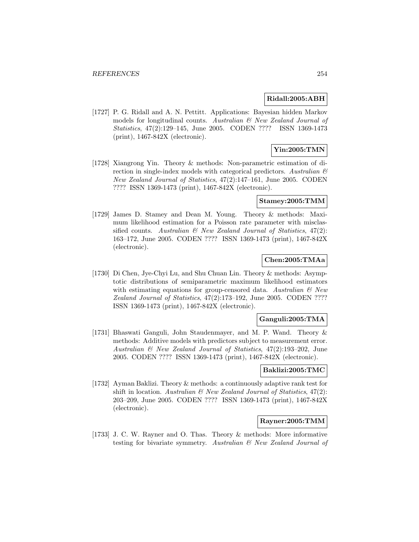### **Ridall:2005:ABH**

[1727] P. G. Ridall and A. N. Pettitt. Applications: Bayesian hidden Markov models for longitudinal counts. Australian & New Zealand Journal of Statistics, 47(2):129–145, June 2005. CODEN ???? ISSN 1369-1473 (print), 1467-842X (electronic).

## **Yin:2005:TMN**

[1728] Xiangrong Yin. Theory & methods: Non-parametric estimation of direction in single-index models with categorical predictors. Australian  $\mathcal{B}$ New Zealand Journal of Statistics, 47(2):147–161, June 2005. CODEN ???? ISSN 1369-1473 (print), 1467-842X (electronic).

## **Stamey:2005:TMM**

[1729] James D. Stamey and Dean M. Young. Theory & methods: Maximum likelihood estimation for a Poisson rate parameter with misclassified counts. Australian  $\mathcal{B}$  New Zealand Journal of Statistics, 47(2): 163–172, June 2005. CODEN ???? ISSN 1369-1473 (print), 1467-842X (electronic).

## **Chen:2005:TMAa**

[1730] Di Chen, Jye-Chyi Lu, and Shu Chuan Lin. Theory & methods: Asymptotic distributions of semiparametric maximum likelihood estimators with estimating equations for group-censored data. Australian  $\mathcal{C}$  New Zealand Journal of Statistics, 47(2):173–192, June 2005. CODEN ???? ISSN 1369-1473 (print), 1467-842X (electronic).

### **Ganguli:2005:TMA**

[1731] Bhaswati Ganguli, John Staudenmayer, and M. P. Wand. Theory & methods: Additive models with predictors subject to measurement error. Australian & New Zealand Journal of Statistics, 47(2):193–202, June 2005. CODEN ???? ISSN 1369-1473 (print), 1467-842X (electronic).

#### **Baklizi:2005:TMC**

[1732] Ayman Baklizi. Theory & methods: a continuously adaptive rank test for shift in location. Australian  $\mathcal B$  New Zealand Journal of Statistics, 47(2): 203–209, June 2005. CODEN ???? ISSN 1369-1473 (print), 1467-842X (electronic).

## **Rayner:2005:TMM**

[1733] J. C. W. Rayner and O. Thas. Theory & methods: More informative testing for bivariate symmetry. Australian & New Zealand Journal of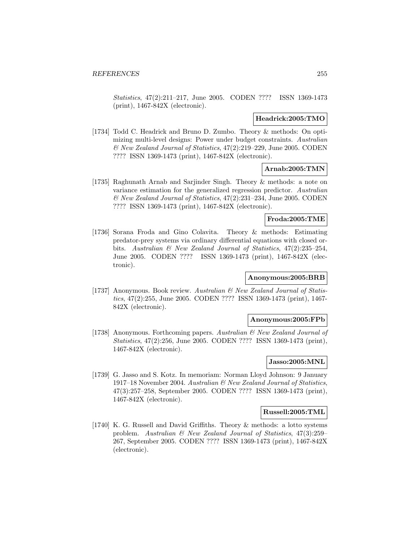Statistics, 47(2):211–217, June 2005. CODEN ???? ISSN 1369-1473 (print), 1467-842X (electronic).

#### **Headrick:2005:TMO**

[1734] Todd C. Headrick and Bruno D. Zumbo. Theory & methods: On optimizing multi-level designs: Power under budget constraints. Australian & New Zealand Journal of Statistics, 47(2):219–229, June 2005. CODEN ???? ISSN 1369-1473 (print), 1467-842X (electronic).

## **Arnab:2005:TMN**

[1735] Raghunath Arnab and Sarjinder Singh. Theory & methods: a note on variance estimation for the generalized regression predictor. Australian & New Zealand Journal of Statistics, 47(2):231–234, June 2005. CODEN ???? ISSN 1369-1473 (print), 1467-842X (electronic).

## **Froda:2005:TME**

[1736] Sorana Froda and Gino Colavita. Theory & methods: Estimating predator-prey systems via ordinary differential equations with closed orbits. Australian & New Zealand Journal of Statistics, 47(2):235–254, June 2005. CODEN ???? ISSN 1369-1473 (print), 1467-842X (electronic).

## **Anonymous:2005:BRB**

[1737] Anonymous. Book review. Australian & New Zealand Journal of Statistics, 47(2):255, June 2005. CODEN ???? ISSN 1369-1473 (print), 1467- 842X (electronic).

### **Anonymous:2005:FPb**

[1738] Anonymous. Forthcoming papers. Australian & New Zealand Journal of Statistics, 47(2):256, June 2005. CODEN ???? ISSN 1369-1473 (print), 1467-842X (electronic).

## **Jasso:2005:MNL**

[1739] G. Jasso and S. Kotz. In memoriam: Norman Lloyd Johnson: 9 January 1917–18 November 2004. Australian & New Zealand Journal of Statistics, 47(3):257–258, September 2005. CODEN ???? ISSN 1369-1473 (print), 1467-842X (electronic).

## **Russell:2005:TML**

[1740] K. G. Russell and David Griffiths. Theory & methods: a lotto systems problem. Australian & New Zealand Journal of Statistics, 47(3):259– 267, September 2005. CODEN ???? ISSN 1369-1473 (print), 1467-842X (electronic).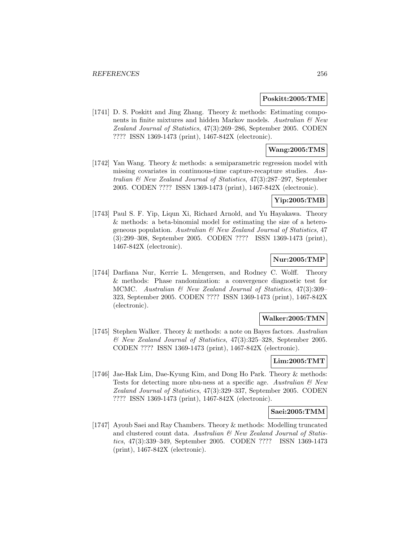#### **Poskitt:2005:TME**

[1741] D. S. Poskitt and Jing Zhang. Theory & methods: Estimating components in finite mixtures and hidden Markov models. Australian  $\mathcal C$  New Zealand Journal of Statistics, 47(3):269–286, September 2005. CODEN ???? ISSN 1369-1473 (print), 1467-842X (electronic).

## **Wang:2005:TMS**

[1742] Yan Wang. Theory & methods: a semiparametric regression model with missing covariates in continuous-time capture-recapture studies. Australian & New Zealand Journal of Statistics, 47(3):287–297, September 2005. CODEN ???? ISSN 1369-1473 (print), 1467-842X (electronic).

## **Yip:2005:TMB**

[1743] Paul S. F. Yip, Liqun Xi, Richard Arnold, and Yu Hayakawa. Theory & methods: a beta-binomial model for estimating the size of a heterogeneous population. Australian  $\mathcal{B}$  New Zealand Journal of Statistics, 47 (3):299–308, September 2005. CODEN ???? ISSN 1369-1473 (print), 1467-842X (electronic).

## **Nur:2005:TMP**

[1744] Darfiana Nur, Kerrie L. Mengersen, and Rodney C. Wolff. Theory & methods: Phase randomization: a convergence diagnostic test for MCMC. Australian & New Zealand Journal of Statistics, 47(3):309– 323, September 2005. CODEN ???? ISSN 1369-1473 (print), 1467-842X (electronic).

### **Walker:2005:TMN**

[1745] Stephen Walker. Theory & methods: a note on Bayes factors. Australian & New Zealand Journal of Statistics, 47(3):325–328, September 2005. CODEN ???? ISSN 1369-1473 (print), 1467-842X (electronic).

## **Lim:2005:TMT**

[1746] Jae-Hak Lim, Dae-Kyung Kim, and Dong Ho Park. Theory & methods: Tests for detecting more nbu-ness at a specific age. Australian  $\mathcal{B}$  New Zealand Journal of Statistics, 47(3):329–337, September 2005. CODEN ???? ISSN 1369-1473 (print), 1467-842X (electronic).

## **Saei:2005:TMM**

[1747] Ayoub Saei and Ray Chambers. Theory & methods: Modelling truncated and clustered count data. Australian & New Zealand Journal of Statistics, 47(3):339–349, September 2005. CODEN ???? ISSN 1369-1473 (print), 1467-842X (electronic).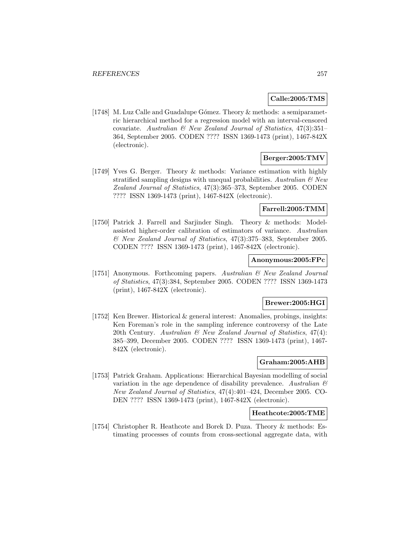### **Calle:2005:TMS**

[1748] M. Luz Calle and Guadalupe Gómez. Theory & methods: a semiparametric hierarchical method for a regression model with an interval-censored covariate. Australian  $\mathcal C$  New Zealand Journal of Statistics, 47(3):351– 364, September 2005. CODEN ???? ISSN 1369-1473 (print), 1467-842X (electronic).

## **Berger:2005:TMV**

[1749] Yves G. Berger. Theory & methods: Variance estimation with highly stratified sampling designs with unequal probabilities. Australian  $\mathcal{B}$  New Zealand Journal of Statistics, 47(3):365–373, September 2005. CODEN ???? ISSN 1369-1473 (print), 1467-842X (electronic).

### **Farrell:2005:TMM**

[1750] Patrick J. Farrell and Sarjinder Singh. Theory & methods: Modelassisted higher-order calibration of estimators of variance. Australian & New Zealand Journal of Statistics, 47(3):375–383, September 2005. CODEN ???? ISSN 1369-1473 (print), 1467-842X (electronic).

### **Anonymous:2005:FPc**

[1751] Anonymous. Forthcoming papers. Australian & New Zealand Journal of Statistics, 47(3):384, September 2005. CODEN ???? ISSN 1369-1473 (print), 1467-842X (electronic).

#### **Brewer:2005:HGI**

[1752] Ken Brewer. Historical & general interest: Anomalies, probings, insights: Ken Foreman's role in the sampling inference controversy of the Late 20th Century. Australian & New Zealand Journal of Statistics, 47(4): 385–399, December 2005. CODEN ???? ISSN 1369-1473 (print), 1467- 842X (electronic).

## **Graham:2005:AHB**

[1753] Patrick Graham. Applications: Hierarchical Bayesian modelling of social variation in the age dependence of disability prevalence. Australian  $\mathcal C$ New Zealand Journal of Statistics, 47(4):401–424, December 2005. CO-DEN ???? ISSN 1369-1473 (print), 1467-842X (electronic).

## **Heathcote:2005:TME**

[1754] Christopher R. Heathcote and Borek D. Puza. Theory & methods: Estimating processes of counts from cross-sectional aggregate data, with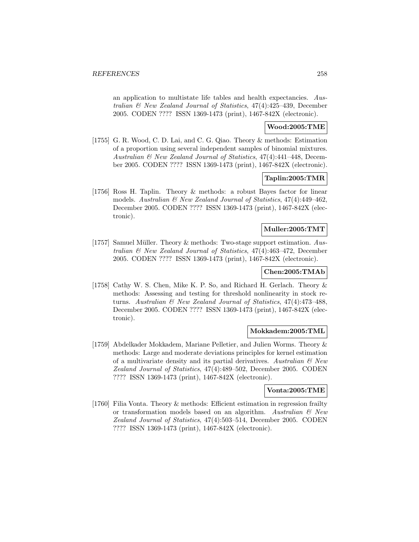an application to multistate life tables and health expectancies. Australian & New Zealand Journal of Statistics, 47(4):425–439, December 2005. CODEN ???? ISSN 1369-1473 (print), 1467-842X (electronic).

## **Wood:2005:TME**

[1755] G. R. Wood, C. D. Lai, and C. G. Qiao. Theory & methods: Estimation of a proportion using several independent samples of binomial mixtures. Australian & New Zealand Journal of Statistics, 47(4):441–448, December 2005. CODEN ???? ISSN 1369-1473 (print), 1467-842X (electronic).

## **Taplin:2005:TMR**

[1756] Ross H. Taplin. Theory & methods: a robust Bayes factor for linear models. Australian & New Zealand Journal of Statistics, 47(4):449–462, December 2005. CODEN ???? ISSN 1369-1473 (print), 1467-842X (electronic).

## **Muller:2005:TMT**

[1757] Samuel Müller. Theory  $&$  methods: Two-stage support estimation. Australian & New Zealand Journal of Statistics, 47(4):463–472, December 2005. CODEN ???? ISSN 1369-1473 (print), 1467-842X (electronic).

## **Chen:2005:TMAb**

[1758] Cathy W. S. Chen, Mike K. P. So, and Richard H. Gerlach. Theory & methods: Assessing and testing for threshold nonlinearity in stock returns. Australian & New Zealand Journal of Statistics, 47(4):473–488, December 2005. CODEN ???? ISSN 1369-1473 (print), 1467-842X (electronic).

## **Mokkadem:2005:TML**

[1759] Abdelkader Mokkadem, Mariane Pelletier, and Julien Worms. Theory & methods: Large and moderate deviations principles for kernel estimation of a multivariate density and its partial derivatives. Australian  $\mathcal{C}$  New Zealand Journal of Statistics, 47(4):489–502, December 2005. CODEN ???? ISSN 1369-1473 (print), 1467-842X (electronic).

## **Vonta:2005:TME**

[1760] Filia Vonta. Theory & methods: Efficient estimation in regression frailty or transformation models based on an algorithm. Australian  $\mathcal{B}$  New Zealand Journal of Statistics, 47(4):503–514, December 2005. CODEN ???? ISSN 1369-1473 (print), 1467-842X (electronic).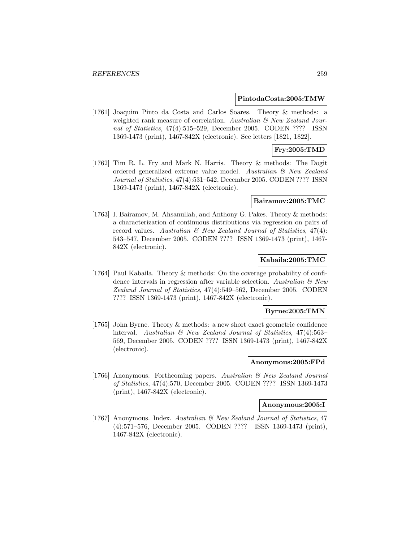#### **PintodaCosta:2005:TMW**

[1761] Joaquim Pinto da Costa and Carlos Soares. Theory & methods: a weighted rank measure of correlation. Australian & New Zealand Journal of Statistics, 47(4):515–529, December 2005. CODEN ???? ISSN 1369-1473 (print), 1467-842X (electronic). See letters [1821, 1822].

## **Fry:2005:TMD**

[1762] Tim R. L. Fry and Mark N. Harris. Theory & methods: The Dogit ordered generalized extreme value model. Australian & New Zealand Journal of Statistics, 47(4):531–542, December 2005. CODEN ???? ISSN 1369-1473 (print), 1467-842X (electronic).

#### **Bairamov:2005:TMC**

[1763] I. Bairamov, M. Ahsanullah, and Anthony G. Pakes. Theory & methods: a characterization of continuous distributions via regression on pairs of record values. Australian  $\mathcal{B}$  New Zealand Journal of Statistics, 47(4): 543–547, December 2005. CODEN ???? ISSN 1369-1473 (print), 1467- 842X (electronic).

## **Kabaila:2005:TMC**

[1764] Paul Kabaila. Theory & methods: On the coverage probability of confidence intervals in regression after variable selection. Australian  $\mathcal{B}$  New Zealand Journal of Statistics, 47(4):549–562, December 2005. CODEN ???? ISSN 1369-1473 (print), 1467-842X (electronic).

## **Byrne:2005:TMN**

[1765] John Byrne. Theory & methods: a new short exact geometric confidence interval. Australian & New Zealand Journal of Statistics, 47(4):563– 569, December 2005. CODEN ???? ISSN 1369-1473 (print), 1467-842X (electronic).

## **Anonymous:2005:FPd**

[1766] Anonymous. Forthcoming papers. Australian & New Zealand Journal of Statistics, 47(4):570, December 2005. CODEN ???? ISSN 1369-1473 (print), 1467-842X (electronic).

### **Anonymous:2005:I**

[1767] Anonymous. Index. Australian & New Zealand Journal of Statistics, 47 (4):571–576, December 2005. CODEN ???? ISSN 1369-1473 (print), 1467-842X (electronic).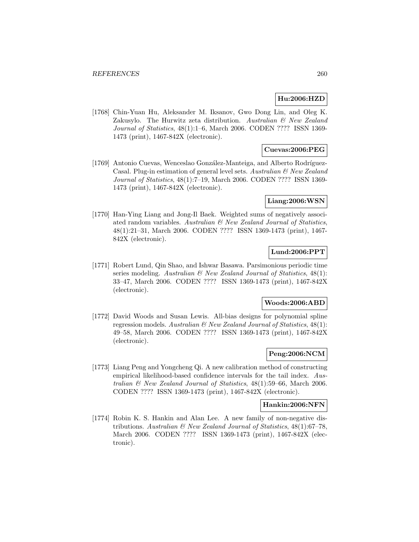# **Hu:2006:HZD**

[1768] Chin-Yuan Hu, Aleksander M. Iksanov, Gwo Dong Lin, and Oleg K. Zakusylo. The Hurwitz zeta distribution. Australian & New Zealand Journal of Statistics, 48(1):1–6, March 2006. CODEN ???? ISSN 1369- 1473 (print), 1467-842X (electronic).

## **Cuevas:2006:PEG**

[1769] Antonio Cuevas, Wenceslao González-Manteiga, and Alberto Rodríguez-Casal. Plug-in estimation of general level sets. Australian  $\mathcal{C}$  New Zealand Journal of Statistics, 48(1):7–19, March 2006. CODEN ???? ISSN 1369- 1473 (print), 1467-842X (electronic).

## **Liang:2006:WSN**

[1770] Han-Ying Liang and Jong-Il Baek. Weighted sums of negatively associated random variables. Australian  $\mathcal{B}$  New Zealand Journal of Statistics, 48(1):21–31, March 2006. CODEN ???? ISSN 1369-1473 (print), 1467- 842X (electronic).

## **Lund:2006:PPT**

[1771] Robert Lund, Qin Shao, and Ishwar Basawa. Parsimonious periodic time series modeling. Australian  $\mathcal B$  New Zealand Journal of Statistics, 48(1): 33–47, March 2006. CODEN ???? ISSN 1369-1473 (print), 1467-842X (electronic).

## **Woods:2006:ABD**

[1772] David Woods and Susan Lewis. All-bias designs for polynomial spline regression models. Australian  $\mathcal{B}$  New Zealand Journal of Statistics, 48(1): 49–58, March 2006. CODEN ???? ISSN 1369-1473 (print), 1467-842X (electronic).

## **Peng:2006:NCM**

[1773] Liang Peng and Yongcheng Qi. A new calibration method of constructing empirical likelihood-based confidence intervals for the tail index. Australian & New Zealand Journal of Statistics, 48(1):59–66, March 2006. CODEN ???? ISSN 1369-1473 (print), 1467-842X (electronic).

#### **Hankin:2006:NFN**

[1774] Robin K. S. Hankin and Alan Lee. A new family of non-negative distributions. Australian  $\mathcal B$  New Zealand Journal of Statistics, 48(1):67–78, March 2006. CODEN ???? ISSN 1369-1473 (print), 1467-842X (electronic).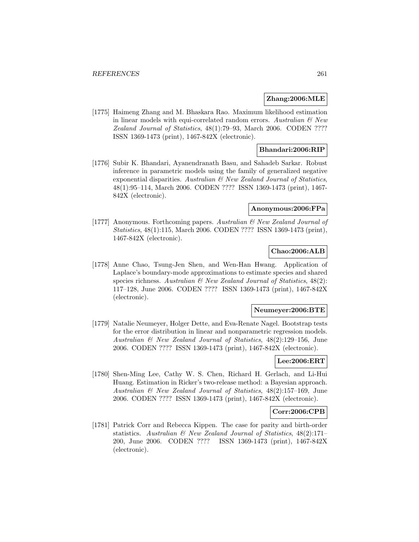### **Zhang:2006:MLE**

[1775] Haimeng Zhang and M. Bhaskara Rao. Maximum likelihood estimation in linear models with equi-correlated random errors. Australian  $\mathcal C$  New Zealand Journal of Statistics, 48(1):79–93, March 2006. CODEN ???? ISSN 1369-1473 (print), 1467-842X (electronic).

## **Bhandari:2006:RIP**

[1776] Subir K. Bhandari, Ayanendranath Basu, and Sahadeb Sarkar. Robust inference in parametric models using the family of generalized negative exponential disparities. Australian  $\mathcal{B}$  New Zealand Journal of Statistics, 48(1):95–114, March 2006. CODEN ???? ISSN 1369-1473 (print), 1467- 842X (electronic).

### **Anonymous:2006:FPa**

[1777] Anonymous. Forthcoming papers. Australian & New Zealand Journal of Statistics, 48(1):115, March 2006. CODEN ???? ISSN 1369-1473 (print), 1467-842X (electronic).

## **Chao:2006:ALB**

[1778] Anne Chao, Tsung-Jen Shen, and Wen-Han Hwang. Application of Laplace's boundary-mode approximations to estimate species and shared species richness. Australian  $\mathcal B$  New Zealand Journal of Statistics, 48(2): 117–128, June 2006. CODEN ???? ISSN 1369-1473 (print), 1467-842X (electronic).

#### **Neumeyer:2006:BTE**

[1779] Natalie Neumeyer, Holger Dette, and Eva-Renate Nagel. Bootstrap tests for the error distribution in linear and nonparametric regression models. Australian & New Zealand Journal of Statistics, 48(2):129–156, June 2006. CODEN ???? ISSN 1369-1473 (print), 1467-842X (electronic).

# **Lee:2006:ERT**

[1780] Shen-Ming Lee, Cathy W. S. Chen, Richard H. Gerlach, and Li-Hui Huang. Estimation in Ricker's two-release method: a Bayesian approach. Australian & New Zealand Journal of Statistics, 48(2):157–169, June 2006. CODEN ???? ISSN 1369-1473 (print), 1467-842X (electronic).

## **Corr:2006:CPB**

[1781] Patrick Corr and Rebecca Kippen. The case for parity and birth-order statistics. Australian & New Zealand Journal of Statistics, 48(2):171– 200, June 2006. CODEN ???? ISSN 1369-1473 (print), 1467-842X (electronic).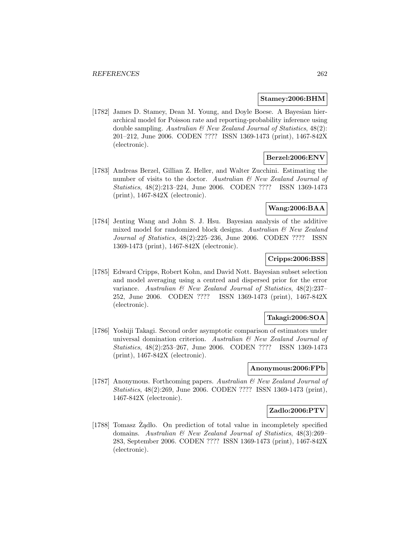### **Stamey:2006:BHM**

[1782] James D. Stamey, Dean M. Young, and Doyle Boese. A Bayesian hierarchical model for Poisson rate and reporting-probability inference using double sampling. Australian  $\mathcal{B}$  New Zealand Journal of Statistics, 48(2): 201–212, June 2006. CODEN ???? ISSN 1369-1473 (print), 1467-842X (electronic).

## **Berzel:2006:ENV**

[1783] Andreas Berzel, Gillian Z. Heller, and Walter Zucchini. Estimating the number of visits to the doctor. Australian  $\mathcal B$  New Zealand Journal of Statistics, 48(2):213–224, June 2006. CODEN ???? ISSN 1369-1473 (print), 1467-842X (electronic).

## **Wang:2006:BAA**

[1784] Jenting Wang and John S. J. Hsu. Bayesian analysis of the additive mixed model for randomized block designs. Australian & New Zealand Journal of Statistics, 48(2):225–236, June 2006. CODEN ???? ISSN 1369-1473 (print), 1467-842X (electronic).

## **Cripps:2006:BSS**

[1785] Edward Cripps, Robert Kohn, and David Nott. Bayesian subset selection and model averaging using a centred and dispersed prior for the error variance. Australian & New Zealand Journal of Statistics, 48(2):237– 252, June 2006. CODEN ???? ISSN 1369-1473 (print), 1467-842X (electronic).

## **Takagi:2006:SOA**

[1786] Yoshiji Takagi. Second order asymptotic comparison of estimators under universal domination criterion. Australian  $\mathcal{B}$  New Zealand Journal of Statistics, 48(2):253–267, June 2006. CODEN ???? ISSN 1369-1473 (print), 1467-842X (electronic).

### **Anonymous:2006:FPb**

[1787] Anonymous. Forthcoming papers. Australian & New Zealand Journal of Statistics, 48(2):269, June 2006. CODEN ???? ISSN 1369-1473 (print), 1467-842X (electronic).

## **Zadlo:2006:PTV**

[1788] Tomasz  $\dot{Z}$ adlo. On prediction of total value in incompletely specified domains. Australian & New Zealand Journal of Statistics, 48(3):269– 283, September 2006. CODEN ???? ISSN 1369-1473 (print), 1467-842X (electronic).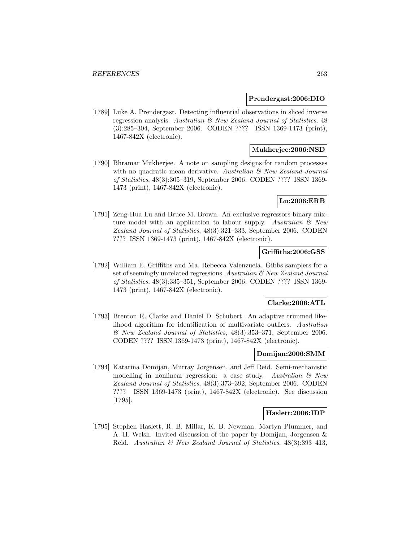#### **Prendergast:2006:DIO**

[1789] Luke A. Prendergast. Detecting influential observations in sliced inverse regression analysis. Australian & New Zealand Journal of Statistics, 48 (3):285–304, September 2006. CODEN ???? ISSN 1369-1473 (print), 1467-842X (electronic).

## **Mukherjee:2006:NSD**

[1790] Bhramar Mukherjee. A note on sampling designs for random processes with no quadratic mean derivative. Australian  $\mathcal{C}$  New Zealand Journal of Statistics, 48(3):305–319, September 2006. CODEN ???? ISSN 1369- 1473 (print), 1467-842X (electronic).

### **Lu:2006:ERB**

[1791] Zeng-Hua Lu and Bruce M. Brown. An exclusive regressors binary mixture model with an application to labour supply. Australian  $\mathcal C$  New Zealand Journal of Statistics, 48(3):321–333, September 2006. CODEN ???? ISSN 1369-1473 (print), 1467-842X (electronic).

## **Griffiths:2006:GSS**

[1792] William E. Griffiths and Ma. Rebecca Valenzuela. Gibbs samplers for a set of seemingly unrelated regressions. Australian & New Zealand Journal of Statistics, 48(3):335–351, September 2006. CODEN ???? ISSN 1369- 1473 (print), 1467-842X (electronic).

#### **Clarke:2006:ATL**

[1793] Brenton R. Clarke and Daniel D. Schubert. An adaptive trimmed likelihood algorithm for identification of multivariate outliers. Australian & New Zealand Journal of Statistics, 48(3):353–371, September 2006. CODEN ???? ISSN 1369-1473 (print), 1467-842X (electronic).

### **Domijan:2006:SMM**

[1794] Katarina Domijan, Murray Jorgensen, and Jeff Reid. Semi-mechanistic modelling in nonlinear regression: a case study. Australian  $\mathcal{B}$  New Zealand Journal of Statistics, 48(3):373–392, September 2006. CODEN ???? ISSN 1369-1473 (print), 1467-842X (electronic). See discussion [1795].

### **Haslett:2006:IDP**

[1795] Stephen Haslett, R. B. Millar, K. B. Newman, Martyn Plummer, and A. H. Welsh. Invited discussion of the paper by Domijan, Jorgensen & Reid. Australian & New Zealand Journal of Statistics, 48(3):393–413,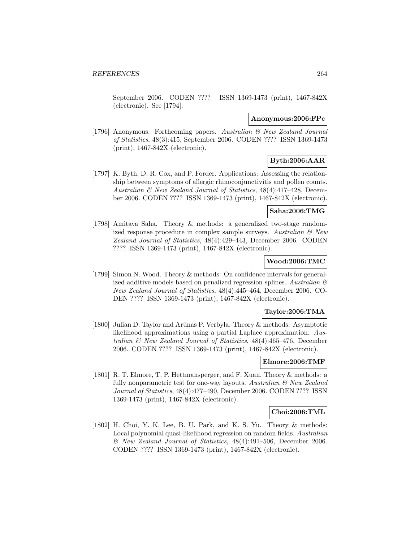September 2006. CODEN ???? ISSN 1369-1473 (print), 1467-842X (electronic). See [1794].

### **Anonymous:2006:FPc**

[1796] Anonymous. Forthcoming papers. Australian & New Zealand Journal of Statistics, 48(3):415, September 2006. CODEN ???? ISSN 1369-1473 (print), 1467-842X (electronic).

# **Byth:2006:AAR**

[1797] K. Byth, D. R. Cox, and P. Forder. Applications: Assessing the relationship between symptoms of allergic rhinoconjunctivitis and pollen counts. Australian & New Zealand Journal of Statistics, 48(4):417–428, December 2006. CODEN ???? ISSN 1369-1473 (print), 1467-842X (electronic).

### **Saha:2006:TMG**

[1798] Amitava Saha. Theory & methods: a generalized two-stage randomized response procedure in complex sample surveys. Australian  $\mathcal C$  New Zealand Journal of Statistics, 48(4):429–443, December 2006. CODEN ???? ISSN 1369-1473 (print), 1467-842X (electronic).

## **Wood:2006:TMC**

[1799] Simon N. Wood. Theory & methods: On confidence intervals for generalized additive models based on penalized regression splines. Australian  $\mathcal C$ New Zealand Journal of Statistics, 48(4):445–464, December 2006. CO-DEN ???? ISSN 1369-1473 (print), 1467-842X (electronic).

### **Taylor:2006:TMA**

[1800] Julian D. Taylor and Arūnas P. Verbyla. Theory & methods: Asymptotic likelihood approximations using a partial Laplace approximation. Australian & New Zealand Journal of Statistics, 48(4):465–476, December 2006. CODEN ???? ISSN 1369-1473 (print), 1467-842X (electronic).

## **Elmore:2006:TMF**

[1801] R. T. Elmore, T. P. Hettmansperger, and F. Xuan. Theory & methods: a fully nonparametric test for one-way layouts. Australian  $\mathcal{B}$  New Zealand Journal of Statistics, 48(4):477–490, December 2006. CODEN ???? ISSN 1369-1473 (print), 1467-842X (electronic).

## **Choi:2006:TML**

[1802] H. Choi, Y. K. Lee, B. U. Park, and K. S. Yu. Theory & methods: Local polynomial quasi-likelihood regression on random fields. Australian & New Zealand Journal of Statistics, 48(4):491–506, December 2006. CODEN ???? ISSN 1369-1473 (print), 1467-842X (electronic).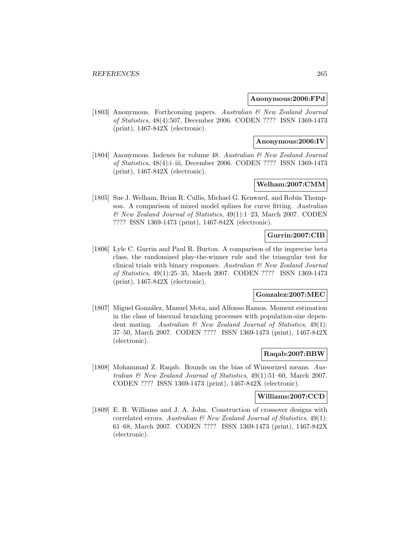### **Anonymous:2006:FPd**

[1803] Anonymous. Forthcoming papers. Australian & New Zealand Journal of Statistics, 48(4):507, December 2006. CODEN ???? ISSN 1369-1473 (print), 1467-842X (electronic).

### **Anonymous:2006:IV**

[1804] Anonymous. Indexes for volume 48. Australian & New Zealand Journal of Statistics, 48(4):i–iii, December 2006. CODEN ???? ISSN 1369-1473 (print), 1467-842X (electronic).

## **Welham:2007:CMM**

[1805] Sue J. Welham, Brian R. Cullis, Michael G. Kenward, and Robin Thompson. A comparison of mixed model splines for curve fitting. Australian & New Zealand Journal of Statistics, 49(1):1–23, March 2007. CODEN ???? ISSN 1369-1473 (print), 1467-842X (electronic).

## **Gurrin:2007:CIB**

[1806] Lyle C. Gurrin and Paul R. Burton. A comparison of the imprecise beta class, the randomized play-the-winner rule and the triangular test for clinical trials with binary responses. Australian  $\mathcal{B}$  New Zealand Journal of Statistics, 49(1):25–35, March 2007. CODEN ???? ISSN 1369-1473 (print), 1467-842X (electronic).

## **Gonzalez:2007:MEC**

[1807] Miguel González, Manuel Mota, and Alfonso Ramos. Moment estimation in the class of bisexual branching processes with population-size dependent mating. Australian  $\mathcal{B}$  New Zealand Journal of Statistics, 49(1): 37–50, March 2007. CODEN ???? ISSN 1369-1473 (print), 1467-842X (electronic).

## **Raqab:2007:BBW**

[1808] Mohammad Z. Raqab. Bounds on the bias of Winsorized means. Australian & New Zealand Journal of Statistics, 49(1):51–60, March 2007. CODEN ???? ISSN 1369-1473 (print), 1467-842X (electronic).

### **Williams:2007:CCD**

[1809] E. R. Williams and J. A. John. Construction of crossover designs with correlated errors. Australian  $\mathcal{B}$  New Zealand Journal of Statistics, 49(1): 61–68, March 2007. CODEN ???? ISSN 1369-1473 (print), 1467-842X (electronic).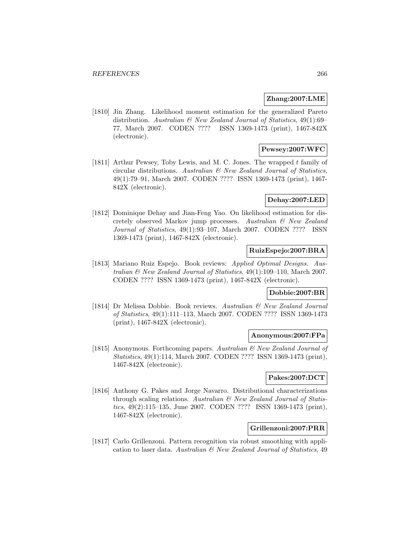## **Zhang:2007:LME**

[1810] Jin Zhang. Likelihood moment estimation for the generalized Pareto distribution. Australian  $\mathcal{B}$  New Zealand Journal of Statistics, 49(1):69– 77, March 2007. CODEN ???? ISSN 1369-1473 (print), 1467-842X (electronic).

## **Pewsey:2007:WFC**

[1811] Arthur Pewsey, Toby Lewis, and M. C. Jones. The wrapped t family of circular distributions. Australian & New Zealand Journal of Statistics, 49(1):79–91, March 2007. CODEN ???? ISSN 1369-1473 (print), 1467- 842X (electronic).

## **Dehay:2007:LED**

[1812] Dominique Dehay and Jian-Feng Yao. On likelihood estimation for discretely observed Markov jump processes. Australian & New Zealand Journal of Statistics, 49(1):93–107, March 2007. CODEN ???? ISSN 1369-1473 (print), 1467-842X (electronic).

# **RuizEspejo:2007:BRA**

[1813] Mariano Ruiz Espejo. Book reviews: Applied Optimal Designs. Australian & New Zealand Journal of Statistics, 49(1):109–110, March 2007. CODEN ???? ISSN 1369-1473 (print), 1467-842X (electronic).

# **Dobbie:2007:BR**

[1814] Dr Melissa Dobbie. Book reviews. Australian & New Zealand Journal of Statistics, 49(1):111–113, March 2007. CODEN ???? ISSN 1369-1473 (print), 1467-842X (electronic).

## **Anonymous:2007:FPa**

[1815] Anonymous. Forthcoming papers. Australian & New Zealand Journal of Statistics, 49(1):114, March 2007. CODEN ???? ISSN 1369-1473 (print), 1467-842X (electronic).

## **Pakes:2007:DCT**

[1816] Anthony G. Pakes and Jorge Navarro. Distributional characterizations through scaling relations. Australian & New Zealand Journal of Statistics, 49(2):115–135, June 2007. CODEN ???? ISSN 1369-1473 (print), 1467-842X (electronic).

## **Grillenzoni:2007:PRR**

[1817] Carlo Grillenzoni. Pattern recognition via robust smoothing with application to laser data. Australian  $\mathcal{C}$  New Zealand Journal of Statistics, 49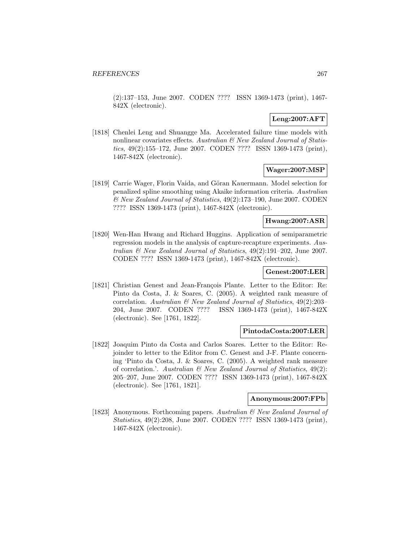(2):137–153, June 2007. CODEN ???? ISSN 1369-1473 (print), 1467- 842X (electronic).

## **Leng:2007:AFT**

[1818] Chenlei Leng and Shuangge Ma. Accelerated failure time models with nonlinear covariates effects. Australian & New Zealand Journal of Statistics, 49(2):155–172, June 2007. CODEN ???? ISSN 1369-1473 (print), 1467-842X (electronic).

## **Wager:2007:MSP**

[1819] Carrie Wager, Florin Vaida, and Göran Kauermann. Model selection for penalized spline smoothing using Akaike information criteria. Australian & New Zealand Journal of Statistics, 49(2):173–190, June 2007. CODEN ???? ISSN 1369-1473 (print), 1467-842X (electronic).

## **Hwang:2007:ASR**

[1820] Wen-Han Hwang and Richard Huggins. Application of semiparametric regression models in the analysis of capture-recapture experiments. Australian & New Zealand Journal of Statistics, 49(2):191–202, June 2007. CODEN ???? ISSN 1369-1473 (print), 1467-842X (electronic).

## **Genest:2007:LER**

[1821] Christian Genest and Jean-François Plante. Letter to the Editor: Re: Pinto da Costa, J. & Soares, C. (2005). A weighted rank measure of correlation. Australian & New Zealand Journal of Statistics, 49(2):203– 204, June 2007. CODEN ???? ISSN 1369-1473 (print), 1467-842X (electronic). See [1761, 1822].

## **PintodaCosta:2007:LER**

[1822] Joaquim Pinto da Costa and Carlos Soares. Letter to the Editor: Rejoinder to letter to the Editor from C. Genest and J-F. Plante concerning 'Pinto da Costa, J. & Soares, C. (2005). A weighted rank measure of correlation.'. Australian  $\mathcal C$  New Zealand Journal of Statistics, 49(2): 205–207, June 2007. CODEN ???? ISSN 1369-1473 (print), 1467-842X (electronic). See [1761, 1821].

### **Anonymous:2007:FPb**

[1823] Anonymous. Forthcoming papers. Australian & New Zealand Journal of Statistics, 49(2):208, June 2007. CODEN ???? ISSN 1369-1473 (print), 1467-842X (electronic).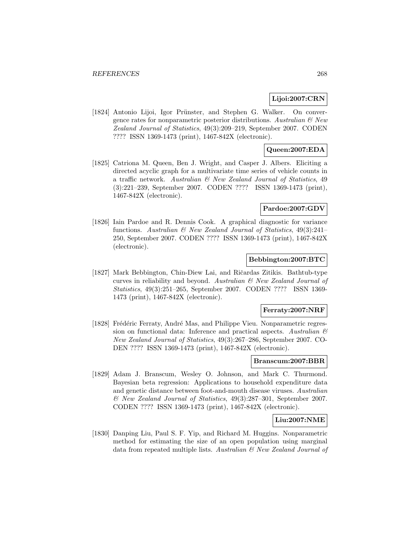### **Lijoi:2007:CRN**

[1824] Antonio Lijoi, Igor Prünster, and Stephen G. Walker. On convergence rates for nonparametric posterior distributions. Australian  $\mathcal{C}$  New Zealand Journal of Statistics, 49(3):209–219, September 2007. CODEN ???? ISSN 1369-1473 (print), 1467-842X (electronic).

## **Queen:2007:EDA**

[1825] Catriona M. Queen, Ben J. Wright, and Casper J. Albers. Eliciting a directed acyclic graph for a multivariate time series of vehicle counts in a traffic network. Australian & New Zealand Journal of Statistics, 49 (3):221–239, September 2007. CODEN ???? ISSN 1369-1473 (print), 1467-842X (electronic).

# **Pardoe:2007:GDV**

[1826] Iain Pardoe and R. Dennis Cook. A graphical diagnostic for variance functions. Australian  $\mathcal{B}$  New Zealand Journal of Statistics, 49(3):241-250, September 2007. CODEN ???? ISSN 1369-1473 (print), 1467-842X (electronic).

## **Bebbington:2007:BTC**

[1827] Mark Bebbington, Chin-Diew Lai, and Ričardas Zitikis. Bathtub-type curves in reliability and beyond. Australian & New Zealand Journal of Statistics, 49(3):251–265, September 2007. CODEN ???? ISSN 1369- 1473 (print), 1467-842X (electronic).

#### **Ferraty:2007:NRF**

[1828] Frédéric Ferraty, André Mas, and Philippe Vieu. Nonparametric regression on functional data: Inference and practical aspects. Australian  $\mathcal{B}$ New Zealand Journal of Statistics, 49(3):267–286, September 2007. CO-DEN ???? ISSN 1369-1473 (print), 1467-842X (electronic).

### **Branscum:2007:BBR**

[1829] Adam J. Branscum, Wesley O. Johnson, and Mark C. Thurmond. Bayesian beta regression: Applications to household expenditure data and genetic distance between foot-and-mouth disease viruses. Australian & New Zealand Journal of Statistics, 49(3):287–301, September 2007. CODEN ???? ISSN 1369-1473 (print), 1467-842X (electronic).

## **Liu:2007:NME**

[1830] Danping Liu, Paul S. F. Yip, and Richard M. Huggins. Nonparametric method for estimating the size of an open population using marginal data from repeated multiple lists. Australian  $\mathcal{C}$  New Zealand Journal of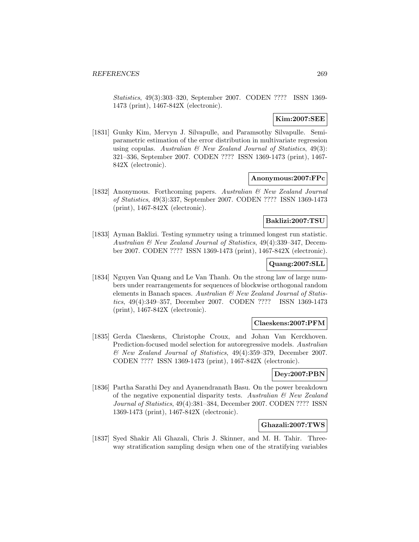Statistics, 49(3):303–320, September 2007. CODEN ???? ISSN 1369- 1473 (print), 1467-842X (electronic).

## **Kim:2007:SEE**

[1831] Gunky Kim, Mervyn J. Silvapulle, and Paramsothy Silvapulle. Semiparametric estimation of the error distribution in multivariate regression using copulas. Australian  $\mathcal C$  New Zealand Journal of Statistics, 49(3): 321–336, September 2007. CODEN ???? ISSN 1369-1473 (print), 1467- 842X (electronic).

### **Anonymous:2007:FPc**

[1832] Anonymous. Forthcoming papers. Australian & New Zealand Journal of Statistics, 49(3):337, September 2007. CODEN ???? ISSN 1369-1473 (print), 1467-842X (electronic).

### **Baklizi:2007:TSU**

[1833] Ayman Baklizi. Testing symmetry using a trimmed longest run statistic. Australian & New Zealand Journal of Statistics, 49(4):339–347, December 2007. CODEN ???? ISSN 1369-1473 (print), 1467-842X (electronic).

## **Quang:2007:SLL**

[1834] Nguyen Van Quang and Le Van Thanh. On the strong law of large numbers under rearrangements for sequences of blockwise orthogonal random elements in Banach spaces. Australian  $\mathcal B$  New Zealand Journal of Statistics, 49(4):349–357, December 2007. CODEN ???? ISSN 1369-1473 (print), 1467-842X (electronic).

#### **Claeskens:2007:PFM**

[1835] Gerda Claeskens, Christophe Croux, and Johan Van Kerckhoven. Prediction-focused model selection for autoregressive models. Australian & New Zealand Journal of Statistics, 49(4):359–379, December 2007. CODEN ???? ISSN 1369-1473 (print), 1467-842X (electronic).

### **Dey:2007:PBN**

[1836] Partha Sarathi Dey and Ayanendranath Basu. On the power breakdown of the negative exponential disparity tests. Australian  $\mathcal{B}$  New Zealand Journal of Statistics, 49(4):381–384, December 2007. CODEN ???? ISSN 1369-1473 (print), 1467-842X (electronic).

## **Ghazali:2007:TWS**

[1837] Syed Shakir Ali Ghazali, Chris J. Skinner, and M. H. Tahir. Threeway stratification sampling design when one of the stratifying variables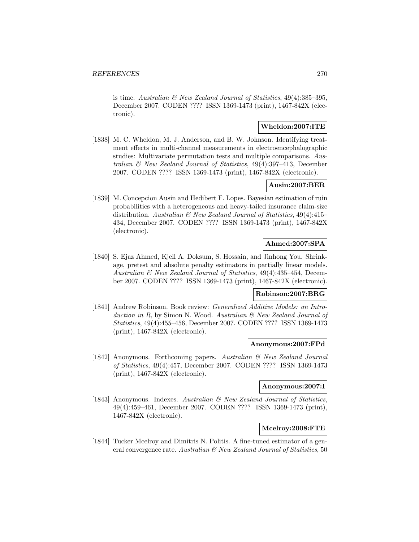is time. Australian & New Zealand Journal of Statistics, 49(4):385–395, December 2007. CODEN ???? ISSN 1369-1473 (print), 1467-842X (electronic).

## **Wheldon:2007:ITE**

[1838] M. C. Wheldon, M. J. Anderson, and B. W. Johnson. Identifying treatment effects in multi-channel measurements in electroencephalographic studies: Multivariate permutation tests and multiple comparisons. Australian & New Zealand Journal of Statistics, 49(4):397–413, December 2007. CODEN ???? ISSN 1369-1473 (print), 1467-842X (electronic).

## **Ausin:2007:BER**

[1839] M. Concepcion Ausin and Hedibert F. Lopes. Bayesian estimation of ruin probabilities with a heterogeneous and heavy-tailed insurance claim-size distribution. Australian  $\mathcal B$  New Zealand Journal of Statistics, 49(4):415– 434, December 2007. CODEN ???? ISSN 1369-1473 (print), 1467-842X (electronic).

## **Ahmed:2007:SPA**

[1840] S. Ejaz Ahmed, Kjell A. Doksum, S. Hossain, and Jinhong You. Shrinkage, pretest and absolute penalty estimators in partially linear models. Australian & New Zealand Journal of Statistics, 49(4):435–454, December 2007. CODEN ???? ISSN 1369-1473 (print), 1467-842X (electronic).

## **Robinson:2007:BRG**

[1841] Andrew Robinson. Book review: Generalized Additive Models: an Introduction in R, by Simon N. Wood. Australian & New Zealand Journal of Statistics, 49(4):455–456, December 2007. CODEN ???? ISSN 1369-1473 (print), 1467-842X (electronic).

## **Anonymous:2007:FPd**

[1842] Anonymous. Forthcoming papers. Australian & New Zealand Journal of Statistics, 49(4):457, December 2007. CODEN ???? ISSN 1369-1473 (print), 1467-842X (electronic).

## **Anonymous:2007:I**

[1843] Anonymous. Indexes. Australian & New Zealand Journal of Statistics, 49(4):459–461, December 2007. CODEN ???? ISSN 1369-1473 (print), 1467-842X (electronic).

## **Mcelroy:2008:FTE**

[1844] Tucker Mcelroy and Dimitris N. Politis. A fine-tuned estimator of a general convergence rate. Australian & New Zealand Journal of Statistics, 50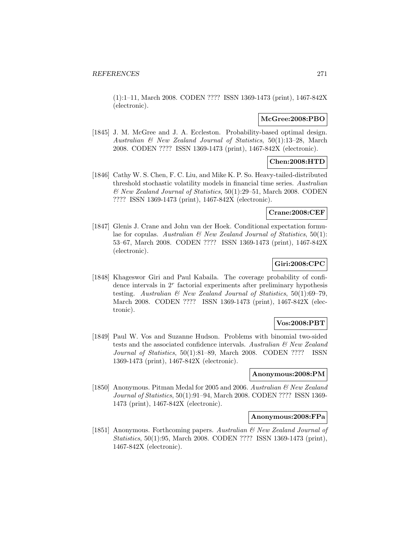(1):1–11, March 2008. CODEN ???? ISSN 1369-1473 (print), 1467-842X (electronic).

## **McGree:2008:PBO**

[1845] J. M. McGree and J. A. Eccleston. Probability-based optimal design. Australian  $\mathcal{B}$  New Zealand Journal of Statistics, 50(1):13–28, March 2008. CODEN ???? ISSN 1369-1473 (print), 1467-842X (electronic).

## **Chen:2008:HTD**

[1846] Cathy W. S. Chen, F. C. Liu, and Mike K. P. So. Heavy-tailed-distributed threshold stochastic volatility models in financial time series. Australian & New Zealand Journal of Statistics, 50(1):29–51, March 2008. CODEN ???? ISSN 1369-1473 (print), 1467-842X (electronic).

## **Crane:2008:CEF**

[1847] Glenis J. Crane and John van der Hoek. Conditional expectation formulae for copulas. Australian  $\mathcal B$  New Zealand Journal of Statistics, 50(1): 53–67, March 2008. CODEN ???? ISSN 1369-1473 (print), 1467-842X (electronic).

## **Giri:2008:CPC**

[1848] Khageswor Giri and Paul Kabaila. The coverage probability of confidence intervals in  $2<sup>r</sup>$  factorial experiments after preliminary hypothesis testing. Australian  $\mathcal{B}$  New Zealand Journal of Statistics, 50(1):69-79, March 2008. CODEN ???? ISSN 1369-1473 (print), 1467-842X (electronic).

## **Vos:2008:PBT**

[1849] Paul W. Vos and Suzanne Hudson. Problems with binomial two-sided tests and the associated confidence intervals. Australian  $\mathcal{B}$  New Zealand Journal of Statistics, 50(1):81–89, March 2008. CODEN ???? ISSN 1369-1473 (print), 1467-842X (electronic).

#### **Anonymous:2008:PM**

[1850] Anonymous. Pitman Medal for 2005 and 2006. Australian & New Zealand Journal of Statistics, 50(1):91–94, March 2008. CODEN ???? ISSN 1369- 1473 (print), 1467-842X (electronic).

## **Anonymous:2008:FPa**

[1851] Anonymous. Forthcoming papers. Australian & New Zealand Journal of Statistics, 50(1):95, March 2008. CODEN ???? ISSN 1369-1473 (print), 1467-842X (electronic).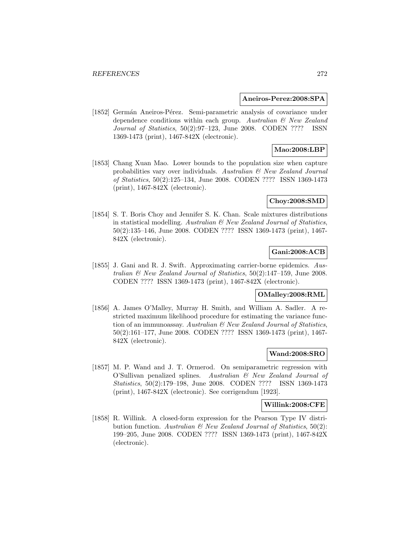#### **Aneiros-Perez:2008:SPA**

[1852] Germán Aneiros-Pérez. Semi-parametric analysis of covariance under dependence conditions within each group. Australian & New Zealand Journal of Statistics, 50(2):97–123, June 2008. CODEN ???? ISSN 1369-1473 (print), 1467-842X (electronic).

## **Mao:2008:LBP**

[1853] Chang Xuan Mao. Lower bounds to the population size when capture probabilities vary over individuals. Australian  $\mathcal{C}$  New Zealand Journal of Statistics, 50(2):125–134, June 2008. CODEN ???? ISSN 1369-1473 (print), 1467-842X (electronic).

## **Choy:2008:SMD**

[1854] S. T. Boris Choy and Jennifer S. K. Chan. Scale mixtures distributions in statistical modelling. Australian  $\mathcal B$  New Zealand Journal of Statistics, 50(2):135–146, June 2008. CODEN ???? ISSN 1369-1473 (print), 1467- 842X (electronic).

# **Gani:2008:ACB**

[1855] J. Gani and R. J. Swift. Approximating carrier-borne epidemics. Australian  $\mathcal C$  New Zealand Journal of Statistics,  $50(2):147-159$ , June 2008. CODEN ???? ISSN 1369-1473 (print), 1467-842X (electronic).

## **OMalley:2008:RML**

[1856] A. James O'Malley, Murray H. Smith, and William A. Sadler. A restricted maximum likelihood procedure for estimating the variance function of an immunoassay. Australian & New Zealand Journal of Statistics, 50(2):161–177, June 2008. CODEN ???? ISSN 1369-1473 (print), 1467- 842X (electronic).

## **Wand:2008:SRO**

[1857] M. P. Wand and J. T. Ormerod. On semiparametric regression with O'Sullivan penalized splines. Australian & New Zealand Journal of Statistics, 50(2):179–198, June 2008. CODEN ???? ISSN 1369-1473 (print), 1467-842X (electronic). See corrigendum [1923].

### **Willink:2008:CFE**

[1858] R. Willink. A closed-form expression for the Pearson Type IV distribution function. Australian  $\mathcal{B}$  New Zealand Journal of Statistics, 50(2): 199–205, June 2008. CODEN ???? ISSN 1369-1473 (print), 1467-842X (electronic).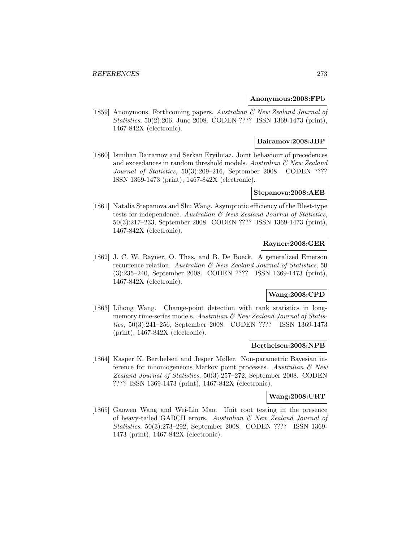## **Anonymous:2008:FPb**

[1859] Anonymous. Forthcoming papers. Australian & New Zealand Journal of Statistics, 50(2):206, June 2008. CODEN ???? ISSN 1369-1473 (print), 1467-842X (electronic).

### **Bairamov:2008:JBP**

[1860] Ismihan Bairamov and Serkan Eryilmaz. Joint behaviour of precedences and exceedances in random threshold models. Australian & New Zealand Journal of Statistics, 50(3):209–216, September 2008. CODEN ???? ISSN 1369-1473 (print), 1467-842X (electronic).

### **Stepanova:2008:AEB**

[1861] Natalia Stepanova and Shu Wang. Asymptotic efficiency of the Blest-type tests for independence. Australian & New Zealand Journal of Statistics, 50(3):217–233, September 2008. CODEN ???? ISSN 1369-1473 (print), 1467-842X (electronic).

## **Rayner:2008:GER**

[1862] J. C. W. Rayner, O. Thas, and B. De Boeck. A generalized Emerson recurrence relation. Australian & New Zealand Journal of Statistics, 50 (3):235–240, September 2008. CODEN ???? ISSN 1369-1473 (print), 1467-842X (electronic).

## **Wang:2008:CPD**

[1863] Lihong Wang. Change-point detection with rank statistics in longmemory time-series models. Australian & New Zealand Journal of Statistics, 50(3):241–256, September 2008. CODEN ???? ISSN 1369-1473 (print), 1467-842X (electronic).

#### **Berthelsen:2008:NPB**

[1864] Kasper K. Berthelsen and Jesper Møller. Non-parametric Bayesian inference for inhomogeneous Markov point processes. Australian & New Zealand Journal of Statistics, 50(3):257–272, September 2008. CODEN ???? ISSN 1369-1473 (print), 1467-842X (electronic).

### **Wang:2008:URT**

[1865] Gaowen Wang and Wei-Lin Mao. Unit root testing in the presence of heavy-tailed GARCH errors. Australian & New Zealand Journal of Statistics, 50(3):273–292, September 2008. CODEN ???? ISSN 1369- 1473 (print), 1467-842X (electronic).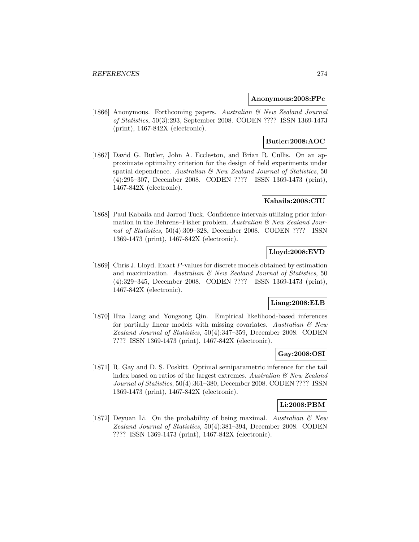### **Anonymous:2008:FPc**

[1866] Anonymous. Forthcoming papers. Australian & New Zealand Journal of Statistics, 50(3):293, September 2008. CODEN ???? ISSN 1369-1473 (print), 1467-842X (electronic).

## **Butler:2008:AOC**

[1867] David G. Butler, John A. Eccleston, and Brian R. Cullis. On an approximate optimality criterion for the design of field experiments under spatial dependence. Australian  $\mathcal{B}$  New Zealand Journal of Statistics, 50 (4):295–307, December 2008. CODEN ???? ISSN 1369-1473 (print), 1467-842X (electronic).

## **Kabaila:2008:CIU**

[1868] Paul Kabaila and Jarrod Tuck. Confidence intervals utilizing prior information in the Behrens–Fisher problem. Australian  $\mathcal{C}$  New Zealand Journal of Statistics, 50(4):309–328, December 2008. CODEN ???? ISSN 1369-1473 (print), 1467-842X (electronic).

# **Lloyd:2008:EVD**

[1869] Chris J. Lloyd. Exact P-values for discrete models obtained by estimation and maximization. Australian  $\mathcal B$  New Zealand Journal of Statistics, 50 (4):329–345, December 2008. CODEN ???? ISSN 1369-1473 (print), 1467-842X (electronic).

## **Liang:2008:ELB**

[1870] Hua Liang and Yongsong Qin. Empirical likelihood-based inferences for partially linear models with missing covariates. Australian  $\mathcal C$  New Zealand Journal of Statistics, 50(4):347–359, December 2008. CODEN ???? ISSN 1369-1473 (print), 1467-842X (electronic).

## **Gay:2008:OSI**

[1871] R. Gay and D. S. Poskitt. Optimal semiparametric inference for the tail index based on ratios of the largest extremes. Australian  $\mathcal{B}$  New Zealand Journal of Statistics, 50(4):361–380, December 2008. CODEN ???? ISSN 1369-1473 (print), 1467-842X (electronic).

## **Li:2008:PBM**

[1872] Deyuan Li. On the probability of being maximal. Australian  $\mathcal{B}$  New Zealand Journal of Statistics, 50(4):381–394, December 2008. CODEN ???? ISSN 1369-1473 (print), 1467-842X (electronic).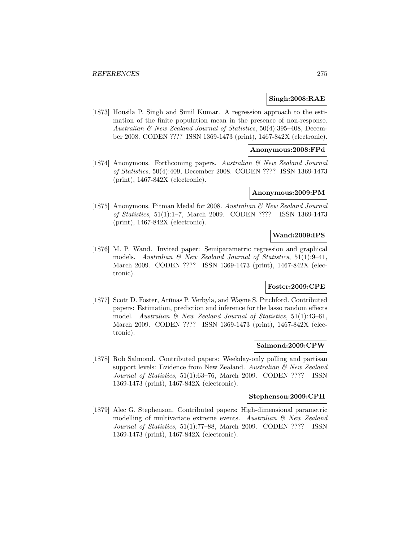## **Singh:2008:RAE**

[1873] Housila P. Singh and Sunil Kumar. A regression approach to the estimation of the finite population mean in the presence of non-response. Australian & New Zealand Journal of Statistics, 50(4):395–408, December 2008. CODEN ???? ISSN 1369-1473 (print), 1467-842X (electronic).

## **Anonymous:2008:FPd**

[1874] Anonymous. Forthcoming papers. Australian & New Zealand Journal of Statistics, 50(4):409, December 2008. CODEN ???? ISSN 1369-1473 (print), 1467-842X (electronic).

### **Anonymous:2009:PM**

[1875] Anonymous. Pitman Medal for 2008. Australian & New Zealand Journal of Statistics, 51(1):1–7, March 2009. CODEN ???? ISSN 1369-1473 (print), 1467-842X (electronic).

### **Wand:2009:IPS**

[1876] M. P. Wand. Invited paper: Semiparametric regression and graphical models. Australian  $\mathcal{B}$  New Zealand Journal of Statistics, 51(1):9-41, March 2009. CODEN ???? ISSN 1369-1473 (print), 1467-842X (electronic).

## **Foster:2009:CPE**

[1877] Scott D. Foster, Arūnas P. Verbyla, and Wayne S. Pitchford. Contributed papers: Estimation, prediction and inference for the lasso random effects model. Australian  $\mathcal B$  New Zealand Journal of Statistics, 51(1):43-61, March 2009. CODEN ???? ISSN 1369-1473 (print), 1467-842X (electronic).

#### **Salmond:2009:CPW**

[1878] Rob Salmond. Contributed papers: Weekday-only polling and partisan support levels: Evidence from New Zealand. Australian & New Zealand Journal of Statistics, 51(1):63–76, March 2009. CODEN ???? ISSN 1369-1473 (print), 1467-842X (electronic).

#### **Stephenson:2009:CPH**

[1879] Alec G. Stephenson. Contributed papers: High-dimensional parametric modelling of multivariate extreme events. Australian  $\mathcal{B}$  New Zealand Journal of Statistics, 51(1):77–88, March 2009. CODEN ???? ISSN 1369-1473 (print), 1467-842X (electronic).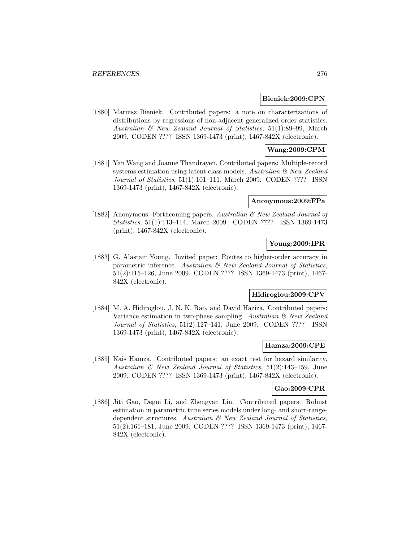#### **Bieniek:2009:CPN**

[1880] Mariusz Bieniek. Contributed papers: a note on characterizations of distributions by regressions of non-adjacent generalized order statistics. Australian & New Zealand Journal of Statistics, 51(1):89–99, March 2009. CODEN ???? ISSN 1369-1473 (print), 1467-842X (electronic).

## **Wang:2009:CPM**

[1881] Yan Wang and Joanne Thandrayen. Contributed papers: Multiple-record systems estimation using latent class models. Australian  $\mathcal{B}$  New Zealand Journal of Statistics, 51(1):101–111, March 2009. CODEN ???? ISSN 1369-1473 (print), 1467-842X (electronic).

#### **Anonymous:2009:FPa**

[1882] Anonymous. Forthcoming papers. Australian & New Zealand Journal of Statistics, 51(1):113–114, March 2009. CODEN ???? ISSN 1369-1473 (print), 1467-842X (electronic).

## **Young:2009:IPR**

[1883] G. Alastair Young. Invited paper: Routes to higher-order accuracy in parametric inference. Australian  $\mathcal{C}$  New Zealand Journal of Statistics, 51(2):115–126, June 2009. CODEN ???? ISSN 1369-1473 (print), 1467- 842X (electronic).

## **Hidiroglou:2009:CPV**

[1884] M. A. Hidiroglou, J. N. K. Rao, and David Haziza. Contributed papers: Variance estimation in two-phase sampling. Australian  $\mathcal B$  New Zealand Journal of Statistics, 51(2):127–141, June 2009. CODEN ???? ISSN 1369-1473 (print), 1467-842X (electronic).

#### **Hamza:2009:CPE**

[1885] Kais Hamza. Contributed papers: an exact test for hazard similarity. Australian & New Zealand Journal of Statistics, 51(2):143–159, June 2009. CODEN ???? ISSN 1369-1473 (print), 1467-842X (electronic).

### **Gao:2009:CPR**

[1886] Jiti Gao, Degui Li, and Zhengyan Lin. Contributed papers: Robust estimation in parametric time series models under long- and short-rangedependent structures. Australian & New Zealand Journal of Statistics, 51(2):161–181, June 2009. CODEN ???? ISSN 1369-1473 (print), 1467- 842X (electronic).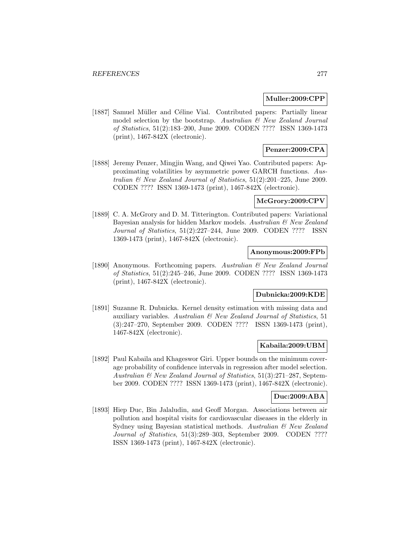### **Muller:2009:CPP**

[1887] Samuel Müller and Céline Vial. Contributed papers: Partially linear model selection by the bootstrap. Australian  $\mathcal C$  New Zealand Journal of Statistics, 51(2):183–200, June 2009. CODEN ???? ISSN 1369-1473 (print), 1467-842X (electronic).

## **Penzer:2009:CPA**

[1888] Jeremy Penzer, Mingjin Wang, and Qiwei Yao. Contributed papers: Approximating volatilities by asymmetric power GARCH functions. Australian  $\mathcal B$  New Zealand Journal of Statistics, 51(2):201-225, June 2009. CODEN ???? ISSN 1369-1473 (print), 1467-842X (electronic).

## **McGrory:2009:CPV**

[1889] C. A. McGrory and D. M. Titterington. Contributed papers: Variational Bayesian analysis for hidden Markov models. Australian & New Zealand Journal of Statistics, 51(2):227–244, June 2009. CODEN ???? ISSN 1369-1473 (print), 1467-842X (electronic).

## **Anonymous:2009:FPb**

[1890] Anonymous. Forthcoming papers. Australian & New Zealand Journal of Statistics, 51(2):245–246, June 2009. CODEN ???? ISSN 1369-1473 (print), 1467-842X (electronic).

## **Dubnicka:2009:KDE**

[1891] Suzanne R. Dubnicka. Kernel density estimation with missing data and auxiliary variables. Australian  $\mathcal B$  New Zealand Journal of Statistics, 51 (3):247–270, September 2009. CODEN ???? ISSN 1369-1473 (print), 1467-842X (electronic).

### **Kabaila:2009:UBM**

[1892] Paul Kabaila and Khageswor Giri. Upper bounds on the minimum coverage probability of confidence intervals in regression after model selection. Australian & New Zealand Journal of Statistics, 51(3):271–287, September 2009. CODEN ???? ISSN 1369-1473 (print), 1467-842X (electronic).

#### **Duc:2009:ABA**

[1893] Hiep Duc, Bin Jalaludin, and Geoff Morgan. Associations between air pollution and hospital visits for cardiovascular diseases in the elderly in Sydney using Bayesian statistical methods. Australian & New Zealand Journal of Statistics, 51(3):289–303, September 2009. CODEN ???? ISSN 1369-1473 (print), 1467-842X (electronic).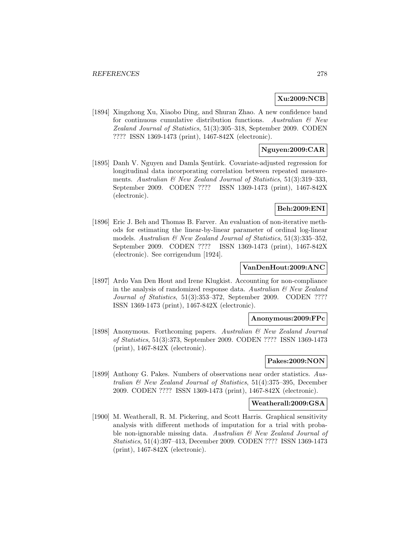## **Xu:2009:NCB**

[1894] Xingzhong Xu, Xiaobo Ding, and Shuran Zhao. A new confidence band for continuous cumulative distribution functions. Australian  $\mathcal{B}$  New Zealand Journal of Statistics, 51(3):305–318, September 2009. CODEN ???? ISSN 1369-1473 (print), 1467-842X (electronic).

## **Nguyen:2009:CAR**

[1895] Danh V. Nguyen and Damla Şentürk. Covariate-adjusted regression for longitudinal data incorporating correlation between repeated measurements. Australian  $\mathcal C$  New Zealand Journal of Statistics, 51(3):319-333, September 2009. CODEN ???? ISSN 1369-1473 (print), 1467-842X (electronic).

## **Beh:2009:ENI**

[1896] Eric J. Beh and Thomas B. Farver. An evaluation of non-iterative methods for estimating the linear-by-linear parameter of ordinal log-linear models. Australian  $\mathcal{B}$  New Zealand Journal of Statistics, 51(3):335–352. September 2009. CODEN ???? ISSN 1369-1473 (print), 1467-842X (electronic). See corrigendum [1924].

### **VanDenHout:2009:ANC**

[1897] Ardo Van Den Hout and Irene Klugkist. Accounting for non-compliance in the analysis of randomized response data. Australian  $\mathcal{B}$  New Zealand Journal of Statistics, 51(3):353–372, September 2009. CODEN ???? ISSN 1369-1473 (print), 1467-842X (electronic).

## **Anonymous:2009:FPc**

[1898] Anonymous. Forthcoming papers. Australian & New Zealand Journal of Statistics, 51(3):373, September 2009. CODEN ???? ISSN 1369-1473 (print), 1467-842X (electronic).

# **Pakes:2009:NON**

[1899] Anthony G. Pakes. Numbers of observations near order statistics. Australian & New Zealand Journal of Statistics, 51(4):375–395, December 2009. CODEN ???? ISSN 1369-1473 (print), 1467-842X (electronic).

#### **Weatherall:2009:GSA**

[1900] M. Weatherall, R. M. Pickering, and Scott Harris. Graphical sensitivity analysis with different methods of imputation for a trial with probable non-ignorable missing data. Australian & New Zealand Journal of Statistics, 51(4):397–413, December 2009. CODEN ???? ISSN 1369-1473 (print), 1467-842X (electronic).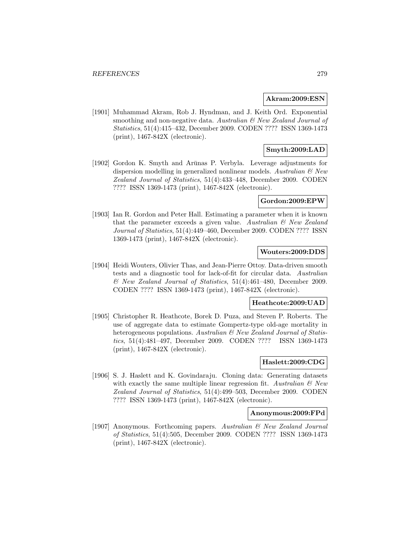### **Akram:2009:ESN**

[1901] Muhammad Akram, Rob J. Hyndman, and J. Keith Ord. Exponential smoothing and non-negative data. Australian  $\mathcal{B}$  New Zealand Journal of Statistics, 51(4):415–432, December 2009. CODEN ???? ISSN 1369-1473 (print), 1467-842X (electronic).

## **Smyth:2009:LAD**

[1902] Gordon K. Smyth and Arūnas P. Verbyla. Leverage adjustments for dispersion modelling in generalized nonlinear models. Australian  $\mathcal{B}$  New Zealand Journal of Statistics, 51(4):433–448, December 2009. CODEN ???? ISSN 1369-1473 (print), 1467-842X (electronic).

### **Gordon:2009:EPW**

[1903] Ian R. Gordon and Peter Hall. Estimating a parameter when it is known that the parameter exceeds a given value. Australian  $\mathcal{B}$  New Zealand Journal of Statistics, 51(4):449–460, December 2009. CODEN ???? ISSN 1369-1473 (print), 1467-842X (electronic).

## **Wouters:2009:DDS**

[1904] Heidi Wouters, Olivier Thas, and Jean-Pierre Ottoy. Data-driven smooth tests and a diagnostic tool for lack-of-fit for circular data. Australian & New Zealand Journal of Statistics, 51(4):461–480, December 2009. CODEN ???? ISSN 1369-1473 (print), 1467-842X (electronic).

#### **Heathcote:2009:UAD**

[1905] Christopher R. Heathcote, Borek D. Puza, and Steven P. Roberts. The use of aggregate data to estimate Gompertz-type old-age mortality in heterogeneous populations. Australian & New Zealand Journal of Statistics, 51(4):481–497, December 2009. CODEN ???? ISSN 1369-1473 (print), 1467-842X (electronic).

## **Haslett:2009:CDG**

[1906] S. J. Haslett and K. Govindaraju. Cloning data: Generating datasets with exactly the same multiple linear regression fit. Australian  $\mathcal C$  New Zealand Journal of Statistics, 51(4):499–503, December 2009. CODEN ???? ISSN 1369-1473 (print), 1467-842X (electronic).

### **Anonymous:2009:FPd**

[1907] Anonymous. Forthcoming papers. Australian & New Zealand Journal of Statistics, 51(4):505, December 2009. CODEN ???? ISSN 1369-1473 (print), 1467-842X (electronic).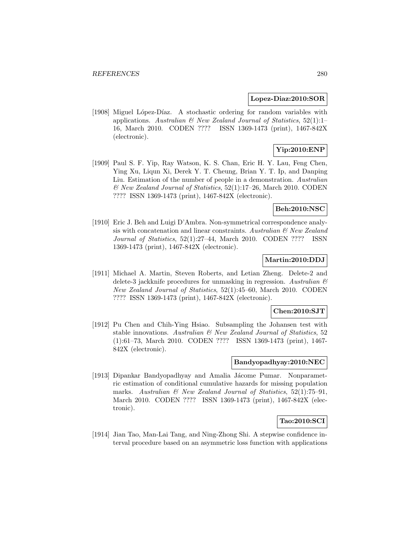#### **Lopez-Diaz:2010:SOR**

[1908] Miguel López-Díaz. A stochastic ordering for random variables with applications. Australian  $\mathcal{B}$  New Zealand Journal of Statistics, 52(1):1-16, March 2010. CODEN ???? ISSN 1369-1473 (print), 1467-842X (electronic).

# **Yip:2010:ENP**

[1909] Paul S. F. Yip, Ray Watson, K. S. Chan, Eric H. Y. Lau, Feng Chen, Ying Xu, Liqun Xi, Derek Y. T. Cheung, Brian Y. T. Ip, and Danping Liu. Estimation of the number of people in a demonstration. Australian & New Zealand Journal of Statistics, 52(1):17–26, March 2010. CODEN ???? ISSN 1369-1473 (print), 1467-842X (electronic).

## **Beh:2010:NSC**

[1910] Eric J. Beh and Luigi D'Ambra. Non-symmetrical correspondence analysis with concatenation and linear constraints. Australian  $\mathcal{C}'$  New Zealand Journal of Statistics, 52(1):27–44, March 2010. CODEN ???? ISSN 1369-1473 (print), 1467-842X (electronic).

## **Martin:2010:DDJ**

[1911] Michael A. Martin, Steven Roberts, and Letian Zheng. Delete-2 and delete-3 jackknife procedures for unmasking in regression. Australian  $\mathcal{B}$ New Zealand Journal of Statistics, 52(1):45–60, March 2010. CODEN ???? ISSN 1369-1473 (print), 1467-842X (electronic).

### **Chen:2010:SJT**

[1912] Pu Chen and Chih-Ying Hsiao. Subsampling the Johansen test with stable innovations. Australian & New Zealand Journal of Statistics, 52 (1):61–73, March 2010. CODEN ???? ISSN 1369-1473 (print), 1467- 842X (electronic).

## **Bandyopadhyay:2010:NEC**

[1913] Dipankar Bandyopadhyay and Amalia Jácome Pumar. Nonparametric estimation of conditional cumulative hazards for missing population marks. Australian  $\mathcal{B}$  New Zealand Journal of Statistics, 52(1):75–91, March 2010. CODEN ???? ISSN 1369-1473 (print), 1467-842X (electronic).

## **Tao:2010:SCI**

[1914] Jian Tao, Man-Lai Tang, and Ning-Zhong Shi. A stepwise confidence interval procedure based on an asymmetric loss function with applications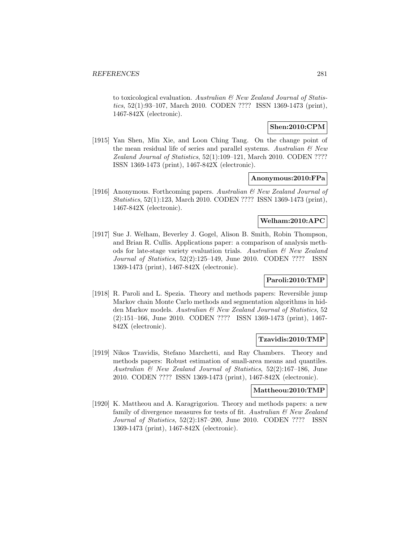to toxicological evaluation. Australian  $\mathcal B$  New Zealand Journal of Statistics, 52(1):93–107, March 2010. CODEN ???? ISSN 1369-1473 (print), 1467-842X (electronic).

## **Shen:2010:CPM**

[1915] Yan Shen, Min Xie, and Loon Ching Tang. On the change point of the mean residual life of series and parallel systems. Australian  $\mathcal{B}$  New Zealand Journal of Statistics, 52(1):109–121, March 2010. CODEN ???? ISSN 1369-1473 (print), 1467-842X (electronic).

### **Anonymous:2010:FPa**

[1916] Anonymous. Forthcoming papers. Australian  $\mathcal{B}$  New Zealand Journal of Statistics, 52(1):123, March 2010. CODEN ???? ISSN 1369-1473 (print), 1467-842X (electronic).

## **Welham:2010:APC**

[1917] Sue J. Welham, Beverley J. Gogel, Alison B. Smith, Robin Thompson, and Brian R. Cullis. Applications paper: a comparison of analysis methods for late-stage variety evaluation trials. Australian & New Zealand Journal of Statistics, 52(2):125–149, June 2010. CODEN ???? ISSN 1369-1473 (print), 1467-842X (electronic).

## **Paroli:2010:TMP**

[1918] R. Paroli and L. Spezia. Theory and methods papers: Reversible jump Markov chain Monte Carlo methods and segmentation algorithms in hidden Markov models. Australian & New Zealand Journal of Statistics, 52 (2):151–166, June 2010. CODEN ???? ISSN 1369-1473 (print), 1467- 842X (electronic).

## **Tzavidis:2010:TMP**

[1919] Nikos Tzavidis, Stefano Marchetti, and Ray Chambers. Theory and methods papers: Robust estimation of small-area means and quantiles. Australian & New Zealand Journal of Statistics, 52(2):167–186, June 2010. CODEN ???? ISSN 1369-1473 (print), 1467-842X (electronic).

## **Mattheou:2010:TMP**

[1920] K. Mattheou and A. Karagrigoriou. Theory and methods papers: a new family of divergence measures for tests of fit. Australian  $\mathcal{B}$  New Zealand Journal of Statistics, 52(2):187–200, June 2010. CODEN ???? ISSN 1369-1473 (print), 1467-842X (electronic).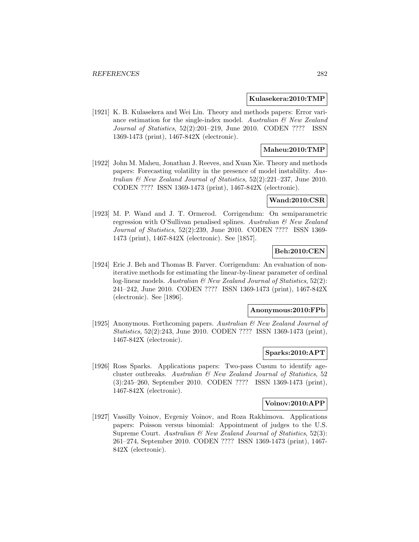#### **Kulasekera:2010:TMP**

[1921] K. B. Kulasekera and Wei Lin. Theory and methods papers: Error variance estimation for the single-index model. Australian  $\mathcal{C}$  New Zealand Journal of Statistics, 52(2):201–219, June 2010. CODEN ???? ISSN 1369-1473 (print), 1467-842X (electronic).

## **Maheu:2010:TMP**

[1922] John M. Maheu, Jonathan J. Reeves, and Xuan Xie. Theory and methods papers: Forecasting volatility in the presence of model instability. Australian & New Zealand Journal of Statistics, 52(2):221–237, June 2010. CODEN ???? ISSN 1369-1473 (print), 1467-842X (electronic).

### **Wand:2010:CSR**

[1923] M. P. Wand and J. T. Ormerod. Corrigendum: On semiparametric regression with O'Sullivan penalised splines. Australian  $\mathcal{B}$  New Zealand Journal of Statistics, 52(2):239, June 2010. CODEN ???? ISSN 1369- 1473 (print), 1467-842X (electronic). See [1857].

### **Beh:2010:CEN**

[1924] Eric J. Beh and Thomas B. Farver. Corrigendum: An evaluation of noniterative methods for estimating the linear-by-linear parameter of ordinal log-linear models. Australian  $\mathcal B$  New Zealand Journal of Statistics, 52(2): 241–242, June 2010. CODEN ???? ISSN 1369-1473 (print), 1467-842X (electronic). See [1896].

#### **Anonymous:2010:FPb**

[1925] Anonymous. Forthcoming papers. Australian & New Zealand Journal of Statistics, 52(2):243, June 2010. CODEN ???? ISSN 1369-1473 (print), 1467-842X (electronic).

## **Sparks:2010:APT**

[1926] Ross Sparks. Applications papers: Two-pass Cusum to identify agecluster outbreaks. Australian & New Zealand Journal of Statistics, 52 (3):245–260, September 2010. CODEN ???? ISSN 1369-1473 (print), 1467-842X (electronic).

#### **Voinov:2010:APP**

[1927] Vassilly Voinov, Evgeniy Voinov, and Roza Rakhimova. Applications papers: Poisson versus binomial: Appointment of judges to the U.S. Supreme Court. Australian  $\mathcal B$  New Zealand Journal of Statistics, 52(3): 261–274, September 2010. CODEN ???? ISSN 1369-1473 (print), 1467- 842X (electronic).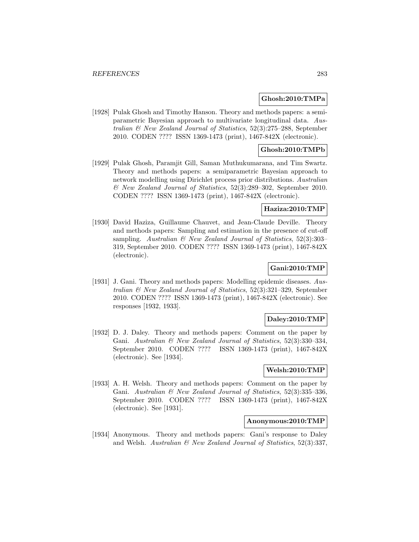#### **Ghosh:2010:TMPa**

[1928] Pulak Ghosh and Timothy Hanson. Theory and methods papers: a semiparametric Bayesian approach to multivariate longitudinal data. Australian & New Zealand Journal of Statistics, 52(3):275–288, September 2010. CODEN ???? ISSN 1369-1473 (print), 1467-842X (electronic).

## **Ghosh:2010:TMPb**

[1929] Pulak Ghosh, Paramjit Gill, Saman Muthukumarana, and Tim Swartz. Theory and methods papers: a semiparametric Bayesian approach to network modelling using Dirichlet process prior distributions. Australian & New Zealand Journal of Statistics, 52(3):289–302, September 2010. CODEN ???? ISSN 1369-1473 (print), 1467-842X (electronic).

#### **Haziza:2010:TMP**

[1930] David Haziza, Guillaume Chauvet, and Jean-Claude Deville. Theory and methods papers: Sampling and estimation in the presence of cut-off sampling. Australian  $\mathcal{B}$  New Zealand Journal of Statistics, 52(3):303– 319, September 2010. CODEN ???? ISSN 1369-1473 (print), 1467-842X (electronic).

## **Gani:2010:TMP**

[1931] J. Gani. Theory and methods papers: Modelling epidemic diseases. Australian & New Zealand Journal of Statistics, 52(3):321–329, September 2010. CODEN ???? ISSN 1369-1473 (print), 1467-842X (electronic). See responses [1932, 1933].

## **Daley:2010:TMP**

[1932] D. J. Daley. Theory and methods papers: Comment on the paper by Gani. Australian & New Zealand Journal of Statistics, 52(3):330–334, September 2010. CODEN ???? ISSN 1369-1473 (print), 1467-842X (electronic). See [1934].

### **Welsh:2010:TMP**

[1933] A. H. Welsh. Theory and methods papers: Comment on the paper by Gani. Australian & New Zealand Journal of Statistics, 52(3):335–336, September 2010. CODEN ???? ISSN 1369-1473 (print), 1467-842X (electronic). See [1931].

### **Anonymous:2010:TMP**

[1934] Anonymous. Theory and methods papers: Gani's response to Daley and Welsh. Australian  $\mathcal{B}$  New Zealand Journal of Statistics, 52(3):337,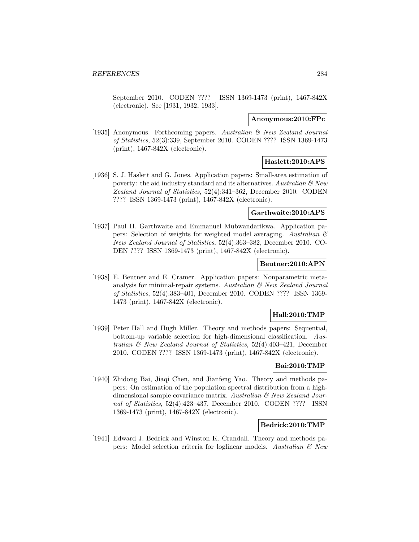September 2010. CODEN ???? ISSN 1369-1473 (print), 1467-842X (electronic). See [1931, 1932, 1933].

#### **Anonymous:2010:FPc**

[1935] Anonymous. Forthcoming papers. Australian & New Zealand Journal of Statistics, 52(3):339, September 2010. CODEN ???? ISSN 1369-1473 (print), 1467-842X (electronic).

## **Haslett:2010:APS**

[1936] S. J. Haslett and G. Jones. Application papers: Small-area estimation of poverty: the aid industry standard and its alternatives. Australian  $\mathcal{B}$  New Zealand Journal of Statistics, 52(4):341–362, December 2010. CODEN ???? ISSN 1369-1473 (print), 1467-842X (electronic).

### **Garthwaite:2010:APS**

[1937] Paul H. Garthwaite and Emmanuel Mubwandarikwa. Application papers: Selection of weights for weighted model averaging. Australian  $\mathcal{B}$ New Zealand Journal of Statistics, 52(4):363–382, December 2010. CO-DEN ???? ISSN 1369-1473 (print), 1467-842X (electronic).

### **Beutner:2010:APN**

[1938] E. Beutner and E. Cramer. Application papers: Nonparametric metaanalysis for minimal-repair systems. Australian  $\mathcal{B}$  New Zealand Journal of Statistics, 52(4):383–401, December 2010. CODEN ???? ISSN 1369- 1473 (print), 1467-842X (electronic).

### **Hall:2010:TMP**

[1939] Peter Hall and Hugh Miller. Theory and methods papers: Sequential, bottom-up variable selection for high-dimensional classification. Australian & New Zealand Journal of Statistics, 52(4):403–421, December 2010. CODEN ???? ISSN 1369-1473 (print), 1467-842X (electronic).

## **Bai:2010:TMP**

[1940] Zhidong Bai, Jiaqi Chen, and Jianfeng Yao. Theory and methods papers: On estimation of the population spectral distribution from a highdimensional sample covariance matrix. Australian & New Zealand Journal of Statistics, 52(4):423–437, December 2010. CODEN ???? ISSN 1369-1473 (print), 1467-842X (electronic).

## **Bedrick:2010:TMP**

[1941] Edward J. Bedrick and Winston K. Crandall. Theory and methods papers: Model selection criteria for loglinear models. Australian  $\mathcal C$  New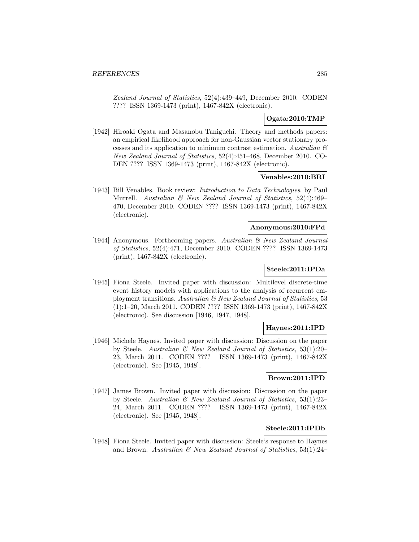Zealand Journal of Statistics, 52(4):439–449, December 2010. CODEN ???? ISSN 1369-1473 (print), 1467-842X (electronic).

## **Ogata:2010:TMP**

[1942] Hiroaki Ogata and Masanobu Taniguchi. Theory and methods papers: an empirical likelihood approach for non-Gaussian vector stationary processes and its application to minimum contrast estimation. Australian  $\mathcal{B}$ New Zealand Journal of Statistics, 52(4):451–468, December 2010. CO-DEN ???? ISSN 1369-1473 (print), 1467-842X (electronic).

## **Venables:2010:BRI**

[1943] Bill Venables. Book review: Introduction to Data Technologies. by Paul Murrell. Australian & New Zealand Journal of Statistics, 52(4):469– 470, December 2010. CODEN ???? ISSN 1369-1473 (print), 1467-842X (electronic).

### **Anonymous:2010:FPd**

[1944] Anonymous. Forthcoming papers. Australian & New Zealand Journal of Statistics, 52(4):471, December 2010. CODEN ???? ISSN 1369-1473 (print), 1467-842X (electronic).

### **Steele:2011:IPDa**

[1945] Fiona Steele. Invited paper with discussion: Multilevel discrete-time event history models with applications to the analysis of recurrent employment transitions. Australian & New Zealand Journal of Statistics, 53 (1):1–20, March 2011. CODEN ???? ISSN 1369-1473 (print), 1467-842X (electronic). See discussion [1946, 1947, 1948].

## **Haynes:2011:IPD**

[1946] Michele Haynes. Invited paper with discussion: Discussion on the paper by Steele. Australian & New Zealand Journal of Statistics, 53(1):20– 23, March 2011. CODEN ???? ISSN 1369-1473 (print), 1467-842X (electronic). See [1945, 1948].

## **Brown:2011:IPD**

[1947] James Brown. Invited paper with discussion: Discussion on the paper by Steele. Australian & New Zealand Journal of Statistics, 53(1):23– 24, March 2011. CODEN ???? ISSN 1369-1473 (print), 1467-842X (electronic). See [1945, 1948].

## **Steele:2011:IPDb**

[1948] Fiona Steele. Invited paper with discussion: Steele's response to Haynes and Brown. Australian  $\mathcal B$  New Zealand Journal of Statistics, 53(1):24–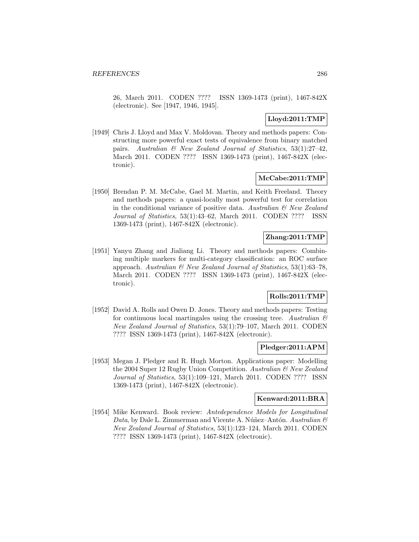26, March 2011. CODEN ???? ISSN 1369-1473 (print), 1467-842X (electronic). See [1947, 1946, 1945].

## **Lloyd:2011:TMP**

[1949] Chris J. Lloyd and Max V. Moldovan. Theory and methods papers: Constructing more powerful exact tests of equivalence from binary matched pairs. Australian & New Zealand Journal of Statistics, 53(1):27–42, March 2011. CODEN ???? ISSN 1369-1473 (print), 1467-842X (electronic).

## **McCabe:2011:TMP**

[1950] Brendan P. M. McCabe, Gael M. Martin, and Keith Freeland. Theory and methods papers: a quasi-locally most powerful test for correlation in the conditional variance of positive data. Australian  $\mathcal{B}$  New Zealand Journal of Statistics, 53(1):43–62, March 2011. CODEN ???? ISSN 1369-1473 (print), 1467-842X (electronic).

# **Zhang:2011:TMP**

[1951] Yanyu Zhang and Jialiang Li. Theory and methods papers: Combining multiple markers for multi-category classification: an ROC surface approach. Australian  $\mathcal{B}$  New Zealand Journal of Statistics, 53(1):63-78, March 2011. CODEN ???? ISSN 1369-1473 (print), 1467-842X (electronic).

# **Rolls:2011:TMP**

[1952] David A. Rolls and Owen D. Jones. Theory and methods papers: Testing for continuous local martingales using the crossing tree. Australian  $\mathscr E$ New Zealand Journal of Statistics, 53(1):79–107, March 2011. CODEN ???? ISSN 1369-1473 (print), 1467-842X (electronic).

## **Pledger:2011:APM**

[1953] Megan J. Pledger and R. Hugh Morton. Applications paper: Modelling the 2004 Super 12 Rugby Union Competition. Australian & New Zealand Journal of Statistics, 53(1):109–121, March 2011. CODEN ???? ISSN 1369-1473 (print), 1467-842X (electronic).

## **Kenward:2011:BRA**

[1954] Mike Kenward. Book review: Antedependence Models for Longitudinal Data, by Dale L. Zimmerman and Vicente A. Núñez–Antón. Australian  $\mathcal C$ New Zealand Journal of Statistics, 53(1):123–124, March 2011. CODEN ???? ISSN 1369-1473 (print), 1467-842X (electronic).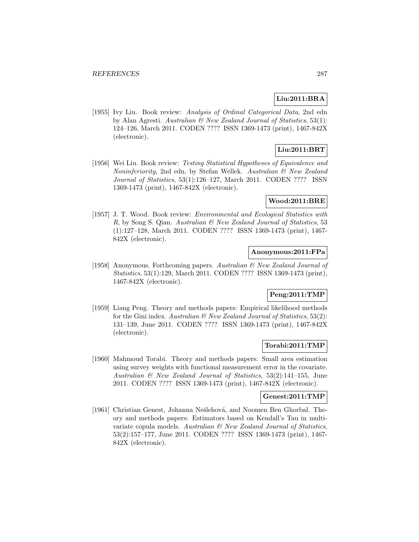## **Liu:2011:BRA**

[1955] Ivy Liu. Book review: Analysis of Ordinal Categorical Data, 2nd edn by Alan Agresti. Australian & New Zealand Journal of Statistics, 53(1): 124–126, March 2011. CODEN ???? ISSN 1369-1473 (print), 1467-842X (electronic).

# **Liu:2011:BRT**

[1956] Wei Liu. Book review: Testing Statistical Hypotheses of Equivalence and Noninferiority, 2nd edn, by Stefan Wellek. Australian & New Zealand Journal of Statistics, 53(1):126–127, March 2011. CODEN ???? ISSN 1369-1473 (print), 1467-842X (electronic).

## **Wood:2011:BRE**

[1957] J. T. Wood. Book review: Environmental and Ecological Statistics with R, by Song S. Qian. Australian & New Zealand Journal of Statistics, 53 (1):127–128, March 2011. CODEN ???? ISSN 1369-1473 (print), 1467- 842X (electronic).

## **Anonymous:2011:FPa**

[1958] Anonymous. Forthcoming papers. Australian & New Zealand Journal of Statistics, 53(1):129, March 2011. CODEN ???? ISSN 1369-1473 (print), 1467-842X (electronic).

## **Peng:2011:TMP**

[1959] Liang Peng. Theory and methods papers: Empirical likelihood methods for the Gini index. Australian  $\mathcal B$  New Zealand Journal of Statistics, 53(2): 131–139, June 2011. CODEN ???? ISSN 1369-1473 (print), 1467-842X (electronic).

## **Torabi:2011:TMP**

[1960] Mahmoud Torabi. Theory and methods papers: Small area estimation using survey weights with functional measurement error in the covariate. Australian & New Zealand Journal of Statistics, 53(2):141–155, June 2011. CODEN ???? ISSN 1369-1473 (print), 1467-842X (electronic).

#### **Genest:2011:TMP**

[1961] Christian Genest, Johanna Nešlehová, and Noomen Ben Ghorbal. Theory and methods papers: Estimators based on Kendall's Tau in multivariate copula models. Australian & New Zealand Journal of Statistics, 53(2):157–177, June 2011. CODEN ???? ISSN 1369-1473 (print), 1467- 842X (electronic).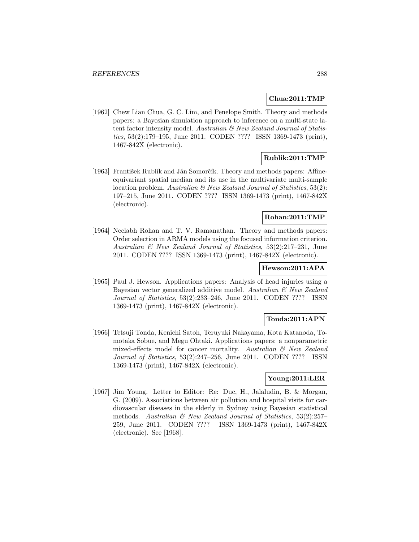## **Chua:2011:TMP**

[1962] Chew Lian Chua, G. C. Lim, and Penelope Smith. Theory and methods papers: a Bayesian simulation approach to inference on a multi-state latent factor intensity model. Australian & New Zealand Journal of Statistics, 53(2):179–195, June 2011. CODEN ???? ISSN 1369-1473 (print), 1467-842X (electronic).

## **Rublik:2011:TMP**

[1963] František Rublík and Ján Somorčík. Theory and methods papers: Affineequivariant spatial median and its use in the multivariate multi-sample location problem. Australian & New Zealand Journal of Statistics, 53(2): 197–215, June 2011. CODEN ???? ISSN 1369-1473 (print), 1467-842X (electronic).

## **Rohan:2011:TMP**

[1964] Neelabh Rohan and T. V. Ramanathan. Theory and methods papers: Order selection in ARMA models using the focused information criterion. Australian & New Zealand Journal of Statistics, 53(2):217–231, June 2011. CODEN ???? ISSN 1369-1473 (print), 1467-842X (electronic).

## **Hewson:2011:APA**

[1965] Paul J. Hewson. Applications papers: Analysis of head injuries using a Bayesian vector generalized additive model. Australian & New Zealand Journal of Statistics, 53(2):233–246, June 2011. CODEN ???? ISSN 1369-1473 (print), 1467-842X (electronic).

## **Tonda:2011:APN**

[1966] Tetsuji Tonda, Kenichi Satoh, Teruyuki Nakayama, Kota Katanoda, Tomotaka Sobue, and Megu Ohtaki. Applications papers: a nonparametric mixed-effects model for cancer mortality. Australian & New Zealand Journal of Statistics, 53(2):247–256, June 2011. CODEN ???? ISSN 1369-1473 (print), 1467-842X (electronic).

## **Young:2011:LER**

[1967] Jim Young. Letter to Editor: Re: Duc, H., Jalaludin, B. & Morgan, G. (2009). Associations between air pollution and hospital visits for cardiovascular diseases in the elderly in Sydney using Bayesian statistical methods. Australian  $\mathcal{B}$  New Zealand Journal of Statistics, 53(2):257– 259, June 2011. CODEN ???? ISSN 1369-1473 (print), 1467-842X (electronic). See [1968].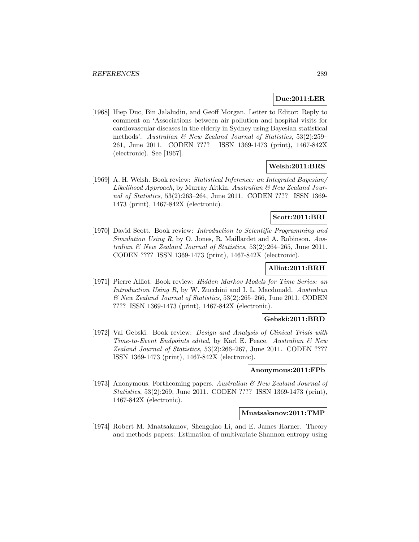### **Duc:2011:LER**

[1968] Hiep Duc, Bin Jalaludin, and Geoff Morgan. Letter to Editor: Reply to comment on 'Associations between air pollution and hospital visits for cardiovascular diseases in the elderly in Sydney using Bayesian statistical methods'. Australian & New Zealand Journal of Statistics, 53(2):259– 261, June 2011. CODEN ???? ISSN 1369-1473 (print), 1467-842X (electronic). See [1967].

## **Welsh:2011:BRS**

[1969] A. H. Welsh. Book review: Statistical Inference: an Integrated Bayesian/ Likelihood Approach, by Murray Aitkin. Australian & New Zealand Journal of Statistics, 53(2):263–264, June 2011. CODEN ???? ISSN 1369- 1473 (print), 1467-842X (electronic).

### **Scott:2011:BRI**

[1970] David Scott. Book review: Introduction to Scientific Programming and Simulation Using R, by O. Jones, R. Maillardet and A. Robinson. Australian & New Zealand Journal of Statistics, 53(2):264–265, June 2011. CODEN ???? ISSN 1369-1473 (print), 1467-842X (electronic).

#### **Alliot:2011:BRH**

[1971] Pierre Alliot. Book review: Hidden Markov Models for Time Series: an Introduction Using R, by W. Zucchini and I. L. Macdonald. Australian & New Zealand Journal of Statistics, 53(2):265–266, June 2011. CODEN ???? ISSN 1369-1473 (print), 1467-842X (electronic).

### **Gebski:2011:BRD**

[1972] Val Gebski. Book review: Design and Analysis of Clinical Trials with Time-to-Event Endpoints edited, by Karl E. Peace. Australian  $\mathcal{B}$  New Zealand Journal of Statistics, 53(2):266–267, June 2011. CODEN ???? ISSN 1369-1473 (print), 1467-842X (electronic).

#### **Anonymous:2011:FPb**

[1973] Anonymous. Forthcoming papers. Australian & New Zealand Journal of Statistics, 53(2):269, June 2011. CODEN ???? ISSN 1369-1473 (print), 1467-842X (electronic).

#### **Mnatsakanov:2011:TMP**

[1974] Robert M. Mnatsakanov, Shengqiao Li, and E. James Harner. Theory and methods papers: Estimation of multivariate Shannon entropy using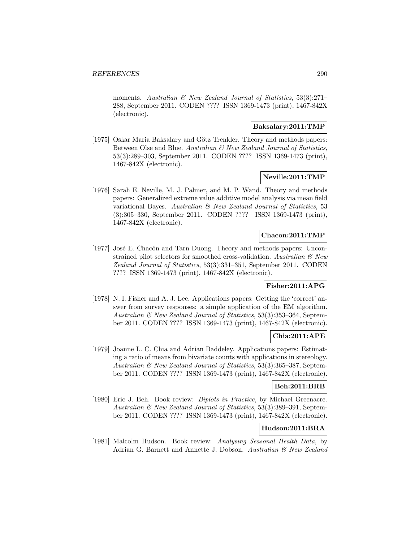moments. Australian & New Zealand Journal of Statistics, 53(3):271-288, September 2011. CODEN ???? ISSN 1369-1473 (print), 1467-842X (electronic).

#### **Baksalary:2011:TMP**

[1975] Oskar Maria Baksalary and Götz Trenkler. Theory and methods papers: Between Olse and Blue. Australian & New Zealand Journal of Statistics, 53(3):289–303, September 2011. CODEN ???? ISSN 1369-1473 (print), 1467-842X (electronic).

### **Neville:2011:TMP**

[1976] Sarah E. Neville, M. J. Palmer, and M. P. Wand. Theory and methods papers: Generalized extreme value additive model analysis via mean field variational Bayes. Australian & New Zealand Journal of Statistics, 53 (3):305–330, September 2011. CODEN ???? ISSN 1369-1473 (print), 1467-842X (electronic).

### **Chacon:2011:TMP**

[1977] José E. Chacón and Tarn Duong. Theory and methods papers: Unconstrained pilot selectors for smoothed cross-validation. Australian  $\mathcal{B}$  New Zealand Journal of Statistics, 53(3):331–351, September 2011. CODEN ???? ISSN 1369-1473 (print), 1467-842X (electronic).

# **Fisher:2011:APG**

[1978] N. I. Fisher and A. J. Lee. Applications papers: Getting the 'correct' answer from survey responses: a simple application of the EM algorithm. Australian & New Zealand Journal of Statistics, 53(3):353–364, September 2011. CODEN ???? ISSN 1369-1473 (print), 1467-842X (electronic).

### **Chia:2011:APE**

[1979] Joanne L. C. Chia and Adrian Baddeley. Applications papers: Estimating a ratio of means from bivariate counts with applications in stereology. Australian & New Zealand Journal of Statistics, 53(3):365–387, September 2011. CODEN ???? ISSN 1369-1473 (print), 1467-842X (electronic).

#### **Beh:2011:BRB**

[1980] Eric J. Beh. Book review: Biplots in Practice, by Michael Greenacre. Australian & New Zealand Journal of Statistics, 53(3):389–391, September 2011. CODEN ???? ISSN 1369-1473 (print), 1467-842X (electronic).

# **Hudson:2011:BRA**

[1981] Malcolm Hudson. Book review: Analysing Seasonal Health Data, by Adrian G. Barnett and Annette J. Dobson. Australian & New Zealand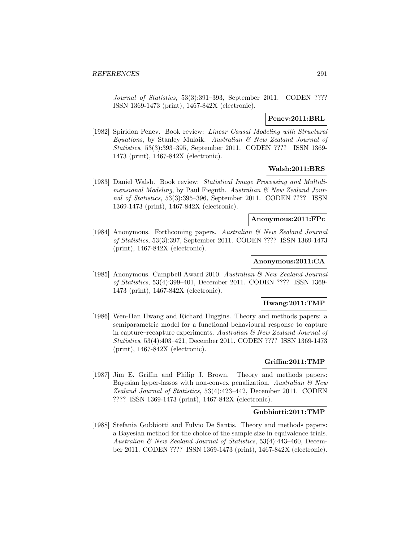Journal of Statistics, 53(3):391–393, September 2011. CODEN ???? ISSN 1369-1473 (print), 1467-842X (electronic).

## **Penev:2011:BRL**

[1982] Spiridon Penev. Book review: Linear Causal Modeling with Structural Equations, by Stanley Mulaik. Australian & New Zealand Journal of Statistics, 53(3):393–395, September 2011. CODEN ???? ISSN 1369- 1473 (print), 1467-842X (electronic).

# **Walsh:2011:BRS**

[1983] Daniel Walsh. Book review: Statistical Image Processing and Multidimensional Modeling, by Paul Fieguth. Australian & New Zealand Journal of Statistics, 53(3):395–396, September 2011. CODEN ???? ISSN 1369-1473 (print), 1467-842X (electronic).

### **Anonymous:2011:FPc**

[1984] Anonymous. Forthcoming papers. Australian & New Zealand Journal of Statistics, 53(3):397, September 2011. CODEN ???? ISSN 1369-1473 (print), 1467-842X (electronic).

#### **Anonymous:2011:CA**

[1985] Anonymous. Campbell Award 2010. Australian & New Zealand Journal of Statistics, 53(4):399–401, December 2011. CODEN ???? ISSN 1369- 1473 (print), 1467-842X (electronic).

### **Hwang:2011:TMP**

[1986] Wen-Han Hwang and Richard Huggins. Theory and methods papers: a semiparametric model for a functional behavioural response to capture in capture–recapture experiments. Australian  $\mathcal{B}$  New Zealand Journal of Statistics, 53(4):403–421, December 2011. CODEN ???? ISSN 1369-1473 (print), 1467-842X (electronic).

### **Griffin:2011:TMP**

[1987] Jim E. Griffin and Philip J. Brown. Theory and methods papers: Bayesian hyper-lassos with non-convex penalization. Australian  $\mathcal{B}$  New Zealand Journal of Statistics, 53(4):423–442, December 2011. CODEN ???? ISSN 1369-1473 (print), 1467-842X (electronic).

#### **Gubbiotti:2011:TMP**

[1988] Stefania Gubbiotti and Fulvio De Santis. Theory and methods papers: a Bayesian method for the choice of the sample size in equivalence trials. Australian & New Zealand Journal of Statistics, 53(4):443–460, December 2011. CODEN ???? ISSN 1369-1473 (print), 1467-842X (electronic).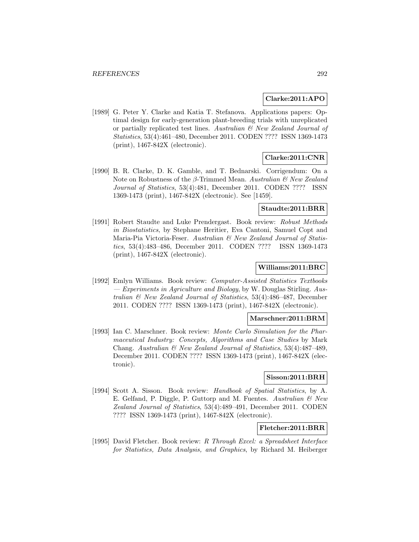#### **Clarke:2011:APO**

[1989] G. Peter Y. Clarke and Katia T. Stefanova. Applications papers: Optimal design for early-generation plant-breeding trials with unreplicated or partially replicated test lines. Australian & New Zealand Journal of Statistics, 53(4):461–480, December 2011. CODEN ???? ISSN 1369-1473 (print), 1467-842X (electronic).

## **Clarke:2011:CNR**

[1990] B. R. Clarke, D. K. Gamble, and T. Bednarski. Corrigendum: On a Note on Robustness of the β-Trimmed Mean. Australian  $&New Zealand$ Journal of Statistics, 53(4):481, December 2011. CODEN ???? ISSN 1369-1473 (print), 1467-842X (electronic). See [1459].

#### **Staudte:2011:BRR**

[1991] Robert Staudte and Luke Prendergast. Book review: Robust Methods in Biostatistics, by Stephane Heritier, Eva Cantoni, Samuel Copt and Maria-Pia Victoria-Feser. Australian  $\mathcal{C}$  New Zealand Journal of Statistics, 53(4):483–486, December 2011. CODEN ???? ISSN 1369-1473 (print), 1467-842X (electronic).

#### **Williams:2011:BRC**

[1992] Emlyn Williams. Book review: Computer-Assisted Statistics Textbooks — Experiments in Agriculture and Biology, by W. Douglas Stirling. Australian & New Zealand Journal of Statistics, 53(4):486–487, December 2011. CODEN ???? ISSN 1369-1473 (print), 1467-842X (electronic).

### **Marschner:2011:BRM**

[1993] Ian C. Marschner. Book review: Monte Carlo Simulation for the Pharmaceutical Industry: Concepts, Algorithms and Case Studies by Mark Chang. Australian & New Zealand Journal of Statistics, 53(4):487–489, December 2011. CODEN ???? ISSN 1369-1473 (print), 1467-842X (electronic).

#### **Sisson:2011:BRH**

[1994] Scott A. Sisson. Book review: Handbook of Spatial Statistics, by A. E. Gelfand, P. Diggle, P. Guttorp and M. Fuentes. Australian & New Zealand Journal of Statistics, 53(4):489–491, December 2011. CODEN ???? ISSN 1369-1473 (print), 1467-842X (electronic).

### **Fletcher:2011:BRR**

[1995] David Fletcher. Book review: R Through Excel: a Spreadsheet Interface for Statistics, Data Analysis, and Graphics, by Richard M. Heiberger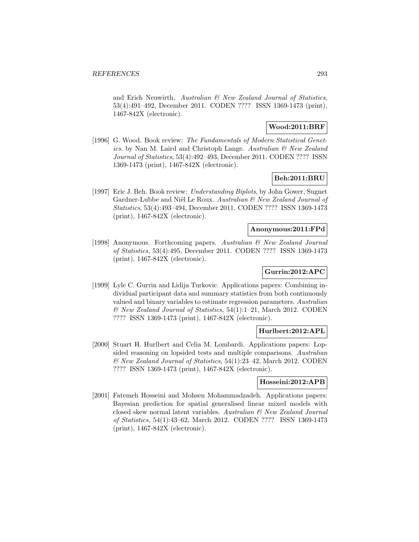and Erich Neuwirth. Australian & New Zealand Journal of Statistics, 53(4):491–492, December 2011. CODEN ???? ISSN 1369-1473 (print), 1467-842X (electronic).

# **Wood:2011:BRF**

[1996] G. Wood. Book review: The Fundamentals of Modern Statistical Genetics. by Nan M. Laird and Christoph Lange. Australian & New Zealand Journal of Statistics, 53(4):492–493, December 2011. CODEN ???? ISSN 1369-1473 (print), 1467-842X (electronic).

#### **Beh:2011:BRU**

[1997] Eric J. Beh. Book review: Understanding Biplots, by John Gower, Sugnet Gardner-Lubbe and Niël Le Roux. Australian & New Zealand Journal of Statistics, 53(4):493–494, December 2011. CODEN ???? ISSN 1369-1473 (print), 1467-842X (electronic).

### **Anonymous:2011:FPd**

[1998] Anonymous. Forthcoming papers. Australian & New Zealand Journal of Statistics, 53(4):495, December 2011. CODEN ???? ISSN 1369-1473 (print), 1467-842X (electronic).

# **Gurrin:2012:APC**

[1999] Lyle C. Gurrin and Lidija Turkovic. Applications papers: Combining individual participant data and summary statistics from both continuously valued and binary variables to estimate regression parameters. Australian & New Zealand Journal of Statistics, 54(1):1–21, March 2012. CODEN ???? ISSN 1369-1473 (print), 1467-842X (electronic).

### **Hurlbert:2012:APL**

[2000] Stuart H. Hurlbert and Celia M. Lombardi. Applications papers: Lopsided reasoning on lopsided tests and multiple comparisons. Australian & New Zealand Journal of Statistics, 54(1):23–42, March 2012. CODEN ???? ISSN 1369-1473 (print), 1467-842X (electronic).

### **Hosseini:2012:APB**

[2001] Fatemeh Hosseini and Mohsen Mohammadzadeh. Applications papers: Bayesian prediction for spatial generalised linear mixed models with closed skew normal latent variables. Australian & New Zealand Journal of Statistics, 54(1):43–62, March 2012. CODEN ???? ISSN 1369-1473 (print), 1467-842X (electronic).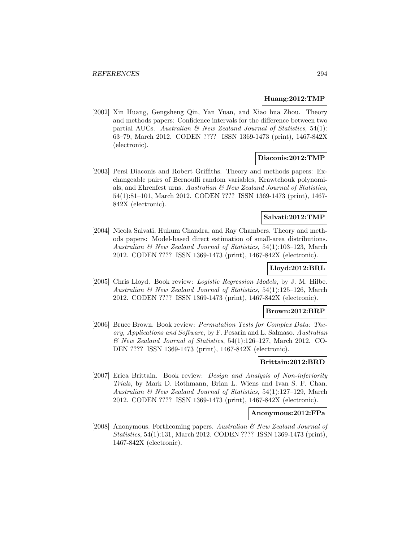#### **Huang:2012:TMP**

[2002] Xin Huang, Gengsheng Qin, Yan Yuan, and Xiao hua Zhou. Theory and methods papers: Confidence intervals for the difference between two partial AUCs. Australian  $\mathcal{B}$  New Zealand Journal of Statistics, 54(1): 63–79, March 2012. CODEN ???? ISSN 1369-1473 (print), 1467-842X (electronic).

### **Diaconis:2012:TMP**

[2003] Persi Diaconis and Robert Griffiths. Theory and methods papers: Exchangeable pairs of Bernoulli random variables, Krawtchouk polynomials, and Ehrenfest urns. Australian & New Zealand Journal of Statistics, 54(1):81–101, March 2012. CODEN ???? ISSN 1369-1473 (print), 1467- 842X (electronic).

## **Salvati:2012:TMP**

[2004] Nicola Salvati, Hukum Chandra, and Ray Chambers. Theory and methods papers: Model-based direct estimation of small-area distributions. Australian & New Zealand Journal of Statistics, 54(1):103–123, March 2012. CODEN ???? ISSN 1369-1473 (print), 1467-842X (electronic).

#### **Lloyd:2012:BRL**

[2005] Chris Lloyd. Book review: Logistic Regression Models, by J. M. Hilbe. Australian & New Zealand Journal of Statistics, 54(1):125–126, March 2012. CODEN ???? ISSN 1369-1473 (print), 1467-842X (electronic).

### **Brown:2012:BRP**

[2006] Bruce Brown. Book review: Permutation Tests for Complex Data: Theory, Applications and Software, by F. Pesarin and L. Salmaso. Australian & New Zealand Journal of Statistics, 54(1):126–127, March 2012. CO-DEN ???? ISSN 1369-1473 (print), 1467-842X (electronic).

#### **Brittain:2012:BRD**

[2007] Erica Brittain. Book review: Design and Analysis of Non-inferiority Trials, by Mark D. Rothmann, Brian L. Wiens and Ivan S. F. Chan. Australian & New Zealand Journal of Statistics, 54(1):127–129, March 2012. CODEN ???? ISSN 1369-1473 (print), 1467-842X (electronic).

## **Anonymous:2012:FPa**

[2008] Anonymous. Forthcoming papers. Australian & New Zealand Journal of Statistics, 54(1):131, March 2012. CODEN ???? ISSN 1369-1473 (print), 1467-842X (electronic).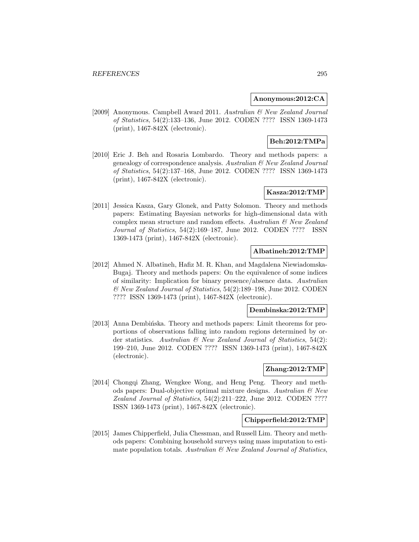### **Anonymous:2012:CA**

[2009] Anonymous. Campbell Award 2011. Australian & New Zealand Journal of Statistics, 54(2):133–136, June 2012. CODEN ???? ISSN 1369-1473 (print), 1467-842X (electronic).

# **Beh:2012:TMPa**

[2010] Eric J. Beh and Rosaria Lombardo. Theory and methods papers: a genealogy of correspondence analysis. Australian & New Zealand Journal of Statistics, 54(2):137–168, June 2012. CODEN ???? ISSN 1369-1473 (print), 1467-842X (electronic).

## **Kasza:2012:TMP**

[2011] Jessica Kasza, Gary Glonek, and Patty Solomon. Theory and methods papers: Estimating Bayesian networks for high-dimensional data with complex mean structure and random effects. Australian  $\mathcal{B}$  New Zealand Journal of Statistics, 54(2):169–187, June 2012. CODEN ???? ISSN 1369-1473 (print), 1467-842X (electronic).

## **Albatineh:2012:TMP**

[2012] Ahmed N. Albatineh, Hafiz M. R. Khan, and Magdalena Niewiadomska-Bugaj. Theory and methods papers: On the equivalence of some indices of similarity: Implication for binary presence/absence data. Australian & New Zealand Journal of Statistics, 54(2):189–198, June 2012. CODEN ???? ISSN 1369-1473 (print), 1467-842X (electronic).

#### **Dembinska:2012:TMP**

[2013] Anna Dembińska. Theory and methods papers: Limit theorems for proportions of observations falling into random regions determined by order statistics. Australian & New Zealand Journal of Statistics, 54(2): 199–210, June 2012. CODEN ???? ISSN 1369-1473 (print), 1467-842X (electronic).

## **Zhang:2012:TMP**

[2014] Chongqi Zhang, Wengkee Wong, and Heng Peng. Theory and methods papers: Dual-objective optimal mixture designs. Australian & New Zealand Journal of Statistics, 54(2):211–222, June 2012. CODEN ???? ISSN 1369-1473 (print), 1467-842X (electronic).

### **Chipperfield:2012:TMP**

[2015] James Chipperfield, Julia Chessman, and Russell Lim. Theory and methods papers: Combining household surveys using mass imputation to estimate population totals. Australian  $\mathcal B$  New Zealand Journal of Statistics,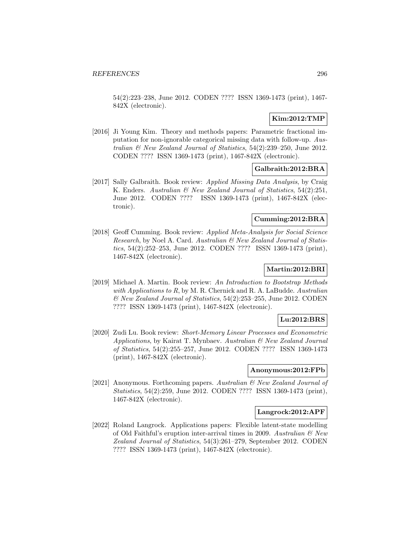54(2):223–238, June 2012. CODEN ???? ISSN 1369-1473 (print), 1467- 842X (electronic).

## **Kim:2012:TMP**

[2016] Ji Young Kim. Theory and methods papers: Parametric fractional imputation for non-ignorable categorical missing data with follow-up. Australian & New Zealand Journal of Statistics, 54(2):239–250, June 2012. CODEN ???? ISSN 1369-1473 (print), 1467-842X (electronic).

# **Galbraith:2012:BRA**

[2017] Sally Galbraith. Book review: Applied Missing Data Analysis, by Craig K. Enders. Australian & New Zealand Journal of Statistics, 54(2):251, June 2012. CODEN ???? ISSN 1369-1473 (print), 1467-842X (electronic).

### **Cumming:2012:BRA**

[2018] Geoff Cumming. Book review: Applied Meta-Analysis for Social Science Research, by Noel A. Card. Australian & New Zealand Journal of Statistics, 54(2):252–253, June 2012. CODEN ???? ISSN 1369-1473 (print), 1467-842X (electronic).

### **Martin:2012:BRI**

[2019] Michael A. Martin. Book review: An Introduction to Bootstrap Methods with Applications to  $R$ , by M. R. Chernick and R. A. LaBudde. Australian & New Zealand Journal of Statistics, 54(2):253–255, June 2012. CODEN ???? ISSN 1369-1473 (print), 1467-842X (electronic).

#### **Lu:2012:BRS**

[2020] Zudi Lu. Book review: Short-Memory Linear Processes and Econometric Applications, by Kairat T. Mynbaev. Australian & New Zealand Journal of Statistics, 54(2):255–257, June 2012. CODEN ???? ISSN 1369-1473 (print), 1467-842X (electronic).

#### **Anonymous:2012:FPb**

[2021] Anonymous. Forthcoming papers. Australian  $\mathcal{B}$  New Zealand Journal of Statistics, 54(2):259, June 2012. CODEN ???? ISSN 1369-1473 (print), 1467-842X (electronic).

#### **Langrock:2012:APF**

[2022] Roland Langrock. Applications papers: Flexible latent-state modelling of Old Faithful's eruption inter-arrival times in 2009. Australian  $\mathcal{C}$  New Zealand Journal of Statistics, 54(3):261–279, September 2012. CODEN ???? ISSN 1369-1473 (print), 1467-842X (electronic).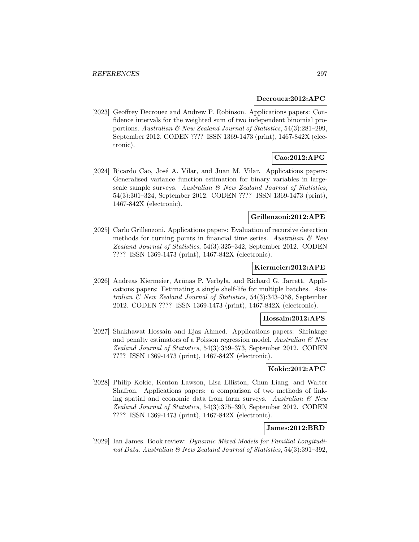#### **Decrouez:2012:APC**

[2023] Geoffrey Decrouez and Andrew P. Robinson. Applications papers: Confidence intervals for the weighted sum of two independent binomial proportions. Australian & New Zealand Journal of Statistics, 54(3):281–299, September 2012. CODEN ???? ISSN 1369-1473 (print), 1467-842X (electronic).

# **Cao:2012:APG**

[2024] Ricardo Cao, José A. Vilar, and Juan M. Vilar. Applications papers: Generalised variance function estimation for binary variables in largescale sample surveys. Australian  $\mathcal B$  New Zealand Journal of Statistics, 54(3):301–324, September 2012. CODEN ???? ISSN 1369-1473 (print), 1467-842X (electronic).

## **Grillenzoni:2012:APE**

[2025] Carlo Grillenzoni. Applications papers: Evaluation of recursive detection methods for turning points in financial time series. Australian  $\mathcal{B}$  New Zealand Journal of Statistics, 54(3):325–342, September 2012. CODEN ???? ISSN 1369-1473 (print), 1467-842X (electronic).

## **Kiermeier:2012:APE**

[2026] Andreas Kiermeier, Arūnas P. Verbyla, and Richard G. Jarrett. Applications papers: Estimating a single shelf-life for multiple batches. Australian & New Zealand Journal of Statistics, 54(3):343–358, September 2012. CODEN ???? ISSN 1369-1473 (print), 1467-842X (electronic).

## **Hossain:2012:APS**

[2027] Shakhawat Hossain and Ejaz Ahmed. Applications papers: Shrinkage and penalty estimators of a Poisson regression model. Australian  $\mathcal{O}$  New Zealand Journal of Statistics, 54(3):359–373, September 2012. CODEN ???? ISSN 1369-1473 (print), 1467-842X (electronic).

#### **Kokic:2012:APC**

[2028] Philip Kokic, Kenton Lawson, Lisa Elliston, Chun Liang, and Walter Shafron. Applications papers: a comparison of two methods of linking spatial and economic data from farm surveys. Australian  $\mathcal{B}$  New Zealand Journal of Statistics, 54(3):375–390, September 2012. CODEN ???? ISSN 1369-1473 (print), 1467-842X (electronic).

### **James:2012:BRD**

[2029] Ian James. Book review: Dynamic Mixed Models for Familial Longitudinal Data. Australian & New Zealand Journal of Statistics, 54(3):391–392,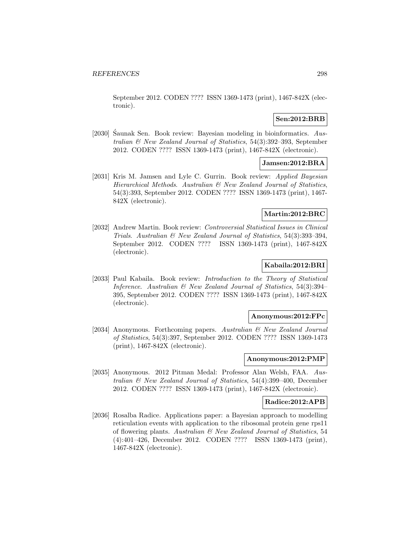September 2012. CODEN ???? ISSN 1369-1473 (print), 1467-842X (electronic).

## **Sen:2012:BRB**

[2030] Saunak Sen. Book review: Bayesian modeling in bioinformatics.  $Ans$ tralian & New Zealand Journal of Statistics, 54(3):392–393, September 2012. CODEN ???? ISSN 1369-1473 (print), 1467-842X (electronic).

#### **Jamsen:2012:BRA**

[2031] Kris M. Jamsen and Lyle C. Gurrin. Book review: Applied Bayesian Hierarchical Methods. Australian & New Zealand Journal of Statistics, 54(3):393, September 2012. CODEN ???? ISSN 1369-1473 (print), 1467- 842X (electronic).

## **Martin:2012:BRC**

[2032] Andrew Martin. Book review: Controversial Statistical Issues in Clinical Trials. Australian & New Zealand Journal of Statistics, 54(3):393–394, September 2012. CODEN ???? ISSN 1369-1473 (print), 1467-842X (electronic).

### **Kabaila:2012:BRI**

[2033] Paul Kabaila. Book review: Introduction to the Theory of Statistical Inference. Australian  $\mathcal B$  New Zealand Journal of Statistics, 54(3):394– 395, September 2012. CODEN ???? ISSN 1369-1473 (print), 1467-842X (electronic).

## **Anonymous:2012:FPc**

[2034] Anonymous. Forthcoming papers. Australian & New Zealand Journal of Statistics, 54(3):397, September 2012. CODEN ???? ISSN 1369-1473 (print), 1467-842X (electronic).

#### **Anonymous:2012:PMP**

[2035] Anonymous. 2012 Pitman Medal: Professor Alan Welsh, FAA. Australian & New Zealand Journal of Statistics, 54(4):399–400, December 2012. CODEN ???? ISSN 1369-1473 (print), 1467-842X (electronic).

#### **Radice:2012:APB**

[2036] Rosalba Radice. Applications paper: a Bayesian approach to modelling reticulation events with application to the ribosomal protein gene rps11 of flowering plants. Australian  $\mathcal B$  New Zealand Journal of Statistics, 54 (4):401–426, December 2012. CODEN ???? ISSN 1369-1473 (print), 1467-842X (electronic).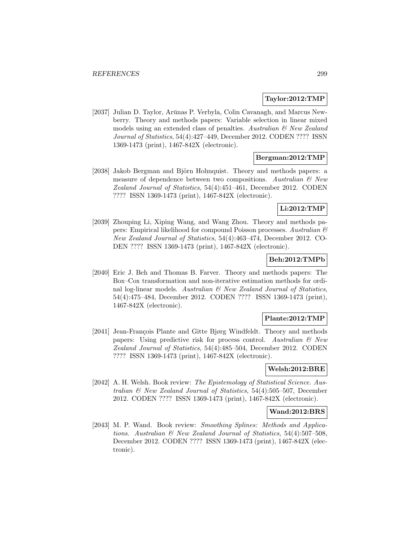### **Taylor:2012:TMP**

[2037] Julian D. Taylor, Arūnas P. Verbyla, Colin Cavanagh, and Marcus Newberry. Theory and methods papers: Variable selection in linear mixed models using an extended class of penalties. Australian  $\mathcal{B}$  New Zealand Journal of Statistics, 54(4):427–449, December 2012. CODEN ???? ISSN 1369-1473 (print), 1467-842X (electronic).

### **Bergman:2012:TMP**

[2038] Jakob Bergman and Björn Holmquist. Theory and methods papers: a measure of dependence between two compositions. Australian  $\mathcal{B}$  New Zealand Journal of Statistics, 54(4):451–461, December 2012. CODEN ???? ISSN 1369-1473 (print), 1467-842X (electronic).

## **Li:2012:TMP**

[2039] Zhouping Li, Xiping Wang, and Wang Zhou. Theory and methods papers: Empirical likelihood for compound Poisson processes. Australian & New Zealand Journal of Statistics, 54(4):463–474, December 2012. CO-DEN ???? ISSN 1369-1473 (print), 1467-842X (electronic).

## **Beh:2012:TMPb**

[2040] Eric J. Beh and Thomas B. Farver. Theory and methods papers: The Box–Cox transformation and non-iterative estimation methods for ordinal log-linear models. Australian  $\mathcal B$  New Zealand Journal of Statistics, 54(4):475–484, December 2012. CODEN ???? ISSN 1369-1473 (print), 1467-842X (electronic).

### **Plante:2012:TMP**

[2041] Jean-François Plante and Gitte Bjørg Windfeldt. Theory and methods papers: Using predictive risk for process control. Australian  $\mathcal{B}$  New Zealand Journal of Statistics, 54(4):485–504, December 2012. CODEN ???? ISSN 1369-1473 (print), 1467-842X (electronic).

### **Welsh:2012:BRE**

[2042] A. H. Welsh. Book review: The Epistemology of Statistical Science. Australian & New Zealand Journal of Statistics, 54(4):505–507, December 2012. CODEN ???? ISSN 1369-1473 (print), 1467-842X (electronic).

### **Wand:2012:BRS**

[2043] M. P. Wand. Book review: Smoothing Splines: Methods and Applications. Australian & New Zealand Journal of Statistics, 54(4):507–508, December 2012. CODEN ???? ISSN 1369-1473 (print), 1467-842X (electronic).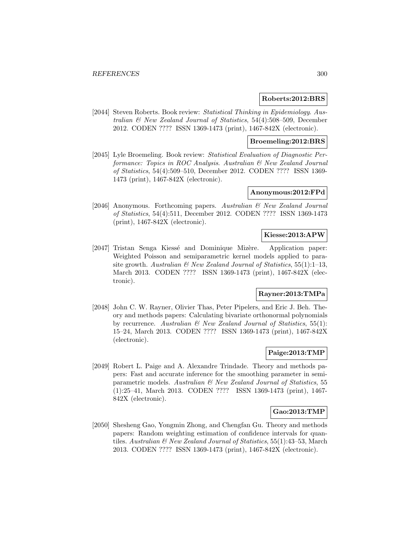#### **Roberts:2012:BRS**

[2044] Steven Roberts. Book review: Statistical Thinking in Epidemiology. Australian & New Zealand Journal of Statistics, 54(4):508–509, December 2012. CODEN ???? ISSN 1369-1473 (print), 1467-842X (electronic).

#### **Broemeling:2012:BRS**

[2045] Lyle Broemeling. Book review: Statistical Evaluation of Diagnostic Performance: Topics in ROC Analysis. Australian & New Zealand Journal of Statistics, 54(4):509–510, December 2012. CODEN ???? ISSN 1369- 1473 (print), 1467-842X (electronic).

## **Anonymous:2012:FPd**

[2046] Anonymous. Forthcoming papers. Australian & New Zealand Journal of Statistics, 54(4):511, December 2012. CODEN ???? ISSN 1369-1473 (print), 1467-842X (electronic).

### **Kiesse:2013:APW**

[2047] Tristan Senga Kiessé and Dominique Mizère. Application paper: Weighted Poisson and semiparametric kernel models applied to parasite growth. Australian  $\mathcal{B}$  New Zealand Journal of Statistics, 55(1):1–13, March 2013. CODEN ???? ISSN 1369-1473 (print), 1467-842X (electronic).

# **Rayner:2013:TMPa**

[2048] John C. W. Rayner, Olivier Thas, Peter Pipelers, and Eric J. Beh. Theory and methods papers: Calculating bivariate orthonormal polynomials by recurrence. Australian  $\mathcal B$  New Zealand Journal of Statistics, 55(1): 15–24, March 2013. CODEN ???? ISSN 1369-1473 (print), 1467-842X (electronic).

## **Paige:2013:TMP**

[2049] Robert L. Paige and A. Alexandre Trindade. Theory and methods papers: Fast and accurate inference for the smoothing parameter in semiparametric models. Australian & New Zealand Journal of Statistics, 55 (1):25–41, March 2013. CODEN ???? ISSN 1369-1473 (print), 1467- 842X (electronic).

#### **Gao:2013:TMP**

[2050] Shesheng Gao, Yongmin Zhong, and Chengfan Gu. Theory and methods papers: Random weighting estimation of confidence intervals for quantiles. Australian  $\mathcal B$  New Zealand Journal of Statistics, 55(1):43–53, March 2013. CODEN ???? ISSN 1369-1473 (print), 1467-842X (electronic).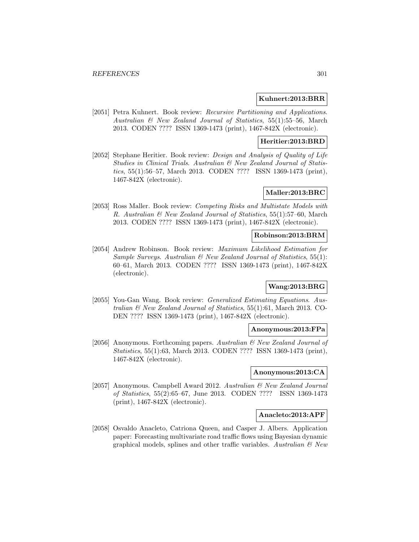#### **Kuhnert:2013:BRR**

[2051] Petra Kuhnert. Book review: Recursive Partitioning and Applications. Australian & New Zealand Journal of Statistics, 55(1):55–56, March 2013. CODEN ???? ISSN 1369-1473 (print), 1467-842X (electronic).

#### **Heritier:2013:BRD**

[2052] Stephane Heritier. Book review: Design and Analysis of Quality of Life Studies in Clinical Trials. Australian & New Zealand Journal of Statistics, 55(1):56–57, March 2013. CODEN ???? ISSN 1369-1473 (print), 1467-842X (electronic).

## **Maller:2013:BRC**

[2053] Ross Maller. Book review: Competing Risks and Multistate Models with R. Australian & New Zealand Journal of Statistics, 55(1):57–60, March 2013. CODEN ???? ISSN 1369-1473 (print), 1467-842X (electronic).

## **Robinson:2013:BRM**

[2054] Andrew Robinson. Book review: Maximum Likelihood Estimation for Sample Surveys. Australian  $\mathcal{B}$  New Zealand Journal of Statistics, 55(1): 60–61, March 2013. CODEN ???? ISSN 1369-1473 (print), 1467-842X (electronic).

## **Wang:2013:BRG**

[2055] You-Gan Wang. Book review: Generalized Estimating Equations. Australian & New Zealand Journal of Statistics, 55(1):61, March 2013. CO-DEN ???? ISSN 1369-1473 (print), 1467-842X (electronic).

#### **Anonymous:2013:FPa**

[2056] Anonymous. Forthcoming papers. Australian & New Zealand Journal of Statistics, 55(1):63, March 2013. CODEN ???? ISSN 1369-1473 (print), 1467-842X (electronic).

### **Anonymous:2013:CA**

[2057] Anonymous. Campbell Award 2012. Australian & New Zealand Journal of Statistics, 55(2):65–67, June 2013. CODEN ???? ISSN 1369-1473 (print), 1467-842X (electronic).

#### **Anacleto:2013:APF**

[2058] Osvaldo Anacleto, Catriona Queen, and Casper J. Albers. Application paper: Forecasting multivariate road traffic flows using Bayesian dynamic graphical models, splines and other traffic variables. Australian  $\mathcal{C}$  New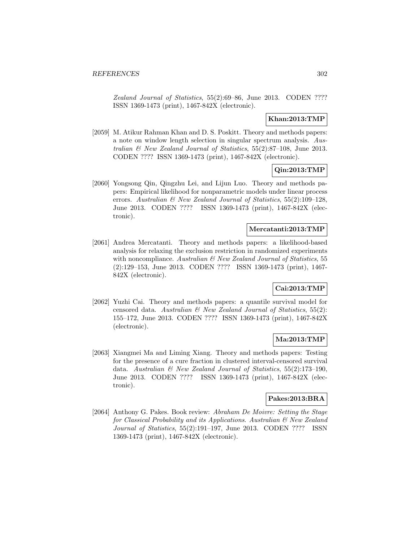Zealand Journal of Statistics, 55(2):69–86, June 2013. CODEN ???? ISSN 1369-1473 (print), 1467-842X (electronic).

## **Khan:2013:TMP**

[2059] M. Atikur Rahman Khan and D. S. Poskitt. Theory and methods papers: a note on window length selection in singular spectrum analysis. Australian & New Zealand Journal of Statistics, 55(2):87–108, June 2013. CODEN ???? ISSN 1369-1473 (print), 1467-842X (electronic).

## **Qin:2013:TMP**

[2060] Yongsong Qin, Qingzhu Lei, and Lijun Luo. Theory and methods papers: Empirical likelihood for nonparametric models under linear process errors. Australian & New Zealand Journal of Statistics, 55(2):109–128, June 2013. CODEN ???? ISSN 1369-1473 (print), 1467-842X (electronic).

### **Mercatanti:2013:TMP**

[2061] Andrea Mercatanti. Theory and methods papers: a likelihood-based analysis for relaxing the exclusion restriction in randomized experiments with noncompliance. Australian  $\mathcal C$  New Zealand Journal of Statistics, 55 (2):129–153, June 2013. CODEN ???? ISSN 1369-1473 (print), 1467- 842X (electronic).

## **Cai:2013:TMP**

[2062] Yuzhi Cai. Theory and methods papers: a quantile survival model for censored data. Australian & New Zealand Journal of Statistics, 55(2): 155–172, June 2013. CODEN ???? ISSN 1369-1473 (print), 1467-842X (electronic).

## **Ma:2013:TMP**

[2063] Xiangmei Ma and Liming Xiang. Theory and methods papers: Testing for the presence of a cure fraction in clustered interval-censored survival data. Australian & New Zealand Journal of Statistics, 55(2):173–190, June 2013. CODEN ???? ISSN 1369-1473 (print), 1467-842X (electronic).

## **Pakes:2013:BRA**

[2064] Anthony G. Pakes. Book review: Abraham De Moivre: Setting the Stage for Classical Probability and its Applications. Australian & New Zealand Journal of Statistics, 55(2):191–197, June 2013. CODEN ???? ISSN 1369-1473 (print), 1467-842X (electronic).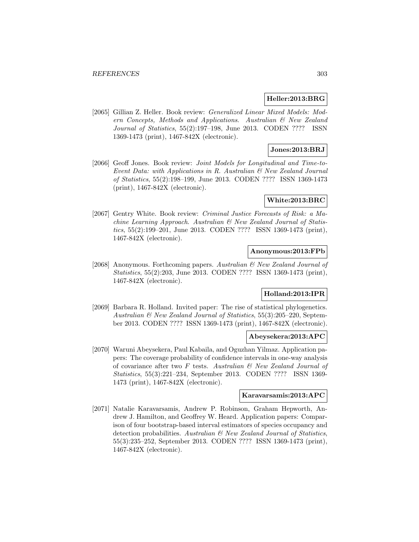#### **Heller:2013:BRG**

[2065] Gillian Z. Heller. Book review: Generalized Linear Mixed Models: Modern Concepts, Methods and Applications. Australian & New Zealand Journal of Statistics, 55(2):197–198, June 2013. CODEN ???? ISSN 1369-1473 (print), 1467-842X (electronic).

## **Jones:2013:BRJ**

[2066] Geoff Jones. Book review: Joint Models for Longitudinal and Time-to-Event Data: with Applications in R. Australian & New Zealand Journal of Statistics, 55(2):198–199, June 2013. CODEN ???? ISSN 1369-1473 (print), 1467-842X (electronic).

### **White:2013:BRC**

[2067] Gentry White. Book review: Criminal Justice Forecasts of Risk: a Machine Learning Approach. Australian & New Zealand Journal of Statistics, 55(2):199–201, June 2013. CODEN ???? ISSN 1369-1473 (print), 1467-842X (electronic).

### **Anonymous:2013:FPb**

[2068] Anonymous. Forthcoming papers. Australian & New Zealand Journal of Statistics, 55(2):203, June 2013. CODEN ???? ISSN 1369-1473 (print), 1467-842X (electronic).

### **Holland:2013:IPR**

[2069] Barbara R. Holland. Invited paper: The rise of statistical phylogenetics. Australian & New Zealand Journal of Statistics, 55(3):205–220, September 2013. CODEN ???? ISSN 1369-1473 (print), 1467-842X (electronic).

#### **Abeysekera:2013:APC**

[2070] Waruni Abeysekera, Paul Kabaila, and Oguzhan Yilmaz. Application papers: The coverage probability of confidence intervals in one-way analysis of covariance after two  $F$  tests. Australian  $\mathcal{B}$  New Zealand Journal of Statistics, 55(3):221–234, September 2013. CODEN ???? ISSN 1369- 1473 (print), 1467-842X (electronic).

## **Karavarsamis:2013:APC**

[2071] Natalie Karavarsamis, Andrew P. Robinson, Graham Hepworth, Andrew J. Hamilton, and Geoffrey W. Heard. Application papers: Comparison of four bootstrap-based interval estimators of species occupancy and detection probabilities. Australian & New Zealand Journal of Statistics, 55(3):235–252, September 2013. CODEN ???? ISSN 1369-1473 (print), 1467-842X (electronic).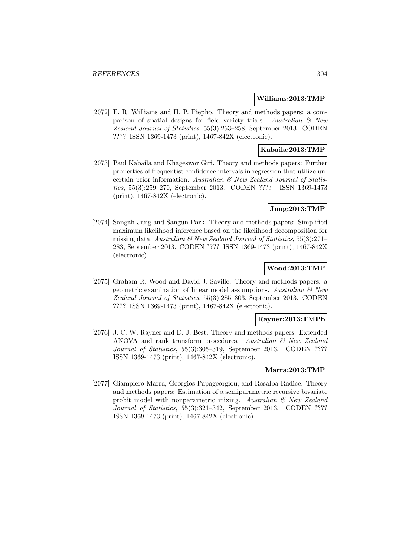#### **Williams:2013:TMP**

[2072] E. R. Williams and H. P. Piepho. Theory and methods papers: a comparison of spatial designs for field variety trials. Australian  $\mathcal B$  New Zealand Journal of Statistics, 55(3):253–258, September 2013. CODEN ???? ISSN 1369-1473 (print), 1467-842X (electronic).

## **Kabaila:2013:TMP**

[2073] Paul Kabaila and Khageswor Giri. Theory and methods papers: Further properties of frequentist confidence intervals in regression that utilize uncertain prior information. Australian & New Zealand Journal of Statistics, 55(3):259–270, September 2013. CODEN ???? ISSN 1369-1473 (print), 1467-842X (electronic).

### **Jung:2013:TMP**

[2074] Sangah Jung and Sangun Park. Theory and methods papers: Simplified maximum likelihood inference based on the likelihood decomposition for missing data. Australian  $\mathcal C$  New Zealand Journal of Statistics, 55(3):271– 283, September 2013. CODEN ???? ISSN 1369-1473 (print), 1467-842X (electronic).

## **Wood:2013:TMP**

[2075] Graham R. Wood and David J. Saville. Theory and methods papers: a geometric examination of linear model assumptions. Australian  $\mathcal C$  New Zealand Journal of Statistics, 55(3):285–303, September 2013. CODEN ???? ISSN 1369-1473 (print), 1467-842X (electronic).

### **Rayner:2013:TMPb**

[2076] J. C. W. Rayner and D. J. Best. Theory and methods papers: Extended ANOVA and rank transform procedures. Australian & New Zealand Journal of Statistics, 55(3):305–319, September 2013. CODEN ???? ISSN 1369-1473 (print), 1467-842X (electronic).

#### **Marra:2013:TMP**

[2077] Giampiero Marra, Georgios Papageorgiou, and Rosalba Radice. Theory and methods papers: Estimation of a semiparametric recursive bivariate probit model with nonparametric mixing. Australian & New Zealand Journal of Statistics, 55(3):321–342, September 2013. CODEN ???? ISSN 1369-1473 (print), 1467-842X (electronic).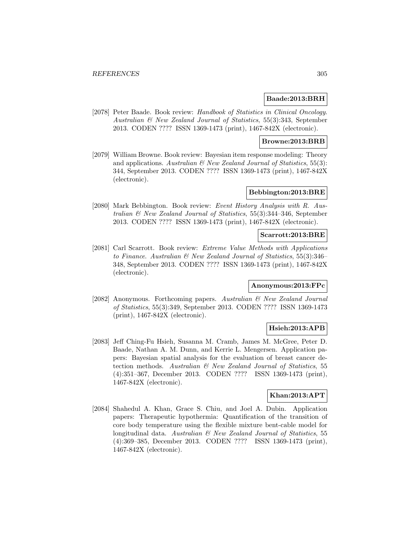#### **Baade:2013:BRH**

[2078] Peter Baade. Book review: Handbook of Statistics in Clinical Oncology. Australian & New Zealand Journal of Statistics, 55(3):343, September 2013. CODEN ???? ISSN 1369-1473 (print), 1467-842X (electronic).

#### **Browne:2013:BRB**

[2079] William Browne. Book review: Bayesian item response modeling: Theory and applications. Australian  $\mathcal B$  New Zealand Journal of Statistics, 55(3): 344, September 2013. CODEN ???? ISSN 1369-1473 (print), 1467-842X (electronic).

## **Bebbington:2013:BRE**

[2080] Mark Bebbington. Book review: Event History Analysis with R. Australian & New Zealand Journal of Statistics, 55(3):344–346, September 2013. CODEN ???? ISSN 1369-1473 (print), 1467-842X (electronic).

#### **Scarrott:2013:BRE**

[2081] Carl Scarrott. Book review: Extreme Value Methods with Applications to Finance. Australian & New Zealand Journal of Statistics, 55(3):346– 348, September 2013. CODEN ???? ISSN 1369-1473 (print), 1467-842X (electronic).

## **Anonymous:2013:FPc**

[2082] Anonymous. Forthcoming papers. Australian & New Zealand Journal of Statistics, 55(3):349, September 2013. CODEN ???? ISSN 1369-1473 (print), 1467-842X (electronic).

### **Hsieh:2013:APB**

[2083] Jeff Ching-Fu Hsieh, Susanna M. Cramb, James M. McGree, Peter D. Baade, Nathan A. M. Dunn, and Kerrie L. Mengersen. Application papers: Bayesian spatial analysis for the evaluation of breast cancer detection methods. Australian & New Zealand Journal of Statistics, 55 (4):351–367, December 2013. CODEN ???? ISSN 1369-1473 (print), 1467-842X (electronic).

## **Khan:2013:APT**

[2084] Shahedul A. Khan, Grace S. Chiu, and Joel A. Dubin. Application papers: Therapeutic hypothermia: Quantification of the transition of core body temperature using the flexible mixture bent-cable model for longitudinal data. Australian & New Zealand Journal of Statistics, 55 (4):369–385, December 2013. CODEN ???? ISSN 1369-1473 (print), 1467-842X (electronic).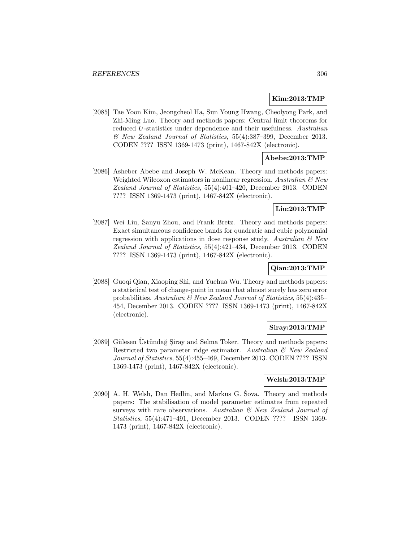### **Kim:2013:TMP**

[2085] Tae Yoon Kim, Jeongcheol Ha, Sun Young Hwang, Cheolyong Park, and Zhi-Ming Luo. Theory and methods papers: Central limit theorems for reduced U-statistics under dependence and their usefulness. Australian & New Zealand Journal of Statistics, 55(4):387–399, December 2013. CODEN ???? ISSN 1369-1473 (print), 1467-842X (electronic).

## **Abebe:2013:TMP**

[2086] Asheber Abebe and Joseph W. McKean. Theory and methods papers: Weighted Wilcoxon estimators in nonlinear regression. Australian  $\mathcal C$  New Zealand Journal of Statistics, 55(4):401–420, December 2013. CODEN ???? ISSN 1369-1473 (print), 1467-842X (electronic).

## **Liu:2013:TMP**

[2087] Wei Liu, Sanyu Zhou, and Frank Bretz. Theory and methods papers: Exact simultaneous confidence bands for quadratic and cubic polynomial regression with applications in dose response study. Australian  $\mathcal{C}$  New Zealand Journal of Statistics, 55(4):421–434, December 2013. CODEN ???? ISSN 1369-1473 (print), 1467-842X (electronic).

## **Qian:2013:TMP**

[2088] Guoqi Qian, Xiaoping Shi, and Yuehua Wu. Theory and methods papers: a statistical test of change-point in mean that almost surely has zero error probabilities. Australian & New Zealand Journal of Statistics, 55(4):435– 454, December 2013. CODEN ???? ISSN 1369-1473 (print), 1467-842X (electronic).

# **Siray:2013:TMP**

[2089] Gülesen Üstündağ Şiray and Selma Toker. Theory and methods papers: Restricted two parameter ridge estimator. Australian & New Zealand Journal of Statistics, 55(4):455–469, December 2013. CODEN ???? ISSN 1369-1473 (print), 1467-842X (electronic).

## **Welsh:2013:TMP**

[2090] A. H. Welsh, Dan Hedlin, and Markus G. Sova. Theory and methods papers: The stabilisation of model parameter estimates from repeated surveys with rare observations. Australian & New Zealand Journal of Statistics, 55(4):471–491, December 2013. CODEN ???? ISSN 1369- 1473 (print), 1467-842X (electronic).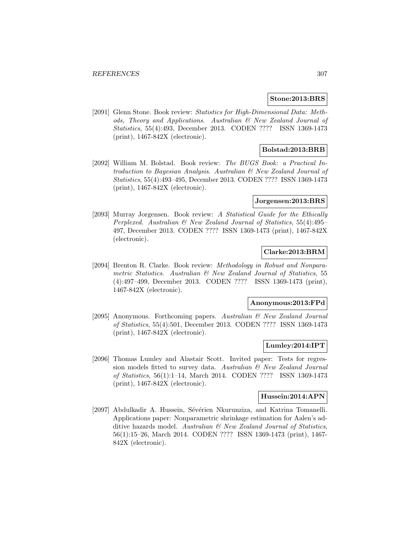#### **Stone:2013:BRS**

[2091] Glenn Stone. Book review: Statistics for High-Dimensional Data: Methods, Theory and Applications. Australian & New Zealand Journal of Statistics, 55(4):493, December 2013. CODEN ???? ISSN 1369-1473 (print), 1467-842X (electronic).

## **Bolstad:2013:BRB**

[2092] William M. Bolstad. Book review: The BUGS Book: a Practical Introduction to Bayesian Analysis. Australian & New Zealand Journal of Statistics, 55(4):493–495, December 2013. CODEN ???? ISSN 1369-1473 (print), 1467-842X (electronic).

#### **Jorgensen:2013:BRS**

[2093] Murray Jorgensen. Book review: A Statistical Guide for the Ethically Perplexed. Australian & New Zealand Journal of Statistics, 55(4):495– 497, December 2013. CODEN ???? ISSN 1369-1473 (print), 1467-842X (electronic).

## **Clarke:2013:BRM**

[2094] Brenton R. Clarke. Book review: Methodology in Robust and Nonparametric Statistics. Australian & New Zealand Journal of Statistics, 55 (4):497–499, December 2013. CODEN ???? ISSN 1369-1473 (print), 1467-842X (electronic).

#### **Anonymous:2013:FPd**

[2095] Anonymous. Forthcoming papers. Australian & New Zealand Journal of Statistics, 55(4):501, December 2013. CODEN ???? ISSN 1369-1473 (print), 1467-842X (electronic).

#### **Lumley:2014:IPT**

[2096] Thomas Lumley and Alastair Scott. Invited paper: Tests for regression models fitted to survey data. Australian & New Zealand Journal of Statistics, 56(1):1–14, March 2014. CODEN ???? ISSN 1369-1473 (print), 1467-842X (electronic).

#### **Hussein:2014:APN**

[2097] Abdulkadir A. Hussein, Sévérien Nkurunziza, and Katrina Tomanelli. Applications paper: Nonparametric shrinkage estimation for Aalen's additive hazards model. Australian & New Zealand Journal of Statistics, 56(1):15–26, March 2014. CODEN ???? ISSN 1369-1473 (print), 1467- 842X (electronic).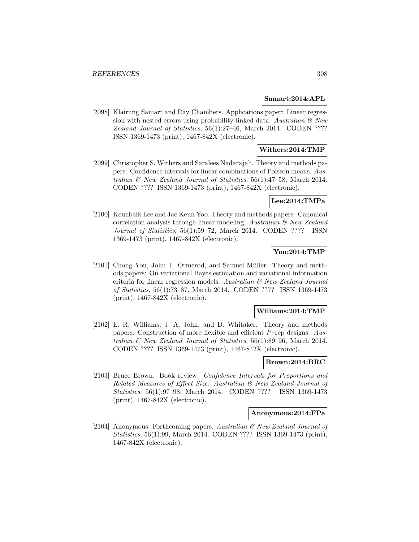#### **Samart:2014:APL**

[2098] Klairung Samart and Ray Chambers. Applications paper: Linear regression with nested errors using probability-linked data. Australian  $\mathcal{B}$  New Zealand Journal of Statistics, 56(1):27–46, March 2014. CODEN ???? ISSN 1369-1473 (print), 1467-842X (electronic).

## **Withers:2014:TMP**

[2099] Christopher S. Withers and Saralees Nadarajah. Theory and methods papers: Confidence intervals for linear combinations of Poisson means. Australian & New Zealand Journal of Statistics, 56(1):47–58, March 2014. CODEN ???? ISSN 1369-1473 (print), 1467-842X (electronic).

## **Lee:2014:TMPa**

[2100] Keunbaik Lee and Jae Keun Yoo. Theory and methods papers: Canonical correlation analysis through linear modeling. Australian & New Zealand Journal of Statistics, 56(1):59–72, March 2014. CODEN ???? ISSN 1369-1473 (print), 1467-842X (electronic).

## **You:2014:TMP**

[2101] Chong You, John T. Ormerod, and Samuel Müller. Theory and methods papers: On variational Bayes estimation and variational information criteria for linear regression models. Australian & New Zealand Journal of Statistics, 56(1):73–87, March 2014. CODEN ???? ISSN 1369-1473 (print), 1467-842X (electronic).

#### **Williams:2014:TMP**

[2102] E. R. Williams, J. A. John, and D. Whitaker. Theory and methods papers: Construction of more flexible and efficient P–rep designs. Australian & New Zealand Journal of Statistics, 56(1):89–96, March 2014. CODEN ???? ISSN 1369-1473 (print), 1467-842X (electronic).

### **Brown:2014:BRC**

[2103] Bruce Brown. Book review: Confidence Intervals for Proportions and Related Measures of Effect Size. Australian & New Zealand Journal of Statistics, 56(1):97–98, March 2014. CODEN ???? ISSN 1369-1473 (print), 1467-842X (electronic).

#### **Anonymous:2014:FPa**

[2104] Anonymous. Forthcoming papers. Australian & New Zealand Journal of Statistics, 56(1):99, March 2014. CODEN ???? ISSN 1369-1473 (print), 1467-842X (electronic).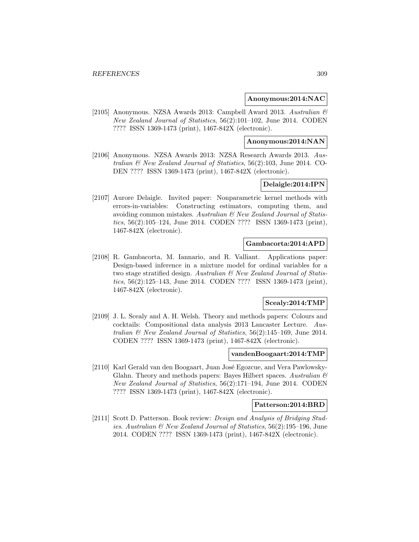#### **Anonymous:2014:NAC**

[2105] Anonymous. NZSA Awards 2013: Campbell Award 2013. Australian & New Zealand Journal of Statistics, 56(2):101–102, June 2014. CODEN ???? ISSN 1369-1473 (print), 1467-842X (electronic).

#### **Anonymous:2014:NAN**

[2106] Anonymous. NZSA Awards 2013: NZSA Research Awards 2013. Australian & New Zealand Journal of Statistics, 56(2):103, June 2014. CO-DEN ???? ISSN 1369-1473 (print), 1467-842X (electronic).

#### **Delaigle:2014:IPN**

[2107] Aurore Delaigle. Invited paper: Nonparametric kernel methods with errors-in-variables: Constructing estimators, computing them, and avoiding common mistakes. Australian & New Zealand Journal of Statistics, 56(2):105–124, June 2014. CODEN ???? ISSN 1369-1473 (print), 1467-842X (electronic).

#### **Gambacorta:2014:APD**

[2108] R. Gambacorta, M. Iannario, and R. Valliant. Applications paper: Design-based inference in a mixture model for ordinal variables for a two stage stratified design. Australian & New Zealand Journal of Statistics, 56(2):125–143, June 2014. CODEN ???? ISSN 1369-1473 (print), 1467-842X (electronic).

### **Scealy:2014:TMP**

[2109] J. L. Scealy and A. H. Welsh. Theory and methods papers: Colours and cocktails: Compositional data analysis 2013 Lancaster Lecture. Australian & New Zealand Journal of Statistics, 56(2):145–169, June 2014. CODEN ???? ISSN 1369-1473 (print), 1467-842X (electronic).

#### **vandenBoogaart:2014:TMP**

[2110] Karl Gerald van den Boogaart, Juan José Egozcue, and Vera Pawlowsky-Glahn. Theory and methods papers: Bayes Hilbert spaces. Australian  $\mathcal C$ New Zealand Journal of Statistics, 56(2):171–194, June 2014. CODEN ???? ISSN 1369-1473 (print), 1467-842X (electronic).

#### **Patterson:2014:BRD**

[2111] Scott D. Patterson. Book review: Design and Analysis of Bridging Studies. Australian & New Zealand Journal of Statistics, 56(2):195–196, June 2014. CODEN ???? ISSN 1369-1473 (print), 1467-842X (electronic).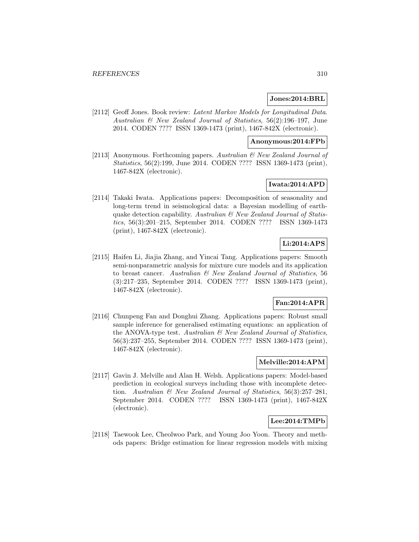### **Jones:2014:BRL**

[2112] Geoff Jones. Book review: Latent Markov Models for Longitudinal Data. Australian & New Zealand Journal of Statistics, 56(2):196–197, June 2014. CODEN ???? ISSN 1369-1473 (print), 1467-842X (electronic).

#### **Anonymous:2014:FPb**

[2113] Anonymous. Forthcoming papers. Australian & New Zealand Journal of Statistics, 56(2):199, June 2014. CODEN ???? ISSN 1369-1473 (print), 1467-842X (electronic).

## **Iwata:2014:APD**

[2114] Takaki Iwata. Applications papers: Decomposition of seasonality and long-term trend in seismological data: a Bayesian modelling of earthquake detection capability. Australian  $\mathcal B$  New Zealand Journal of Statistics, 56(3):201–215, September 2014. CODEN ???? ISSN 1369-1473 (print), 1467-842X (electronic).

# **Li:2014:APS**

[2115] Haifen Li, Jiajia Zhang, and Yincai Tang. Applications papers: Smooth semi-nonparametric analysis for mixture cure models and its application to breast cancer. Australian & New Zealand Journal of Statistics, 56 (3):217–235, September 2014. CODEN ???? ISSN 1369-1473 (print), 1467-842X (electronic).

## **Fan:2014:APR**

[2116] Chunpeng Fan and Donghui Zhang. Applications papers: Robust small sample inference for generalised estimating equations: an application of the ANOVA-type test. Australian & New Zealand Journal of Statistics, 56(3):237–255, September 2014. CODEN ???? ISSN 1369-1473 (print), 1467-842X (electronic).

## **Melville:2014:APM**

[2117] Gavin J. Melville and Alan H. Welsh. Applications papers: Model-based prediction in ecological surveys including those with incomplete detection. Australian & New Zealand Journal of Statistics, 56(3):257–281, September 2014. CODEN ???? ISSN 1369-1473 (print), 1467-842X (electronic).

### **Lee:2014:TMPb**

[2118] Taewook Lee, Cheolwoo Park, and Young Joo Yoon. Theory and methods papers: Bridge estimation for linear regression models with mixing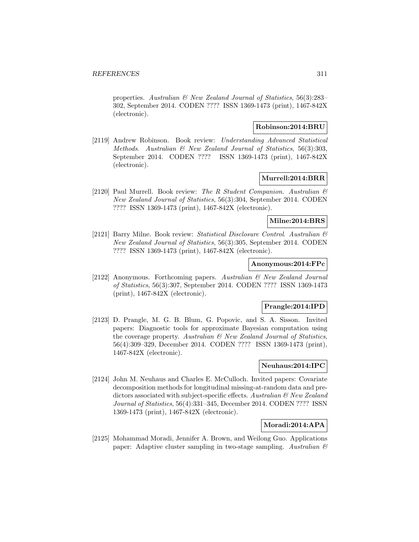properties. Australian & New Zealand Journal of Statistics, 56(3):283– 302, September 2014. CODEN ???? ISSN 1369-1473 (print), 1467-842X (electronic).

### **Robinson:2014:BRU**

[2119] Andrew Robinson. Book review: Understanding Advanced Statistical Methods. Australian & New Zealand Journal of Statistics, 56(3):303, September 2014. CODEN ???? ISSN 1369-1473 (print), 1467-842X (electronic).

#### **Murrell:2014:BRR**

[2120] Paul Murrell. Book review: The R Student Companion. Australian  $\mathcal{B}$ New Zealand Journal of Statistics, 56(3):304, September 2014. CODEN ???? ISSN 1369-1473 (print), 1467-842X (electronic).

### **Milne:2014:BRS**

[2121] Barry Milne. Book review: Statistical Disclosure Control. Australian & New Zealand Journal of Statistics, 56(3):305, September 2014. CODEN ???? ISSN 1369-1473 (print), 1467-842X (electronic).

### **Anonymous:2014:FPc**

[2122] Anonymous. Forthcoming papers. Australian & New Zealand Journal of Statistics, 56(3):307, September 2014. CODEN ???? ISSN 1369-1473 (print), 1467-842X (electronic).

### **Prangle:2014:IPD**

[2123] D. Prangle, M. G. B. Blum, G. Popovic, and S. A. Sisson. Invited papers: Diagnostic tools for approximate Bayesian computation using the coverage property. Australian & New Zealand Journal of Statistics, 56(4):309–329, December 2014. CODEN ???? ISSN 1369-1473 (print), 1467-842X (electronic).

### **Neuhaus:2014:IPC**

[2124] John M. Neuhaus and Charles E. McCulloch. Invited papers: Covariate decomposition methods for longitudinal missing-at-random data and predictors associated with subject-specific effects. Australian  $\mathcal C$  New Zealand Journal of Statistics, 56(4):331–345, December 2014. CODEN ???? ISSN 1369-1473 (print), 1467-842X (electronic).

### **Moradi:2014:APA**

[2125] Mohammad Moradi, Jennifer A. Brown, and Weilong Guo. Applications paper: Adaptive cluster sampling in two-stage sampling. Australian  $\mathcal C$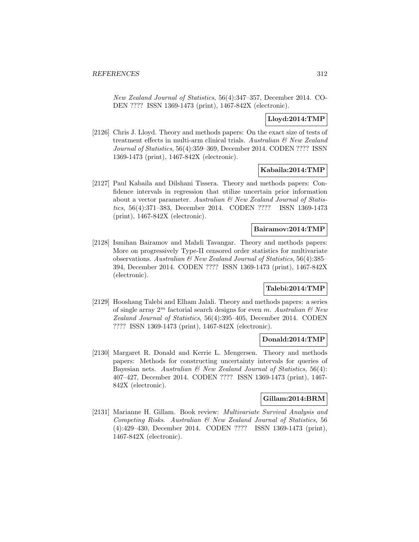New Zealand Journal of Statistics, 56(4):347–357, December 2014. CO-DEN ???? ISSN 1369-1473 (print), 1467-842X (electronic).

## **Lloyd:2014:TMP**

[2126] Chris J. Lloyd. Theory and methods papers: On the exact size of tests of treatment effects in multi-arm clinical trials. Australian & New Zealand Journal of Statistics, 56(4):359–369, December 2014. CODEN ???? ISSN 1369-1473 (print), 1467-842X (electronic).

### **Kabaila:2014:TMP**

[2127] Paul Kabaila and Dilshani Tissera. Theory and methods papers: Confidence intervals in regression that utilize uncertain prior information about a vector parameter. Australian  $\mathcal C$  New Zealand Journal of Statistics, 56(4):371–383, December 2014. CODEN ???? ISSN 1369-1473 (print), 1467-842X (electronic).

### **Bairamov:2014:TMP**

[2128] Ismihan Bairamov and Mahdi Tavangar. Theory and methods papers: More on progressively Type-II censored order statistics for multivariate observations. Australian & New Zealand Journal of Statistics, 56(4):385– 394, December 2014. CODEN ???? ISSN 1369-1473 (print), 1467-842X (electronic).

### **Talebi:2014:TMP**

[2129] Hooshang Talebi and Elham Jalali. Theory and methods papers: a series of single array  $2^m$  factorial search designs for even m. Australian  $\mathcal{B}$  New Zealand Journal of Statistics, 56(4):395–405, December 2014. CODEN ???? ISSN 1369-1473 (print), 1467-842X (electronic).

## **Donald:2014:TMP**

[2130] Margaret R. Donald and Kerrie L. Mengersen. Theory and methods papers: Methods for constructing uncertainty intervals for queries of Bayesian nets. Australian  $\mathcal C$  New Zealand Journal of Statistics, 56(4): 407–427, December 2014. CODEN ???? ISSN 1369-1473 (print), 1467- 842X (electronic).

#### **Gillam:2014:BRM**

[2131] Marianne H. Gillam. Book review: Multivariate Survival Analysis and Competing Risks. Australian & New Zealand Journal of Statistics, 56 (4):429–430, December 2014. CODEN ???? ISSN 1369-1473 (print), 1467-842X (electronic).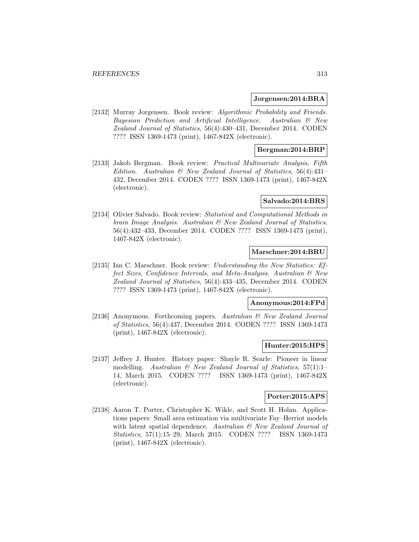#### **Jorgensen:2014:BRA**

[2132] Murray Jorgensen. Book review: Algorithmic Probability and Friends. Bayesian Prediction and Artificial Intelligence. Australian & New Zealand Journal of Statistics, 56(4):430–431, December 2014. CODEN ???? ISSN 1369-1473 (print), 1467-842X (electronic).

## **Bergman:2014:BRP**

[2133] Jakob Bergman. Book review: Practical Multivariate Analysis, Fifth Edition. Australian  $\mathcal{B}$  New Zealand Journal of Statistics, 56(4):431– 432, December 2014. CODEN ???? ISSN 1369-1473 (print), 1467-842X (electronic).

## **Salvado:2014:BRS**

[2134] Olivier Salvado. Book review: Statistical and Computational Methods in brain Image Analysis. Australian & New Zealand Journal of Statistics, 56(4):432–433, December 2014. CODEN ???? ISSN 1369-1473 (print), 1467-842X (electronic).

### **Marschner:2014:BRU**

[2135] Ian C. Marschner. Book review: Understanding the New Statistics: Effect Sizes, Confidence Intervals, and Meta-Analysis. Australian & New Zealand Journal of Statistics, 56(4):433–435, December 2014. CODEN ???? ISSN 1369-1473 (print), 1467-842X (electronic).

#### **Anonymous:2014:FPd**

[2136] Anonymous. Forthcoming papers. Australian & New Zealand Journal of Statistics, 56(4):437, December 2014. CODEN ???? ISSN 1369-1473 (print), 1467-842X (electronic).

#### **Hunter:2015:HPS**

[2137] Jeffrey J. Hunter. History paper: Shayle R. Searle: Pioneer in linear modelling. Australian  $\mathcal B$  New Zealand Journal of Statistics, 57(1):1-14, March 2015. CODEN ???? ISSN 1369-1473 (print), 1467-842X (electronic).

## **Porter:2015:APS**

[2138] Aaron T. Porter, Christopher K. Wikle, and Scott H. Holan. Applications papers: Small area estimation via multivariate Fay–Herriot models with latent spatial dependence. Australian  $\mathcal{B}$  New Zealand Journal of Statistics, 57(1):15–29, March 2015. CODEN ???? ISSN 1369-1473 (print), 1467-842X (electronic).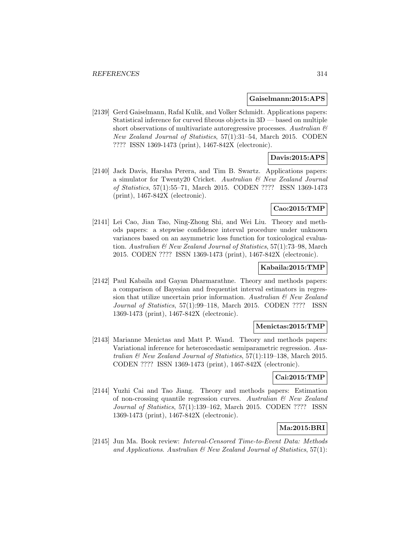#### **Gaiselmann:2015:APS**

[2139] Gerd Gaiselmann, Rafal Kulik, and Volker Schmidt. Applications papers: Statistical inference for curved fibrous objects in  $3D$  — based on multiple short observations of multivariate autoregressive processes. Australian  $\mathcal{B}$ New Zealand Journal of Statistics, 57(1):31–54, March 2015. CODEN ???? ISSN 1369-1473 (print), 1467-842X (electronic).

## **Davis:2015:APS**

[2140] Jack Davis, Harsha Perera, and Tim B. Swartz. Applications papers: a simulator for Twenty20 Cricket. Australian & New Zealand Journal of Statistics, 57(1):55–71, March 2015. CODEN ???? ISSN 1369-1473 (print), 1467-842X (electronic).

### **Cao:2015:TMP**

[2141] Lei Cao, Jian Tao, Ning-Zhong Shi, and Wei Liu. Theory and methods papers: a stepwise confidence interval procedure under unknown variances based on an asymmetric loss function for toxicological evaluation. Australian & New Zealand Journal of Statistics, 57(1):73–98, March 2015. CODEN ???? ISSN 1369-1473 (print), 1467-842X (electronic).

#### **Kabaila:2015:TMP**

[2142] Paul Kabaila and Gayan Dharmarathne. Theory and methods papers: a comparison of Bayesian and frequentist interval estimators in regression that utilize uncertain prior information. Australian  $\mathcal{B}$  New Zealand Journal of Statistics, 57(1):99–118, March 2015. CODEN ???? ISSN 1369-1473 (print), 1467-842X (electronic).

### **Menictas:2015:TMP**

[2143] Marianne Menictas and Matt P. Wand. Theory and methods papers: Variational inference for heteroscedastic semiparametric regression. Australian & New Zealand Journal of Statistics, 57(1):119–138, March 2015. CODEN ???? ISSN 1369-1473 (print), 1467-842X (electronic).

#### **Cai:2015:TMP**

[2144] Yuzhi Cai and Tao Jiang. Theory and methods papers: Estimation of non-crossing quantile regression curves. Australian  $\mathcal{B}$  New Zealand Journal of Statistics, 57(1):139–162, March 2015. CODEN ???? ISSN 1369-1473 (print), 1467-842X (electronic).

## **Ma:2015:BRI**

[2145] Jun Ma. Book review: Interval-Censored Time-to-Event Data: Methods and Applications. Australian  $\mathcal B$  New Zealand Journal of Statistics, 57(1):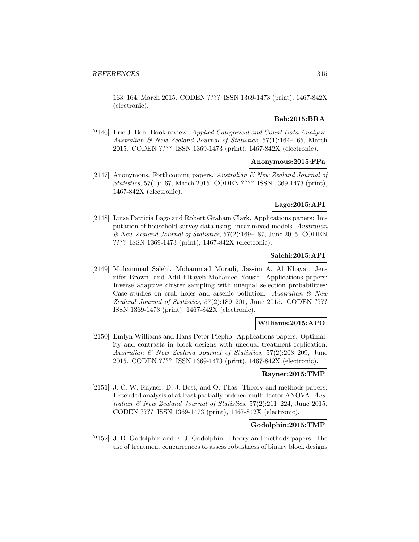163–164, March 2015. CODEN ???? ISSN 1369-1473 (print), 1467-842X (electronic).

## **Beh:2015:BRA**

[2146] Eric J. Beh. Book review: Applied Categorical and Count Data Analysis. Australian & New Zealand Journal of Statistics,  $57(1)$ :164–165, March 2015. CODEN ???? ISSN 1369-1473 (print), 1467-842X (electronic).

## **Anonymous:2015:FPa**

[2147] Anonymous. Forthcoming papers. Australian & New Zealand Journal of Statistics, 57(1):167, March 2015. CODEN ???? ISSN 1369-1473 (print), 1467-842X (electronic).

## **Lago:2015:API**

[2148] Luise Patricia Lago and Robert Graham Clark. Applications papers: Imputation of household survey data using linear mixed models. Australian  $\mathscr$  New Zealand Journal of Statistics, 57(2):169–187, June 2015. CODEN ???? ISSN 1369-1473 (print), 1467-842X (electronic).

### **Salehi:2015:API**

[2149] Mohammad Salehi, Mohammad Moradi, Jassim A. Al Khayat, Jennifer Brown, and Adil Eltayeb Mohamed Yousif. Applications papers: Inverse adaptive cluster sampling with unequal selection probabilities: Case studies on crab holes and arsenic pollution. Australian  $\mathcal{C}$  New Zealand Journal of Statistics, 57(2):189–201, June 2015. CODEN ???? ISSN 1369-1473 (print), 1467-842X (electronic).

### **Williams:2015:APO**

[2150] Emlyn Williams and Hans-Peter Piepho. Applications papers: Optimality and contrasts in block designs with unequal treatment replication. Australian & New Zealand Journal of Statistics, 57(2):203–209, June 2015. CODEN ???? ISSN 1369-1473 (print), 1467-842X (electronic).

#### **Rayner:2015:TMP**

[2151] J. C. W. Rayner, D. J. Best, and O. Thas. Theory and methods papers: Extended analysis of at least partially ordered multi-factor ANOVA. Australian  $\mathcal B$  New Zealand Journal of Statistics, 57(2):211–224, June 2015. CODEN ???? ISSN 1369-1473 (print), 1467-842X (electronic).

# **Godolphin:2015:TMP**

[2152] J. D. Godolphin and E. J. Godolphin. Theory and methods papers: The use of treatment concurrences to assess robustness of binary block designs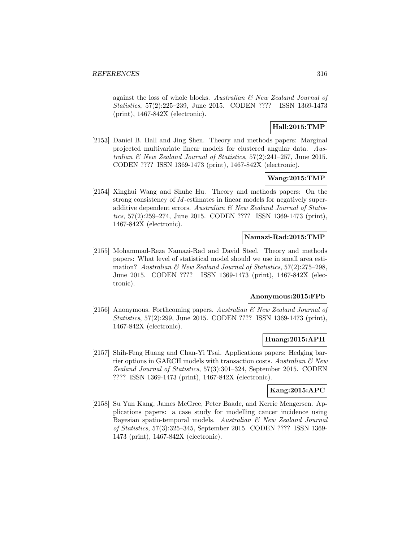against the loss of whole blocks. Australian & New Zealand Journal of Statistics, 57(2):225–239, June 2015. CODEN ???? ISSN 1369-1473 (print), 1467-842X (electronic).

## **Hall:2015:TMP**

[2153] Daniel B. Hall and Jing Shen. Theory and methods papers: Marginal projected multivariate linear models for clustered angular data. Australian  $\mathcal B$  New Zealand Journal of Statistics, 57(2):241–257, June 2015. CODEN ???? ISSN 1369-1473 (print), 1467-842X (electronic).

## **Wang:2015:TMP**

[2154] Xinghui Wang and Shuhe Hu. Theory and methods papers: On the strong consistency of M-estimates in linear models for negatively superadditive dependent errors. Australian  $\mathcal B$  New Zealand Journal of Statistics, 57(2):259–274, June 2015. CODEN ???? ISSN 1369-1473 (print), 1467-842X (electronic).

## **Namazi-Rad:2015:TMP**

[2155] Mohammad-Reza Namazi-Rad and David Steel. Theory and methods papers: What level of statistical model should we use in small area estimation? Australian  $\mathcal B$  New Zealand Journal of Statistics, 57(2):275–298, June 2015. CODEN ???? ISSN 1369-1473 (print), 1467-842X (electronic).

# **Anonymous:2015:FPb**

[2156] Anonymous. Forthcoming papers. Australian  $\mathcal{B}$  New Zealand Journal of Statistics, 57(2):299, June 2015. CODEN ???? ISSN 1369-1473 (print), 1467-842X (electronic).

## **Huang:2015:APH**

[2157] Shih-Feng Huang and Chan-Yi Tsai. Applications papers: Hedging barrier options in GARCH models with transaction costs. Australian  $\mathcal C$  New Zealand Journal of Statistics, 57(3):301–324, September 2015. CODEN ???? ISSN 1369-1473 (print), 1467-842X (electronic).

## **Kang:2015:APC**

[2158] Su Yun Kang, James McGree, Peter Baade, and Kerrie Mengersen. Applications papers: a case study for modelling cancer incidence using Bayesian spatio-temporal models. Australian & New Zealand Journal of Statistics, 57(3):325–345, September 2015. CODEN ???? ISSN 1369- 1473 (print), 1467-842X (electronic).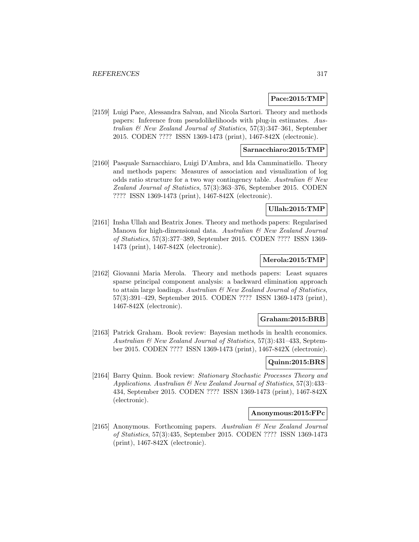### **Pace:2015:TMP**

[2159] Luigi Pace, Alessandra Salvan, and Nicola Sartori. Theory and methods papers: Inference from pseudolikelihoods with plug-in estimates. Australian & New Zealand Journal of Statistics, 57(3):347–361, September 2015. CODEN ???? ISSN 1369-1473 (print), 1467-842X (electronic).

## **Sarnacchiaro:2015:TMP**

[2160] Pasquale Sarnacchiaro, Luigi D'Ambra, and Ida Camminatiello. Theory and methods papers: Measures of association and visualization of log odds ratio structure for a two way contingency table. Australian  $\mathcal{B}$  New Zealand Journal of Statistics, 57(3):363–376, September 2015. CODEN ???? ISSN 1369-1473 (print), 1467-842X (electronic).

## **Ullah:2015:TMP**

[2161] Insha Ullah and Beatrix Jones. Theory and methods papers: Regularised Manova for high-dimensional data. Australian  $\mathcal{C}$  New Zealand Journal of Statistics, 57(3):377–389, September 2015. CODEN ???? ISSN 1369- 1473 (print), 1467-842X (electronic).

### **Merola:2015:TMP**

[2162] Giovanni Maria Merola. Theory and methods papers: Least squares sparse principal component analysis: a backward elimination approach to attain large loadings. Australian  $\mathcal B$  New Zealand Journal of Statistics, 57(3):391–429, September 2015. CODEN ???? ISSN 1369-1473 (print), 1467-842X (electronic).

### **Graham:2015:BRB**

[2163] Patrick Graham. Book review: Bayesian methods in health economics. Australian & New Zealand Journal of Statistics, 57(3):431–433, September 2015. CODEN ???? ISSN 1369-1473 (print), 1467-842X (electronic).

## **Quinn:2015:BRS**

[2164] Barry Quinn. Book review: Stationary Stochastic Processes Theory and Applications. Australian & New Zealand Journal of Statistics, 57(3):433– 434, September 2015. CODEN ???? ISSN 1369-1473 (print), 1467-842X (electronic).

#### **Anonymous:2015:FPc**

[2165] Anonymous. Forthcoming papers. Australian & New Zealand Journal of Statistics, 57(3):435, September 2015. CODEN ???? ISSN 1369-1473 (print), 1467-842X (electronic).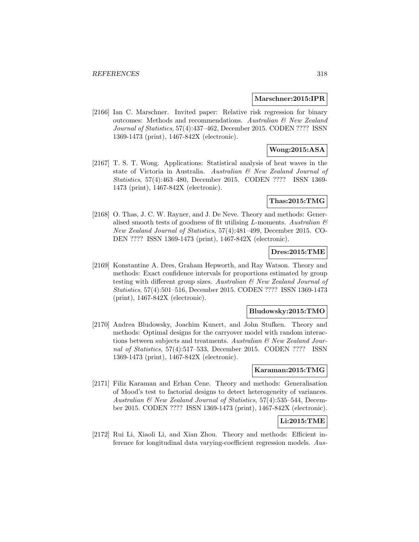#### **Marschner:2015:IPR**

[2166] Ian C. Marschner. Invited paper: Relative risk regression for binary outcomes: Methods and recommendations. Australian & New Zealand Journal of Statistics, 57(4):437–462, December 2015. CODEN ???? ISSN 1369-1473 (print), 1467-842X (electronic).

# **Wong:2015:ASA**

[2167] T. S. T. Wong. Applications: Statistical analysis of heat waves in the state of Victoria in Australia. Australian & New Zealand Journal of Statistics, 57(4):463–480, December 2015. CODEN ???? ISSN 1369- 1473 (print), 1467-842X (electronic).

## **Thas:2015:TMG**

[2168] O. Thas, J. C. W. Rayner, and J. De Neve. Theory and methods: Generalised smooth tests of goodness of fit utilising L-moments. Australian  $\mathcal C$ New Zealand Journal of Statistics, 57(4):481–499, December 2015. CO-DEN ???? ISSN 1369-1473 (print), 1467-842X (electronic).

## **Dres:2015:TME**

[2169] Konstantine A. Dres, Graham Hepworth, and Ray Watson. Theory and methods: Exact confidence intervals for proportions estimated by group testing with different group sizes. Australian & New Zealand Journal of Statistics, 57(4):501–516, December 2015. CODEN ???? ISSN 1369-1473 (print), 1467-842X (electronic).

#### **Bludowsky:2015:TMO**

[2170] Andrea Bludowsky, Joachim Kunert, and John Stufken. Theory and methods: Optimal designs for the carryover model with random interactions between subjects and treatments. Australian  $\mathcal{B}$  New Zealand Journal of Statistics, 57(4):517–533, December 2015. CODEN ???? ISSN 1369-1473 (print), 1467-842X (electronic).

#### **Karaman:2015:TMG**

[2171] Filiz Karaman and Erhan Cene. Theory and methods: Generalisation of Mood's test to factorial designs to detect heterogeneity of variances. Australian & New Zealand Journal of Statistics, 57(4):535–544, December 2015. CODEN ???? ISSN 1369-1473 (print), 1467-842X (electronic).

## **Li:2015:TME**

[2172] Rui Li, Xiaoli Li, and Xian Zhou. Theory and methods: Efficient inference for longitudinal data varying-coefficient regression models. Aus-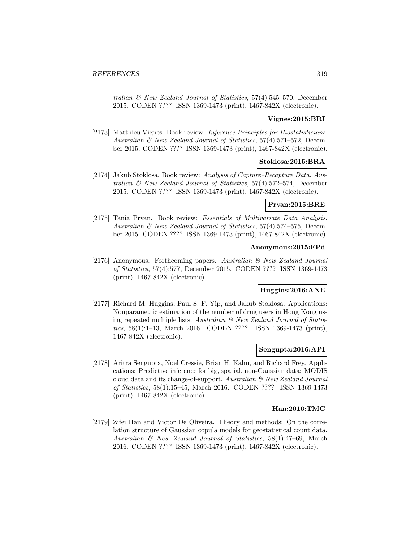tralian & New Zealand Journal of Statistics, 57(4):545–570, December 2015. CODEN ???? ISSN 1369-1473 (print), 1467-842X (electronic).

## **Vignes:2015:BRI**

[2173] Matthieu Vignes. Book review: Inference Principles for Biostatisticians. Australian & New Zealand Journal of Statistics, 57(4):571–572, December 2015. CODEN ???? ISSN 1369-1473 (print), 1467-842X (electronic).

## **Stoklosa:2015:BRA**

[2174] Jakub Stoklosa. Book review: Analysis of Capture–Recapture Data. Australian & New Zealand Journal of Statistics, 57(4):572–574, December 2015. CODEN ???? ISSN 1369-1473 (print), 1467-842X (electronic).

## **Prvan:2015:BRE**

[2175] Tania Prvan. Book review: Essentials of Multivariate Data Analysis. Australian & New Zealand Journal of Statistics, 57(4):574–575, December 2015. CODEN ???? ISSN 1369-1473 (print), 1467-842X (electronic).

## **Anonymous:2015:FPd**

[2176] Anonymous. Forthcoming papers. Australian & New Zealand Journal of Statistics, 57(4):577, December 2015. CODEN ???? ISSN 1369-1473 (print), 1467-842X (electronic).

## **Huggins:2016:ANE**

[2177] Richard M. Huggins, Paul S. F. Yip, and Jakub Stoklosa. Applications: Nonparametric estimation of the number of drug users in Hong Kong using repeated multiple lists. Australian  $\mathcal B$  New Zealand Journal of Statistics, 58(1):1–13, March 2016. CODEN ???? ISSN 1369-1473 (print), 1467-842X (electronic).

## **Sengupta:2016:API**

[2178] Aritra Sengupta, Noel Cressie, Brian H. Kahn, and Richard Frey. Applications: Predictive inference for big, spatial, non-Gaussian data: MODIS cloud data and its change-of-support. Australian  $\mathcal B$  New Zealand Journal of Statistics, 58(1):15–45, March 2016. CODEN ???? ISSN 1369-1473 (print), 1467-842X (electronic).

#### **Han:2016:TMC**

[2179] Zifei Han and Victor De Oliveira. Theory and methods: On the correlation structure of Gaussian copula models for geostatistical count data. Australian & New Zealand Journal of Statistics, 58(1):47–69, March 2016. CODEN ???? ISSN 1369-1473 (print), 1467-842X (electronic).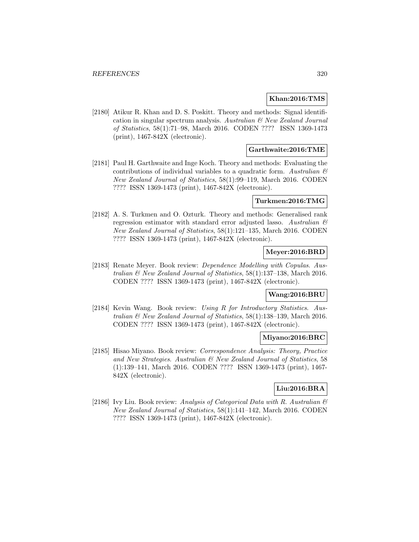### **Khan:2016:TMS**

[2180] Atikur R. Khan and D. S. Poskitt. Theory and methods: Signal identification in singular spectrum analysis. Australian & New Zealand Journal of Statistics, 58(1):71–98, March 2016. CODEN ???? ISSN 1369-1473 (print), 1467-842X (electronic).

### **Garthwaite:2016:TME**

[2181] Paul H. Garthwaite and Inge Koch. Theory and methods: Evaluating the contributions of individual variables to a quadratic form. Australian  $\mathcal{C}$ New Zealand Journal of Statistics, 58(1):99–119, March 2016. CODEN ???? ISSN 1369-1473 (print), 1467-842X (electronic).

#### **Turkmen:2016:TMG**

[2182] A. S. Turkmen and O. Ozturk. Theory and methods: Generalised rank regression estimator with standard error adjusted lasso. Australian  $\mathcal C$ New Zealand Journal of Statistics, 58(1):121–135, March 2016. CODEN ???? ISSN 1369-1473 (print), 1467-842X (electronic).

## **Meyer:2016:BRD**

[2183] Renate Meyer. Book review: Dependence Modelling with Copulas. Australian & New Zealand Journal of Statistics, 58(1):137–138, March 2016. CODEN ???? ISSN 1369-1473 (print), 1467-842X (electronic).

## **Wang:2016:BRU**

[2184] Kevin Wang. Book review: Using R for Introductory Statistics. Australian & New Zealand Journal of Statistics, 58(1):138–139, March 2016. CODEN ???? ISSN 1369-1473 (print), 1467-842X (electronic).

#### **Miyano:2016:BRC**

[2185] Hisao Miyano. Book review: Correspondence Analysis: Theory, Practice and New Strategies. Australian & New Zealand Journal of Statistics, 58 (1):139–141, March 2016. CODEN ???? ISSN 1369-1473 (print), 1467- 842X (electronic).

### **Liu:2016:BRA**

[2186] Ivy Liu. Book review: Analysis of Categorical Data with R. Australian  $\mathcal C$ New Zealand Journal of Statistics, 58(1):141–142, March 2016. CODEN ???? ISSN 1369-1473 (print), 1467-842X (electronic).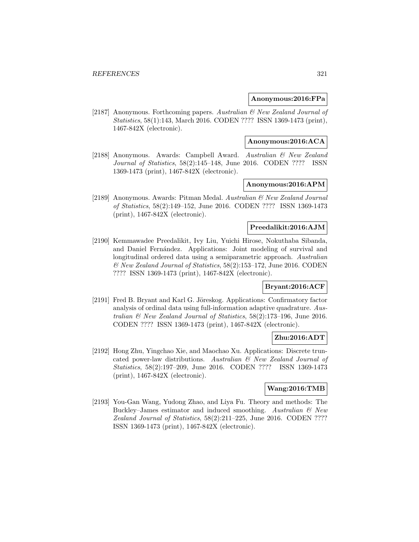### **Anonymous:2016:FPa**

[2187] Anonymous. Forthcoming papers. Australian & New Zealand Journal of Statistics, 58(1):143, March 2016. CODEN ???? ISSN 1369-1473 (print), 1467-842X (electronic).

## **Anonymous:2016:ACA**

[2188] Anonymous. Awards: Campbell Award. Australian & New Zealand Journal of Statistics, 58(2):145–148, June 2016. CODEN ???? ISSN 1369-1473 (print), 1467-842X (electronic).

## **Anonymous:2016:APM**

[2189] Anonymous. Awards: Pitman Medal. Australian & New Zealand Journal of Statistics, 58(2):149–152, June 2016. CODEN ???? ISSN 1369-1473 (print), 1467-842X (electronic).

### **Preedalikit:2016:AJM**

[2190] Kemmawadee Preedalikit, Ivy Liu, Yuichi Hirose, Nokuthaba Sibanda, and Daniel Fernández. Applications: Joint modeling of survival and longitudinal ordered data using a semiparametric approach. Australian  $\mathcal{O}$  New Zealand Journal of Statistics, 58(2):153–172, June 2016. CODEN ???? ISSN 1369-1473 (print), 1467-842X (electronic).

### **Bryant:2016:ACF**

[2191] Fred B. Bryant and Karl G. Jöreskog. Applications: Confirmatory factor analysis of ordinal data using full-information adaptive quadrature. Australian & New Zealand Journal of Statistics, 58(2):173–196, June 2016. CODEN ???? ISSN 1369-1473 (print), 1467-842X (electronic).

## **Zhu:2016:ADT**

[2192] Hong Zhu, Yingchao Xie, and Maochao Xu. Applications: Discrete truncated power-law distributions. Australian & New Zealand Journal of Statistics, 58(2):197–209, June 2016. CODEN ???? ISSN 1369-1473 (print), 1467-842X (electronic).

### **Wang:2016:TMB**

[2193] You-Gan Wang, Yudong Zhao, and Liya Fu. Theory and methods: The Buckley–James estimator and induced smoothing. Australian  $\mathcal{B}$  New Zealand Journal of Statistics, 58(2):211–225, June 2016. CODEN ???? ISSN 1369-1473 (print), 1467-842X (electronic).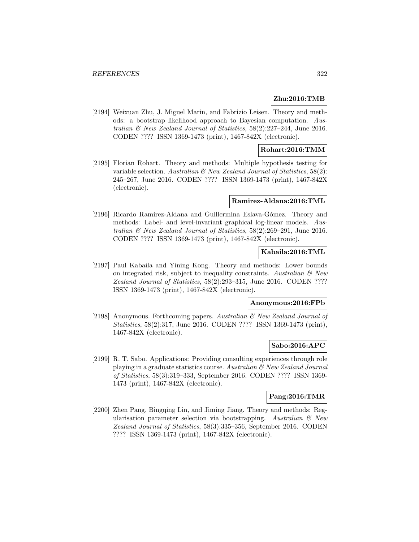### **Zhu:2016:TMB**

[2194] Weixuan Zhu, J. Miguel Marin, and Fabrizio Leisen. Theory and methods: a bootstrap likelihood approach to Bayesian computation. Australian & New Zealand Journal of Statistics, 58(2):227–244, June 2016. CODEN ???? ISSN 1369-1473 (print), 1467-842X (electronic).

### **Rohart:2016:TMM**

[2195] Florian Rohart. Theory and methods: Multiple hypothesis testing for variable selection. Australian  $\mathcal B$  New Zealand Journal of Statistics, 58(2): 245–267, June 2016. CODEN ???? ISSN 1369-1473 (print), 1467-842X (electronic).

#### **Ramirez-Aldana:2016:TML**

[2196] Ricardo Ramírez-Aldana and Guillermina Eslava-Gómez. Theory and methods: Label- and level-invariant graphical log-linear models. Australian  $\mathcal{C}$  New Zealand Journal of Statistics, 58(2):269–291, June 2016. CODEN ???? ISSN 1369-1473 (print), 1467-842X (electronic).

### **Kabaila:2016:TML**

[2197] Paul Kabaila and Yining Kong. Theory and methods: Lower bounds on integrated risk, subject to inequality constraints. Australian  $\mathcal{C}$  New Zealand Journal of Statistics, 58(2):293–315, June 2016. CODEN ???? ISSN 1369-1473 (print), 1467-842X (electronic).

#### **Anonymous:2016:FPb**

[2198] Anonymous. Forthcoming papers. Australian & New Zealand Journal of Statistics, 58(2):317, June 2016. CODEN ???? ISSN 1369-1473 (print), 1467-842X (electronic).

#### **Sabo:2016:APC**

[2199] R. T. Sabo. Applications: Providing consulting experiences through role playing in a graduate statistics course. Australian & New Zealand Journal of Statistics, 58(3):319–333, September 2016. CODEN ???? ISSN 1369- 1473 (print), 1467-842X (electronic).

## **Pang:2016:TMR**

[2200] Zhen Pang, Bingqing Lin, and Jiming Jiang. Theory and methods: Regularisation parameter selection via bootstrapping. Australian  $\mathcal{C}$  New Zealand Journal of Statistics, 58(3):335–356, September 2016. CODEN ???? ISSN 1369-1473 (print), 1467-842X (electronic).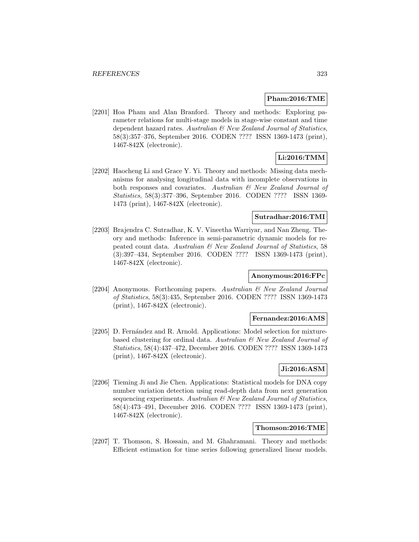#### **Pham:2016:TME**

[2201] Hoa Pham and Alan Branford. Theory and methods: Exploring parameter relations for multi-stage models in stage-wise constant and time dependent hazard rates. Australian & New Zealand Journal of Statistics, 58(3):357–376, September 2016. CODEN ???? ISSN 1369-1473 (print), 1467-842X (electronic).

# **Li:2016:TMM**

[2202] Haocheng Li and Grace Y. Yi. Theory and methods: Missing data mechanisms for analysing longitudinal data with incomplete observations in both responses and covariates. Australian & New Zealand Journal of Statistics, 58(3):377–396, September 2016. CODEN ???? ISSN 1369- 1473 (print), 1467-842X (electronic).

## **Sutradhar:2016:TMI**

[2203] Brajendra C. Sutradhar, K. V. Vineetha Warriyar, and Nan Zheng. Theory and methods: Inference in semi-parametric dynamic models for repeated count data. Australian & New Zealand Journal of Statistics, 58 (3):397–434, September 2016. CODEN ???? ISSN 1369-1473 (print), 1467-842X (electronic).

### **Anonymous:2016:FPc**

[2204] Anonymous. Forthcoming papers. Australian & New Zealand Journal of Statistics, 58(3):435, September 2016. CODEN ???? ISSN 1369-1473 (print), 1467-842X (electronic).

#### **Fernandez:2016:AMS**

[2205] D. Fernández and R. Arnold. Applications: Model selection for mixturebased clustering for ordinal data. Australian & New Zealand Journal of Statistics, 58(4):437–472, December 2016. CODEN ???? ISSN 1369-1473 (print), 1467-842X (electronic).

## **Ji:2016:ASM**

[2206] Tieming Ji and Jie Chen. Applications: Statistical models for DNA copy number variation detection using read-depth data from next generation sequencing experiments. Australian & New Zealand Journal of Statistics, 58(4):473–491, December 2016. CODEN ???? ISSN 1369-1473 (print), 1467-842X (electronic).

### **Thomson:2016:TME**

[2207] T. Thomson, S. Hossain, and M. Ghahramani. Theory and methods: Efficient estimation for time series following generalized linear models.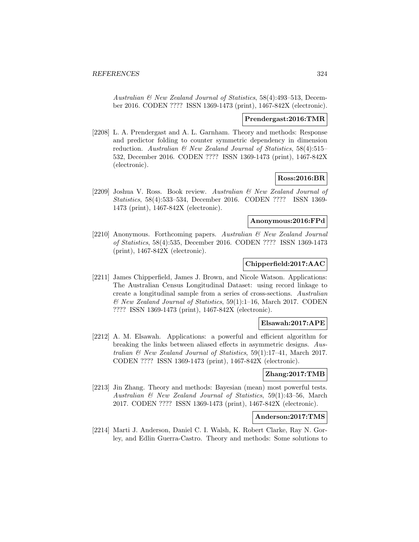Australian & New Zealand Journal of Statistics, 58(4):493–513, December 2016. CODEN ???? ISSN 1369-1473 (print), 1467-842X (electronic).

#### **Prendergast:2016:TMR**

[2208] L. A. Prendergast and A. L. Garnham. Theory and methods: Response and predictor folding to counter symmetric dependency in dimension reduction. Australian & New Zealand Journal of Statistics, 58(4):515– 532, December 2016. CODEN ???? ISSN 1369-1473 (print), 1467-842X (electronic).

### **Ross:2016:BR**

[2209] Joshua V. Ross. Book review. Australian & New Zealand Journal of Statistics, 58(4):533–534, December 2016. CODEN ???? ISSN 1369- 1473 (print), 1467-842X (electronic).

#### **Anonymous:2016:FPd**

[2210] Anonymous. Forthcoming papers. Australian & New Zealand Journal of Statistics, 58(4):535, December 2016. CODEN ???? ISSN 1369-1473 (print), 1467-842X (electronic).

## **Chipperfield:2017:AAC**

[2211] James Chipperfield, James J. Brown, and Nicole Watson. Applications: The Australian Census Longitudinal Dataset: using record linkage to create a longitudinal sample from a series of cross-sections. Australian & New Zealand Journal of Statistics, 59(1):1–16, March 2017. CODEN ???? ISSN 1369-1473 (print), 1467-842X (electronic).

#### **Elsawah:2017:APE**

[2212] A. M. Elsawah. Applications: a powerful and efficient algorithm for breaking the links between aliased effects in asymmetric designs. Australian & New Zealand Journal of Statistics, 59(1):17–41, March 2017. CODEN ???? ISSN 1369-1473 (print), 1467-842X (electronic).

#### **Zhang:2017:TMB**

[2213] Jin Zhang. Theory and methods: Bayesian (mean) most powerful tests. Australian & New Zealand Journal of Statistics, 59(1):43–56, March 2017. CODEN ???? ISSN 1369-1473 (print), 1467-842X (electronic).

### **Anderson:2017:TMS**

[2214] Marti J. Anderson, Daniel C. I. Walsh, K. Robert Clarke, Ray N. Gorley, and Edlin Guerra-Castro. Theory and methods: Some solutions to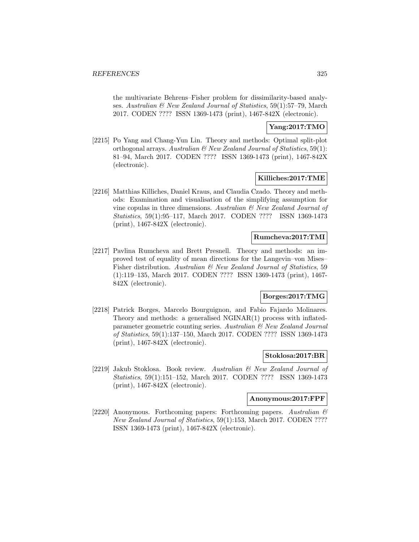the multivariate Behrens–Fisher problem for dissimilarity-based analyses. Australian & New Zealand Journal of Statistics, 59(1):57–79, March 2017. CODEN ???? ISSN 1369-1473 (print), 1467-842X (electronic).

### **Yang:2017:TMO**

[2215] Po Yang and Chang-Yun Lin. Theory and methods: Optimal split-plot orthogonal arrays. Australian & New Zealand Journal of Statistics, 59(1): 81–94, March 2017. CODEN ???? ISSN 1369-1473 (print), 1467-842X (electronic).

#### **Killiches:2017:TME**

[2216] Matthias Killiches, Daniel Kraus, and Claudia Czado. Theory and methods: Examination and visualisation of the simplifying assumption for vine copulas in three dimensions. Australian  $\mathcal{B}$  New Zealand Journal of Statistics, 59(1):95–117, March 2017. CODEN ???? ISSN 1369-1473 (print), 1467-842X (electronic).

### **Rumcheva:2017:TMI**

[2217] Pavlina Rumcheva and Brett Presnell. Theory and methods: an improved test of equality of mean directions for the Langevin–von Mises– Fisher distribution. Australian & New Zealand Journal of Statistics, 59 (1):119–135, March 2017. CODEN ???? ISSN 1369-1473 (print), 1467- 842X (electronic).

# **Borges:2017:TMG**

[2218] Patrick Borges, Marcelo Bourguignon, and Fabio Fajardo Molinares. Theory and methods: a generalised NGINAR(1) process with inflatedparameter geometric counting series. Australian & New Zealand Journal of Statistics, 59(1):137–150, March 2017. CODEN ???? ISSN 1369-1473 (print), 1467-842X (electronic).

#### **Stoklosa:2017:BR**

[2219] Jakub Stoklosa. Book review. Australian & New Zealand Journal of Statistics, 59(1):151–152, March 2017. CODEN ???? ISSN 1369-1473 (print), 1467-842X (electronic).

#### **Anonymous:2017:FPF**

[2220] Anonymous. Forthcoming papers: Forthcoming papers. Australian & New Zealand Journal of Statistics, 59(1):153, March 2017. CODEN ???? ISSN 1369-1473 (print), 1467-842X (electronic).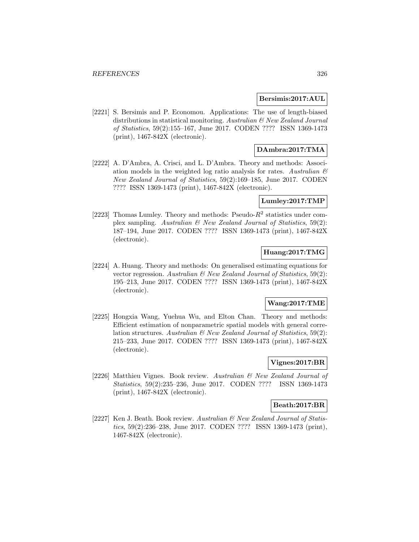#### **Bersimis:2017:AUL**

[2221] S. Bersimis and P. Economou. Applications: The use of length-biased distributions in statistical monitoring. Australian & New Zealand Journal of Statistics, 59(2):155–167, June 2017. CODEN ???? ISSN 1369-1473 (print), 1467-842X (electronic).

# **DAmbra:2017:TMA**

[2222] A. D'Ambra, A. Crisci, and L. D'Ambra. Theory and methods: Association models in the weighted log ratio analysis for rates. Australian  $\mathcal{B}$ New Zealand Journal of Statistics, 59(2):169–185, June 2017. CODEN ???? ISSN 1369-1473 (print), 1467-842X (electronic).

### **Lumley:2017:TMP**

[2223] Thomas Lumley. Theory and methods: Pseudo- $R^2$  statistics under complex sampling. Australian  $\mathcal B$  New Zealand Journal of Statistics, 59(2): 187–194, June 2017. CODEN ???? ISSN 1369-1473 (print), 1467-842X (electronic).

# **Huang:2017:TMG**

[2224] A. Huang. Theory and methods: On generalised estimating equations for vector regression. Australian  $\mathcal B$  New Zealand Journal of Statistics, 59(2): 195–213, June 2017. CODEN ???? ISSN 1369-1473 (print), 1467-842X (electronic).

### **Wang:2017:TME**

[2225] Hongxia Wang, Yuehua Wu, and Elton Chan. Theory and methods: Efficient estimation of nonparametric spatial models with general correlation structures. Australian  $\mathcal{B}$  New Zealand Journal of Statistics, 59(2): 215–233, June 2017. CODEN ???? ISSN 1369-1473 (print), 1467-842X (electronic).

### **Vignes:2017:BR**

[2226] Matthieu Vignes. Book review. Australian & New Zealand Journal of Statistics, 59(2):235–236, June 2017. CODEN ???? ISSN 1369-1473 (print), 1467-842X (electronic).

#### **Beath:2017:BR**

[2227] Ken J. Beath. Book review. Australian & New Zealand Journal of Statistics, 59(2):236–238, June 2017. CODEN ???? ISSN 1369-1473 (print), 1467-842X (electronic).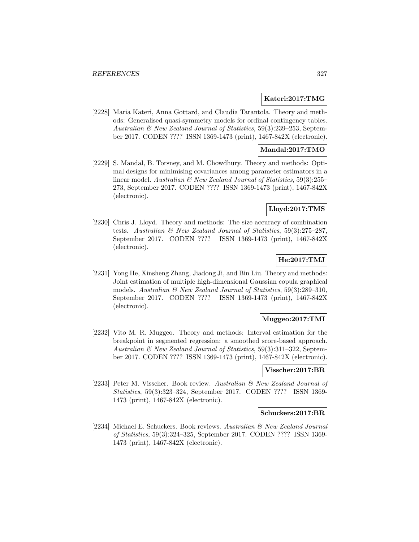#### **Kateri:2017:TMG**

[2228] Maria Kateri, Anna Gottard, and Claudia Tarantola. Theory and methods: Generalised quasi-symmetry models for ordinal contingency tables. Australian & New Zealand Journal of Statistics, 59(3):239–253, September 2017. CODEN ???? ISSN 1369-1473 (print), 1467-842X (electronic).

## **Mandal:2017:TMO**

[2229] S. Mandal, B. Torsney, and M. Chowdhury. Theory and methods: Optimal designs for minimising covariances among parameter estimators in a linear model. Australian  $\mathcal C$  New Zealand Journal of Statistics, 59(3):255– 273, September 2017. CODEN ???? ISSN 1369-1473 (print), 1467-842X (electronic).

# **Lloyd:2017:TMS**

[2230] Chris J. Lloyd. Theory and methods: The size accuracy of combination tests. Australian & New Zealand Journal of Statistics, 59(3):275–287, September 2017. CODEN ???? ISSN 1369-1473 (print), 1467-842X (electronic).

# **He:2017:TMJ**

[2231] Yong He, Xinsheng Zhang, Jiadong Ji, and Bin Liu. Theory and methods: Joint estimation of multiple high-dimensional Gaussian copula graphical models. Australian  $\mathcal{B}$  New Zealand Journal of Statistics, 59(3):289-310, September 2017. CODEN ???? ISSN 1369-1473 (print), 1467-842X (electronic).

### **Muggeo:2017:TMI**

[2232] Vito M. R. Muggeo. Theory and methods: Interval estimation for the breakpoint in segmented regression: a smoothed score-based approach. Australian & New Zealand Journal of Statistics, 59(3):311–322, September 2017. CODEN ???? ISSN 1369-1473 (print), 1467-842X (electronic).

#### **Visscher:2017:BR**

[2233] Peter M. Visscher. Book review. Australian & New Zealand Journal of Statistics, 59(3):323–324, September 2017. CODEN ???? ISSN 1369- 1473 (print), 1467-842X (electronic).

# **Schuckers:2017:BR**

[2234] Michael E. Schuckers. Book reviews. Australian & New Zealand Journal of Statistics, 59(3):324–325, September 2017. CODEN ???? ISSN 1369- 1473 (print), 1467-842X (electronic).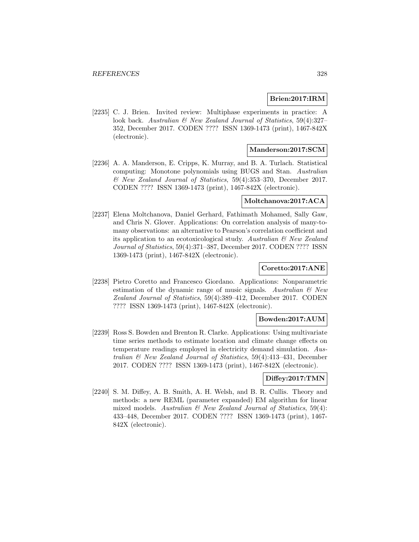### **Brien:2017:IRM**

[2235] C. J. Brien. Invited review: Multiphase experiments in practice: A look back. Australian & New Zealand Journal of Statistics, 59(4):327-352, December 2017. CODEN ???? ISSN 1369-1473 (print), 1467-842X (electronic).

# **Manderson:2017:SCM**

[2236] A. A. Manderson, E. Cripps, K. Murray, and B. A. Turlach. Statistical computing: Monotone polynomials using BUGS and Stan. Australian & New Zealand Journal of Statistics, 59(4):353–370, December 2017. CODEN ???? ISSN 1369-1473 (print), 1467-842X (electronic).

# **Moltchanova:2017:ACA**

[2237] Elena Moltchanova, Daniel Gerhard, Fathimath Mohamed, Sally Gaw, and Chris N. Glover. Applications: On correlation analysis of many-tomany observations: an alternative to Pearson's correlation coefficient and its application to an ecotoxicological study. Australian  $\mathcal{B}$  New Zealand Journal of Statistics, 59(4):371–387, December 2017. CODEN ???? ISSN 1369-1473 (print), 1467-842X (electronic).

# **Coretto:2017:ANE**

[2238] Pietro Coretto and Francesco Giordano. Applications: Nonparametric estimation of the dynamic range of music signals. Australian  $\mathcal{B}$  New Zealand Journal of Statistics, 59(4):389–412, December 2017. CODEN ???? ISSN 1369-1473 (print), 1467-842X (electronic).

### **Bowden:2017:AUM**

[2239] Ross S. Bowden and Brenton R. Clarke. Applications: Using multivariate time series methods to estimate location and climate change effects on temperature readings employed in electricity demand simulation. Australian  $\mathcal B$  New Zealand Journal of Statistics, 59(4):413-431, December 2017. CODEN ???? ISSN 1369-1473 (print), 1467-842X (electronic).

#### **Diffey:2017:TMN**

[2240] S. M. Diffey, A. B. Smith, A. H. Welsh, and B. R. Cullis. Theory and methods: a new REML (parameter expanded) EM algorithm for linear mixed models. Australian  $\mathcal C$  New Zealand Journal of Statistics, 59(4): 433–448, December 2017. CODEN ???? ISSN 1369-1473 (print), 1467- 842X (electronic).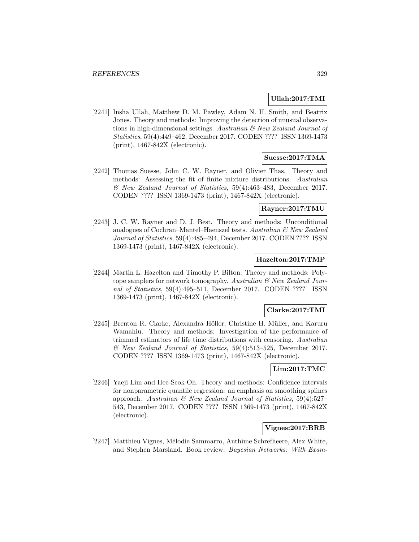## **Ullah:2017:TMI**

[2241] Insha Ullah, Matthew D. M. Pawley, Adam N. H. Smith, and Beatrix Jones. Theory and methods: Improving the detection of unusual observations in high-dimensional settings. Australian & New Zealand Journal of Statistics, 59(4):449–462, December 2017. CODEN ???? ISSN 1369-1473 (print), 1467-842X (electronic).

# **Suesse:2017:TMA**

[2242] Thomas Suesse, John C. W. Rayner, and Olivier Thas. Theory and methods: Assessing the fit of finite mixture distributions. Australian & New Zealand Journal of Statistics, 59(4):463–483, December 2017. CODEN ???? ISSN 1369-1473 (print), 1467-842X (electronic).

### **Rayner:2017:TMU**

[2243] J. C. W. Rayner and D. J. Best. Theory and methods: Unconditional analogues of Cochran–Mantel–Haenszel tests. Australian  $\mathcal{B}$  New Zealand Journal of Statistics, 59(4):485–494, December 2017. CODEN ???? ISSN 1369-1473 (print), 1467-842X (electronic).

#### **Hazelton:2017:TMP**

[2244] Martin L. Hazelton and Timothy P. Bilton. Theory and methods: Polytope samplers for network tomography. Australian  $\mathcal{B}$  New Zealand Journal of Statistics, 59(4):495–511, December 2017. CODEN ???? ISSN 1369-1473 (print), 1467-842X (electronic).

### **Clarke:2017:TMI**

[2245] Brenton R. Clarke, Alexandra Höller, Christine H. Müller, and Karuru Wamahiu. Theory and methods: Investigation of the performance of trimmed estimators of life time distributions with censoring. Australian & New Zealand Journal of Statistics, 59(4):513–525, December 2017. CODEN ???? ISSN 1369-1473 (print), 1467-842X (electronic).

### **Lim:2017:TMC**

[2246] Yaeji Lim and Hee-Seok Oh. Theory and methods: Confidence intervals for nonparametric quantile regression: an emphasis on smoothing splines approach. Australian  $\mathcal C$  New Zealand Journal of Statistics, 59(4):527– 543, December 2017. CODEN ???? ISSN 1369-1473 (print), 1467-842X (electronic).

### **Vignes:2017:BRB**

[2247] Matthieu Vignes, Mélodie Sammarro, Anthime Schrefheere, Alex White, and Stephen Marsland. Book review: Bayesian Networks: With Exam-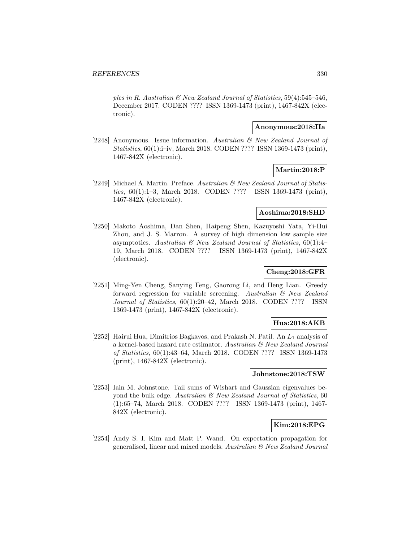ples in R. Australian  $\mathcal B$  New Zealand Journal of Statistics, 59(4):545–546, December 2017. CODEN ???? ISSN 1369-1473 (print), 1467-842X (electronic).

# **Anonymous:2018:IIa**

[2248] Anonymous. Issue information. Australian & New Zealand Journal of Statistics, 60(1):i–iv, March 2018. CODEN ???? ISSN 1369-1473 (print), 1467-842X (electronic).

### **Martin:2018:P**

[2249] Michael A. Martin. Preface. Australian  $\mathcal{B}$  New Zealand Journal of Statistics, 60(1):1–3, March 2018. CODEN ???? ISSN 1369-1473 (print), 1467-842X (electronic).

#### **Aoshima:2018:SHD**

[2250] Makoto Aoshima, Dan Shen, Haipeng Shen, Kazuyoshi Yata, Yi-Hui Zhou, and J. S. Marron. A survey of high dimension low sample size asymptotics. Australian  $\mathcal C$  New Zealand Journal of Statistics, 60(1):4-19, March 2018. CODEN ???? ISSN 1369-1473 (print), 1467-842X (electronic).

# **Cheng:2018:GFR**

[2251] Ming-Yen Cheng, Sanying Feng, Gaorong Li, and Heng Lian. Greedy forward regression for variable screening. Australian & New Zealand Journal of Statistics, 60(1):20–42, March 2018. CODEN ???? ISSN 1369-1473 (print), 1467-842X (electronic).

### **Hua:2018:AKB**

[2252] Hairui Hua, Dimitrios Bagkavos, and Prakash N. Patil. An  $L_1$  analysis of a kernel-based hazard rate estimator. Australian & New Zealand Journal of Statistics, 60(1):43–64, March 2018. CODEN ???? ISSN 1369-1473 (print), 1467-842X (electronic).

## **Johnstone:2018:TSW**

[2253] Iain M. Johnstone. Tail sums of Wishart and Gaussian eigenvalues beyond the bulk edge. Australian & New Zealand Journal of Statistics, 60 (1):65–74, March 2018. CODEN ???? ISSN 1369-1473 (print), 1467- 842X (electronic).

# **Kim:2018:EPG**

[2254] Andy S. I. Kim and Matt P. Wand. On expectation propagation for generalised, linear and mixed models. Australian  $\mathcal{B}$  New Zealand Journal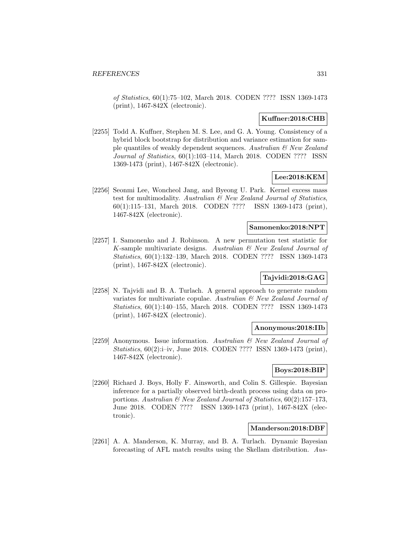of Statistics, 60(1):75–102, March 2018. CODEN ???? ISSN 1369-1473 (print), 1467-842X (electronic).

## **Kuffner:2018:CHB**

[2255] Todd A. Kuffner, Stephen M. S. Lee, and G. A. Young. Consistency of a hybrid block bootstrap for distribution and variance estimation for sample quantiles of weakly dependent sequences. Australian  $\mathcal{B}$  New Zealand Journal of Statistics, 60(1):103–114, March 2018. CODEN ???? ISSN 1369-1473 (print), 1467-842X (electronic).

### **Lee:2018:KEM**

[2256] Seonmi Lee, Woncheol Jang, and Byeong U. Park. Kernel excess mass test for multimodality. Australian & New Zealand Journal of Statistics, 60(1):115–131, March 2018. CODEN ???? ISSN 1369-1473 (print), 1467-842X (electronic).

#### **Samonenko:2018:NPT**

[2257] I. Samonenko and J. Robinson. A new permutation test statistic for K-sample multivariate designs. Australian & New Zealand Journal of Statistics, 60(1):132–139, March 2018. CODEN ???? ISSN 1369-1473 (print), 1467-842X (electronic).

# **Tajvidi:2018:GAG**

[2258] N. Tajvidi and B. A. Turlach. A general approach to generate random variates for multivariate copulae. Australian & New Zealand Journal of Statistics, 60(1):140–155, March 2018. CODEN ???? ISSN 1369-1473 (print), 1467-842X (electronic).

### **Anonymous:2018:IIb**

[2259] Anonymous. Issue information. Australian & New Zealand Journal of Statistics, 60(2):i–iv, June 2018. CODEN ???? ISSN 1369-1473 (print), 1467-842X (electronic).

# **Boys:2018:BIP**

[2260] Richard J. Boys, Holly F. Ainsworth, and Colin S. Gillespie. Bayesian inference for a partially observed birth-death process using data on proportions. Australian & New Zealand Journal of Statistics, 60(2):157–173, June 2018. CODEN ???? ISSN 1369-1473 (print), 1467-842X (electronic).

# **Manderson:2018:DBF**

[2261] A. A. Manderson, K. Murray, and B. A. Turlach. Dynamic Bayesian forecasting of AFL match results using the Skellam distribution. Aus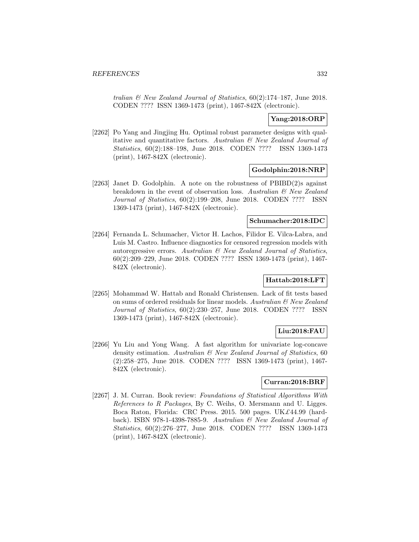tralian & New Zealand Journal of Statistics, 60(2):174–187, June 2018. CODEN ???? ISSN 1369-1473 (print), 1467-842X (electronic).

# **Yang:2018:ORP**

[2262] Po Yang and Jingjing Hu. Optimal robust parameter designs with qualitative and quantitative factors. Australian & New Zealand Journal of Statistics, 60(2):188–198, June 2018. CODEN ???? ISSN 1369-1473 (print), 1467-842X (electronic).

### **Godolphin:2018:NRP**

[2263] Janet D. Godolphin. A note on the robustness of PBIBD(2)s against breakdown in the event of observation loss. Australian & New Zealand Journal of Statistics, 60(2):199–208, June 2018. CODEN ???? ISSN 1369-1473 (print), 1467-842X (electronic).

#### **Schumacher:2018:IDC**

[2264] Fernanda L. Schumacher, Victor H. Lachos, Filidor E. Vilca-Labra, and Luis M. Castro. Influence diagnostics for censored regression models with autoregressive errors. Australian  $\mathcal{B}$  New Zealand Journal of Statistics, 60(2):209–229, June 2018. CODEN ???? ISSN 1369-1473 (print), 1467- 842X (electronic).

## **Hattab:2018:LFT**

[2265] Mohammad W. Hattab and Ronald Christensen. Lack of fit tests based on sums of ordered residuals for linear models. Australian & New Zealand Journal of Statistics, 60(2):230–257, June 2018. CODEN ???? ISSN 1369-1473 (print), 1467-842X (electronic).

# **Liu:2018:FAU**

[2266] Yu Liu and Yong Wang. A fast algorithm for univariate log-concave density estimation. Australian & New Zealand Journal of Statistics, 60 (2):258–275, June 2018. CODEN ???? ISSN 1369-1473 (print), 1467- 842X (electronic).

### **Curran:2018:BRF**

[2267] J. M. Curran. Book review: Foundations of Statistical Algorithms With References to R Packages, By C. Weihs, O. Mersmann and U. Ligges. Boca Raton, Florida: CRC Press. 2015. 500 pages. UK£44.99 (hardback). ISBN 978-1-4398-7885-9. Australian & New Zealand Journal of Statistics, 60(2):276–277, June 2018. CODEN ???? ISSN 1369-1473 (print), 1467-842X (electronic).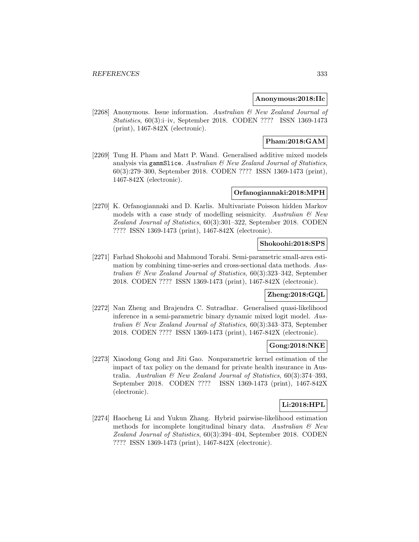#### **Anonymous:2018:IIc**

[2268] Anonymous. Issue information. Australian & New Zealand Journal of Statistics, 60(3):i–iv, September 2018. CODEN ???? ISSN 1369-1473 (print), 1467-842X (electronic).

# **Pham:2018:GAM**

[2269] Tung H. Pham and Matt P. Wand. Generalised additive mixed models analysis via gammSlice. Australian  $\mathcal B$  New Zealand Journal of Statistics, 60(3):279–300, September 2018. CODEN ???? ISSN 1369-1473 (print), 1467-842X (electronic).

# **Orfanogiannaki:2018:MPH**

[2270] K. Orfanogiannaki and D. Karlis. Multivariate Poisson hidden Markov models with a case study of modelling seismicity. Australian  $\mathcal{B}$  New Zealand Journal of Statistics, 60(3):301–322, September 2018. CODEN ???? ISSN 1369-1473 (print), 1467-842X (electronic).

### **Shokoohi:2018:SPS**

[2271] Farhad Shokoohi and Mahmoud Torabi. Semi-parametric small-area estimation by combining time-series and cross-sectional data methods. Australian & New Zealand Journal of Statistics, 60(3):323–342, September 2018. CODEN ???? ISSN 1369-1473 (print), 1467-842X (electronic).

# **Zheng:2018:GQL**

[2272] Nan Zheng and Brajendra C. Sutradhar. Generalised quasi-likelihood inference in a semi-parametric binary dynamic mixed logit model. Australian & New Zealand Journal of Statistics, 60(3):343–373, September 2018. CODEN ???? ISSN 1369-1473 (print), 1467-842X (electronic).

### **Gong:2018:NKE**

[2273] Xiaodong Gong and Jiti Gao. Nonparametric kernel estimation of the impact of tax policy on the demand for private health insurance in Australia. Australian  $\mathcal{B}$  New Zealand Journal of Statistics, 60(3):374–393, September 2018. CODEN ???? ISSN 1369-1473 (print), 1467-842X (electronic).

# **Li:2018:HPL**

[2274] Haocheng Li and Yukun Zhang. Hybrid pairwise-likelihood estimation methods for incomplete longitudinal binary data. Australian  $\mathcal{B}$  New Zealand Journal of Statistics, 60(3):394–404, September 2018. CODEN ???? ISSN 1369-1473 (print), 1467-842X (electronic).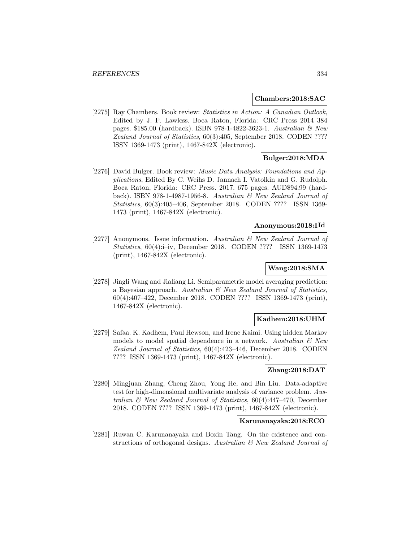#### **Chambers:2018:SAC**

[2275] Ray Chambers. Book review: Statistics in Action: A Canadian Outlook, Edited by J. F. Lawless. Boca Raton, Florida: CRC Press 2014 384 pages. \$185.00 (hardback). ISBN 978-1-4822-3623-1. Australian & New Zealand Journal of Statistics, 60(3):405, September 2018. CODEN ???? ISSN 1369-1473 (print), 1467-842X (electronic).

### **Bulger:2018:MDA**

[2276] David Bulger. Book review: Music Data Analysis: Foundations and Applications, Edited By C. Weihs D. Jannach I. Vatolkin and G. Rudolph. Boca Raton, Florida: CRC Press. 2017. 675 pages. AUD\$94.99 (hardback). ISBN 978-1-4987-1956-8. Australian & New Zealand Journal of Statistics, 60(3):405–406, September 2018. CODEN ???? ISSN 1369- 1473 (print), 1467-842X (electronic).

# **Anonymous:2018:IId**

[2277] Anonymous. Issue information. Australian & New Zealand Journal of Statistics, 60(4):i–iv, December 2018. CODEN ???? ISSN 1369-1473 (print), 1467-842X (electronic).

# **Wang:2018:SMA**

[2278] Jingli Wang and Jialiang Li. Semiparametric model averaging prediction: a Bayesian approach. Australian  $\mathcal B$  New Zealand Journal of Statistics, 60(4):407–422, December 2018. CODEN ???? ISSN 1369-1473 (print), 1467-842X (electronic).

# **Kadhem:2018:UHM**

[2279] Safaa. K. Kadhem, Paul Hewson, and Irene Kaimi. Using hidden Markov models to model spatial dependence in a network. Australian  $\mathcal{C}$  New Zealand Journal of Statistics, 60(4):423–446, December 2018. CODEN ???? ISSN 1369-1473 (print), 1467-842X (electronic).

### **Zhang:2018:DAT**

[2280] Mingjuan Zhang, Cheng Zhou, Yong He, and Bin Liu. Data-adaptive test for high-dimensional multivariate analysis of variance problem. Australian & New Zealand Journal of Statistics, 60(4):447–470, December 2018. CODEN ???? ISSN 1369-1473 (print), 1467-842X (electronic).

# **Karunanayaka:2018:ECO**

[2281] Ruwan C. Karunanayaka and Boxin Tang. On the existence and constructions of orthogonal designs. Australian & New Zealand Journal of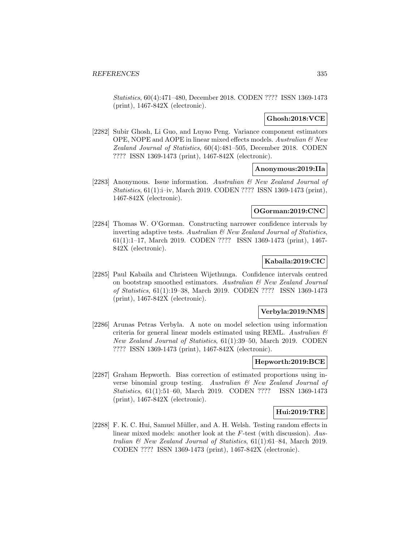Statistics, 60(4):471–480, December 2018. CODEN ???? ISSN 1369-1473 (print), 1467-842X (electronic).

# **Ghosh:2018:VCE**

[2282] Subir Ghosh, Li Guo, and Luyao Peng. Variance component estimators OPE, NOPE and AOPE in linear mixed effects models. Australian  $\mathcal C$  New Zealand Journal of Statistics, 60(4):481–505, December 2018. CODEN ???? ISSN 1369-1473 (print), 1467-842X (electronic).

## **Anonymous:2019:IIa**

[2283] Anonymous. Issue information. Australian & New Zealand Journal of Statistics, 61(1):i–iv, March 2019. CODEN ???? ISSN 1369-1473 (print), 1467-842X (electronic).

# **OGorman:2019:CNC**

[2284] Thomas W. O'Gorman. Constructing narrower confidence intervals by inverting adaptive tests. Australian  $\mathcal B$  New Zealand Journal of Statistics, 61(1):1–17, March 2019. CODEN ???? ISSN 1369-1473 (print), 1467- 842X (electronic).

## **Kabaila:2019:CIC**

[2285] Paul Kabaila and Christeen Wijethunga. Confidence intervals centred on bootstrap smoothed estimators. Australian & New Zealand Journal of Statistics, 61(1):19–38, March 2019. CODEN ???? ISSN 1369-1473 (print), 1467-842X (electronic).

#### **Verbyla:2019:NMS**

[2286] Arunas Petras Verbyla. A note on model selection using information criteria for general linear models estimated using REML. Australian  $\mathcal E$ New Zealand Journal of Statistics, 61(1):39–50, March 2019. CODEN ???? ISSN 1369-1473 (print), 1467-842X (electronic).

### **Hepworth:2019:BCE**

[2287] Graham Hepworth. Bias correction of estimated proportions using inverse binomial group testing. Australian & New Zealand Journal of Statistics, 61(1):51–60, March 2019. CODEN ???? ISSN 1369-1473 (print), 1467-842X (electronic).

### **Hui:2019:TRE**

[2288] F. K. C. Hui, Samuel Müller, and A. H. Welsh. Testing random effects in linear mixed models: another look at the F-test (with discussion). Australian & New Zealand Journal of Statistics, 61(1):61–84, March 2019. CODEN ???? ISSN 1369-1473 (print), 1467-842X (electronic).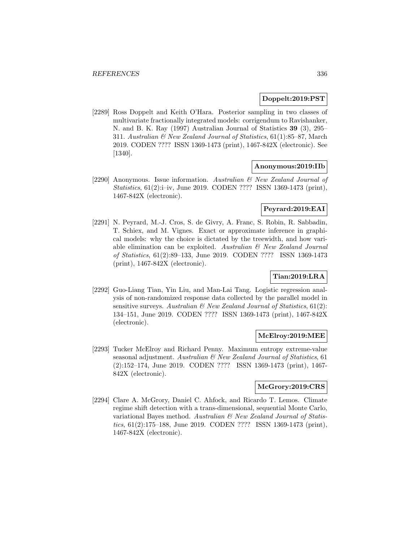#### **Doppelt:2019:PST**

[2289] Ross Doppelt and Keith O'Hara. Posterior sampling in two classes of multivariate fractionally integrated models: corrigendum to Ravishanker, N. and B. K. Ray (1997) Australian Journal of Statistics **39** (3), 295– 311. Australian & New Zealand Journal of Statistics, 61(1):85–87, March 2019. CODEN ???? ISSN 1369-1473 (print), 1467-842X (electronic). See [1340].

### **Anonymous:2019:IIb**

[2290] Anonymous. Issue information. Australian & New Zealand Journal of Statistics, 61(2):i–iv, June 2019. CODEN ???? ISSN 1369-1473 (print), 1467-842X (electronic).

### **Peyrard:2019:EAI**

[2291] N. Peyrard, M.-J. Cros, S. de Givry, A. Franc, S. Robin, R. Sabbadin, T. Schiex, and M. Vignes. Exact or approximate inference in graphical models: why the choice is dictated by the treewidth, and how variable elimination can be exploited. Australian  $\mathcal{B}$  New Zealand Journal of Statistics, 61(2):89–133, June 2019. CODEN ???? ISSN 1369-1473 (print), 1467-842X (electronic).

# **Tian:2019:LRA**

[2292] Guo-Liang Tian, Yin Liu, and Man-Lai Tang. Logistic regression analysis of non-randomized response data collected by the parallel model in sensitive surveys. Australian  $\mathcal{B}$  New Zealand Journal of Statistics, 61(2): 134–151, June 2019. CODEN ???? ISSN 1369-1473 (print), 1467-842X (electronic).

#### **McElroy:2019:MEE**

[2293] Tucker McElroy and Richard Penny. Maximum entropy extreme-value seasonal adjustment. Australian & New Zealand Journal of Statistics, 61 (2):152–174, June 2019. CODEN ???? ISSN 1369-1473 (print), 1467- 842X (electronic).

### **McGrory:2019:CRS**

[2294] Clare A. McGrory, Daniel C. Ahfock, and Ricardo T. Lemos. Climate regime shift detection with a trans-dimensional, sequential Monte Carlo, variational Bayes method. Australian  $\mathcal{C}'$  New Zealand Journal of Statistics, 61(2):175–188, June 2019. CODEN ???? ISSN 1369-1473 (print), 1467-842X (electronic).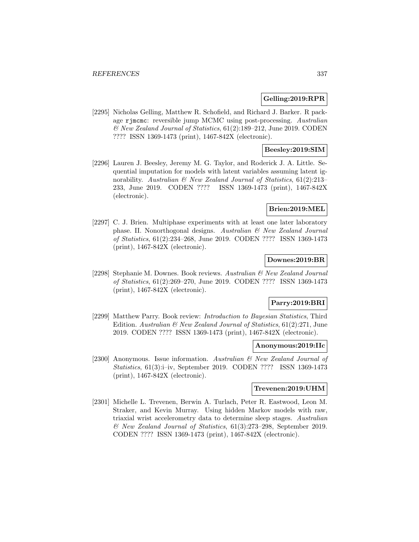#### **Gelling:2019:RPR**

[2295] Nicholas Gelling, Matthew R. Schofield, and Richard J. Barker. R package rjmcmc: reversible jump MCMC using post-processing. Australian & New Zealand Journal of Statistics, 61(2):189–212, June 2019. CODEN ???? ISSN 1369-1473 (print), 1467-842X (electronic).

# **Beesley:2019:SIM**

[2296] Lauren J. Beesley, Jeremy M. G. Taylor, and Roderick J. A. Little. Sequential imputation for models with latent variables assuming latent ignorability. Australian  $\mathcal B$  New Zealand Journal of Statistics, 61(2):213– 233, June 2019. CODEN ???? ISSN 1369-1473 (print), 1467-842X (electronic).

# **Brien:2019:MEL**

[2297] C. J. Brien. Multiphase experiments with at least one later laboratory phase. II. Nonorthogonal designs. Australian & New Zealand Journal of Statistics, 61(2):234–268, June 2019. CODEN ???? ISSN 1369-1473 (print), 1467-842X (electronic).

## **Downes:2019:BR**

[2298] Stephanie M. Downes. Book reviews. Australian & New Zealand Journal of Statistics, 61(2):269–270, June 2019. CODEN ???? ISSN 1369-1473 (print), 1467-842X (electronic).

### **Parry:2019:BRI**

[2299] Matthew Parry. Book review: Introduction to Bayesian Statistics, Third Edition. Australian & New Zealand Journal of Statistics, 61(2):271, June 2019. CODEN ???? ISSN 1369-1473 (print), 1467-842X (electronic).

#### **Anonymous:2019:IIc**

[2300] Anonymous. Issue information. Australian & New Zealand Journal of Statistics, 61(3):i–iv, September 2019. CODEN ???? ISSN 1369-1473 (print), 1467-842X (electronic).

#### **Trevenen:2019:UHM**

[2301] Michelle L. Trevenen, Berwin A. Turlach, Peter R. Eastwood, Leon M. Straker, and Kevin Murray. Using hidden Markov models with raw, triaxial wrist accelerometry data to determine sleep stages. Australian & New Zealand Journal of Statistics, 61(3):273–298, September 2019. CODEN ???? ISSN 1369-1473 (print), 1467-842X (electronic).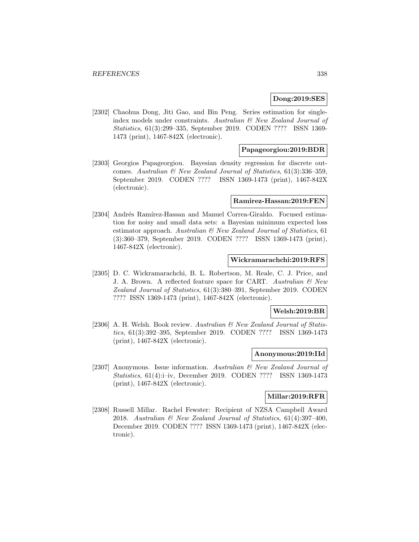### **Dong:2019:SES**

[2302] Chaohua Dong, Jiti Gao, and Bin Peng. Series estimation for singleindex models under constraints. Australian & New Zealand Journal of Statistics, 61(3):299–335, September 2019. CODEN ???? ISSN 1369- 1473 (print), 1467-842X (electronic).

### **Papageorgiou:2019:BDR**

[2303] Georgios Papageorgiou. Bayesian density regression for discrete outcomes. Australian  $\mathcal{B}$  New Zealand Journal of Statistics, 61(3):336–359, September 2019. CODEN ???? ISSN 1369-1473 (print), 1467-842X (electronic).

# **Ramirez-Hassan:2019:FEN**

[2304] Andrés Ramírez-Hassan and Manuel Correa-Giraldo. Focused estimation for noisy and small data sets: a Bayesian minimum expected loss estimator approach. Australian  $\mathcal{B}$  New Zealand Journal of Statistics, 61 (3):360–379, September 2019. CODEN ???? ISSN 1369-1473 (print), 1467-842X (electronic).

### **Wickramarachchi:2019:RFS**

[2305] D. C. Wickramarachchi, B. L. Robertson, M. Reale, C. J. Price, and J. A. Brown. A reflected feature space for CART. Australian & New Zealand Journal of Statistics, 61(3):380–391, September 2019. CODEN ???? ISSN 1369-1473 (print), 1467-842X (electronic).

#### **Welsh:2019:BR**

[2306] A. H. Welsh. Book review. Australian & New Zealand Journal of Statistics, 61(3):392–395, September 2019. CODEN ???? ISSN 1369-1473 (print), 1467-842X (electronic).

## **Anonymous:2019:IId**

[2307] Anonymous. Issue information. Australian & New Zealand Journal of Statistics, 61(4):i–iv, December 2019. CODEN ???? ISSN 1369-1473 (print), 1467-842X (electronic).

## **Millar:2019:RFR**

[2308] Russell Millar. Rachel Fewster: Recipient of NZSA Campbell Award 2018. Australian & New Zealand Journal of Statistics, 61(4):397–400, December 2019. CODEN ???? ISSN 1369-1473 (print), 1467-842X (electronic).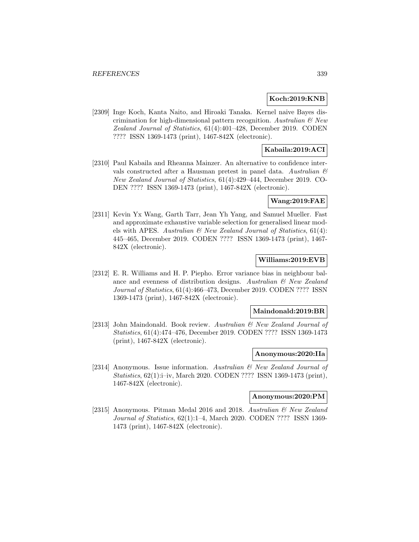## **Koch:2019:KNB**

[2309] Inge Koch, Kanta Naito, and Hiroaki Tanaka. Kernel naive Bayes discrimination for high-dimensional pattern recognition. Australian  $\mathcal{B}$  New Zealand Journal of Statistics, 61(4):401–428, December 2019. CODEN ???? ISSN 1369-1473 (print), 1467-842X (electronic).

# **Kabaila:2019:ACI**

[2310] Paul Kabaila and Rheanna Mainzer. An alternative to confidence intervals constructed after a Hausman pretest in panel data. Australian  $\mathcal{C}$ New Zealand Journal of Statistics, 61(4):429–444, December 2019. CO-DEN ???? ISSN 1369-1473 (print), 1467-842X (electronic).

# **Wang:2019:FAE**

[2311] Kevin Yx Wang, Garth Tarr, Jean Yh Yang, and Samuel Mueller. Fast and approximate exhaustive variable selection for generalised linear models with APES. Australian  $\mathscr B$  New Zealand Journal of Statistics, 61(4): 445–465, December 2019. CODEN ???? ISSN 1369-1473 (print), 1467- 842X (electronic).

# **Williams:2019:EVB**

[2312] E. R. Williams and H. P. Piepho. Error variance bias in neighbour balance and evenness of distribution designs. Australian & New Zealand Journal of Statistics, 61(4):466–473, December 2019. CODEN ???? ISSN 1369-1473 (print), 1467-842X (electronic).

#### **Maindonald:2019:BR**

[2313] John Maindonald. Book review. Australian & New Zealand Journal of Statistics, 61(4):474–476, December 2019. CODEN ???? ISSN 1369-1473 (print), 1467-842X (electronic).

#### **Anonymous:2020:IIa**

[2314] Anonymous. Issue information. Australian & New Zealand Journal of Statistics, 62(1):i–iv, March 2020. CODEN ???? ISSN 1369-1473 (print), 1467-842X (electronic).

#### **Anonymous:2020:PM**

[2315] Anonymous. Pitman Medal 2016 and 2018. Australian  $\mathcal{B}$  New Zealand Journal of Statistics, 62(1):1–4, March 2020. CODEN ???? ISSN 1369- 1473 (print), 1467-842X (electronic).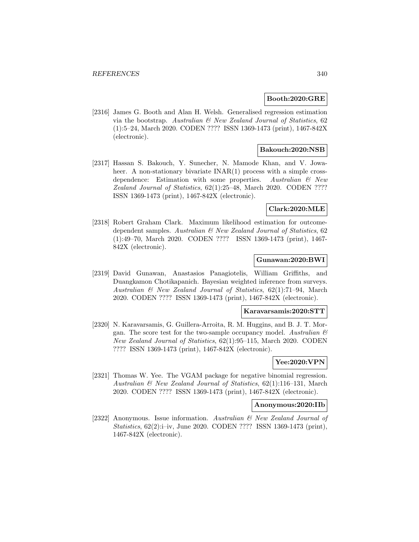#### **Booth:2020:GRE**

[2316] James G. Booth and Alan H. Welsh. Generalised regression estimation via the bootstrap. Australian  $\mathcal C$  New Zealand Journal of Statistics, 62 (1):5–24, March 2020. CODEN ???? ISSN 1369-1473 (print), 1467-842X (electronic).

# **Bakouch:2020:NSB**

[2317] Hassan S. Bakouch, Y. Sunecher, N. Mamode Khan, and V. Jowaheer. A non-stationary bivariate  $INAR(1)$  process with a simple crossdependence: Estimation with some properties. Australian  $\mathcal B$  New Zealand Journal of Statistics, 62(1):25–48, March 2020. CODEN ???? ISSN 1369-1473 (print), 1467-842X (electronic).

### **Clark:2020:MLE**

[2318] Robert Graham Clark. Maximum likelihood estimation for outcomedependent samples. Australian  $\mathcal{B}$  New Zealand Journal of Statistics, 62 (1):49–70, March 2020. CODEN ???? ISSN 1369-1473 (print), 1467- 842X (electronic).

## **Gunawan:2020:BWI**

[2319] David Gunawan, Anastasios Panagiotelis, William Griffiths, and Duangkamon Chotikapanich. Bayesian weighted inference from surveys. Australian & New Zealand Journal of Statistics, 62(1):71–94, March 2020. CODEN ???? ISSN 1369-1473 (print), 1467-842X (electronic).

#### **Karavarsamis:2020:STT**

[2320] N. Karavarsamis, G. Guillera-Arroita, R. M. Huggins, and B. J. T. Morgan. The score test for the two-sample occupancy model. Australian  $\mathcal{B}$ New Zealand Journal of Statistics, 62(1):95–115, March 2020. CODEN ???? ISSN 1369-1473 (print), 1467-842X (electronic).

# **Yee:2020:VPN**

[2321] Thomas W. Yee. The VGAM package for negative binomial regression. Australian & New Zealand Journal of Statistics, 62(1):116–131, March 2020. CODEN ???? ISSN 1369-1473 (print), 1467-842X (electronic).

#### **Anonymous:2020:IIb**

[2322] Anonymous. Issue information. Australian & New Zealand Journal of Statistics, 62(2):i–iv, June 2020. CODEN ???? ISSN 1369-1473 (print), 1467-842X (electronic).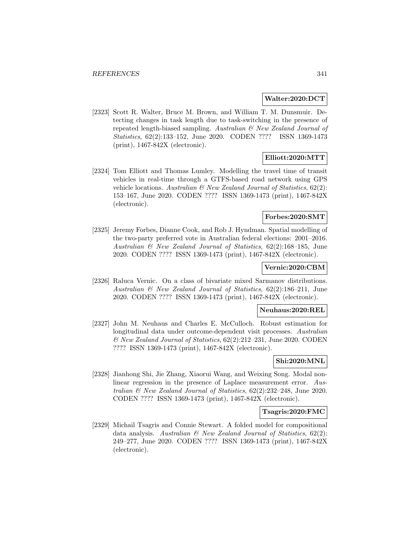#### **Walter:2020:DCT**

[2323] Scott R. Walter, Bruce M. Brown, and William T. M. Dunsmuir. Detecting changes in task length due to task-switching in the presence of repeated length-biased sampling. Australian & New Zealand Journal of Statistics, 62(2):133–152, June 2020. CODEN ???? ISSN 1369-1473 (print), 1467-842X (electronic).

# **Elliott:2020:MTT**

[2324] Tom Elliott and Thomas Lumley. Modelling the travel time of transit vehicles in real-time through a GTFS-based road network using GPS vehicle locations. Australian  $\mathcal{B}$  New Zealand Journal of Statistics, 62(2): 153–167, June 2020. CODEN ???? ISSN 1369-1473 (print), 1467-842X (electronic).

# **Forbes:2020:SMT**

[2325] Jeremy Forbes, Dianne Cook, and Rob J. Hyndman. Spatial modelling of the two-party preferred vote in Australian federal elections: 2001–2016. Australian & New Zealand Journal of Statistics, 62(2):168–185, June 2020. CODEN ???? ISSN 1369-1473 (print), 1467-842X (electronic).

#### **Vernic:2020:CBM**

[2326] Raluca Vernic. On a class of bivariate mixed Sarmanov distributions. Australian & New Zealand Journal of Statistics, 62(2):186–211, June 2020. CODEN ???? ISSN 1369-1473 (print), 1467-842X (electronic).

#### **Neuhaus:2020:REL**

[2327] John M. Neuhaus and Charles E. McCulloch. Robust estimation for longitudinal data under outcome-dependent visit processes. Australian & New Zealand Journal of Statistics, 62(2):212–231, June 2020. CODEN ???? ISSN 1369-1473 (print), 1467-842X (electronic).

# **Shi:2020:MNL**

[2328] Jianhong Shi, Jie Zhang, Xiaorui Wang, and Weixing Song. Modal nonlinear regression in the presence of Laplace measurement error. Australian & New Zealand Journal of Statistics, 62(2):232–248, June 2020. CODEN ???? ISSN 1369-1473 (print), 1467-842X (electronic).

#### **Tsagris:2020:FMC**

[2329] Michail Tsagris and Connie Stewart. A folded model for compositional data analysis. Australian  $\mathcal B$  New Zealand Journal of Statistics, 62(2): 249–277, June 2020. CODEN ???? ISSN 1369-1473 (print), 1467-842X (electronic).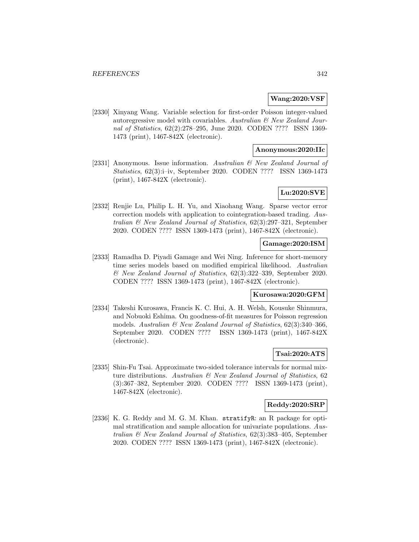#### **Wang:2020:VSF**

[2330] Xinyang Wang. Variable selection for first-order Poisson integer-valued autoregressive model with covariables. Australian  $\mathcal C$  New Zealand Journal of Statistics, 62(2):278–295, June 2020. CODEN ???? ISSN 1369- 1473 (print), 1467-842X (electronic).

### **Anonymous:2020:IIc**

[2331] Anonymous. Issue information. Australian & New Zealand Journal of Statistics, 62(3):i–iv, September 2020. CODEN ???? ISSN 1369-1473 (print), 1467-842X (electronic).

## **Lu:2020:SVE**

[2332] Renjie Lu, Philip L. H. Yu, and Xiaohang Wang. Sparse vector error correction models with application to cointegration-based trading. Australian & New Zealand Journal of Statistics, 62(3):297–321, September 2020. CODEN ???? ISSN 1369-1473 (print), 1467-842X (electronic).

#### **Gamage:2020:ISM**

[2333] Ramadha D. Piyadi Gamage and Wei Ning. Inference for short-memory time series models based on modified empirical likelihood. Australian & New Zealand Journal of Statistics, 62(3):322–339, September 2020. CODEN ???? ISSN 1369-1473 (print), 1467-842X (electronic).

# **Kurosawa:2020:GFM**

[2334] Takeshi Kurosawa, Francis K. C. Hui, A. H. Welsh, Kousuke Shinmura, and Nobuoki Eshima. On goodness-of-fit measures for Poisson regression models. Australian  $\mathcal B$  New Zealand Journal of Statistics, 62(3):340–366, September 2020. CODEN ???? ISSN 1369-1473 (print), 1467-842X (electronic).

## **Tsai:2020:ATS**

[2335] Shin-Fu Tsai. Approximate two-sided tolerance intervals for normal mixture distributions. Australian & New Zealand Journal of Statistics, 62 (3):367–382, September 2020. CODEN ???? ISSN 1369-1473 (print), 1467-842X (electronic).

#### **Reddy:2020:SRP**

[2336] K. G. Reddy and M. G. M. Khan. stratifyR: an R package for optimal stratification and sample allocation for univariate populations. Australian & New Zealand Journal of Statistics, 62(3):383–405, September 2020. CODEN ???? ISSN 1369-1473 (print), 1467-842X (electronic).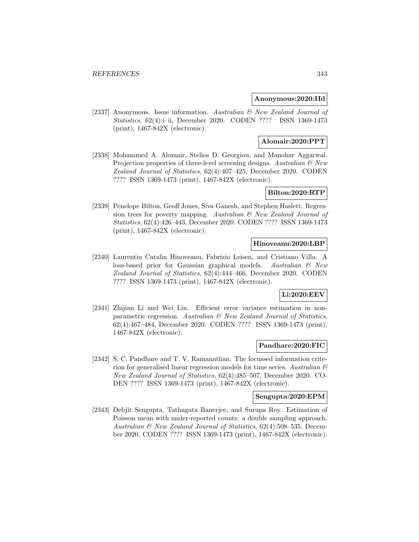#### **Anonymous:2020:IId**

[2337] Anonymous. Issue information. Australian & New Zealand Journal of Statistics, 62(4):i–ii, December 2020. CODEN ???? ISSN 1369-1473 (print), 1467-842X (electronic).

# **Alomair:2020:PPT**

[2338] Mohammed A. Alomair, Stelios D. Georgiou, and Manohar Aggarwal. Projection properties of three-level screening designs. Australian  $\mathcal{C}$  New Zealand Journal of Statistics, 62(4):407–425, December 2020. CODEN ???? ISSN 1369-1473 (print), 1467-842X (electronic).

# **Bilton:2020:RTP**

[2339] Penelope Bilton, Geoff Jones, Siva Ganesh, and Stephen Haslett. Regression trees for poverty mapping. Australian & New Zealand Journal of Statistics, 62(4):426–443, December 2020. CODEN ???? ISSN 1369-1473 (print), 1467-842X (electronic).

### **Hinoveanu:2020:LBP**

[2340] Laurentiu Catalin Hinoveanu, Fabrizio Leisen, and Cristiano Villa. A loss-based prior for Gaussian graphical models. Australian & New Zealand Journal of Statistics, 62(4):444–466, December 2020. CODEN ???? ISSN 1369-1473 (print), 1467-842X (electronic).

### **Li:2020:EEV**

[2341] Zhijian Li and Wei Lin. Efficient error variance estimation in nonparametric regression. Australian & New Zealand Journal of Statistics, 62(4):467–484, December 2020. CODEN ???? ISSN 1369-1473 (print), 1467-842X (electronic).

#### **Pandhare:2020:FIC**

[2342] S. C. Pandhare and T. V. Ramanathan. The focussed information criterion for generalised linear regression models for time series. Australian & New Zealand Journal of Statistics, 62(4):485–507, December 2020. CO-DEN ???? ISSN 1369-1473 (print), 1467-842X (electronic).

#### **Sengupta:2020:EPM**

[2343] Debjit Sengupta, Tathagata Banerjee, and Surupa Roy. Estimation of Poisson mean with under-reported counts: a double sampling approach. Australian & New Zealand Journal of Statistics, 62(4):508–535, December 2020. CODEN ???? ISSN 1369-1473 (print), 1467-842X (electronic).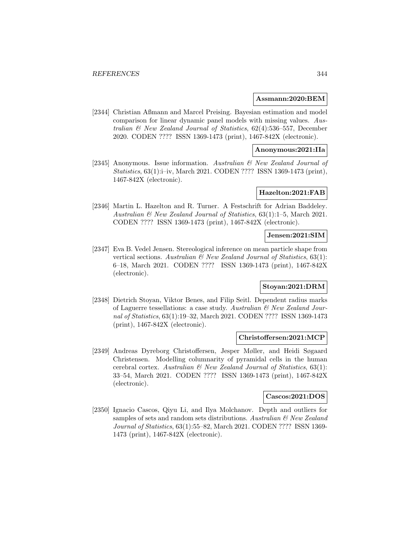#### **Assmann:2020:BEM**

[2344] Christian Aßmann and Marcel Preising. Bayesian estimation and model comparison for linear dynamic panel models with missing values. Australian & New Zealand Journal of Statistics, 62(4):536–557, December 2020. CODEN ???? ISSN 1369-1473 (print), 1467-842X (electronic).

# **Anonymous:2021:IIa**

[2345] Anonymous. Issue information. Australian & New Zealand Journal of Statistics, 63(1):i–iv, March 2021. CODEN ???? ISSN 1369-1473 (print), 1467-842X (electronic).

### **Hazelton:2021:FAB**

[2346] Martin L. Hazelton and R. Turner. A Festschrift for Adrian Baddeley. Australian & New Zealand Journal of Statistics, 63(1):1–5, March 2021. CODEN ???? ISSN 1369-1473 (print), 1467-842X (electronic).

# **Jensen:2021:SIM**

[2347] Eva B. Vedel Jensen. Stereological inference on mean particle shape from vertical sections. Australian  $\mathcal B$  New Zealand Journal of Statistics, 63(1): 6–18, March 2021. CODEN ???? ISSN 1369-1473 (print), 1467-842X (electronic).

## **Stoyan:2021:DRM**

[2348] Dietrich Stoyan, Viktor Benes, and Filip Seitl. Dependent radius marks of Laguerre tessellations: a case study. Australian & New Zealand Journal of Statistics, 63(1):19–32, March 2021. CODEN ???? ISSN 1369-1473 (print), 1467-842X (electronic).

#### **Christoffersen:2021:MCP**

[2349] Andreas Dyreborg Christoffersen, Jesper Møller, and Heidi Søgaard Christensen. Modelling columnarity of pyramidal cells in the human cerebral cortex. Australian  $\mathcal C$  New Zealand Journal of Statistics, 63(1): 33–54, March 2021. CODEN ???? ISSN 1369-1473 (print), 1467-842X (electronic).

# **Cascos:2021:DOS**

[2350] Ignacio Cascos, Qiyu Li, and Ilya Molchanov. Depth and outliers for samples of sets and random sets distributions. Australian  $\mathcal C$  New Zealand Journal of Statistics, 63(1):55–82, March 2021. CODEN ???? ISSN 1369- 1473 (print), 1467-842X (electronic).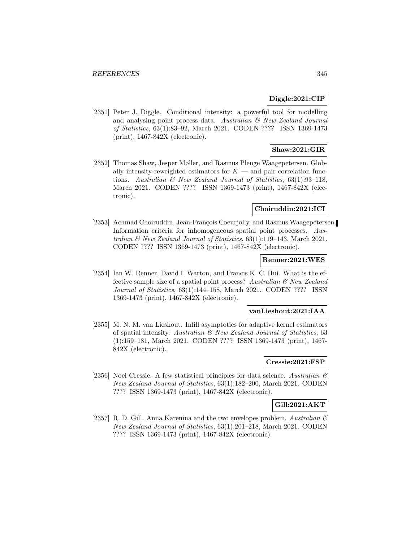# **Diggle:2021:CIP**

[2351] Peter J. Diggle. Conditional intensity: a powerful tool for modelling and analysing point process data. Australian & New Zealand Journal of Statistics, 63(1):83–92, March 2021. CODEN ???? ISSN 1369-1473 (print), 1467-842X (electronic).

# **Shaw:2021:GIR**

[2352] Thomas Shaw, Jesper Møller, and Rasmus Plenge Waagepetersen. Globally intensity-reweighted estimators for  $K$  — and pair correlation functions. Australian  $\mathcal B$  New Zealand Journal of Statistics, 63(1):93-118, March 2021. CODEN ???? ISSN 1369-1473 (print), 1467-842X (electronic).

### **Choiruddin:2021:ICI**

[2353] Achmad Choiruddin, Jean-François Coeurjolly, and Rasmus Waagepetersen. Information criteria for inhomogeneous spatial point processes. Australian & New Zealand Journal of Statistics, 63(1):119–143, March 2021. CODEN ???? ISSN 1369-1473 (print), 1467-842X (electronic).

### **Renner:2021:WES**

[2354] Ian W. Renner, David I. Warton, and Francis K. C. Hui. What is the effective sample size of a spatial point process? Australian  $\mathcal{B}$  New Zealand Journal of Statistics, 63(1):144–158, March 2021. CODEN ???? ISSN 1369-1473 (print), 1467-842X (electronic).

#### **vanLieshout:2021:IAA**

[2355] M. N. M. van Lieshout. Infill asymptotics for adaptive kernel estimators of spatial intensity. Australian & New Zealand Journal of Statistics, 63 (1):159–181, March 2021. CODEN ???? ISSN 1369-1473 (print), 1467- 842X (electronic).

# **Cressie:2021:FSP**

[2356] Noel Cressie. A few statistical principles for data science. Australian  $\mathcal{B}$ New Zealand Journal of Statistics, 63(1):182–200, March 2021. CODEN ???? ISSN 1369-1473 (print), 1467-842X (electronic).

### **Gill:2021:AKT**

[2357] R. D. Gill. Anna Karenina and the two envelopes problem. Australian  $\mathcal C$ New Zealand Journal of Statistics, 63(1):201–218, March 2021. CODEN ???? ISSN 1369-1473 (print), 1467-842X (electronic).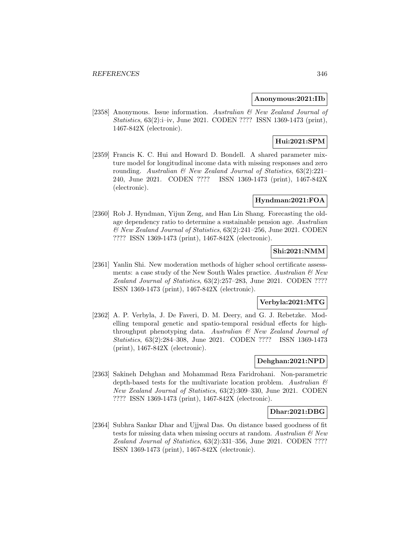#### **Anonymous:2021:IIb**

[2358] Anonymous. Issue information. Australian & New Zealand Journal of Statistics, 63(2):i–iv, June 2021. CODEN ???? ISSN 1369-1473 (print), 1467-842X (electronic).

# **Hui:2021:SPM**

[2359] Francis K. C. Hui and Howard D. Bondell. A shared parameter mixture model for longitudinal income data with missing responses and zero rounding. Australian  $\mathcal{B}$  New Zealand Journal of Statistics, 63(2):221– 240, June 2021. CODEN ???? ISSN 1369-1473 (print), 1467-842X (electronic).

### **Hyndman:2021:FOA**

[2360] Rob J. Hyndman, Yijun Zeng, and Han Lin Shang. Forecasting the oldage dependency ratio to determine a sustainable pension age. Australian & New Zealand Journal of Statistics, 63(2):241–256, June 2021. CODEN ???? ISSN 1369-1473 (print), 1467-842X (electronic).

# **Shi:2021:NMM**

[2361] Yanlin Shi. New moderation methods of higher school certificate assessments: a case study of the New South Wales practice. Australian  $\mathcal{C}$  New Zealand Journal of Statistics, 63(2):257–283, June 2021. CODEN ???? ISSN 1369-1473 (print), 1467-842X (electronic).

### **Verbyla:2021:MTG**

[2362] A. P. Verbyla, J. De Faveri, D. M. Deery, and G. J. Rebetzke. Modelling temporal genetic and spatio-temporal residual effects for highthroughput phenotyping data. Australian & New Zealand Journal of Statistics, 63(2):284–308, June 2021. CODEN ???? ISSN 1369-1473 (print), 1467-842X (electronic).

### **Dehghan:2021:NPD**

[2363] Sakineh Dehghan and Mohammad Reza Faridrohani. Non-parametric depth-based tests for the multivariate location problem. Australian  $\mathcal{B}$ New Zealand Journal of Statistics, 63(2):309–330, June 2021. CODEN ???? ISSN 1369-1473 (print), 1467-842X (electronic).

### **Dhar:2021:DBG**

[2364] Subhra Sankar Dhar and Ujjwal Das. On distance based goodness of fit tests for missing data when missing occurs at random. Australian  $\mathcal{C}$  New Zealand Journal of Statistics, 63(2):331–356, June 2021. CODEN ???? ISSN 1369-1473 (print), 1467-842X (electronic).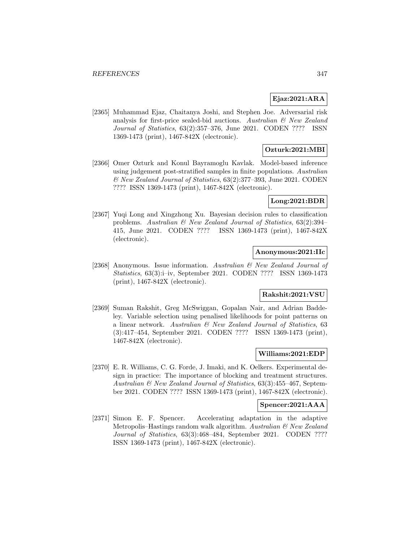#### **Ejaz:2021:ARA**

[2365] Muhammad Ejaz, Chaitanya Joshi, and Stephen Joe. Adversarial risk analysis for first-price sealed-bid auctions. Australian  $\mathcal{B}$  New Zealand Journal of Statistics, 63(2):357–376, June 2021. CODEN ???? ISSN 1369-1473 (print), 1467-842X (electronic).

# **Ozturk:2021:MBI**

[2366] Omer Ozturk and Konul Bayramoglu Kavlak. Model-based inference using judgement post-stratified samples in finite populations. Australian & New Zealand Journal of Statistics, 63(2):377–393, June 2021. CODEN ???? ISSN 1369-1473 (print), 1467-842X (electronic).

### **Long:2021:BDR**

[2367] Yuqi Long and Xingzhong Xu. Bayesian decision rules to classification problems. Australian & New Zealand Journal of Statistics, 63(2):394– 415, June 2021. CODEN ???? ISSN 1369-1473 (print), 1467-842X (electronic).

# **Anonymous:2021:IIc**

[2368] Anonymous. Issue information. Australian & New Zealand Journal of Statistics, 63(3):i–iv, September 2021. CODEN ???? ISSN 1369-1473 (print), 1467-842X (electronic).

# **Rakshit:2021:VSU**

[2369] Suman Rakshit, Greg McSwiggan, Gopalan Nair, and Adrian Baddeley. Variable selection using penalised likelihoods for point patterns on a linear network. Australian & New Zealand Journal of Statistics, 63 (3):417–454, September 2021. CODEN ???? ISSN 1369-1473 (print), 1467-842X (electronic).

#### **Williams:2021:EDP**

[2370] E. R. Williams, C. G. Forde, J. Imaki, and K. Oelkers. Experimental design in practice: The importance of blocking and treatment structures. Australian & New Zealand Journal of Statistics, 63(3):455–467, September 2021. CODEN ???? ISSN 1369-1473 (print), 1467-842X (electronic).

#### **Spencer:2021:AAA**

[2371] Simon E. F. Spencer. Accelerating adaptation in the adaptive Metropolis–Hastings random walk algorithm. Australian  $\mathcal{B}$  New Zealand Journal of Statistics, 63(3):468–484, September 2021. CODEN ???? ISSN 1369-1473 (print), 1467-842X (electronic).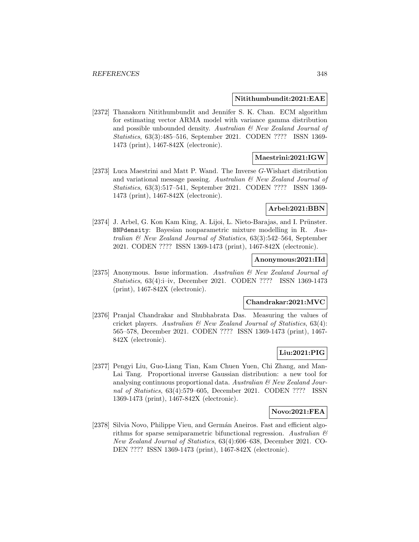#### **Nitithumbundit:2021:EAE**

[2372] Thanakorn Nitithumbundit and Jennifer S. K. Chan. ECM algorithm for estimating vector ARMA model with variance gamma distribution and possible unbounded density. Australian  $\mathcal{C}$  New Zealand Journal of Statistics, 63(3):485–516, September 2021. CODEN ???? ISSN 1369- 1473 (print), 1467-842X (electronic).

#### **Maestrini:2021:IGW**

[2373] Luca Maestrini and Matt P. Wand. The Inverse G-Wishart distribution and variational message passing. Australian & New Zealand Journal of Statistics, 63(3):517–541, September 2021. CODEN ???? ISSN 1369- 1473 (print), 1467-842X (electronic).

# **Arbel:2021:BBN**

[2374] J. Arbel, G. Kon Kam King, A. Lijoi, L. Nieto-Barajas, and I. Prünster. BNPdensity: Bayesian nonparametric mixture modelling in R. Australian & New Zealand Journal of Statistics, 63(3):542–564, September 2021. CODEN ???? ISSN 1369-1473 (print), 1467-842X (electronic).

#### **Anonymous:2021:IId**

[2375] Anonymous. Issue information. Australian & New Zealand Journal of Statistics, 63(4):i–iv, December 2021. CODEN ???? ISSN 1369-1473 (print), 1467-842X (electronic).

#### **Chandrakar:2021:MVC**

[2376] Pranjal Chandrakar and Shubhabrata Das. Measuring the values of cricket players. Australian  $\mathcal{B}$  New Zealand Journal of Statistics, 63(4): 565–578, December 2021. CODEN ???? ISSN 1369-1473 (print), 1467- 842X (electronic).

### **Liu:2021:PIG**

[2377] Pengyi Liu, Guo-Liang Tian, Kam Chuen Yuen, Chi Zhang, and Man-Lai Tang. Proportional inverse Gaussian distribution: a new tool for analysing continuous proportional data. Australian  $\mathcal{C}'$  New Zealand Journal of Statistics, 63(4):579–605, December 2021. CODEN ???? ISSN 1369-1473 (print), 1467-842X (electronic).

### **Novo:2021:FEA**

[2378] Silvia Novo, Philippe Vieu, and Germán Aneiros. Fast and efficient algorithms for sparse semiparametric bifunctional regression. Australian  $\mathcal{B}$ New Zealand Journal of Statistics, 63(4):606–638, December 2021. CO-DEN ???? ISSN 1369-1473 (print), 1467-842X (electronic).